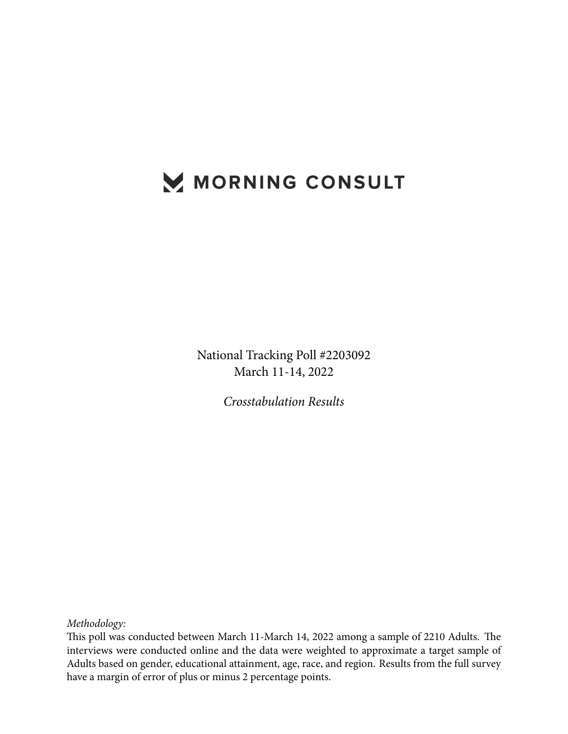# MORNING CONSULT

National Tracking Poll #2203092 March 11-14, 2022

*Crosstabulation Results*

*Methodology:*

This poll was conducted between March 11-March 14, 2022 among a sample of 2210 Adults. The interviews were conducted online and the data were weighted to approximate a target sample of Adults based on gender, educational attainment, age, race, and region. Results from the full survey have a margin of error of plus or minus 2 percentage points.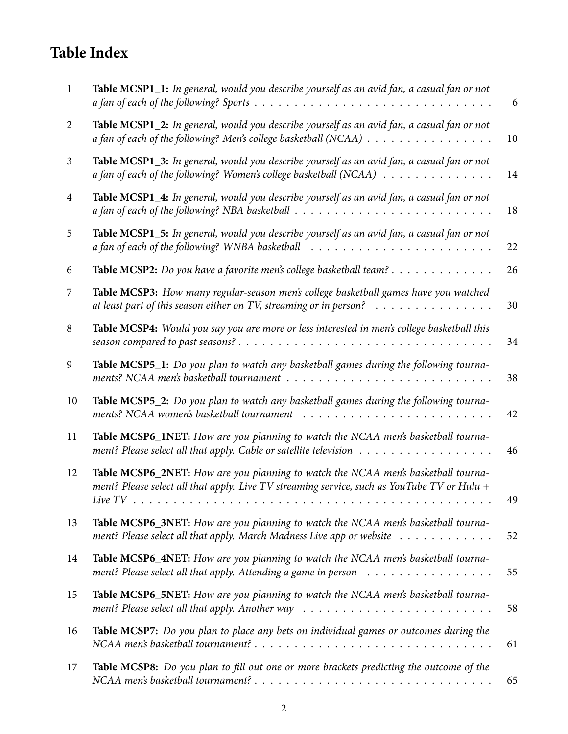# **Table Index**

| $\mathbf{1}$   | Table MCSP1_1: In general, would you describe yourself as an avid fan, a casual fan or not                                                                                                                       | 6  |
|----------------|------------------------------------------------------------------------------------------------------------------------------------------------------------------------------------------------------------------|----|
| 2              | Table MCSP1_2: In general, would you describe yourself as an avid fan, a casual fan or not<br>a fan of each of the following? Men's college basketball (NCAA)                                                    | 10 |
| $\mathfrak{Z}$ | Table MCSP1_3: In general, would you describe yourself as an avid fan, a casual fan or not<br>a fan of each of the following? Women's college basketball (NCAA)                                                  | 14 |
| $\overline{4}$ | Table MCSP1_4: In general, would you describe yourself as an avid fan, a casual fan or not<br>a fan of each of the following? NBA basketball $\dots \dots \dots \dots \dots \dots \dots \dots \dots \dots \dots$ | 18 |
| 5              | Table MCSP1_5: In general, would you describe yourself as an avid fan, a casual fan or not                                                                                                                       | 22 |
| 6              | Table MCSP2: Do you have a favorite men's college basketball team?                                                                                                                                               | 26 |
| 7              | Table MCSP3: How many regular-season men's college basketball games have you watched<br>at least part of this season either on TV, streaming or in person?                                                       | 30 |
| 8              | Table MCSP4: Would you say you are more or less interested in men's college basketball this                                                                                                                      | 34 |
| 9              | Table MCSP5_1: Do you plan to watch any basketball games during the following tourna-                                                                                                                            | 38 |
| 10             | Table MCSP5_2: Do you plan to watch any basketball games during the following tourna-                                                                                                                            | 42 |
| 11             | Table MCSP6_1NET: How are you planning to watch the NCAA men's basketball tourna-                                                                                                                                | 46 |
| 12             | Table MCSP6_2NET: How are you planning to watch the NCAA men's basketball tourna-<br>ment? Please select all that apply. Live TV streaming service, such as YouTube TV or Hulu +                                 | 49 |
| 13             | Table MCSP6_3NET: How are you planning to watch the NCAA men's basketball tourna-<br>ment? Please select all that apply. March Madness Live app or website                                                       | 52 |
| 14             | Table MCSP6_4NET: How are you planning to watch the NCAA men's basketball tourna-<br>ment? Please select all that apply. Attending a game in person                                                              | 55 |
| 15             | Table MCSP6_5NET: How are you planning to watch the NCAA men's basketball tourna-                                                                                                                                | 58 |
| 16             | Table MCSP7: Do you plan to place any bets on individual games or outcomes during the                                                                                                                            | 61 |
| 17             | Table MCSP8: Do you plan to fill out one or more brackets predicting the outcome of the                                                                                                                          | 65 |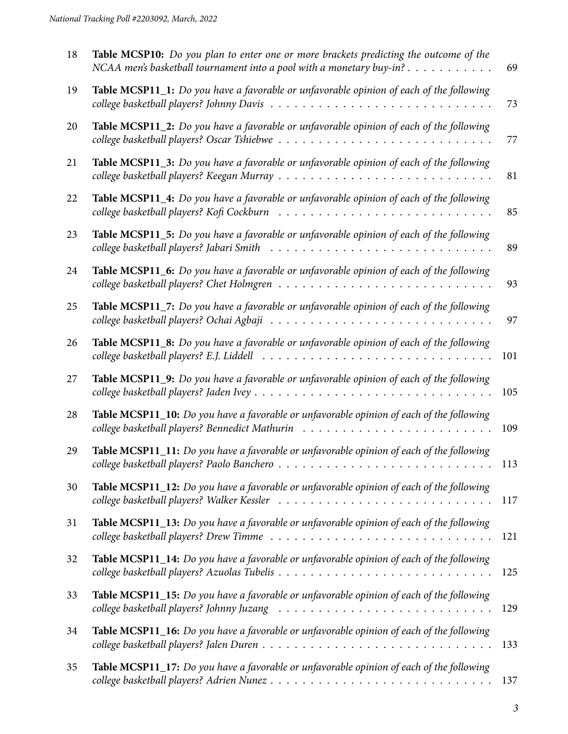| 18 | Table MCSP10: Do you plan to enter one or more brackets predicting the outcome of the<br>NCAA men's basketball tournament into a pool with a monetary buy-in? $\dots \dots \dots$ | 69  |
|----|-----------------------------------------------------------------------------------------------------------------------------------------------------------------------------------|-----|
| 19 | Table MCSP11_1: Do you have a favorable or unfavorable opinion of each of the following                                                                                           | 73  |
| 20 | Table MCSP11_2: Do you have a favorable or unfavorable opinion of each of the following                                                                                           | 77  |
| 21 | Table MCSP11_3: Do you have a favorable or unfavorable opinion of each of the following                                                                                           | 81  |
| 22 | Table MCSP11_4: Do you have a favorable or unfavorable opinion of each of the following                                                                                           | 85  |
| 23 | Table MCSP11_5: Do you have a favorable or unfavorable opinion of each of the following<br>college basketball players? Jabari Smith                                               | 89  |
| 24 | Table MCSP11_6: Do you have a favorable or unfavorable opinion of each of the following                                                                                           | 93  |
| 25 | Table MCSP11_7: Do you have a favorable or unfavorable opinion of each of the following                                                                                           | 97  |
| 26 | Table MCSP11_8: Do you have a favorable or unfavorable opinion of each of the following                                                                                           | 101 |
| 27 | Table MCSP11_9: Do you have a favorable or unfavorable opinion of each of the following                                                                                           | 105 |
| 28 | Table MCSP11_10: Do you have a favorable or unfavorable opinion of each of the following                                                                                          | 109 |
| 29 | Table MCSP11_11: Do you have a favorable or unfavorable opinion of each of the following                                                                                          | 113 |
| 30 | Table MCSP11_12: Do you have a favorable or unfavorable opinion of each of the following                                                                                          | 117 |
| 31 | Table MCSP11_13: Do you have a favorable or unfavorable opinion of each of the following                                                                                          | 121 |
| 32 | Table MCSP11_14: Do you have a favorable or unfavorable opinion of each of the following                                                                                          | 125 |
| 33 | Table MCSP11_15: Do you have a favorable or unfavorable opinion of each of the following                                                                                          | 129 |
| 34 | Table MCSP11_16: Do you have a favorable or unfavorable opinion of each of the following                                                                                          | 133 |
| 35 | Table MCSP11_17: Do you have a favorable or unfavorable opinion of each of the following                                                                                          | 137 |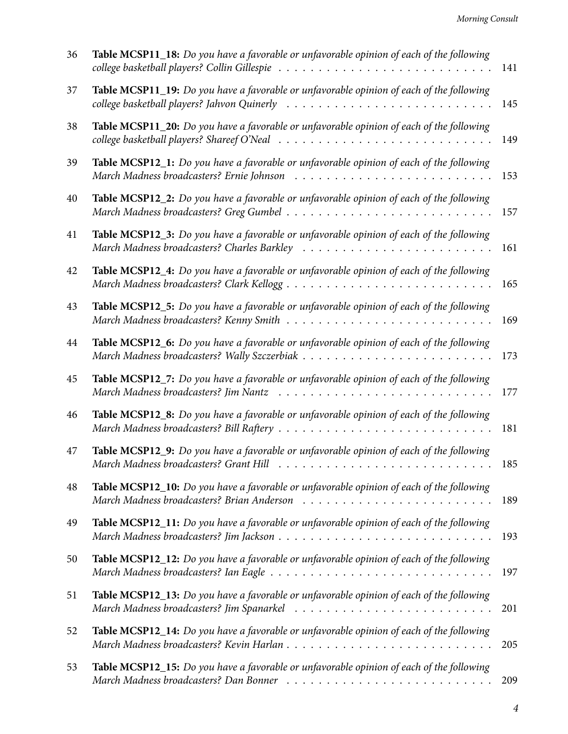| 36 | Table MCSP11_18: Do you have a favorable or unfavorable opinion of each of the following                                               | 141 |
|----|----------------------------------------------------------------------------------------------------------------------------------------|-----|
| 37 | Table MCSP11_19: Do you have a favorable or unfavorable opinion of each of the following                                               | 145 |
| 38 | Table MCSP11_20: Do you have a favorable or unfavorable opinion of each of the following<br>college basketball players? Shareef O'Neal | 149 |
| 39 | Table MCSP12_1: Do you have a favorable or unfavorable opinion of each of the following                                                | 153 |
| 40 | Table MCSP12_2: Do you have a favorable or unfavorable opinion of each of the following                                                | 157 |
| 41 | Table MCSP12_3: Do you have a favorable or unfavorable opinion of each of the following                                                | 161 |
| 42 | Table MCSP12_4: Do you have a favorable or unfavorable opinion of each of the following                                                | 165 |
| 43 | Table MCSP12_5: Do you have a favorable or unfavorable opinion of each of the following                                                | 169 |
| 44 | Table MCSP12_6: Do you have a favorable or unfavorable opinion of each of the following                                                | 173 |
| 45 | Table MCSP12_7: Do you have a favorable or unfavorable opinion of each of the following                                                | 177 |
| 46 | Table MCSP12_8: Do you have a favorable or unfavorable opinion of each of the following                                                | 181 |
| 47 | Table MCSP12_9: Do you have a favorable or unfavorable opinion of each of the following<br>March Madness broadcasters? Grant Hill      | 185 |
| 48 | Table MCSP12_10: Do you have a favorable or unfavorable opinion of each of the following                                               | 189 |
| 49 | Table MCSP12_11: Do you have a favorable or unfavorable opinion of each of the following                                               | 193 |
| 50 | Table MCSP12_12: Do you have a favorable or unfavorable opinion of each of the following                                               | 197 |
| 51 | Table MCSP12_13: Do you have a favorable or unfavorable opinion of each of the following                                               | 201 |
| 52 | Table MCSP12_14: Do you have a favorable or unfavorable opinion of each of the following<br>March Madness broadcasters? Kevin Harlan   | 205 |
| 53 | Table MCSP12_15: Do you have a favorable or unfavorable opinion of each of the following                                               | 209 |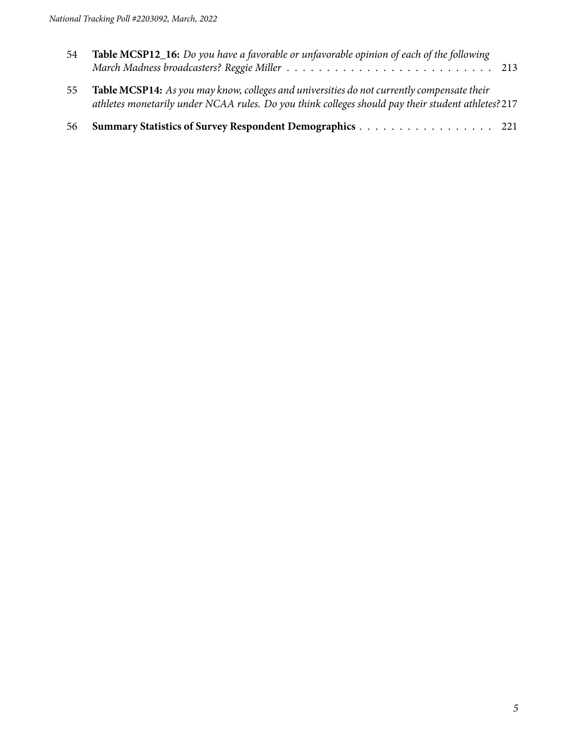| 54 | <b>Table MCSP12_16:</b> Do you have a favorable or unfavorable opinion of each of the following                                                                                                 |  |
|----|-------------------------------------------------------------------------------------------------------------------------------------------------------------------------------------------------|--|
| 55 | Table MCSP14: As you may know, colleges and universities do not currently compensate their<br>athletes monetarily under NCAA rules. Do you think colleges should pay their student athletes?217 |  |
| 56 | Summary Statistics of Survey Respondent Demographics 221                                                                                                                                        |  |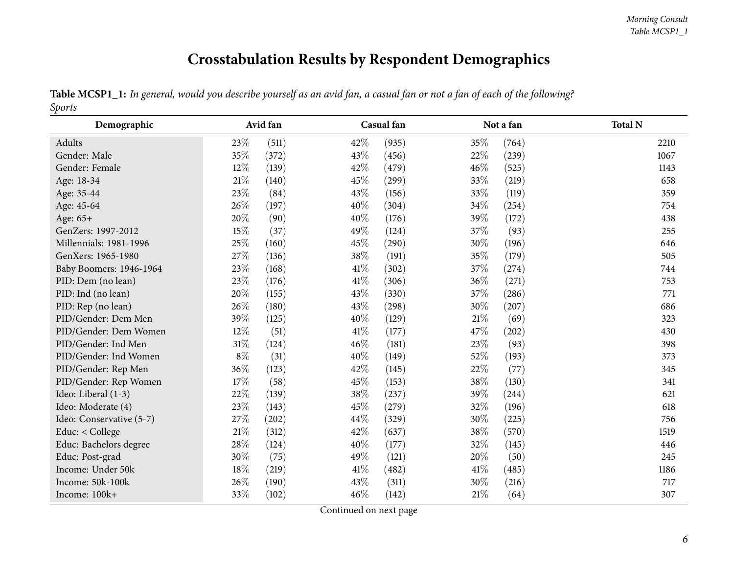# **Crosstabulation Results by Respondent Demographics**

| Table MCSP1_1: In general, would you describe yourself as an avid fan, a casual fan or not a fan of each of the following? |  |  |  |  |  |  |
|----------------------------------------------------------------------------------------------------------------------------|--|--|--|--|--|--|
| <i>Sports</i>                                                                                                              |  |  |  |  |  |  |

<span id="page-5-0"></span>

| Demographic              |        | Avid fan |        | Casual fan |      | Not a fan | <b>Total N</b> |
|--------------------------|--------|----------|--------|------------|------|-----------|----------------|
| Adults                   | 23\%   | (511)    | 42%    | (935)      | 35%  | (764)     | 2210           |
| Gender: Male             | 35%    | (372)    | 43%    | (456)      | 22\% | (239)     | 1067           |
| Gender: Female           | 12%    | (139)    | 42%    | (479)      | 46%  | (525)     | 1143           |
| Age: 18-34               | $21\%$ | (140)    | 45%    | (299)      | 33%  | (219)     | 658            |
| Age: 35-44               | 23%    | (84)     | 43%    | (156)      | 33%  | (119)     | 359            |
| Age: 45-64               | 26%    | (197)    | 40%    | (304)      | 34\% | (254)     | 754            |
| Age: 65+                 | 20%    | (90)     | 40%    | (176)      | 39%  | (172)     | 438            |
| GenZers: 1997-2012       | 15%    | (37)     | 49%    | (124)      | 37%  | (93)      | 255            |
| Millennials: 1981-1996   | $25\%$ | (160)    | 45%    | (290)      | 30%  | (196)     | 646            |
| GenXers: 1965-1980       | 27\%   | (136)    | $38\%$ | (191)      | 35%  | (179)     | 505            |
| Baby Boomers: 1946-1964  | 23%    | (168)    | 41\%   | (302)      | 37\% | (274)     | 744            |
| PID: Dem (no lean)       | 23%    | (176)    | 41\%   | (306)      | 36%  | (271)     | 753            |
| PID: Ind (no lean)       | 20%    | (155)    | 43%    | (330)      | 37%  | (286)     | 771            |
| PID: Rep (no lean)       | 26%    | (180)    | 43%    | (298)      | 30%  | (207)     | 686            |
| PID/Gender: Dem Men      | 39%    | (125)    | 40%    | (129)      | 21%  | (69)      | 323            |
| PID/Gender: Dem Women    | 12\%   | (51)     | 41\%   | (177)      | 47\% | (202)     | 430            |
| PID/Gender: Ind Men      | $31\%$ | (124)    | 46%    | (181)      | 23%  | (93)      | 398            |
| PID/Gender: Ind Women    | $8\%$  | (31)     | 40%    | (149)      | 52%  | (193)     | 373            |
| PID/Gender: Rep Men      | 36\%   | (123)    | 42%    | (145)      | 22%  | (77)      | 345            |
| PID/Gender: Rep Women    | 17\%   | (58)     | 45%    | (153)      | 38\% | (130)     | 341            |
| Ideo: Liberal (1-3)      | 22%    | (139)    | 38%    | (237)      | 39%  | (244)     | 621            |
| Ideo: Moderate (4)       | 23%    | (143)    | 45%    | (279)      | 32%  | (196)     | 618            |
| Ideo: Conservative (5-7) | 27%    | (202)    | 44%    | (329)      | 30%  | (225)     | 756            |
| Educ: < College          | 21%    | (312)    | 42%    | (637)      | 38%  | (570)     | 1519           |
| Educ: Bachelors degree   | $28\%$ | (124)    | 40%    | (177)      | 32\% | (145)     | 446            |
| Educ: Post-grad          | 30%    | (75)     | 49%    | (121)      | 20%  | (50)      | 245            |
| Income: Under 50k        | 18%    | (219)    | 41\%   | (482)      | 41\% | (485)     | 1186           |
| Income: 50k-100k         | 26%    | (190)    | 43%    | (311)      | 30%  | (216)     | 717            |
| Income: 100k+            | 33%    | (102)    | 46%    | (142)      | 21%  | (64)      | 307            |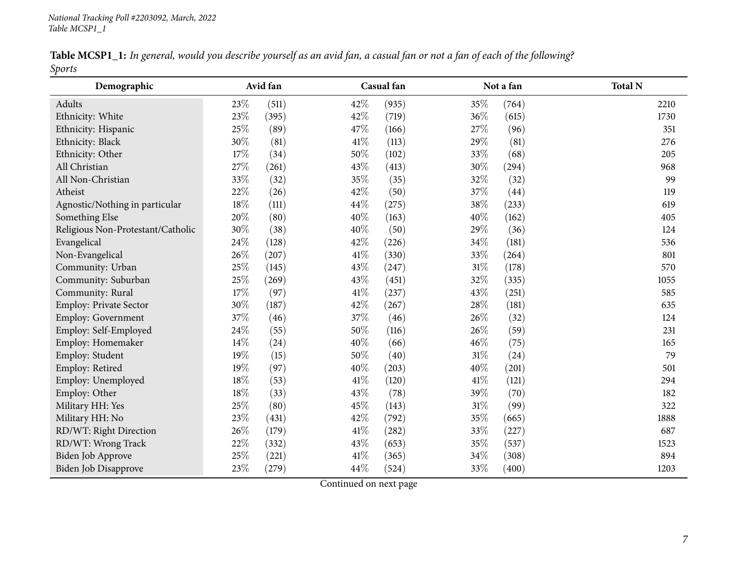|               |  |  |  | Table MCSP1_1: In general, would you describe yourself as an avid fan, a casual fan or not a fan of each of the following? |
|---------------|--|--|--|----------------------------------------------------------------------------------------------------------------------------|
| <b>Sports</b> |  |  |  |                                                                                                                            |

| Demographic                       |        | Avid fan |        | Casual fan |        | Not a fan | <b>Total N</b> |
|-----------------------------------|--------|----------|--------|------------|--------|-----------|----------------|
| Adults                            | 23\%   | (511)    | 42%    | (935)      | 35%    | (764)     | 2210           |
| Ethnicity: White                  | 23%    | (395)    | 42%    | (719)      | 36%    | (615)     | 1730           |
| Ethnicity: Hispanic               | 25%    | (89)     | 47%    | (166)      | 27\%   | (96)      | 351            |
| Ethnicity: Black                  | 30%    | (81)     | 41\%   | (113)      | 29%    | (81)      | 276            |
| Ethnicity: Other                  | 17%    | (34)     | 50%    | (102)      | 33%    | (68)      | 205            |
| All Christian                     | 27%    | (261)    | 43%    | (413)      | 30%    | (294)     | 968            |
| All Non-Christian                 | 33%    | (32)     | 35%    | (35)       | 32%    | (32)      | 99             |
| Atheist                           | 22%    | (26)     | 42%    | (50)       | 37%    | (44)      | 119            |
| Agnostic/Nothing in particular    | $18\%$ | (111)    | 44%    | (275)      | 38\%   | (233)     | 619            |
| Something Else                    | 20%    | (80)     | 40%    | (163)      | 40%    | (162)     | 405            |
| Religious Non-Protestant/Catholic | 30%    | (38)     | 40%    | (50)       | 29%    | (36)      | 124            |
| Evangelical                       | 24%    | (128)    | 42%    | (226)      | $34\%$ | (181)     | 536            |
| Non-Evangelical                   | 26%    | (207)    | $41\%$ | (330)      | 33%    | (264)     | 801            |
| Community: Urban                  | 25%    | (145)    | 43%    | (247)      | $31\%$ | (178)     | 570            |
| Community: Suburban               | 25%    | (269)    | 43%    | (451)      | 32%    | (335)     | 1055           |
| Community: Rural                  | $17\%$ | (97)     | $41\%$ | (237)      | 43%    | (251)     | 585            |
| Employ: Private Sector            | 30%    | (187)    | 42%    | (267)      | 28\%   | (181)     | 635            |
| Employ: Government                | 37%    | (46)     | 37%    | (46)       | 26%    | (32)      | 124            |
| Employ: Self-Employed             | 24%    | (55)     | 50%    | (116)      | 26%    | (59)      | 231            |
| Employ: Homemaker                 | 14%    | (24)     | 40%    | (66)       | 46%    | (75)      | 165            |
| Employ: Student                   | 19%    | (15)     | 50%    | (40)       | $31\%$ | (24)      | 79             |
| Employ: Retired                   | 19%    | (97)     | 40%    | (203)      | 40%    | (201)     | 501            |
| Employ: Unemployed                | $18\%$ | (53)     | 41%    | (120)      | $41\%$ | (121)     | 294            |
| Employ: Other                     | $18\%$ | (33)     | 43%    | (78)       | 39%    | (70)      | 182            |
| Military HH: Yes                  | 25%    | (80)     | 45%    | (143)      | $31\%$ | (99)      | 322            |
| Military HH: No                   | 23%    | (431)    | 42%    | (792)      | 35%    | (665)     | 1888           |
| RD/WT: Right Direction            | 26%    | (179)    | 41%    | (282)      | 33%    | (227)     | 687            |
| RD/WT: Wrong Track                | 22%    | (332)    | 43%    | (653)      | $35\%$ | (537)     | 1523           |
| Biden Job Approve                 | 25%    | (221)    | $41\%$ | (365)      | 34%    | (308)     | 894            |
| Biden Job Disapprove              | 23%    | (279)    | 44%    | (524)      | 33%    | (400)     | 1203           |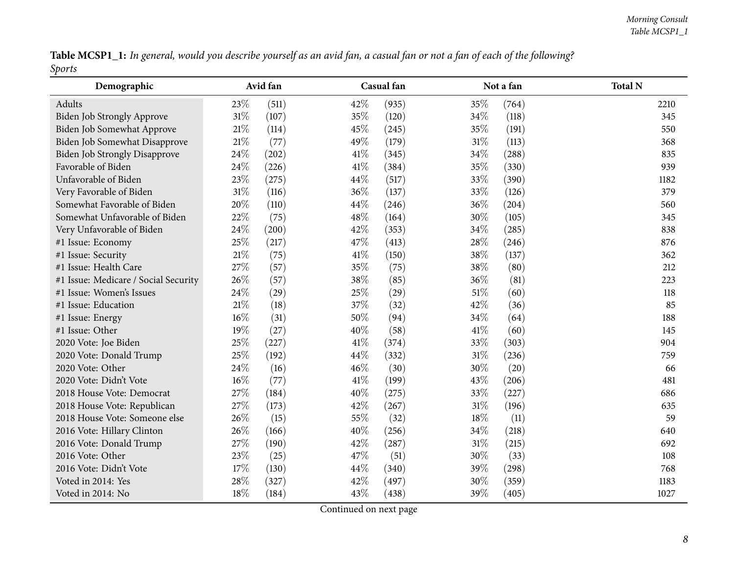Table MCSP1\_1: In general, would you describe yourself as an avid fan, a casual fan or not a fan of each of the following? *Sports*

| Demographic                          |        | Avid fan |      | Casual fan |        | Not a fan | <b>Total N</b> |
|--------------------------------------|--------|----------|------|------------|--------|-----------|----------------|
| Adults                               | 23%    | (511)    | 42%  | (935)      | 35%    | (764)     | 2210           |
| Biden Job Strongly Approve           | 31%    | (107)    | 35%  | (120)      | 34%    | (118)     | 345            |
| Biden Job Somewhat Approve           | $21\%$ | (114)    | 45%  | (245)      | 35%    | (191)     | 550            |
| Biden Job Somewhat Disapprove        | $21\%$ | (77)     | 49%  | (179)      | 31%    | (113)     | 368            |
| <b>Biden Job Strongly Disapprove</b> | 24%    | (202)    | 41\% | (345)      | 34\%   | (288)     | 835            |
| Favorable of Biden                   | 24%    | (226)    | 41\% | (384)      | 35%    | (330)     | 939            |
| Unfavorable of Biden                 | 23%    | (275)    | 44%  | (517)      | 33%    | (390)     | 1182           |
| Very Favorable of Biden              | $31\%$ | (116)    | 36%  | (137)      | 33%    | (126)     | 379            |
| Somewhat Favorable of Biden          | 20%    | (110)    | 44%  | (246)      | 36%    | (204)     | 560            |
| Somewhat Unfavorable of Biden        | 22%    | (75)     | 48%  | (164)      | 30%    | (105)     | 345            |
| Very Unfavorable of Biden            | 24%    | (200)    | 42%  | (353)      | 34\%   | (285)     | 838            |
| #1 Issue: Economy                    | 25%    | (217)    | 47\% | (413)      | 28%    | (246)     | 876            |
| #1 Issue: Security                   | 21%    | (75)     | 41%  | (150)      | 38%    | (137)     | 362            |
| #1 Issue: Health Care                | 27%    | (57)     | 35%  | (75)       | 38%    | (80)      | 212            |
| #1 Issue: Medicare / Social Security | 26%    | (57)     | 38%  | (85)       | 36%    | (81)      | 223            |
| #1 Issue: Women's Issues             | 24%    | (29)     | 25%  | (29)       | 51%    | (60)      | 118            |
| #1 Issue: Education                  | $21\%$ | (18)     | 37%  | (32)       | 42%    | (36)      | 85             |
| #1 Issue: Energy                     | $16\%$ | (31)     | 50%  | (94)       | 34%    | (64)      | 188            |
| #1 Issue: Other                      | 19%    | (27)     | 40%  | (58)       | 41\%   | (60)      | 145            |
| 2020 Vote: Joe Biden                 | $25\%$ | (227)    | 41\% | (374)      | 33%    | (303)     | 904            |
| 2020 Vote: Donald Trump              | 25%    | (192)    | 44%  | (332)      | $31\%$ | (236)     | 759            |
| 2020 Vote: Other                     | 24%    | (16)     | 46%  | (30)       | 30%    | (20)      | 66             |
| 2020 Vote: Didn't Vote               | 16%    | (77)     | 41\% | (199)      | 43%    | (206)     | 481            |
| 2018 House Vote: Democrat            | 27%    | (184)    | 40%  | (275)      | 33%    | (227)     | 686            |
| 2018 House Vote: Republican          | 27%    | (173)    | 42%  | (267)      | $31\%$ | (196)     | 635            |
| 2018 House Vote: Someone else        | 26%    | (15)     | 55%  | (32)       | 18%    | (11)      | 59             |
| 2016 Vote: Hillary Clinton           | 26%    | (166)    | 40%  | (256)      | 34%    | (218)     | 640            |
| 2016 Vote: Donald Trump              | 27%    | (190)    | 42%  | (287)      | $31\%$ | (215)     | 692            |
| 2016 Vote: Other                     | 23%    | (25)     | 47%  | (51)       | 30%    | (33)      | 108            |
| 2016 Vote: Didn't Vote               | $17\%$ | (130)    | 44%  | (340)      | 39%    | (298)     | 768            |
| Voted in 2014: Yes                   | 28\%   | (327)    | 42%  | (497)      | 30%    | (359)     | 1183           |
| Voted in 2014: No                    | 18%    | (184)    | 43%  | (438)      | 39%    | (405)     | 1027           |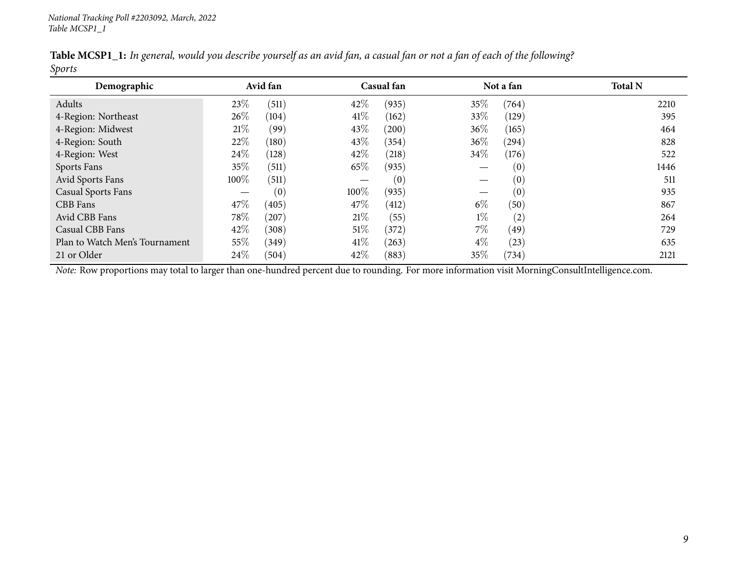| Demographic                    |        | Avid fan |        | Casual fan |        | Not a fan | <b>Total N</b> |
|--------------------------------|--------|----------|--------|------------|--------|-----------|----------------|
| Adults                         | 23\%   | (511)    | 42\%   | (935)      | $35\%$ | (764)     | 2210           |
| 4-Region: Northeast            | $26\%$ | (104)    | 41\%   | (162)      | 33\%   | (129)     | 395            |
| 4-Region: Midwest              | 21%    | (99)     | 43\%   | (200)      | 36%    | (165)     | 464            |
| 4-Region: South                | 22\%   | (180)    | 43\%   | (354)      | 36%    | (294)     | 828            |
| 4-Region: West                 | 24\%   | (128)    | 42\%   | (218)      | 34\%   | (176)     | 522            |
| <b>Sports Fans</b>             | 35\%   | (511)    | 65\%   | (935)      |        | (0)       | 1446           |
| Avid Sports Fans               | 100%   | (511)    |        | (0)        |        | (0)       | 511            |
| <b>Casual Sports Fans</b>      |        | (0)      | 100\%  | (935)      |        | (0)       | 935            |
| CBB Fans                       | 47\%   | (405)    | 47\%   | (412)      | $6\%$  | (50)      | 867            |
| Avid CBB Fans                  | 78\%   | (207)    | 21%    | (55)       | $1\%$  | (2)       | 264            |
| Casual CBB Fans                | 42\%   | (308)    | $51\%$ | (372)      | $7\%$  | (49)      | 729            |
| Plan to Watch Men's Tournament | 55%    | (349)    | 41\%   | (263)      | $4\%$  | (23)      | 635            |
| 21 or Older                    | 24\%   | (504)    | 42\%   | (883)      | 35%    | (734)     | 2121           |

Table MCSP1\_1: In general, would you describe yourself as an avid fan, a casual fan or not a fan of each of the following? *Sports*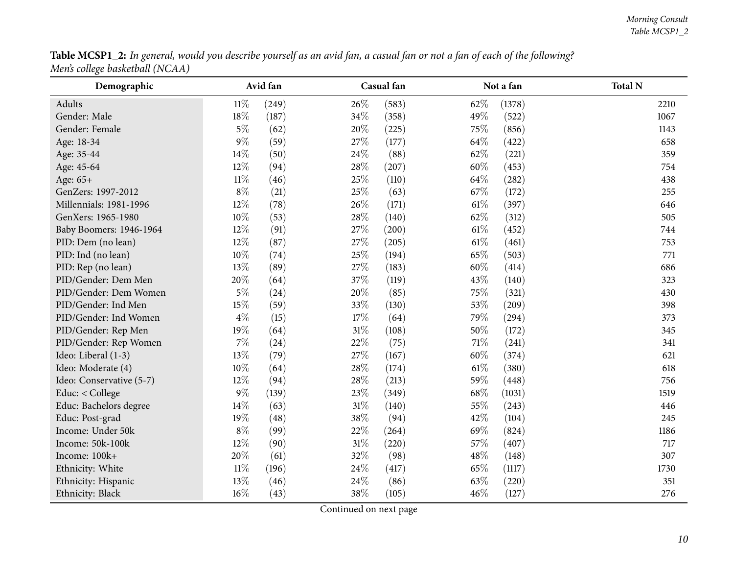| Table MCSP1_2: In general, would you describe yourself as an avid fan, a casual fan or not a fan of each of the following? |  |
|----------------------------------------------------------------------------------------------------------------------------|--|
| Men's college basketball (NCAA)                                                                                            |  |

<span id="page-9-0"></span>

| Demographic              |        | Avid fan |        | Casual fan |        | Not a fan | <b>Total N</b> |
|--------------------------|--------|----------|--------|------------|--------|-----------|----------------|
| Adults                   | $11\%$ | (249)    | 26\%   | (583)      | 62%    | (1378)    | 2210           |
| Gender: Male             | 18%    | (187)    | 34%    | (358)      | 49%    | (522)     | 1067           |
| Gender: Female           | $5\%$  | (62)     | 20%    | (225)      | 75\%   | (856)     | 1143           |
| Age: 18-34               | $9\%$  | (59)     | 27%    | (177)      | 64\%   | (422)     | 658            |
| Age: 35-44               | 14%    | (50)     | 24\%   | (88)       | 62\%   | (221)     | 359            |
| Age: 45-64               | 12%    | (94)     | 28%    | (207)      | 60%    | (453)     | 754            |
| Age: 65+                 | $11\%$ | (46)     | 25%    | (110)      | 64\%   | (282)     | 438            |
| GenZers: 1997-2012       | $8\%$  | (21)     | 25%    | (63)       | 67\%   | (172)     | 255            |
| Millennials: 1981-1996   | 12%    | (78)     | 26%    | (171)      | $61\%$ | (397)     | 646            |
| GenXers: 1965-1980       | 10%    | (53)     | 28%    | (140)      | 62%    | (312)     | 505            |
| Baby Boomers: 1946-1964  | 12%    | (91)     | 27%    | (200)      | $61\%$ | (452)     | 744            |
| PID: Dem (no lean)       | 12%    | (87)     | 27%    | (205)      | $61\%$ | (461)     | 753            |
| PID: Ind (no lean)       | 10%    | (74)     | 25%    | (194)      | 65%    | (503)     | 771            |
| PID: Rep (no lean)       | 13%    | (89)     | 27%    | (183)      | 60%    | (414)     | 686            |
| PID/Gender: Dem Men      | 20%    | (64)     | 37%    | (119)      | 43%    | (140)     | 323            |
| PID/Gender: Dem Women    | $5\%$  | (24)     | 20%    | (85)       | 75%    | (321)     | 430            |
| PID/Gender: Ind Men      | 15%    | (59)     | 33%    | (130)      | 53%    | (209)     | 398            |
| PID/Gender: Ind Women    | $4\%$  | (15)     | 17%    | (64)       | 79%    | (294)     | 373            |
| PID/Gender: Rep Men      | $19\%$ | (64)     | $31\%$ | (108)      | 50%    | (172)     | 345            |
| PID/Gender: Rep Women    | $7\%$  | (24)     | 22%    | (75)       | 71\%   | (241)     | 341            |
| Ideo: Liberal (1-3)      | 13%    | (79)     | 27%    | (167)      | 60%    | (374)     | 621            |
| Ideo: Moderate (4)       | 10%    | (64)     | 28%    | (174)      | $61\%$ | (380)     | 618            |
| Ideo: Conservative (5-7) | 12%    | (94)     | 28%    | (213)      | 59%    | (448)     | 756            |
| Educ: < College          | $9\%$  | (139)    | 23\%   | (349)      | 68\%   | (1031)    | 1519           |
| Educ: Bachelors degree   | 14%    | (63)     | $31\%$ | (140)      | 55%    | (243)     | 446            |
| Educ: Post-grad          | 19%    | (48)     | 38%    | (94)       | 42%    | (104)     | 245            |
| Income: Under 50k        | $8\%$  | (99)     | 22%    | (264)      | 69%    | (824)     | 1186           |
| Income: 50k-100k         | 12%    | (90)     | $31\%$ | (220)      | 57%    | (407)     | 717            |
| Income: 100k+            | 20%    | (61)     | 32%    | (98)       | 48\%   | (148)     | 307            |
| Ethnicity: White         | $11\%$ | (196)    | 24\%   | (417)      | 65%    | (1117)    | 1730           |
| Ethnicity: Hispanic      | 13%    | (46)     | 24%    | (86)       | 63%    | (220)     | 351            |
| Ethnicity: Black         | $16\%$ | (43)     | 38%    | (105)      | 46%    | (127)     | 276            |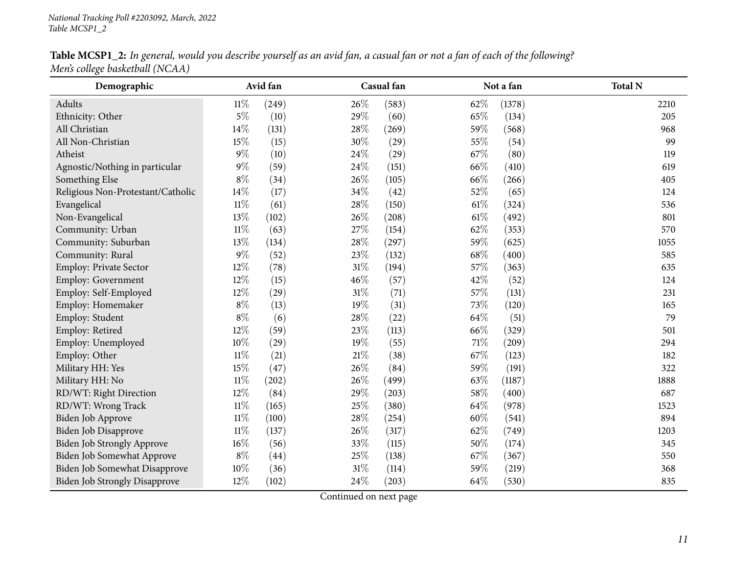| Table MCSP1_2: In general, would you describe yourself as an avid fan, a casual fan or not a fan of each of the following? |  |
|----------------------------------------------------------------------------------------------------------------------------|--|
| Men's college basketball (NCAA)                                                                                            |  |

| o<br>Demographic                     |        | Avid fan |        | Casual fan |        | Not a fan | <b>Total N</b> |
|--------------------------------------|--------|----------|--------|------------|--------|-----------|----------------|
| Adults                               | $11\%$ | (249)    | 26%    | (583)      | 62%    | (1378)    | 2210           |
| Ethnicity: Other                     | $5\%$  | (10)     | 29%    | (60)       | 65%    | (134)     | 205            |
| All Christian                        | 14%    | (131)    | 28%    | (269)      | 59%    | (568)     | 968            |
| All Non-Christian                    | 15%    | (15)     | 30%    | (29)       | 55%    | (54)      | 99             |
| Atheist                              | $9\%$  | (10)     | 24\%   | (29)       | 67%    | (80)      | 119            |
| Agnostic/Nothing in particular       | $9\%$  | (59)     | 24\%   | (151)      | 66%    | (410)     | 619            |
| Something Else                       | $8\%$  | (34)     | 26%    | (105)      | 66%    | (266)     | 405            |
| Religious Non-Protestant/Catholic    | 14%    | (17)     | 34%    | (42)       | 52%    | (65)      | 124            |
| Evangelical                          | $11\%$ | (61)     | 28%    | (150)      | 61\%   | (324)     | 536            |
| Non-Evangelical                      | 13%    | (102)    | 26%    | (208)      | $61\%$ | (492)     | 801            |
| Community: Urban                     | $11\%$ | (63)     | 27%    | (154)      | 62%    | (353)     | 570            |
| Community: Suburban                  | 13%    | (134)    | 28%    | (297)      | 59%    | (625)     | 1055           |
| Community: Rural                     | $9\%$  | (52)     | 23%    | (132)      | 68%    | (400)     | 585            |
| Employ: Private Sector               | 12%    | (78)     | 31%    | (194)      | 57%    | (363)     | 635            |
| Employ: Government                   | 12%    | (15)     | 46%    | (57)       | 42%    | (52)      | 124            |
| Employ: Self-Employed                | 12%    | (29)     | 31%    | (71)       | 57%    | (131)     | 231            |
| Employ: Homemaker                    | $8\%$  | (13)     | 19%    | (31)       | 73%    | (120)     | 165            |
| Employ: Student                      | $8\%$  | (6)      | 28%    | (22)       | 64%    | (51)      | 79             |
| Employ: Retired                      | 12%    | (59)     | 23%    | (113)      | 66%    | (329)     | 501            |
| Employ: Unemployed                   | $10\%$ | (29)     | 19%    | (55)       | 71%    | (209)     | 294            |
| Employ: Other                        | $11\%$ | (21)     | $21\%$ | (38)       | 67%    | (123)     | 182            |
| Military HH: Yes                     | $15\%$ | (47)     | 26%    | (84)       | 59%    | (191)     | 322            |
| Military HH: No                      | $11\%$ | (202)    | 26%    | (499)      | 63%    | (1187)    | 1888           |
| RD/WT: Right Direction               | 12%    | (84)     | 29%    | (203)      | 58%    | (400)     | 687            |
| RD/WT: Wrong Track                   | $11\%$ | (165)    | 25%    | (380)      | 64\%   | (978)     | 1523           |
| Biden Job Approve                    | $11\%$ | (100)    | 28\%   | (254)      | 60%    | (541)     | 894            |
| Biden Job Disapprove                 | $11\%$ | (137)    | 26%    | (317)      | 62%    | (749)     | 1203           |
| <b>Biden Job Strongly Approve</b>    | $16\%$ | (56)     | 33%    | (115)      | $50\%$ | (174)     | 345            |
| Biden Job Somewhat Approve           | $8\%$  | (44)     | $25\%$ | (138)      | 67%    | (367)     | 550            |
| Biden Job Somewhat Disapprove        | $10\%$ | (36)     | $31\%$ | (114)      | 59%    | (219)     | 368            |
| <b>Biden Job Strongly Disapprove</b> | 12%    | (102)    | 24%    | (203)      | 64%    | (530)     | 835            |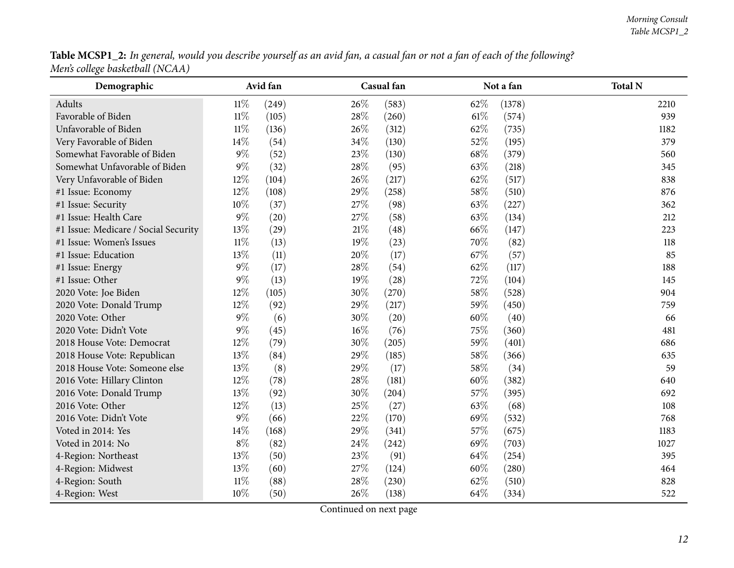Table MCSP1\_2: In general, would you describe yourself as an avid fan, a casual fan or not a fan of each of the following? *Men's college basketball (NCAA)*

| Demographic                          |        | Avid fan |        | Casual fan |        | Not a fan | <b>Total N</b> |
|--------------------------------------|--------|----------|--------|------------|--------|-----------|----------------|
| Adults                               | $11\%$ | (249)    | 26\%   | (583)      | 62\%   | (1378)    | 2210           |
| Favorable of Biden                   | $11\%$ | (105)    | 28\%   | (260)      | $61\%$ | (574)     | 939            |
| Unfavorable of Biden                 | $11\%$ | (136)    | 26%    | (312)      | 62%    | (735)     | 1182           |
| Very Favorable of Biden              | 14%    | (54)     | 34%    | (130)      | 52%    | (195)     | 379            |
| Somewhat Favorable of Biden          | $9\%$  | (52)     | 23%    | (130)      | $68\%$ | (379)     | 560            |
| Somewhat Unfavorable of Biden        | $9\%$  | (32)     | 28\%   | (95)       | 63%    | (218)     | 345            |
| Very Unfavorable of Biden            | 12%    | (104)    | 26%    | (217)      | 62%    | (517)     | 838            |
| #1 Issue: Economy                    | 12%    | (108)    | 29%    | (258)      | $58\%$ | (510)     | 876            |
| #1 Issue: Security                   | 10%    | (37)     | 27%    | (98)       | 63%    | (227)     | 362            |
| #1 Issue: Health Care                | $9\%$  | (20)     | 27%    | (58)       | 63%    | (134)     | 212            |
| #1 Issue: Medicare / Social Security | 13%    | (29)     | $21\%$ | (48)       | 66%    | (147)     | 223            |
| #1 Issue: Women's Issues             | $11\%$ | (13)     | 19%    | (23)       | 70%    | (82)      | 118            |
| #1 Issue: Education                  | 13%    | (11)     | 20%    | (17)       | 67%    | (57)      | 85             |
| #1 Issue: Energy                     | $9\%$  | (17)     | 28%    | (54)       | 62%    | (117)     | 188            |
| #1 Issue: Other                      | $9\%$  | (13)     | 19%    | (28)       | 72%    | (104)     | 145            |
| 2020 Vote: Joe Biden                 | 12%    | (105)    | 30%    | (270)      | $58\%$ | (528)     | 904            |
| 2020 Vote: Donald Trump              | 12%    | (92)     | 29%    | (217)      | 59%    | (450)     | 759            |
| 2020 Vote: Other                     | $9\%$  | (6)      | 30%    | (20)       | $60\%$ | (40)      | 66             |
| 2020 Vote: Didn't Vote               | $9\%$  | (45)     | 16%    | (76)       | 75%    | (360)     | 481            |
| 2018 House Vote: Democrat            | 12%    | (79)     | 30%    | (205)      | 59%    | (401)     | 686            |
| 2018 House Vote: Republican          | 13%    | (84)     | 29%    | (185)      | 58%    | (366)     | 635            |
| 2018 House Vote: Someone else        | 13%    | (8)      | 29%    | (17)       | 58%    | (34)      | 59             |
| 2016 Vote: Hillary Clinton           | 12%    | (78)     | 28%    | (181)      | 60%    | (382)     | 640            |
| 2016 Vote: Donald Trump              | 13%    | (92)     | 30%    | (204)      | 57%    | (395)     | 692            |
| 2016 Vote: Other                     | 12%    | (13)     | 25%    | (27)       | 63%    | (68)      | 108            |
| 2016 Vote: Didn't Vote               | $9\%$  | (66)     | 22%    | (170)      | 69%    | (532)     | 768            |
| Voted in 2014: Yes                   | 14%    | (168)    | 29%    | (341)      | 57%    | (675)     | 1183           |
| Voted in 2014: No                    | $8\%$  | (82)     | 24\%   | (242)      | 69%    | (703)     | 1027           |
| 4-Region: Northeast                  | 13%    | (50)     | 23%    | (91)       | 64\%   | (254)     | 395            |
| 4-Region: Midwest                    | 13%    | (60)     | 27%    | (124)      | 60%    | (280)     | 464            |
| 4-Region: South                      | $11\%$ | (88)     | 28%    | (230)      | 62%    | (510)     | 828            |
| 4-Region: West                       | $10\%$ | (50)     | 26%    | (138)      | 64%    | (334)     | 522            |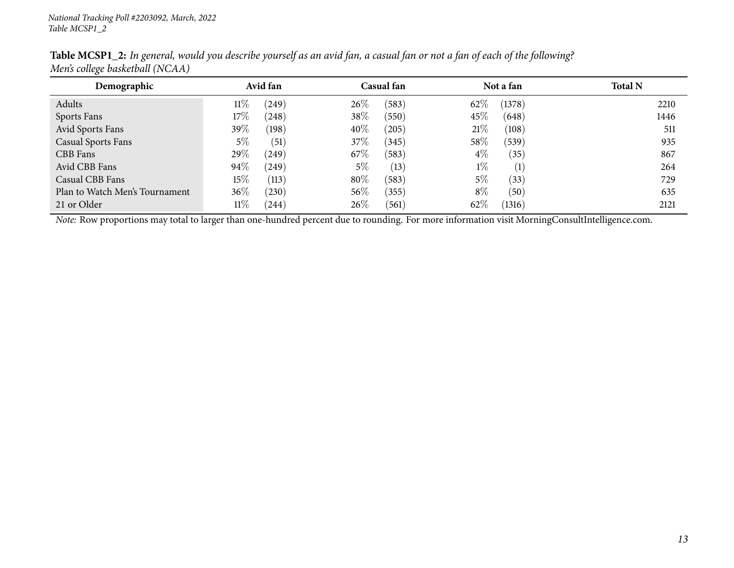| Demographic                    |        | Avid fan |        | Casual fan |       | Not a fan         | <b>Total N</b> |
|--------------------------------|--------|----------|--------|------------|-------|-------------------|----------------|
| Adults                         | 11%    | (249)    | $26\%$ | (583)      | 62%   | (1378)            | 2210           |
| Sports Fans                    | $17\%$ | (248)    | 38\%   | (550)      | 45\%  | (648)             | 1446           |
| Avid Sports Fans               | 39\%   | (198)    | 40\%   | (205)      | 21%   | (108)             | 511            |
| <b>Casual Sports Fans</b>      | $5\%$  | (51)     | 37\%   | (345)      | 58\%  | (539)             | 935            |
| CBB Fans                       | 29\%   | (249)    | 67\%   | (583)      | $4\%$ | (35)              | 867            |
| Avid CBB Fans                  | 94%    | (249)    | $5\%$  | (13)       | $1\%$ | $\left( 1\right)$ | 264            |
| Casual CBB Fans                | 15\%   | (113)    | 80%    | (583)      | 5%    | (33)              | 729            |
| Plan to Watch Men's Tournament | $36\%$ | (230)    | 56\%   | (355)      | $8\%$ | (50)              | 635            |
| 21 or Older                    | $11\%$ | (244)    | 26\%   | (561)      | 62%   | (1316)            | 2121           |

Table MCSP1\_2: In general, would you describe yourself as an avid fan, a casual fan or not a fan of each of the following? *Men's college basketball (NCAA)*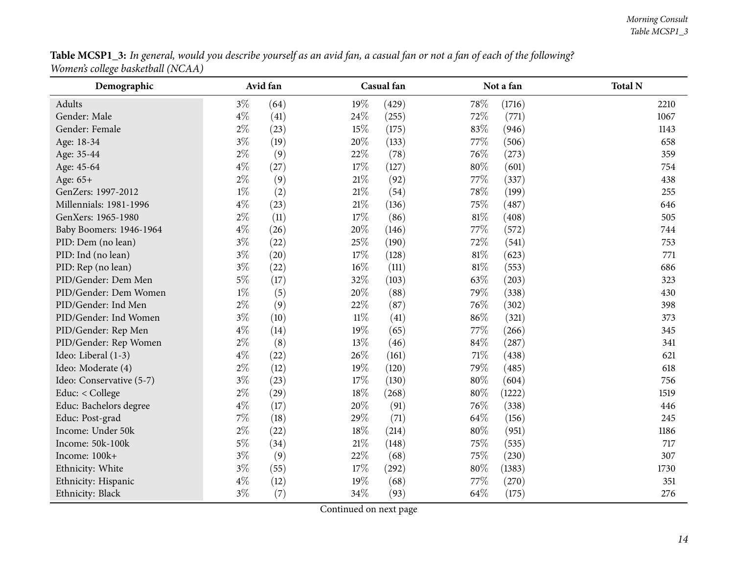| Table MCSP1_3: In general, would you describe yourself as an avid fan, a casual fan or not a fan of each of the following? |  |
|----------------------------------------------------------------------------------------------------------------------------|--|
| Women's college basketball (NCAA)                                                                                          |  |

<span id="page-13-0"></span>

| Demographic              |       | Avid fan |        | Casual fan |        | Not a fan | <b>Total N</b> |
|--------------------------|-------|----------|--------|------------|--------|-----------|----------------|
| Adults                   | $3\%$ | (64)     | 19%    | (429)      | 78%    | (1716)    | 2210           |
| Gender: Male             | $4\%$ | (41)     | 24%    | (255)      | 72%    | (771)     | 1067           |
| Gender: Female           | $2\%$ | (23)     | 15%    | (175)      | 83%    | (946)     | 1143           |
| Age: 18-34               | $3\%$ | (19)     | 20%    | (133)      | 77\%   | (506)     | 658            |
| Age: 35-44               | $2\%$ | (9)      | 22%    | (78)       | 76%    | (273)     | 359            |
| Age: 45-64               | $4\%$ | (27)     | 17%    | (127)      | $80\%$ | (601)     | 754            |
| Age: 65+                 | $2\%$ | (9)      | $21\%$ | (92)       | 77%    | (337)     | 438            |
| GenZers: 1997-2012       | $1\%$ | (2)      | $21\%$ | (54)       | 78%    | (199)     | 255            |
| Millennials: 1981-1996   | $4\%$ | (23)     | $21\%$ | (136)      | 75%    | (487)     | 646            |
| GenXers: 1965-1980       | $2\%$ | (11)     | 17%    | (86)       | $81\%$ | (408)     | 505            |
| Baby Boomers: 1946-1964  | $4\%$ | (26)     | 20%    | (146)      | 77%    | (572)     | 744            |
| PID: Dem (no lean)       | $3\%$ | (22)     | 25%    | (190)      | 72%    | (541)     | 753            |
| PID: Ind (no lean)       | $3\%$ | (20)     | 17%    | (128)      | $81\%$ | (623)     | 771            |
| PID: Rep (no lean)       | $3\%$ | (22)     | 16%    | (111)      | 81\%   | (553)     | 686            |
| PID/Gender: Dem Men      | $5\%$ | (17)     | 32%    | (103)      | 63%    | (203)     | 323            |
| PID/Gender: Dem Women    | $1\%$ | (5)      | 20%    | (88)       | 79%    | (338)     | 430            |
| PID/Gender: Ind Men      | $2\%$ | (9)      | 22%    | (87)       | 76%    | (302)     | 398            |
| PID/Gender: Ind Women    | $3\%$ | (10)     | $11\%$ | (41)       | 86%    | (321)     | 373            |
| PID/Gender: Rep Men      | $4\%$ | (14)     | 19%    | (65)       | 77%    | (266)     | 345            |
| PID/Gender: Rep Women    | $2\%$ | (8)      | 13%    | (46)       | 84\%   | (287)     | 341            |
| Ideo: Liberal (1-3)      | $4\%$ | (22)     | 26%    | (161)      | $71\%$ | (438)     | 621            |
| Ideo: Moderate (4)       | $2\%$ | (12)     | 19%    | (120)      | 79%    | (485)     | 618            |
| Ideo: Conservative (5-7) | $3\%$ | (23)     | 17%    | (130)      | $80\%$ | (604)     | 756            |
| Educ: < College          | $2\%$ | (29)     | 18%    | (268)      | $80\%$ | (1222)    | 1519           |
| Educ: Bachelors degree   | $4\%$ | (17)     | 20%    | (91)       | 76%    | (338)     | 446            |
| Educ: Post-grad          | $7\%$ | (18)     | 29%    | (71)       | 64\%   | (156)     | 245            |
| Income: Under 50k        | $2\%$ | (22)     | 18%    | (214)      | 80%    | (951)     | 1186           |
| Income: 50k-100k         | $5\%$ | (34)     | $21\%$ | (148)      | 75%    | (535)     | 717            |
| Income: 100k+            | $3\%$ | (9)      | 22%    | (68)       | 75%    | (230)     | 307            |
| Ethnicity: White         | $3\%$ | (55)     | 17%    | (292)      | $80\%$ | (1383)    | 1730           |
| Ethnicity: Hispanic      | $4\%$ | (12)     | 19%    | (68)       | 77%    | (270)     | 351            |
| Ethnicity: Black         | $3\%$ | (7)      | 34%    | (93)       | 64%    | (175)     | 276            |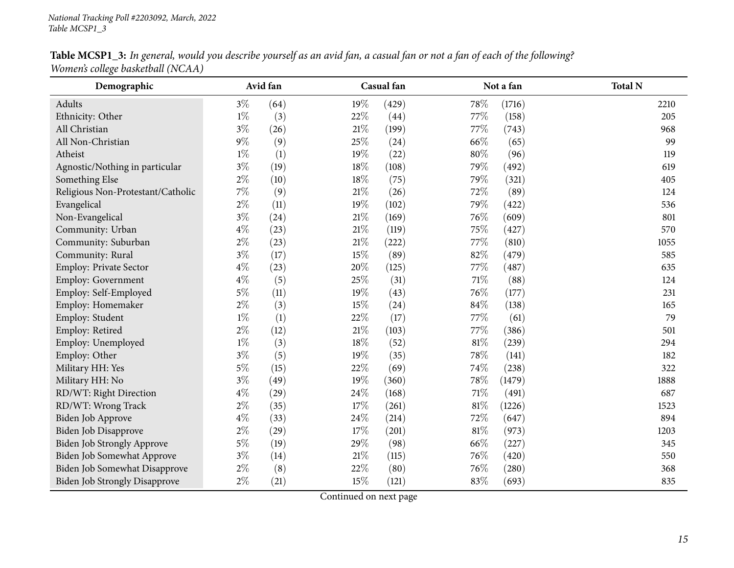| Table MCSP1_3: In general, would you describe yourself as an avid fan, a casual fan or not a fan of each of the following? |  |
|----------------------------------------------------------------------------------------------------------------------------|--|
| Women's college basketball (NCAA)                                                                                          |  |

| Demographic                          |       | Avid fan |        | Casual fan |        | Not a fan | <b>Total N</b> |
|--------------------------------------|-------|----------|--------|------------|--------|-----------|----------------|
| Adults                               | $3\%$ | (64)     | 19%    | (429)      | 78%    | (1716)    | 2210           |
| Ethnicity: Other                     | $1\%$ | (3)      | 22%    | (44)       | 77%    | (158)     | 205            |
| All Christian                        | $3\%$ | (26)     | $21\%$ | (199)      | 77%    | (743)     | 968            |
| All Non-Christian                    | $9\%$ | (9)      | 25%    | (24)       | 66%    | (65)      | 99             |
| Atheist                              | $1\%$ | (1)      | 19%    | (22)       | 80%    | (96)      | 119            |
| Agnostic/Nothing in particular       | $3\%$ | (19)     | 18%    | (108)      | 79%    | (492)     | 619            |
| Something Else                       | $2\%$ | (10)     | $18\%$ | (75)       | 79%    | (321)     | 405            |
| Religious Non-Protestant/Catholic    | $7\%$ | (9)      | $21\%$ | (26)       | 72%    | (89)      | 124            |
| Evangelical                          | $2\%$ | (11)     | 19%    | (102)      | 79%    | (422)     | 536            |
| Non-Evangelical                      | $3\%$ | (24)     | $21\%$ | (169)      | 76%    | (609)     | 801            |
| Community: Urban                     | $4\%$ | (23)     | $21\%$ | (119)      | 75%    | (427)     | 570            |
| Community: Suburban                  | $2\%$ | (23)     | $21\%$ | (222)      | 77%    | (810)     | 1055           |
| Community: Rural                     | $3\%$ | (17)     | 15%    | (89)       | 82%    | (479)     | 585            |
| Employ: Private Sector               | $4\%$ | (23)     | 20%    | (125)      | 77%    | (487)     | 635            |
| <b>Employ: Government</b>            | $4\%$ | (5)      | 25%    | (31)       | 71%    | (88)      | 124            |
| Employ: Self-Employed                | $5\%$ | (11)     | 19%    | (43)       | 76%    | (177)     | 231            |
| Employ: Homemaker                    | $2\%$ | (3)      | 15%    | (24)       | 84%    | (138)     | 165            |
| Employ: Student                      | $1\%$ | (1)      | 22%    | (17)       | 77%    | (61)      | 79             |
| Employ: Retired                      | $2\%$ | (12)     | 21\%   | (103)      | 77%    | (386)     | 501            |
| Employ: Unemployed                   | $1\%$ | (3)      | 18%    | (52)       | $81\%$ | (239)     | 294            |
| Employ: Other                        | $3\%$ | (5)      | 19%    | (35)       | 78%    | (141)     | 182            |
| Military HH: Yes                     | $5\%$ | (15)     | 22%    | (69)       | 74%    | (238)     | 322            |
| Military HH: No                      | $3\%$ | (49)     | 19%    | (360)      | 78%    | (1479)    | 1888           |
| RD/WT: Right Direction               | $4\%$ | (29)     | 24%    | (168)      | 71%    | (491)     | 687            |
| RD/WT: Wrong Track                   | $2\%$ | (35)     | 17%    | (261)      | 81%    | (1226)    | 1523           |
| Biden Job Approve                    | $4\%$ | (33)     | 24%    | (214)      | 72%    | (647)     | 894            |
| Biden Job Disapprove                 | $2\%$ | (29)     | 17%    | (201)      | $81\%$ | (973)     | 1203           |
| <b>Biden Job Strongly Approve</b>    | $5\%$ | (19)     | 29%    | (98)       | 66%    | (227)     | 345            |
| Biden Job Somewhat Approve           | $3\%$ | (14)     | $21\%$ | (115)      | 76%    | (420)     | 550            |
| Biden Job Somewhat Disapprove        | $2\%$ | (8)      | 22%    | (80)       | 76%    | (280)     | 368            |
| <b>Biden Job Strongly Disapprove</b> | $2\%$ | (21)     | 15%    | (121)      | 83%    | (693)     | 835            |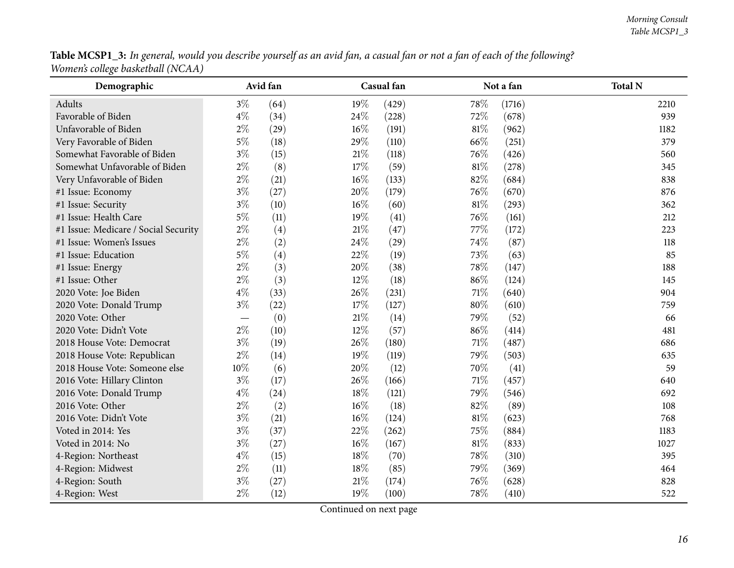**Table MCSP1\_3:** In general, would you describe yourself as an avid fan, a casual fan or not a fan of each of the following? *Women's college basketball (NCAA)*

| Demographic                          |       | Avid fan |        | Casual fan |        | Not a fan | <b>Total N</b> |
|--------------------------------------|-------|----------|--------|------------|--------|-----------|----------------|
| Adults                               | $3\%$ | (64)     | 19%    | (429)      | 78%    | (1716)    | 2210           |
| Favorable of Biden                   | $4\%$ | (34)     | 24%    | (228)      | 72%    | (678)     | 939            |
| Unfavorable of Biden                 | $2\%$ | (29)     | 16%    | (191)      | $81\%$ | (962)     | 1182           |
| Very Favorable of Biden              | $5\%$ | (18)     | 29%    | (110)      | 66%    | (251)     | 379            |
| Somewhat Favorable of Biden          | $3\%$ | (15)     | $21\%$ | (118)      | 76%    | (426)     | 560            |
| Somewhat Unfavorable of Biden        | $2\%$ | (8)      | $17\%$ | (59)       | $81\%$ | (278)     | 345            |
| Very Unfavorable of Biden            | $2\%$ | (21)     | $16\%$ | (133)      | 82%    | (684)     | 838            |
| #1 Issue: Economy                    | $3\%$ | (27)     | 20%    | (179)      | 76%    | (670)     | 876            |
| #1 Issue: Security                   | $3\%$ | (10)     | 16%    | (60)       | $81\%$ | (293)     | 362            |
| #1 Issue: Health Care                | $5\%$ | (11)     | 19%    | (41)       | 76%    | (161)     | 212            |
| #1 Issue: Medicare / Social Security | $2\%$ | (4)      | $21\%$ | (47)       | 77%    | (172)     | 223            |
| #1 Issue: Women's Issues             | $2\%$ | (2)      | 24%    | (29)       | 74%    | (87)      | 118            |
| #1 Issue: Education                  | $5\%$ | (4)      | 22%    | (19)       | 73%    | (63)      | 85             |
| #1 Issue: Energy                     | $2\%$ | (3)      | 20%    | (38)       | 78%    | (147)     | 188            |
| #1 Issue: Other                      | $2\%$ | (3)      | 12%    | (18)       | 86%    | (124)     | 145            |
| 2020 Vote: Joe Biden                 | $4\%$ | (33)     | 26%    | (231)      | $71\%$ | (640)     | 904            |
| 2020 Vote: Donald Trump              | $3\%$ | (22)     | 17%    | (127)      | $80\%$ | (610)     | 759            |
| 2020 Vote: Other                     |       | (0)      | $21\%$ | (14)       | 79%    | (52)      | 66             |
| 2020 Vote: Didn't Vote               | $2\%$ | (10)     | 12%    | (57)       | 86%    | (414)     | 481            |
| 2018 House Vote: Democrat            | $3\%$ | (19)     | 26%    | (180)      | $71\%$ | (487)     | 686            |
| 2018 House Vote: Republican          | $2\%$ | (14)     | 19%    | (119)      | 79%    | (503)     | 635            |
| 2018 House Vote: Someone else        | 10%   | (6)      | 20%    | (12)       | 70%    | (41)      | 59             |
| 2016 Vote: Hillary Clinton           | $3\%$ | (17)     | 26%    | (166)      | $71\%$ | (457)     | 640            |
| 2016 Vote: Donald Trump              | $4\%$ | (24)     | 18%    | (121)      | 79%    | (546)     | 692            |
| 2016 Vote: Other                     | $2\%$ | (2)      | 16%    | (18)       | 82%    | (89)      | 108            |
| 2016 Vote: Didn't Vote               | $3\%$ | (21)     | 16%    | (124)      | $81\%$ | (623)     | 768            |
| Voted in 2014: Yes                   | $3\%$ | (37)     | 22%    | (262)      | 75%    | (884)     | 1183           |
| Voted in 2014: No                    | $3\%$ | (27)     | 16%    | (167)      | $81\%$ | (833)     | 1027           |
| 4-Region: Northeast                  | $4\%$ | (15)     | $18\%$ | (70)       | 78%    | (310)     | 395            |
| 4-Region: Midwest                    | $2\%$ | (11)     | $18\%$ | (85)       | 79%    | (369)     | 464            |
| 4-Region: South                      | $3\%$ | (27)     | $21\%$ | (174)      | 76%    | (628)     | 828            |
| 4-Region: West                       | $2\%$ | (12)     | 19%    | (100)      | 78%    | (410)     | 522            |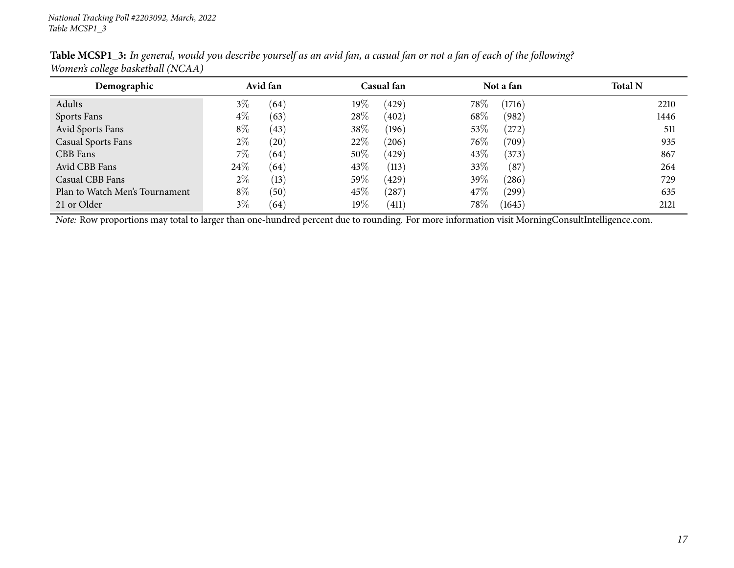| Demographic                    | Avid fan      | Casual fan      | Not a fan          | <b>Total N</b> |
|--------------------------------|---------------|-----------------|--------------------|----------------|
| Adults                         | $3\%$<br>(64) | 19%<br>(429)    | 78\%<br>(1716)     | 2210           |
| Sports Fans                    | $4\%$<br>(63) | 28%<br>(402)    | 68\%<br>(982)      | 1446           |
| Avid Sports Fans               | $8\%$<br>(43) | 38%<br>(196)    | 53\%<br>(272)      | 511            |
| <b>Casual Sports Fans</b>      | $2\%$<br>(20) | 22%<br>(206)    | $76\%$<br>(709)    | 935            |
| CBB Fans                       | $7\%$<br>(64) | $50\%$<br>(429) | 43\%<br>(373)      | 867            |
| Avid CBB Fans                  | 24%<br>(64)   | 43\%<br>(113)   | 33\%<br>(87)       | 264            |
| Casual CBB Fans                | $2\%$<br>(13) | $59\%$<br>(429) | 39\%<br>$^{(286)}$ | 729            |
| Plan to Watch Men's Tournament | $8\%$<br>(50) | $45\%$<br>(287) | 47\%<br>$^{'}299)$ | 635            |
| 21 or Older                    | $3\%$<br>(64) | 19%<br>(411)    | 78\%<br>(1645)     | 2121           |

Table MCSP1\_3: In general, would you describe yourself as an avid fan, a casual fan or not a fan of each of the following? *Women's college basketball (NCAA)*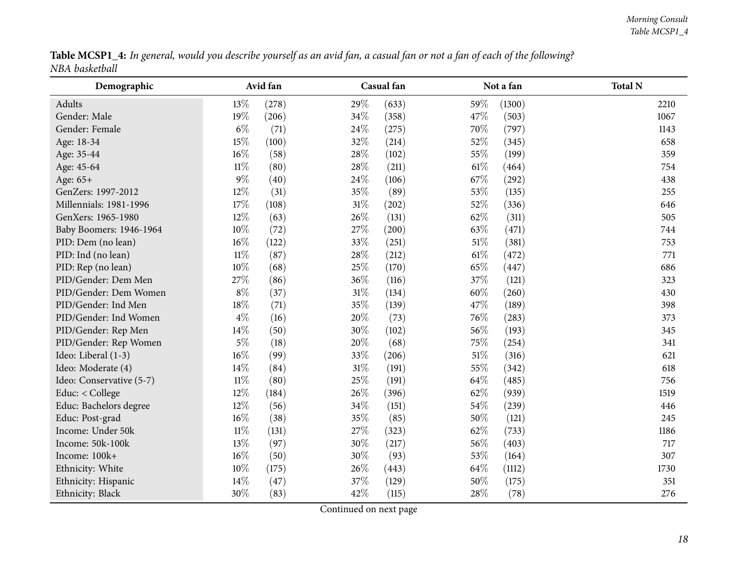|                | Table MCSP1_4: In general, would you describe yourself as an avid fan, a casual fan or not a fan of each of the following? |  |
|----------------|----------------------------------------------------------------------------------------------------------------------------|--|
| NBA basketball |                                                                                                                            |  |

<span id="page-17-0"></span>

| Demographic              |        | Avid fan |        | Casual fan |        | Not a fan | <b>Total N</b> |
|--------------------------|--------|----------|--------|------------|--------|-----------|----------------|
| Adults                   | 13%    | (278)    | 29%    | (633)      | 59%    | (1300)    | 2210           |
| Gender: Male             | 19%    | (206)    | 34%    | (358)      | 47%    | (503)     | 1067           |
| Gender: Female           | $6\%$  | (71)     | 24%    | (275)      | 70%    | (797)     | 1143           |
| Age: 18-34               | 15%    | (100)    | 32%    | (214)      | 52%    | (345)     | 658            |
| Age: 35-44               | 16%    | (58)     | 28%    | (102)      | 55%    | (199)     | 359            |
| Age: 45-64               | $11\%$ | (80)     | 28%    | (211)      | $61\%$ | (464)     | 754            |
| Age: 65+                 | $9\%$  | (40)     | 24%    | (106)      | 67%    | (292)     | 438            |
| GenZers: 1997-2012       | 12%    | (31)     | 35%    | (89)       | 53%    | (135)     | 255            |
| Millennials: 1981-1996   | 17%    | (108)    | 31%    | (202)      | 52%    | (336)     | 646            |
| GenXers: 1965-1980       | 12%    | (63)     | 26%    | (131)      | 62%    | (311)     | 505            |
| Baby Boomers: 1946-1964  | 10%    | (72)     | 27%    | (200)      | 63%    | (471)     | 744            |
| PID: Dem (no lean)       | 16%    | (122)    | 33%    | (251)      | $51\%$ | (381)     | 753            |
| PID: Ind (no lean)       | $11\%$ | (87)     | 28%    | (212)      | 61\%   | (472)     | 771            |
| PID: Rep (no lean)       | 10%    | (68)     | 25%    | (170)      | 65%    | (447)     | 686            |
| PID/Gender: Dem Men      | 27%    | (86)     | 36%    | (116)      | 37%    | (121)     | 323            |
| PID/Gender: Dem Women    | $8\%$  | (37)     | 31%    | (134)      | 60%    | (260)     | 430            |
| PID/Gender: Ind Men      | 18%    | (71)     | 35%    | (139)      | 47%    | (189)     | 398            |
| PID/Gender: Ind Women    | $4\%$  | (16)     | 20%    | (73)       | 76%    | (283)     | 373            |
| PID/Gender: Rep Men      | 14%    | (50)     | 30%    | (102)      | 56%    | (193)     | 345            |
| PID/Gender: Rep Women    | $5\%$  | (18)     | 20%    | (68)       | 75%    | (254)     | 341            |
| Ideo: Liberal (1-3)      | 16%    | (99)     | 33%    | (206)      | $51\%$ | (316)     | 621            |
| Ideo: Moderate (4)       | 14%    | (84)     | $31\%$ | (191)      | 55%    | (342)     | 618            |
| Ideo: Conservative (5-7) | $11\%$ | (80)     | 25%    | (191)      | 64%    | (485)     | 756            |
| Educ: < College          | 12%    | (184)    | 26%    | (396)      | 62%    | (939)     | 1519           |
| Educ: Bachelors degree   | 12%    | (56)     | 34%    | (151)      | 54%    | (239)     | 446            |
| Educ: Post-grad          | 16%    | (38)     | 35%    | (85)       | 50%    | (121)     | 245            |
| Income: Under 50k        | $11\%$ | (131)    | 27%    | (323)      | 62%    | (733)     | 1186           |
| Income: 50k-100k         | 13%    | (97)     | 30%    | (217)      | 56%    | (403)     | 717            |
| Income: 100k+            | 16%    | (50)     | 30%    | (93)       | 53%    | (164)     | 307            |
| Ethnicity: White         | 10%    | (175)    | 26%    | (443)      | 64\%   | (1112)    | 1730           |
| Ethnicity: Hispanic      | 14%    | (47)     | 37%    | (129)      | 50%    | (175)     | 351            |
| Ethnicity: Black         | 30%    | (83)     | 42%    | (115)      | 28%    | (78)      | 276            |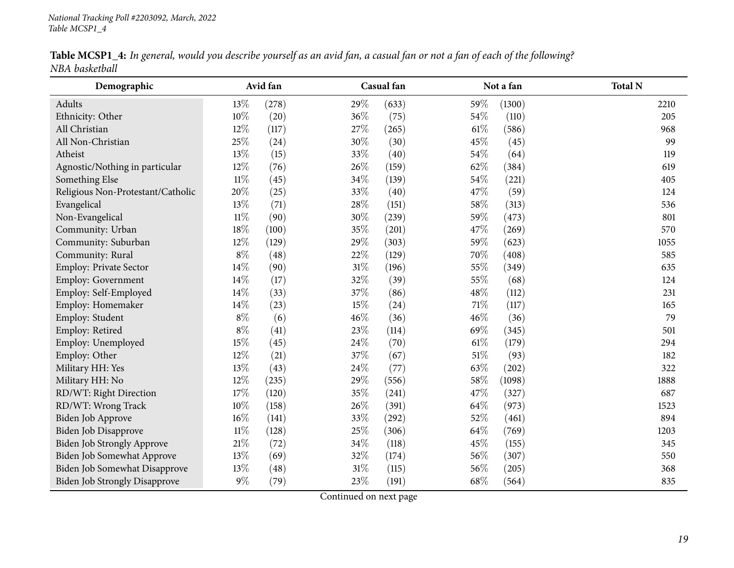| Table MCSP1_4: In general, would you describe yourself as an avid fan, a casual fan or not a fan of each of the following? |  |  |
|----------------------------------------------------------------------------------------------------------------------------|--|--|
| NBA basketball                                                                                                             |  |  |

| Demographic                          |        | Avid fan |        | Casual fan |        | Not a fan | <b>Total N</b> |
|--------------------------------------|--------|----------|--------|------------|--------|-----------|----------------|
| Adults                               | 13%    | (278)    | 29%    | (633)      | 59%    | (1300)    | 2210           |
| Ethnicity: Other                     | 10%    | (20)     | 36%    | (75)       | 54%    | (110)     | 205            |
| All Christian                        | 12%    | (117)    | 27%    | (265)      | $61\%$ | (586)     | 968            |
| All Non-Christian                    | 25%    | (24)     | 30%    | (30)       | 45%    | (45)      | 99             |
| Atheist                              | $13\%$ | (15)     | 33%    | (40)       | 54\%   | (64)      | 119            |
| Agnostic/Nothing in particular       | 12%    | (76)     | 26%    | (159)      | 62%    | (384)     | 619            |
| Something Else                       | $11\%$ | (45)     | 34\%   | (139)      | $54\%$ | (221)     | 405            |
| Religious Non-Protestant/Catholic    | 20%    | (25)     | 33%    | (40)       | 47%    | (59)      | 124            |
| Evangelical                          | 13%    | (71)     | 28%    | (151)      | 58\%   | (313)     | 536            |
| Non-Evangelical                      | $11\%$ | (90)     | 30%    | (239)      | 59%    | (473)     | 801            |
| Community: Urban                     | $18\%$ | (100)    | 35%    | (201)      | 47%    | (269)     | 570            |
| Community: Suburban                  | 12%    | (129)    | 29%    | (303)      | 59%    | (623)     | 1055           |
| Community: Rural                     | $8\%$  | (48)     | $22\%$ | (129)      | 70%    | (408)     | 585            |
| Employ: Private Sector               | 14%    | (90)     | $31\%$ | (196)      | 55%    | (349)     | 635            |
| Employ: Government                   | 14%    | (17)     | 32%    | (39)       | 55%    | (68)      | 124            |
| Employ: Self-Employed                | $14\%$ | (33)     | 37%    | (86)       | 48%    | (112)     | 231            |
| Employ: Homemaker                    | 14%    | (23)     | 15%    | (24)       | $71\%$ | (117)     | 165            |
| Employ: Student                      | $8\%$  | (6)      | 46%    | (36)       | 46%    | (36)      | 79             |
| Employ: Retired                      | $8\%$  | (41)     | 23%    | (114)      | 69%    | (345)     | 501            |
| Employ: Unemployed                   | 15%    | (45)     | 24\%   | (70)       | $61\%$ | (179)     | 294            |
| Employ: Other                        | 12%    | (21)     | 37%    | (67)       | $51\%$ | (93)      | 182            |
| Military HH: Yes                     | 13%    | (43)     | 24\%   | (77)       | 63%    | (202)     | 322            |
| Military HH: No                      | 12%    | (235)    | 29%    | (556)      | 58%    | (1098)    | 1888           |
| RD/WT: Right Direction               | 17%    | (120)    | 35%    | (241)      | 47%    | (327)     | 687            |
| RD/WT: Wrong Track                   | 10%    | (158)    | 26%    | (391)      | 64\%   | (973)     | 1523           |
| Biden Job Approve                    | $16\%$ | (141)    | 33%    | (292)      | 52%    | (461)     | 894            |
| Biden Job Disapprove                 | $11\%$ | (128)    | 25%    | (306)      | 64\%   | (769)     | 1203           |
| <b>Biden Job Strongly Approve</b>    | $21\%$ | (72)     | 34\%   | (118)      | 45%    | (155)     | 345            |
| Biden Job Somewhat Approve           | 13%    | (69)     | 32%    | (174)      | 56%    | (307)     | 550            |
| Biden Job Somewhat Disapprove        | 13%    | (48)     | $31\%$ | (115)      | 56%    | (205)     | 368            |
| <b>Biden Job Strongly Disapprove</b> | $9\%$  | (79)     | 23%    | (191)      | 68%    | (564)     | 835            |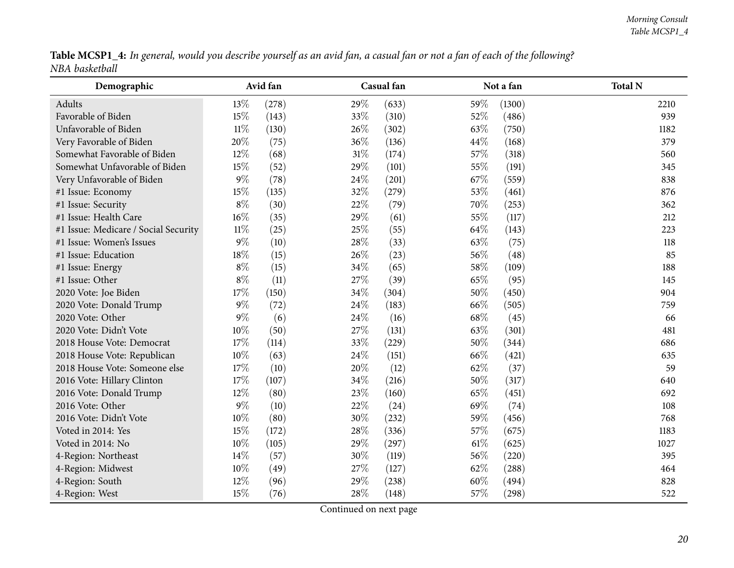|                | Table MCSP1_4: In general, would you describe yourself as an avid fan, a casual fan or not a fan of each of the following? |  |
|----------------|----------------------------------------------------------------------------------------------------------------------------|--|
| NBA basketball |                                                                                                                            |  |

| Demographic                          |        | Avid fan |        | Casual fan |        | Not a fan | <b>Total N</b> |
|--------------------------------------|--------|----------|--------|------------|--------|-----------|----------------|
| Adults                               | 13%    | (278)    | 29%    | (633)      | 59%    | (1300)    | 2210           |
| Favorable of Biden                   | 15%    | (143)    | 33%    | (310)      | 52%    | (486)     | 939            |
| Unfavorable of Biden                 | $11\%$ | (130)    | 26\%   | (302)      | 63\%   | (750)     | 1182           |
| Very Favorable of Biden              | 20%    | (75)     | 36%    | (136)      | 44\%   | (168)     | 379            |
| Somewhat Favorable of Biden          | 12%    | (68)     | $31\%$ | (174)      | 57%    | (318)     | 560            |
| Somewhat Unfavorable of Biden        | 15%    | (52)     | 29%    | (101)      | 55%    | (191)     | 345            |
| Very Unfavorable of Biden            | $9\%$  | (78)     | 24\%   | (201)      | 67\%   | (559)     | 838            |
| #1 Issue: Economy                    | 15%    | (135)    | 32%    | (279)      | 53%    | (461)     | 876            |
| #1 Issue: Security                   | $8\%$  | (30)     | 22%    | (79)       | 70%    | (253)     | 362            |
| #1 Issue: Health Care                | $16\%$ | (35)     | 29%    | (61)       | 55%    | (117)     | 212            |
| #1 Issue: Medicare / Social Security | $11\%$ | (25)     | 25%    | (55)       | 64\%   | (143)     | 223            |
| #1 Issue: Women's Issues             | $9\%$  | (10)     | 28%    | (33)       | 63%    | (75)      | 118            |
| #1 Issue: Education                  | $18\%$ | (15)     | 26%    | (23)       | 56%    | (48)      | 85             |
| #1 Issue: Energy                     | $8\%$  | (15)     | 34%    | (65)       | 58\%   | (109)     | 188            |
| #1 Issue: Other                      | $8\%$  | (11)     | 27%    | (39)       | 65%    | (95)      | 145            |
| 2020 Vote: Joe Biden                 | $17\%$ | (150)    | 34%    | (304)      | 50%    | (450)     | 904            |
| 2020 Vote: Donald Trump              | $9\%$  | (72)     | 24%    | (183)      | 66%    | (505)     | 759            |
| 2020 Vote: Other                     | $9\%$  | (6)      | 24%    | (16)       | 68\%   | (45)      | 66             |
| 2020 Vote: Didn't Vote               | $10\%$ | (50)     | 27%    | (131)      | 63%    | (301)     | 481            |
| 2018 House Vote: Democrat            | 17%    | (114)    | 33%    | (229)      | 50%    | (344)     | 686            |
| 2018 House Vote: Republican          | 10%    | (63)     | 24\%   | (151)      | 66%    | (421)     | 635            |
| 2018 House Vote: Someone else        | 17%    | (10)     | 20%    | (12)       | 62%    | (37)      | 59             |
| 2016 Vote: Hillary Clinton           | 17%    | (107)    | 34%    | (216)      | 50%    | (317)     | 640            |
| 2016 Vote: Donald Trump              | $12\%$ | (80)     | 23%    | (160)      | 65%    | (451)     | 692            |
| 2016 Vote: Other                     | $9\%$  | (10)     | 22%    | (24)       | 69%    | (74)      | 108            |
| 2016 Vote: Didn't Vote               | 10%    | (80)     | $30\%$ | (232)      | 59%    | (456)     | 768            |
| Voted in 2014: Yes                   | 15%    | (172)    | 28%    | (336)      | 57%    | (675)     | 1183           |
| Voted in 2014: No                    | $10\%$ | (105)    | 29%    | (297)      | $61\%$ | (625)     | 1027           |
| 4-Region: Northeast                  | 14\%   | (57)     | 30%    | (119)      | 56%    | (220)     | 395            |
| 4-Region: Midwest                    | 10%    | (49)     | 27%    | (127)      | 62%    | (288)     | 464            |
| 4-Region: South                      | 12%    | (96)     | 29%    | (238)      | 60%    | (494)     | 828            |
| 4-Region: West                       | 15%    | (76)     | 28%    | (148)      | 57%    | (298)     | 522            |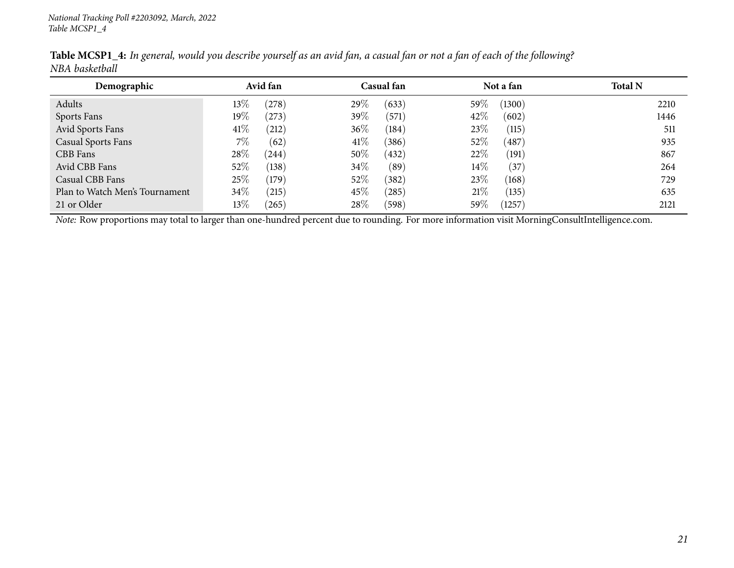| Demographic                    | Avid fan        | Casual fan      | Not a fan                | <b>Total N</b> |
|--------------------------------|-----------------|-----------------|--------------------------|----------------|
| Adults                         | $13\%$<br>(278) | 29%<br>(633)    | 59%<br>(1300)            | 2210           |
| Sports Fans                    | $19\%$<br>(273) | $39\%$<br>(571) | 42\%<br>(602)            | 1446           |
| Avid Sports Fans               | 41\%<br>212)    | $36\%$<br>(184) | 23\%<br>(115)            | 511            |
| <b>Casual Sports Fans</b>      | $7\%$<br>(62)   | $41\%$<br>(386) | 52\%<br>(487)            | 935            |
| CBB Fans                       | 28%<br>(244)    | $50\%$<br>(432) | 22%<br>(191)             | 867            |
| Avid CBB Fans                  | 52%<br>(138)    | $34\%$<br>(89`  | $14\%$<br>$\frac{37}{3}$ | 264            |
| Casual CBB Fans                | 25%<br>(179)    | 52\%<br>(382)   | 23\%<br>(168)            | 729            |
| Plan to Watch Men's Tournament | 34\%<br>(215)   | 45\%<br>(285)   | 21%<br>(135)             | 635            |
| 21 or Older                    | $13\%$<br>(265) | 28\%<br>(598)   | 59\%<br>1257             | 2121           |

Table MCSP1\_4: In general, would you describe yourself as an avid fan, a casual fan or not a fan of each of the following? *NBA basketball*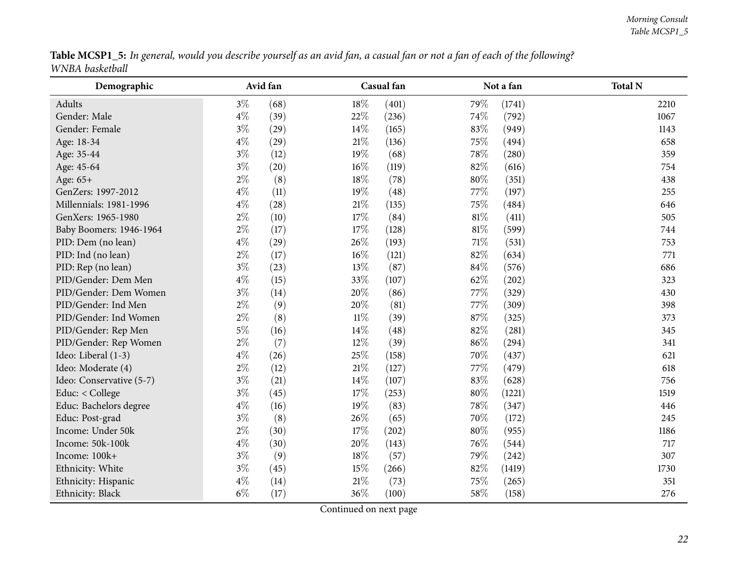|                 | Table MCSP1_5: In general, would you describe yourself as an avid fan, a casual fan or not a fan of each of the following? |  |
|-----------------|----------------------------------------------------------------------------------------------------------------------------|--|
| WNBA basketball |                                                                                                                            |  |

<span id="page-21-0"></span>

| Demographic              |       | Avid fan |        | Casual fan |        | Not a fan | <b>Total N</b> |
|--------------------------|-------|----------|--------|------------|--------|-----------|----------------|
| Adults                   | $3\%$ | (68)     | 18%    | (401)      | 79%    | (1741)    | 2210           |
| Gender: Male             | $4\%$ | (39)     | 22%    | (236)      | 74%    | (792)     | 1067           |
| Gender: Female           | $3\%$ | (29)     | 14%    | (165)      | 83%    | (949)     | 1143           |
| Age: 18-34               | $4\%$ | (29)     | $21\%$ | (136)      | 75%    | (494)     | 658            |
| Age: 35-44               | $3\%$ | (12)     | 19%    | (68)       | 78%    | (280)     | 359            |
| Age: 45-64               | $3\%$ | (20)     | 16%    | (119)      | 82%    | (616)     | 754            |
| Age: 65+                 | $2\%$ | (8)      | 18%    | (78)       | 80%    | (351)     | 438            |
| GenZers: 1997-2012       | $4\%$ | (11)     | 19%    | (48)       | 77%    | (197)     | 255            |
| Millennials: 1981-1996   | $4\%$ | (28)     | $21\%$ | (135)      | 75%    | (484)     | 646            |
| GenXers: 1965-1980       | $2\%$ | (10)     | $17\%$ | (84)       | $81\%$ | (411)     | 505            |
| Baby Boomers: 1946-1964  | 2%    | (17)     | 17%    | (128)      | $81\%$ | (599)     | 744            |
| PID: Dem (no lean)       | $4\%$ | (29)     | 26%    | (193)      | $71\%$ | (531)     | 753            |
| PID: Ind (no lean)       | $2\%$ | (17)     | 16%    | (121)      | 82%    | (634)     | 771            |
| PID: Rep (no lean)       | $3\%$ | (23)     | 13%    | (87)       | 84%    | (576)     | 686            |
| PID/Gender: Dem Men      | $4\%$ | (15)     | 33%    | (107)      | 62%    | (202)     | 323            |
| PID/Gender: Dem Women    | $3\%$ | (14)     | 20%    | (86)       | 77%    | (329)     | 430            |
| PID/Gender: Ind Men      | $2\%$ | (9)      | 20%    | (81)       | 77%    | (309)     | 398            |
| PID/Gender: Ind Women    | $2\%$ | (8)      | $11\%$ | (39)       | 87%    | (325)     | 373            |
| PID/Gender: Rep Men      | $5\%$ | (16)     | 14%    | (48)       | 82%    | (281)     | 345            |
| PID/Gender: Rep Women    | $2\%$ | (7)      | 12%    | (39)       | 86%    | (294)     | 341            |
| Ideo: Liberal (1-3)      | $4\%$ | (26)     | 25%    | (158)      | 70%    | (437)     | 621            |
| Ideo: Moderate (4)       | $2\%$ | (12)     | $21\%$ | (127)      | 77\%   | (479)     | 618            |
| Ideo: Conservative (5-7) | $3\%$ | (21)     | 14%    | (107)      | 83%    | (628)     | 756            |
| Educ: < College          | $3\%$ | (45)     | 17%    | (253)      | 80%    | (1221)    | 1519           |
| Educ: Bachelors degree   | $4\%$ | (16)     | 19%    | (83)       | 78%    | (347)     | 446            |
| Educ: Post-grad          | $3\%$ | (8)      | 26%    | (65)       | 70%    | (172)     | 245            |
| Income: Under 50k        | $2\%$ | (30)     | 17%    | (202)      | 80%    | (955)     | 1186           |
| Income: 50k-100k         | $4\%$ | (30)     | 20%    | (143)      | 76%    | (544)     | 717            |
| Income: 100k+            | $3\%$ | (9)      | 18%    | (57)       | 79%    | (242)     | 307            |
| Ethnicity: White         | $3\%$ | (45)     | 15%    | (266)      | 82%    | (1419)    | 1730           |
| Ethnicity: Hispanic      | $4\%$ | (14)     | $21\%$ | (73)       | 75%    | (265)     | 351            |
| Ethnicity: Black         | $6\%$ | (17)     | 36%    | (100)      | 58%    | (158)     | 276            |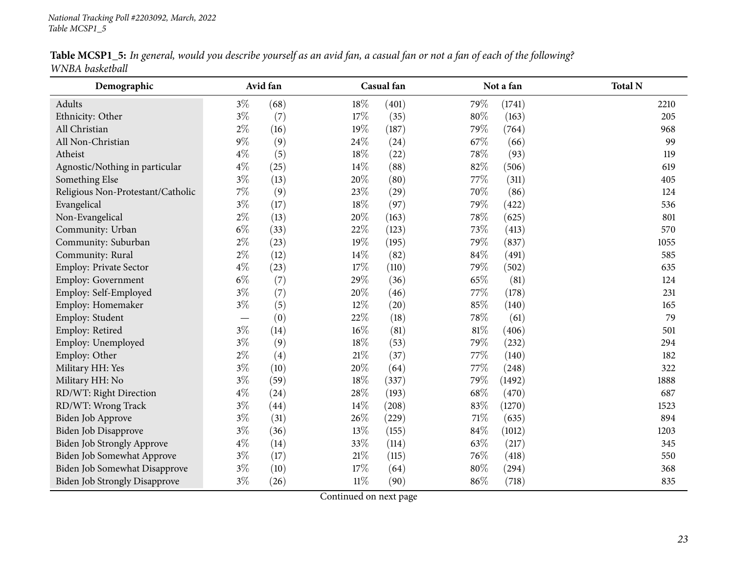| Table MCSP1_5: In general, would you describe yourself as an avid fan, a casual fan or not a fan of each of the following? |  |  |
|----------------------------------------------------------------------------------------------------------------------------|--|--|
| WNBA basketball                                                                                                            |  |  |

| Demographic                          |       | Avid fan |        | Casual fan |        | Not a fan | <b>Total N</b> |
|--------------------------------------|-------|----------|--------|------------|--------|-----------|----------------|
| Adults                               | $3\%$ | (68)     | 18%    | (401)      | 79%    | (1741)    | 2210           |
| Ethnicity: Other                     | $3\%$ | (7)      | 17%    | (35)       | 80%    | (163)     | 205            |
| All Christian                        | $2\%$ | (16)     | 19%    | (187)      | 79%    | (764)     | 968            |
| All Non-Christian                    | $9\%$ | (9)      | 24\%   | (24)       | 67%    | (66)      | 99             |
| Atheist                              | $4\%$ | (5)      | $18\%$ | (22)       | 78\%   | (93)      | 119            |
| Agnostic/Nothing in particular       | $4\%$ | (25)     | 14%    | (88)       | 82%    | (506)     | 619            |
| Something Else                       | $3\%$ | (13)     | 20%    | (80)       | 77\%   | (311)     | 405            |
| Religious Non-Protestant/Catholic    | $7\%$ | (9)      | 23%    | (29)       | 70%    | (86)      | 124            |
| Evangelical                          | $3\%$ | (17)     | 18%    | (97)       | 79%    | (422)     | 536            |
| Non-Evangelical                      | $2\%$ | (13)     | 20%    | (163)      | 78\%   | (625)     | 801            |
| Community: Urban                     | $6\%$ | (33)     | 22%    | (123)      | 73%    | (413)     | 570            |
| Community: Suburban                  | $2\%$ | (23)     | 19%    | (195)      | 79%    | (837)     | 1055           |
| Community: Rural                     | $2\%$ | (12)     | $14\%$ | (82)       | $84\%$ | (491)     | 585            |
| Employ: Private Sector               | $4\%$ | (23)     | 17%    | (110)      | 79%    | (502)     | 635            |
| Employ: Government                   | $6\%$ | (7)      | 29%    | (36)       | 65%    | (81)      | 124            |
| Employ: Self-Employed                | $3\%$ | (7)      | 20%    | (46)       | 77%    | (178)     | 231            |
| Employ: Homemaker                    | $3\%$ | (5)      | 12%    | (20)       | 85%    | (140)     | 165            |
| Employ: Student                      |       | (0)      | 22%    | (18)       | 78%    | (61)      | 79             |
| Employ: Retired                      | $3\%$ | (14)     | 16%    | (81)       | $81\%$ | (406)     | 501            |
| Employ: Unemployed                   | $3\%$ | (9)      | 18%    | (53)       | 79%    | (232)     | 294            |
| Employ: Other                        | $2\%$ | (4)      | $21\%$ | (37)       | 77%    | (140)     | 182            |
| Military HH: Yes                     | $3\%$ | (10)     | 20%    | (64)       | 77%    | (248)     | 322            |
| Military HH: No                      | $3\%$ | (59)     | 18%    | (337)      | 79%    | (1492)    | 1888           |
| RD/WT: Right Direction               | $4\%$ | (24)     | 28%    | (193)      | 68%    | (470)     | 687            |
| RD/WT: Wrong Track                   | $3\%$ | (44)     | 14%    | (208)      | 83%    | (1270)    | 1523           |
| Biden Job Approve                    | $3\%$ | (31)     | 26%    | (229)      | $71\%$ | (635)     | 894            |
| Biden Job Disapprove                 | $3\%$ | (36)     | 13%    | (155)      | $84\%$ | (1012)    | 1203           |
| <b>Biden Job Strongly Approve</b>    | $4\%$ | (14)     | 33%    | (114)      | 63%    | (217)     | 345            |
| Biden Job Somewhat Approve           | $3\%$ | (17)     | $21\%$ | (115)      | 76%    | (418)     | 550            |
| Biden Job Somewhat Disapprove        | $3\%$ | (10)     | 17%    | (64)       | 80%    | (294)     | 368            |
| <b>Biden Job Strongly Disapprove</b> | $3\%$ | (26)     | $11\%$ | (90)       | 86%    | (718)     | 835            |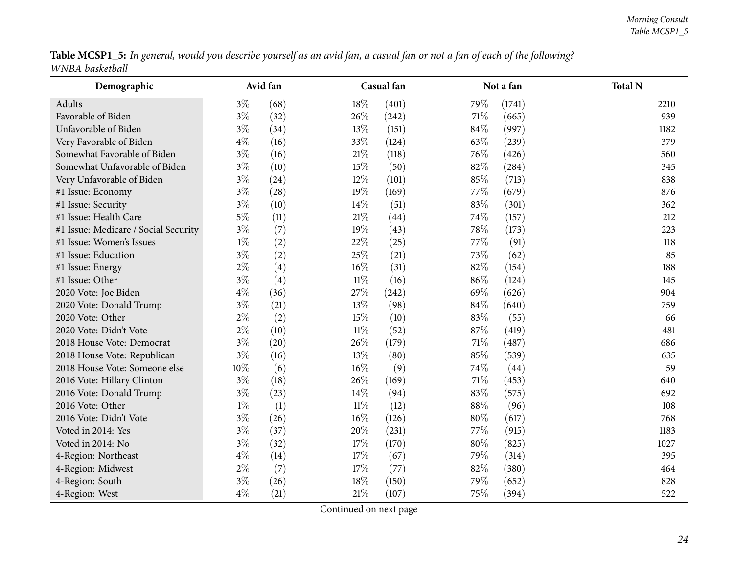|                 | Table MCSP1_5: In general, would you describe yourself as an avid fan, a casual fan or not a fan of each of the following? |  |
|-----------------|----------------------------------------------------------------------------------------------------------------------------|--|
| WNBA basketball |                                                                                                                            |  |

| Demographic                          |       | Avid fan |        | Casual fan |        | Not a fan | <b>Total N</b> |
|--------------------------------------|-------|----------|--------|------------|--------|-----------|----------------|
| Adults                               | $3\%$ | (68)     | 18%    | (401)      | 79%    | (1741)    | 2210           |
| Favorable of Biden                   | $3\%$ | (32)     | 26%    | (242)      | 71\%   | (665)     | 939            |
| Unfavorable of Biden                 | $3\%$ | (34)     | 13%    | (151)      | 84\%   | (997)     | 1182           |
| Very Favorable of Biden              | $4\%$ | (16)     | 33%    | (124)      | 63%    | (239)     | 379            |
| Somewhat Favorable of Biden          | $3\%$ | (16)     | $21\%$ | (118)      | 76%    | (426)     | 560            |
| Somewhat Unfavorable of Biden        | $3\%$ | (10)     | 15%    | (50)       | 82%    | (284)     | 345            |
| Very Unfavorable of Biden            | $3\%$ | (24)     | 12%    | (101)      | 85%    | (713)     | 838            |
| #1 Issue: Economy                    | $3\%$ | (28)     | 19%    | (169)      | 77%    | (679)     | 876            |
| #1 Issue: Security                   | $3\%$ | (10)     | 14%    | (51)       | 83%    | (301)     | 362            |
| #1 Issue: Health Care                | $5\%$ | (11)     | $21\%$ | (44)       | 74%    | (157)     | 212            |
| #1 Issue: Medicare / Social Security | $3\%$ | (7)      | 19%    | (43)       | 78\%   | (173)     | 223            |
| #1 Issue: Women's Issues             | $1\%$ | (2)      | 22%    | (25)       | 77%    | (91)      | 118            |
| #1 Issue: Education                  | $3\%$ | (2)      | 25%    | (21)       | 73%    | (62)      | 85             |
| #1 Issue: Energy                     | $2\%$ | (4)      | 16%    | (31)       | 82%    | (154)     | 188            |
| #1 Issue: Other                      | $3\%$ | (4)      | $11\%$ | (16)       | $86\%$ | (124)     | 145            |
| 2020 Vote: Joe Biden                 | $4\%$ | (36)     | 27%    | (242)      | 69%    | (626)     | 904            |
| 2020 Vote: Donald Trump              | $3\%$ | (21)     | 13%    | (98)       | $84\%$ | (640)     | 759            |
| 2020 Vote: Other                     | $2\%$ | (2)      | 15%    | (10)       | 83%    | (55)      | 66             |
| 2020 Vote: Didn't Vote               | $2\%$ | (10)     | $11\%$ | (52)       | 87%    | (419)     | 481            |
| 2018 House Vote: Democrat            | $3\%$ | (20)     | 26%    | (179)      | $71\%$ | (487)     | 686            |
| 2018 House Vote: Republican          | $3\%$ | (16)     | 13%    | (80)       | 85%    | (539)     | 635            |
| 2018 House Vote: Someone else        | 10%   | (6)      | 16%    | (9)        | 74%    | (44)      | 59             |
| 2016 Vote: Hillary Clinton           | $3\%$ | (18)     | 26%    | (169)      | 71\%   | (453)     | 640            |
| 2016 Vote: Donald Trump              | $3\%$ | (23)     | 14%    | (94)       | 83%    | (575)     | 692            |
| 2016 Vote: Other                     | $1\%$ | (1)      | $11\%$ | (12)       | 88\%   | (96)      | 108            |
| 2016 Vote: Didn't Vote               | $3\%$ | (26)     | $16\%$ | (126)      | 80%    | (617)     | 768            |
| Voted in 2014: Yes                   | $3\%$ | (37)     | 20%    | (231)      | 77%    | (915)     | 1183           |
| Voted in 2014: No                    | $3\%$ | (32)     | 17%    | (170)      | 80%    | (825)     | 1027           |
| 4-Region: Northeast                  | $4\%$ | (14)     | 17%    | (67)       | 79%    | (314)     | 395            |
| 4-Region: Midwest                    | $2\%$ | (7)      | 17%    | (77)       | 82%    | (380)     | 464            |
| 4-Region: South                      | $3\%$ | (26)     | 18%    | (150)      | 79%    | (652)     | 828            |
| 4-Region: West                       | $4\%$ | (21)     | 21%    | (107)      | 75%    | (394)     | 522            |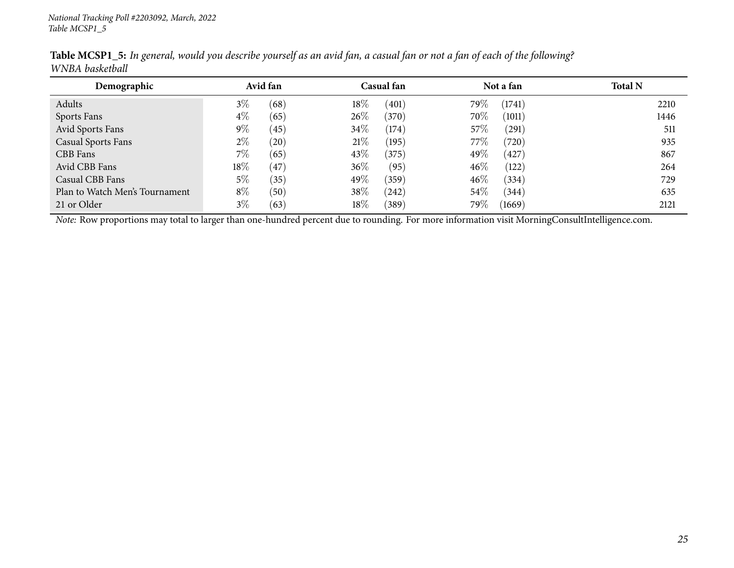| Demographic                    | Avid fan |      |        | Casual fan |        | Not a fan            | <b>Total N</b> |
|--------------------------------|----------|------|--------|------------|--------|----------------------|----------------|
| Adults                         | $3\%$    | (68) | 18%    | (401)      | 79%    | (1741)               | 2210           |
| Sports Fans                    | $4\%$    | (65) | 26\%   | (370)      | 70%    | (1011)               | 1446           |
| Avid Sports Fans               | $9\%$    | (45) | 34%    | (174)      | 57\%   | (291)                | 511            |
| <b>Casual Sports Fans</b>      | $2\%$    | (20) | 21%    | (195)      | $77\%$ | $^{\prime}720^\circ$ | 935            |
| CBB Fans                       | 7%       | (65) | 43\%   | (375)      | 49%    | 427                  | 867            |
| Avid CBB Fans                  | 18%      | 47   | $36\%$ | (95)       | $46\%$ | (122)                | 264            |
| Casual CBB Fans                | $5\%$    | (35) | 49\%   | (359)      | $46\%$ | (334)                | 729            |
| Plan to Watch Men's Tournament | $8\%$    | (50) | 38%    | (242)      | 54\%   | (344)                | 635            |
| 21 or Older                    | $3\%$    | (63) | 18%    | (389)      | 79%    | (1669)               | 2121           |

Table MCSP1\_5: In general, would you describe yourself as an avid fan, a casual fan or not a fan of each of the following? *WNBA basketball*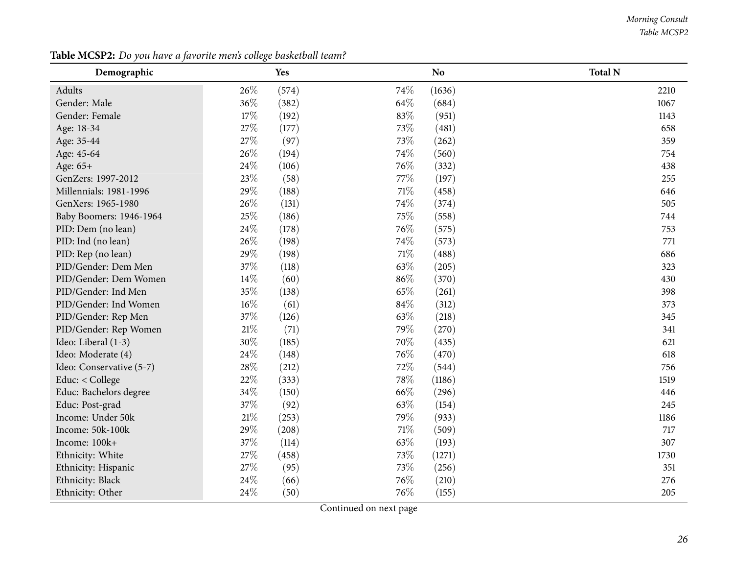#### *Morning Consult Table MCSP2*

<span id="page-25-0"></span>

| Demographic              |        | <b>Yes</b> |        | N <sub>o</sub> | <b>Total N</b> |
|--------------------------|--------|------------|--------|----------------|----------------|
| Adults                   | 26%    | (574)      | 74\%   | (1636)         | 2210           |
| Gender: Male             | $36\%$ | (382)      | 64\%   | (684)          | 1067           |
| Gender: Female           | 17%    | (192)      | 83%    | (951)          | 1143           |
| Age: 18-34               | 27%    | (177)      | 73\%   | (481)          | 658            |
| Age: 35-44               | 27%    | (97)       | 73%    | (262)          | 359            |
| Age: 45-64               | 26%    | (194)      | 74%    | (560)          | 754            |
| Age: 65+                 | 24%    | (106)      | 76%    | (332)          | 438            |
| GenZers: 1997-2012       | 23%    | (58)       | 77\%   | (197)          | 255            |
| Millennials: 1981-1996   | 29%    | (188)      | $71\%$ | (458)          | 646            |
| GenXers: 1965-1980       | 26%    | (131)      | 74%    | (374)          | 505            |
| Baby Boomers: 1946-1964  | 25%    | (186)      | 75%    | (558)          | 744            |
| PID: Dem (no lean)       | 24%    | (178)      | 76%    | (575)          | 753            |
| PID: Ind (no lean)       | 26%    | (198)      | 74\%   | (573)          | 771            |
| PID: Rep (no lean)       | 29%    | (198)      | $71\%$ | (488)          | 686            |
| PID/Gender: Dem Men      | 37%    | (118)      | 63%    | (205)          | 323            |
| PID/Gender: Dem Women    | 14%    | (60)       | 86%    | (370)          | 430            |
| PID/Gender: Ind Men      | 35%    | (138)      | 65%    | (261)          | 398            |
| PID/Gender: Ind Women    | $16\%$ | (61)       | 84\%   | (312)          | 373            |
| PID/Gender: Rep Men      | 37%    | (126)      | 63%    | (218)          | 345            |
| PID/Gender: Rep Women    | $21\%$ | (71)       | 79%    | (270)          | 341            |
| Ideo: Liberal (1-3)      | 30%    | (185)      | 70%    | (435)          | 621            |
| Ideo: Moderate (4)       | 24%    | (148)      | 76%    | (470)          | 618            |
| Ideo: Conservative (5-7) | 28%    | (212)      | 72%    | (544)          | 756            |
| Educ: < College          | 22%    | (333)      | 78%    | (1186)         | 1519           |
| Educ: Bachelors degree   | 34%    | (150)      | 66\%   | (296)          | 446            |
| Educ: Post-grad          | 37\%   | (92)       | 63%    | (154)          | 245            |
| Income: Under 50k        | 21%    | (253)      | 79%    | (933)          | 1186           |
| Income: 50k-100k         | 29%    | (208)      | 71\%   | (509)          | 717            |
| Income: 100k+            | 37%    | (114)      | 63\%   | (193)          | 307            |
| Ethnicity: White         | 27%    | (458)      | 73%    | (1271)         | 1730           |
| Ethnicity: Hispanic      | 27%    | (95)       | 73%    | (256)          | 351            |
| Ethnicity: Black         | 24%    | (66)       | 76%    | (210)          | 276            |
| Ethnicity: Other         | 24%    | (50)       | 76\%   | (155)          | 205            |

**Table MCSP2:** *Do you have <sup>a</sup> favorite men's college basketball team?*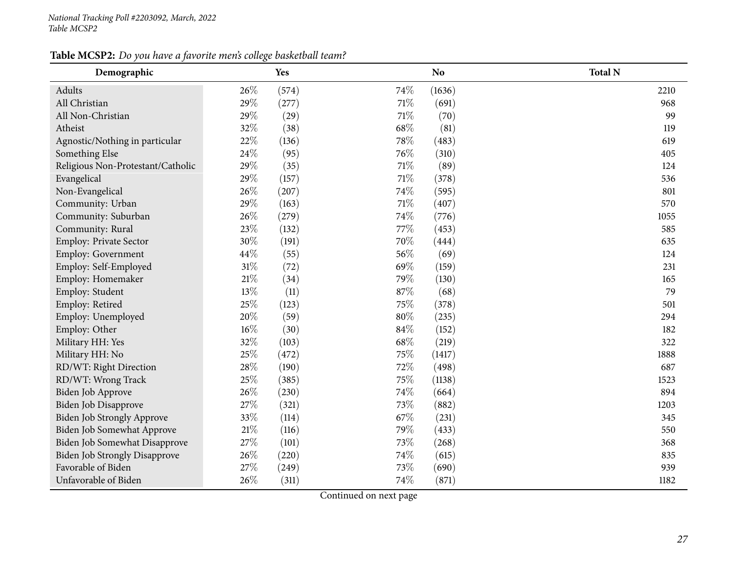### **Table MCSP2:** *Do you have <sup>a</sup> favorite men's college basketball team?*

| Demographic                          |        | <b>Yes</b> |        | N <sub>o</sub> | <b>Total N</b> |
|--------------------------------------|--------|------------|--------|----------------|----------------|
| Adults                               | 26%    | (574)      | 74%    | (1636)         | 2210           |
| All Christian                        | 29%    | (277)      | 71%    | (691)          | 968            |
| All Non-Christian                    | 29%    | (29)       | 71%    | (70)           | 99             |
| Atheist                              | 32%    | (38)       | 68\%   | (81)           | 119            |
| Agnostic/Nothing in particular       | 22%    | (136)      | 78%    | (483)          | 619            |
| Something Else                       | 24\%   | (95)       | 76%    | (310)          | 405            |
| Religious Non-Protestant/Catholic    | 29%    | (35)       | $71\%$ | (89)           | 124            |
| Evangelical                          | 29%    | (157)      | $71\%$ | (378)          | 536            |
| Non-Evangelical                      | 26%    | (207)      | 74%    | (595)          | 801            |
| Community: Urban                     | 29%    | (163)      | $71\%$ | (407)          | 570            |
| Community: Suburban                  | 26%    | (279)      | 74%    | (776)          | 1055           |
| Community: Rural                     | 23%    | (132)      | 77%    | (453)          | 585            |
| Employ: Private Sector               | $30\%$ | (191)      | 70%    | (444)          | 635            |
| Employ: Government                   | 44\%   | (55)       | 56%    | (69)           | 124            |
| Employ: Self-Employed                | $31\%$ | (72)       | 69%    | (159)          | 231            |
| Employ: Homemaker                    | $21\%$ | (34)       | 79%    | (130)          | 165            |
| Employ: Student                      | 13%    | (11)       | 87%    | (68)           | 79             |
| Employ: Retired                      | 25%    | (123)      | 75%    | (378)          | 501            |
| Employ: Unemployed                   | 20%    | (59)       | $80\%$ | (235)          | 294            |
| Employ: Other                        | $16\%$ | (30)       | 84%    | (152)          | 182            |
| Military HH: Yes                     | 32%    | (103)      | 68\%   | (219)          | 322            |
| Military HH: No                      | 25%    | (472)      | 75%    | (1417)         | 1888           |
| RD/WT: Right Direction               | 28\%   | (190)      | 72%    | (498)          | 687            |
| RD/WT: Wrong Track                   | 25%    | (385)      | 75%    | (1138)         | 1523           |
| Biden Job Approve                    | 26%    | (230)      | 74%    | (664)          | 894            |
| Biden Job Disapprove                 | 27%    | (321)      | 73%    | (882)          | 1203           |
| <b>Biden Job Strongly Approve</b>    | 33%    | (114)      | 67\%   | (231)          | 345            |
| Biden Job Somewhat Approve           | $21\%$ | (116)      | 79%    | (433)          | 550            |
| Biden Job Somewhat Disapprove        | 27%    | (101)      | 73%    | (268)          | 368            |
| <b>Biden Job Strongly Disapprove</b> | 26%    | (220)      | 74%    | (615)          | 835            |
| Favorable of Biden                   | 27%    | (249)      | 73%    | (690)          | 939            |
| Unfavorable of Biden                 | 26%    | (311)      | 74%    | (871)          | 1182           |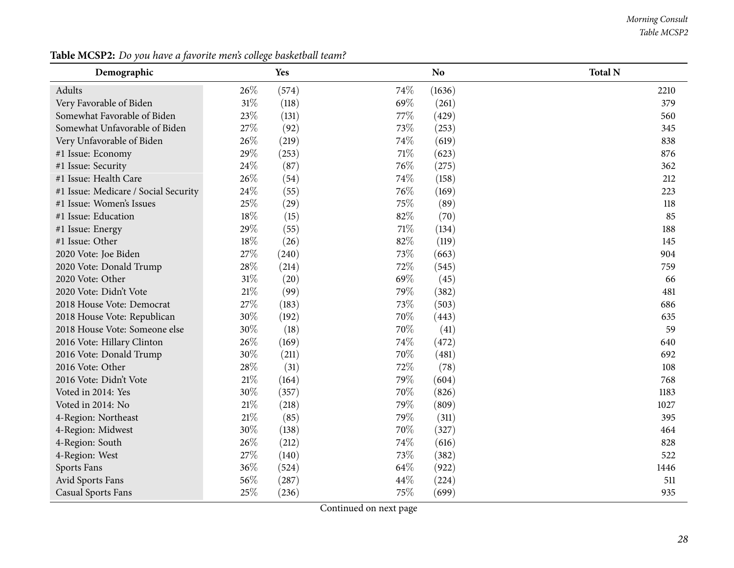#### *Morning Consult Table MCSP2*

| Demographic                          |        | Yes   |      | <b>No</b> | <b>Total N</b> |
|--------------------------------------|--------|-------|------|-----------|----------------|
| Adults                               | 26\%   | (574) | 74%  | (1636)    | 2210           |
| Very Favorable of Biden              | $31\%$ | (118) | 69%  | (261)     | 379            |
| Somewhat Favorable of Biden          | 23\%   | (131) | 77%  | (429)     | 560            |
| Somewhat Unfavorable of Biden        | 27%    | (92)  | 73%  | (253)     | 345            |
| Very Unfavorable of Biden            | 26%    | (219) | 74%  | (619)     | 838            |
| #1 Issue: Economy                    | 29%    | (253) | 71%  | (623)     | 876            |
| #1 Issue: Security                   | 24\%   | (87)  | 76\% | (275)     | 362            |
| #1 Issue: Health Care                | 26%    | (54)  | 74\% | (158)     | 212            |
| #1 Issue: Medicare / Social Security | 24\%   | (55)  | 76%  | (169)     | 223            |
| #1 Issue: Women's Issues             | 25%    | (29)  | 75%  | (89)      | 118            |
| #1 Issue: Education                  | 18%    | (15)  | 82%  | (70)      | 85             |
| #1 Issue: Energy                     | 29%    | (55)  | 71%  | (134)     | 188            |
| #1 Issue: Other                      | 18%    | (26)  | 82%  | (119)     | 145            |
| 2020 Vote: Joe Biden                 | 27\%   | (240) | 73%  | (663)     | 904            |
| 2020 Vote: Donald Trump              | 28\%   | (214) | 72%  | (545)     | 759            |
| 2020 Vote: Other                     | $31\%$ | (20)  | 69%  | (45)      | 66             |
| 2020 Vote: Didn't Vote               | $21\%$ | (99)  | 79%  | (382)     | 481            |
| 2018 House Vote: Democrat            | 27%    | (183) | 73%  | (503)     | 686            |
| 2018 House Vote: Republican          | 30%    | (192) | 70%  | (443)     | 635            |
| 2018 House Vote: Someone else        | 30%    | (18)  | 70%  | (41)      | 59             |
| 2016 Vote: Hillary Clinton           | 26%    | (169) | 74\% | (472)     | 640            |
| 2016 Vote: Donald Trump              | 30%    | (211) | 70%  | (481)     | 692            |
| 2016 Vote: Other                     | 28\%   | (31)  | 72%  | (78)      | 108            |
| 2016 Vote: Didn't Vote               | $21\%$ | (164) | 79%  | (604)     | 768            |
| Voted in 2014: Yes                   | 30%    | (357) | 70%  | (826)     | 1183           |
| Voted in 2014: No                    | $21\%$ | (218) | 79%  | (809)     | 1027           |
| 4-Region: Northeast                  | $21\%$ | (85)  | 79%  | (311)     | 395            |
| 4-Region: Midwest                    | 30%    | (138) | 70%  | (327)     | 464            |
| 4-Region: South                      | 26%    | (212) | 74\% | (616)     | 828            |
| 4-Region: West                       | 27%    | (140) | 73%  | (382)     | 522            |
| Sports Fans                          | 36%    | (524) | 64\% | (922)     | 1446           |
| Avid Sports Fans                     | $56\%$ | (287) | 44%  | (224)     | 511            |
| <b>Casual Sports Fans</b>            | 25%    | (236) | 75%  | (699)     | 935            |

**Table MCSP2:** *Do you have <sup>a</sup> favorite men's college basketball team?*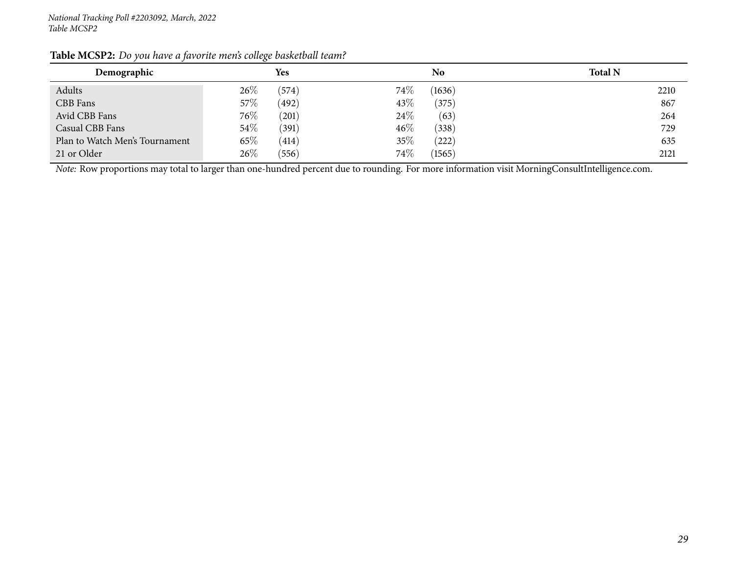| Demographic                    | <b>Yes</b>      | N <sub>0</sub>  | <b>Total N</b> |
|--------------------------------|-----------------|-----------------|----------------|
| Adults                         | 26%<br>(574)    | 74\%<br>(1636)  | 2210           |
| CBB Fans                       | 57\%<br>(492)   | 43\%<br>(375)   | 867            |
| Avid CBB Fans                  | $76\%$<br>(201) | 24\%<br>(63)    | 264            |
| Casual CBB Fans                | $54\%$<br>(391) | $46\%$<br>(338) | 729            |
| Plan to Watch Men's Tournament | 65\%<br>(414)   | 35%<br>222)     | 635            |
| 21 or Older                    | 26%<br>(556)    | 74\%<br>(1565)  | 2121           |

### **Table MCSP2:** *Do you have <sup>a</sup> favorite men's college basketball team?*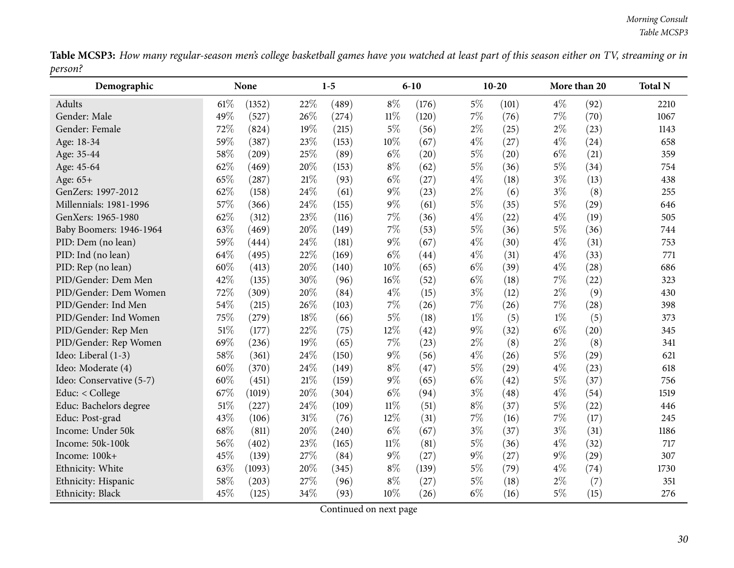Table MCSP3: How many regular-season men's college basketball games have you watched at least part of this season either on TV, streaming or in *person?*  $\overline{\phantom{0}}$ 

<span id="page-29-0"></span>

| Demographic              |        | None   |        | $1 - 5$ |        | $6 - 10$ |       | $10 - 20$ |       | More than 20 | <b>Total N</b> |
|--------------------------|--------|--------|--------|---------|--------|----------|-------|-----------|-------|--------------|----------------|
| Adults                   | 61\%   | (1352) | 22%    | (489)   | $8\%$  | (176)    | $5\%$ | (101)     | $4\%$ | (92)         | 2210           |
| Gender: Male             | 49%    | (527)  | 26%    | (274)   | $11\%$ | (120)    | 7%    | (76)      | $7\%$ | (70)         | 1067           |
| Gender: Female           | 72%    | (824)  | 19%    | (215)   | $5\%$  | (56)     | $2\%$ | (25)      | $2\%$ | (23)         | 1143           |
| Age: 18-34               | 59%    | (387)  | 23%    | (153)   | 10%    | (67)     | $4\%$ | (27)      | $4\%$ | (24)         | 658            |
| Age: 35-44               | 58%    | (209)  | 25%    | (89)    | $6\%$  | (20)     | $5\%$ | (20)      | $6\%$ | (21)         | 359            |
| Age: 45-64               | 62%    | (469)  | 20%    | (153)   | $8\%$  | (62)     | $5\%$ | (36)      | $5\%$ | (34)         | 754            |
| Age: 65+                 | 65%    | (287)  | 21\%   | (93)    | $6\%$  | (27)     | $4\%$ | (18)      | $3\%$ | (13)         | 438            |
| GenZers: 1997-2012       | 62%    | (158)  | 24%    | (61)    | $9\%$  | (23)     | $2\%$ | (6)       | $3\%$ | (8)          | 255            |
| Millennials: 1981-1996   | 57%    | (366)  | 24\%   | (155)   | $9\%$  | (61)     | $5\%$ | (35)      | $5\%$ | (29)         | 646            |
| GenXers: 1965-1980       | 62%    | (312)  | 23%    | (116)   | $7\%$  | (36)     | $4\%$ | (22)      | $4\%$ | (19)         | 505            |
| Baby Boomers: 1946-1964  | 63%    | (469)  | 20%    | (149)   | 7%     | (53)     | $5\%$ | (36)      | $5\%$ | (36)         | 744            |
| PID: Dem (no lean)       | 59%    | (444)  | 24%    | (181)   | $9\%$  | (67)     | $4\%$ | (30)      | $4\%$ | (31)         | 753            |
| PID: Ind (no lean)       | 64%    | (495)  | 22%    | (169)   | $6\%$  | (44)     | $4\%$ | (31)      | $4\%$ | (33)         | 771            |
| PID: Rep (no lean)       | 60%    | (413)  | 20%    | (140)   | 10%    | (65)     | $6\%$ | (39)      | $4\%$ | (28)         | 686            |
| PID/Gender: Dem Men      | 42%    | (135)  | 30%    | (96)    | 16%    | (52)     | $6\%$ | (18)      | $7\%$ | (22)         | 323            |
| PID/Gender: Dem Women    | 72%    | (309)  | 20%    | (84)    | $4\%$  | (15)     | $3\%$ | (12)      | $2\%$ | (9)          | 430            |
| PID/Gender: Ind Men      | 54%    | (215)  | 26%    | (103)   | 7%     | (26)     | 7%    | (26)      | 7%    | (28)         | 398            |
| PID/Gender: Ind Women    | 75%    | (279)  | 18%    | (66)    | $5\%$  | (18)     | $1\%$ | (5)       | $1\%$ | (5)          | 373            |
| PID/Gender: Rep Men      | 51\%   | (177)  | 22%    | (75)    | 12%    | (42)     | $9\%$ | (32)      | $6\%$ | (20)         | 345            |
| PID/Gender: Rep Women    | 69%    | (236)  | 19%    | (65)    | 7%     | (23)     | $2\%$ | (8)       | $2\%$ | (8)          | 341            |
| Ideo: Liberal (1-3)      | 58%    | (361)  | 24%    | (150)   | $9\%$  | (56)     | $4\%$ | (26)      | $5\%$ | (29)         | 621            |
| Ideo: Moderate (4)       | 60%    | (370)  | 24%    | (149)   | $8\%$  | (47)     | $5\%$ | (29)      | $4\%$ | (23)         | 618            |
| Ideo: Conservative (5-7) | 60%    | (451)  | 21\%   | (159)   | $9\%$  | (65)     | $6\%$ | (42)      | $5\%$ | (37)         | 756            |
| Educ: < College          | 67%    | (1019) | 20%    | (304)   | $6\%$  | (94)     | $3\%$ | (48)      | $4\%$ | (54)         | 1519           |
| Educ: Bachelors degree   | 51%    | (227)  | 24\%   | (109)   | $11\%$ | (51)     | $8\%$ | (37)      | $5\%$ | (22)         | 446            |
| Educ: Post-grad          | 43%    | (106)  | $31\%$ | (76)    | 12%    | (31)     | $7\%$ | (16)      | $7\%$ | (17)         | 245            |
| Income: Under 50k        | $68\%$ | (811)  | 20%    | (240)   | $6\%$  | (67)     | $3\%$ | (37)      | $3\%$ | (31)         | 1186           |
| Income: 50k-100k         | 56%    | (402)  | 23%    | (165)   | $11\%$ | (81)     | $5\%$ | (36)      | $4\%$ | (32)         | 717            |
| Income: 100k+            | 45%    | (139)  | 27%    | (84)    | $9\%$  | (27)     | $9\%$ | (27)      | $9\%$ | (29)         | 307            |
| Ethnicity: White         | 63%    | (1093) | 20%    | (345)   | $8\%$  | (139)    | $5\%$ | (79)      | $4\%$ | (74)         | 1730           |
| Ethnicity: Hispanic      | 58%    | (203)  | 27%    | (96)    | $8\%$  | (27)     | $5\%$ | (18)      | $2\%$ | (7)          | 351            |
| Ethnicity: Black         | 45%    | (125)  | 34%    | (93)    | 10%    | (26)     | $6\%$ | (16)      | $5\%$ | (15)         | 276            |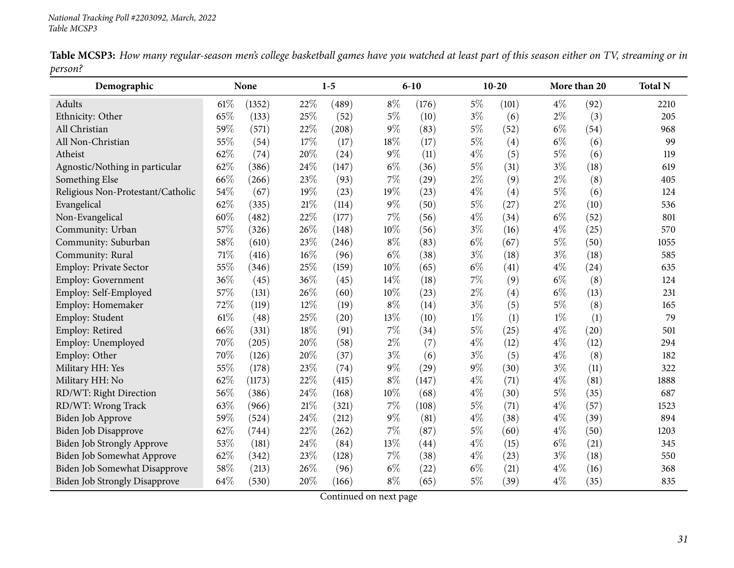|         |  |  |  |  | Table MCSP3: How many regular-season men's college basketball games have you watched at least part of this season either on TV, streaming or in |
|---------|--|--|--|--|-------------------------------------------------------------------------------------------------------------------------------------------------|
| person? |  |  |  |  |                                                                                                                                                 |

| Demographic                          |     | None   |        | $1-5$ |       | $6 - 10$ |       | $10 - 20$ |       | More than 20 | <b>Total N</b> |
|--------------------------------------|-----|--------|--------|-------|-------|----------|-------|-----------|-------|--------------|----------------|
| Adults                               | 61% | (1352) | 22%    | (489) | $8\%$ | (176)    | $5\%$ | (101)     | $4\%$ | (92)         | 2210           |
| Ethnicity: Other                     | 65% | (133)  | 25%    | (52)  | $5\%$ | (10)     | $3\%$ | (6)       | $2\%$ | (3)          | 205            |
| All Christian                        | 59% | (571)  | 22%    | (208) | $9\%$ | (83)     | $5\%$ | (52)      | $6\%$ | (54)         | 968            |
| All Non-Christian                    | 55% | (54)   | 17%    | (17)  | 18%   | (17)     | $5\%$ | (4)       | $6\%$ | (6)          | 99             |
| Atheist                              | 62% | (74)   | 20%    | (24)  | $9\%$ | (11)     | $4\%$ | (5)       | $5\%$ | (6)          | 119            |
| Agnostic/Nothing in particular       | 62% | (386)  | 24%    | (147) | $6\%$ | (36)     | $5\%$ | (31)      | $3\%$ | (18)         | 619            |
| Something Else                       | 66% | (266)  | 23%    | (93)  | 7%    | (29)     | $2\%$ | (9)       | $2\%$ | (8)          | 405            |
| Religious Non-Protestant/Catholic    | 54% | (67)   | 19%    | (23)  | 19%   | (23)     | $4\%$ | (4)       | $5\%$ | (6)          | 124            |
| Evangelical                          | 62% | (335)  | $21\%$ | (114) | $9\%$ | (50)     | $5\%$ | (27)      | $2\%$ | (10)         | 536            |
| Non-Evangelical                      | 60% | (482)  | 22%    | (177) | 7%    | (56)     | $4\%$ | (34)      | $6\%$ | (52)         | 801            |
| Community: Urban                     | 57% | (326)  | 26%    | (148) | 10%   | (56)     | $3\%$ | (16)      | $4\%$ | (25)         | 570            |
| Community: Suburban                  | 58% | (610)  | 23%    | (246) | $8\%$ | (83)     | $6\%$ | (67)      | 5%    | (50)         | 1055           |
| Community: Rural                     | 71% | (416)  | 16%    | (96)  | $6\%$ | (38)     | $3\%$ | (18)      | $3\%$ | (18)         | 585            |
| Employ: Private Sector               | 55% | (346)  | 25%    | (159) | 10%   | (65)     | $6\%$ | (41)      | $4\%$ | (24)         | 635            |
| Employ: Government                   | 36% | (45)   | 36%    | (45)  | 14%   | (18)     | 7%    | (9)       | $6\%$ | (8)          | 124            |
| Employ: Self-Employed                | 57% | (131)  | 26%    | (60)  | 10%   | (23)     | $2\%$ | (4)       | $6\%$ | (13)         | 231            |
| Employ: Homemaker                    | 72% | (119)  | 12%    | (19)  | $8\%$ | (14)     | $3\%$ | (5)       | $5\%$ | (8)          | 165            |
| Employ: Student                      | 61% | (48)   | 25%    | (20)  | 13%   | (10)     | $1\%$ | (1)       | $1\%$ | (1)          | 79             |
| Employ: Retired                      | 66% | (331)  | 18%    | (91)  | 7%    | (34)     | 5%    | (25)      | $4\%$ | (20)         | 501            |
| Employ: Unemployed                   | 70% | (205)  | 20%    | (58)  | $2\%$ | (7)      | $4\%$ | (12)      | $4\%$ | (12)         | 294            |
| Employ: Other                        | 70% | (126)  | 20%    | (37)  | $3\%$ | (6)      | $3\%$ | (5)       | $4\%$ | (8)          | 182            |
| Military HH: Yes                     | 55% | (178)  | 23%    | (74)  | $9\%$ | (29)     | $9\%$ | (30)      | $3\%$ | (11)         | 322            |
| Military HH: No                      | 62% | (1173) | 22%    | (415) | $8\%$ | (147)    | $4\%$ | (71)      | $4\%$ | (81)         | 1888           |
| RD/WT: Right Direction               | 56% | (386)  | 24%    | (168) | 10%   | (68)     | $4\%$ | (30)      | $5\%$ | (35)         | 687            |
| RD/WT: Wrong Track                   | 63% | (966)  | $21\%$ | (321) | 7%    | (108)    | $5\%$ | (71)      | $4\%$ | (57)         | 1523           |
| Biden Job Approve                    | 59% | (524)  | 24%    | (212) | 9%    | (81)     | $4\%$ | (38)      | $4\%$ | (39)         | 894            |
| <b>Biden Job Disapprove</b>          | 62% | (744)  | 22%    | (262) | 7%    | (87)     | $5\%$ | (60)      | $4\%$ | (50)         | 1203           |
| Biden Job Strongly Approve           | 53% | (181)  | 24%    | (84)  | 13%   | (44)     | $4\%$ | (15)      | $6\%$ | (21)         | 345            |
| Biden Job Somewhat Approve           | 62% | (342)  | 23%    | (128) | 7%    | (38)     | $4\%$ | (23)      | $3\%$ | (18)         | 550            |
| Biden Job Somewhat Disapprove        | 58% | (213)  | 26%    | (96)  | $6\%$ | (22)     | $6\%$ | (21)      | $4\%$ | (16)         | 368            |
| <b>Biden Job Strongly Disapprove</b> | 64% | (530)  | 20%    | (166) | $8\%$ | (65)     | $5\%$ | (39)      | $4\%$ | (35)         | 835            |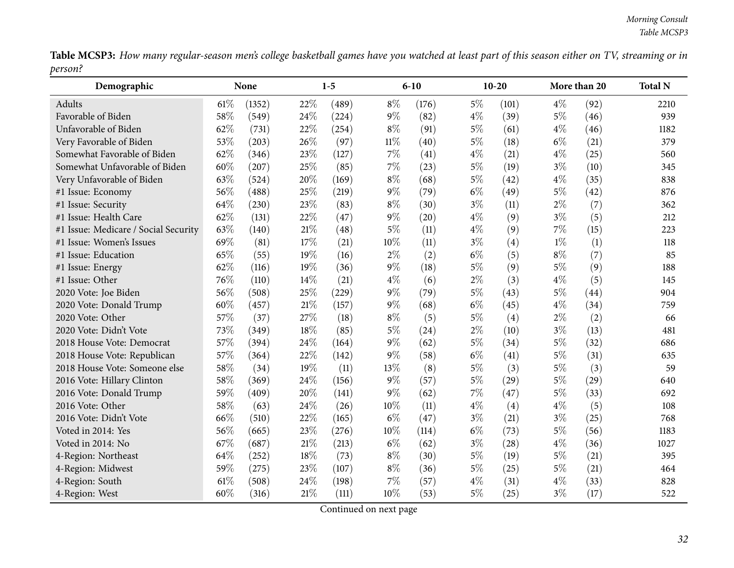Table MCSP3: How many regular-season men's college basketball games have you watched at least part of this season either on TV, streaming or in *person?*  $\overline{\phantom{0}}$ 

| Demographic                          |      | None   |        | $1-5$ |        | $6 - 10$ |       | $10-20$ |       | More than 20 | <b>Total N</b> |
|--------------------------------------|------|--------|--------|-------|--------|----------|-------|---------|-------|--------------|----------------|
| Adults                               | 61%  | (1352) | 22%    | (489) | $8\%$  | (176)    | $5\%$ | (101)   | $4\%$ | (92)         | 2210           |
| Favorable of Biden                   | 58%  | (549)  | 24%    | (224) | $9\%$  | (82)     | $4\%$ | (39)    | $5\%$ | (46)         | 939            |
| Unfavorable of Biden                 | 62%  | (731)  | 22%    | (254) | $8\%$  | (91)     | $5\%$ | (61)    | $4\%$ | (46)         | 1182           |
| Very Favorable of Biden              | 53%  | (203)  | 26%    | (97)  | $11\%$ | (40)     | $5\%$ | (18)    | $6\%$ | (21)         | 379            |
| Somewhat Favorable of Biden          | 62%  | (346)  | 23%    | (127) | 7%     | (41)     | $4\%$ | (21)    | $4\%$ | (25)         | 560            |
| Somewhat Unfavorable of Biden        | 60%  | (207)  | 25%    | (85)  | 7%     | (23)     | $5\%$ | (19)    | $3\%$ | (10)         | 345            |
| Very Unfavorable of Biden            | 63%  | (524)  | 20%    | (169) | $8\%$  | (68)     | $5\%$ | (42)    | $4\%$ | (35)         | 838            |
| #1 Issue: Economy                    | 56%  | (488)  | $25\%$ | (219) | $9\%$  | (79)     | $6\%$ | (49)    | $5\%$ | (42)         | 876            |
| #1 Issue: Security                   | 64%  | (230)  | 23%    | (83)  | $8\%$  | (30)     | $3\%$ | (11)    | $2\%$ | (7)          | 362            |
| #1 Issue: Health Care                | 62%  | (131)  | 22%    | (47)  | 9%     | (20)     | $4\%$ | (9)     | $3\%$ | (5)          | 212            |
| #1 Issue: Medicare / Social Security | 63%  | (140)  | 21%    | (48)  | $5\%$  | (11)     | $4\%$ | (9)     | $7\%$ | (15)         | 223            |
| #1 Issue: Women's Issues             | 69%  | (81)   | 17%    | (21)  | 10%    | (11)     | $3\%$ | (4)     | $1\%$ | (1)          | 118            |
| #1 Issue: Education                  | 65%  | (55)   | 19%    | (16)  | $2\%$  | (2)      | $6\%$ | (5)     | $8\%$ | (7)          | 85             |
| #1 Issue: Energy                     | 62%  | (116)  | 19%    | (36)  | 9%     | (18)     | $5\%$ | (9)     | $5\%$ | (9)          | 188            |
| #1 Issue: Other                      | 76%  | (110)  | 14%    | (21)  | $4\%$  | (6)      | $2\%$ | (3)     | $4\%$ | (5)          | 145            |
| 2020 Vote: Joe Biden                 | 56%  | (508)  | 25%    | (229) | 9%     | (79)     | $5\%$ | (43)    | $5\%$ | (44)         | 904            |
| 2020 Vote: Donald Trump              | 60%  | (457)  | 21%    | (157) | $9\%$  | (68)     | $6\%$ | (45)    | $4\%$ | (34)         | 759            |
| 2020 Vote: Other                     | 57%  | (37)   | 27%    | (18)  | $8\%$  | (5)      | $5\%$ | (4)     | $2\%$ | (2)          | 66             |
| 2020 Vote: Didn't Vote               | 73%  | (349)  | 18%    | (85)  | 5%     | (24)     | $2\%$ | (10)    | $3\%$ | (13)         | 481            |
| 2018 House Vote: Democrat            | 57%  | (394)  | 24%    | (164) | $9\%$  | (62)     | $5\%$ | (34)    | $5\%$ | (32)         | 686            |
| 2018 House Vote: Republican          | 57%  | (364)  | 22%    | (142) | 9%     | (58)     | $6\%$ | (41)    | $5\%$ | (31)         | 635            |
| 2018 House Vote: Someone else        | 58%  | (34)   | 19%    | (11)  | 13%    | (8)      | $5\%$ | (3)     | $5\%$ | (3)          | 59             |
| 2016 Vote: Hillary Clinton           | 58%  | (369)  | 24\%   | (156) | $9\%$  | (57)     | $5\%$ | (29)    | $5\%$ | (29)         | 640            |
| 2016 Vote: Donald Trump              | 59%  | (409)  | 20%    | (141) | 9%     | (62)     | 7%    | (47)    | $5\%$ | (33)         | 692            |
| 2016 Vote: Other                     | 58%  | (63)   | 24%    | (26)  | 10%    | (11)     | $4\%$ | (4)     | $4\%$ | (5)          | 108            |
| 2016 Vote: Didn't Vote               | 66\% | (510)  | 22%    | (165) | $6\%$  | (47)     | $3\%$ | (21)    | $3\%$ | (25)         | 768            |
| Voted in 2014: Yes                   | 56%  | (665)  | 23%    | (276) | 10%    | (114)    | $6\%$ | (73)    | $5\%$ | (56)         | 1183           |
| Voted in 2014: No                    | 67%  | (687)  | 21%    | (213) | $6\%$  | (62)     | $3\%$ | (28)    | $4\%$ | (36)         | 1027           |
| 4-Region: Northeast                  | 64%  | (252)  | 18%    | (73)  | $8\%$  | (30)     | $5\%$ | (19)    | $5\%$ | (21)         | 395            |
| 4-Region: Midwest                    | 59%  | (275)  | 23%    | (107) | $8\%$  | (36)     | $5\%$ | (25)    | 5%    | (21)         | 464            |
| 4-Region: South                      | 61%  | (508)  | 24%    | (198) | 7%     | (57)     | $4\%$ | (31)    | $4\%$ | (33)         | 828            |
| 4-Region: West                       | 60%  | (316)  | 21%    | (111) | 10%    | (53)     | $5\%$ | (25)    | $3\%$ | (17)         | 522            |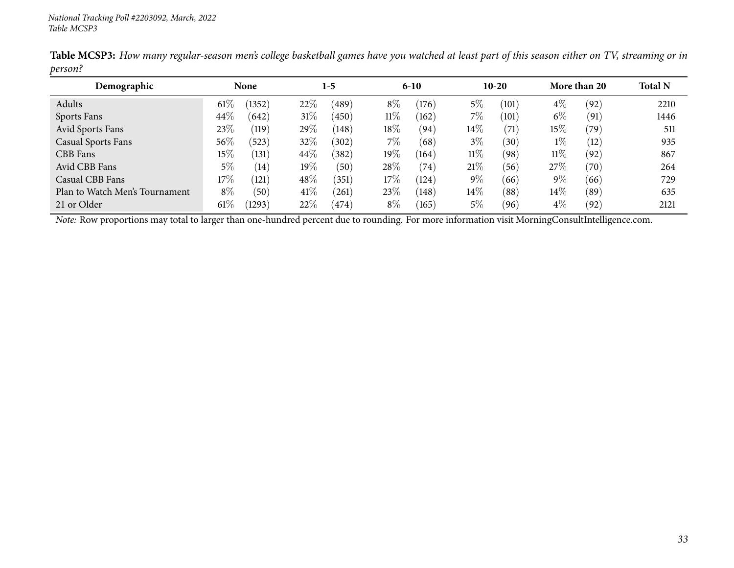| Demographic                    |        | <b>None</b>     |        | $1-5$ |        | $6 - 10$ |        | $10-20$           |        | More than 20 | <b>Total N</b> |
|--------------------------------|--------|-----------------|--------|-------|--------|----------|--------|-------------------|--------|--------------|----------------|
| Adults                         | 61\%   | (1352)          | 22\%   | (489) | $8\%$  | (176)    | 5%     | (101)             | $4\%$  | (92)         | 2210           |
| Sports Fans                    | 44\%   | (642)           | $31\%$ | (450) | $11\%$ | (162)    | $7\%$  | (101)             | $6\%$  | (91)         | 1446           |
| Avid Sports Fans               | 23\%   | $^{\prime}119)$ | 29%    | (148) | 18%    | (94)     | $14\%$ | (71)              | $15\%$ | (79)         | 511            |
| Casual Sports Fans             | 56%    | (523)           | 32%    | (302) | $7\%$  | (68)     | $3\%$  | $\left(30\right)$ | $1\%$  | (12)         | 935            |
| CBB Fans                       | 15%    | (131)           | 44\%   | (382) | 19%    | (164)    | $11\%$ | (98)              | $11\%$ | (92)         | 867            |
| Avid CBB Fans                  | $5\%$  | (14)            | $19\%$ | (50)  | 28%    | (74)     | 21%    | (56)              | 27\%   | (70)         | 264            |
| Casual CBB Fans                | $17\%$ | (121)           | 48%    | (351) | $17\%$ | (124)    | $9\%$  | (66)              | $9\%$  | (66)         | 729            |
| Plan to Watch Men's Tournament | $8\%$  | (50)            | 41\%   | (261) | 23%    | (148)    | $14\%$ | (88)              | $14\%$ | (89)         | 635            |
| 21 or Older                    | 61\%   | (1293)          | 22%    | (474) | $8\%$  | (165)    | $5\%$  | (96)              | $4\%$  | (92)         | 2121           |

Table MCSP3: How many regular-season men's college basketball games have you watched at least part of this season either on TV, streaming or in *person?*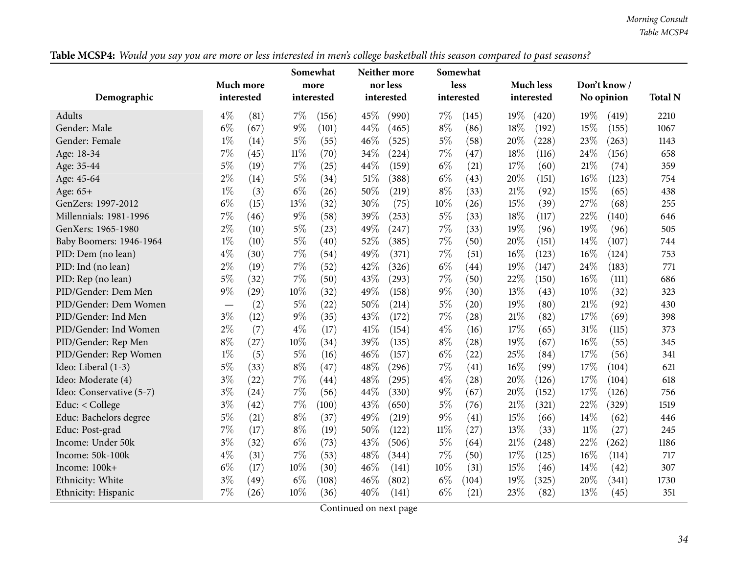*Morning Consult Table MCSP4*

| Table MCSP4: Would you say you are more or less interested in men's college basketball this season compared to past seasons? |  |
|------------------------------------------------------------------------------------------------------------------------------|--|
|------------------------------------------------------------------------------------------------------------------------------|--|

<span id="page-33-0"></span>

|                          |                                   |      |        | Somewhat   |      | Neither more |        | Somewhat   |      |                  |        |             |                |
|--------------------------|-----------------------------------|------|--------|------------|------|--------------|--------|------------|------|------------------|--------|-------------|----------------|
|                          | Much more                         |      |        | more       |      | nor less     |        | less       |      | <b>Much less</b> |        | Don't know/ |                |
| Demographic              | interested                        |      |        | interested |      | interested   |        | interested |      | interested       |        | No opinion  | <b>Total N</b> |
| Adults                   | $4\%$                             | (81) | $7\%$  | (156)      | 45%  | (990)        | $7\%$  | (145)      | 19%  | (420)            | 19%    | (419)       | 2210           |
| Gender: Male             | $6\%$                             | (67) | $9\%$  | (101)      | 44%  | (465)        | $8\%$  | (86)       | 18%  | (192)            | 15%    | (155)       | 1067           |
| Gender: Female           | $1\%$                             | (14) | $5\%$  | (55)       | 46%  | (525)        | $5\%$  | (58)       | 20%  | (228)            | 23%    | (263)       | 1143           |
| Age: 18-34               | $7\%$                             | (45) | $11\%$ | (70)       | 34%  | (224)        | $7\%$  | (47)       | 18%  | (116)            | 24%    | (156)       | 658            |
| Age: 35-44               | $5\%$                             | (19) | $7\%$  | (25)       | 44%  | (159)        | $6\%$  | (21)       | 17%  | (60)             | 21\%   | (74)        | 359            |
| Age: 45-64               | $2\%$                             | (14) | $5\%$  | (34)       | 51%  | (388)        | $6\%$  | (43)       | 20%  | (151)            | 16%    | (123)       | 754            |
| Age: 65+                 | $1\%$                             | (3)  | $6\%$  | (26)       | 50%  | (219)        | $8\%$  | (33)       | 21%  | (92)             | 15%    | (65)        | 438            |
| GenZers: 1997-2012       | $6\%$                             | (15) | 13%    | (32)       | 30%  | (75)         | 10%    | (26)       | 15%  | (39)             | 27%    | (68)        | 255            |
| Millennials: 1981-1996   | 7%                                | (46) | 9%     | (58)       | 39%  | (253)        | $5\%$  | (33)       | 18%  | (117)            | 22%    | (140)       | 646            |
| GenXers: 1965-1980       | $2\%$                             | (10) | $5\%$  | (23)       | 49%  | (247)        | $7\%$  | (33)       | 19%  | (96)             | 19%    | (96)        | 505            |
| Baby Boomers: 1946-1964  | $1\%$                             | (10) | $5\%$  | (40)       | 52%  | (385)        | $7\%$  | (50)       | 20%  | (151)            | 14%    | (107)       | 744            |
| PID: Dem (no lean)       | $4\%$                             | (30) | 7%     | (54)       | 49%  | (371)        | $7\%$  | (51)       | 16%  | (123)            | 16%    | (124)       | 753            |
| PID: Ind (no lean)       | $2\%$                             | (19) | $7\%$  | (52)       | 42%  | (326)        | $6\%$  | (44)       | 19%  | (147)            | 24%    | (183)       | 771            |
| PID: Rep (no lean)       | $5\%$                             | (32) | 7%     | (50)       | 43%  | (293)        | $7\%$  | (50)       | 22%  | (150)            | 16%    | (111)       | 686            |
| PID/Gender: Dem Men      | 9%                                | (29) | 10%    | (32)       | 49%  | (158)        | $9\%$  | (30)       | 13%  | (43)             | 10%    | (32)        | 323            |
| PID/Gender: Dem Women    | $\overbrace{\phantom{123221111}}$ | (2)  | $5\%$  | (22)       | 50%  | (214)        | $5\%$  | (20)       | 19%  | (80)             | 21%    | (92)        | 430            |
| PID/Gender: Ind Men      | $3\%$                             | (12) | $9\%$  | (35)       | 43%  | (172)        | $7\%$  | (28)       | 21%  | (82)             | 17%    | (69)        | 398            |
| PID/Gender: Ind Women    | $2\%$                             | (7)  | $4\%$  | (17)       | 41%  | (154)        | $4\%$  | (16)       | 17%  | (65)             | 31%    | (115)       | 373            |
| PID/Gender: Rep Men      | $8\%$                             | (27) | 10%    | (34)       | 39%  | (135)        | $8\%$  | (28)       | 19%  | (67)             | 16%    | (55)        | 345            |
| PID/Gender: Rep Women    | $1\%$                             | (5)  | $5\%$  | (16)       | 46%  | (157)        | $6\%$  | (22)       | 25%  | (84)             | 17%    | (56)        | 341            |
| Ideo: Liberal (1-3)      | $5\%$                             | (33) | $8\%$  | (47)       | 48\% | (296)        | $7\%$  | (41)       | 16%  | (99)             | 17\%   | (104)       | 621            |
| Ideo: Moderate (4)       | $3\%$                             | (22) | 7%     | (44)       | 48%  | (295)        | $4\%$  | (28)       | 20%  | (126)            | 17%    | (104)       | 618            |
| Ideo: Conservative (5-7) | $3\%$                             | (24) | 7%     | (56)       | 44%  | (330)        | $9\%$  | (67)       | 20%  | (152)            | 17%    | (126)       | 756            |
| Educ: < College          | $3\%$                             | (42) | 7%     | (100)      | 43%  | (650)        | $5\%$  | (76)       | 21\% | (321)            | 22%    | (329)       | 1519           |
| Educ: Bachelors degree   | $5\%$                             | (21) | $8\%$  | (37)       | 49%  | (219)        | $9\%$  | (41)       | 15%  | (66)             | 14%    | (62)        | 446            |
| Educ: Post-grad          | $7\%$                             | (17) | $8\%$  | (19)       | 50%  | (122)        | $11\%$ | (27)       | 13%  | (33)             | $11\%$ | (27)        | 245            |
| Income: Under 50k        | $3\%$                             | (32) | $6\%$  | (73)       | 43%  | (506)        | $5\%$  | (64)       | 21\% | (248)            | 22%    | (262)       | 1186           |
| Income: 50k-100k         | $4\%$                             | (31) | 7%     | (53)       | 48%  | (344)        | $7\%$  | (50)       | 17%  | (125)            | 16%    | (114)       | 717            |
| Income: 100k+            | $6\%$                             | (17) | 10%    | (30)       | 46%  | (141)        | 10%    | (31)       | 15%  | (46)             | 14%    | (42)        | 307            |
| Ethnicity: White         | $3\%$                             | (49) | $6\%$  | (108)      | 46%  | (802)        | $6\%$  | (104)      | 19%  | (325)            | 20%    | (341)       | 1730           |
| Ethnicity: Hispanic      | 7%                                | (26) | 10%    | (36)       | 40%  | (141)        | $6\%$  | (21)       | 23%  | (82)             | 13%    | (45)        | 351            |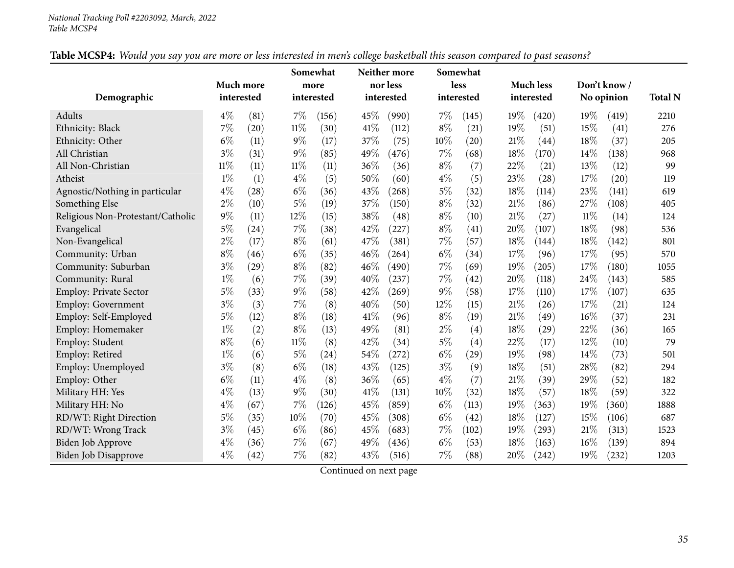| Table MCSP4: Would you say you are more or less interested in men's college basketball this season compared to past seasons? |  |
|------------------------------------------------------------------------------------------------------------------------------|--|
|------------------------------------------------------------------------------------------------------------------------------|--|

| Demographic                       | Much more<br>interested |      |        | Somewhat<br>more<br>interested |      | Neither more<br>nor less<br>interested |        | Somewhat<br>less<br>interested |      | <b>Much less</b><br>interested |     | Don't know/<br>No opinion |      |
|-----------------------------------|-------------------------|------|--------|--------------------------------|------|----------------------------------------|--------|--------------------------------|------|--------------------------------|-----|---------------------------|------|
| Adults                            | $4\%$                   | (81) | $7\%$  | (156)                          | 45\% | (990)                                  | $7\%$  | (145)                          | 19%  | (420)                          | 19% | (419)                     | 2210 |
| Ethnicity: Black                  | 7%                      | (20) | $11\%$ | (30)                           | 41%  | (112)                                  | $8\%$  | (21)                           | 19%  | (51)                           | 15% | (41)                      | 276  |
| Ethnicity: Other                  | $6\%$                   | (11) | $9\%$  | (17)                           | 37%  | (75)                                   | $10\%$ | (20)                           | 21\% | (44)                           | 18% | (37)                      | 205  |
| All Christian                     | $3\%$                   | (31) | $9\%$  | (85)                           | 49%  | (476)                                  | $7\%$  | (68)                           | 18%  | (170)                          | 14% | (138)                     | 968  |
| All Non-Christian                 | $11\%$                  | (11) | $11\%$ | (11)                           | 36%  | (36)                                   | $8\%$  | (7)                            | 22%  | (21)                           | 13% | (12)                      | 99   |
| Atheist                           | $1\%$                   | (1)  | $4\%$  | (5)                            | 50%  | (60)                                   | $4\%$  | (5)                            | 23%  | (28)                           | 17% | (20)                      | 119  |
| Agnostic/Nothing in particular    | $4\%$                   | (28) | $6\%$  | (36)                           | 43%  | (268)                                  | $5\%$  | (32)                           | 18%  | (114)                          | 23% | (141)                     | 619  |
| Something Else                    | $2\%$                   | (10) | $5\%$  | (19)                           | 37%  | (150)                                  | $8\%$  | (32)                           | 21\% | (86)                           | 27% | (108)                     | 405  |
| Religious Non-Protestant/Catholic | $9\%$                   | (11) | 12%    | (15)                           | 38%  | (48)                                   | $8\%$  | (10)                           | 21%  | (27)                           | 11% | (14)                      | 124  |
| Evangelical                       | $5\%$                   | (24) | 7%     | (38)                           | 42%  | (227)                                  | $8\%$  | (41)                           | 20%  | (107)                          | 18% | (98)                      | 536  |
| Non-Evangelical                   | $2\%$                   | (17) | $8\%$  | (61)                           | 47%  | (381)                                  | $7\%$  | (57)                           | 18%  | (144)                          | 18% | (142)                     | 801  |
| Community: Urban                  | $8\%$                   | (46) | $6\%$  | (35)                           | 46%  | (264)                                  | $6\%$  | (34)                           | 17%  | (96)                           | 17% | (95)                      | 570  |
| Community: Suburban               | $3\%$                   | (29) | $8\%$  | (82)                           | 46%  | (490)                                  | $7\%$  | (69)                           | 19%  | (205)                          | 17% | (180)                     | 1055 |
| Community: Rural                  | $1\%$                   | (6)  | 7%     | (39)                           | 40%  | (237)                                  | 7%     | (42)                           | 20%  | (118)                          | 24% | (143)                     | 585  |
| <b>Employ: Private Sector</b>     | $5\%$                   | (33) | $9\%$  | (58)                           | 42%  | (269)                                  | $9\%$  | (58)                           | 17%  | (110)                          | 17% | (107)                     | 635  |
| <b>Employ: Government</b>         | $3\%$                   | (3)  | 7%     | (8)                            | 40%  | (50)                                   | 12%    | (15)                           | 21\% | (26)                           | 17% | (21)                      | 124  |
| Employ: Self-Employed             | $5\%$                   | (12) | $8\%$  | (18)                           | 41\% | (96)                                   | $8\%$  | (19)                           | 21%  | (49)                           | 16% | (37)                      | 231  |
| Employ: Homemaker                 | $1\%$                   | (2)  | $8\%$  | (13)                           | 49%  | (81)                                   | $2\%$  | (4)                            | 18%  | (29)                           | 22% | (36)                      | 165  |
| Employ: Student                   | $8\%$                   | (6)  | $11\%$ | (8)                            | 42%  | (34)                                   | $5\%$  | (4)                            | 22%  | (17)                           | 12% | (10)                      | 79   |
| Employ: Retired                   | $1\%$                   | (6)  | 5%     | (24)                           | 54%  | (272)                                  | $6\%$  | (29)                           | 19%  | (98)                           | 14% | (73)                      | 501  |
| Employ: Unemployed                | $3\%$                   | (8)  | $6\%$  | (18)                           | 43%  | (125)                                  | $3\%$  | (9)                            | 18%  | (51)                           | 28% | (82)                      | 294  |
| Employ: Other                     | $6\%$                   | (11) | $4\%$  | (8)                            | 36%  | (65)                                   | $4\%$  | (7)                            | 21%  | (39)                           | 29% | (52)                      | 182  |
| Military HH: Yes                  | $4\%$                   | (13) | $9\%$  | (30)                           | 41\% | (131)                                  | $10\%$ | (32)                           | 18%  | (57)                           | 18% | (59)                      | 322  |
| Military HH: No                   | $4\%$                   | (67) | 7%     | (126)                          | 45%  | (859)                                  | $6\%$  | (113)                          | 19%  | (363)                          | 19% | (360)                     | 1888 |
| RD/WT: Right Direction            | 5%                      | (35) | 10%    | (70)                           | 45%  | (308)                                  | $6\%$  | (42)                           | 18%  | (127)                          | 15% | (106)                     | 687  |
| RD/WT: Wrong Track                | $3\%$                   | (45) | $6\%$  | (86)                           | 45%  | (683)                                  | $7\%$  | (102)                          | 19%  | (293)                          | 21% | (313)                     | 1523 |
| Biden Job Approve                 | $4\%$                   | (36) | 7%     | (67)                           | 49%  | (436)                                  | $6\%$  | (53)                           | 18%  | (163)                          | 16% | (139)                     | 894  |
| <b>Biden Job Disapprove</b>       | $4\%$                   | (42) | 7%     | (82)                           | 43%  | (516)                                  | $7\%$  | (88)                           | 20%  | (242)                          | 19% | (232)                     | 1203 |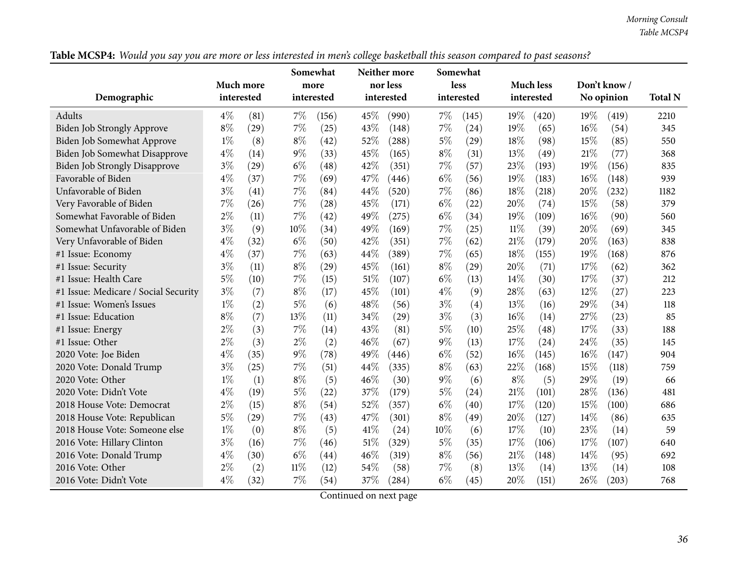*Morning Consult Table MCSP4*

Table MCSP4: Would you say you are more or less interested in men's college basketball this season compared to past seasons?

|                                      |            |      | Somewhat |            | Neither more |            | Somewhat |            |        |                  |      |             |      |
|--------------------------------------|------------|------|----------|------------|--------------|------------|----------|------------|--------|------------------|------|-------------|------|
|                                      | Much more  |      |          | more       |              | nor less   |          | less       |        | <b>Much less</b> |      | Don't know/ |      |
| Demographic                          | interested |      |          | interested |              | interested |          | interested |        | interested       |      | No opinion  |      |
| Adults                               | $4\%$      | (81) | 7%       | (156)      | 45\%         | (990)      | $7\%$    | (145)      | 19%    | (420)            | 19%  | (419)       | 2210 |
| Biden Job Strongly Approve           | $8\%$      | (29) | 7%       | (25)       | 43%          | (148)      | $7\%$    | (24)       | 19%    | (65)             | 16%  | (54)        | 345  |
| Biden Job Somewhat Approve           | $1\%$      | (8)  | $8\%$    | (42)       | 52%          | (288)      | $5\%$    | (29)       | 18%    | (98)             | 15%  | (85)        | 550  |
| Biden Job Somewhat Disapprove        | $4\%$      | (14) | $9\%$    | (33)       | 45%          | (165)      | $8\%$    | (31)       | 13%    | (49)             | 21\% | (77)        | 368  |
| <b>Biden Job Strongly Disapprove</b> | $3\%$      | (29) | $6\%$    | (48)       | 42%          | (351)      | $7\%$    | (57)       | 23%    | (193)            | 19%  | (156)       | 835  |
| Favorable of Biden                   | $4\%$      | (37) | 7%       | (69)       | 47%          | (446)      | $6\%$    | (56)       | 19%    | (183)            | 16%  | (148)       | 939  |
| Unfavorable of Biden                 | $3\%$      | (41) | $7\%$    | (84)       | 44%          | (520)      | $7\%$    | (86)       | 18%    | (218)            | 20%  | (232)       | 1182 |
| Very Favorable of Biden              | $7\%$      | (26) | $7\%$    | (28)       | 45%          | (171)      | $6\%$    | (22)       | 20%    | (74)             | 15%  | (58)        | 379  |
| Somewhat Favorable of Biden          | $2\%$      | (11) | $7\%$    | (42)       | 49%          | (275)      | $6\%$    | (34)       | 19%    | (109)            | 16%  | (90)        | 560  |
| Somewhat Unfavorable of Biden        | $3\%$      | (9)  | 10%      | (34)       | 49%          | (169)      | $7\%$    | (25)       | $11\%$ | (39)             | 20%  | (69)        | 345  |
| Very Unfavorable of Biden            | $4\%$      | (32) | $6\%$    | (50)       | 42%          | (351)      | $7\%$    | (62)       | 21%    | (179)            | 20%  | (163)       | 838  |
| #1 Issue: Economy                    | $4\%$      | (37) | $7\%$    | (63)       | 44%          | (389)      | $7\%$    | (65)       | 18%    | (155)            | 19%  | (168)       | 876  |
| #1 Issue: Security                   | $3\%$      | (11) | $8\%$    | (29)       | 45%          | (161)      | $8\%$    | (29)       | 20%    | (71)             | 17\% | (62)        | 362  |
| #1 Issue: Health Care                | $5\%$      | (10) | $7\%$    | (15)       | 51%          | (107)      | $6\%$    | (13)       | 14%    | (30)             | 17%  | (37)        | 212  |
| #1 Issue: Medicare / Social Security | $3\%$      | (7)  | $8\%$    | (17)       | 45%          | (101)      | $4\%$    | (9)        | 28%    | (63)             | 12%  | (27)        | 223  |
| #1 Issue: Women's Issues             | $1\%$      | (2)  | $5\%$    | (6)        | 48%          | (56)       | $3\%$    | (4)        | 13%    | (16)             | 29%  | (34)        | 118  |
| #1 Issue: Education                  | $8\%$      | (7)  | 13%      | (11)       | 34%          | (29)       | $3\%$    | (3)        | 16%    | (14)             | 27%  | (23)        | 85   |
| #1 Issue: Energy                     | $2\%$      | (3)  | $7\%$    | (14)       | 43%          | (81)       | $5\%$    | (10)       | 25%    | (48)             | 17%  | (33)        | 188  |
| #1 Issue: Other                      | $2\%$      | (3)  | $2\%$    | (2)        | 46%          | (67)       | $9\%$    | (13)       | 17%    | (24)             | 24%  | (35)        | 145  |
| 2020 Vote: Joe Biden                 | $4\%$      | (35) | $9\%$    | (78)       | 49%          | (446)      | $6\%$    | (52)       | 16%    | (145)            | 16%  | (147)       | 904  |
| 2020 Vote: Donald Trump              | $3\%$      | (25) | $7\%$    | (51)       | 44%          | (335)      | $8\%$    | (63)       | 22%    | (168)            | 15%  | (118)       | 759  |
| 2020 Vote: Other                     | $1\%$      | (1)  | $8\%$    | (5)        | 46%          | (30)       | $9\%$    | (6)        | $8\%$  | (5)              | 29%  | (19)        | 66   |
| 2020 Vote: Didn't Vote               | $4\%$      | (19) | $5\%$    | (22)       | 37%          | (179)      | $5\%$    | (24)       | 21%    | (101)            | 28%  | (136)       | 481  |
| 2018 House Vote: Democrat            | $2\%$      | (15) | $8\%$    | (54)       | 52%          | (357)      | $6\%$    | (40)       | 17%    | (120)            | 15%  | (100)       | 686  |
| 2018 House Vote: Republican          | $5\%$      | (29) | $7\%$    | (43)       | 47%          | (301)      | $8\%$    | (49)       | 20%    | (127)            | 14%  | (86)        | 635  |
| 2018 House Vote: Someone else        | $1\%$      | (0)  | $8\%$    | (5)        | 41\%         | (24)       | 10%      | (6)        | 17%    | (10)             | 23%  | (14)        | 59   |
| 2016 Vote: Hillary Clinton           | $3\%$      | (16) | 7%       | (46)       | 51%          | (329)      | $5\%$    | (35)       | 17%    | (106)            | 17\% | (107)       | 640  |
| 2016 Vote: Donald Trump              | $4\%$      | (30) | $6\%$    | (44)       | 46%          | (319)      | $8\%$    | (56)       | 21%    | (148)            | 14%  | (95)        | 692  |
| 2016 Vote: Other                     | $2\%$      | (2)  | $11\%$   | (12)       | 54%          | (58)       | $7\%$    | (8)        | 13%    | (14)             | 13\% | (14)        | 108  |
| 2016 Vote: Didn't Vote               | $4\%$      | (32) | $7\%$    | (54)       | 37%          | (284)      | $6\%$    | (45)       | 20%    | (151)            | 26\% | (203)       | 768  |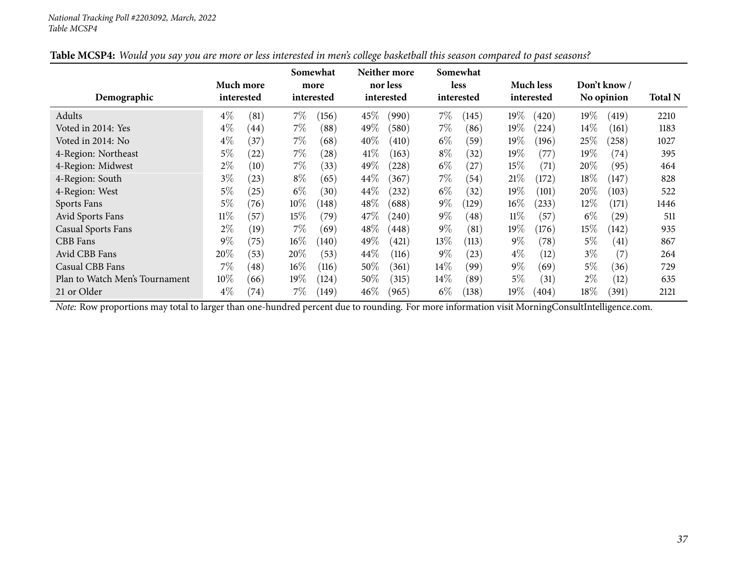| Demographic                    | Much more<br>interested |      |        | Somewhat<br>more<br>interested |        | Neither more<br>nor less<br>interested |        | Somewhat<br><b>less</b><br>interested |        | <b>Much less</b><br>interested |         | Don't know /<br>No opinion | <b>Total N</b> |
|--------------------------------|-------------------------|------|--------|--------------------------------|--------|----------------------------------------|--------|---------------------------------------|--------|--------------------------------|---------|----------------------------|----------------|
| Adults                         | $4\%$                   | (81) | $7\%$  | (156)                          | 45\%   | (990)                                  | $7\%$  | (145)                                 | 19%    | (420)                          | $19\%$  | (419)                      | 2210           |
| Voted in 2014: Yes             | $4\%$                   | (44) | 7%     | (88)                           | 49%    | (580)                                  | $7\%$  | (86)                                  | 19%    | (224)                          | $14\%$  | (161)                      | 1183           |
| Voted in 2014: No              | $4\%$                   | (37) | 7%     | (68)                           | $40\%$ | (410)                                  | $6\%$  | (59)                                  | 19%    | (196)                          | 25%     | (258)                      | 1027           |
| 4-Region: Northeast            | $5\%$                   | (22) | 7%     | (28)                           | $41\%$ | (163)                                  | $8\%$  | (32)                                  | $19\%$ | (77)                           | 19 $\%$ | $\left( 74\right)$         | 395            |
| 4-Region: Midwest              | $2\%$                   | (10) | $7\%$  | (33)                           | 49\%   | (228)                                  | $6\%$  | (27)                                  | 15%    | (71)                           | $20\%$  | (95)                       | 464            |
| 4-Region: South                | $3\%$                   | (23) | $8\%$  | (65)                           | $44\%$ | (367)                                  | 7%     | (54)                                  | 21%    | (172)                          | $18\%$  | (147)                      | 828            |
| 4-Region: West                 | $5\%$                   | (25) | $6\%$  | (30)                           | $44\%$ | (232)                                  | $6\%$  | (32)                                  | 19%    | (101)                          | 20%     | (103)                      | 522            |
| Sports Fans                    | $5\%$                   | (76) | $10\%$ | (148)                          | 48\%   | (688)                                  | $9\%$  | (129)                                 | $16\%$ | (233)                          | $12\%$  | (171)                      | 1446           |
| Avid Sports Fans               | $11\%$                  | (57) | 15%    | (79)                           | 47\%   | (240)                                  | $9\%$  | (48)                                  | $11\%$ | (57)                           | $6\%$   | (29)                       | 511            |
| <b>Casual Sports Fans</b>      | $2\%$                   | (19) | $7\%$  | (69)                           | $48\%$ | (448)                                  | $9\%$  | (81)                                  | 19%    | (176)                          | $15\%$  | (142)                      | 935            |
| CBB Fans                       | $9\%$                   | (75) | $16\%$ | (140)                          | 49%    | (421)                                  | 13\%   | (113)                                 | $9\%$  | (78)                           | $5\%$   | $\left( 41\right)$         | 867            |
| Avid CBB Fans                  | 20%                     | (53) | 20%    | (53)                           | $44\%$ | (116)                                  | $9\%$  | (23)                                  | $4\%$  | (12)                           | $3\%$   | (7)                        | 264            |
| Casual CBB Fans                | $7\%$                   | (48) | $16\%$ | (116)                          | 50%    | (361)                                  | $14\%$ | (99)                                  | $9\%$  | (69)                           | $5\%$   | (36)                       | 729            |
| Plan to Watch Men's Tournament | $10\%$                  | (66) | 19%    | (124)                          | 50%    | (315)                                  | $14\%$ | (89)                                  | $5\%$  | (31)                           | $2\%$   | (12)                       | 635            |
| 21 or Older                    | $4\%$                   | (74) | 7%     | (149)                          | $46\%$ | (965)                                  | $6\%$  | (138)                                 | 19%    | (404)                          | $18\%$  | (391)                      | 2121           |

| Table MCSP4: Would you say you are more or less interested in men's college basketball this season compared to past seasons? |
|------------------------------------------------------------------------------------------------------------------------------|
|------------------------------------------------------------------------------------------------------------------------------|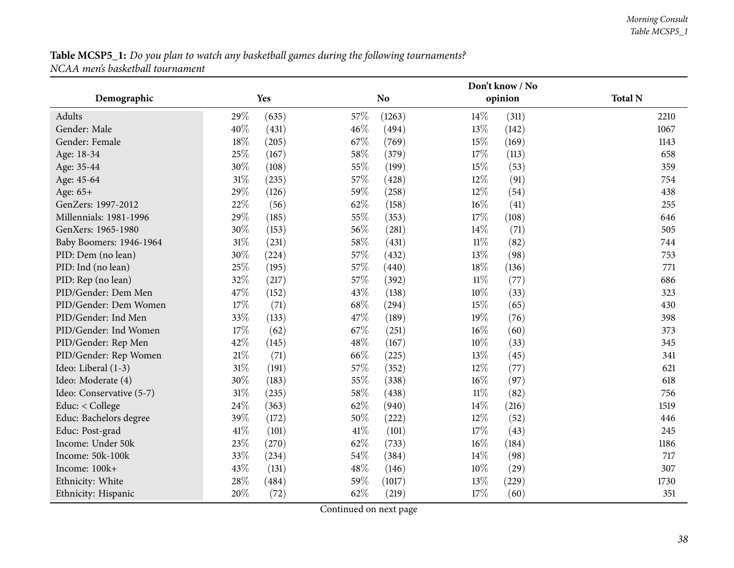|                          |        |       |      |                |        | Don't know / No |                |
|--------------------------|--------|-------|------|----------------|--------|-----------------|----------------|
| Demographic              |        | Yes   |      | N <sub>o</sub> |        | opinion         | <b>Total N</b> |
| <b>Adults</b>            | 29%    | (635) | 57%  | (1263)         | 14\%   | (311)           | 2210           |
| Gender: Male             | 40%    | (431) | 46%  | (494)          | 13%    | (142)           | 1067           |
| Gender: Female           | 18%    | (205) | 67%  | (769)          | 15%    | (169)           | 1143           |
| Age: 18-34               | 25%    | (167) | 58%  | (379)          | 17%    | (113)           | 658            |
| Age: 35-44               | 30%    | (108) | 55%  | (199)          | 15%    | (53)            | 359            |
| Age: 45-64               | $31\%$ | (235) | 57%  | (428)          | 12%    | (91)            | 754            |
| Age: 65+                 | 29%    | (126) | 59%  | (258)          | 12%    | (54)            | 438            |
| GenZers: 1997-2012       | 22%    | (56)  | 62%  | (158)          | 16%    | (41)            | 255            |
| Millennials: 1981-1996   | 29%    | (185) | 55%  | (353)          | 17%    | (108)           | 646            |
| GenXers: 1965-1980       | 30%    | (153) | 56%  | (281)          | 14\%   | (71)            | 505            |
| Baby Boomers: 1946-1964  | $31\%$ | (231) | 58%  | (431)          | $11\%$ | (82)            | 744            |
| PID: Dem (no lean)       | 30%    | (224) | 57%  | (432)          | 13%    | (98)            | 753            |
| PID: Ind (no lean)       | 25%    | (195) | 57%  | (440)          | 18%    | (136)           | 771            |
| PID: Rep (no lean)       | 32%    | (217) | 57%  | (392)          | $11\%$ | (77)            | 686            |
| PID/Gender: Dem Men      | 47%    | (152) | 43%  | (138)          | 10%    | (33)            | 323            |
| PID/Gender: Dem Women    | 17%    | (71)  | 68%  | (294)          | 15%    | (65)            | 430            |
| PID/Gender: Ind Men      | 33%    | (133) | 47%  | (189)          | 19%    | (76)            | 398            |
| PID/Gender: Ind Women    | 17%    | (62)  | 67%  | (251)          | $16\%$ | (60)            | 373            |
| PID/Gender: Rep Men      | 42%    | (145) | 48%  | (167)          | 10%    | (33)            | 345            |
| PID/Gender: Rep Women    | $21\%$ | (71)  | 66%  | (225)          | 13%    | (45)            | 341            |
| Ideo: Liberal (1-3)      | $31\%$ | (191) | 57%  | (352)          | 12%    | (77)            | 621            |
| Ideo: Moderate (4)       | 30%    | (183) | 55%  | (338)          | $16\%$ | (97)            | 618            |
| Ideo: Conservative (5-7) | 31%    | (235) | 58%  | (438)          | $11\%$ | (82)            | 756            |
| Educ: $<$ College        | 24%    | (363) | 62%  | (940)          | 14%    | (216)           | 1519           |
| Educ: Bachelors degree   | 39%    | (172) | 50%  | (222)          | 12%    | (52)            | 446            |
| Educ: Post-grad          | 41\%   | (101) | 41\% | (101)          | 17%    | (43)            | 245            |
| Income: Under 50k        | 23%    | (270) | 62%  | (733)          | $16\%$ | (184)           | 1186           |
| Income: 50k-100k         | 33%    | (234) | 54%  | (384)          | 14\%   | (98)            | 717            |
| Income: 100k+            | 43%    | (131) | 48%  | (146)          | 10%    | (29)            | 307            |
| Ethnicity: White         | 28%    | (484) | 59%  | (1017)         | 13%    | (229)           | 1730           |
| Ethnicity: Hispanic      | 20%    | (72)  | 62%  | (219)          | 17%    | (60)            | 351            |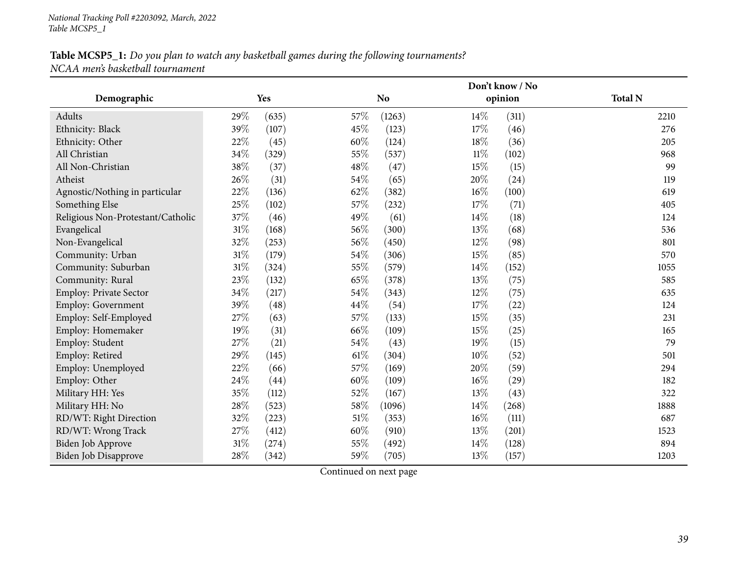|                                   |      |       |        |                |        | Don't know / No |                |
|-----------------------------------|------|-------|--------|----------------|--------|-----------------|----------------|
| Demographic                       |      | Yes   |        | N <sub>o</sub> |        | opinion         | <b>Total N</b> |
| Adults                            | 29%  | (635) | 57%    | (1263)         | 14%    | (311)           | 2210           |
| Ethnicity: Black                  | 39%  | (107) | 45%    | (123)          | 17%    | (46)            | 276            |
| Ethnicity: Other                  | 22%  | (45)  | 60%    | (124)          | 18%    | (36)            | 205            |
| All Christian                     | 34%  | (329) | 55%    | (537)          | $11\%$ | (102)           | 968            |
| All Non-Christian                 | 38%  | (37)  | 48\%   | (47)           | 15%    | (15)            | 99             |
| Atheist                           | 26%  | (31)  | 54%    | (65)           | 20%    | (24)            | 119            |
| Agnostic/Nothing in particular    | 22%  | (136) | 62%    | (382)          | $16\%$ | (100)           | 619            |
| Something Else                    | 25%  | (102) | 57%    | (232)          | 17%    | (71)            | 405            |
| Religious Non-Protestant/Catholic | 37%  | (46)  | 49%    | (61)           | 14\%   | (18)            | 124            |
| Evangelical                       | 31%  | (168) | 56\%   | (300)          | 13%    | (68)            | 536            |
| Non-Evangelical                   | 32%  | (253) | 56%    | (450)          | 12%    | (98)            | 801            |
| Community: Urban                  | 31%  | (179) | 54\%   | (306)          | 15%    | (85)            | 570            |
| Community: Suburban               | 31%  | (324) | 55%    | (579)          | 14%    | (152)           | 1055           |
| Community: Rural                  | 23%  | (132) | 65%    | (378)          | 13%    | (75)            | 585            |
| Employ: Private Sector            | 34%  | (217) | 54\%   | (343)          | 12%    | (75)            | 635            |
| <b>Employ: Government</b>         | 39%  | (48)  | 44%    | (54)           | 17%    | (22)            | 124            |
| Employ: Self-Employed             | 27%  | (63)  | 57%    | (133)          | 15%    | (35)            | 231            |
| Employ: Homemaker                 | 19%  | (31)  | 66%    | (109)          | 15%    | (25)            | 165            |
| Employ: Student                   | 27%  | (21)  | 54%    | (43)           | 19%    | (15)            | 79             |
| Employ: Retired                   | 29%  | (145) | 61\%   | (304)          | 10%    | (52)            | 501            |
| Employ: Unemployed                | 22\% | (66)  | 57%    | (169)          | 20%    | (59)            | 294            |
| Employ: Other                     | 24%  | (44)  | 60%    | (109)          | 16%    | (29)            | 182            |
| Military HH: Yes                  | 35%  | (112) | 52%    | (167)          | 13%    | (43)            | 322            |
| Military HH: No                   | 28%  | (523) | 58\%   | (1096)         | 14%    | (268)           | 1888           |
| RD/WT: Right Direction            | 32%  | (223) | $51\%$ | (353)          | $16\%$ | (111)           | 687            |
| RD/WT: Wrong Track                | 27%  | (412) | 60%    | (910)          | 13\%   | (201)           | 1523           |
| Biden Job Approve                 | 31%  | (274) | 55%    | (492)          | 14%    | (128)           | 894            |
| Biden Job Disapprove              | 28%  | (342) | 59%    | (705)          | 13%    | (157)           | 1203           |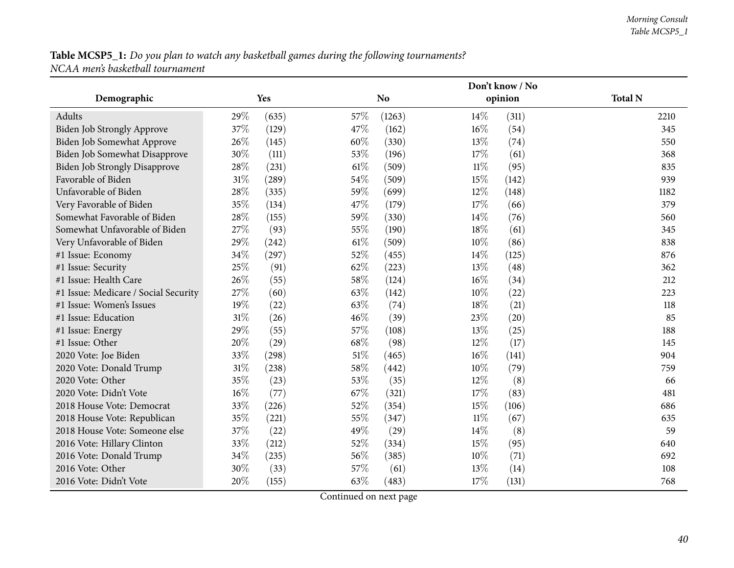|                                      |        |       |        |                |        | Don't know / No |                |
|--------------------------------------|--------|-------|--------|----------------|--------|-----------------|----------------|
| Demographic                          |        | Yes   |        | N <sub>o</sub> |        | opinion         | <b>Total N</b> |
| Adults                               | 29%    | (635) | 57%    | (1263)         | 14\%   | (311)           | 2210           |
| Biden Job Strongly Approve           | 37%    | (129) | 47%    | (162)          | $16\%$ | (54)            | 345            |
| Biden Job Somewhat Approve           | 26%    | (145) | 60%    | (330)          | 13%    | (74)            | 550            |
| Biden Job Somewhat Disapprove        | 30%    | (111) | 53%    | (196)          | 17%    | (61)            | 368            |
| <b>Biden Job Strongly Disapprove</b> | 28%    | (231) | 61%    | (509)          | $11\%$ | (95)            | 835            |
| Favorable of Biden                   | $31\%$ | (289) | 54%    | (509)          | 15%    | (142)           | 939            |
| Unfavorable of Biden                 | 28%    | (335) | 59%    | (699)          | 12%    | (148)           | 1182           |
| Very Favorable of Biden              | 35%    | (134) | 47%    | (179)          | 17%    | (66)            | 379            |
| Somewhat Favorable of Biden          | 28%    | (155) | 59%    | (330)          | 14%    | (76)            | 560            |
| Somewhat Unfavorable of Biden        | 27%    | (93)  | 55%    | (190)          | 18%    | (61)            | 345            |
| Very Unfavorable of Biden            | 29%    | (242) | 61%    | (509)          | 10%    | (86)            | 838            |
| #1 Issue: Economy                    | 34%    | (297) | 52%    | (455)          | 14\%   | (125)           | 876            |
| #1 Issue: Security                   | 25%    | (91)  | 62%    | (223)          | 13%    | (48)            | 362            |
| #1 Issue: Health Care                | 26%    | (55)  | 58%    | (124)          | $16\%$ | (34)            | 212            |
| #1 Issue: Medicare / Social Security | 27%    | (60)  | 63%    | (142)          | 10%    | (22)            | 223            |
| #1 Issue: Women's Issues             | 19%    | (22)  | 63%    | (74)           | 18%    | (21)            | 118            |
| #1 Issue: Education                  | 31%    | (26)  | 46%    | (39)           | 23%    | (20)            | 85             |
| #1 Issue: Energy                     | 29%    | (55)  | 57%    | (108)          | 13%    | (25)            | 188            |
| #1 Issue: Other                      | 20%    | (29)  | 68%    | (98)           | $12\%$ | (17)            | 145            |
| 2020 Vote: Joe Biden                 | 33%    | (298) | $51\%$ | (465)          | 16%    | (141)           | 904            |
| 2020 Vote: Donald Trump              | $31\%$ | (238) | 58%    | (442)          | 10%    | (79)            | 759            |
| 2020 Vote: Other                     | 35%    | (23)  | 53%    | (35)           | 12%    | (8)             | 66             |
| 2020 Vote: Didn't Vote               | $16\%$ | (77)  | 67%    | (321)          | 17%    | (83)            | 481            |
| 2018 House Vote: Democrat            | 33%    | (226) | 52%    | (354)          | 15%    | (106)           | 686            |
| 2018 House Vote: Republican          | 35%    | (221) | 55%    | (347)          | $11\%$ | (67)            | 635            |
| 2018 House Vote: Someone else        | 37%    | (22)  | 49%    | (29)           | 14\%   | (8)             | 59             |
| 2016 Vote: Hillary Clinton           | 33%    | (212) | 52%    | (334)          | 15%    | (95)            | 640            |
| 2016 Vote: Donald Trump              | 34%    | (235) | 56%    | (385)          | 10%    | (71)            | 692            |
| 2016 Vote: Other                     | 30%    | (33)  | 57%    | (61)           | 13%    | (14)            | 108            |
| 2016 Vote: Didn't Vote               | 20%    | (155) | 63%    | (483)          | 17%    | (131)           | 768            |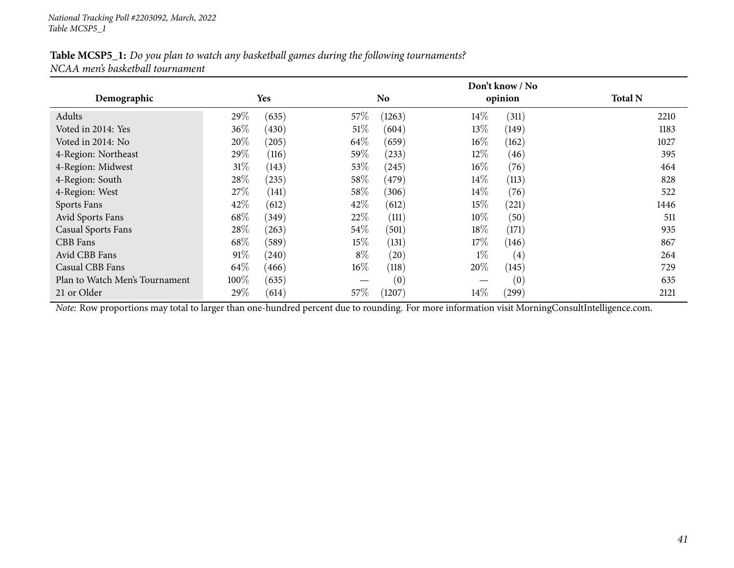|                                |        |            |        |                |        | Don't know / No |                |
|--------------------------------|--------|------------|--------|----------------|--------|-----------------|----------------|
| Demographic                    |        | <b>Yes</b> |        | N <sub>0</sub> |        | opinion         | <b>Total N</b> |
| Adults                         | 29\%   | (635)      | $57\%$ | (1263)         | $14\%$ | (311)           | 2210           |
| Voted in 2014: Yes             | $36\%$ | (430)      | 51%    | (604)          | 13\%   | (149)           | 1183           |
| Voted in 2014: No              | 20%    | (205)      | 64\%   | (659)          | $16\%$ | (162)           | 1027           |
| 4-Region: Northeast            | 29\%   | (116)      | 59\%   | (233)          | $12\%$ | (46)            | 395            |
| 4-Region: Midwest              | 31%    | (143)      | $53\%$ | (245)          | $16\%$ | (76)            | 464            |
| 4-Region: South                | 28\%   | (235)      | $58\%$ | (479)          | $14\%$ | (113)           | 828            |
| 4-Region: West                 | 27\%   | (141)      | $58\%$ | (306)          | $14\%$ | (76)            | 522            |
| Sports Fans                    | 42\%   | (612)      | 42\%   | (612)          | $15\%$ | (221)           | 1446           |
| Avid Sports Fans               | 68\%   | (349)      | 22\%   | (111)          | $10\%$ | (50)            | 511            |
| <b>Casual Sports Fans</b>      | 28\%   | (263)      | $54\%$ | (501)          | 18\%   | (171)           | 935            |
| CBB Fans                       | 68\%   | (589)      | $15\%$ | (131)          | 17%    | (146)           | 867            |
| Avid CBB Fans                  | 91%    | (240)      | $8\%$  | (20)           | $1\%$  | (4)             | 264            |
| Casual CBB Fans                | 64\%   | (466)      | $16\%$ | (118)          | 20%    | (145)           | 729            |
| Plan to Watch Men's Tournament | 100%   | (635)      |        | (0)            |        | (0)             | 635            |
| 21 or Older                    | 29%    | (614)      | $57\%$ | (1207)         | $14\%$ | (299)           | 2121           |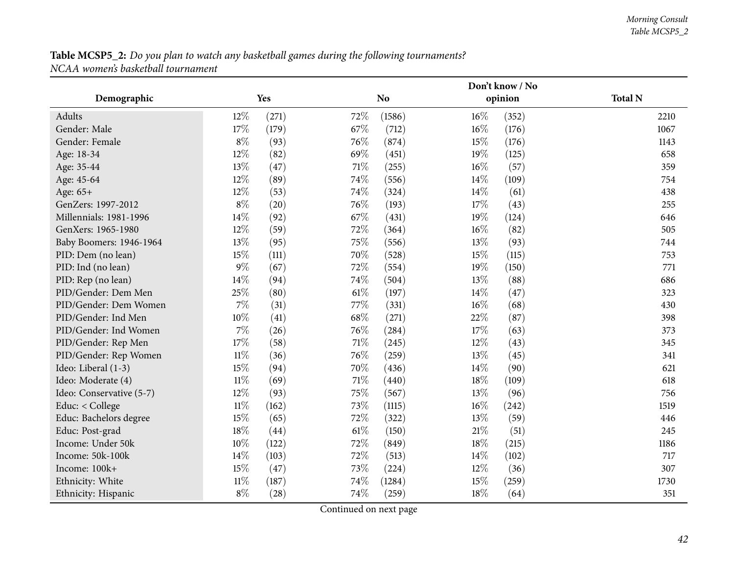|                          |        |       |        |                |        | Don't know / No |                |
|--------------------------|--------|-------|--------|----------------|--------|-----------------|----------------|
| Demographic              |        | Yes   |        | N <sub>o</sub> |        | opinion         | <b>Total N</b> |
| <b>Adults</b>            | 12%    | (271) | 72%    | (1586)         | 16%    | (352)           | 2210           |
| Gender: Male             | 17%    | (179) | 67%    | (712)          | $16\%$ | (176)           | 1067           |
| Gender: Female           | $8\%$  | (93)  | 76%    | (874)          | 15%    | (176)           | 1143           |
| Age: 18-34               | 12%    | (82)  | 69%    | (451)          | 19%    | (125)           | 658            |
| Age: 35-44               | 13%    | (47)  | 71\%   | (255)          | 16%    | (57)            | 359            |
| Age: 45-64               | 12%    | (89)  | 74%    | (556)          | 14\%   | (109)           | 754            |
| Age: 65+                 | 12%    | (53)  | 74%    | (324)          | 14\%   | (61)            | 438            |
| GenZers: 1997-2012       | $8\%$  | (20)  | 76%    | (193)          | 17%    | (43)            | 255            |
| Millennials: 1981-1996   | 14%    | (92)  | 67%    | (431)          | 19%    | (124)           | 646            |
| GenXers: 1965-1980       | 12%    | (59)  | 72%    | (364)          | 16%    | (82)            | 505            |
| Baby Boomers: 1946-1964  | 13%    | (95)  | 75%    | (556)          | 13%    | (93)            | 744            |
| PID: Dem (no lean)       | 15%    | (111) | 70%    | (528)          | 15%    | (115)           | 753            |
| PID: Ind (no lean)       | $9\%$  | (67)  | 72%    | (554)          | 19%    | (150)           | 771            |
| PID: Rep (no lean)       | 14%    | (94)  | 74%    | (504)          | 13%    | (88)            | 686            |
| PID/Gender: Dem Men      | 25%    | (80)  | 61%    | (197)          | 14\%   | (47)            | 323            |
| PID/Gender: Dem Women    | 7%     | (31)  | 77%    | (331)          | 16%    | (68)            | 430            |
| PID/Gender: Ind Men      | 10%    | (41)  | 68%    | (271)          | 22%    | (87)            | 398            |
| PID/Gender: Ind Women    | 7%     | (26)  | 76%    | (284)          | 17%    | (63)            | 373            |
| PID/Gender: Rep Men      | $17\%$ | (58)  | $71\%$ | (245)          | 12%    | (43)            | 345            |
| PID/Gender: Rep Women    | $11\%$ | (36)  | 76%    | (259)          | 13%    | (45)            | 341            |
| Ideo: Liberal (1-3)      | 15%    | (94)  | 70%    | (436)          | 14\%   | (90)            | 621            |
| Ideo: Moderate (4)       | $11\%$ | (69)  | 71%    | (440)          | 18%    | (109)           | 618            |
| Ideo: Conservative (5-7) | $12\%$ | (93)  | 75%    | (567)          | 13%    | (96)            | 756            |
| Educ: $<$ College        | $11\%$ | (162) | 73%    | (1115)         | $16\%$ | (242)           | 1519           |
| Educ: Bachelors degree   | 15%    | (65)  | 72%    | (322)          | 13%    | (59)            | 446            |
| Educ: Post-grad          | $18\%$ | (44)  | 61%    | (150)          | $21\%$ | (51)            | 245            |
| Income: Under 50k        | 10%    | (122) | 72%    | (849)          | 18%    | (215)           | 1186           |
| Income: 50k-100k         | 14%    | (103) | 72%    | (513)          | 14\%   | (102)           | 717            |
| Income: 100k+            | 15%    | (47)  | 73%    | (224)          | 12%    | (36)            | 307            |
| Ethnicity: White         | $11\%$ | (187) | 74%    | (1284)         | 15%    | (259)           | 1730           |
| Ethnicity: Hispanic      | $8\%$  | (28)  | 74%    | (259)          | 18%    | (64)            | 351            |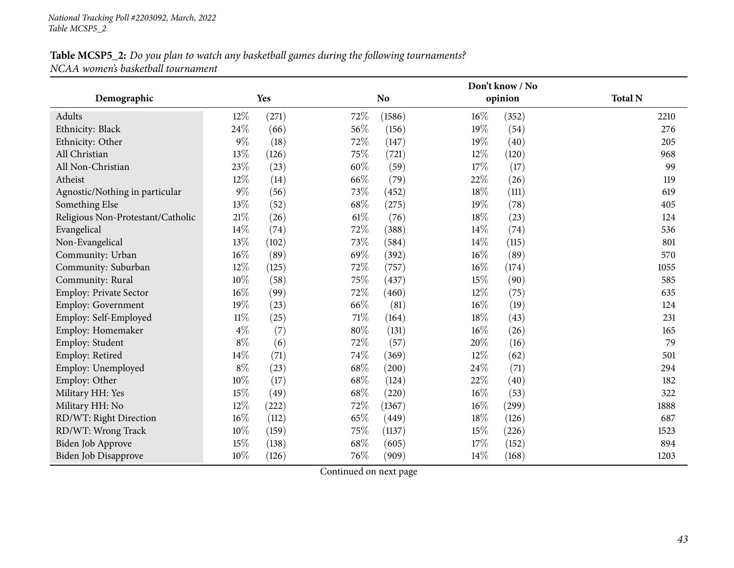|                                   |        |       |        |                |        | Don't know / No |                |
|-----------------------------------|--------|-------|--------|----------------|--------|-----------------|----------------|
| Demographic                       |        | Yes   |        | N <sub>o</sub> |        | opinion         | <b>Total N</b> |
| Adults                            | 12%    | (271) | 72%    | (1586)         | $16\%$ | (352)           | 2210           |
| Ethnicity: Black                  | 24%    | (66)  | 56%    | (156)          | 19%    | (54)            | 276            |
| Ethnicity: Other                  | $9\%$  | (18)  | 72%    | (147)          | 19%    | (40)            | 205            |
| All Christian                     | $13\%$ | (126) | 75%    | (721)          | 12%    | (120)           | 968            |
| All Non-Christian                 | 23%    | (23)  | 60%    | (59)           | 17%    | (17)            | 99             |
| Atheist                           | 12%    | (14)  | 66%    | (79)           | 22%    | (26)            | 119            |
| Agnostic/Nothing in particular    | $9\%$  | (56)  | 73%    | (452)          | 18%    | (111)           | 619            |
| Something Else                    | 13%    | (52)  | 68%    | (275)          | 19%    | (78)            | 405            |
| Religious Non-Protestant/Catholic | $21\%$ | (26)  | 61%    | (76)           | $18\%$ | (23)            | 124            |
| Evangelical                       | 14%    | (74)  | 72%    | (388)          | 14%    | (74)            | 536            |
| Non-Evangelical                   | 13%    | (102) | 73%    | (584)          | 14%    | (115)           | 801            |
| Community: Urban                  | 16%    | (89)  | 69%    | (392)          | $16\%$ | (89)            | 570            |
| Community: Suburban               | 12%    | (125) | 72%    | (757)          | $16\%$ | (174)           | 1055           |
| Community: Rural                  | 10%    | (58)  | 75%    | (437)          | 15%    | (90)            | 585            |
| <b>Employ: Private Sector</b>     | 16%    | (99)  | 72%    | (460)          | 12%    | (75)            | 635            |
| <b>Employ: Government</b>         | 19%    | (23)  | 66%    | (81)           | $16\%$ | (19)            | 124            |
| Employ: Self-Employed             | $11\%$ | (25)  | $71\%$ | (164)          | 18%    | (43)            | 231            |
| Employ: Homemaker                 | $4\%$  | (7)   | 80%    | (131)          | $16\%$ | (26)            | 165            |
| Employ: Student                   | $8\%$  | (6)   | 72%    | (57)           | 20%    | (16)            | 79             |
| Employ: Retired                   | 14%    | (71)  | 74%    | (369)          | $12\%$ | (62)            | 501            |
| Employ: Unemployed                | $8\%$  | (23)  | 68%    | (200)          | 24%    | (71)            | 294            |
| Employ: Other                     | 10%    | (17)  | 68%    | (124)          | 22%    | (40)            | 182            |
| Military HH: Yes                  | 15%    | (49)  | 68%    | (220)          | $16\%$ | (53)            | 322            |
| Military HH: No                   | 12%    | (222) | 72%    | (1367)         | $16\%$ | (299)           | 1888           |
| RD/WT: Right Direction            | 16%    | (112) | 65%    | (449)          | 18%    | (126)           | 687            |
| RD/WT: Wrong Track                | 10%    | (159) | 75%    | (1137)         | 15%    | (226)           | 1523           |
| <b>Biden Job Approve</b>          | 15%    | (138) | 68%    | (605)          | 17%    | (152)           | 894            |
| <b>Biden Job Disapprove</b>       | 10%    | (126) | 76%    | (909)          | 14%    | (168)           | 1203           |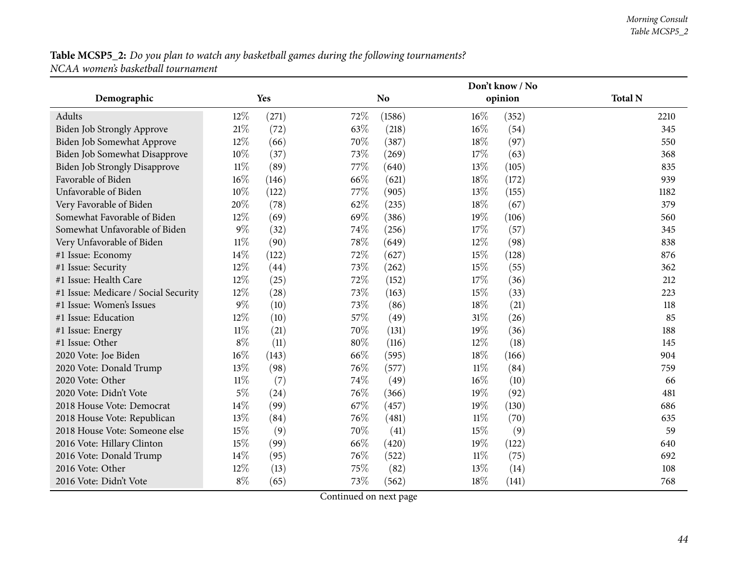|                                      |        |       |     |                |        | Don't know / No |                |
|--------------------------------------|--------|-------|-----|----------------|--------|-----------------|----------------|
| Demographic                          |        | Yes   |     | N <sub>o</sub> |        | opinion         | <b>Total N</b> |
| Adults                               | $12\%$ | (271) | 72% | (1586)         | $16\%$ | (352)           | 2210           |
| Biden Job Strongly Approve           | 21%    | (72)  | 63% | (218)          | $16\%$ | (54)            | 345            |
| Biden Job Somewhat Approve           | 12%    | (66)  | 70% | (387)          | 18%    | (97)            | 550            |
| Biden Job Somewhat Disapprove        | 10%    | (37)  | 73% | (269)          | 17%    | (63)            | 368            |
| <b>Biden Job Strongly Disapprove</b> | $11\%$ | (89)  | 77% | (640)          | 13%    | (105)           | 835            |
| Favorable of Biden                   | $16\%$ | (146) | 66% | (621)          | 18%    | (172)           | 939            |
| Unfavorable of Biden                 | $10\%$ | (122) | 77% | (905)          | 13%    | (155)           | 1182           |
| Very Favorable of Biden              | 20%    | (78)  | 62% | (235)          | 18%    | (67)            | 379            |
| Somewhat Favorable of Biden          | $12\%$ | (69)  | 69% | (386)          | $19\%$ | (106)           | 560            |
| Somewhat Unfavorable of Biden        | $9\%$  | (32)  | 74% | (256)          | 17%    | (57)            | 345            |
| Very Unfavorable of Biden            | $11\%$ | (90)  | 78% | (649)          | 12%    | (98)            | 838            |
| #1 Issue: Economy                    | 14%    | (122) | 72% | (627)          | 15%    | (128)           | 876            |
| #1 Issue: Security                   | 12%    | (44)  | 73% | (262)          | 15%    | (55)            | 362            |
| #1 Issue: Health Care                | 12%    | (25)  | 72% | (152)          | 17%    | (36)            | 212            |
| #1 Issue: Medicare / Social Security | 12%    | (28)  | 73% | (163)          | 15%    | (33)            | 223            |
| #1 Issue: Women's Issues             | $9\%$  | (10)  | 73% | (86)           | 18%    | (21)            | 118            |
| #1 Issue: Education                  | $12\%$ | (10)  | 57% | (49)           | 31%    | (26)            | 85             |
| #1 Issue: Energy                     | $11\%$ | (21)  | 70% | (131)          | 19%    | (36)            | 188            |
| #1 Issue: Other                      | $8\%$  | (11)  | 80% | (116)          | $12\%$ | (18)            | 145            |
| 2020 Vote: Joe Biden                 | $16\%$ | (143) | 66% | (595)          | 18%    | (166)           | 904            |
| 2020 Vote: Donald Trump              | 13%    | (98)  | 76% | (577)          | $11\%$ | (84)            | 759            |
| 2020 Vote: Other                     | $11\%$ | (7)   | 74% | (49)           | $16\%$ | (10)            | 66             |
| 2020 Vote: Didn't Vote               | $5\%$  | (24)  | 76% | (366)          | 19%    | (92)            | 481            |
| 2018 House Vote: Democrat            | 14%    | (99)  | 67% | (457)          | 19%    | (130)           | 686            |
| 2018 House Vote: Republican          | 13%    | (84)  | 76% | (481)          | $11\%$ | (70)            | 635            |
| 2018 House Vote: Someone else        | 15%    | (9)   | 70% | (41)           | 15%    | (9)             | 59             |
| 2016 Vote: Hillary Clinton           | 15%    | (99)  | 66% | (420)          | 19%    | (122)           | 640            |
| 2016 Vote: Donald Trump              | 14%    | (95)  | 76% | (522)          | $11\%$ | (75)            | 692            |
| 2016 Vote: Other                     | $12\%$ | (13)  | 75% | (82)           | 13%    | (14)            | 108            |
| 2016 Vote: Didn't Vote               | $8\%$  | (65)  | 73% | (562)          | 18%    | (141)           | 768            |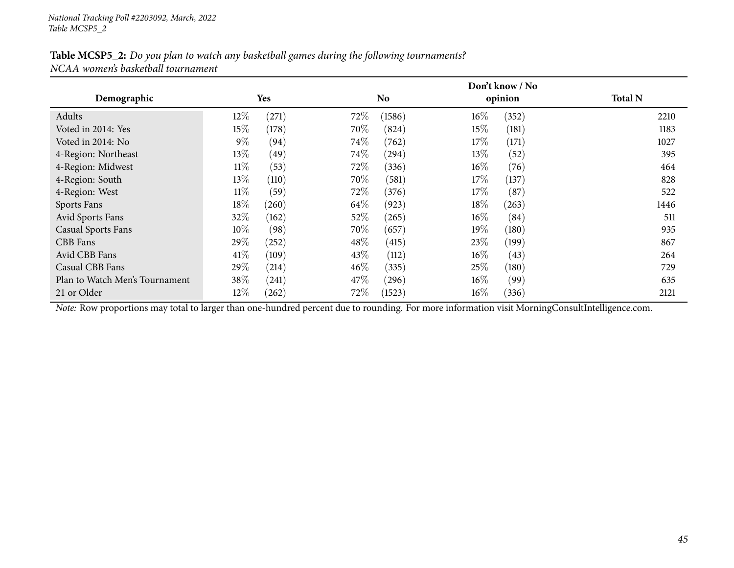|                                |        |            |        |                |        | Don't know / No |                |
|--------------------------------|--------|------------|--------|----------------|--------|-----------------|----------------|
| Demographic                    |        | <b>Yes</b> |        | N <sub>o</sub> |        | opinion         | <b>Total N</b> |
| Adults                         | $12\%$ | (271)      | 72%    | (1586)         | $16\%$ | (352)           | 2210           |
| Voted in 2014: Yes             | 15%    | (178)      | 70\%   | (824)          | $15\%$ | (181)           | 1183           |
| Voted in 2014: No              | $9\%$  | (94)       | $74\%$ | (762)          | $17\%$ | (171)           | 1027           |
| 4-Region: Northeast            | 13\%   | (49)       | 74\%   | (294)          | 13\%   | (52)            | 395            |
| 4-Region: Midwest              | $11\%$ | (53)       | 72\%   | (336)          | $16\%$ | (76)            | 464            |
| 4-Region: South                | 13\%   | (110)      | 70\%   | (581)          | 17\%   | (137)           | 828            |
| 4-Region: West                 | $11\%$ | (59)       | 72\%   | (376)          | 17%    | (87)            | 522            |
| Sports Fans                    | 18\%   | (260)      | 64\%   | (923)          | $18\%$ | (263)           | 1446           |
| Avid Sports Fans               | 32%    | (162)      | 52%    | (265)          | $16\%$ | (84)            | 511            |
| <b>Casual Sports Fans</b>      | $10\%$ | (98)       | 70%    | (657)          | $19\%$ | (180)           | 935            |
| CBB Fans                       | $29\%$ | (252)      | $48\%$ | (415)          | 23\%   | (199)           | 867            |
| Avid CBB Fans                  | 41%    | (109)      | 43\%   | (112)          | $16\%$ | (43)            | 264            |
| Casual CBB Fans                | 29%    | (214)      | $46\%$ | (335)          | 25%    | (180)           | 729            |
| Plan to Watch Men's Tournament | 38\%   | (241)      | 47\%   | (296)          | $16\%$ | (99)            | 635            |
| 21 or Older                    | $12\%$ | (262)      | 72%    | (1523)         | $16\%$ | (336)           | 2121           |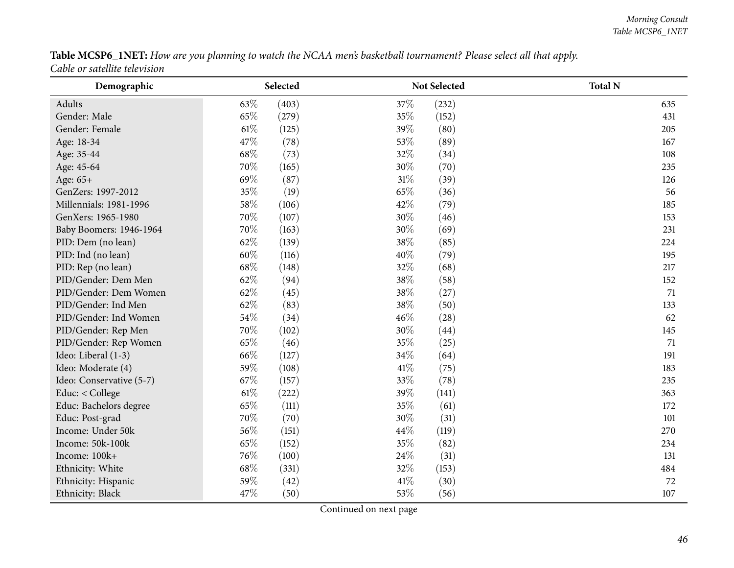Table MCSP6\_1NET: How are you planning to watch the NCAA men's basketball tournament? Please select all that apply. *Cable or satellite television*

| Demographic              |      | Selected |      | Not Selected | <b>Total N</b> |
|--------------------------|------|----------|------|--------------|----------------|
| Adults                   | 63%  | (403)    | 37%  | (232)        | 635            |
| Gender: Male             | 65%  | (279)    | 35%  | (152)        | 431            |
| Gender: Female           | 61\% | (125)    | 39%  | (80)         | 205            |
| Age: 18-34               | 47%  | (78)     | 53%  | (89)         | 167            |
| Age: 35-44               | 68\% | (73)     | 32%  | (34)         | 108            |
| Age: 45-64               | 70%  | (165)    | 30%  | (70)         | 235            |
| Age: 65+                 | 69%  | (87)     | 31%  | (39)         | 126            |
| GenZers: 1997-2012       | 35%  | (19)     | 65%  | (36)         | 56             |
| Millennials: 1981-1996   | 58%  | (106)    | 42%  | (79)         | 185            |
| GenXers: 1965-1980       | 70%  | (107)    | 30%  | (46)         | 153            |
| Baby Boomers: 1946-1964  | 70%  | (163)    | 30%  | (69)         | 231            |
| PID: Dem (no lean)       | 62%  | (139)    | 38%  | (85)         | 224            |
| PID: Ind (no lean)       | 60%  | (116)    | 40%  | (79)         | 195            |
| PID: Rep (no lean)       | 68%  | (148)    | 32%  | (68)         | 217            |
| PID/Gender: Dem Men      | 62%  | (94)     | 38%  | (58)         | 152            |
| PID/Gender: Dem Women    | 62%  | (45)     | 38%  | (27)         | 71             |
| PID/Gender: Ind Men      | 62%  | (83)     | 38%  | (50)         | 133            |
| PID/Gender: Ind Women    | 54%  | (34)     | 46%  | (28)         | 62             |
| PID/Gender: Rep Men      | 70%  | (102)    | 30%  | (44)         | 145            |
| PID/Gender: Rep Women    | 65%  | (46)     | 35%  | (25)         | 71             |
| Ideo: Liberal (1-3)      | 66%  | (127)    | 34%  | (64)         | 191            |
| Ideo: Moderate (4)       | 59%  | (108)    | 41\% | (75)         | 183            |
| Ideo: Conservative (5-7) | 67%  | (157)    | 33%  | (78)         | 235            |
| Educ: < College          | 61%  | (222)    | 39%  | (141)        | 363            |
| Educ: Bachelors degree   | 65%  | (111)    | 35%  | (61)         | 172            |
| Educ: Post-grad          | 70%  | (70)     | 30%  | (31)         | 101            |
| Income: Under 50k        | 56%  | (151)    | 44%  | (119)        | 270            |
| Income: 50k-100k         | 65%  | (152)    | 35%  | (82)         | 234            |
| Income: 100k+            | 76%  | (100)    | 24%  | (31)         | 131            |
| Ethnicity: White         | 68%  | (331)    | 32%  | (153)        | 484            |
| Ethnicity: Hispanic      | 59%  | (42)     | 41%  | (30)         | 72             |
| Ethnicity: Black         | 47\% | (50)     | 53%  | (56)         | 107            |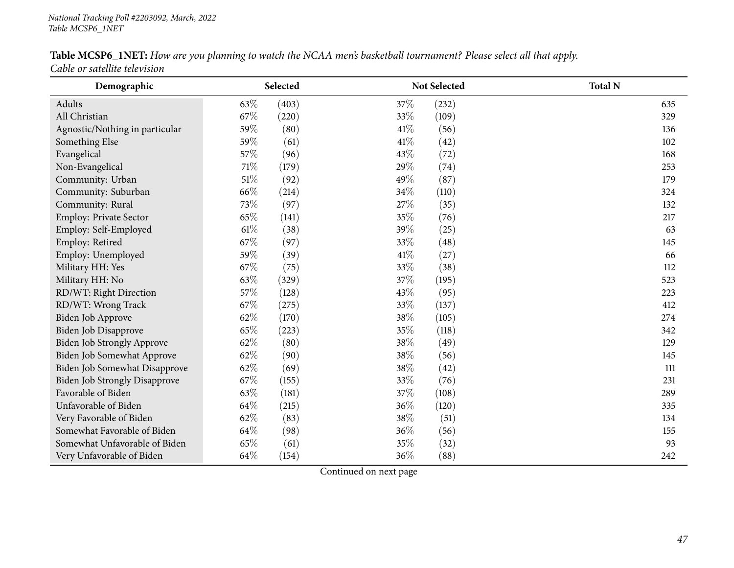# Table MCSP6\_1NET: How are you planning to watch the NCAA men's basketball tournament? Please select all that apply.

*Cable or satellite television*

| Demographic                          |        | Selected |      | Not Selected | <b>Total N</b> |
|--------------------------------------|--------|----------|------|--------------|----------------|
| Adults                               | 63%    | (403)    | 37%  | (232)        | 635            |
| All Christian                        | 67%    | (220)    | 33%  | (109)        | 329            |
| Agnostic/Nothing in particular       | 59%    | (80)     | 41\% | (56)         | 136            |
| Something Else                       | 59%    | (61)     | 41\% | (42)         | 102            |
| Evangelical                          | 57\%   | (96)     | 43%  | (72)         | 168            |
| Non-Evangelical                      | $71\%$ | (179)    | 29%  | (74)         | 253            |
| Community: Urban                     | $51\%$ | (92)     | 49%  | (87)         | 179            |
| Community: Suburban                  | 66%    | (214)    | 34%  | (110)        | 324            |
| Community: Rural                     | 73%    | (97)     | 27%  | (35)         | 132            |
| Employ: Private Sector               | 65%    | (141)    | 35%  | (76)         | 217            |
| Employ: Self-Employed                | $61\%$ | (38)     | 39%  | (25)         | 63             |
| Employ: Retired                      | 67%    | (97)     | 33%  | (48)         | 145            |
| Employ: Unemployed                   | 59%    | (39)     | 41\% | (27)         | 66             |
| Military HH: Yes                     | 67%    | (75)     | 33%  | (38)         | 112            |
| Military HH: No                      | 63%    | (329)    | 37%  | (195)        | 523            |
| RD/WT: Right Direction               | 57%    | (128)    | 43%  | (95)         | 223            |
| RD/WT: Wrong Track                   | 67%    | (275)    | 33%  | (137)        | 412            |
| Biden Job Approve                    | 62%    | (170)    | 38%  | (105)        | 274            |
| Biden Job Disapprove                 | 65%    | (223)    | 35%  | (118)        | 342            |
| Biden Job Strongly Approve           | 62\%   | (80)     | 38%  | (49)         | 129            |
| Biden Job Somewhat Approve           | 62%    | (90)     | 38%  | (56)         | 145            |
| Biden Job Somewhat Disapprove        | 62%    | (69)     | 38%  | (42)         | 111            |
| <b>Biden Job Strongly Disapprove</b> | 67\%   | (155)    | 33%  | (76)         | 231            |
| Favorable of Biden                   | 63%    | (181)    | 37%  | (108)        | 289            |
| Unfavorable of Biden                 | 64%    | (215)    | 36%  | (120)        | 335            |
| Very Favorable of Biden              | 62%    | (83)     | 38%  | (51)         | 134            |
| Somewhat Favorable of Biden          | 64%    | (98)     | 36%  | (56)         | 155            |
| Somewhat Unfavorable of Biden        | 65%    | (61)     | 35%  | (32)         | 93             |
| Very Unfavorable of Biden            | 64\%   | (154)    | 36%  | (88)         | 242            |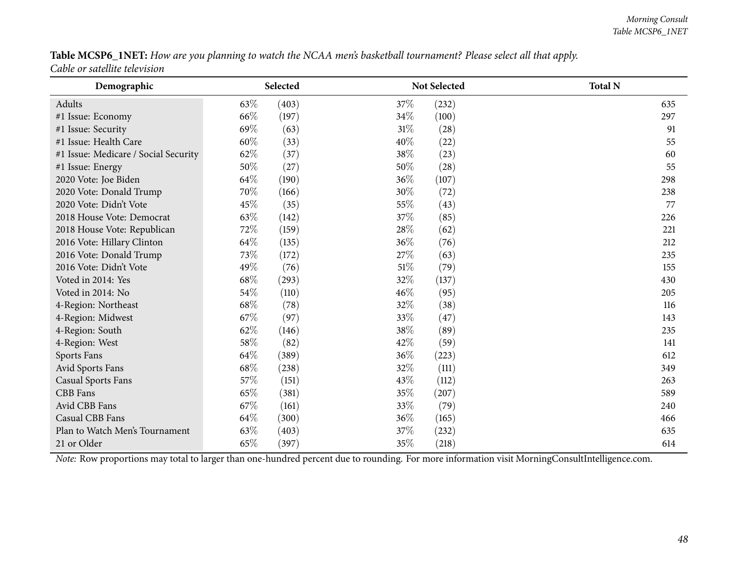#### Table MCSP6\_1NET: How are you planning to watch the NCAA men's basketball tournament? Please select all that apply. *Cable or satellite television*

| Demographic                          | Selected     |              | <b>Not Selected</b> | <b>Total N</b> |
|--------------------------------------|--------------|--------------|---------------------|----------------|
| Adults                               | 63\%         | (403)<br>37% | (232)               | 635            |
| #1 Issue: Economy                    | 66\%         | 34%<br>(197) | (100)               | 297            |
| #1 Issue: Security                   | 69%          | 31%<br>(63)  | (28)                | 91             |
| #1 Issue: Health Care                | 60%          | 40%<br>(33)  | (22)                | 55             |
| #1 Issue: Medicare / Social Security | 62%          | 38%<br>(37)  | (23)                | 60             |
| #1 Issue: Energy                     | 50%          | (27)<br>50%  | (28)                | 55             |
| 2020 Vote: Joe Biden                 | 64%          | 36%<br>(190) | (107)               | 298            |
| 2020 Vote: Donald Trump              | 70%          | 30%<br>(166) | (72)                | 238            |
| 2020 Vote: Didn't Vote               | 45%          | 55%<br>(35)  | (43)                | 77             |
| 2018 House Vote: Democrat            | 63%          | 37%<br>(142) | (85)                | 226            |
| 2018 House Vote: Republican          | 72\%         | 28%<br>(159) | (62)                | 221            |
| 2016 Vote: Hillary Clinton           | 64\%         | 36%<br>(135) | (76)                | 212            |
| 2016 Vote: Donald Trump              | 73%          | 27%<br>(172) | (63)                | 235            |
| 2016 Vote: Didn't Vote               | 49%          | 51%<br>(76)  | (79)                | 155            |
| Voted in 2014: Yes                   | 68\%         | 32%<br>(293) | (137)               | 430            |
| Voted in 2014: No                    | 54%          | 46%<br>(110) | (95)                | 205            |
| 4-Region: Northeast                  | 68%          | 32%<br>(78)  | (38)                | 116            |
| 4-Region: Midwest                    | 67%          | 33%<br>(97)  | (47)                | 143            |
| 4-Region: South                      | 62%          | 38%<br>(146) | (89)                | 235            |
| 4-Region: West                       | 58%          | 42%<br>(82)  | (59)                | 141            |
| Sports Fans                          | 64%<br>(389) | 36%          | (223)               | 612            |
| Avid Sports Fans                     | 68%          | 32%<br>(238) | (111)               | 349            |
| <b>Casual Sports Fans</b>            | 57%          | 43%<br>(151) | (112)               | 263            |
| <b>CBB</b> Fans                      | 65%          | 35%<br>(381) | (207)               | 589            |
| Avid CBB Fans                        | 67\%         | 33%<br>(161) | (79)                | 240            |
| Casual CBB Fans                      | 64%          | 36%<br>(300) | (165)               | 466            |
| Plan to Watch Men's Tournament       | 63%          | 37%<br>(403) | (232)               | 635            |
| 21 or Older                          | 65%          | 35%<br>(397) | (218)               | 614            |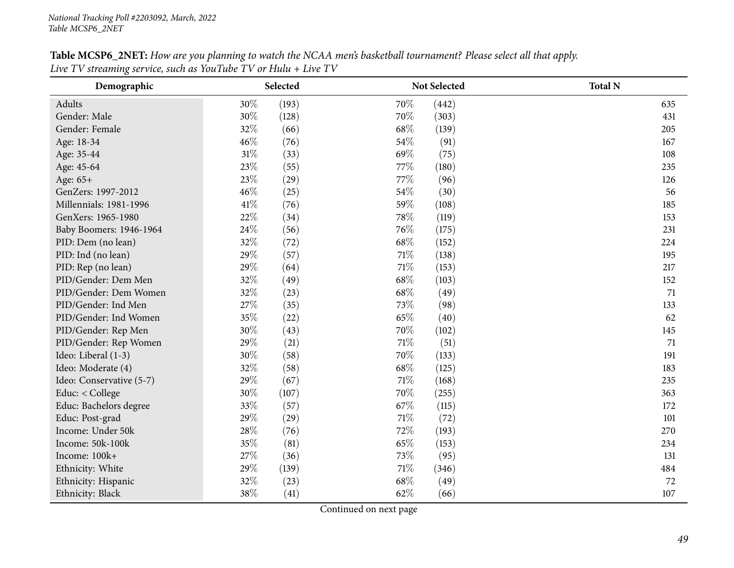## Table MCSP6\_2NET: How are you planning to watch the NCAA men's basketball tournament? Please select all that apply. Live TV streaming service, such as YouTube TV or Hulu + Live TV

| Demographic              |        | Selected |        | Not Selected | <b>Total N</b> |
|--------------------------|--------|----------|--------|--------------|----------------|
| Adults                   | 30%    | (193)    | 70%    | (442)        | 635            |
| Gender: Male             | 30%    | (128)    | 70%    | (303)        | 431            |
| Gender: Female           | 32%    | (66)     | 68%    | (139)        | 205            |
| Age: 18-34               | 46%    | (76)     | 54%    | (91)         | 167            |
| Age: 35-44               | $31\%$ | (33)     | 69%    | (75)         | 108            |
| Age: 45-64               | 23%    | (55)     | 77%    | (180)        | 235            |
| Age: 65+                 | 23%    | (29)     | 77%    | (96)         | 126            |
| GenZers: 1997-2012       | 46%    | (25)     | 54%    | (30)         | 56             |
| Millennials: 1981-1996   | 41\%   | (76)     | 59%    | (108)        | 185            |
| GenXers: 1965-1980       | 22%    | (34)     | 78%    | (119)        | 153            |
| Baby Boomers: 1946-1964  | 24\%   | (56)     | 76\%   | (175)        | 231            |
| PID: Dem (no lean)       | 32%    | (72)     | 68%    | (152)        | 224            |
| PID: Ind (no lean)       | 29%    | (57)     | 71\%   | (138)        | 195            |
| PID: Rep (no lean)       | 29%    | (64)     | 71%    | (153)        | 217            |
| PID/Gender: Dem Men      | 32%    | (49)     | 68%    | (103)        | 152            |
| PID/Gender: Dem Women    | 32%    | (23)     | 68%    | (49)         | 71             |
| PID/Gender: Ind Men      | 27%    | (35)     | 73%    | (98)         | 133            |
| PID/Gender: Ind Women    | 35%    | (22)     | 65%    | (40)         | 62             |
| PID/Gender: Rep Men      | 30%    | (43)     | 70%    | (102)        | 145            |
| PID/Gender: Rep Women    | 29%    | (21)     | $71\%$ | (51)         | 71             |
| Ideo: Liberal (1-3)      | 30%    | (58)     | 70%    | (133)        | 191            |
| Ideo: Moderate (4)       | 32%    | (58)     | 68%    | (125)        | 183            |
| Ideo: Conservative (5-7) | 29%    | (67)     | 71\%   | (168)        | 235            |
| Educ: < College          | 30%    | (107)    | 70%    | (255)        | 363            |
| Educ: Bachelors degree   | 33%    | (57)     | 67\%   | (115)        | 172            |
| Educ: Post-grad          | 29%    | (29)     | $71\%$ | (72)         | 101            |
| Income: Under 50k        | 28\%   | (76)     | 72%    | (193)        | 270            |
| Income: 50k-100k         | 35%    | (81)     | 65%    | (153)        | 234            |
| Income: 100k+            | 27%    | (36)     | 73%    | (95)         | 131            |
| Ethnicity: White         | 29%    | (139)    | 71\%   | (346)        | 484            |
| Ethnicity: Hispanic      | 32%    | (23)     | 68%    | (49)         | 72             |
| Ethnicity: Black         | 38%    | (41)     | 62%    | (66)         | 107            |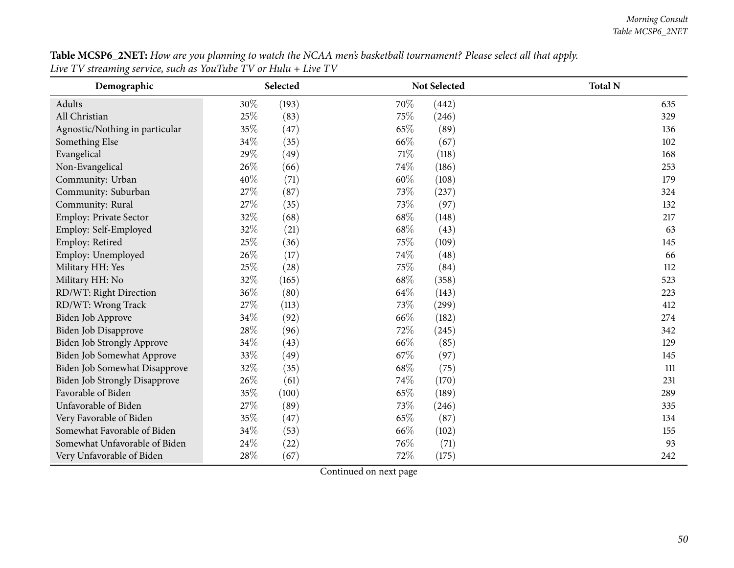Table MCSP6\_2NET: How are you planning to watch the NCAA men's basketball tournament? Please select all that apply. Live TV streaming service, such as YouTube TV or Hulu + Live TV

| Demographic                          |      | Selected |      | Not Selected | <b>Total N</b> |
|--------------------------------------|------|----------|------|--------------|----------------|
| Adults                               | 30%  | (193)    | 70%  | (442)        | 635            |
| All Christian                        | 25%  | (83)     | 75%  | (246)        | 329            |
| Agnostic/Nothing in particular       | 35%  | (47)     | 65%  | (89)         | 136            |
| Something Else                       | 34%  | (35)     | 66%  | (67)         | 102            |
| Evangelical                          | 29%  | (49)     | 71%  | (118)        | 168            |
| Non-Evangelical                      | 26%  | (66)     | 74%  | (186)        | 253            |
| Community: Urban                     | 40%  | (71)     | 60%  | (108)        | 179            |
| Community: Suburban                  | 27\% | (87)     | 73%  | (237)        | 324            |
| Community: Rural                     | 27%  | (35)     | 73%  | (97)         | 132            |
| Employ: Private Sector               | 32%  | (68)     | 68\% | (148)        | 217            |
| Employ: Self-Employed                | 32%  | (21)     | 68%  | (43)         | 63             |
| Employ: Retired                      | 25%  | (36)     | 75%  | (109)        | 145            |
| Employ: Unemployed                   | 26%  | (17)     | 74%  | (48)         | 66             |
| Military HH: Yes                     | 25%  | (28)     | 75%  | (84)         | 112            |
| Military HH: No                      | 32%  | (165)    | 68%  | (358)        | 523            |
| RD/WT: Right Direction               | 36%  | (80)     | 64%  | (143)        | 223            |
| RD/WT: Wrong Track                   | 27%  | (113)    | 73%  | (299)        | 412            |
| Biden Job Approve                    | 34%  | (92)     | 66\% | (182)        | 274            |
| Biden Job Disapprove                 | 28%  | (96)     | 72%  | (245)        | 342            |
| Biden Job Strongly Approve           | 34\% | (43)     | 66%  | (85)         | 129            |
| Biden Job Somewhat Approve           | 33%  | (49)     | 67%  | (97)         | 145            |
| Biden Job Somewhat Disapprove        | 32%  | (35)     | 68%  | (75)         | 111            |
| <b>Biden Job Strongly Disapprove</b> | 26%  | (61)     | 74%  | (170)        | 231            |
| Favorable of Biden                   | 35%  | (100)    | 65%  | (189)        | 289            |
| Unfavorable of Biden                 | 27%  | (89)     | 73%  | (246)        | 335            |
| Very Favorable of Biden              | 35%  | (47)     | 65%  | (87)         | 134            |
| Somewhat Favorable of Biden          | 34\% | (53)     | 66%  | (102)        | 155            |
| Somewhat Unfavorable of Biden        | 24\% | (22)     | 76%  | (71)         | 93             |
| Very Unfavorable of Biden            | 28%  | (67)     | 72%  | (175)        | 242            |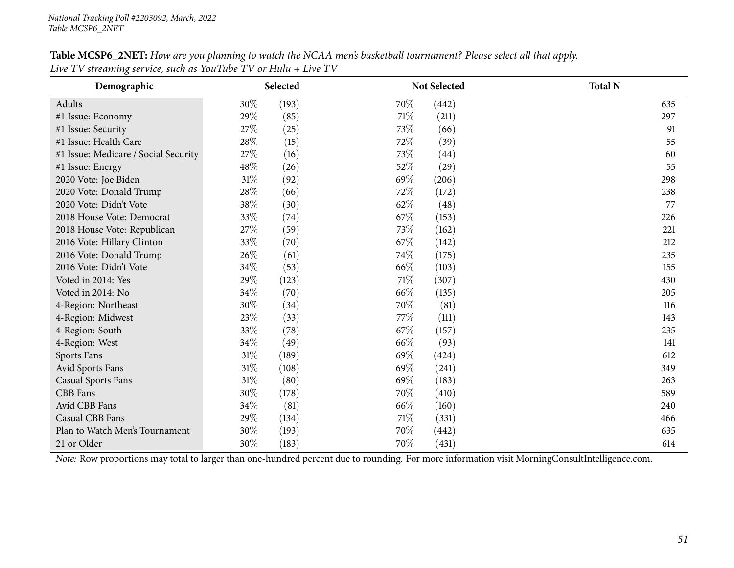| Table MCSP6_2NET: How are you planning to watch the NCAA men's basketball tournament? Please select all that apply. |  |
|---------------------------------------------------------------------------------------------------------------------|--|
| Live TV streaming service, such as YouTube TV or Hulu + Live TV                                                     |  |

| Demographic                          | Selected |       |      | <b>Not Selected</b> | <b>Total N</b> |
|--------------------------------------|----------|-------|------|---------------------|----------------|
| Adults                               | 30%      | (193) | 70%  | (442)               | 635            |
| #1 Issue: Economy                    | 29%      | (85)  | 71\% | (211)               | 297            |
| #1 Issue: Security                   | 27%      | (25)  | 73%  | (66)                | 91             |
| #1 Issue: Health Care                | 28%      | (15)  | 72%  | (39)                | 55             |
| #1 Issue: Medicare / Social Security | $27\%$   | (16)  | 73%  | (44)                | 60             |
| #1 Issue: Energy                     | 48%      | (26)  | 52%  | (29)                | 55             |
| 2020 Vote: Joe Biden                 | $31\%$   | (92)  | 69%  | (206)               | 298            |
| 2020 Vote: Donald Trump              | 28%      | (66)  | 72%  | (172)               | 238            |
| 2020 Vote: Didn't Vote               | 38%      | (30)  | 62%  | (48)                | 77             |
| 2018 House Vote: Democrat            | 33%      | (74)  | 67\% | (153)               | 226            |
| 2018 House Vote: Republican          | 27%      | (59)  | 73%  | (162)               | 221            |
| 2016 Vote: Hillary Clinton           | 33%      | (70)  | 67\% | (142)               | 212            |
| 2016 Vote: Donald Trump              | 26\%     | (61)  | 74%  | (175)               | 235            |
| 2016 Vote: Didn't Vote               | 34\%     | (53)  | 66\% | (103)               | 155            |
| Voted in 2014: Yes                   | 29%      | (123) | 71%  | (307)               | 430            |
| Voted in 2014: No                    | 34%      | (70)  | 66%  | (135)               | 205            |
| 4-Region: Northeast                  | 30%      | (34)  | 70%  | (81)                | 116            |
| 4-Region: Midwest                    | 23%      | (33)  | 77%  | (111)               | 143            |
| 4-Region: South                      | 33%      | (78)  | 67\% | (157)               | 235            |
| 4-Region: West                       | 34%      | (49)  | 66\% | (93)                | 141            |
| Sports Fans                          | 31%      | (189) | 69%  | (424)               | 612            |
| Avid Sports Fans                     | 31%      | (108) | 69%  | (241)               | 349            |
| <b>Casual Sports Fans</b>            | 31%      | (80)  | 69%  | (183)               | 263            |
| CBB Fans                             | 30%      | (178) | 70%  | (410)               | 589            |
| Avid CBB Fans                        | 34\%     | (81)  | 66%  | (160)               | 240            |
| Casual CBB Fans                      | 29%      | (134) | 71\% | (331)               | 466            |
| Plan to Watch Men's Tournament       | 30%      | (193) | 70%  | (442)               | 635            |
| 21 or Older                          | 30%      | (183) | 70%  | (431)               | 614            |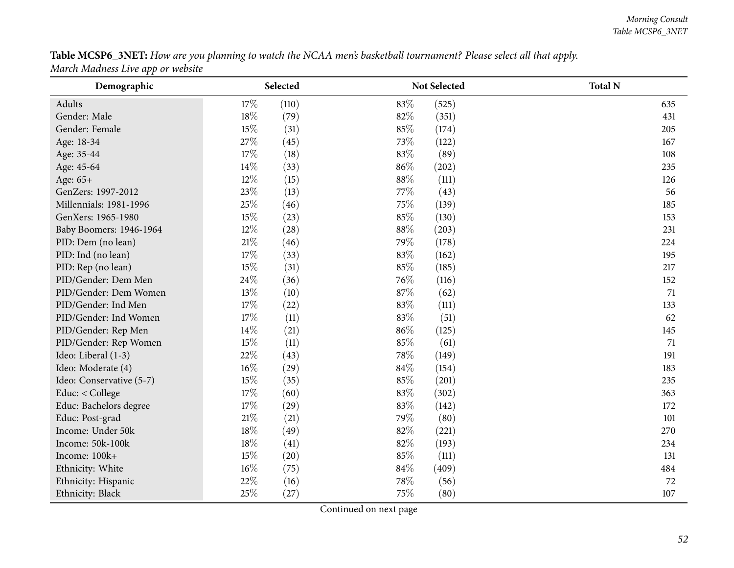Table MCSP6\_3NET: How are you planning to watch the NCAA men's basketball tournament? Please select all that apply. *March Madness Live app or website*

| Demographic              | Selected       |     | Not Selected | <b>Total N</b> |
|--------------------------|----------------|-----|--------------|----------------|
| Adults                   | 17%<br>(110)   | 83% | (525)        | 635            |
| Gender: Male             | 18%<br>(79)    | 82% | (351)        | 431            |
| Gender: Female           | 15%<br>(31)    | 85% | (174)        | 205            |
| Age: 18-34               | 27%<br>(45)    | 73% | (122)        | 167            |
| Age: 35-44               | 17%<br>(18)    | 83% | (89)         | 108            |
| Age: 45-64               | 14%<br>(33)    | 86% | (202)        | 235            |
| Age: 65+                 | 12%<br>(15)    | 88% | (111)        | 126            |
| GenZers: 1997-2012       | 23%<br>(13)    | 77% | (43)         | 56             |
| Millennials: 1981-1996   | 25%<br>(46)    | 75% | (139)        | 185            |
| GenXers: 1965-1980       | 15%<br>(23)    | 85% | (130)        | 153            |
| Baby Boomers: 1946-1964  | $12\%$<br>(28) | 88% | (203)        | 231            |
| PID: Dem (no lean)       | $21\%$<br>(46) | 79% | (178)        | 224            |
| PID: Ind (no lean)       | 17%<br>(33)    | 83% | (162)        | 195            |
| PID: Rep (no lean)       | 15%<br>(31)    | 85% | (185)        | 217            |
| PID/Gender: Dem Men      | 24%<br>(36)    | 76% | (116)        | 152            |
| PID/Gender: Dem Women    | 13%<br>(10)    | 87% | (62)         | 71             |
| PID/Gender: Ind Men      | $17\%$<br>(22) | 83% | (111)        | 133            |
| PID/Gender: Ind Women    | 17%<br>(11)    | 83% | (51)         | 62             |
| PID/Gender: Rep Men      | 14%<br>(21)    | 86% | (125)        | 145            |
| PID/Gender: Rep Women    | 15%<br>(11)    | 85% | (61)         | 71             |
| Ideo: Liberal (1-3)      | 22%<br>(43)    | 78% | (149)        | 191            |
| Ideo: Moderate (4)       | $16\%$<br>(29) | 84% | (154)        | 183            |
| Ideo: Conservative (5-7) | 15%<br>(35)    | 85% | (201)        | 235            |
| Educ: < College          | $17\%$<br>(60) | 83% | (302)        | 363            |
| Educ: Bachelors degree   | $17\%$<br>(29) | 83% | (142)        | 172            |
| Educ: Post-grad          | $21\%$<br>(21) | 79% | (80)         | 101            |
| Income: Under 50k        | 18%<br>(49)    | 82% | (221)        | 270            |
| Income: 50k-100k         | 18%<br>(41)    | 82% | (193)        | 234            |
| Income: 100k+            | 15%<br>(20)    | 85% | (111)        | 131            |
| Ethnicity: White         | $16\%$<br>(75) | 84% | (409)        | 484            |
| Ethnicity: Hispanic      | 22%<br>(16)    | 78% | (56)         | 72             |
| Ethnicity: Black         | 25%<br>(27)    | 75% | (80)         | 107            |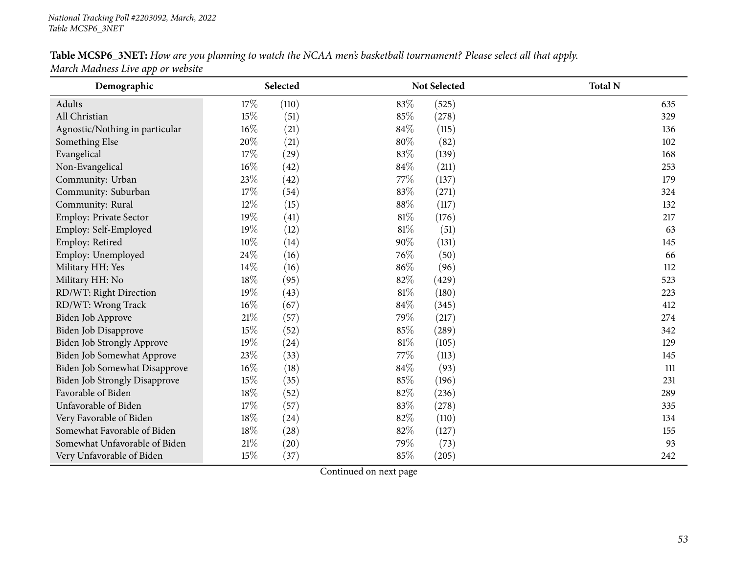## Table MCSP6\_3NET: How are you planning to watch the NCAA men's basketball tournament? Please select all that apply. *March Madness Live app or website*

| Demographic                          | Selected       | Not Selected    | <b>Total N</b> |
|--------------------------------------|----------------|-----------------|----------------|
| Adults                               | 17%<br>(110)   | 83%<br>(525)    | 635            |
| All Christian                        | 15%<br>(51)    | 85%<br>(278)    | 329            |
| Agnostic/Nothing in particular       | $16\%$<br>(21) | 84%<br>(115)    | 136            |
| Something Else                       | 20%<br>(21)    | 80%<br>(82)     | 102            |
| Evangelical                          | 17%<br>(29)    | 83%<br>(139)    | 168            |
| Non-Evangelical                      | 16%<br>(42)    | 84%<br>(211)    | 253            |
| Community: Urban                     | 23\%<br>(42)   | 77%<br>(137)    | 179            |
| Community: Suburban                  | 17%<br>(54)    | 83%<br>(271)    | 324            |
| Community: Rural                     | 12%<br>(15)    | 88%<br>(117)    | 132            |
| Employ: Private Sector               | 19%<br>(41)    | 81%<br>(176)    | 217            |
| Employ: Self-Employed                | 19%<br>(12)    | 81%<br>(51)     | 63             |
| Employ: Retired                      | 10%<br>(14)    | 90%<br>(131)    | 145            |
| Employ: Unemployed                   | 24%<br>(16)    | 76%<br>(50)     | 66             |
| Military HH: Yes                     | 14%<br>(16)    | 86%<br>(96)     | 112            |
| Military HH: No                      | 18%<br>(95)    | 82%<br>(429)    | 523            |
| RD/WT: Right Direction               | 19%<br>(43)    | 81\%<br>(180)   | 223            |
| RD/WT: Wrong Track                   | 16%<br>(67)    | $84\%$<br>(345) | 412            |
| Biden Job Approve                    | $21\%$<br>(57) | 79%<br>(217)    | 274            |
| Biden Job Disapprove                 | 15%<br>(52)    | 85%<br>(289)    | 342            |
| Biden Job Strongly Approve           | 19%<br>(24)    | 81%<br>(105)    | 129            |
| Biden Job Somewhat Approve           | 23%<br>(33)    | 77\%<br>(113)   | 145            |
| Biden Job Somewhat Disapprove        | 16%<br>(18)    | 84%<br>(93)     | 111            |
| <b>Biden Job Strongly Disapprove</b> | 15%<br>(35)    | 85%<br>(196)    | 231            |
| Favorable of Biden                   | 18%<br>(52)    | 82%<br>(236)    | 289            |
| Unfavorable of Biden                 | 17%<br>(57)    | 83%<br>(278)    | 335            |
| Very Favorable of Biden              | 18%<br>(24)    | 82%<br>(110)    | 134            |
| Somewhat Favorable of Biden          | 18%<br>(28)    | 82%<br>(127)    | 155            |
| Somewhat Unfavorable of Biden        | 21%<br>(20)    | 79%<br>(73)     | 93             |
| Very Unfavorable of Biden            | 15%<br>(37)    | 85%<br>(205)    | 242            |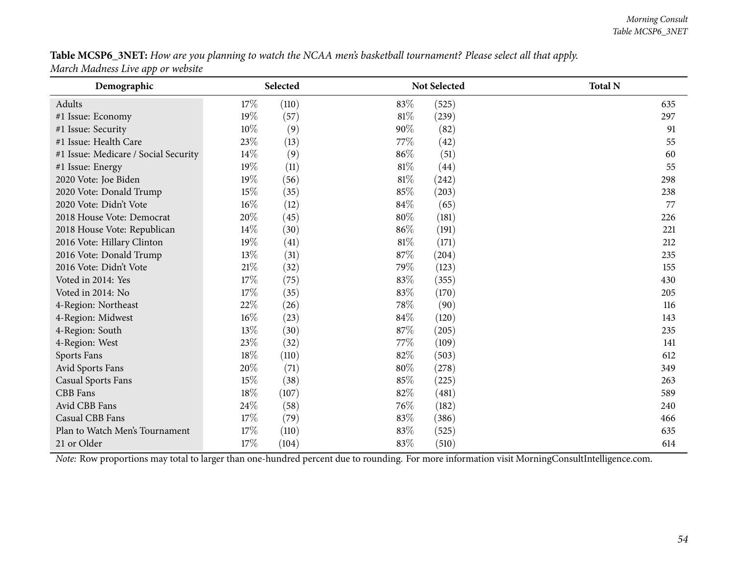Table MCSP6\_3NET: How are you planning to watch the NCAA men's basketball tournament? Please select all that apply. *March Madness Live app or website*

| Demographic                          |        | Selected |        | <b>Not Selected</b> | <b>Total N</b> |
|--------------------------------------|--------|----------|--------|---------------------|----------------|
| Adults                               | 17%    | (110)    | 83%    | (525)               | 635            |
| #1 Issue: Economy                    | 19%    | (57)     | 81%    | (239)               | 297            |
| #1 Issue: Security                   | $10\%$ | (9)      | 90%    | (82)                | 91             |
| #1 Issue: Health Care                | 23%    | (13)     | 77\%   | (42)                | 55             |
| #1 Issue: Medicare / Social Security | $14\%$ | (9)      | 86%    | (51)                | 60             |
| #1 Issue: Energy                     | 19%    | (11)     | $81\%$ | (44)                | 55             |
| 2020 Vote: Joe Biden                 | 19%    | (56)     | 81%    | (242)               | 298            |
| 2020 Vote: Donald Trump              | 15%    | (35)     | 85%    | (203)               | 238            |
| 2020 Vote: Didn't Vote               | 16%    | (12)     | 84%    | (65)                | 77             |
| 2018 House Vote: Democrat            | 20%    | (45)     | 80%    | (181)               | 226            |
| 2018 House Vote: Republican          | 14%    | (30)     | 86%    | (191)               | 221            |
| 2016 Vote: Hillary Clinton           | 19%    | (41)     | 81%    | (171)               | 212            |
| 2016 Vote: Donald Trump              | 13%    | (31)     | 87%    | (204)               | 235            |
| 2016 Vote: Didn't Vote               | 21%    | (32)     | 79%    | (123)               | 155            |
| Voted in 2014: Yes                   | 17%    | (75)     | 83%    | (355)               | 430            |
| Voted in 2014: No                    | 17\%   | (35)     | 83\%   | (170)               | 205            |
| 4-Region: Northeast                  | 22\%   | (26)     | 78%    | (90)                | 116            |
| 4-Region: Midwest                    | 16%    | (23)     | 84%    | (120)               | 143            |
| 4-Region: South                      | 13%    | (30)     | 87%    | (205)               | 235            |
| 4-Region: West                       | 23%    | (32)     | 77\%   | (109)               | 141            |
| Sports Fans                          | 18%    | (110)    | 82%    | (503)               | 612            |
| Avid Sports Fans                     | 20%    | (71)     | 80%    | (278)               | 349            |
| <b>Casual Sports Fans</b>            | 15%    | (38)     | 85%    | (225)               | 263            |
| CBB Fans                             | 18%    | (107)    | 82%    | (481)               | 589            |
| Avid CBB Fans                        | 24%    | (58)     | 76\%   | (182)               | 240            |
| Casual CBB Fans                      | 17%    | (79)     | 83%    | (386)               | 466            |
| Plan to Watch Men's Tournament       | 17%    | (110)    | 83%    | (525)               | 635            |
| 21 or Older                          | 17%    | (104)    | 83%    | (510)               | 614            |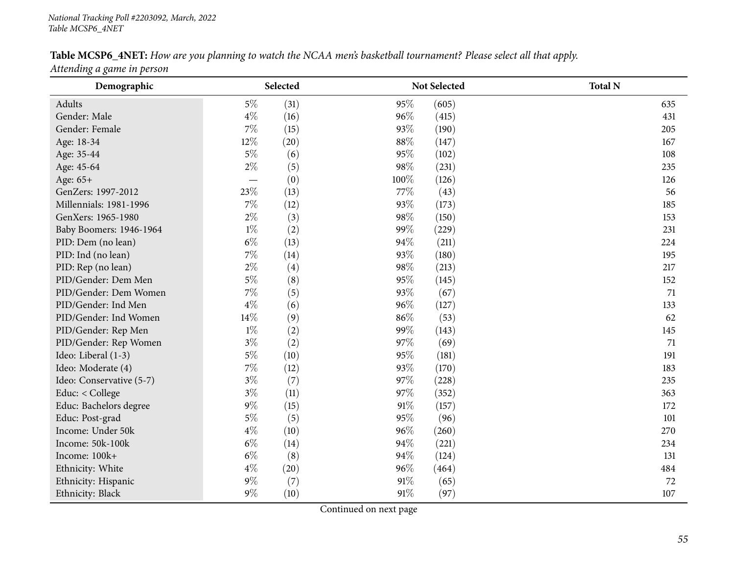## Table MCSP6\_4NET: How are you planning to watch the NCAA men's basketball tournament? Please select all that apply.

*Attending <sup>a</sup> game in person*

| Demographic              |       | Selected |      | Not Selected | <b>Total N</b> |
|--------------------------|-------|----------|------|--------------|----------------|
| Adults                   | $5\%$ | (31)     | 95%  | (605)        | 635            |
| Gender: Male             | $4\%$ | (16)     | 96%  | (415)        | 431            |
| Gender: Female           | $7\%$ | (15)     | 93%  | (190)        | 205            |
| Age: 18-34               | 12%   | (20)     | 88%  | (147)        | 167            |
| Age: 35-44               | $5\%$ | (6)      | 95%  | (102)        | 108            |
| Age: 45-64               | $2\%$ | (5)      | 98%  | (231)        | 235            |
| Age: 65+                 |       | (0)      | 100% | (126)        | 126            |
| GenZers: 1997-2012       | 23\%  | (13)     | 77%  | (43)         | 56             |
| Millennials: 1981-1996   | $7\%$ | (12)     | 93%  | (173)        | 185            |
| GenXers: 1965-1980       | $2\%$ | (3)      | 98%  | (150)        | 153            |
| Baby Boomers: 1946-1964  | $1\%$ | (2)      | 99%  | (229)        | 231            |
| PID: Dem (no lean)       | $6\%$ | (13)     | 94%  | (211)        | 224            |
| PID: Ind (no lean)       | $7\%$ | (14)     | 93%  | (180)        | 195            |
| PID: Rep (no lean)       | $2\%$ | (4)      | 98%  | (213)        | 217            |
| PID/Gender: Dem Men      | $5\%$ | (8)      | 95%  | (145)        | 152            |
| PID/Gender: Dem Women    | $7\%$ | (5)      | 93%  | (67)         | 71             |
| PID/Gender: Ind Men      | $4\%$ | (6)      | 96%  | (127)        | 133            |
| PID/Gender: Ind Women    | 14%   | (9)      | 86%  | (53)         | 62             |
| PID/Gender: Rep Men      | $1\%$ | (2)      | 99%  | (143)        | 145            |
| PID/Gender: Rep Women    | $3\%$ | (2)      | 97%  | (69)         | 71             |
| Ideo: Liberal (1-3)      | $5\%$ | (10)     | 95%  | (181)        | 191            |
| Ideo: Moderate (4)       | $7\%$ | (12)     | 93%  | (170)        | 183            |
| Ideo: Conservative (5-7) | $3\%$ | (7)      | 97%  | (228)        | 235            |
| Educ: < College          | $3\%$ | (11)     | 97%  | (352)        | 363            |
| Educ: Bachelors degree   | $9\%$ | (15)     | 91%  | (157)        | 172            |
| Educ: Post-grad          | $5\%$ | (5)      | 95%  | (96)         | 101            |
| Income: Under 50k        | $4\%$ | (10)     | 96%  | (260)        | 270            |
| Income: 50k-100k         | $6\%$ | (14)     | 94%  | (221)        | 234            |
| Income: 100k+            | $6\%$ | (8)      | 94%  | (124)        | 131            |
| Ethnicity: White         | $4\%$ | (20)     | 96%  | (464)        | 484            |
| Ethnicity: Hispanic      | $9\%$ | (7)      | 91%  | (65)         | 72             |
| Ethnicity: Black         | 9%    | (10)     | 91%  | (97)         | 107            |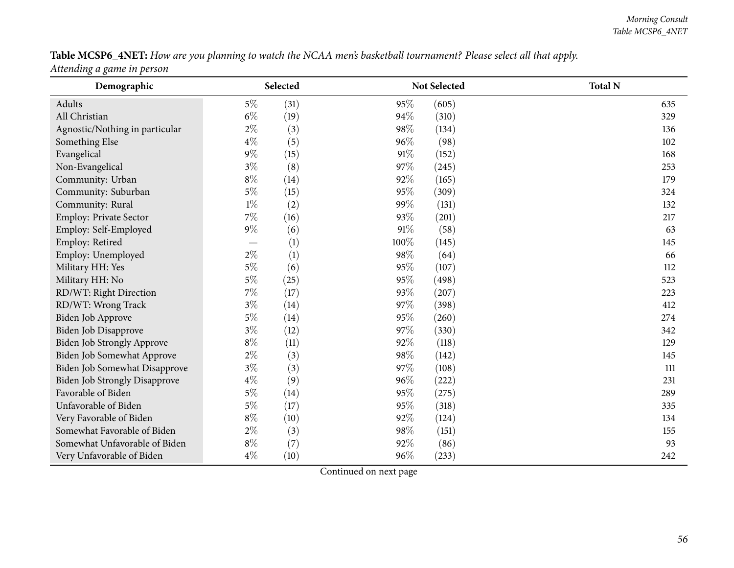# Table MCSP6\_4NET: How are you planning to watch the NCAA men's basketball tournament? Please select all that apply.

*Attending <sup>a</sup> game in person*

| Demographic                          | Selected                 |             | Not Selected | <b>Total N</b> |
|--------------------------------------|--------------------------|-------------|--------------|----------------|
| Adults                               | $5\%$<br>(31)            | 95%         | (605)        | 635            |
| All Christian                        | $6\%$<br>(19)            | 94%         | (310)        | 329            |
| Agnostic/Nothing in particular       | $2\%$                    | (3)<br>98%  | (134)        | 136            |
| Something Else                       | $4\%$                    | (5)<br>96%  | (98)         | 102            |
| Evangelical                          | $9\%$<br>(15)            | 91%         | (152)        | 168            |
| Non-Evangelical                      | $3\%$<br>(8)             | 97%         | (245)        | 253            |
| Community: Urban                     | $8\%$<br>(14)            | 92%         | (165)        | 179            |
| Community: Suburban                  | $5\%$<br>(15)            | 95%         | (309)        | 324            |
| Community: Rural                     | $1\%$<br>(2)             | 99%         | (131)        | 132            |
| Employ: Private Sector               | $7\%$<br>(16)            | 93%         | (201)        | 217            |
| Employ: Self-Employed                | $9\%$<br>(6)             | 91%         | (58)         | 63             |
| Employ: Retired                      | $\overline{\phantom{0}}$ | (1)<br>100% | (145)        | 145            |
| Employ: Unemployed                   | $2\%$                    | (1)<br>98%  | (64)         | 66             |
| Military HH: Yes                     | $5\%$<br>(6)             | 95%         | (107)        | 112            |
| Military HH: No                      | $5\%$<br>(25)            | 95%         | (498)        | 523            |
| RD/WT: Right Direction               | $7\%$<br>(17)            | 93%         | (207)        | 223            |
| RD/WT: Wrong Track                   | $3\%$<br>(14)            | 97%         | (398)        | 412            |
| Biden Job Approve                    | $5\%$<br>(14)            | 95%         | (260)        | 274            |
| Biden Job Disapprove                 | $3\%$<br>(12)            | 97%         | (330)        | 342            |
| Biden Job Strongly Approve           | $8\%$<br>(11)            | 92%         | (118)        | 129            |
| Biden Job Somewhat Approve           | $2\%$                    | (3)<br>98%  | (142)        | 145            |
| Biden Job Somewhat Disapprove        | $3\%$                    | 97%<br>(3)  | (108)        | 111            |
| <b>Biden Job Strongly Disapprove</b> | $4\%$<br>(9)             | 96%         | (222)        | 231            |
| Favorable of Biden                   | $5\%$<br>(14)            | 95%         | (275)        | 289            |
| Unfavorable of Biden                 | $5\%$<br>(17)            | 95%         | (318)        | 335            |
| Very Favorable of Biden              | $8\%$<br>(10)            | 92%         | (124)        | 134            |
| Somewhat Favorable of Biden          | $2\%$                    | (3)<br>98%  | (151)        | 155            |
| Somewhat Unfavorable of Biden        | $8\%$<br>(7)             | 92%         | (86)         | 93             |
| Very Unfavorable of Biden            | $4\%$<br>(10)            | 96%         | (233)        | 242            |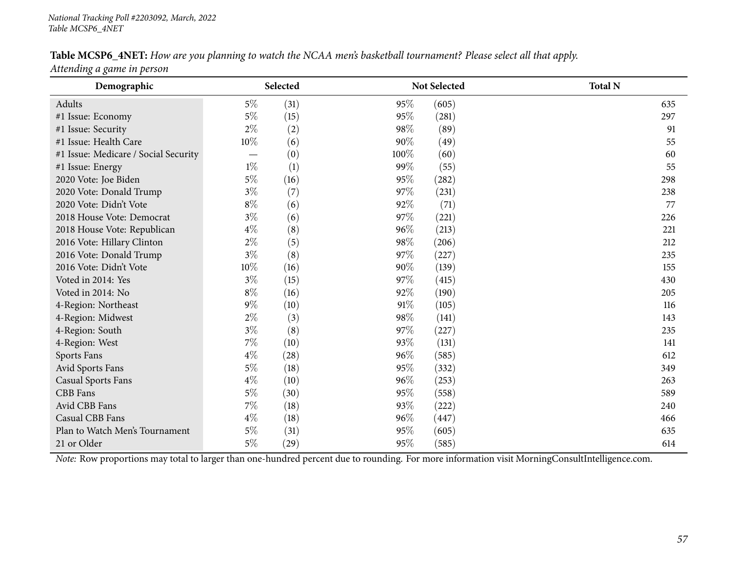## Table MCSP6\_4NET: How are you planning to watch the NCAA men's basketball tournament? Please select all that apply.

*Attending <sup>a</sup> game in person*

| Demographic                          |        | Selected |      | <b>Not Selected</b> | <b>Total N</b> |
|--------------------------------------|--------|----------|------|---------------------|----------------|
| Adults                               | $5\%$  | (31)     | 95%  | (605)               | 635            |
| #1 Issue: Economy                    | $5\%$  | (15)     | 95%  | (281)               | 297            |
| #1 Issue: Security                   | $2\%$  | (2)      | 98%  | (89)                | 91             |
| #1 Issue: Health Care                | 10%    | (6)      | 90%  | (49)                | 55             |
| #1 Issue: Medicare / Social Security |        | (0)      | 100% | (60)                | 60             |
| #1 Issue: Energy                     | $1\%$  | (1)      | 99%  | (55)                | 55             |
| 2020 Vote: Joe Biden                 | $5\%$  | (16)     | 95%  | (282)               | 298            |
| 2020 Vote: Donald Trump              | $3\%$  | (7)      | 97%  | (231)               | 238            |
| 2020 Vote: Didn't Vote               | $8\%$  | (6)      | 92%  | (71)                | 77             |
| 2018 House Vote: Democrat            | $3\%$  | (6)      | 97%  | (221)               | 226            |
| 2018 House Vote: Republican          | $4\%$  | (8)      | 96%  | (213)               | 221            |
| 2016 Vote: Hillary Clinton           | $2\%$  | (5)      | 98%  | (206)               | 212            |
| 2016 Vote: Donald Trump              | $3\%$  | (8)      | 97%  | (227)               | 235            |
| 2016 Vote: Didn't Vote               | $10\%$ | (16)     | 90%  | (139)               | 155            |
| Voted in 2014: Yes                   | $3\%$  | (15)     | 97%  | (415)               | 430            |
| Voted in 2014: No                    | $8\%$  | (16)     | 92%  | (190)               | 205            |
| 4-Region: Northeast                  | $9\%$  | (10)     | 91%  | (105)               | 116            |
| 4-Region: Midwest                    | $2\%$  | (3)      | 98%  | (141)               | 143            |
| 4-Region: South                      | $3\%$  | (8)      | 97%  | (227)               | 235            |
| 4-Region: West                       | $7\%$  | (10)     | 93%  | (131)               | 141            |
| Sports Fans                          | $4\%$  | (28)     | 96%  | (585)               | 612            |
| Avid Sports Fans                     | $5\%$  | (18)     | 95%  | (332)               | 349            |
| <b>Casual Sports Fans</b>            | $4\%$  | (10)     | 96%  | (253)               | 263            |
| CBB Fans                             | $5\%$  | (30)     | 95%  | (558)               | 589            |
| Avid CBB Fans                        | $7\%$  | (18)     | 93%  | (222)               | 240            |
| <b>Casual CBB Fans</b>               | $4\%$  | (18)     | 96%  | (447)               | 466            |
| Plan to Watch Men's Tournament       | $5\%$  | (31)     | 95%  | (605)               | 635            |
| 21 or Older                          | $5\%$  | (29)     | 95%  | (585)               | 614            |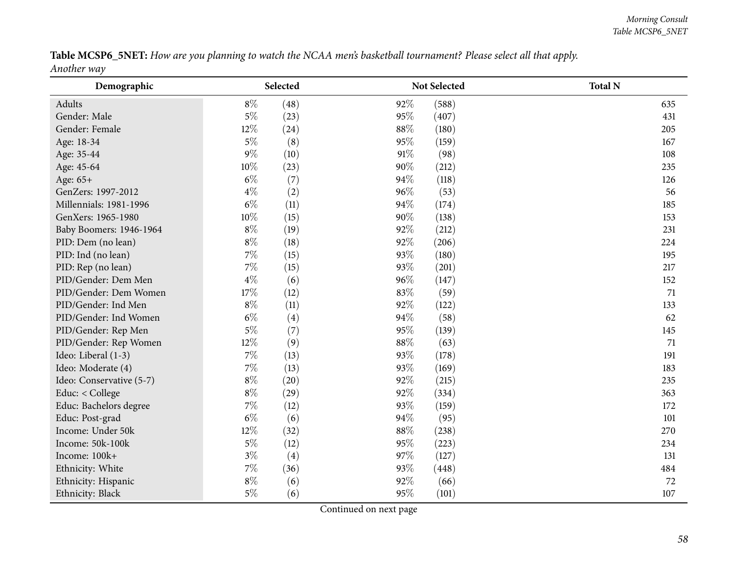Table MCSP6\_5NET: How are you planning to watch the NCAA men's basketball tournament? Please select all that apply. *Another way*

| Demographic              |       | Selected          |        | Not Selected | <b>Total N</b> |
|--------------------------|-------|-------------------|--------|--------------|----------------|
| Adults                   | $8\%$ | (48)              | 92%    | (588)        | 635            |
| Gender: Male             | $5\%$ | (23)              | 95%    | (407)        | 431            |
| Gender: Female           | 12%   | (24)              | 88%    | (180)        | 205            |
| Age: 18-34               | $5\%$ | (8)               | 95%    | (159)        | 167            |
| Age: 35-44               | $9\%$ | (10)              | 91%    | (98)         | 108            |
| Age: 45-64               | 10%   | (23)              | 90%    | (212)        | 235            |
| Age: 65+                 | $6\%$ | (7)               | 94%    | (118)        | 126            |
| GenZers: 1997-2012       | $4\%$ | (2)               | 96%    | (53)         | 56             |
| Millennials: 1981-1996   | $6\%$ | (11)              | 94%    | (174)        | 185            |
| GenXers: 1965-1980       | 10%   | (15)              | 90%    | (138)        | 153            |
| Baby Boomers: 1946-1964  | $8\%$ | (19)              | 92%    | (212)        | 231            |
| PID: Dem (no lean)       | $8\%$ | (18)              | 92%    | (206)        | 224            |
| PID: Ind (no lean)       | $7\%$ | (15)              | 93%    | (180)        | 195            |
| PID: Rep (no lean)       | $7\%$ | (15)              | 93%    | (201)        | 217            |
| PID/Gender: Dem Men      | $4\%$ | (6)               | 96%    | (147)        | 152            |
| PID/Gender: Dem Women    | 17%   | (12)              | 83%    | (59)         | 71             |
| PID/Gender: Ind Men      | $8\%$ | (11)              | $92\%$ | (122)        | 133            |
| PID/Gender: Ind Women    | $6\%$ | (4)               | 94%    | (58)         | 62             |
| PID/Gender: Rep Men      | $5\%$ | (7)               | 95%    | (139)        | 145            |
| PID/Gender: Rep Women    | 12%   | (9)               | 88%    | (63)         | 71             |
| Ideo: Liberal (1-3)      | $7\%$ | (13)              | 93%    | (178)        | 191            |
| Ideo: Moderate (4)       | $7\%$ | (13)              | 93%    | (169)        | 183            |
| Ideo: Conservative (5-7) | $8\%$ | (20)              | 92%    | (215)        | 235            |
| Educ: < College          | $8\%$ | (29)              | 92%    | (334)        | 363            |
| Educ: Bachelors degree   | $7\%$ | (12)              | 93%    | (159)        | 172            |
| Educ: Post-grad          | $6\%$ | (6)               | 94%    | (95)         | 101            |
| Income: Under 50k        | 12%   | (32)              | 88%    | (238)        | 270            |
| Income: 50k-100k         | $5\%$ | (12)              | 95%    | (223)        | 234            |
| Income: 100k+            | $3\%$ | $\left( 4\right)$ | 97%    | (127)        | 131            |
| Ethnicity: White         | $7\%$ | (36)              | 93%    | (448)        | 484            |
| Ethnicity: Hispanic      | $8\%$ | (6)               | 92%    | (66)         | 72             |
| Ethnicity: Black         | $5\%$ | (6)               | 95%    | (101)        | 107            |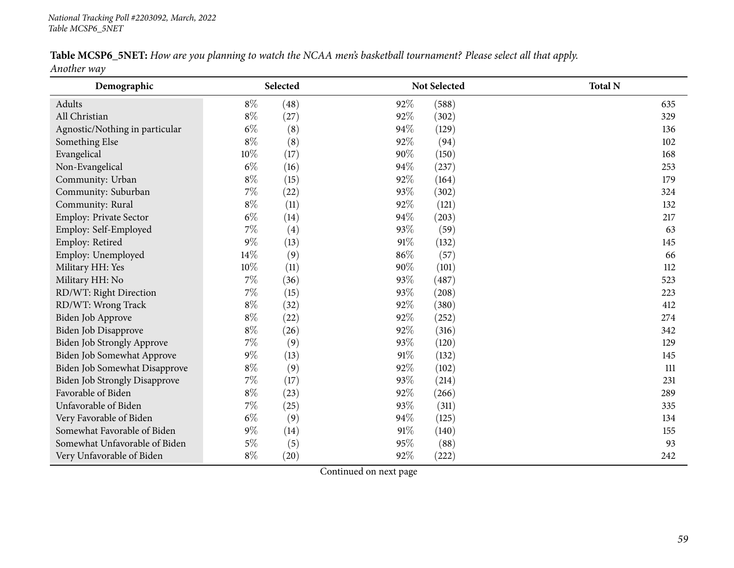| Table MCSP6_5NET: How are you planning to watch the NCAA men's basketball tournament? Please select all that apply. |  |  |  |  |  |  |
|---------------------------------------------------------------------------------------------------------------------|--|--|--|--|--|--|
| $\lambda$ $\lambda$                                                                                                 |  |  |  |  |  |  |

*Another way*

| Demographic                          |       | Selected |     | Not Selected | <b>Total N</b> |
|--------------------------------------|-------|----------|-----|--------------|----------------|
| Adults                               | $8\%$ | (48)     | 92% | (588)        | 635            |
| All Christian                        | $8\%$ | (27)     | 92% | (302)        | 329            |
| Agnostic/Nothing in particular       | $6\%$ | (8)      | 94% | (129)        | 136            |
| Something Else                       | $8\%$ | (8)      | 92% | (94)         | 102            |
| Evangelical                          | 10%   | (17)     | 90% | (150)        | 168            |
| Non-Evangelical                      | $6\%$ | (16)     | 94% | (237)        | 253            |
| Community: Urban                     | $8\%$ | (15)     | 92% | (164)        | 179            |
| Community: Suburban                  | $7\%$ | (22)     | 93% | (302)        | 324            |
| Community: Rural                     | $8\%$ | (11)     | 92% | (121)        | 132            |
| Employ: Private Sector               | $6\%$ | (14)     | 94% | (203)        | 217            |
| Employ: Self-Employed                | 7%    | (4)      | 93% | (59)         | 63             |
| Employ: Retired                      | $9\%$ | (13)     | 91% | (132)        | 145            |
| Employ: Unemployed                   | 14%   | (9)      | 86% | (57)         | 66             |
| Military HH: Yes                     | 10%   | (11)     | 90% | (101)        | 112            |
| Military HH: No                      | 7%    | (36)     | 93% | (487)        | 523            |
| RD/WT: Right Direction               | 7%    | (15)     | 93% | (208)        | 223            |
| RD/WT: Wrong Track                   | $8\%$ | (32)     | 92% | (380)        | 412            |
| Biden Job Approve                    | $8\%$ | (22)     | 92% | (252)        | 274            |
| Biden Job Disapprove                 | $8\%$ | (26)     | 92% | (316)        | 342            |
| Biden Job Strongly Approve           | 7%    | (9)      | 93% | (120)        | 129            |
| Biden Job Somewhat Approve           | $9\%$ | (13)     | 91% | (132)        | 145            |
| Biden Job Somewhat Disapprove        | $8\%$ | (9)      | 92% | (102)        | 111            |
| <b>Biden Job Strongly Disapprove</b> | $7\%$ | (17)     | 93% | (214)        | 231            |
| Favorable of Biden                   | $8\%$ | (23)     | 92% | (266)        | 289            |
| Unfavorable of Biden                 | 7%    | (25)     | 93% | (311)        | 335            |
| Very Favorable of Biden              | $6\%$ | (9)      | 94% | (125)        | 134            |
| Somewhat Favorable of Biden          | $9\%$ | (14)     | 91% | (140)        | 155            |
| Somewhat Unfavorable of Biden        | $5\%$ | (5)      | 95% | (88)         | 93             |
| Very Unfavorable of Biden            | $8\%$ | (20)     | 92% | (222)        | 242            |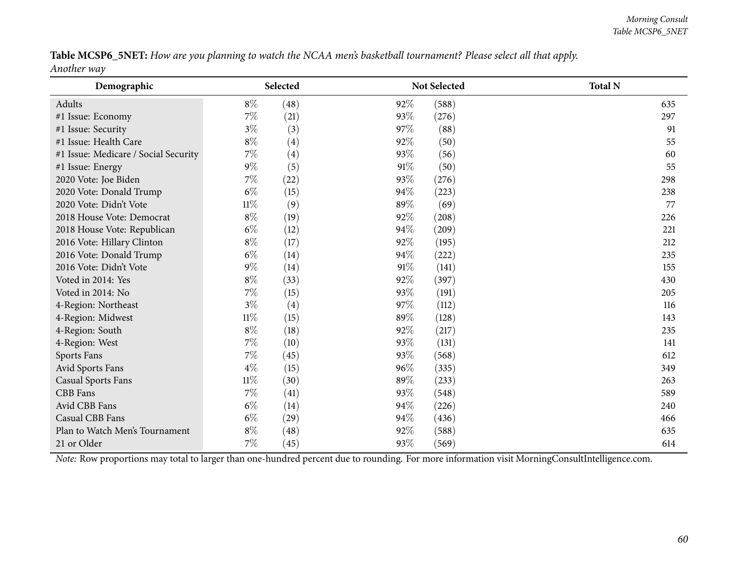Table MCSP6\_5NET: How are you planning to watch the NCAA men's basketball tournament? Please select all that apply. *Another way*

| Demographic                          | Selected |      |      | Not Selected | <b>Total N</b> |
|--------------------------------------|----------|------|------|--------------|----------------|
| Adults                               | $8\%$    | (48) | 92%  | (588)        | 635            |
| #1 Issue: Economy                    | $7\%$    | (21) | 93%  | (276)        | 297            |
| #1 Issue: Security                   | $3\%$    | (3)  | 97%  | (88)         | 91             |
| #1 Issue: Health Care                | $8\%$    | (4)  | 92%  | (50)         | 55             |
| #1 Issue: Medicare / Social Security | $7\%$    | (4)  | 93%  | (56)         | 60             |
| #1 Issue: Energy                     | $9\%$    | (5)  | 91%  | (50)         | 55             |
| 2020 Vote: Joe Biden                 | $7\%$    | (22) | 93%  | (276)        | 298            |
| 2020 Vote: Donald Trump              | $6\%$    | (15) | 94%  | (223)        | 238            |
| 2020 Vote: Didn't Vote               | $11\%$   | (9)  | 89%  | (69)         | 77             |
| 2018 House Vote: Democrat            | $8\%$    | (19) | 92%  | (208)        | 226            |
| 2018 House Vote: Republican          | $6\%$    | (12) | 94%  | (209)        | 221            |
| 2016 Vote: Hillary Clinton           | $8\%$    | (17) | 92%  | (195)        | 212            |
| 2016 Vote: Donald Trump              | $6\%$    | (14) | 94%  | (222)        | 235            |
| 2016 Vote: Didn't Vote               | $9\%$    | (14) | 91%  | (141)        | 155            |
| Voted in 2014: Yes                   | $8\%$    | (33) | 92%  | (397)        | 430            |
| Voted in 2014: No                    | $7\%$    | (15) | 93\% | (191)        | 205            |
| 4-Region: Northeast                  | $3\%$    | (4)  | 97%  | (112)        | 116            |
| 4-Region: Midwest                    | $11\%$   | (15) | 89%  | (128)        | 143            |
| 4-Region: South                      | $8\%$    | (18) | 92%  | (217)        | 235            |
| 4-Region: West                       | $7\%$    | (10) | 93\% | (131)        | 141            |
| Sports Fans                          | $7\%$    | (45) | 93%  | (568)        | 612            |
| Avid Sports Fans                     | $4\%$    | (15) | 96%  | (335)        | 349            |
| <b>Casual Sports Fans</b>            | $11\%$   | (30) | 89%  | (233)        | 263            |
| CBB Fans                             | $7\%$    | (41) | 93%  | (548)        | 589            |
| Avid CBB Fans                        | $6\%$    | (14) | 94%  | (226)        | 240            |
| Casual CBB Fans                      | $6\%$    | (29) | 94%  | (436)        | 466            |
| Plan to Watch Men's Tournament       | $8\%$    | (48) | 92%  | (588)        | 635            |
| 21 or Older                          | 7%       | (45) | 93%  | (569)        | 614            |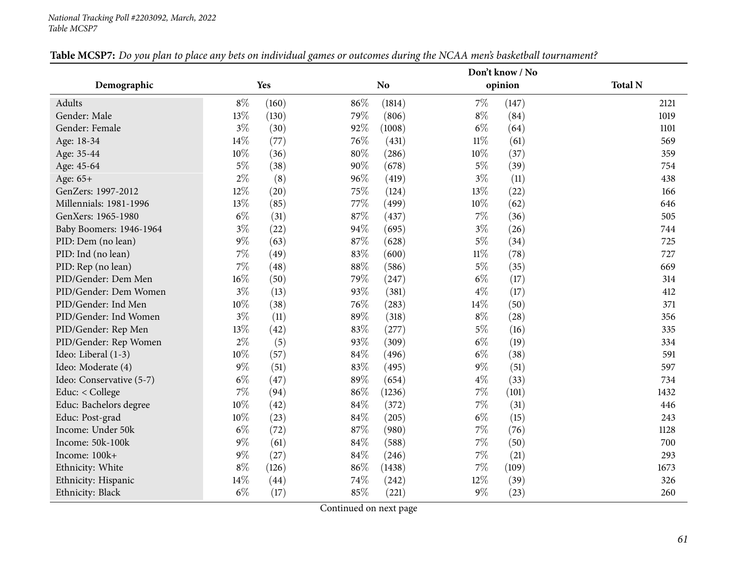#### *National Tracking Poll #2203092, March, <sup>2022</sup> Table MCSP7*

|                          |        |            |        |                |        | Don't know / No |                |
|--------------------------|--------|------------|--------|----------------|--------|-----------------|----------------|
| Demographic              |        | <b>Yes</b> |        | N <sub>o</sub> |        | opinion         | <b>Total N</b> |
| Adults                   | $8\%$  | (160)      | 86%    | (1814)         | $7\%$  | (147)           | 2121           |
| Gender: Male             | 13%    | (130)      | 79%    | (806)          | $8\%$  | (84)            | 1019           |
| Gender: Female           | $3\%$  | (30)       | 92%    | (1008)         | $6\%$  | (64)            | 1101           |
| Age: 18-34               | 14%    | (77)       | 76%    | (431)          | $11\%$ | (61)            | 569            |
| Age: 35-44               | 10%    | (36)       | $80\%$ | (286)          | 10%    | (37)            | 359            |
| Age: 45-64               | $5\%$  | (38)       | 90%    | (678)          | $5\%$  | (39)            | 754            |
| Age: 65+                 | $2\%$  | (8)        | 96%    | (419)          | $3\%$  | (11)            | 438            |
| GenZers: 1997-2012       | 12%    | (20)       | 75%    | (124)          | 13%    | (22)            | 166            |
| Millennials: 1981-1996   | 13%    | (85)       | 77%    | (499)          | 10%    | (62)            | 646            |
| GenXers: 1965-1980       | $6\%$  | (31)       | 87%    | (437)          | $7\%$  | (36)            | 505            |
| Baby Boomers: 1946-1964  | $3\%$  | (22)       | 94%    | (695)          | $3\%$  | (26)            | 744            |
| PID: Dem (no lean)       | $9\%$  | (63)       | $87\%$ | (628)          | $5\%$  | (34)            | 725            |
| PID: Ind (no lean)       | $7\%$  | (49)       | 83%    | (600)          | $11\%$ | (78)            | 727            |
| PID: Rep (no lean)       | $7\%$  | (48)       | $88\%$ | (586)          | $5\%$  | (35)            | 669            |
| PID/Gender: Dem Men      | $16\%$ | (50)       | 79%    | (247)          | $6\%$  | (17)            | 314            |
| PID/Gender: Dem Women    | $3\%$  | (13)       | 93%    | (381)          | $4\%$  | (17)            | 412            |
| PID/Gender: Ind Men      | 10%    | (38)       | 76%    | (283)          | $14\%$ | (50)            | 371            |
| PID/Gender: Ind Women    | $3\%$  | (11)       | 89%    | (318)          | $8\%$  | (28)            | 356            |
| PID/Gender: Rep Men      | 13%    | (42)       | 83%    | (277)          | $5\%$  | (16)            | 335            |
| PID/Gender: Rep Women    | $2\%$  | (5)        | 93%    | (309)          | $6\%$  | (19)            | 334            |
| Ideo: Liberal (1-3)      | 10%    | (57)       | 84%    | (496)          | $6\%$  | (38)            | 591            |
| Ideo: Moderate (4)       | $9\%$  | (51)       | 83%    | (495)          | $9\%$  | (51)            | 597            |
| Ideo: Conservative (5-7) | $6\%$  | (47)       | 89%    | (654)          | $4\%$  | (33)            | 734            |
| Educ: < College          | 7%     | (94)       | $86\%$ | (1236)         | $7\%$  | (101)           | 1432           |
| Educ: Bachelors degree   | $10\%$ | (42)       | $84\%$ | (372)          | 7%     | (31)            | 446            |
| Educ: Post-grad          | $10\%$ | (23)       | 84\%   | (205)          | $6\%$  | (15)            | 243            |
| Income: Under 50k        | $6\%$  | (72)       | 87%    | (980)          | $7\%$  | (76)            | 1128           |
| Income: 50k-100k         | $9\%$  | (61)       | $84\%$ | (588)          | $7\%$  | (50)            | 700            |
| Income: 100k+            | $9\%$  | (27)       | 84%    | (246)          | 7%     | (21)            | 293            |
| Ethnicity: White         | $8\%$  | (126)      | $86\%$ | (1438)         | $7\%$  | (109)           | 1673           |
| Ethnicity: Hispanic      | 14%    | (44)       | 74%    | (242)          | 12%    | (39)            | 326            |
| Ethnicity: Black         | $6\%$  | (17)       | 85%    | (221)          | $9\%$  | (23)            | 260            |

Table MCSP7: Do you plan to place any bets on individual games or outcomes during the NCAA men's basketball tournament?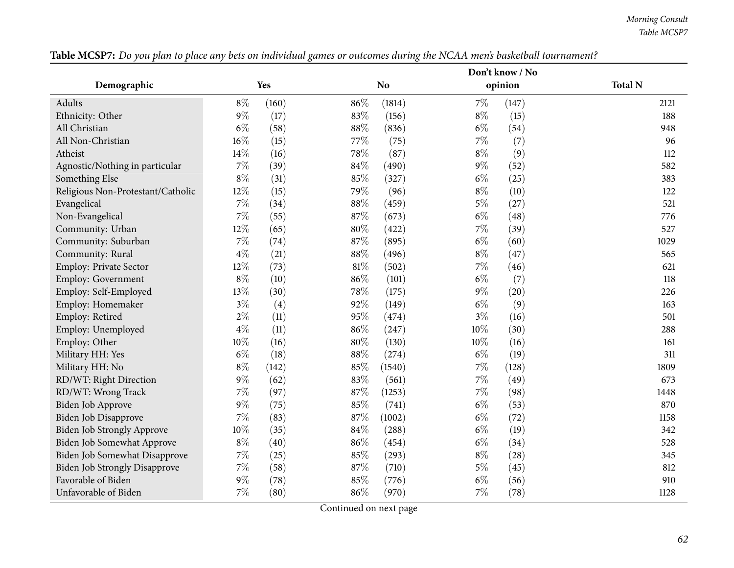*Morning Consult Table MCSP7*

|                                      |        |       |        |                |        | Don't know / No |                |
|--------------------------------------|--------|-------|--------|----------------|--------|-----------------|----------------|
| Demographic                          |        | Yes   |        | N <sub>o</sub> |        | opinion         | <b>Total N</b> |
| Adults                               | $8\%$  | (160) | 86%    | (1814)         | $7\%$  | (147)           | 2121           |
| Ethnicity: Other                     | $9\%$  | (17)  | 83%    | (156)          | $8\%$  | (15)            | 188            |
| All Christian                        | $6\%$  | (58)  | 88%    | (836)          | $6\%$  | (54)            | 948            |
| All Non-Christian                    | 16%    | (15)  | 77%    | (75)           | $7\%$  | (7)             | 96             |
| Atheist                              | $14\%$ | (16)  | 78%    | (87)           | $8\%$  | (9)             | 112            |
| Agnostic/Nothing in particular       | $7\%$  | (39)  | $84\%$ | (490)          | $9\%$  | (52)            | 582            |
| Something Else                       | $8\%$  | (31)  | 85%    | (327)          | $6\%$  | (25)            | 383            |
| Religious Non-Protestant/Catholic    | 12%    | (15)  | 79%    | (96)           | $8\%$  | (10)            | 122            |
| Evangelical                          | $7\%$  | (34)  | 88%    | (459)          | $5\%$  | (27)            | 521            |
| Non-Evangelical                      | $7\%$  | (55)  | 87%    | (673)          | $6\%$  | (48)            | 776            |
| Community: Urban                     | 12%    | (65)  | 80%    | (422)          | 7%     | (39)            | 527            |
| Community: Suburban                  | $7\%$  | (74)  | 87%    | (895)          | $6\%$  | (60)            | 1029           |
| Community: Rural                     | $4\%$  | (21)  | 88%    | (496)          | $8\%$  | (47)            | 565            |
| <b>Employ: Private Sector</b>        | 12%    | (73)  | $81\%$ | (502)          | $7\%$  | (46)            | 621            |
| <b>Employ: Government</b>            | $8\%$  | (10)  | 86%    | (101)          | $6\%$  | (7)             | 118            |
| Employ: Self-Employed                | 13%    | (30)  | 78%    | (175)          | $9\%$  | (20)            | 226            |
| Employ: Homemaker                    | $3\%$  | (4)   | 92%    | (149)          | $6\%$  | (9)             | 163            |
| Employ: Retired                      | $2\%$  | (11)  | 95%    | (474)          | $3\%$  | (16)            | 501            |
| Employ: Unemployed                   | $4\%$  | (11)  | 86%    | (247)          | 10%    | (30)            | 288            |
| Employ: Other                        | 10%    | (16)  | 80%    | (130)          | $10\%$ | (16)            | 161            |
| Military HH: Yes                     | $6\%$  | (18)  | 88%    | (274)          | $6\%$  | (19)            | 311            |
| Military HH: No                      | $8\%$  | (142) | 85%    | (1540)         | $7\%$  | (128)           | 1809           |
| RD/WT: Right Direction               | $9\%$  | (62)  | 83%    | (561)          | $7\%$  | (49)            | 673            |
| RD/WT: Wrong Track                   | $7\%$  | (97)  | 87%    | (1253)         | $7\%$  | (98)            | 1448           |
| Biden Job Approve                    | $9\%$  | (75)  | 85%    | (741)          | $6\%$  | (53)            | 870            |
| Biden Job Disapprove                 | $7\%$  | (83)  | 87%    | (1002)         | $6\%$  | (72)            | 1158           |
| <b>Biden Job Strongly Approve</b>    | $10\%$ | (35)  | 84%    | (288)          | $6\%$  | (19)            | 342            |
| Biden Job Somewhat Approve           | $8\%$  | (40)  | 86%    | (454)          | $6\%$  | (34)            | 528            |
| Biden Job Somewhat Disapprove        | $7\%$  | (25)  | 85%    | (293)          | $8\%$  | (28)            | 345            |
| <b>Biden Job Strongly Disapprove</b> | $7\%$  | (58)  | 87%    | (710)          | $5\%$  | (45)            | 812            |
| Favorable of Biden                   | $9\%$  | (78)  | 85%    | (776)          | $6\%$  | (56)            | 910            |
| Unfavorable of Biden                 | $7\%$  | (80)  | 86%    | (970)          | 7%     | (78)            | 1128           |

Table MCSP7: Do you plan to place any bets on individual games or outcomes during the NCAA men's basketball tournament?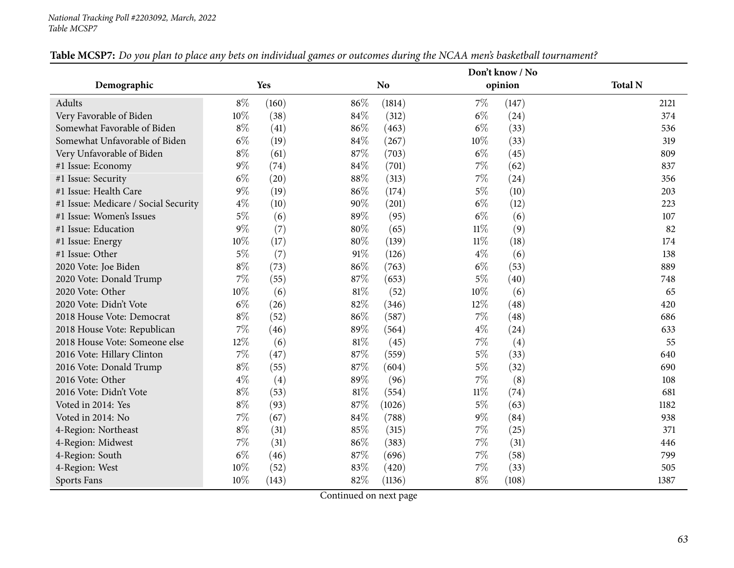|                                      |        |       |        |        |        | Don't know / No |                |
|--------------------------------------|--------|-------|--------|--------|--------|-----------------|----------------|
| Demographic                          |        | Yes   |        | No     |        | opinion         | <b>Total N</b> |
| <b>Adults</b>                        | $8\%$  | (160) | 86%    | (1814) | $7\%$  | (147)           | 2121           |
| Very Favorable of Biden              | 10%    | (38)  | 84%    | (312)  | $6\%$  | (24)            | 374            |
| Somewhat Favorable of Biden          | $8\%$  | (41)  | 86%    | (463)  | $6\%$  | (33)            | 536            |
| Somewhat Unfavorable of Biden        | $6\%$  | (19)  | 84%    | (267)  | 10%    | (33)            | 319            |
| Very Unfavorable of Biden            | $8\%$  | (61)  | 87%    | (703)  | $6\%$  | (45)            | 809            |
| #1 Issue: Economy                    | $9\%$  | (74)  | 84%    | (701)  | 7%     | (62)            | 837            |
| #1 Issue: Security                   | $6\%$  | (20)  | 88%    | (313)  | $7\%$  | (24)            | 356            |
| #1 Issue: Health Care                | $9\%$  | (19)  | 86%    | (174)  | $5\%$  | (10)            | 203            |
| #1 Issue: Medicare / Social Security | $4\%$  | (10)  | 90%    | (201)  | $6\%$  | (12)            | 223            |
| #1 Issue: Women's Issues             | $5\%$  | (6)   | 89%    | (95)   | $6\%$  | (6)             | 107            |
| #1 Issue: Education                  | $9\%$  | (7)   | $80\%$ | (65)   | $11\%$ | (9)             | 82             |
| #1 Issue: Energy                     | $10\%$ | (17)  | $80\%$ | (139)  | $11\%$ | (18)            | 174            |
| #1 Issue: Other                      | $5\%$  | (7)   | 91%    | (126)  | $4\%$  | (6)             | 138            |
| 2020 Vote: Joe Biden                 | $8\%$  | (73)  | 86%    | (763)  | $6\%$  | (53)            | 889            |
| 2020 Vote: Donald Trump              | 7%     | (55)  | 87%    | (653)  | $5\%$  | (40)            | 748            |
| 2020 Vote: Other                     | 10%    | (6)   | 81%    | (52)   | 10%    | (6)             | 65             |
| 2020 Vote: Didn't Vote               | $6\%$  | (26)  | 82%    | (346)  | $12\%$ | (48)            | 420            |
| 2018 House Vote: Democrat            | $8\%$  | (52)  | 86%    | (587)  | $7\%$  | (48)            | 686            |
| 2018 House Vote: Republican          | $7\%$  | (46)  | 89%    | (564)  | $4\%$  | (24)            | 633            |
| 2018 House Vote: Someone else        | 12%    | (6)   | 81\%   | (45)   | 7%     | (4)             | 55             |
| 2016 Vote: Hillary Clinton           | $7\%$  | (47)  | 87%    | (559)  | $5\%$  | (33)            | 640            |
| 2016 Vote: Donald Trump              | $8\%$  | (55)  | 87%    | (604)  | $5\%$  | (32)            | 690            |
| 2016 Vote: Other                     | $4\%$  | (4)   | 89%    | (96)   | $7\%$  | (8)             | 108            |
| 2016 Vote: Didn't Vote               | $8\%$  | (53)  | 81%    | (554)  | $11\%$ | (74)            | 681            |
| Voted in 2014: Yes                   | $8\%$  | (93)  | 87%    | (1026) | $5\%$  | (63)            | 1182           |
| Voted in 2014: No                    | $7\%$  | (67)  | 84%    | (788)  | $9\%$  | (84)            | 938            |
| 4-Region: Northeast                  | $8\%$  | (31)  | 85%    | (315)  | $7\%$  | (25)            | 371            |
| 4-Region: Midwest                    | $7\%$  | (31)  | 86%    | (383)  | $7\%$  | (31)            | 446            |
| 4-Region: South                      | $6\%$  | (46)  | 87%    | (696)  | $7\%$  | (58)            | 799            |
| 4-Region: West                       | 10%    | (52)  | 83%    | (420)  | $7\%$  | (33)            | 505            |
| Sports Fans                          | 10%    | (143) | 82%    | (1136) | $8\%$  | (108)           | 1387           |

Table MCSP7: Do you plan to place any bets on individual games or outcomes during the NCAA men's basketball tournament?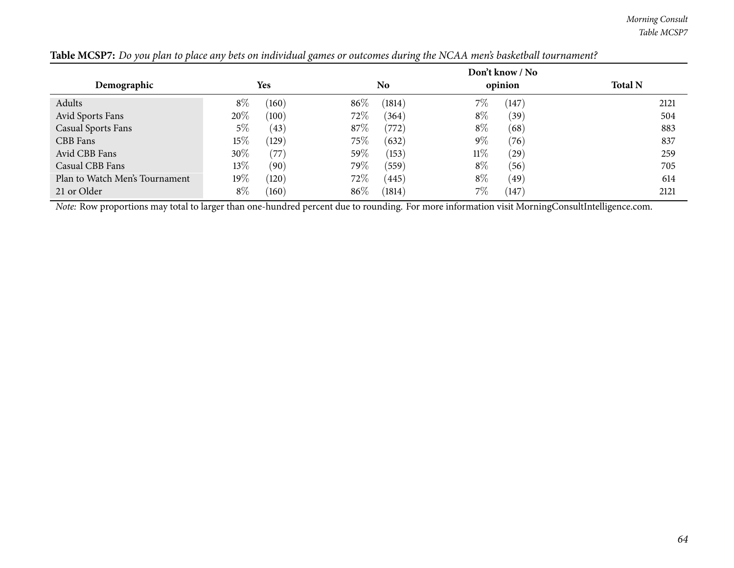*Morning Consult Table MCSP7*

|                                |        |       |      |                |        | Don't know / No |                |
|--------------------------------|--------|-------|------|----------------|--------|-----------------|----------------|
| Demographic                    |        | Yes   |      | N <sub>o</sub> |        | opinion         | <b>Total N</b> |
| Adults                         | $8\%$  | (160) | 86%  | (1814)         | $7\%$  | (147)           | 2121           |
| Avid Sports Fans               | 20%    | (100) | 72%  | (364)          | $8\%$  | (39)            | 504            |
| <b>Casual Sports Fans</b>      | 5%     | (43)  | 87%  | (772)          | $8\%$  | (68)            | 883            |
| CBB Fans                       | 15%    | (129) | 75\% | (632)          | $9\%$  | (76)            | 837            |
| Avid CBB Fans                  | $30\%$ | (77)  | 59%  | (153)          | $11\%$ | (29)            | 259            |
| Casual CBB Fans                | $13\%$ | (90)  | 79\% | (559)          | $8\%$  | (56)            | 705            |
| Plan to Watch Men's Tournament | 19%    | (120) | 72%  | (445)          | $8\%$  | (49)            | 614            |
| 21 or Older                    | $8\%$  | (160) | 86%  | (1814)         | 7%     | (147)           | 2121           |

Table MCSP7: Do you plan to place any bets on individual games or outcomes during the NCAA men's basketball tournament?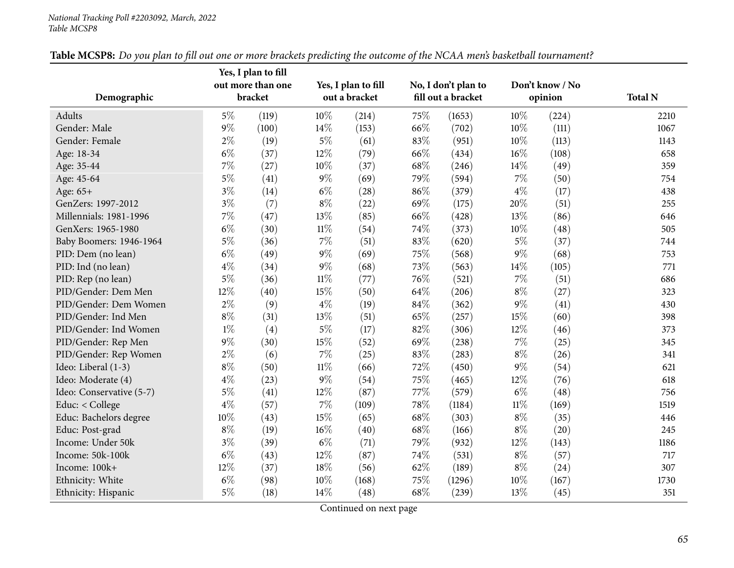#### *National Tracking Poll #2203092, March, <sup>2022</sup> Table MCSP8*

|                          |       | Yes, I plan to fill |        |                     |      |                     |        |                 |                |
|--------------------------|-------|---------------------|--------|---------------------|------|---------------------|--------|-----------------|----------------|
|                          |       | out more than one   |        | Yes, I plan to fill |      | No, I don't plan to |        | Don't know / No |                |
| Demographic              |       | bracket             |        | out a bracket       |      | fill out a bracket  |        | opinion         | <b>Total N</b> |
| Adults                   | $5\%$ | (119)               | $10\%$ | (214)               | 75\% | (1653)              | 10%    | (224)           | 2210           |
| Gender: Male             | $9\%$ | (100)               | 14\%   | (153)               | 66%  | (702)               | 10%    | (111)           | 1067           |
| Gender: Female           | $2\%$ | (19)                | $5\%$  | (61)                | 83%  | (951)               | 10%    | (113)           | 1143           |
| Age: 18-34               | $6\%$ | (37)                | 12%    | (79)                | 66%  | (434)               | 16%    | (108)           | 658            |
| Age: 35-44               | $7\%$ | (27)                | $10\%$ | (37)                | 68\% | (246)               | 14%    | (49)            | 359            |
| Age: 45-64               | $5\%$ | (41)                | $9\%$  | (69)                | 79%  | (594)               | $7\%$  | (50)            | 754            |
| Age: 65+                 | $3\%$ | (14)                | $6\%$  | (28)                | 86%  | (379)               | $4\%$  | (17)            | 438            |
| GenZers: 1997-2012       | $3\%$ | (7)                 | $8\%$  | (22)                | 69%  | (175)               | 20%    | (51)            | 255            |
| Millennials: 1981-1996   | $7\%$ | (47)                | 13%    | (85)                | 66%  | (428)               | 13%    | (86)            | 646            |
| GenXers: 1965-1980       | $6\%$ | (30)                | $11\%$ | (54)                | 74%  | (373)               | 10%    | (48)            | 505            |
| Baby Boomers: 1946-1964  | $5\%$ | (36)                | $7\%$  | (51)                | 83%  | (620)               | $5\%$  | (37)            | 744            |
| PID: Dem (no lean)       | $6\%$ | (49)                | $9\%$  | (69)                | 75%  | (568)               | $9\%$  | (68)            | 753            |
| PID: Ind (no lean)       | $4\%$ | (34)                | $9\%$  | (68)                | 73%  | (563)               | 14%    | (105)           | 771            |
| PID: Rep (no lean)       | $5\%$ | (36)                | $11\%$ | (77)                | 76%  | (521)               | $7\%$  | (51)            | 686            |
| PID/Gender: Dem Men      | 12%   | (40)                | 15%    | (50)                | 64\% | (206)               | $8\%$  | (27)            | 323            |
| PID/Gender: Dem Women    | $2\%$ | (9)                 | $4\%$  | (19)                | 84\% | (362)               | $9\%$  | (41)            | 430            |
| PID/Gender: Ind Men      | $8\%$ | (31)                | $13\%$ | (51)                | 65\% | (257)               | 15%    | (60)            | 398            |
| PID/Gender: Ind Women    | $1\%$ | (4)                 | $5\%$  | (17)                | 82%  | (306)               | 12%    | (46)            | 373            |
| PID/Gender: Rep Men      | $9\%$ | (30)                | 15%    | (52)                | 69%  | (238)               | $7\%$  | (25)            | 345            |
| PID/Gender: Rep Women    | $2\%$ | (6)                 | $7\%$  | (25)                | 83%  | (283)               | $8\%$  | (26)            | 341            |
| Ideo: Liberal (1-3)      | $8\%$ | (50)                | $11\%$ | (66)                | 72\% | (450)               | $9\%$  | (54)            | 621            |
| Ideo: Moderate (4)       | $4\%$ | (23)                | $9\%$  | (54)                | 75%  | (465)               | 12%    | (76)            | 618            |
| Ideo: Conservative (5-7) | $5\%$ | (41)                | 12%    | (87)                | 77\% | (579)               | $6\%$  | (48)            | 756            |
| Educ: < College          | $4\%$ | (57)                | $7\%$  | (109)               | 78%  | (1184)              | $11\%$ | (169)           | 1519           |
| Educ: Bachelors degree   | 10%   | (43)                | 15%    | (65)                | 68\% | (303)               | $8\%$  | (35)            | 446            |
| Educ: Post-grad          | $8\%$ | (19)                | $16\%$ | (40)                | 68\% | (166)               | $8\%$  | (20)            | 245            |
| Income: Under 50k        | $3\%$ | (39)                | $6\%$  | (71)                | 79%  | (932)               | 12%    | (143)           | 1186           |
| Income: 50k-100k         | $6\%$ | (43)                | 12%    | (87)                | 74%  | (531)               | $8\%$  | (57)            | 717            |
| Income: 100k+            | 12%   | (37)                | 18%    | (56)                | 62\% | (189)               | $8\%$  | (24)            | 307            |
| Ethnicity: White         | $6\%$ | (98)                | 10%    | (168)               | 75%  | (1296)              | 10%    | (167)           | 1730           |
| Ethnicity: Hispanic      | $5\%$ | (18)                | 14\%   | (48)                | 68\% | (239)               | 13%    | (45)            | 351            |

Table MCSP8: Do you plan to fill out one or more brackets predicting the outcome of the NCAA men's basketball tournament?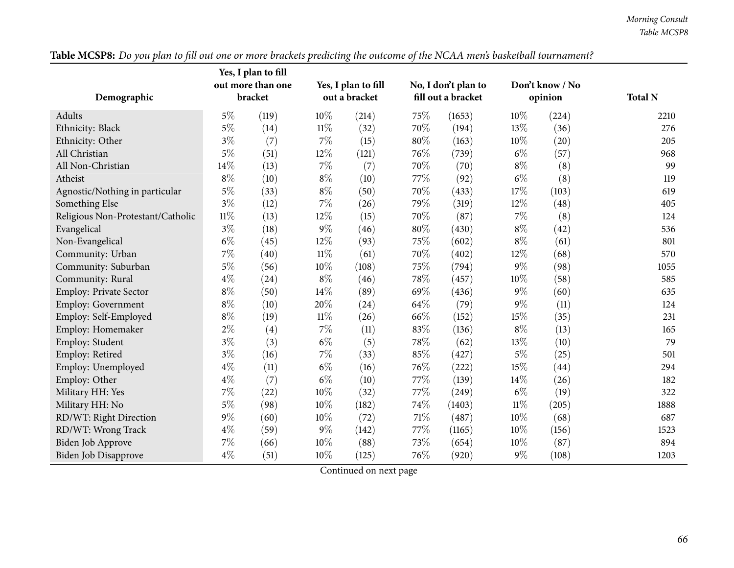|                                   |         | Yes, I plan to fill |               |                     |                    |                     |         |                 |                |
|-----------------------------------|---------|---------------------|---------------|---------------------|--------------------|---------------------|---------|-----------------|----------------|
|                                   |         | out more than one   |               | Yes, I plan to fill |                    | No, I don't plan to |         | Don't know / No |                |
| Demographic                       | bracket |                     | out a bracket |                     | fill out a bracket |                     | opinion |                 | <b>Total N</b> |
| Adults                            | $5\%$   | (119)               | 10%           | (214)               | 75%                | (1653)              | 10%     | (224)           | 2210           |
| Ethnicity: Black                  | $5\%$   | (14)                | $11\%$        | (32)                | 70%                | (194)               | 13%     | (36)            | 276            |
| Ethnicity: Other                  | $3\%$   | (7)                 | $7\%$         | (15)                | 80%                | (163)               | 10%     | (20)            | 205            |
| All Christian                     | $5\%$   | (51)                | 12%           | (121)               | 76%                | (739)               | $6\%$   | (57)            | 968            |
| All Non-Christian                 | 14%     | (13)                | $7\%$         | (7)                 | 70%                | (70)                | $8\%$   | (8)             | 99             |
| Atheist                           | $8\%$   | (10)                | $8\%$         | (10)                | 77%                | (92)                | $6\%$   | (8)             | 119            |
| Agnostic/Nothing in particular    | $5\%$   | (33)                | $8\%$         | (50)                | 70%                | (433)               | 17%     | (103)           | 619            |
| Something Else                    | $3\%$   | (12)                | $7\%$         | (26)                | 79%                | (319)               | 12%     | (48)            | 405            |
| Religious Non-Protestant/Catholic | $11\%$  | (13)                | 12%           | (15)                | 70%                | (87)                | 7%      | (8)             | 124            |
| Evangelical                       | $3\%$   | (18)                | $9\%$         | (46)                | 80%                | (430)               | $8\%$   | (42)            | 536            |
| Non-Evangelical                   | $6\%$   | (45)                | 12%           | (93)                | 75%                | (602)               | $8\%$   | (61)            | 801            |
| Community: Urban                  | $7\%$   | (40)                | $11\%$        | (61)                | 70%                | (402)               | 12%     | (68)            | 570            |
| Community: Suburban               | $5\%$   | (56)                | 10%           | (108)               | 75%                | (794)               | $9\%$   | (98)            | 1055           |
| Community: Rural                  | $4\%$   | (24)                | $8\%$         | (46)                | 78%                | (457)               | $10\%$  | (58)            | 585            |
| <b>Employ: Private Sector</b>     | $8\%$   | (50)                | 14%           | (89)                | 69%                | (436)               | $9\%$   | (60)            | 635            |
| Employ: Government                | $8\%$   | (10)                | 20%           | (24)                | 64%                | (79)                | $9\%$   | (11)            | 124            |
| Employ: Self-Employed             | $8\%$   | (19)                | $11\%$        | (26)                | 66%                | (152)               | 15%     | (35)            | 231            |
| Employ: Homemaker                 | $2\%$   | (4)                 | 7%            | (11)                | 83%                | (136)               | $8\%$   | (13)            | 165            |
| Employ: Student                   | $3\%$   | (3)                 | $6\%$         | (5)                 | 78%                | (62)                | 13%     | (10)            | 79             |
| Employ: Retired                   | $3\%$   | (16)                | $7\%$         | (33)                | 85%                | (427)               | $5\%$   | (25)            | 501            |
| Employ: Unemployed                | $4\%$   | (11)                | $6\%$         | (16)                | 76\%               | (222)               | 15%     | (44)            | 294            |
| Employ: Other                     | $4\%$   | (7)                 | $6\%$         | (10)                | 77%                | (139)               | 14%     | (26)            | 182            |
| Military HH: Yes                  | 7%      | (22)                | 10%           | (32)                | 77%                | (249)               | $6\%$   | (19)            | 322            |
| Military HH: No                   | $5\%$   | (98)                | 10%           | (182)               | 74%                | (1403)              | $11\%$  | (205)           | 1888           |
| RD/WT: Right Direction            | $9\%$   | (60)                | 10%           | (72)                | 71%                | (487)               | 10%     | (68)            | 687            |
| RD/WT: Wrong Track                | $4\%$   | (59)                | $9\%$         | (142)               | 77\%               | (1165)              | 10%     | (156)           | 1523           |
| Biden Job Approve                 | $7\%$   | (66)                | 10%           | (88)                | 73%                | (654)               | 10%     | (87)            | 894            |
| Biden Job Disapprove              | $4\%$   | (51)                | 10%           | (125)               | 76\%               | (920)               | $9\%$   | (108)           | 1203           |

Table MCSP8: Do you plan to fill out one or more brackets predicting the outcome of the NCAA men's basketball tournament?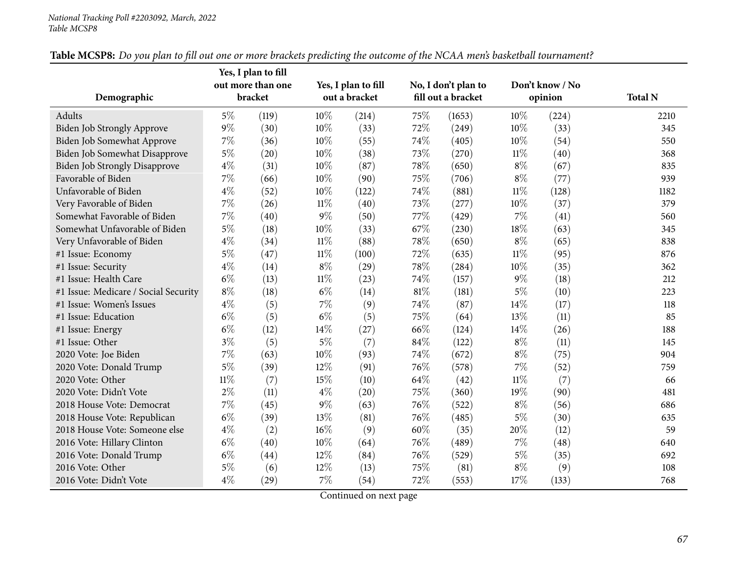#### *National Tracking Poll #2203092, March, <sup>2022</sup> Table MCSP8*

|                                      |        | Yes, I plan to fill |        |                     |      |                     |        |                 |                |
|--------------------------------------|--------|---------------------|--------|---------------------|------|---------------------|--------|-----------------|----------------|
|                                      |        | out more than one   |        | Yes, I plan to fill |      | No, I don't plan to |        | Don't know / No |                |
| Demographic                          |        | bracket             |        | out a bracket       |      | fill out a bracket  |        | opinion         | <b>Total N</b> |
| Adults                               | $5\%$  | (119)               | 10%    | (214)               | 75%  | (1653)              | 10%    | (224)           | 2210           |
| <b>Biden Job Strongly Approve</b>    | $9\%$  | (30)                | 10%    | (33)                | 72%  | (249)               | 10%    | (33)            | 345            |
| Biden Job Somewhat Approve           | $7\%$  | (36)                | 10%    | (55)                | 74%  | (405)               | 10%    | (54)            | 550            |
| Biden Job Somewhat Disapprove        | $5\%$  | (20)                | 10%    | (38)                | 73%  | (270)               | $11\%$ | (40)            | 368            |
| <b>Biden Job Strongly Disapprove</b> | $4\%$  | (31)                | 10%    | (87)                | 78%  | (650)               | $8\%$  | (67)            | 835            |
| Favorable of Biden                   | 7%     | (66)                | 10%    | (90)                | 75%  | (706)               | $8\%$  | (77)            | 939            |
| Unfavorable of Biden                 | $4\%$  | (52)                | 10%    | (122)               | 74%  | (881)               | $11\%$ | (128)           | 1182           |
| Very Favorable of Biden              | 7%     | (26)                | $11\%$ | (40)                | 73%  | (277)               | 10%    | (37)            | 379            |
| Somewhat Favorable of Biden          | $7\%$  | (40)                | $9\%$  | (50)                | 77%  | (429)               | $7\%$  | (41)            | 560            |
| Somewhat Unfavorable of Biden        | $5\%$  | (18)                | 10%    | (33)                | 67%  | (230)               | 18%    | (63)            | 345            |
| Very Unfavorable of Biden            | $4\%$  | (34)                | $11\%$ | (88)                | 78%  | (650)               | $8\%$  | (65)            | 838            |
| #1 Issue: Economy                    | $5\%$  | (47)                | $11\%$ | (100)               | 72%  | (635)               | $11\%$ | (95)            | 876            |
| #1 Issue: Security                   | $4\%$  | (14)                | $8\%$  | (29)                | 78%  | (284)               | $10\%$ | (35)            | 362            |
| #1 Issue: Health Care                | $6\%$  | (13)                | $11\%$ | (23)                | 74%  | (157)               | $9\%$  | (18)            | 212            |
| #1 Issue: Medicare / Social Security | $8\%$  | (18)                | $6\%$  | (14)                | 81%  | (181)               | $5\%$  | (10)            | 223            |
| #1 Issue: Women's Issues             | $4\%$  | (5)                 | $7\%$  | (9)                 | 74%  | (87)                | 14%    | (17)            | 118            |
| #1 Issue: Education                  | $6\%$  | (5)                 | $6\%$  | (5)                 | 75%  | (64)                | 13%    | (11)            | 85             |
| #1 Issue: Energy                     | $6\%$  | (12)                | 14%    | (27)                | 66%  | (124)               | 14%    | (26)            | 188            |
| #1 Issue: Other                      | $3\%$  | (5)                 | $5\%$  | (7)                 | 84%  | (122)               | $8\%$  | (11)            | 145            |
| 2020 Vote: Joe Biden                 | $7\%$  | (63)                | 10%    | (93)                | 74%  | (672)               | $8\%$  | (75)            | 904            |
| 2020 Vote: Donald Trump              | $5\%$  | (39)                | 12%    | (91)                | 76%  | (578)               | $7\%$  | (52)            | 759            |
| 2020 Vote: Other                     | $11\%$ | (7)                 | 15%    | (10)                | 64\% | (42)                | $11\%$ | (7)             | 66             |
| 2020 Vote: Didn't Vote               | $2\%$  | (11)                | $4\%$  | (20)                | 75%  | (360)               | 19%    | (90)            | 481            |
| 2018 House Vote: Democrat            | 7%     | (45)                | $9\%$  | (63)                | 76%  | (522)               | $8\%$  | (56)            | 686            |
| 2018 House Vote: Republican          | $6\%$  | (39)                | 13%    | (81)                | 76%  | (485)               | $5\%$  | (30)            | 635            |
| 2018 House Vote: Someone else        | $4\%$  | (2)                 | 16%    | (9)                 | 60%  | (35)                | 20%    | (12)            | 59             |
| 2016 Vote: Hillary Clinton           | $6\%$  | (40)                | $10\%$ | (64)                | 76%  | (489)               | $7\%$  | (48)            | 640            |
| 2016 Vote: Donald Trump              | $6\%$  | (44)                | 12%    | (84)                | 76%  | (529)               | $5\%$  | (35)            | 692            |
| 2016 Vote: Other                     | $5\%$  | (6)                 | 12%    | (13)                | 75%  | (81)                | $8\%$  | (9)             | 108            |
| 2016 Vote: Didn't Vote               | $4\%$  | (29)                | $7\%$  | (54)                | 72%  | (553)               | 17%    | (133)           | 768            |

Table MCSP8: Do you plan to fill out one or more brackets predicting the outcome of the NCAA men's basketball tournament?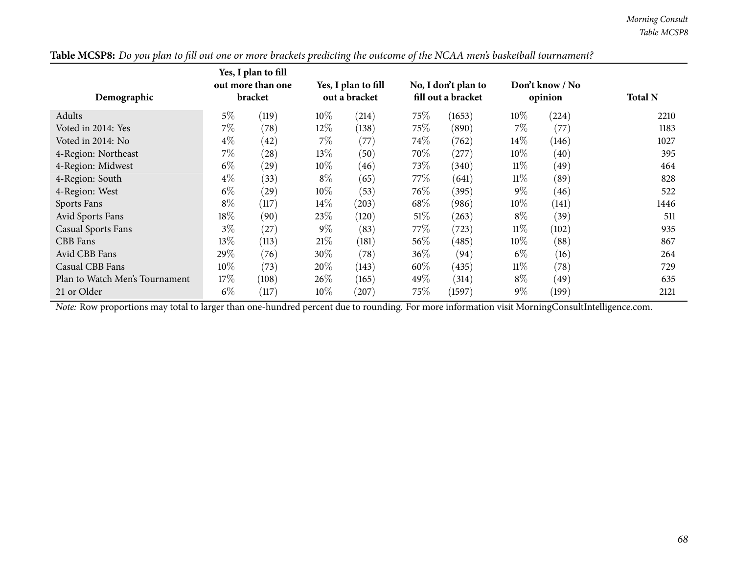|                                |         | Yes, I plan to fill<br>out more than one |               | Yes, I plan to fill |                    | No, I don't plan to |         | Don't know / No |                |
|--------------------------------|---------|------------------------------------------|---------------|---------------------|--------------------|---------------------|---------|-----------------|----------------|
| Demographic                    | bracket |                                          | out a bracket |                     | fill out a bracket |                     | opinion |                 | <b>Total N</b> |
| Adults                         | $5\%$   | (119)                                    | $10\%$        | (214)               | $75\%$             | (1653)              | $10\%$  | (224)           | 2210           |
| Voted in 2014: Yes             | $7\%$   | (78)                                     | 12%           | (138)               | 75\%               | (890)               | $7\%$   | (77             | 1183           |
| Voted in 2014: No              | $4\%$   | (42)                                     | $7\%$         | (77)                | $74\%$             | (762)               | $14\%$  | (146)           | 1027           |
| 4-Region: Northeast            | $7\%$   | (28)                                     | 13\%          | (50)                | 70%                | (277)               | $10\%$  | (40)            | 395            |
| 4-Region: Midwest              | $6\%$   | (29)                                     | $10\%$        | (46)                | 73\%               | (340)               | $11\%$  | (49)            | 464            |
| 4-Region: South                | $4\%$   | (33)                                     | $8\%$         | (65)                | 77\%               | (641)               | $11\%$  | (89)            | 828            |
| 4-Region: West                 | $6\%$   | (29)                                     | $10\%$        | (53)                | 76\%               | (395)               | $9\%$   | (46)            | 522            |
| Sports Fans                    | $8\%$   | (117)                                    | 14\%          | (203)               | 68\%               | (986)               | $10\%$  | (141)           | 1446           |
| Avid Sports Fans               | 18%     | (90)                                     | 23%           | (120)               | 51\%               | (263)               | $8\%$   | (39)            | 511            |
| <b>Casual Sports Fans</b>      | $3\%$   | (27)                                     | $9\%$         | (83)                | 77\%               | (723)               | $11\%$  | (102)           | 935            |
| CBB Fans                       | $13\%$  | (113)                                    | 21\%          | (181)               | 56\%               | (485)               | $10\%$  | (88)            | 867            |
| Avid CBB Fans                  | 29%     | (76)                                     | 30\%          | (78)                | 36\%               | (94)                | $6\%$   | (16)            | 264            |
| Casual CBB Fans                | 10%     | (73)                                     | 20%           | (143)               | $60\%$             | (435)               | $11\%$  | (78)            | 729            |
| Plan to Watch Men's Tournament | 17\%    | (108)                                    | 26%           | (165)               | 49%                | (314)               | $8\%$   | (49)            | 635            |
| 21 or Older                    | $6\%$   | (117)                                    | $10\%$        | (207)               | 75\%               | (1597)              | $9\%$   | (199)           | 2121           |

| Table MCSP8: Do you plan to fill out one or more brackets predicting the outcome of the NCAA men's basketball tournament? |
|---------------------------------------------------------------------------------------------------------------------------|
|---------------------------------------------------------------------------------------------------------------------------|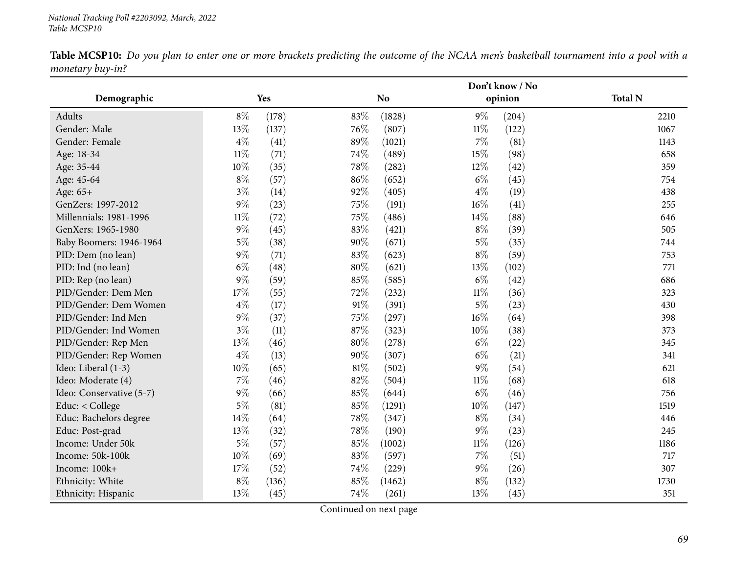|                          |        |       |        | Don't know / No |        |         |                |  |
|--------------------------|--------|-------|--------|-----------------|--------|---------|----------------|--|
| Demographic              |        | Yes   |        | N <sub>o</sub>  |        | opinion | <b>Total N</b> |  |
| Adults                   | $8\%$  | (178) | 83%    | (1828)          | $9\%$  | (204)   | 2210           |  |
| Gender: Male             | 13%    | (137) | 76%    | (807)           | $11\%$ | (122)   | 1067           |  |
| Gender: Female           | $4\%$  | (41)  | 89%    | (1021)          | $7\%$  | (81)    | 1143           |  |
| Age: 18-34               | $11\%$ | (71)  | 74%    | (489)           | 15%    | (98)    | 658            |  |
| Age: 35-44               | 10%    | (35)  | 78%    | (282)           | $12\%$ | (42)    | 359            |  |
| Age: 45-64               | $8\%$  | (57)  | 86%    | (652)           | $6\%$  | (45)    | 754            |  |
| Age: 65+                 | $3\%$  | (14)  | 92%    | (405)           | $4\%$  | (19)    | 438            |  |
| GenZers: 1997-2012       | $9\%$  | (23)  | 75%    | (191)           | $16\%$ | (41)    | 255            |  |
| Millennials: 1981-1996   | $11\%$ | (72)  | 75%    | (486)           | 14%    | (88)    | 646            |  |
| GenXers: 1965-1980       | $9\%$  | (45)  | 83%    | (421)           | $8\%$  | (39)    | 505            |  |
| Baby Boomers: 1946-1964  | $5\%$  | (38)  | 90%    | (671)           | $5\%$  | (35)    | 744            |  |
| PID: Dem (no lean)       | $9\%$  | (71)  | 83%    | (623)           | $8\%$  | (59)    | 753            |  |
| PID: Ind (no lean)       | $6\%$  | (48)  | 80%    | (621)           | 13%    | (102)   | 771            |  |
| PID: Rep (no lean)       | $9\%$  | (59)  | 85%    | (585)           | $6\%$  | (42)    | 686            |  |
| PID/Gender: Dem Men      | 17%    | (55)  | 72%    | (232)           | $11\%$ | (36)    | 323            |  |
| PID/Gender: Dem Women    | $4\%$  | (17)  | 91%    | (391)           | $5\%$  | (23)    | 430            |  |
| PID/Gender: Ind Men      | $9\%$  | (37)  | 75%    | (297)           | $16\%$ | (64)    | 398            |  |
| PID/Gender: Ind Women    | $3\%$  | (11)  | 87%    | (323)           | 10%    | (38)    | 373            |  |
| PID/Gender: Rep Men      | 13%    | (46)  | 80%    | (278)           | $6\%$  | (22)    | 345            |  |
| PID/Gender: Rep Women    | $4\%$  | (13)  | 90%    | (307)           | $6\%$  | (21)    | 341            |  |
| Ideo: Liberal (1-3)      | 10%    | (65)  | $81\%$ | (502)           | $9\%$  | (54)    | 621            |  |
| Ideo: Moderate (4)       | $7\%$  | (46)  | 82%    | (504)           | $11\%$ | (68)    | 618            |  |
| Ideo: Conservative (5-7) | $9\%$  | (66)  | 85%    | (644)           | $6\%$  | (46)    | 756            |  |
| Educ: < College          | $5\%$  | (81)  | 85%    | (1291)          | $10\%$ | (147)   | 1519           |  |
| Educ: Bachelors degree   | 14%    | (64)  | 78%    | (347)           | $8\%$  | (34)    | 446            |  |
| Educ: Post-grad          | 13%    | (32)  | 78\%   | (190)           | $9\%$  | (23)    | 245            |  |
| Income: Under 50k        | $5\%$  | (57)  | 85%    | (1002)          | $11\%$ | (126)   | 1186           |  |
| Income: 50k-100k         | 10%    | (69)  | 83%    | (597)           | $7\%$  | (51)    | 717            |  |
| Income: 100k+            | 17%    | (52)  | 74%    | (229)           | $9\%$  | (26)    | 307            |  |
| Ethnicity: White         | $8\%$  | (136) | 85%    | (1462)          | $8\%$  | (132)   | 1730           |  |
| Ethnicity: Hispanic      | 13%    | (45)  | 74%    | (261)           | 13%    | (45)    | 351            |  |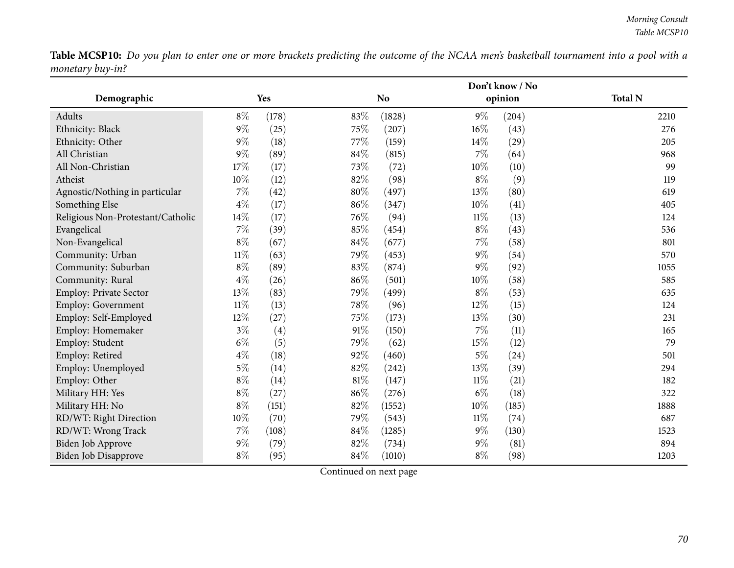|                                   |        |       |        | Don't know / No |        |         |                |  |
|-----------------------------------|--------|-------|--------|-----------------|--------|---------|----------------|--|
| Demographic                       |        | Yes   |        | <b>No</b>       |        | opinion | <b>Total N</b> |  |
| Adults                            | $8\%$  | (178) | 83%    | (1828)          | $9\%$  | (204)   | 2210           |  |
| Ethnicity: Black                  | $9\%$  | (25)  | 75%    | (207)           | $16\%$ | (43)    | 276            |  |
| Ethnicity: Other                  | $9\%$  | (18)  | 77%    | (159)           | $14\%$ | (29)    | 205            |  |
| All Christian                     | $9\%$  | (89)  | 84%    | (815)           | 7%     | (64)    | 968            |  |
| All Non-Christian                 | 17%    | (17)  | 73%    | (72)            | 10%    | (10)    | 99             |  |
| Atheist                           | 10%    | (12)  | 82%    | (98)            | $8\%$  | (9)     | 119            |  |
| Agnostic/Nothing in particular    | $7\%$  | (42)  | $80\%$ | (497)           | 13%    | (80)    | 619            |  |
| Something Else                    | $4\%$  | (17)  | 86%    | (347)           | 10%    | (41)    | 405            |  |
| Religious Non-Protestant/Catholic | 14%    | (17)  | 76%    | (94)            | $11\%$ | (13)    | 124            |  |
| Evangelical                       | 7%     | (39)  | 85%    | (454)           | $8\%$  | (43)    | 536            |  |
| Non-Evangelical                   | $8\%$  | (67)  | 84%    | (677)           | 7%     | (58)    | 801            |  |
| Community: Urban                  | $11\%$ | (63)  | 79%    | (453)           | $9\%$  | (54)    | 570            |  |
| Community: Suburban               | $8\%$  | (89)  | $83\%$ | (874)           | 9%     | (92)    | 1055           |  |
| Community: Rural                  | $4\%$  | (26)  | $86\%$ | (501)           | $10\%$ | (58)    | 585            |  |
| Employ: Private Sector            | 13%    | (83)  | 79%    | (499)           | $8\%$  | (53)    | 635            |  |
| Employ: Government                | $11\%$ | (13)  | 78%    | (96)            | 12%    | (15)    | 124            |  |
| Employ: Self-Employed             | 12%    | (27)  | 75%    | (173)           | 13%    | (30)    | 231            |  |
| Employ: Homemaker                 | $3\%$  | (4)   | $91\%$ | (150)           | 7%     | (11)    | 165            |  |
| Employ: Student                   | $6\%$  | (5)   | 79%    | (62)            | 15%    | (12)    | 79             |  |
| Employ: Retired                   | $4\%$  | (18)  | 92%    | (460)           | $5\%$  | (24)    | 501            |  |
| Employ: Unemployed                | $5\%$  | (14)  | 82%    | (242)           | 13%    | (39)    | 294            |  |
| Employ: Other                     | $8\%$  | (14)  | $81\%$ | (147)           | $11\%$ | (21)    | 182            |  |
| Military HH: Yes                  | $8\%$  | (27)  | 86%    | (276)           | $6\%$  | (18)    | 322            |  |
| Military HH: No                   | $8\%$  | (151) | 82%    | (1552)          | 10%    | (185)   | 1888           |  |
| RD/WT: Right Direction            | 10%    | (70)  | 79%    | (543)           | $11\%$ | (74)    | 687            |  |
| RD/WT: Wrong Track                | $7\%$  | (108) | $84\%$ | (1285)          | $9\%$  | (130)   | 1523           |  |
| Biden Job Approve                 | $9\%$  | (79)  | 82%    | (734)           | $9\%$  | (81)    | 894            |  |
| Biden Job Disapprove              | $8\%$  | (95)  | $84\%$ | (1010)          | $8\%$  | (98)    | 1203           |  |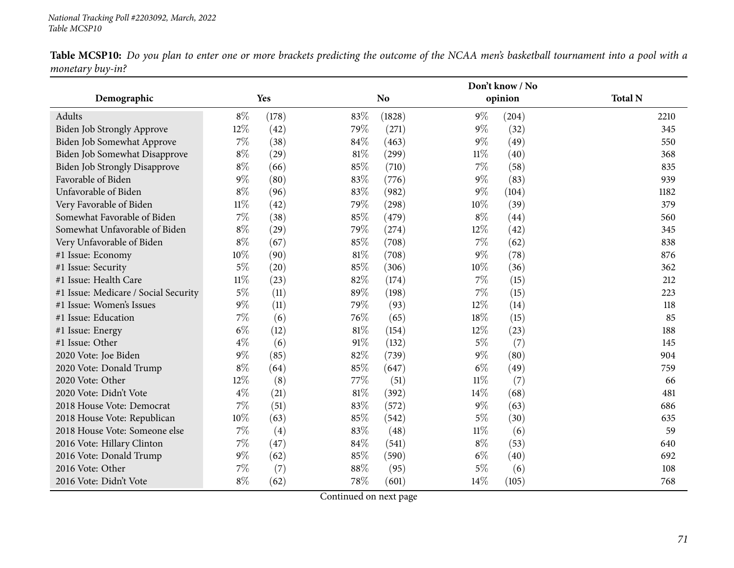|                                      |        |       |        | Don't know / No |        |         |                |  |
|--------------------------------------|--------|-------|--------|-----------------|--------|---------|----------------|--|
| Demographic                          |        | Yes   |        | N <sub>o</sub>  |        | opinion | <b>Total N</b> |  |
| Adults                               | $8\%$  | (178) | 83%    | (1828)          | $9\%$  | (204)   | 2210           |  |
| <b>Biden Job Strongly Approve</b>    | 12%    | (42)  | 79%    | (271)           | $9\%$  | (32)    | 345            |  |
| Biden Job Somewhat Approve           | $7\%$  | (38)  | 84%    | (463)           | $9\%$  | (49)    | 550            |  |
| Biden Job Somewhat Disapprove        | $8\%$  | (29)  | $81\%$ | (299)           | $11\%$ | (40)    | 368            |  |
| <b>Biden Job Strongly Disapprove</b> | $8\%$  | (66)  | 85%    | (710)           | 7%     | (58)    | 835            |  |
| Favorable of Biden                   | $9\%$  | (80)  | 83%    | (776)           | $9\%$  | (83)    | 939            |  |
| Unfavorable of Biden                 | $8\%$  | (96)  | 83%    | (982)           | $9\%$  | (104)   | 1182           |  |
| Very Favorable of Biden              | $11\%$ | (42)  | 79%    | (298)           | 10%    | (39)    | 379            |  |
| Somewhat Favorable of Biden          | 7%     | (38)  | 85%    | (479)           | $8\%$  | (44)    | 560            |  |
| Somewhat Unfavorable of Biden        | $8\%$  | (29)  | 79%    | (274)           | 12%    | (42)    | 345            |  |
| Very Unfavorable of Biden            | $8\%$  | (67)  | 85%    | (708)           | 7%     | (62)    | 838            |  |
| #1 Issue: Economy                    | 10%    | (90)  | $81\%$ | (708)           | $9\%$  | (78)    | 876            |  |
| #1 Issue: Security                   | $5\%$  | (20)  | 85%    | (306)           | 10%    | (36)    | 362            |  |
| #1 Issue: Health Care                | $11\%$ | (23)  | 82%    | (174)           | 7%     | (15)    | 212            |  |
| #1 Issue: Medicare / Social Security | $5\%$  | (11)  | 89%    | (198)           | 7%     | (15)    | 223            |  |
| #1 Issue: Women's Issues             | $9\%$  | (11)  | 79%    | (93)            | 12%    | (14)    | 118            |  |
| #1 Issue: Education                  | 7%     | (6)   | 76%    | (65)            | 18%    | (15)    | 85             |  |
| #1 Issue: Energy                     | $6\%$  | (12)  | $81\%$ | (154)           | 12%    | (23)    | 188            |  |
| #1 Issue: Other                      | $4\%$  | (6)   | 91%    | (132)           | $5\%$  | (7)     | 145            |  |
| 2020 Vote: Joe Biden                 | $9\%$  | (85)  | 82%    | (739)           | $9\%$  | (80)    | 904            |  |
| 2020 Vote: Donald Trump              | $8\%$  | (64)  | 85%    | (647)           | $6\%$  | (49)    | 759            |  |
| 2020 Vote: Other                     | 12%    | (8)   | 77%    | (51)            | $11\%$ | (7)     | 66             |  |
| 2020 Vote: Didn't Vote               | $4\%$  | (21)  | $81\%$ | (392)           | 14%    | (68)    | 481            |  |
| 2018 House Vote: Democrat            | 7%     | (51)  | 83%    | (572)           | $9\%$  | (63)    | 686            |  |
| 2018 House Vote: Republican          | 10%    | (63)  | 85%    | (542)           | $5\%$  | (30)    | 635            |  |
| 2018 House Vote: Someone else        | $7\%$  | (4)   | 83%    | (48)            | $11\%$ | (6)     | 59             |  |
| 2016 Vote: Hillary Clinton           | $7\%$  | (47)  | 84%    | (541)           | $8\%$  | (53)    | 640            |  |
| 2016 Vote: Donald Trump              | $9\%$  | (62)  | 85%    | (590)           | $6\%$  | (40)    | 692            |  |
| 2016 Vote: Other                     | 7%     | (7)   | 88%    | (95)            | $5\%$  | (6)     | 108            |  |
| 2016 Vote: Didn't Vote               | $8\%$  | (62)  | 78%    | (601)           | 14\%   | (105)   | 768            |  |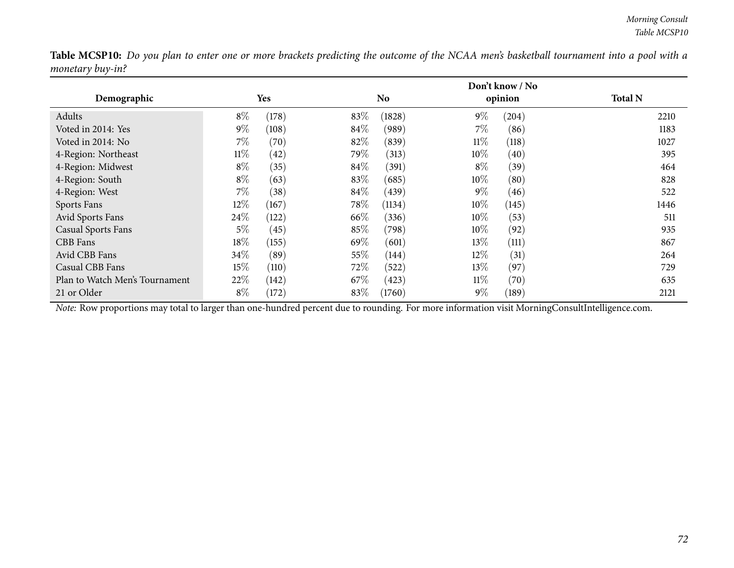|                                |        |       |      | Don't know / No |        |         |                |  |
|--------------------------------|--------|-------|------|-----------------|--------|---------|----------------|--|
| Demographic                    |        | Yes   |      | N <sub>o</sub>  |        | opinion | <b>Total N</b> |  |
| Adults                         | $8\%$  | (178) | 83%  | (1828)          | $9\%$  | (204)   | 2210           |  |
| Voted in 2014: Yes             | $9\%$  | (108) | 84\% | (989)           | $7\%$  | (86)    | 1183           |  |
| Voted in 2014: No              | $7\%$  | (70)  | 82\% | (839)           | $11\%$ | (118)   | 1027           |  |
| 4-Region: Northeast            | $11\%$ | (42)  | 79\% | (313)           | $10\%$ | (40)    | 395            |  |
| 4-Region: Midwest              | $8\%$  | (35)  | 84\% | (391)           | $8\%$  | (39)    | 464            |  |
| 4-Region: South                | $8\%$  | (63)  | 83\% | (685)           | $10\%$ | (80)    | 828            |  |
| 4-Region: West                 | $7\%$  | (38)  | 84\% | (439)           | $9\%$  | (46)    | 522            |  |
| Sports Fans                    | 12\%   | (167) | 78\% | (1134)          | $10\%$ | (145)   | 1446           |  |
| Avid Sports Fans               | 24\%   | (122) | 66\% | (336)           | 10\%   | (53)    | 511            |  |
| <b>Casual Sports Fans</b>      | $5\%$  | (45)  | 85%  | (798)           | 10\%   | (92)    | 935            |  |
| CBB Fans                       | $18\%$ | (155) | 69\% | (601)           | 13\%   | (111)   | 867            |  |
| Avid CBB Fans                  | 34\%   | (89)  | 55%  | (144)           | $12\%$ | (31)    | 264            |  |
| Casual CBB Fans                | 15\%   | (110) | 72\% | (522)           | 13\%   | (97)    | 729            |  |
| Plan to Watch Men's Tournament | 22\%   | (142) | 67\% | (423)           | $11\%$ | (70)    | 635            |  |
| 21 or Older                    | $8\%$  | (172) | 83%  | (1760)          | $9\%$  | (189)   | 2121           |  |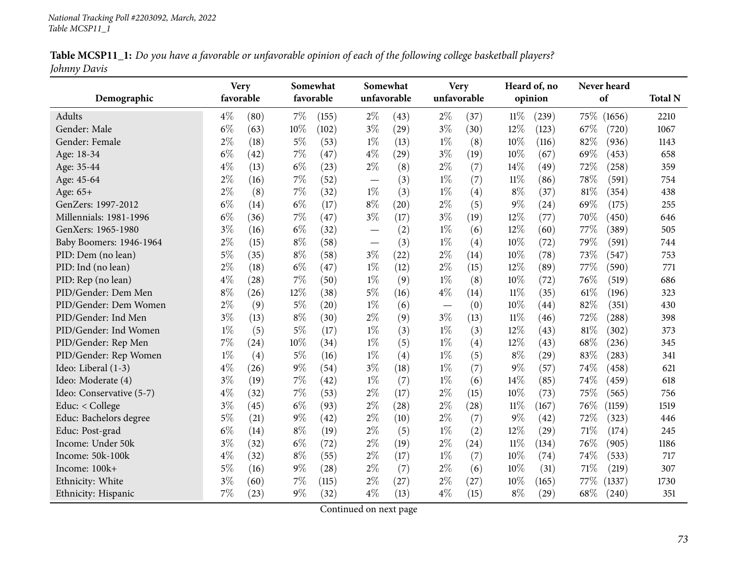|              | Table MCSP11_1: Do you have a favorable or unfavorable opinion of each of the following college basketball players? |  |  |
|--------------|---------------------------------------------------------------------------------------------------------------------|--|--|
| Johnny Davis |                                                                                                                     |  |  |

| Demographic              | favorable | <b>Very</b> |       | Somewhat<br>favorable | unfavorable | Somewhat | unfavorable | Very |        | Heard of, no<br>opinion | Never heard<br>of | <b>Total N</b> |
|--------------------------|-----------|-------------|-------|-----------------------|-------------|----------|-------------|------|--------|-------------------------|-------------------|----------------|
| Adults                   | $4\%$     | (80)        | $7\%$ | (155)                 | $2\%$       | (43)     | $2\%$       | (37) | $11\%$ | (239)                   | 75%<br>(1656)     | 2210           |
| Gender: Male             | $6\%$     | (63)        | 10%   | (102)                 | $3\%$       | (29)     | $3\%$       | (30) | 12%    | (123)                   | 67\%<br>(720)     | 1067           |
| Gender: Female           | $2\%$     | (18)        | $5\%$ | (53)                  | $1\%$       | (13)     | $1\%$       | (8)  | 10%    | (116)                   | 82%<br>(936)      | 1143           |
| Age: 18-34               | $6\%$     | (42)        | $7\%$ | (47)                  | $4\%$       | (29)     | $3\%$       | (19) | 10%    | (67)                    | 69%<br>(453)      | 658            |
| Age: 35-44               | $4\%$     | (13)        | $6\%$ | (23)                  | $2\%$       | (8)      | $2\%$       | (7)  | 14%    | (49)                    | 72%<br>(258)      | 359            |
| Age: 45-64               | $2\%$     | (16)        | $7\%$ | (52)                  |             | (3)      | $1\%$       | (7)  | $11\%$ | (86)                    | 78%<br>(591)      | 754            |
| Age: 65+                 | $2\%$     | (8)         | $7\%$ | (32)                  | $1\%$       | (3)      | $1\%$       | (4)  | $8\%$  | (37)                    | 81%<br>(354)      | 438            |
| GenZers: 1997-2012       | $6\%$     | (14)        | $6\%$ | (17)                  | $8\%$       | (20)     | $2\%$       | (5)  | $9\%$  | (24)                    | 69%<br>(175)      | 255            |
| Millennials: 1981-1996   | $6\%$     | (36)        | $7\%$ | (47)                  | $3\%$       | (17)     | $3\%$       | (19) | 12%    | (77)                    | 70%<br>(450)      | 646            |
| GenXers: 1965-1980       | $3\%$     | (16)        | $6\%$ | (32)                  |             | (2)      | $1\%$       | (6)  | 12%    | (60)                    | 77%<br>(389)      | 505            |
| Baby Boomers: 1946-1964  | $2\%$     | (15)        | $8\%$ | (58)                  |             | (3)      | $1\%$       | (4)  | 10%    | (72)                    | 79%<br>(591)      | 744            |
| PID: Dem (no lean)       | $5\%$     | (35)        | $8\%$ | (58)                  | $3\%$       | (22)     | $2\%$       | (14) | 10%    | (78)                    | 73%<br>(547)      | 753            |
| PID: Ind (no lean)       | $2\%$     | (18)        | $6\%$ | (47)                  | $1\%$       | (12)     | $2\%$       | (15) | 12%    | (89)                    | 77%<br>(590)      | 771            |
| PID: Rep (no lean)       | $4\%$     | (28)        | $7\%$ | (50)                  | $1\%$       | (9)      | $1\%$       | (8)  | 10%    | (72)                    | 76%<br>(519)      | 686            |
| PID/Gender: Dem Men      | $8\%$     | (26)        | 12%   | (38)                  | $5\%$       | (16)     | $4\%$       | (14) | $11\%$ | (35)                    | $61\%$<br>(196)   | 323            |
| PID/Gender: Dem Women    | $2\%$     | (9)         | $5\%$ | (20)                  | $1\%$       | (6)      |             | (0)  | 10%    | (44)                    | 82%<br>(351)      | 430            |
| PID/Gender: Ind Men      | $3\%$     | (13)        | $8\%$ | (30)                  | $2\%$       | (9)      | $3\%$       | (13) | $11\%$ | (46)                    | 72%<br>(288)      | 398            |
| PID/Gender: Ind Women    | $1\%$     | (5)         | $5\%$ | (17)                  | $1\%$       | (3)      | $1\%$       | (3)  | 12%    | (43)                    | 81\%<br>(302)     | 373            |
| PID/Gender: Rep Men      | 7%        | (24)        | 10%   | (34)                  | $1\%$       | (5)      | $1\%$       | (4)  | 12%    | (43)                    | 68\%<br>(236)     | 345            |
| PID/Gender: Rep Women    | $1\%$     | (4)         | $5\%$ | (16)                  | $1\%$       | (4)      | $1\%$       | (5)  | $8\%$  | (29)                    | 83%<br>(283)      | 341            |
| Ideo: Liberal (1-3)      | $4\%$     | (26)        | 9%    | (54)                  | $3\%$       | (18)     | $1\%$       | (7)  | $9\%$  | (57)                    | 74%<br>(458)      | 621            |
| Ideo: Moderate (4)       | $3\%$     | (19)        | $7\%$ | (42)                  | $1\%$       | (7)      | $1\%$       | (6)  | 14%    | (85)                    | 74%<br>(459)      | 618            |
| Ideo: Conservative (5-7) | $4\%$     | (32)        | $7\%$ | (53)                  | $2\%$       | (17)     | $2\%$       | (15) | 10%    | (73)                    | 75%<br>(565)      | 756            |
| Educ: < College          | $3\%$     | (45)        | $6\%$ | (93)                  | $2\%$       | (28)     | $2\%$       | (28) | $11\%$ | (167)                   | 76%<br>(1159)     | 1519           |
| Educ: Bachelors degree   | $5\%$     | (21)        | $9\%$ | (42)                  | $2\%$       | (10)     | $2\%$       | (7)  | $9\%$  | (42)                    | 72%<br>(323)      | 446            |
| Educ: Post-grad          | $6\%$     | (14)        | $8\%$ | (19)                  | $2\%$       | (5)      | $1\%$       | (2)  | 12%    | (29)                    | 71%<br>(174)      | 245            |
| Income: Under 50k        | $3\%$     | (32)        | $6\%$ | (72)                  | $2\%$       | (19)     | $2\%$       | (24) | $11\%$ | (134)                   | 76%<br>(905)      | 1186           |
| Income: 50k-100k         | $4\%$     | (32)        | $8\%$ | (55)                  | $2\%$       | (17)     | $1\%$       | (7)  | 10%    | (74)                    | 74%<br>(533)      | 717            |
| Income: 100k+            | $5\%$     | (16)        | $9\%$ | (28)                  | $2\%$       | (7)      | $2\%$       | (6)  | 10%    | (31)                    | 71\%<br>(219)     | 307            |
| Ethnicity: White         | $3\%$     | (60)        | 7%    | (115)                 | $2\%$       | (27)     | $2\%$       | (27) | 10%    | (165)                   | 77\%<br>(1337)    | 1730           |
| Ethnicity: Hispanic      | 7%        | (23)        | $9\%$ | (32)                  | $4\%$       | (13)     | $4\%$       | (15) | $8\%$  | (29)                    | 68%<br>(240)      | 351            |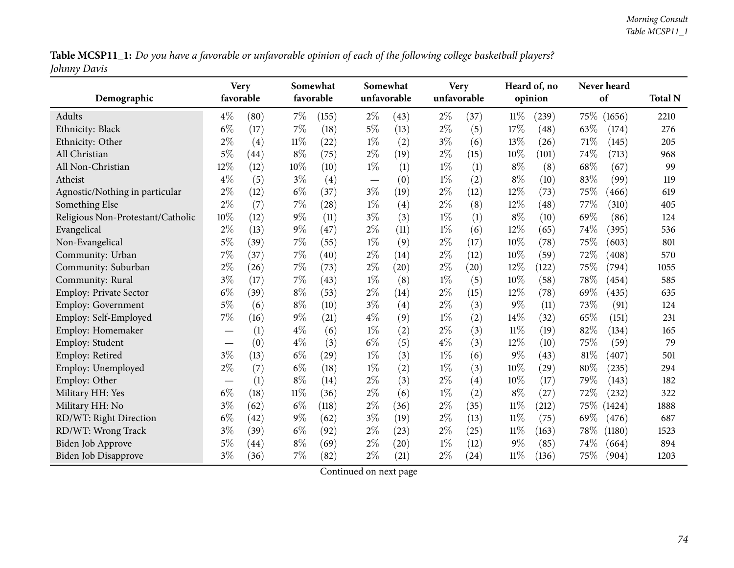Table MCSP11\_1: Do you have a favorable or unfavorable opinion of each of the following college basketball players? *Johnny Davis*

|                                   | <b>Very</b> |      |        | Somewhat  |       | Somewhat    |       | <b>Very</b> |        | Heard of, no |        | Never heard         |                |
|-----------------------------------|-------------|------|--------|-----------|-------|-------------|-------|-------------|--------|--------------|--------|---------------------|----------------|
| Demographic                       | favorable   |      |        | favorable |       | unfavorable |       | unfavorable |        | opinion      |        | of                  | <b>Total N</b> |
| Adults                            | $4\%$       | (80) | $7\%$  | (155)     | $2\%$ | (43)        | $2\%$ | (37)        | $11\%$ | (239)        | 75%    | (1656)              | 2210           |
| Ethnicity: Black                  | $6\%$       | (17) | $7\%$  | (18)      | $5\%$ | (13)        | $2\%$ | (5)         | 17%    | (48)         | 63%    | (174)               | 276            |
| Ethnicity: Other                  | $2\%$       | (4)  | $11\%$ | (22)      | $1\%$ | (2)         | $3\%$ | (6)         | 13%    | (26)         | 71%    | (145)               | 205            |
| All Christian                     | 5%          | (44) | $8\%$  | (75)      | $2\%$ | (19)        | $2\%$ | (15)        | 10%    | (101)        | 74%    | (713)               | 968            |
| All Non-Christian                 | 12%         | (12) | 10%    | (10)      | $1\%$ | (1)         | $1\%$ | (1)         | $8\%$  | (8)          | 68%    | (67)                | 99             |
| Atheist                           | $4\%$       | (5)  | $3\%$  | (4)       |       | (0)         | $1\%$ | (2)         | $8\%$  | (10)         | 83%    | (99)                | 119            |
| Agnostic/Nothing in particular    | $2\%$       | (12) | $6\%$  | (37)      | $3\%$ | (19)        | $2\%$ | (12)        | 12%    | (73)         | 75%    | (466)               | 619            |
| Something Else                    | $2\%$       | (7)  | $7\%$  | (28)      | $1\%$ | (4)         | $2\%$ | (8)         | 12%    | (48)         | 77%    | (310)               | 405            |
| Religious Non-Protestant/Catholic | 10%         | (12) | $9\%$  | (11)      | $3\%$ | (3)         | $1\%$ | (1)         | $8\%$  | (10)         | 69%    | (86)                | 124            |
| Evangelical                       | $2\%$       | (13) | $9\%$  | (47)      | $2\%$ | (11)        | $1\%$ | (6)         | 12%    | (65)         | 74%    | (395)               | 536            |
| Non-Evangelical                   | $5\%$       | (39) | 7%     | (55)      | $1\%$ | (9)         | $2\%$ | (17)        | 10%    | (78)         | 75%    | (603)               | 801            |
| Community: Urban                  | $7\%$       | (37) | $7\%$  | (40)      | $2\%$ | (14)        | $2\%$ | (12)        | 10%    | (59)         | 72%    | $\left( 408\right)$ | 570            |
| Community: Suburban               | $2\%$       | (26) | $7\%$  | (73)      | $2\%$ | (20)        | $2\%$ | (20)        | 12%    | (122)        | 75%    | (794)               | 1055           |
| Community: Rural                  | $3\%$       | (17) | $7\%$  | (43)      | $1\%$ | (8)         | $1\%$ | (5)         | 10%    | (58)         | 78%    | (454)               | 585            |
| <b>Employ: Private Sector</b>     | $6\%$       | (39) | $8\%$  | (53)      | $2\%$ | (14)        | $2\%$ | (15)        | 12%    | (78)         | 69%    | (435)               | 635            |
| <b>Employ: Government</b>         | $5\%$       | (6)  | $8\%$  | (10)      | $3\%$ | (4)         | $2\%$ | (3)         | $9\%$  | (11)         | 73%    | (91)                | 124            |
| Employ: Self-Employed             | 7%          | (16) | $9\%$  | (21)      | $4\%$ | (9)         | $1\%$ | (2)         | 14%    | (32)         | 65%    | (151)               | 231            |
| Employ: Homemaker                 |             | (1)  | $4\%$  | (6)       | $1\%$ | (2)         | $2\%$ | (3)         | 11%    | (19)         | 82%    | (134)               | 165            |
| Employ: Student                   |             | (0)  | $4\%$  | (3)       | $6\%$ | (5)         | $4\%$ | (3)         | 12%    | (10)         | 75%    | (59)                | 79             |
| Employ: Retired                   | $3\%$       | (13) | $6\%$  | (29)      | $1\%$ | (3)         | $1\%$ | (6)         | $9\%$  | (43)         | 81%    | (407)               | 501            |
| Employ: Unemployed                | $2\%$       | (7)  | $6\%$  | (18)      | $1\%$ | (2)         | $1\%$ | (3)         | 10%    | (29)         | $80\%$ | (235)               | 294            |
| Employ: Other                     |             | (1)  | $8\%$  | (14)      | $2\%$ | (3)         | $2\%$ | (4)         | 10%    | (17)         | 79%    | (143)               | 182            |
| Military HH: Yes                  | $6\%$       | (18) | $11\%$ | (36)      | $2\%$ | (6)         | $1\%$ | (2)         | $8\%$  | (27)         | 72%    | (232)               | 322            |
| Military HH: No                   | $3\%$       | (62) | $6\%$  | (118)     | $2\%$ | (36)        | $2\%$ | (35)        | 11%    | (212)        | 75\%   | (1424)              | 1888           |
| RD/WT: Right Direction            | $6\%$       | (42) | $9\%$  | (62)      | $3\%$ | (19)        | $2\%$ | (13)        | $11\%$ | (75)         | 69%    | (476)               | 687            |
| RD/WT: Wrong Track                | $3\%$       | (39) | $6\%$  | (92)      | $2\%$ | (23)        | $2\%$ | (25)        | $11\%$ | (163)        | 78%    | (1180)              | 1523           |
| <b>Biden Job Approve</b>          | $5\%$       | (44) | $8\%$  | (69)      | $2\%$ | (20)        | $1\%$ | (12)        | $9\%$  | (85)         | 74%    | (664)               | 894            |
| Biden Job Disapprove              | $3\%$       | (36) | $7\%$  | (82)      | $2\%$ | (21)        | $2\%$ | (24)        | $11\%$ | (136)        | 75%    | (904)               | 1203           |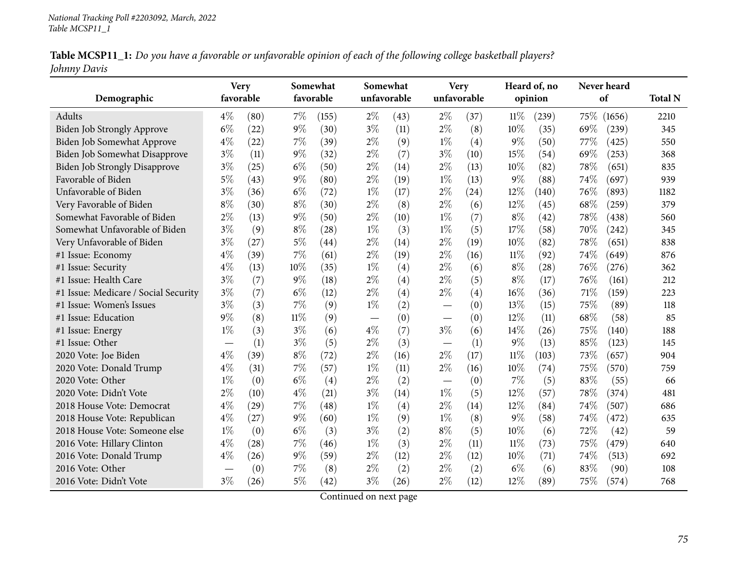|              |  | Table MCSP11_1: Do you have a favorable or unfavorable opinion of each of the following college basketball players? |  |
|--------------|--|---------------------------------------------------------------------------------------------------------------------|--|
| Johnny Davis |  |                                                                                                                     |  |

| Demographic                          | <b>Very</b><br>favorable        |      |        | Somewhat<br>favorable |                          | Somewhat<br>unfavorable | <b>Very</b><br>unfavorable |      |        | Heard of, no<br>opinion | Never heard<br>of |        | <b>Total N</b> |
|--------------------------------------|---------------------------------|------|--------|-----------------------|--------------------------|-------------------------|----------------------------|------|--------|-------------------------|-------------------|--------|----------------|
|                                      |                                 |      |        |                       |                          |                         |                            |      |        |                         |                   |        |                |
| Adults                               | $4\%$                           | (80) | $7\%$  | (155)                 | $2\%$                    | (43)                    | $2\%$                      | (37) | 11%    | (239)                   | 75\%              | (1656) | 2210           |
| <b>Biden Job Strongly Approve</b>    | $6\%$                           | (22) | $9\%$  | (30)                  | $3\%$                    | (11)                    | $2\%$                      | (8)  | 10%    | (35)                    | 69%               | (239)  | 345            |
| Biden Job Somewhat Approve           | $4\%$                           | (22) | $7\%$  | (39)                  | $2\%$                    | (9)                     | $1\%$                      | (4)  | $9\%$  | (50)                    | 77%               | (425)  | 550            |
| Biden Job Somewhat Disapprove        | $3\%$                           | (11) | $9\%$  | (32)                  | $2\%$                    | (7)                     | $3\%$                      | (10) | 15%    | (54)                    | 69%               | (253)  | 368            |
| <b>Biden Job Strongly Disapprove</b> | $3\%$                           | (25) | $6\%$  | (50)                  | $2\%$                    | (14)                    | $2\%$                      | (13) | 10%    | (82)                    | 78%               | (651)  | 835            |
| Favorable of Biden                   | $5\%$                           | (43) | $9\%$  | (80)                  | $2\%$                    | (19)                    | $1\%$                      | (13) | $9\%$  | (88)                    | 74%               | (697)  | 939            |
| Unfavorable of Biden                 | $3\%$                           | (36) | $6\%$  | (72)                  | $1\%$                    | (17)                    | 2%                         | (24) | 12%    | (140)                   | 76%               | (893)  | 1182           |
| Very Favorable of Biden              | $8\%$                           | (30) | $8\%$  | (30)                  | $2\%$                    | (8)                     | $2\%$                      | (6)  | 12%    | (45)                    | 68%               | (259)  | 379            |
| Somewhat Favorable of Biden          | $2\%$                           | (13) | $9\%$  | (50)                  | $2\%$                    | (10)                    | $1\%$                      | (7)  | $8\%$  | (42)                    | 78%               | (438)  | 560            |
| Somewhat Unfavorable of Biden        | $3\%$                           | (9)  | $8\%$  | (28)                  | $1\%$                    | (3)                     | $1\%$                      | (5)  | 17%    | (58)                    | 70%               | (242)  | 345            |
| Very Unfavorable of Biden            | $3\%$                           | (27) | $5\%$  | $\left( 44\right)$    | $2\%$                    | (14)                    | $2\%$                      | (19) | 10%    | (82)                    | 78%               | (651)  | 838            |
| #1 Issue: Economy                    | $4\%$                           | (39) | 7%     | (61)                  | $2\%$                    | (19)                    | $2\%$                      | (16) | 11%    | (92)                    | 74%               | (649)  | 876            |
| #1 Issue: Security                   | $4\%$                           | (13) | 10%    | (35)                  | $1\%$                    | (4)                     | $2\%$                      | (6)  | $8\%$  | (28)                    | 76%               | (276)  | 362            |
| #1 Issue: Health Care                | $3\%$                           | (7)  | $9\%$  | (18)                  | $2\%$                    | (4)                     | $2\%$                      | (5)  | $8\%$  | (17)                    | 76%               | (161)  | 212            |
| #1 Issue: Medicare / Social Security | $3\%$                           | (7)  | $6\%$  | (12)                  | $2\%$                    | (4)                     | $2\%$                      | (4)  | 16%    | (36)                    | 71%               | (159)  | 223            |
| #1 Issue: Women's Issues             | $3\%$                           | (3)  | 7%     | (9)                   | $1\%$                    | (2)                     |                            | (0)  | 13%    | (15)                    | 75%               | (89)   | 118            |
| #1 Issue: Education                  | $9\%$                           | (8)  | $11\%$ | (9)                   | $\overline{\phantom{m}}$ | (0)                     |                            | (0)  | 12%    | (11)                    | 68%               | (58)   | 85             |
| #1 Issue: Energy                     | $1\%$                           | (3)  | $3\%$  | (6)                   | $4\%$                    | (7)                     | $3\%$                      | (6)  | 14\%   | (26)                    | 75%               | (140)  | 188            |
| #1 Issue: Other                      | $\hspace{0.1mm}-\hspace{0.1mm}$ | (1)  | $3\%$  | (5)                   | $2\%$                    | (3)                     |                            | (1)  | $9\%$  | (13)                    | 85%               | (123)  | 145            |
| 2020 Vote: Joe Biden                 | $4\%$                           | (39) | 8%     | (72)                  | $2\%$                    | (16)                    | $2\%$                      | (17) | $11\%$ | (103)                   | 73%               | (657)  | 904            |
| 2020 Vote: Donald Trump              | $4\%$                           | (31) | 7%     | (57)                  | $1\%$                    | (11)                    | $2\%$                      | (16) | 10%    | (74)                    | 75%               | (570)  | 759            |
| 2020 Vote: Other                     | $1\%$                           | (0)  | $6\%$  | (4)                   | $2\%$                    | (2)                     |                            | (0)  | 7%     | (5)                     | 83%               | (55)   | 66             |
| 2020 Vote: Didn't Vote               | $2\%$                           | (10) | $4\%$  | (21)                  | $3\%$                    | (14)                    | $1\%$                      | (5)  | 12%    | (57)                    | 78%               | (374)  | 481            |
| 2018 House Vote: Democrat            | $4\%$                           | (29) | 7%     | (48)                  | $1\%$                    | (4)                     | $2\%$                      | (14) | 12%    | (84)                    | 74%               | (507)  | 686            |
| 2018 House Vote: Republican          | $4\%$                           | (27) | $9\%$  | (60)                  | $1\%$                    | (9)                     | $1\%$                      | (8)  | $9\%$  | (58)                    | 74\%              | (472)  | 635            |
| 2018 House Vote: Someone else        | $1\%$                           | (0)  | $6\%$  | (3)                   | $3\%$                    | (2)                     | $8\%$                      | (5)  | 10%    | (6)                     | 72%               | (42)   | 59             |
| 2016 Vote: Hillary Clinton           | $4\%$                           | (28) | $7\%$  | (46)                  | $1\%$                    | (3)                     | $2\%$                      | (11) | $11\%$ | (73)                    | 75%               | (479)  | 640            |
| 2016 Vote: Donald Trump              | $4\%$                           | (26) | $9\%$  | (59)                  | $2\%$                    | (12)                    | $2\%$                      | (12) | 10%    | (71)                    | 74%               | (513)  | 692            |
| 2016 Vote: Other                     |                                 | (0)  | 7%     | (8)                   | $2\%$                    | (2)                     | $2\%$                      | (2)  | $6\%$  | (6)                     | 83%               | (90)   | 108            |
| 2016 Vote: Didn't Vote               | $3\%$                           | (26) | 5%     | (42)                  | $3\%$                    | (26)                    | $2\%$                      | (12) | 12%    | (89)                    | 75%               | (574)  | 768            |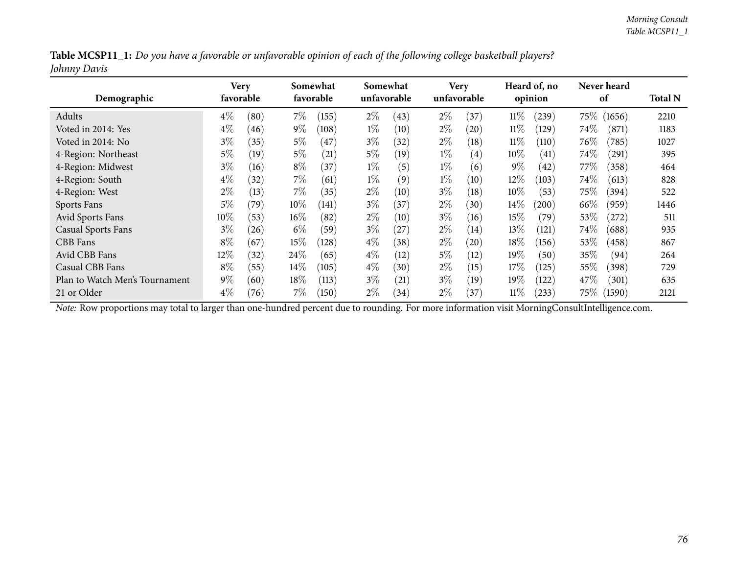|              | Table MCSP11_1: Do you have a favorable or unfavorable opinion of each of the following college basketball players? |  |
|--------------|---------------------------------------------------------------------------------------------------------------------|--|
| Johnny Davis |                                                                                                                     |  |

| Demographic                    |        | Very<br>favorable |        | Somewhat<br>favorable |       | Somewhat<br>unfavorable |       | <b>Very</b><br>unfavorable |        | Heard of, no<br>opinion |         | Never heard<br>of |      |
|--------------------------------|--------|-------------------|--------|-----------------------|-------|-------------------------|-------|----------------------------|--------|-------------------------|---------|-------------------|------|
| Adults                         | $4\%$  | (80)              | $7\%$  | (155)                 | $2\%$ | (43)                    | $2\%$ | 37)                        | $11\%$ | $^{(239)}$              | 75\%    | (1656)            | 2210 |
| Voted in 2014: Yes             | $4\%$  | (46)              | $9\%$  | (108)                 | $1\%$ | (10)                    | $2\%$ | (20)                       | $11\%$ | (129)                   | $74\%$  | (871)             | 1183 |
| Voted in 2014: No              | $3\%$  | (35)              | $5\%$  | (47)                  | $3\%$ | (32)                    | $2\%$ | (18)                       | $11\%$ | (110)                   | 76\%    | (785)             | 1027 |
| 4-Region: Northeast            | $5\%$  | (19)              | $5\%$  | (21)                  | $5\%$ | (19)                    | $1\%$ | $\left( 4\right)$          | $10\%$ | (41)                    | $74\%$  | (291)             | 395  |
| 4-Region: Midwest              | $3\%$  | (16)              | $8\%$  | (37)                  | $1\%$ | (5)                     | $1\%$ | (6)                        | $9\%$  | (42)                    | 77 $\%$ | (358)             | 464  |
| 4-Region: South                | $4\%$  | (32)              | $7\%$  | (61)                  | $1\%$ | (9)                     | $1\%$ | (10)                       | $12\%$ | (103)                   | $74\%$  | (613)             | 828  |
| 4-Region: West                 | $2\%$  | (13)              | $7\%$  | (35)                  | $2\%$ | (10)                    | $3\%$ | (18)                       | $10\%$ | (53)                    | $75\%$  | (394)             | 522  |
| Sports Fans                    | 5%     | (79)              | $10\%$ | (141)                 | $3\%$ | (37)                    | $2\%$ | (30)                       | $14\%$ | (200)                   | $66\%$  | (959)             | 1446 |
| Avid Sports Fans               | $10\%$ | (53)              | $16\%$ | (82)                  | $2\%$ | (10)                    | $3\%$ | (16)                       | $15\%$ | (79)                    | 53%     | (272)             | 511  |
| <b>Casual Sports Fans</b>      | $3\%$  | $^{(26)}$         | $6\%$  | (59)                  | $3\%$ | (27)                    | $2\%$ | (14)                       | 13\%   | (121)                   | 74\%    | (688)             | 935  |
| CBB Fans                       | $8\%$  | (67)              | 15%    | (128)                 | $4\%$ | (38)                    | $2\%$ | (20)                       | 18%    | (156)                   | 53%     | (458)             | 867  |
| Avid CBB Fans                  | 12\%   | (32)              | 24\%   | (65)                  | $4\%$ | (12)                    | $5\%$ | (12)                       | 19%    | (50)                    | 35%     | (94)              | 264  |
| Casual CBB Fans                | $8\%$  | (55)              | $14\%$ | (105)                 | $4\%$ | (30)                    | $2\%$ | (15)                       | 17%    | (125)                   | 55%     | (398)             | 729  |
| Plan to Watch Men's Tournament | $9\%$  | (60)              | $18\%$ | (113)                 | $3\%$ | (21)                    | $3\%$ | (19)                       | 19%    | (122)                   | 47\%    | (301)             | 635  |
| 21 or Older                    | $4\%$  | (76)              | 7%     | (150)                 | $2\%$ | (34)                    | $2\%$ | (37)                       | $11\%$ | $^{(233)}$              |         | 75\% (1590)       | 2121 |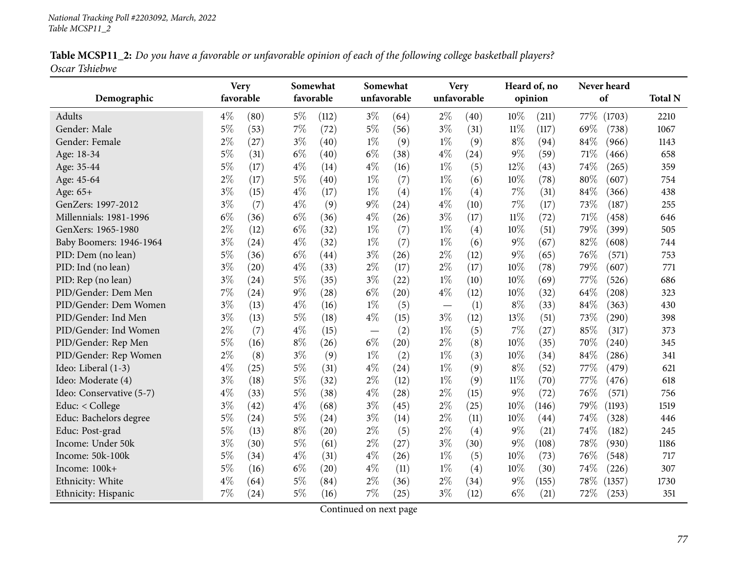| Table MCSP11_2: Do you have a favorable or unfavorable opinion of each of the following college basketball players? |  |  |
|---------------------------------------------------------------------------------------------------------------------|--|--|
| Oscar Tshiebwe                                                                                                      |  |  |

| Demographic              | <b>Very</b><br>favorable |      |       | Somewhat<br>favorable | Somewhat<br>unfavorable |      |       | <b>Very</b><br>unfavorable |        | Heard of, no<br>opinion |      | Never heard<br>of | <b>Total N</b> |
|--------------------------|--------------------------|------|-------|-----------------------|-------------------------|------|-------|----------------------------|--------|-------------------------|------|-------------------|----------------|
| Adults                   | $4\%$                    | (80) | $5\%$ | (112)                 | $3\%$                   | (64) | $2\%$ | (40)                       | 10%    | (211)                   | 77\% | (1703)            | 2210           |
| Gender: Male             | $5\%$                    | (53) | $7\%$ | (72)                  | $5\%$                   | (56) | $3\%$ | (31)                       | $11\%$ | (117)                   | 69%  | (738)             | 1067           |
| Gender: Female           | $2\%$                    | (27) | $3\%$ | (40)                  | $1\%$                   | (9)  | $1\%$ | (9)                        | $8\%$  | (94)                    | 84%  | (966)             | 1143           |
| Age: 18-34               | $5\%$                    | (31) | $6\%$ | (40)                  | $6\%$                   | (38) | $4\%$ | (24)                       | $9\%$  | (59)                    | 71%  | (466)             | 658            |
| Age: 35-44               | $5\%$                    | (17) | $4\%$ | (14)                  | $4\%$                   | (16) | $1\%$ | (5)                        | 12%    | (43)                    | 74%  | (265)             | 359            |
| Age: 45-64               | $2\%$                    | (17) | $5\%$ | (40)                  | $1\%$                   | (7)  | $1\%$ | (6)                        | 10%    | (78)                    | 80%  | (607)             | 754            |
| Age: 65+                 | $3\%$                    | (15) | $4\%$ | (17)                  | $1\%$                   | (4)  | $1\%$ | (4)                        | 7%     | (31)                    | 84%  | (366)             | 438            |
| GenZers: 1997-2012       | $3\%$                    | (7)  | $4\%$ | (9)                   | $9\%$                   | (24) | $4\%$ | (10)                       | 7%     | (17)                    | 73%  | (187)             | 255            |
| Millennials: 1981-1996   | $6\%$                    | (36) | $6\%$ | (36)                  | $4\%$                   | (26) | $3\%$ | (17)                       | $11\%$ | (72)                    | 71%  | (458)             | 646            |
| GenXers: 1965-1980       | $2\%$                    | (12) | $6\%$ | (32)                  | $1\%$                   | (7)  | $1\%$ | (4)                        | 10%    | (51)                    | 79%  | (399)             | 505            |
| Baby Boomers: 1946-1964  | $3\%$                    | (24) | $4\%$ | (32)                  | $1\%$                   | (7)  | $1\%$ | (6)                        | $9\%$  | (67)                    | 82%  | (608)             | 744            |
| PID: Dem (no lean)       | $5\%$                    | (36) | $6\%$ | (44)                  | $3\%$                   | (26) | $2\%$ | (12)                       | $9\%$  | (65)                    | 76%  | (571)             | 753            |
| PID: Ind (no lean)       | $3\%$                    | (20) | $4\%$ | (33)                  | $2\%$                   | (17) | $2\%$ | (17)                       | 10%    | (78)                    | 79%  | (607)             | 771            |
| PID: Rep (no lean)       | $3\%$                    | (24) | $5\%$ | (35)                  | $3\%$                   | (22) | $1\%$ | (10)                       | 10%    | (69)                    | 77\% | (526)             | 686            |
| PID/Gender: Dem Men      | 7%                       | (24) | $9\%$ | (28)                  | $6\%$                   | (20) | $4\%$ | (12)                       | 10%    | (32)                    | 64%  | (208)             | 323            |
| PID/Gender: Dem Women    | $3\%$                    | (13) | $4\%$ | (16)                  | $1\%$                   | (5)  |       | (1)                        | $8\%$  | (33)                    | 84%  | (363)             | 430            |
| PID/Gender: Ind Men      | $3\%$                    | (13) | $5\%$ | (18)                  | $4\%$                   | (15) | $3\%$ | (12)                       | 13%    | (51)                    | 73%  | (290)             | 398            |
| PID/Gender: Ind Women    | $2\%$                    | (7)  | $4\%$ | (15)                  |                         | (2)  | $1\%$ | (5)                        | 7%     | (27)                    | 85%  | (317)             | 373            |
| PID/Gender: Rep Men      | $5\%$                    | (16) | $8\%$ | (26)                  | $6\%$                   | (20) | $2\%$ | (8)                        | 10%    | (35)                    | 70%  | (240)             | 345            |
| PID/Gender: Rep Women    | $2\%$                    | (8)  | $3\%$ | (9)                   | $1\%$                   | (2)  | $1\%$ | (3)                        | 10%    | (34)                    | 84%  | (286)             | 341            |
| Ideo: Liberal (1-3)      | $4\%$                    | (25) | $5\%$ | (31)                  | $4\%$                   | (24) | $1\%$ | (9)                        | $8\%$  | (52)                    | 77%  | (479)             | 621            |
| Ideo: Moderate (4)       | $3\%$                    | (18) | $5\%$ | (32)                  | $2\%$                   | (12) | $1\%$ | (9)                        | $11\%$ | (70)                    | 77%  | (476)             | 618            |
| Ideo: Conservative (5-7) | $4\%$                    | (33) | $5\%$ | (38)                  | $4\%$                   | (28) | $2\%$ | (15)                       | $9\%$  | (72)                    | 76%  | (571)             | 756            |
| Educ: $<$ College        | $3\%$                    | (42) | $4\%$ | (68)                  | $3\%$                   | (45) | $2\%$ | (25)                       | 10%    | (146)                   | 79%  | (1193)            | 1519           |
| Educ: Bachelors degree   | $5\%$                    | (24) | $5\%$ | (24)                  | $3\%$                   | (14) | $2\%$ | (11)                       | 10%    | (44)                    | 74%  | (328)             | 446            |
| Educ: Post-grad          | $5\%$                    | (13) | $8\%$ | (20)                  | $2\%$                   | (5)  | $2\%$ | (4)                        | $9\%$  | (21)                    | 74%  | (182)             | 245            |
| Income: Under 50k        | $3\%$                    | (30) | $5\%$ | (61)                  | $2\%$                   | (27) | $3\%$ | (30)                       | $9\%$  | $\left(108\right)$      | 78%  | (930)             | 1186           |
| Income: 50k-100k         | $5\%$                    | (34) | $4\%$ | (31)                  | $4\%$                   | (26) | $1\%$ | (5)                        | 10%    | (73)                    | 76%  | (548)             | 717            |
| Income: 100k+            | $5\%$                    | (16) | $6\%$ | (20)                  | $4\%$                   | (11) | $1\%$ | (4)                        | 10%    | (30)                    | 74%  | (226)             | 307            |
| Ethnicity: White         | $4\%$                    | (64) | $5\%$ | (84)                  | $2\%$                   | (36) | $2\%$ | (34)                       | $9\%$  | (155)                   | 78%  | (1357)            | 1730           |
| Ethnicity: Hispanic      | 7%                       | (24) | 5%    | (16)                  | $7\%$                   | (25) | $3\%$ | (12)                       | $6\%$  | (21)                    | 72\% | (253)             | 351            |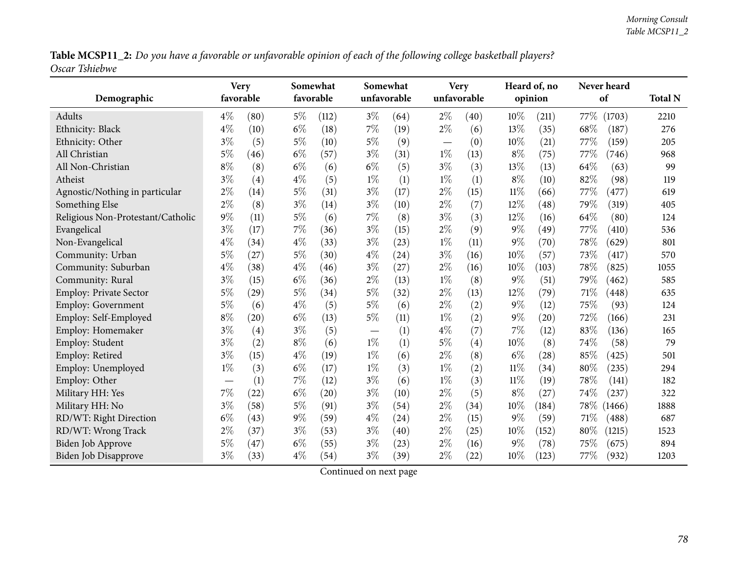Table MCSP11\_2: Do you have a favorable or unfavorable opinion of each of the following college basketball players? *Oscar Tshiebwe*

| Demographic                       | favorable | <b>Very</b> |       | Somewhat<br>favorable |       | Somewhat<br>unfavorable |                                   | <b>Very</b><br>unfavorable |        | Heard of, no<br>opinion |        | Never heard<br>of | <b>Total N</b> |
|-----------------------------------|-----------|-------------|-------|-----------------------|-------|-------------------------|-----------------------------------|----------------------------|--------|-------------------------|--------|-------------------|----------------|
| Adults                            | $4\%$     | (80)        | $5\%$ | (112)                 | $3\%$ | (64)                    | $2\%$                             | (40)                       | 10%    | (211)                   | 77\%   | (1703)            | 2210           |
| Ethnicity: Black                  | $4\%$     | (10)        | $6\%$ | (18)                  | $7\%$ | (19)                    | $2\%$                             | (6)                        | 13%    | (35)                    | 68%    | (187)             | 276            |
| Ethnicity: Other                  | $3\%$     | (5)         | $5\%$ | (10)                  | $5\%$ | (9)                     | $\overbrace{\phantom{123221111}}$ | (0)                        | $10\%$ | (21)                    | 77\%   | (159)             | 205            |
| All Christian                     | $5\%$     | (46)        | $6\%$ | (57)                  | $3\%$ | (31)                    | $1\%$                             | (13)                       | $8\%$  | (75)                    | 77%    | (746)             | 968            |
| All Non-Christian                 | $8\%$     | (8)         | $6\%$ | (6)                   | $6\%$ | (5)                     | $3\%$                             | (3)                        | 13%    | (13)                    | 64%    | (63)              | 99             |
| Atheist                           | $3\%$     | (4)         | $4\%$ | (5)                   | $1\%$ | (1)                     | $1\%$                             | (1)                        | $8\%$  | (10)                    | 82%    | (98)              | 119            |
| Agnostic/Nothing in particular    | $2\%$     | (14)        | $5\%$ | (31)                  | $3\%$ | (17)                    | $2\%$                             | (15)                       | $11\%$ | (66)                    | 77%    | (477)             | 619            |
| Something Else                    | $2\%$     | (8)         | $3\%$ | (14)                  | $3\%$ | (10)                    | $2\%$                             | (7)                        | 12%    | (48)                    | 79%    | (319)             | 405            |
| Religious Non-Protestant/Catholic | $9\%$     | (11)        | 5%    | (6)                   | 7%    | (8)                     | $3\%$                             | (3)                        | 12%    | (16)                    | 64\%   | (80)              | 124            |
| Evangelical                       | $3\%$     | (17)        | 7%    | (36)                  | $3\%$ | (15)                    | $2\%$                             | (9)                        | $9\%$  | (49)                    | 77\%   | (410)             | 536            |
| Non-Evangelical                   | $4\%$     | (34)        | $4\%$ | (33)                  | $3\%$ | (23)                    | $1\%$                             | (11)                       | $9\%$  | (70)                    | 78%    | (629)             | 801            |
| Community: Urban                  | $5\%$     | (27)        | $5\%$ | (30)                  | $4\%$ | (24)                    | $3\%$                             | (16)                       | 10%    | (57)                    | 73%    | (417)             | 570            |
| Community: Suburban               | $4\%$     | (38)        | $4\%$ | (46)                  | $3\%$ | (27)                    | $2\%$                             | (16)                       | 10%    | (103)                   | 78%    | (825)             | 1055           |
| Community: Rural                  | $3\%$     | (15)        | $6\%$ | (36)                  | $2\%$ | (13)                    | $1\%$                             | (8)                        | $9\%$  | (51)                    | 79%    | (462)             | 585            |
| <b>Employ: Private Sector</b>     | $5\%$     | (29)        | $5\%$ | (34)                  | $5\%$ | (32)                    | $2\%$                             | (13)                       | 12%    | (79)                    | $71\%$ | (448)             | 635            |
| Employ: Government                | $5\%$     | (6)         | $4\%$ | (5)                   | $5\%$ | (6)                     | $2\%$                             | (2)                        | $9\%$  | (12)                    | 75%    | (93)              | 124            |
| Employ: Self-Employed             | $8\%$     | (20)        | $6\%$ | (13)                  | $5\%$ | (11)                    | $1\%$                             | (2)                        | $9\%$  | $\left( 20\right)$      | 72%    | (166)             | 231            |
| Employ: Homemaker                 | $3\%$     | (4)         | $3\%$ | (5)                   |       | (1)                     | $4\%$                             | (7)                        | 7%     | (12)                    | 83%    | (136)             | 165            |
| Employ: Student                   | $3\%$     | (2)         | $8\%$ | (6)                   | $1\%$ | (1)                     | $5\%$                             | $\left( 4\right)$          | 10%    | (8)                     | 74%    | (58)              | 79             |
| Employ: Retired                   | $3\%$     | (15)        | $4\%$ | (19)                  | $1\%$ | (6)                     | $2\%$                             | (8)                        | $6\%$  | (28)                    | 85%    | (425)             | 501            |
| Employ: Unemployed                | $1\%$     | (3)         | $6\%$ | (17)                  | $1\%$ | (3)                     | $1\%$                             | (2)                        | $11\%$ | (34)                    | $80\%$ | (235)             | 294            |
| Employ: Other                     |           | (1)         | 7%    | (12)                  | $3\%$ | (6)                     | $1\%$                             | (3)                        | $11\%$ | (19)                    | 78%    | (141)             | 182            |
| Military HH: Yes                  | 7%        | (22)        | $6\%$ | $\left( 20\right)$    | $3\%$ | (10)                    | $2\%$                             | (5)                        | $8\%$  | (27)                    | 74%    | (237)             | 322            |
| Military HH: No                   | $3\%$     | (58)        | $5\%$ | (91)                  | $3\%$ | (54)                    | $2\%$                             | (34)                       | 10%    | (184)                   | 78\%   | (1466)            | 1888           |
| RD/WT: Right Direction            | $6\%$     | (43)        | $9\%$ | (59)                  | $4\%$ | (24)                    | $2\%$                             | (15)                       | $9\%$  | (59)                    | 71%    | (488)             | 687            |
| RD/WT: Wrong Track                | $2\%$     | (37)        | $3\%$ | (53)                  | $3\%$ | (40)                    | $2\%$                             | (25)                       | 10%    | (152)                   | 80%    | (1215)            | 1523           |
| <b>Biden Job Approve</b>          | $5\%$     | (47)        | $6\%$ | (55)                  | $3\%$ | (23)                    | $2\%$                             | (16)                       | 9%     | (78)                    | 75%    | (675)             | 894            |
| <b>Biden Job Disapprove</b>       | $3\%$     | (33)        | $4\%$ | (54)                  | $3\%$ | (39)                    | $2\%$                             | (22)                       | 10%    | (123)                   | 77\%   | (932)             | 1203           |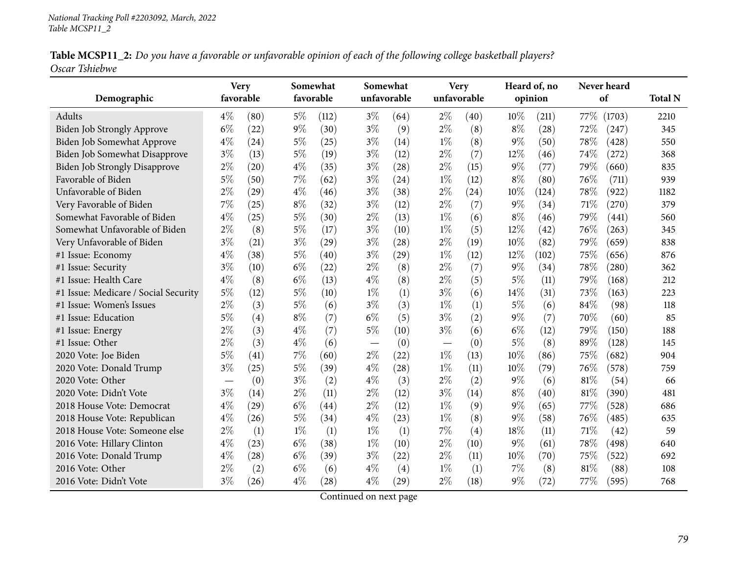|                | Table MCSP11_2: Do you have a favorable or unfavorable opinion of each of the following college basketball players? |  |  |
|----------------|---------------------------------------------------------------------------------------------------------------------|--|--|
| Oscar Tshiebwe |                                                                                                                     |  |  |

| Demographic                          | <b>Very</b><br>favorable |      | Somewhat<br>favorable |                    | Somewhat | unfavorable | unfavorable | <b>Very</b> |        | Heard of, no<br>opinion |      | Never heard<br>of | <b>Total N</b> |
|--------------------------------------|--------------------------|------|-----------------------|--------------------|----------|-------------|-------------|-------------|--------|-------------------------|------|-------------------|----------------|
| Adults                               | $4\%$                    | (80) | $5\%$                 | (112)              | $3\%$    | (64)        | $2\%$       | (40)        | 10%    | (211)                   | 77\% | (1703)            | 2210           |
| Biden Job Strongly Approve           | $6\%$                    | (22) | $9\%$                 | (30)               | $3\%$    | (9)         | $2\%$       | (8)         | $8\%$  | (28)                    | 72%  | (247)             | 345            |
| Biden Job Somewhat Approve           | $4\%$                    | (24) | $5\%$                 | (25)               | $3\%$    | (14)        | $1\%$       | (8)         | $9\%$  | (50)                    | 78%  | (428)             | 550            |
| <b>Biden Job Somewhat Disapprove</b> | $3\%$                    | (13) | $5\%$                 | (19)               | $3\%$    | (12)        | $2\%$       | (7)         | $12\%$ | (46)                    | 74%  | (272)             | 368            |
| <b>Biden Job Strongly Disapprove</b> | $2\%$                    | (20) | $4\%$                 | (35)               | $3\%$    | (28)        | $2\%$       | (15)        | $9\%$  | (77)                    | 79%  | (660)             | 835            |
| Favorable of Biden                   | $5\%$                    | (50) | $7\%$                 | (62)               | $3\%$    | (24)        | $1\%$       | (12)        | $8\%$  | (80)                    | 76%  | (711)             | 939            |
| Unfavorable of Biden                 | $2\%$                    | (29) | $4\%$                 | (46)               | $3\%$    | (38)        | $2\%$       | (24)        | 10%    | (124)                   | 78%  | (922)             | 1182           |
| Very Favorable of Biden              | 7%                       | (25) | $8\%$                 | (32)               | $3\%$    | (12)        | $2\%$       | (7)         | $9\%$  | (34)                    | 71%  | (270)             | 379            |
| Somewhat Favorable of Biden          | $4\%$                    | (25) | $5\%$                 | (30)               | $2\%$    | (13)        | $1\%$       | (6)         | $8\%$  | (46)                    | 79%  | (441)             | 560            |
| Somewhat Unfavorable of Biden        | $2\%$                    | (8)  | $5\%$                 | (17)               | $3\%$    | (10)        | $1\%$       | (5)         | 12%    | (42)                    | 76%  | (263)             | 345            |
| Very Unfavorable of Biden            | $3\%$                    | (21) | $3\%$                 | (29)               | $3\%$    | (28)        | $2\%$       | (19)        | 10%    | (82)                    | 79%  | (659)             | 838            |
| #1 Issue: Economy                    | $4\%$                    | (38) | $5\%$                 | (40)               | $3\%$    | (29)        | $1\%$       | (12)        | 12%    | (102)                   | 75%  | (656)             | 876            |
| #1 Issue: Security                   | $3\%$                    | (10) | $6\%$                 | (22)               | $2\%$    | (8)         | $2\%$       | (7)         | $9\%$  | (34)                    | 78%  | (280)             | 362            |
| #1 Issue: Health Care                | $4\%$                    | (8)  | $6\%$                 | (13)               | $4\%$    | (8)         | $2\%$       | (5)         | $5\%$  | (11)                    | 79%  | (168)             | 212            |
| #1 Issue: Medicare / Social Security | 5%                       | (12) | 5%                    | (10)               | $1\%$    | (1)         | $3\%$       | (6)         | 14%    | (31)                    | 73%  | (163)             | 223            |
| #1 Issue: Women's Issues             | $2\%$                    | (3)  | $5\%$                 | (6)                | $3\%$    | (3)         | $1\%$       | (1)         | $5\%$  | (6)                     | 84%  | (98)              | 118            |
| #1 Issue: Education                  | 5%                       | (4)  | $8\%$                 | (7)                | $6\%$    | (5)         | $3\%$       | (2)         | $9\%$  | (7)                     | 70%  | (60)              | 85             |
| #1 Issue: Energy                     | $2\%$                    | (3)  | $4\%$                 | (7)                | $5\%$    | (10)        | $3\%$       | (6)         | $6\%$  | (12)                    | 79%  | (150)             | 188            |
| #1 Issue: Other                      | $2\%$                    | (3)  | $4\%$                 | (6)                |          | (0)         |             | (0)         | $5\%$  | (8)                     | 89%  | (128)             | 145            |
| 2020 Vote: Joe Biden                 | $5\%$                    | (41) | 7%                    | (60)               | $2\%$    | (22)        | $1\%$       | (13)        | 10%    | (86)                    | 75%  | (682)             | 904            |
| 2020 Vote: Donald Trump              | $3\%$                    | (25) | $5\%$                 | (39)               | $4\%$    | (28)        | $1\%$       | (11)        | 10%    | (79)                    | 76%  | (578)             | 759            |
| 2020 Vote: Other                     | $\overline{\phantom{0}}$ | (0)  | $3\%$                 | (2)                | $4\%$    | (3)         | $2\%$       | (2)         | $9\%$  | (6)                     | 81%  | (54)              | 66             |
| 2020 Vote: Didn't Vote               | $3\%$                    | (14) | 2%                    | (11)               | $2\%$    | (12)        | $3\%$       | (14)        | $8\%$  | (40)                    | 81%  | (390)             | 481            |
| 2018 House Vote: Democrat            | $4\%$                    | (29) | $6\%$                 | $\left( 44\right)$ | $2\%$    | (12)        | $1\%$       | (9)         | $9\%$  | (65)                    | 77%  | (528)             | 686            |
| 2018 House Vote: Republican          | $4\%$                    | (26) | $5\%$                 | (34)               | $4\%$    | (23)        | $1\%$       | (8)         | $9\%$  | (58)                    | 76%  | (485)             | 635            |
| 2018 House Vote: Someone else        | $2\%$                    | (1)  | $1\%$                 | (1)                | $1\%$    | (1)         | 7%          | (4)         | 18%    | (11)                    | 71%  | (42)              | 59             |
| 2016 Vote: Hillary Clinton           | $4\%$                    | (23) | $6\%$                 | (38)               | $1\%$    | (10)        | $2\%$       | (10)        | $9\%$  | (61)                    | 78%  | (498)             | 640            |
| 2016 Vote: Donald Trump              | $4\%$                    | (28) | $6\%$                 | (39)               | $3\%$    | (22)        | $2\%$       | (11)        | 10%    | (70)                    | 75%  | (522)             | 692            |
| 2016 Vote: Other                     | $2\%$                    | (2)  | $6\%$                 | (6)                | $4\%$    | (4)         | $1\%$       | (1)         | 7%     | (8)                     | 81%  | (88)              | 108            |
| 2016 Vote: Didn't Vote               | $3\%$                    | (26) | $4\%$                 | (28)               | $4\%$    | (29)        | $2\%$       | (18)        | $9\%$  | (72)                    | 77\% | (595)             | 768            |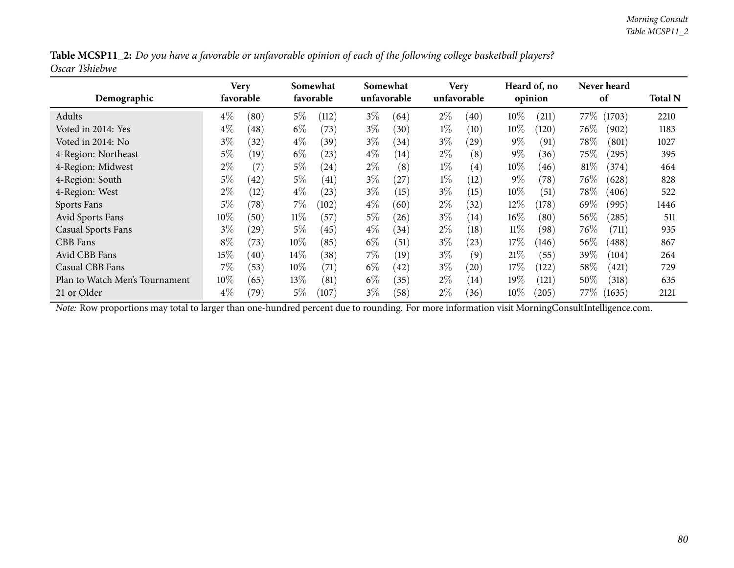|                | Table MCSP11_2: Do you have a favorable or unfavorable opinion of each of the following college basketball players? |  |
|----------------|---------------------------------------------------------------------------------------------------------------------|--|
| Oscar Tshiebwe |                                                                                                                     |  |

| Demographic                    | Very   | favorable |        | Somewhat<br>favorable |       | Somewhat<br>unfavorable |       | <b>Very</b><br>unfavorable |        | Heard of, no<br>opinion |        | Never heard<br>of | <b>Total N</b> |
|--------------------------------|--------|-----------|--------|-----------------------|-------|-------------------------|-------|----------------------------|--------|-------------------------|--------|-------------------|----------------|
| Adults                         | $4\%$  | (80)      | $5\%$  | (112)                 | $3\%$ | (64)                    | $2\%$ | (40)                       | $10\%$ | (211)                   | 77\%   | (1703)            | 2210           |
| Voted in 2014: Yes             | $4\%$  | (48)      | $6\%$  | (73)                  | $3\%$ | (30)                    | $1\%$ | (10)                       | $10\%$ | (120)                   | $76\%$ | (902)             | 1183           |
| Voted in 2014: No              | $3\%$  | (32)      | $4\%$  | (39)                  | $3\%$ | (34)                    | $3\%$ | $\left( 29\right)$         | $9\%$  | (91)                    | $78\%$ | (801)             | 1027           |
| 4-Region: Northeast            | $5\%$  | (19)      | $6\%$  | (23)                  | $4\%$ | (14)                    | $2\%$ | (8)                        | $9\%$  | (36)                    | $75\%$ | $^{'}295)$        | 395            |
| 4-Region: Midwest              | $2\%$  | (7)       | $5\%$  | (24)                  | $2\%$ | (8)                     | $1\%$ | $\left( 4\right)$          | $10\%$ | (46)                    | 81\%   | (374)             | 464            |
| 4-Region: South                | $5\%$  | (42)      | $5\%$  | (41)                  | $3\%$ | (27)                    | $1\%$ | (12)                       | $9\%$  | (78)                    | 76\%   | (628)             | 828            |
| 4-Region: West                 | $2\%$  | (12)      | $4\%$  | (23)                  | $3\%$ | (15)                    | $3\%$ | (15)                       | $10\%$ | (51)                    | $78\%$ | (406)             | 522            |
| Sports Fans                    | 5%     | (78)      | $7\%$  | (102)                 | $4\%$ | (60)                    | $2\%$ | (32)                       | $12\%$ | (178)                   | 69%    | (995)             | 1446           |
| Avid Sports Fans               | $10\%$ | (50)      | $11\%$ | (57)                  | $5\%$ | (26)                    | $3\%$ | (14)                       | $16\%$ | (80)                    | $56\%$ | (285)             | 511            |
| <b>Casual Sports Fans</b>      | $3\%$  | $^{(29)}$ | $5\%$  | (45)                  | $4\%$ | (34)                    | $2\%$ | (18)                       | $11\%$ | (98)                    | 76\%   | (711)             | 935            |
| CBB Fans                       | $8\%$  | (73)      | $10\%$ | (85)                  | $6\%$ | (51)                    | $3\%$ | (23)                       | 17%    | (146)                   | 56\%   | (488)             | 867            |
| Avid CBB Fans                  | 15%    | (40)      | $14\%$ | (38)                  | $7\%$ | (19)                    | $3\%$ | (9)                        | 21%    | (55)                    | 39%    | (104)             | 264            |
| Casual CBB Fans                | $7\%$  | (53)      | $10\%$ | (71)                  | $6\%$ | (42)                    | $3\%$ | (20)                       | 17%    | (122)                   | $58\%$ | (421)             | 729            |
| Plan to Watch Men's Tournament | $10\%$ | (65)      | $13\%$ | (81)                  | $6\%$ | (35)                    | $2\%$ | (14)                       | $19\%$ | (121)                   | 50\%   | (318)             | 635            |
| 21 or Older                    | $4\%$  | (79)      | $5\%$  | (107)                 | $3\%$ | (58)                    | $2\%$ | (36)                       | $10\%$ | (205)                   | 77%    | (1635)            | 2121           |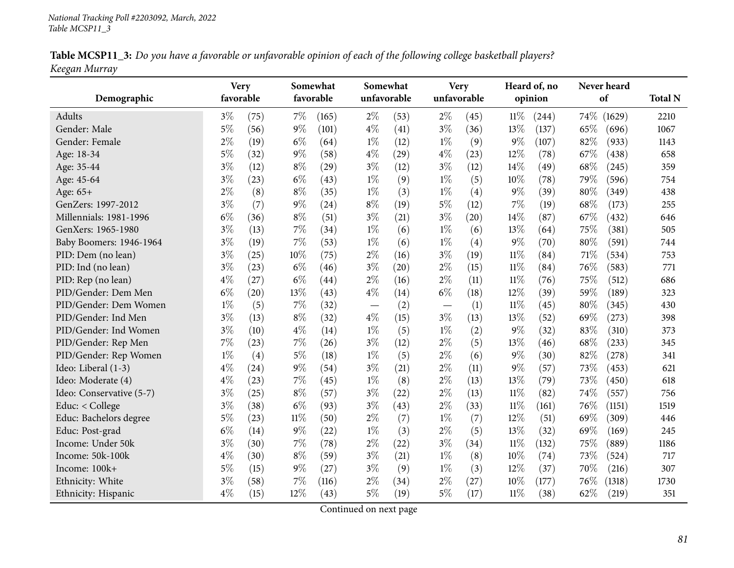|               | Table MCSP11_3: Do you have a favorable or unfavorable opinion of each of the following college basketball players? |  |  |
|---------------|---------------------------------------------------------------------------------------------------------------------|--|--|
| Keegan Murray |                                                                                                                     |  |  |

| Demographic              |       | <b>Very</b><br>favorable |        | Somewhat<br>favorable | Somewhat<br>unfavorable |      | <b>Very</b><br>unfavorable |      |        | Heard of, no<br>opinion | Never heard<br>of | <b>Total N</b> |
|--------------------------|-------|--------------------------|--------|-----------------------|-------------------------|------|----------------------------|------|--------|-------------------------|-------------------|----------------|
| <b>Adults</b>            | $3\%$ | (75)                     | 7%     | (165)                 | $2\%$                   | (53) | $2\%$                      | (45) | $11\%$ | (244)                   | 74%               | 2210<br>(1629) |
| Gender: Male             | $5\%$ | (56)                     | $9\%$  | (101)                 | $4\%$                   | (41) | $3\%$                      | (36) | 13%    | (137)                   | 65%               | (696)<br>1067  |
| Gender: Female           | $2\%$ | (19)                     | $6\%$  | (64)                  | $1\%$                   | (12) | $1\%$                      | (9)  | $9\%$  | (107)                   | 82%               | (933)<br>1143  |
| Age: 18-34               | $5\%$ | (32)                     | $9\%$  | (58)                  | $4\%$                   | (29) | $4\%$                      | (23) | 12%    | (78)                    | 67%               | (438)<br>658   |
| Age: 35-44               | $3\%$ | (12)                     | $8\%$  | (29)                  | $3\%$                   | (12) | $3\%$                      | (12) | 14%    | (49)                    | 68%               | (245)<br>359   |
| Age: 45-64               | $3\%$ | (23)                     | $6\%$  | (43)                  | $1\%$                   | (9)  | $1\%$                      | (5)  | $10\%$ | (78)                    | 79%               | (596)<br>754   |
| Age: 65+                 | $2\%$ | (8)                      | $8\%$  | (35)                  | $1\%$                   | (3)  | $1\%$                      | (4)  | $9\%$  | (39)                    | 80%               | (349)<br>438   |
| GenZers: 1997-2012       | $3\%$ | (7)                      | 9%     | (24)                  | $8\%$                   | (19) | $5\%$                      | (12) | $7\%$  | (19)                    | 68%               | (173)<br>255   |
| Millennials: 1981-1996   | $6\%$ | (36)                     | $8\%$  | (51)                  | $3\%$                   | (21) | $3\%$                      | (20) | 14%    | (87)                    | 67%               | (432)<br>646   |
| GenXers: 1965-1980       | $3\%$ | (13)                     | 7%     | (34)                  | $1\%$                   | (6)  | $1\%$                      | (6)  | 13%    | (64)                    | 75%               | 505<br>(381)   |
| Baby Boomers: 1946-1964  | $3\%$ | (19)                     | 7%     | (53)                  | $1\%$                   | (6)  | $1\%$                      | (4)  | $9\%$  | (70)                    | 80%               | (591)<br>744   |
| PID: Dem (no lean)       | $3\%$ | (25)                     | 10%    | (75)                  | $2\%$                   | (16) | $3\%$                      | (19) | $11\%$ | (84)                    | 71%               | (534)<br>753   |
| PID: Ind (no lean)       | $3\%$ | (23)                     | $6\%$  | (46)                  | $3\%$                   | (20) | $2\%$                      | (15) | $11\%$ | (84)                    | 76%               | (583)<br>771   |
| PID: Rep (no lean)       | $4\%$ | (27)                     | $6\%$  | (44)                  | $2\%$                   | (16) | $2\%$                      | (11) | $11\%$ | (76)                    | 75%               | (512)<br>686   |
| PID/Gender: Dem Men      | $6\%$ | (20)                     | 13%    | (43)                  | $4\%$                   | (14) | $6\%$                      | (18) | 12%    | (39)                    | 59%               | (189)<br>323   |
| PID/Gender: Dem Women    | $1\%$ | (5)                      | $7\%$  | (32)                  |                         | (2)  |                            | (1)  | $11\%$ | (45)                    | 80%               | (345)<br>430   |
| PID/Gender: Ind Men      | $3\%$ | (13)                     | $8\%$  | (32)                  | $4\%$                   | (15) | $3\%$                      | (13) | 13%    | (52)                    | 69%               | (273)<br>398   |
| PID/Gender: Ind Women    | $3\%$ | (10)                     | $4\%$  | (14)                  | $1\%$                   | (5)  | $1\%$                      | (2)  | $9\%$  | (32)                    | 83%               | (310)<br>373   |
| PID/Gender: Rep Men      | 7%    | (23)                     | 7%     | (26)                  | $3\%$                   | (12) | $2\%$                      | (5)  | 13%    | (46)                    | 68%               | (233)<br>345   |
| PID/Gender: Rep Women    | $1\%$ | (4)                      | $5\%$  | (18)                  | $1\%$                   | (5)  | $2\%$                      | (6)  | $9\%$  | (30)                    | 82%               | (278)<br>341   |
| Ideo: Liberal (1-3)      | $4\%$ | (24)                     | 9%     | (54)                  | $3\%$                   | (21) | $2\%$                      | (11) | $9\%$  | (57)                    | 73%               | (453)<br>621   |
| Ideo: Moderate (4)       | $4\%$ | (23)                     | 7%     | (45)                  | $1\%$                   | (8)  | $2\%$                      | (13) | 13%    | (79)                    | 73%               | (450)<br>618   |
| Ideo: Conservative (5-7) | $3\%$ | (25)                     | $8\%$  | (57)                  | $3\%$                   | (22) | $2\%$                      | (13) | $11\%$ | (82)                    | 74%               | (557)<br>756   |
| Educ: < College          | $3\%$ | (38)                     | $6\%$  | (93)                  | $3\%$                   | (43) | $2\%$                      | (33) | $11\%$ | (161)                   | 76%               | 1519<br>(1151) |
| Educ: Bachelors degree   | $5\%$ | (23)                     | $11\%$ | (50)                  | $2\%$                   | (7)  | $1\%$                      | (7)  | 12%    | (51)                    | 69%               | (309)<br>446   |
| Educ: Post-grad          | $6\%$ | (14)                     | 9%     | (22)                  | $1\%$                   | (3)  | $2\%$                      | (5)  | 13%    | (32)                    | 69%               | (169)<br>245   |
| Income: Under 50k        | $3\%$ | (30)                     | 7%     | (78)                  | $2\%$                   | (22) | $3\%$                      | (34) | $11\%$ | (132)                   | 75%               | (889)<br>1186  |
| Income: 50k-100k         | $4\%$ | (30)                     | $8\%$  | (59)                  | $3\%$                   | (21) | $1\%$                      | (8)  | 10%    | (74)                    | 73%               | (524)<br>717   |
| Income: 100k+            | $5\%$ | (15)                     | 9%     | (27)                  | $3\%$                   | (9)  | $1\%$                      | (3)  | 12%    | (37)                    | 70%               | 307<br>(216)   |
| Ethnicity: White         | $3\%$ | (58)                     | 7%     | (116)                 | $2\%$                   | (34) | $2\%$                      | (27) | $10\%$ | (177)                   | 76%               | (1318)<br>1730 |
| Ethnicity: Hispanic      | $4\%$ | (15)                     | 12%    | (43)                  | $5\%$                   | (19) | $5\%$                      | (17) | $11\%$ | (38)                    | 62%               | (219)<br>351   |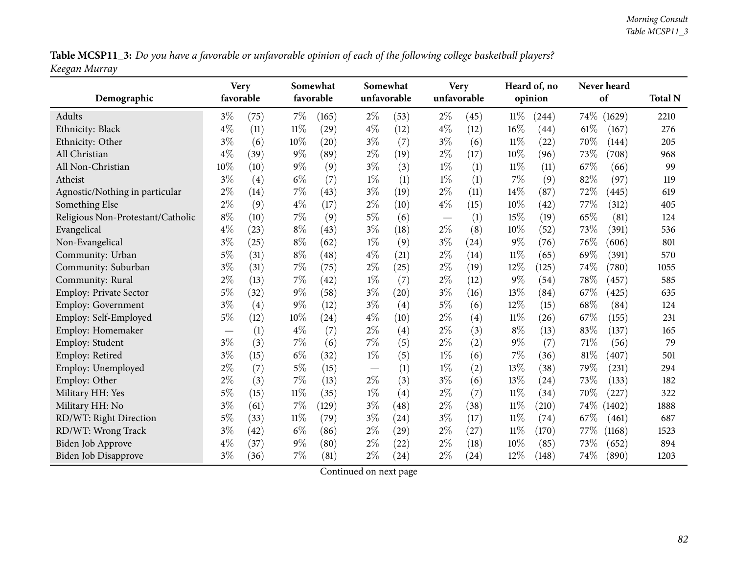Table MCSP11\_3: Do you have a favorable or unfavorable opinion of each of the following college basketball players? *Keegan Murray*

| Demographic                       | <b>Very</b><br>favorable |      |        | Somewhat<br>favorable |       | Somewhat<br>unfavorable |       | <b>Very</b><br>unfavorable |        | Heard of, no<br>opinion |        | Never heard<br>of | <b>Total N</b> |
|-----------------------------------|--------------------------|------|--------|-----------------------|-------|-------------------------|-------|----------------------------|--------|-------------------------|--------|-------------------|----------------|
| Adults                            | $3\%$                    | (75) | $7\%$  | (165)                 | $2\%$ | (53)                    | $2\%$ | (45)                       | $11\%$ | (244)                   | $74\%$ | (1629)            | 2210           |
| Ethnicity: Black                  | $4\%$                    | (11) | $11\%$ | (29)                  | $4\%$ | (12)                    | $4\%$ | (12)                       | 16%    | (44)                    | 61%    | (167)             | 276            |
| Ethnicity: Other                  | $3\%$                    | (6)  | 10%    | (20)                  | $3\%$ | (7)                     | $3\%$ | (6)                        | $11\%$ | (22)                    | 70%    | (144)             | 205            |
| All Christian                     | $4\%$                    | (39) | $9\%$  | (89)                  | $2\%$ | (19)                    | $2\%$ | (17)                       | 10%    | (96)                    | 73%    | (708)             | 968            |
| All Non-Christian                 | 10%                      | (10) | $9\%$  | (9)                   | $3\%$ | (3)                     | $1\%$ | (1)                        | 11%    | (11)                    | 67\%   | (66)              | 99             |
| Atheist                           | $3\%$                    | (4)  | $6\%$  | (7)                   | $1\%$ | (1)                     | $1\%$ | (1)                        | 7%     | (9)                     | 82%    | (97)              | 119            |
| Agnostic/Nothing in particular    | $2\%$                    | (14) | 7%     | (43)                  | $3\%$ | (19)                    | $2\%$ | (11)                       | 14%    | (87)                    | 72%    | (445)             | 619            |
| Something Else                    | $2\%$                    | (9)  | $4\%$  | (17)                  | $2\%$ | (10)                    | $4\%$ | (15)                       | 10%    | (42)                    | 77%    | (312)             | 405            |
| Religious Non-Protestant/Catholic | $8\%$                    | (10) | 7%     | (9)                   | $5\%$ | (6)                     |       | (1)                        | 15%    | (19)                    | 65%    | (81)              | 124            |
| Evangelical                       | $4\%$                    | (23) | $8\%$  | (43)                  | $3\%$ | (18)                    | $2\%$ | (8)                        | 10%    | (52)                    | 73%    | (391)             | 536            |
| Non-Evangelical                   | $3\%$                    | (25) | $8\%$  | (62)                  | $1\%$ | (9)                     | $3\%$ | (24)                       | $9\%$  | (76)                    | 76%    | (606)             | 801            |
| Community: Urban                  | $5\%$                    | (31) | $8\%$  | (48)                  | $4\%$ | (21)                    | $2\%$ | (14)                       | $11\%$ | (65)                    | 69%    | (391)             | 570            |
| Community: Suburban               | $3\%$                    | (31) | 7%     | (75)                  | $2\%$ | (25)                    | $2\%$ | (19)                       | 12%    | (125)                   | 74%    | (780)             | 1055           |
| Community: Rural                  | $2\%$                    | (13) | 7%     | (42)                  | $1\%$ | (7)                     | $2\%$ | (12)                       | $9\%$  | (54)                    | 78%    | (457)             | 585            |
| <b>Employ: Private Sector</b>     | $5\%$                    | (32) | $9\%$  | (58)                  | $3\%$ | (20)                    | $3\%$ | (16)                       | 13%    | (84)                    | 67%    | (425)             | 635            |
| <b>Employ: Government</b>         | $3\%$                    | (4)  | $9\%$  | (12)                  | $3\%$ | (4)                     | $5\%$ | (6)                        | 12%    | (15)                    | 68%    | (84)              | 124            |
| Employ: Self-Employed             | $5\%$                    | (12) | 10%    | (24)                  | $4\%$ | (10)                    | $2\%$ | $\left( 4\right)$          | 11%    | (26)                    | 67\%   | (155)             | 231            |
| Employ: Homemaker                 |                          | (1)  | $4\%$  | (7)                   | $2\%$ | (4)                     | $2\%$ | (3)                        | $8\%$  | (13)                    | 83%    | (137)             | 165            |
| Employ: Student                   | $3\%$                    | (3)  | 7%     | (6)                   | $7\%$ | (5)                     | $2\%$ | (2)                        | $9\%$  | (7)                     | $71\%$ | (56)              | 79             |
| Employ: Retired                   | $3\%$                    | (15) | $6\%$  | (32)                  | $1\%$ | (5)                     | $1\%$ | (6)                        | 7%     | (36)                    | 81%    | (407)             | 501            |
| Employ: Unemployed                | $2\%$                    | (7)  | $5\%$  | (15)                  |       | (1)                     | $1\%$ | (2)                        | 13%    | (38)                    | 79%    | (231)             | 294            |
| Employ: Other                     | $2\%$                    | (3)  | $7\%$  | (13)                  | $2\%$ | (3)                     | $3\%$ | (6)                        | 13%    | (24)                    | 73%    | (133)             | 182            |
| Military HH: Yes                  | $5\%$                    | (15) | $11\%$ | (35)                  | $1\%$ | (4)                     | $2\%$ | (7)                        | 11%    | (34)                    | 70%    | (227)             | 322            |
| Military HH: No                   | $3\%$                    | (61) | 7%     | (129)                 | $3\%$ | (48)                    | $2\%$ | (38)                       | 11%    | (210)                   | $74\%$ | (1402)            | 1888           |
| RD/WT: Right Direction            | $5\%$                    | (33) | $11\%$ | (79)                  | $3\%$ | (24)                    | $3\%$ | (17)                       | $11\%$ | (74)                    | 67%    | (461)             | 687            |
| RD/WT: Wrong Track                | $3\%$                    | (42) | $6\%$  | (86)                  | $2\%$ | (29)                    | $2\%$ | (27)                       | $11\%$ | (170)                   | 77\%   | (1168)            | 1523           |
| <b>Biden Job Approve</b>          | $4\%$                    | (37) | $9\%$  | (80)                  | $2\%$ | (22)                    | $2\%$ | (18)                       | 10%    | (85)                    | 73%    | (652)             | 894            |
| Biden Job Disapprove              | $3\%$                    | (36) | 7%     | (81)                  | $2\%$ | (24)                    | $2\%$ | (24)                       | 12%    | (148)                   | 74%    | (890)             | 1203           |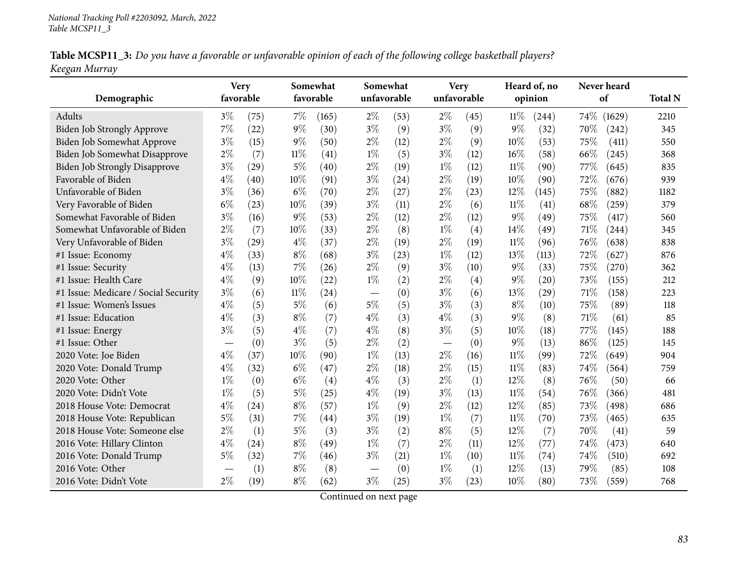|               |  | Table MCSP11_3: Do you have a favorable or unfavorable opinion of each of the following college basketball players? |
|---------------|--|---------------------------------------------------------------------------------------------------------------------|
| Keegan Murray |  |                                                                                                                     |

| Demographic                          | <b>Very</b><br>favorable         |      |        | Somewhat<br>favorable | Somewhat | unfavorable | <b>Very</b><br>unfavorable |      |        | Heard of, no<br>opinion |        | Never heard<br>of | <b>Total N</b> |
|--------------------------------------|----------------------------------|------|--------|-----------------------|----------|-------------|----------------------------|------|--------|-------------------------|--------|-------------------|----------------|
| Adults                               | $3\%$                            | (75) | 7%     | (165)                 | $2\%$    | (53)        | $2\%$                      | (45) | 11%    | (244)                   | $74\%$ | (1629)            | 2210           |
| Biden Job Strongly Approve           | 7%                               | (22) | 9%     | (30)                  | $3\%$    | (9)         | $3\%$                      | (9)  | $9\%$  | (32)                    | 70%    | (242)             | 345            |
| Biden Job Somewhat Approve           | $3\%$                            | (15) | $9\%$  | (50)                  | $2\%$    | (12)        | $2\%$                      | (9)  | 10%    | (53)                    | 75%    | (411)             | 550            |
| Biden Job Somewhat Disapprove        | $2\%$                            | (7)  | 11%    | (41)                  | $1\%$    | (5)         | $3\%$                      | (12) | 16%    | (58)                    | 66%    | (245)             | 368            |
| <b>Biden Job Strongly Disapprove</b> | $3\%$                            | (29) | $5\%$  | (40)                  | $2\%$    | (19)        | $1\%$                      | (12) | $11\%$ | (90)                    | 77\%   | (645)             | 835            |
| Favorable of Biden                   | $4\%$                            | (40) | 10%    | (91)                  | $3\%$    | (24)        | $2\%$                      | (19) | 10%    | (90)                    | 72%    | (676)             | 939            |
| Unfavorable of Biden                 | $3\%$                            | (36) | $6\%$  | (70)                  | $2\%$    | (27)        | $2\%$                      | (23) | 12%    | (145)                   | 75%    | (882)             | 1182           |
| Very Favorable of Biden              | $6\%$                            | (23) | 10%    | (39)                  | $3\%$    | (11)        | $2\%$                      | (6)  | $11\%$ | (41)                    | 68%    | (259)             | 379            |
| Somewhat Favorable of Biden          | $3\%$                            | (16) | $9\%$  | (53)                  | $2\%$    | (12)        | $2\%$                      | (12) | $9\%$  | (49)                    | 75%    | (417)             | 560            |
| Somewhat Unfavorable of Biden        | $2\%$                            | (7)  | 10%    | (33)                  | $2\%$    | (8)         | $1\%$                      | (4)  | 14%    | (49)                    | 71%    | (244)             | 345            |
| Very Unfavorable of Biden            | $3\%$                            | (29) | $4\%$  | (37)                  | $2\%$    | (19)        | $2\%$                      | (19) | $11\%$ | (96)                    | 76%    | (638)             | 838            |
| #1 Issue: Economy                    | $4\%$                            | (33) | $8\%$  | (68)                  | $3\%$    | (23)        | $1\%$                      | (12) | 13%    | (113)                   | 72%    | (627)             | 876            |
| #1 Issue: Security                   | $4\%$                            | (13) | 7%     | (26)                  | $2\%$    | (9)         | $3\%$                      | (10) | $9\%$  | (33)                    | 75%    | (270)             | 362            |
| #1 Issue: Health Care                | $4\%$                            | (9)  | 10%    | (22)                  | $1\%$    | (2)         | $2\%$                      | (4)  | $9\%$  | (20)                    | 73%    | (155)             | 212            |
| #1 Issue: Medicare / Social Security | $3\%$                            | (6)  | $11\%$ | (24)                  |          | (0)         | $3\%$                      | (6)  | $13\%$ | (29)                    | 71%    | (158)             | 223            |
| #1 Issue: Women's Issues             | $4\%$                            | (5)  | 5%     | (6)                   | $5\%$    | (5)         | $3\%$                      | (3)  | $8\%$  | (10)                    | 75%    | (89)              | 118            |
| #1 Issue: Education                  | $4\%$                            | (3)  | $8\%$  | (7)                   | $4\%$    | (3)         | $4\%$                      | (3)  | $9\%$  | (8)                     | 71%    | (61)              | 85             |
| #1 Issue: Energy                     | $3\%$                            | (5)  | $4\%$  | (7)                   | $4\%$    | (8)         | $3\%$                      | (5)  | 10%    | (18)                    | 77%    | (145)             | 188            |
| #1 Issue: Other                      | $\overbrace{\phantom{12322111}}$ | (0)  | $3\%$  | (5)                   | $2\%$    | (2)         |                            | (0)  | $9\%$  | (13)                    | 86%    | (125)             | 145            |
| 2020 Vote: Joe Biden                 | $4\%$                            | (37) | 10%    | (90)                  | $1\%$    | (13)        | $2\%$                      | (16) | $11\%$ | (99)                    | 72%    | (649)             | 904            |
| 2020 Vote: Donald Trump              | $4\%$                            | (32) | $6\%$  | (47)                  | $2\%$    | (18)        | $2\%$                      | (15) | $11\%$ | (83)                    | 74%    | (564)             | 759            |
| 2020 Vote: Other                     | $1\%$                            | (0)  | $6\%$  | (4)                   | $4\%$    | (3)         | $2\%$                      | (1)  | 12%    | (8)                     | 76%    | (50)              | 66             |
| 2020 Vote: Didn't Vote               | $1\%$                            | (5)  | $5\%$  | (25)                  | $4\%$    | (19)        | $3\%$                      | (13) | 11%    | (54)                    | 76%    | (366)             | 481            |
| 2018 House Vote: Democrat            | $4\%$                            | (24) | $8\%$  | (57)                  | $1\%$    | (9)         | $2\%$                      | (12) | 12%    | (85)                    | 73%    | (498)             | 686            |
| 2018 House Vote: Republican          | $5\%$                            | (31) | 7%     | (44)                  | $3\%$    | (19)        | $1\%$                      | (7)  | $11\%$ | (70)                    | 73%    | (465)             | 635            |
| 2018 House Vote: Someone else        | $2\%$                            | (1)  | $5\%$  | (3)                   | $3\%$    | (2)         | $8\%$                      | (5)  | 12%    | (7)                     | 70%    | (41)              | 59             |
| 2016 Vote: Hillary Clinton           | $4\%$                            | (24) | $8\%$  | (49)                  | $1\%$    | (7)         | $2\%$                      | (11) | 12%    | (77)                    | 74%    | (473)             | 640            |
| 2016 Vote: Donald Trump              | $5\%$                            | (32) | $7\%$  | (46)                  | $3\%$    | (21)        | $1\%$                      | (10) | $11\%$ | (74)                    | 74%    | (510)             | 692            |
| 2016 Vote: Other                     |                                  | (1)  | $8\%$  | (8)                   |          | (0)         | $1\%$                      | (1)  | 12%    | (13)                    | 79%    | (85)              | 108            |
| 2016 Vote: Didn't Vote               | $2\%$                            | (19) | $8\%$  | (62)                  | $3\%$    | (25)        | $3\%$                      | (23) | 10%    | (80)                    | 73%    | (559)             | 768            |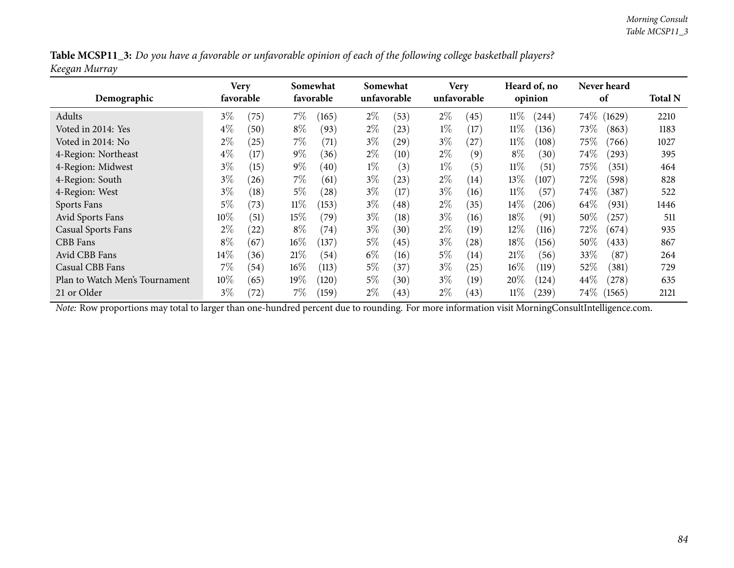| Table MCSP11_3: Do you have a favorable or unfavorable opinion of each of the following college basketball players? |  |
|---------------------------------------------------------------------------------------------------------------------|--|
| Keegan Murray                                                                                                       |  |

| Demographic                    |        | Very<br>favorable |        | Somewhat<br>favorable |       | Somewhat<br>unfavorable |       | <b>Very</b><br>unfavorable |        | Heard of, no<br>opinion |        | <b>Never heard</b><br>of | <b>Total N</b> |
|--------------------------------|--------|-------------------|--------|-----------------------|-------|-------------------------|-------|----------------------------|--------|-------------------------|--------|--------------------------|----------------|
| Adults                         | $3\%$  | (75)              | $7\%$  | (165)                 | $2\%$ | (53)                    | $2\%$ | (45)                       | $11\%$ | (244)                   | $74\%$ | (1629)                   | 2210           |
| Voted in 2014: Yes             | $4\%$  | (50)              | $8\%$  | (93)                  | $2\%$ | (23)                    | $1\%$ | (17)                       | 11%    | (136)                   | 73%    | (863)                    | 1183           |
| Voted in 2014: No              | $2\%$  | (25)              | $7\%$  | (71)                  | $3\%$ | (29)                    | $3\%$ | (27)                       | $11\%$ | (108)                   | 75%    | (766)                    | 1027           |
| 4-Region: Northeast            | $4\%$  | (17)              | $9\%$  | (36)                  | $2\%$ | (10)                    | $2\%$ | (9)                        | $8\%$  | (30)                    | 74\%   | (293)                    | 395            |
| 4-Region: Midwest              | $3\%$  | (15)              | $9\%$  | (40)                  | $1\%$ | (3)                     | $1\%$ | (5)                        | $11\%$ | (51)                    | 75\%   | (351)                    | 464            |
| 4-Region: South                | $3\%$  | (26)              | $7\%$  | (61)                  | $3\%$ | (23)                    | $2\%$ | $\left(14\right)$          | 13%    | (107)                   | 72%    | (598)                    | 828            |
| 4-Region: West                 | $3\%$  | (18)              | $5\%$  | (28)                  | $3\%$ | (17)                    | $3\%$ | (16)                       | $11\%$ | (57)                    | $74\%$ | (387)                    | 522            |
| Sports Fans                    | $5\%$  | (73)              | $11\%$ | (153)                 | $3\%$ | (48)                    | $2\%$ | (35)                       | 14%    | (206)                   | 64\%   | (931)                    | 1446           |
| Avid Sports Fans               | $10\%$ | (51)              | $15\%$ | (79`                  | $3\%$ | (18)                    | $3\%$ | (16)                       | 18\%   | (91)                    | 50%    | (257)                    | 511            |
| <b>Casual Sports Fans</b>      | $2\%$  | (22)              | $8\%$  | (74)                  | $3\%$ | (30)                    | $2\%$ | (19)                       | $12\%$ | (116)                   | 72\%   | (674)                    | 935            |
| CBB Fans                       | $8\%$  | (67)              | $16\%$ | (137)                 | $5\%$ | (45)                    | $3\%$ | (28)                       | 18%    | (156)                   | 50%    | (433)                    | 867            |
| Avid CBB Fans                  | $14\%$ | (36)              | 21%    | (54)                  | $6\%$ | (16)                    | $5\%$ | (14)                       | 21%    | (56)                    | 33\%   | (87)                     | 264            |
| Casual CBB Fans                | $7\%$  | (54)              | $16\%$ | (113)                 | $5\%$ | (37)                    | $3\%$ | (25)                       | 16%    | (119)                   | 52\%   | (381)                    | 729            |
| Plan to Watch Men's Tournament | 10%    | (65)              | $19\%$ | (120)                 | $5\%$ | (30)                    | $3\%$ | (19)                       | 20%    | (124)                   | 44%    | (278)                    | 635            |
| 21 or Older                    | $3\%$  | (72)              | $7\%$  | (159)                 | $2\%$ | (43)                    | $2\%$ | (43)                       | $11\%$ | $^{'}239)$              | $74\%$ | (1565)                   | 2121           |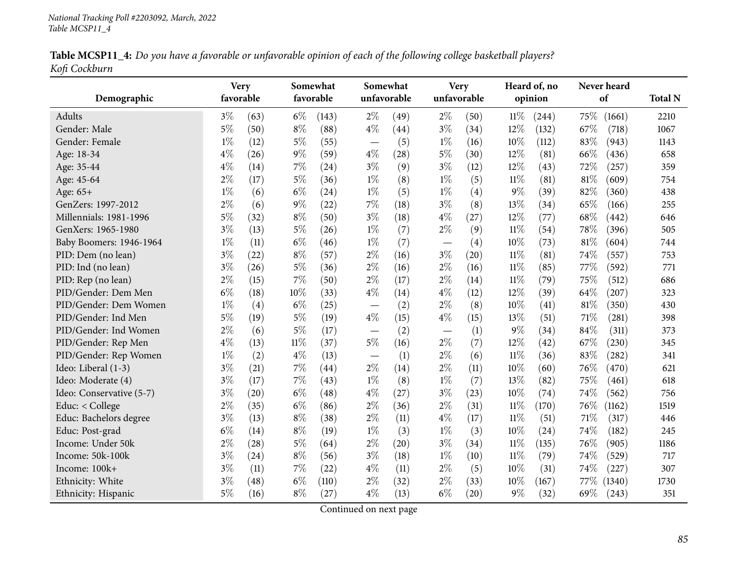Table MCSP11\_4: Do you have a favorable or unfavorable opinion of each of the following college basketball players? *Kofi Cockburn*

| Demographic              | <b>Very</b><br>favorable |      |        | Somewhat<br>favorable | Somewhat<br>unfavorable           |      | <b>Very</b><br>unfavorable |      |        | Heard of, no<br>opinion | Never heard<br>of | <b>Total N</b> |
|--------------------------|--------------------------|------|--------|-----------------------|-----------------------------------|------|----------------------------|------|--------|-------------------------|-------------------|----------------|
| Adults                   | $3\%$                    | (63) | $6\%$  | (143)                 | $2\%$                             | (49) | $2\%$                      | (50) | $11\%$ | (244)                   | 75%<br>(1661)     | 2210           |
| Gender: Male             | $5\%$                    | (50) | $8\%$  | (88)                  | $4\%$                             | (44) | $3\%$                      | (34) | 12%    | (132)                   | 67%<br>(718)      | 1067           |
| Gender: Female           | $1\%$                    | (12) | $5\%$  | (55)                  |                                   | (5)  | $1\%$                      | (16) | 10%    | (112)                   | 83%<br>(943)      | 1143           |
| Age: 18-34               | $4\%$                    | (26) | $9\%$  | (59)                  | $\overline{\phantom{m}}$<br>$4\%$ | (28) | $5\%$                      | (30) | 12%    | (81)                    | 66%<br>(436)      | 658            |
| Age: 35-44               | $4\%$                    | (14) | 7%     | (24)                  | $3\%$                             | (9)  | $3\%$                      | (12) | 12%    | (43)                    | 72%<br>(257)      | 359            |
| Age: 45-64               | $2\%$                    | (17) | $5\%$  | (36)                  | $1\%$                             | (8)  | $1\%$                      | (5)  | $11\%$ | (81)                    | $81\%$<br>(609)   | 754            |
| Age: 65+                 | $1\%$                    | (6)  | $6\%$  | (24)                  | $1\%$                             | (5)  | $1\%$                      | (4)  | $9\%$  | (39)                    | 82%<br>(360)      | 438            |
| GenZers: 1997-2012       | $2\%$                    | (6)  | $9\%$  |                       | $7\%$                             | (18) | $3\%$                      | (8)  | 13%    | (34)                    | 65%<br>(166)      | 255            |
| Millennials: 1981-1996   | $5\%$                    |      | $8\%$  | (22)                  | $3\%$                             |      | $4\%$                      |      | 12%    |                         | 68%               |                |
|                          |                          | (32) |        | (50)                  |                                   | (18) |                            | (27) |        | (77)                    | (442)             | 646            |
| GenXers: 1965-1980       | $3\%$                    | (13) | $5\%$  | (26)                  | $1\%$                             | (7)  | $2\%$                      | (9)  | $11\%$ | (54)                    | 78%<br>(396)      | 505            |
| Baby Boomers: 1946-1964  | $1\%$                    | (11) | $6\%$  | (46)                  | $1\%$                             | (7)  |                            | (4)  | 10%    | (73)                    | 81%<br>(604)      | 744            |
| PID: Dem (no lean)       | $3\%$                    | (22) | $8\%$  | (57)                  | $2\%$                             | (16) | $3\%$                      | (20) | $11\%$ | (81)                    | 74%<br>(557)      | 753            |
| PID: Ind (no lean)       | $3\%$                    | (26) | $5\%$  | (36)                  | $2\%$                             | (16) | $2\%$                      | (16) | $11\%$ | (85)                    | 77%<br>(592)      | 771            |
| PID: Rep (no lean)       | $2\%$                    | (15) | 7%     | (50)                  | $2\%$                             | (17) | $2\%$                      | (14) | $11\%$ | (79)                    | 75%<br>(512)      | 686            |
| PID/Gender: Dem Men      | $6\%$                    | (18) | 10%    | (33)                  | $4\%$                             | (14) | $4\%$                      | (12) | 12%    | (39)                    | 64%<br>(207)      | 323            |
| PID/Gender: Dem Women    | $1\%$                    | (4)  | $6\%$  | (25)                  |                                   | (2)  | $2\%$                      | (8)  | 10%    | (41)                    | 81%<br>(350)      | 430            |
| PID/Gender: Ind Men      | $5\%$                    | (19) | $5\%$  | (19)                  | $4\%$                             | (15) | $4\%$                      | (15) | 13\%   | (51)                    | 71%<br>(281)      | 398            |
| PID/Gender: Ind Women    | $2\%$                    | (6)  | $5\%$  | (17)                  | $\overline{\phantom{m}}$          | (2)  | $\qquad \qquad -$          | (1)  | 9%     | (34)                    | 84%<br>(311)      | 373            |
| PID/Gender: Rep Men      | $4\%$                    | (13) | $11\%$ | (37)                  | $5\%$                             | (16) | $2\%$                      | (7)  | 12%    | (42)                    | 67%<br>(230)      | 345            |
| PID/Gender: Rep Women    | $1\%$                    | (2)  | $4\%$  | (13)                  |                                   | (1)  | $2\%$                      | (6)  | $11\%$ | (36)                    | 83%<br>(282)      | 341            |
| Ideo: Liberal (1-3)      | $3\%$                    | (21) | 7%     | (44)                  | $2\%$                             | (14) | $2\%$                      | (11) | 10%    | (60)                    | 76%<br>(470)      | 621            |
| Ideo: Moderate (4)       | $3\%$                    | (17) | $7\%$  | (43)                  | $1\%$                             | (8)  | $1\%$                      | (7)  | 13%    | (82)                    | 75%<br>(461)      | 618            |
| Ideo: Conservative (5-7) | $3\%$                    | (20) | $6\%$  | (48)                  | $4\%$                             | (27) | $3\%$                      | (23) | 10%    | (74)                    | 74%<br>(562)      | 756            |
| Educ: < College          | $2\%$                    | (35) | $6\%$  | (86)                  | $2\%$                             | (36) | $2\%$                      | (31) | $11\%$ | (170)                   | 76%<br>(1162)     | 1519           |
| Educ: Bachelors degree   | $3\%$                    | (13) | $8\%$  | (38)                  | $2\%$                             | (11) | $4\%$                      | (17) | $11\%$ | (51)                    | 71%<br>(317)      | 446            |
| Educ: Post-grad          | $6\%$                    | (14) | $8\%$  | (19)                  | $1\%$                             | (3)  | $1\%$                      | (3)  | 10%    | (24)                    | 74%<br>(182)      | 245            |
| Income: Under 50k        | $2\%$                    | (28) | $5\%$  | (64)                  | $2\%$                             | (20) | $3\%$                      | (34) | $11\%$ | (135)                   | 76%<br>(905)      | 1186           |
| Income: 50k-100k         | $3\%$                    | (24) | $8\%$  | (56)                  | $3\%$                             | (18) | $1\%$                      | (10) | $11\%$ | (79)                    | 74%<br>(529)      | 717            |
| Income: 100k+            | $3\%$                    | (11) | 7%     | (22)                  | $4\%$                             | (11) | $2\%$                      | (5)  | 10%    | (31)                    | 74%<br>(227)      | 307            |
| Ethnicity: White         | $3\%$                    | (48) | $6\%$  | (110)                 | $2\%$                             | (32) | $2\%$                      | (33) | 10%    | (167)                   | 77\%<br>(1340)    | 1730           |
| Ethnicity: Hispanic      | 5%                       | (16) | $8\%$  | (27)                  | $4\%$                             | (13) | $6\%$                      | (20) | 9%     | (32)                    | 69%<br>(243)      | 351            |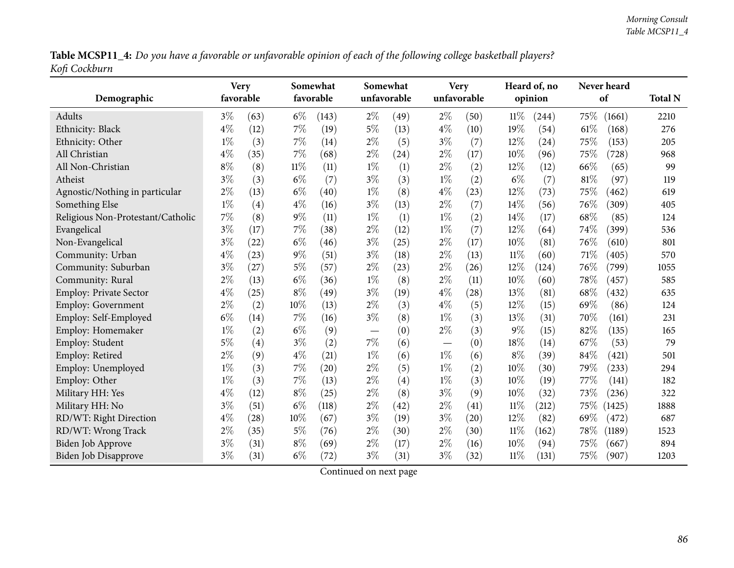Table MCSP11\_4: Do you have a favorable or unfavorable opinion of each of the following college basketball players? *Kofi Cockburn*

| Demographic                       | <b>Very</b><br>favorable |      |        | Somewhat<br>favorable |       | Somewhat<br>unfavorable |                          | <b>Very</b><br>unfavorable |        | Heard of, no<br>opinion |      | Never heard<br>of | <b>Total N</b> |
|-----------------------------------|--------------------------|------|--------|-----------------------|-------|-------------------------|--------------------------|----------------------------|--------|-------------------------|------|-------------------|----------------|
| Adults                            | $3\%$                    | (63) | $6\%$  | (143)                 | $2\%$ | (49)                    | $2\%$                    | (50)                       | $11\%$ | (244)                   | 75\% | (1661)            | 2210           |
| Ethnicity: Black                  | $4\%$                    | (12) | $7\%$  | (19)                  | $5\%$ | (13)                    | $4\%$                    | (10)                       | 19%    | (54)                    | 61%  | (168)             | 276            |
| Ethnicity: Other                  | $1\%$                    | (3)  | $7\%$  | (14)                  | $2\%$ | (5)                     | $3\%$                    | (7)                        | 12%    | (24)                    | 75%  | (153)             | 205            |
| All Christian                     | $4\%$                    | (35) | 7%     | (68)                  | $2\%$ | (24)                    | $2\%$                    | (17)                       | 10%    | (96)                    | 75%  | (728)             | 968            |
| All Non-Christian                 | $8\%$                    | (8)  | $11\%$ | (11)                  | $1\%$ | (1)                     | $2\%$                    | (2)                        | 12%    | (12)                    | 66%  | (65)              | 99             |
| Atheist                           | $3\%$                    | (3)  | $6\%$  | (7)                   | $3\%$ | (3)                     | $1\%$                    | (2)                        | $6\%$  | (7)                     | 81%  | (97)              | 119            |
| Agnostic/Nothing in particular    | $2\%$                    | (13) | $6\%$  | (40)                  | $1\%$ | (8)                     | $4\%$                    | (23)                       | 12%    | (73)                    | 75%  | (462)             | 619            |
| Something Else                    | $1\%$                    | (4)  | $4\%$  | (16)                  | $3\%$ | (13)                    | $2\%$                    | (7)                        | 14%    | (56)                    | 76%  | (309)             | 405            |
| Religious Non-Protestant/Catholic | 7%                       | (8)  | $9\%$  | (11)                  | $1\%$ | (1)                     | $1\%$                    | (2)                        | 14%    | (17)                    | 68%  | (85)              | 124            |
| Evangelical                       | $3\%$                    | (17) | 7%     | (38)                  | $2\%$ | (12)                    | $1\%$                    | (7)                        | 12%    | (64)                    | 74%  | (399)             | 536            |
| Non-Evangelical                   | $3\%$                    | (22) | $6\%$  | (46)                  | $3\%$ | (25)                    | $2\%$                    | (17)                       | 10%    | (81)                    | 76%  | (610)             | 801            |
| Community: Urban                  | $4\%$                    | (23) | $9\%$  | (51)                  | $3\%$ | (18)                    | $2\%$                    | (13)                       | $11\%$ | (60)                    | 71%  | (405)             | 570            |
| Community: Suburban               | $3\%$                    | (27) | $5\%$  | (57)                  | $2\%$ | (23)                    | $2\%$                    | (26)                       | 12%    | (124)                   | 76%  | (799)             | 1055           |
| Community: Rural                  | $2\%$                    | (13) | $6\%$  | (36)                  | $1\%$ | (8)                     | $2\%$                    | (11)                       | 10%    | (60)                    | 78%  | (457)             | 585            |
| <b>Employ: Private Sector</b>     | $4\%$                    | (25) | $8\%$  | (49)                  | $3\%$ | (19)                    | $4\%$                    | (28)                       | 13%    | (81)                    | 68%  | (432)             | 635            |
| <b>Employ: Government</b>         | $2\%$                    | (2)  | 10%    | (13)                  | $2\%$ | (3)                     | $4\%$                    | (5)                        | 12%    | (15)                    | 69%  | (86)              | 124            |
| Employ: Self-Employed             | $6\%$                    | (14) | 7%     | (16)                  | $3\%$ | (8)                     | $1\%$                    | (3)                        | 13%    | (31)                    | 70%  | (161)             | 231            |
| Employ: Homemaker                 | $1\%$                    | (2)  | $6\%$  | (9)                   |       | (0)                     | $2\%$                    | (3)                        | 9%     | (15)                    | 82%  | (135)             | 165            |
| Employ: Student                   | $5\%$                    | (4)  | $3\%$  | (2)                   | 7%    | (6)                     | $\overline{\phantom{m}}$ | (0)                        | 18%    | (14)                    | 67%  | (53)              | 79             |
| Employ: Retired                   | $2\%$                    | (9)  | $4\%$  | (21)                  | $1\%$ | (6)                     | $1\%$                    | (6)                        | $8\%$  | (39)                    | 84%  | (421)             | 501            |
| Employ: Unemployed                | $1\%$                    | (3)  | 7%     | (20)                  | $2\%$ | (5)                     | $1\%$                    | (2)                        | 10%    | (30)                    | 79%  | (233)             | 294            |
| Employ: Other                     | $1\%$                    | (3)  | $7\%$  | (13)                  | $2\%$ | (4)                     | $1\%$                    | (3)                        | 10%    | (19)                    | 77%  | (141)             | 182            |
| Military HH: Yes                  | $4\%$                    | (12) | $8\%$  | (25)                  | $2\%$ | (8)                     | $3\%$                    | (9)                        | 10%    | (32)                    | 73%  | (236)             | 322            |
| Military HH: No                   | $3\%$                    | (51) | $6\%$  | (118)                 | $2\%$ | (42)                    | $2\%$                    | (41)                       | 11%    | (212)                   | 75\% | (1425)            | 1888           |
| RD/WT: Right Direction            | $4\%$                    | (28) | 10%    | (67)                  | $3\%$ | (19)                    | $3\%$                    | (20)                       | 12%    | (82)                    | 69%  | (472)             | 687            |
| RD/WT: Wrong Track                | $2\%$                    | (35) | $5\%$  | (76)                  | $2\%$ | (30)                    | $2\%$                    | (30)                       | $11\%$ | (162)                   | 78%  | (1189)            | 1523           |
| <b>Biden Job Approve</b>          | $3\%$                    | (31) | $8\%$  | (69)                  | $2\%$ | (17)                    | $2\%$                    | (16)                       | 10%    | (94)                    | 75%  | (667)             | 894            |
| Biden Job Disapprove              | $3\%$                    | (31) | $6\%$  | (72)                  | $3\%$ | (31)                    | $3\%$                    | (32)                       | $11\%$ | (131)                   | 75%  | (907)             | 1203           |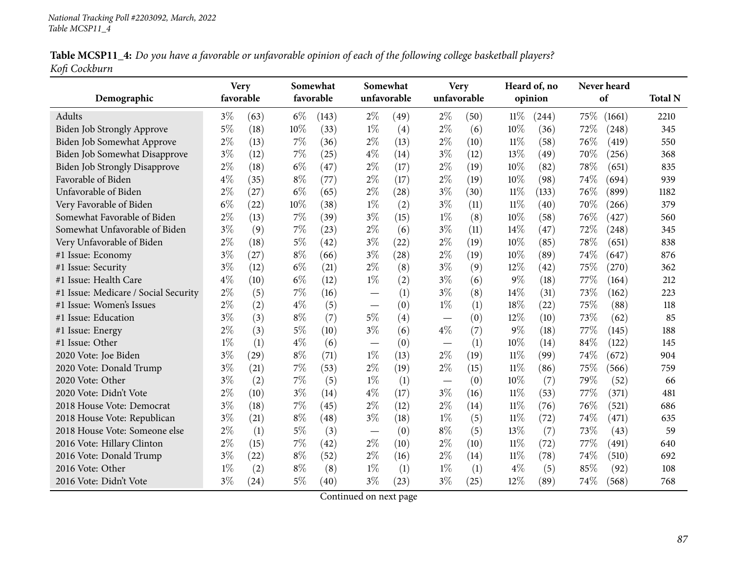|               | Table MCSP11_4: Do you have a favorable or unfavorable opinion of each of the following college basketball players? |  |  |  |
|---------------|---------------------------------------------------------------------------------------------------------------------|--|--|--|
| Kofi Cockburn |                                                                                                                     |  |  |  |

| Demographic                          | <b>Very</b><br>favorable |      |       | Somewhat<br>favorable | Somewhat                        | unfavorable | unfavorable | <b>Very</b> |        | Heard of, no<br>opinion |      | Never heard<br>of | <b>Total N</b> |
|--------------------------------------|--------------------------|------|-------|-----------------------|---------------------------------|-------------|-------------|-------------|--------|-------------------------|------|-------------------|----------------|
| Adults                               | $3\%$                    | (63) | $6\%$ | (143)                 | $2\%$                           | (49)        | $2\%$       | (50)        | $11\%$ | (244)                   | 75%  | (1661)            | 2210           |
| <b>Biden Job Strongly Approve</b>    | 5%                       | (18) | 10%   | (33)                  | $1\%$                           | (4)         | $2\%$       | (6)         | 10%    | (36)                    | 72%  | (248)             | 345            |
| Biden Job Somewhat Approve           | $2\%$                    | (13) | $7\%$ | (36)                  | $2\%$                           | (13)        | $2\%$       | (10)        | $11\%$ | (58)                    | 76%  | (419)             | 550            |
| Biden Job Somewhat Disapprove        | $3\%$                    | (12) | 7%    | (25)                  | $4\%$                           | (14)        | $3\%$       | (12)        | 13%    | (49)                    | 70%  | (256)             | 368            |
| <b>Biden Job Strongly Disapprove</b> | $2\%$                    | (18) | $6\%$ | (47)                  | $2\%$                           | (17)        | $2\%$       | (19)        | 10%    | (82)                    | 78%  | (651)             | 835            |
| Favorable of Biden                   | $4\%$                    | (35) | $8\%$ | (77)                  | $2\%$                           | (17)        | $2\%$       | (19)        | 10%    | (98)                    | 74%  | (694)             | 939            |
| Unfavorable of Biden                 | 2%                       | (27) | $6\%$ | (65)                  | $2\%$                           | (28)        | $3\%$       | (30)        | $11\%$ | (133)                   | 76%  | (899)             | 1182           |
| Very Favorable of Biden              | $6\%$                    | (22) | 10%   | (38)                  | $1\%$                           | (2)         | $3\%$       | (11)        | $11\%$ | (40)                    | 70%  | (266)             | 379            |
| Somewhat Favorable of Biden          | $2\%$                    | (13) | $7\%$ | (39)                  | $3\%$                           | (15)        | $1\%$       | (8)         | 10%    | (58)                    | 76%  | (427)             | 560            |
| Somewhat Unfavorable of Biden        | $3\%$                    | (9)  | $7\%$ | (23)                  | $2\%$                           | (6)         | $3\%$       | (11)        | 14\%   | (47)                    | 72%  | (248)             | 345            |
| Very Unfavorable of Biden            | $2\%$                    | (18) | $5\%$ | (42)                  | $3\%$                           | (22)        | $2\%$       | (19)        | 10%    | (85)                    | 78%  | (651)             | 838            |
| #1 Issue: Economy                    | $3\%$                    | (27) | $8\%$ | (66)                  | $3\%$                           | (28)        | $2\%$       | (19)        | 10%    | (89)                    | 74%  | (647)             | 876            |
| #1 Issue: Security                   | $3\%$                    | (12) | $6\%$ | (21)                  | $2\%$                           | (8)         | $3\%$       | (9)         | 12%    | (42)                    | 75%  | (270)             | 362            |
| #1 Issue: Health Care                | $4\%$                    | (10) | $6\%$ | (12)                  | $1\%$                           | (2)         | $3\%$       | (6)         | $9\%$  | (18)                    | 77%  | (164)             | 212            |
| #1 Issue: Medicare / Social Security | $2\%$                    | (5)  | 7%    | (16)                  |                                 | (1)         | $3\%$       | (8)         | 14%    | (31)                    | 73%  | (162)             | 223            |
| #1 Issue: Women's Issues             | $2\%$                    | (2)  | $4\%$ | (5)                   | $\hspace{0.1mm}-\hspace{0.1mm}$ | (0)         | $1\%$       | (1)         | 18%    | (22)                    | 75%  | (88)              | 118            |
| #1 Issue: Education                  | $3\%$                    | (3)  | $8\%$ | (7)                   | $5\%$                           | (4)         |             | (0)         | 12%    | (10)                    | 73%  | (62)              | 85             |
| #1 Issue: Energy                     | $2\%$                    | (3)  | $5\%$ | (10)                  | $3\%$                           | (6)         | $4\%$       | (7)         | $9\%$  | (18)                    | 77\% | (145)             | 188            |
| #1 Issue: Other                      | $1\%$                    | (1)  | $4\%$ | (6)                   |                                 | (0)         |             | (1)         | 10%    | (14)                    | 84%  | (122)             | 145            |
| 2020 Vote: Joe Biden                 | $3\%$                    | (29) | $8\%$ | (71)                  | $1\%$                           | (13)        | $2\%$       | (19)        | $11\%$ | (99)                    | 74%  | (672)             | 904            |
| 2020 Vote: Donald Trump              | $3\%$                    | (21) | 7%    | (53)                  | $2\%$                           | (19)        | $2\%$       | (15)        | $11\%$ | (86)                    | 75%  | (566)             | 759            |
| 2020 Vote: Other                     | $3\%$                    | (2)  | 7%    | (5)                   | $1\%$                           | (1)         |             | (0)         | 10%    | (7)                     | 79%  | (52)              | 66             |
| 2020 Vote: Didn't Vote               | $2\%$                    | (10) | $3\%$ | (14)                  | $4\%$                           | (17)        | $3\%$       | (16)        | $11\%$ | (53)                    | 77%  | (371)             | 481            |
| 2018 House Vote: Democrat            | $3\%$                    | (18) | 7%    | (45)                  | $2\%$                           | (12)        | $2\%$       | (14)        | $11\%$ | (76)                    | 76%  | (521)             | 686            |
| 2018 House Vote: Republican          | $3\%$                    | (21) | $8\%$ | (48)                  | $3\%$                           | (18)        | $1\%$       | (5)         | $11\%$ | (72)                    | 74%  | (471)             | 635            |
| 2018 House Vote: Someone else        | $2\%$                    | (1)  | $5\%$ | (3)                   |                                 | (0)         | $8\%$       | (5)         | 13%    | (7)                     | 73%  | (43)              | 59             |
| 2016 Vote: Hillary Clinton           | $2\%$                    | (15) | 7%    | (42)                  | $2\%$                           | (10)        | $2\%$       | (10)        | $11\%$ | (72)                    | 77\% | (491)             | 640            |
| 2016 Vote: Donald Trump              | $3\%$                    | (22) | $8\%$ | (52)                  | $2\%$                           | (16)        | $2\%$       | (14)        | $11\%$ | (78)                    | 74%  | (510)             | 692            |
| 2016 Vote: Other                     | $1\%$                    | (2)  | $8\%$ | (8)                   | $1\%$                           | (1)         | $1\%$       | (1)         | $4\%$  | (5)                     | 85%  | (92)              | 108            |
| 2016 Vote: Didn't Vote               | $3\%$                    | (24) | 5%    | (40)                  | $3\%$                           | (23)        | $3\%$       | (25)        | 12%    | (89)                    | 74%  | (568)             | 768            |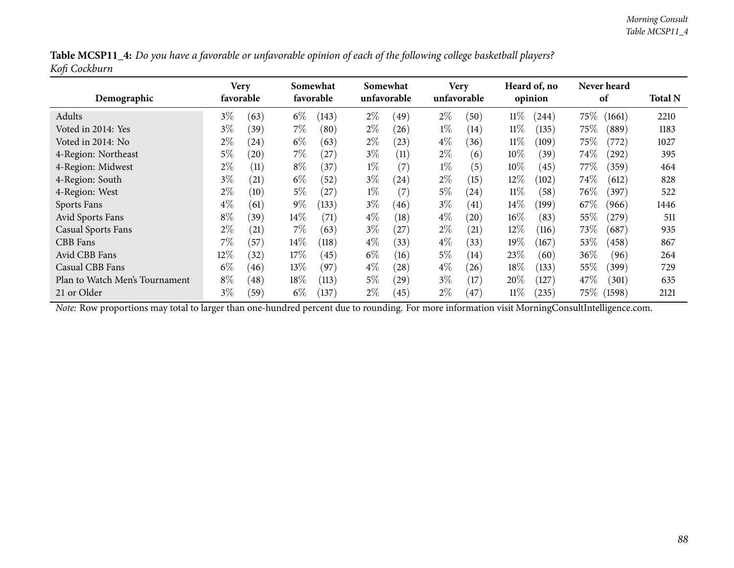| Table MCSP11_4: Do you have a favorable or unfavorable opinion of each of the following college basketball players? |  |  |
|---------------------------------------------------------------------------------------------------------------------|--|--|
| Kofi Cockburn                                                                                                       |  |  |

| Demographic                    |       | Very<br>favorable |        | Somewhat<br>favorable |       | Somewhat<br>unfavorable |       | <b>Very</b><br>unfavorable |        | Heard of, no<br>opinion |        | <b>Never heard</b><br>of | <b>Total N</b> |
|--------------------------------|-------|-------------------|--------|-----------------------|-------|-------------------------|-------|----------------------------|--------|-------------------------|--------|--------------------------|----------------|
| Adults                         | $3\%$ | (63)              | $6\%$  | (143)                 | $2\%$ | (49)                    | $2\%$ | (50)                       | $11\%$ | (244)                   | $75\%$ | (1661)                   | 2210           |
| Voted in 2014: Yes             | $3\%$ | (39)              | $7\%$  | (80)                  | $2\%$ | (26)                    | $1\%$ | (14)                       | 11%    | (135)                   | 75%    | (889)                    | 1183           |
| Voted in 2014: No              | $2\%$ | (24)              | $6\%$  | (63)                  | $2\%$ | (23)                    | $4\%$ | (36)                       | $11\%$ | (109)                   | 75%    | (772)                    | 1027           |
| 4-Region: Northeast            | $5\%$ | (20)              | $7\%$  | (27)                  | $3\%$ | (11)                    | $2\%$ | (6)                        | $10\%$ | (39)                    | 74\%   | (292)                    | 395            |
| 4-Region: Midwest              | $2\%$ | (11)              | $8\%$  | (37)                  | $1\%$ | (7)                     | $1\%$ | (5)                        | $10\%$ | (45)                    | $77\%$ | (359)                    | 464            |
| 4-Region: South                | $3\%$ | (21)              | $6\%$  | (52)                  | $3\%$ | (24)                    | $2\%$ | (15)                       | 12%    | (102)                   | $74\%$ | (612)                    | 828            |
| 4-Region: West                 | $2\%$ | (10)              | $5\%$  | (27)                  | $1\%$ | (7)                     | $5\%$ | (24)                       | $11\%$ | (58)                    | $76\%$ | (397)                    | 522            |
| Sports Fans                    | $4\%$ | (61)              | $9\%$  | (133)                 | $3\%$ | (46)                    | $3\%$ | (41)                       | 14%    | (199)                   | 67\%   | (966)                    | 1446           |
| Avid Sports Fans               | $8\%$ | (39)              | $14\%$ | (71)                  | $4\%$ | (18)                    | $4\%$ | (20)                       | $16\%$ | (83)                    | 55\%   | (279)                    | 511            |
| <b>Casual Sports Fans</b>      | $2\%$ | (21)              | $7\%$  | (63)                  | $3\%$ | (27                     | $2\%$ | $\left( 21\right)$         | 12%    | (116)                   | 73\%   | (687)                    | 935            |
| CBB Fans                       | $7\%$ | (57)              | $14\%$ | (118)                 | $4\%$ | (33)                    | $4\%$ | (33)                       | 19%    | (167)                   | 53%    | (458)                    | 867            |
| Avid CBB Fans                  | 12%   | (32)              | 17%    | (45)                  | $6\%$ | (16)                    | $5\%$ | (14)                       | 23%    | (60)                    | 36%    | (96)                     | 264            |
| Casual CBB Fans                | $6\%$ | (46)              | $13\%$ | (97)                  | $4\%$ | (28)                    | $4\%$ | (26)                       | 18%    | (133)                   | 55\%   | (399)                    | 729            |
| Plan to Watch Men's Tournament | $8\%$ | (48)              | $18\%$ | (113)                 | $5\%$ | (29)                    | $3\%$ | (17)                       | $20\%$ | $^{'}127)$              | 47\%   | (301)                    | 635            |
| 21 or Older                    | $3\%$ | (59)              | $6\%$  | (137)                 | $2\%$ | (45)                    | $2\%$ | (47)                       | $11\%$ | (235)                   | 75\%   | (1598)                   | 2121           |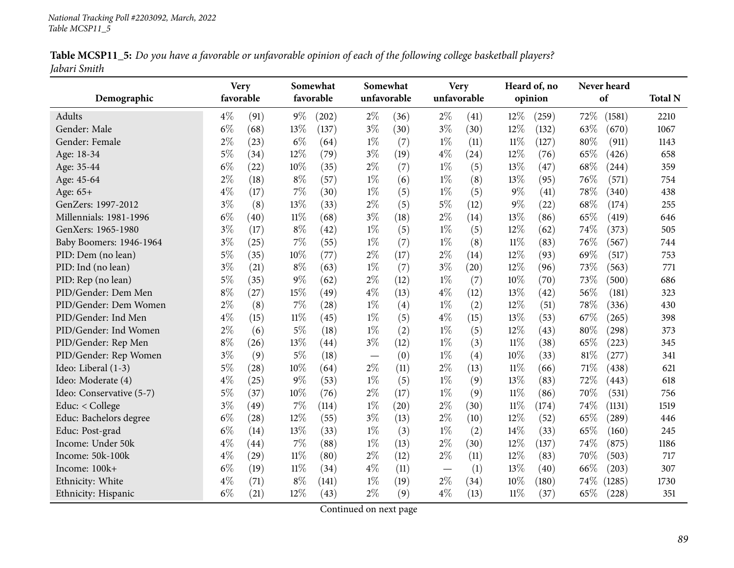|              | Table MCSP11_5: Do you have a favorable or unfavorable opinion of each of the following college basketball players? |  |  |
|--------------|---------------------------------------------------------------------------------------------------------------------|--|--|
| Jabari Smith |                                                                                                                     |  |  |

| Demographic              |       | <b>Very</b><br>favorable |        | Somewhat<br>favorable | unfavorable | Somewhat | Very<br>unfavorable |      |        | Heard of, no<br>opinion | Never heard<br>of | <b>Total N</b> |
|--------------------------|-------|--------------------------|--------|-----------------------|-------------|----------|---------------------|------|--------|-------------------------|-------------------|----------------|
| Adults                   | $4\%$ | (91)                     | $9\%$  | (202)                 | $2\%$       | (36)     | $2\%$               | (41) | 12%    | (259)                   | 72%<br>(1581)     | 2210           |
| Gender: Male             | $6\%$ | (68)                     | 13%    | (137)                 | $3\%$       | (30)     | $3\%$               | (30) | 12%    | (132)                   | 63%<br>(670)      | 1067           |
| Gender: Female           | $2\%$ | (23)                     | $6\%$  | (64)                  | $1\%$       | (7)      | $1\%$               | (11) | $11\%$ | (127)                   | 80%<br>(911)      | 1143           |
| Age: 18-34               | $5\%$ | (34)                     | 12%    | (79)                  | $3\%$       | (19)     | $4\%$               | (24) | 12%    | (76)                    | 65%<br>(426)      | 658            |
| Age: 35-44               | $6\%$ | (22)                     | 10%    | (35)                  | $2\%$       | (7)      | $1\%$               | (5)  | 13%    | (47)                    | 68\%<br>(244)     | 359            |
| Age: 45-64               | $2\%$ | (18)                     | $8\%$  | (57)                  | $1\%$       | (6)      | $1\%$               | (8)  | 13%    | (95)                    | 76%<br>(571)      | 754            |
| Age: 65+                 | $4\%$ | (17)                     | $7\%$  | (30)                  | $1\%$       | (5)      | $1\%$               | (5)  | $9\%$  | (41)                    | 78%<br>(340)      | 438            |
| GenZers: 1997-2012       | $3\%$ | (8)                      | 13%    | (33)                  | $2\%$       | (5)      | $5\%$               | (12) | $9\%$  | (22)                    | 68%<br>(174)      | 255            |
| Millennials: 1981-1996   | $6\%$ | (40)                     | $11\%$ | (68)                  | $3\%$       | (18)     | $2\%$               | (14) | $13\%$ | (86)                    | 65%<br>(419)      | 646            |
| GenXers: 1965-1980       | $3\%$ | (17)                     | $8\%$  | (42)                  | $1\%$       | (5)      | $1\%$               | (5)  | 12%    | (62)                    | 74%<br>(373)      | 505            |
| Baby Boomers: 1946-1964  | $3\%$ | (25)                     | 7%     | (55)                  | $1\%$       | (7)      | $1\%$               | (8)  | $11\%$ | (83)                    | 76%<br>(567)      | 744            |
| PID: Dem (no lean)       | $5\%$ | (35)                     | 10%    | (77)                  | $2\%$       | (17)     | $2\%$               | (14) | 12%    | (93)                    | 69%<br>(517)      | 753            |
| PID: Ind (no lean)       | $3\%$ | (21)                     | $8\%$  | (63)                  | $1\%$       | (7)      | $3\%$               | (20) | 12%    | (96)                    | 73%<br>(563)      | 771            |
| PID: Rep (no lean)       | $5\%$ | (35)                     | 9%     | (62)                  | $2\%$       | (12)     | $1\%$               | (7)  | 10%    | (70)                    | 73%<br>(500)      | 686            |
| PID/Gender: Dem Men      | $8\%$ | (27)                     | 15%    | (49)                  | $4\%$       | (13)     | $4\%$               | (12) | 13%    | (42)                    | 56%<br>(181)      | 323            |
| PID/Gender: Dem Women    | $2\%$ | (8)                      | 7%     | (28)                  | $1\%$       | (4)      | $1\%$               | (2)  | 12%    | (51)                    | 78%<br>(336)      | 430            |
| PID/Gender: Ind Men      | $4\%$ | (15)                     | $11\%$ | (45)                  | $1\%$       | (5)      | $4\%$               | (15) | 13%    | (53)                    | 67%<br>(265)      | 398            |
| PID/Gender: Ind Women    | $2\%$ | (6)                      | $5\%$  | (18)                  | $1\%$       | (2)      | $1\%$               | (5)  | 12%    | (43)                    | 80%<br>(298)      | 373            |
| PID/Gender: Rep Men      | $8\%$ | (26)                     | 13%    | (44)                  | $3\%$       | (12)     | $1\%$               | (3)  | $11\%$ | (38)                    | 65\%<br>(223)     | 345            |
| PID/Gender: Rep Women    | $3\%$ | (9)                      | $5\%$  | (18)                  |             | (0)      | $1\%$               | (4)  | 10%    | (33)                    | 81%<br>(277)      | 341            |
| Ideo: Liberal (1-3)      | $5\%$ | (28)                     | 10%    | (64)                  | $2\%$       | (11)     | $2\%$               | (13) | $11\%$ | (66)                    | 71%<br>(438)      | 621            |
| Ideo: Moderate (4)       | $4\%$ | (25)                     | $9\%$  | (53)                  | $1\%$       | (5)      | $1\%$               | (9)  | 13%    | (83)                    | 72%<br>(443)      | 618            |
| Ideo: Conservative (5-7) | $5\%$ | (37)                     | 10%    | (76)                  | $2\%$       | (17)     | $1\%$               | (9)  | $11\%$ | (86)                    | 70%<br>(531)      | 756            |
| Educ: < College          | $3\%$ | (49)                     | $7\%$  | (114)                 | $1\%$       | (20)     | $2\%$               | (30) | $11\%$ | (174)                   | 74%<br>(1131)     | 1519           |
| Educ: Bachelors degree   | $6\%$ | (28)                     | 12%    | (55)                  | $3\%$       | (13)     | $2\%$               | (10) | 12%    | (52)                    | 65%<br>(289)      | 446            |
| Educ: Post-grad          | $6\%$ | (14)                     | 13%    | (33)                  | $1\%$       | (3)      | $1\%$               | (2)  | 14%    | (33)                    | 65%<br>(160)      | 245            |
| Income: Under 50k        | $4\%$ | (44)                     | $7\%$  | (88)                  | $1\%$       | (13)     | $2\%$               | (30) | 12%    | (137)                   | 74%<br>(875)      | 1186           |
| Income: 50k-100k         | $4\%$ | (29)                     | $11\%$ | (80)                  | $2\%$       | (12)     | $2\%$               | (11) | 12%    | (83)                    | 70%<br>(503)      | 717            |
| Income: 100k+            | $6\%$ | (19)                     | $11\%$ | (34)                  | $4\%$       | (11)     |                     | (1)  | 13%    | (40)                    | 66%<br>(203)      | 307            |
| Ethnicity: White         | $4\%$ | (71)                     | $8\%$  | (141)                 | $1\%$       | (19)     | $2\%$               | (34) | 10%    | (180)                   | 74%<br>(1285)     | 1730           |
| Ethnicity: Hispanic      | $6\%$ | (21)                     | 12%    | (43)                  | $2\%$       | (9)      | $4\%$               | (13) | 11%    | (37)                    | 65%<br>(228)      | 351            |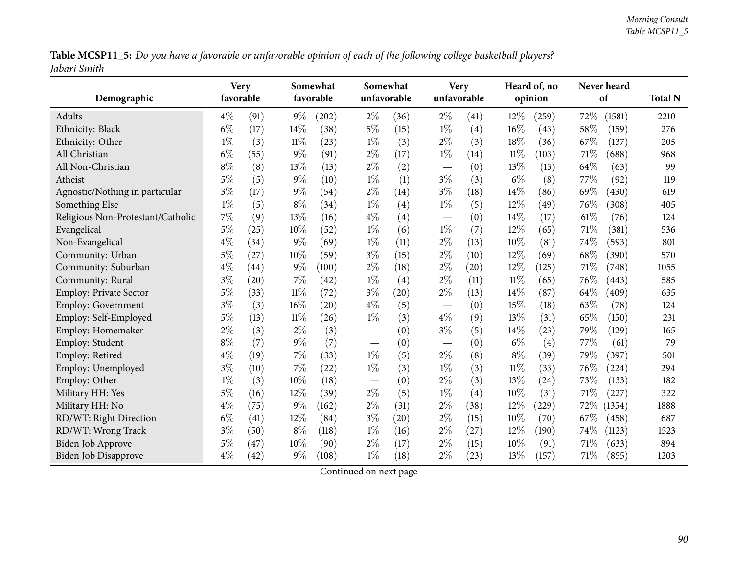Table MCSP11\_5: Do you have a favorable or unfavorable opinion of each of the following college basketball players? *Jabari Smith*

| Demographic                       | <b>Very</b> | favorable |        | Somewhat<br>favorable |       | Somewhat<br>unfavorable |                                | <b>Very</b><br>unfavorable |        | Heard of, no<br>opinion |      | Never heard<br>of | <b>Total N</b> |
|-----------------------------------|-------------|-----------|--------|-----------------------|-------|-------------------------|--------------------------------|----------------------------|--------|-------------------------|------|-------------------|----------------|
| Adults                            | $4\%$       | (91)      | $9\%$  | (202)                 | $2\%$ | (36)                    | $2\%$                          | (41)                       | 12%    | (259)                   | 72%  | (1581)            | 2210           |
| Ethnicity: Black                  | $6\%$       | (17)      | 14%    | (38)                  | $5\%$ | (15)                    | $1\%$                          | (4)                        | 16%    | (43)                    | 58%  | (159)             | 276            |
| Ethnicity: Other                  | $1\%$       | (3)       | $11\%$ | (23)                  | $1\%$ | (3)                     | $2\%$                          | (3)                        | 18%    | (36)                    | 67%  | (137)             | 205            |
| All Christian                     | $6\%$       | (55)      | $9\%$  | (91)                  | $2\%$ | (17)                    | $1\%$                          | (14)                       | $11\%$ | (103)                   | 71%  | (688)             | 968            |
| All Non-Christian                 | $8\%$       | (8)       | 13%    | (13)                  | $2\%$ | (2)                     | $\qquad \qquad -$              | (0)                        | 13%    | (13)                    | 64%  | (63)              | 99             |
| Atheist                           | 5%          | (5)       | $9\%$  | (10)                  | $1\%$ | (1)                     | $3\%$                          | (3)                        | $6\%$  | (8)                     | 77%  | (92)              | 119            |
| Agnostic/Nothing in particular    | $3\%$       | (17)      | $9\%$  | (54)                  | $2\%$ | (14)                    | $3\%$                          | (18)                       | 14%    | (86)                    | 69%  | (430)             | 619            |
| Something Else                    | $1\%$       | (5)       | $8\%$  | (34)                  | $1\%$ | (4)                     | $1\%$                          | (5)                        | 12%    | (49)                    | 76%  | (308)             | 405            |
| Religious Non-Protestant/Catholic | 7%          | (9)       | 13%    | (16)                  | $4\%$ | (4)                     | $\qquad \qquad \longleftarrow$ | (0)                        | 14%    | (17)                    | 61%  | (76)              | 124            |
| Evangelical                       | $5\%$       | (25)      | 10%    | (52)                  | $1\%$ | (6)                     | $1\%$                          | (7)                        | 12%    | (65)                    | 71%  | (381)             | 536            |
| Non-Evangelical                   | $4\%$       | (34)      | $9\%$  | (69)                  | $1\%$ | (11)                    | $2\%$                          | (13)                       | 10%    | (81)                    | 74%  | (593)             | 801            |
| Community: Urban                  | 5%          | (27)      | 10%    | (59)                  | $3\%$ | (15)                    | $2\%$                          | (10)                       | 12%    | (69)                    | 68%  | (390)             | 570            |
| Community: Suburban               | $4\%$       | (44)      | $9\%$  | (100)                 | $2\%$ | (18)                    | $2\%$                          | (20)                       | 12%    | (125)                   | 71%  | (748)             | 1055           |
| Community: Rural                  | $3\%$       | (20)      | 7%     | (42)                  | $1\%$ | (4)                     | $2\%$                          | (11)                       | $11\%$ | (65)                    | 76%  | (443)             | 585            |
| Employ: Private Sector            | $5\%$       | (33)      | $11\%$ | (72)                  | $3\%$ | (20)                    | $2\%$                          | (13)                       | 14%    | (87)                    | 64%  | (409)             | 635            |
| <b>Employ: Government</b>         | $3\%$       | (3)       | 16%    | (20)                  | $4\%$ | (5)                     | $\qquad \qquad \longleftarrow$ | (0)                        | 15%    | (18)                    | 63%  | (78)              | 124            |
| Employ: Self-Employed             | $5\%$       | (13)      | 11%    | (26)                  | $1\%$ | (3)                     | $4\%$                          | (9)                        | 13%    | (31)                    | 65%  | (150)             | 231            |
| Employ: Homemaker                 | $2\%$       | (3)       | $2\%$  | (3)                   |       | (0)                     | $3\%$                          | (5)                        | 14%    | (23)                    | 79%  | (129)             | 165            |
| Employ: Student                   | $8\%$       | (7)       | $9\%$  | (7)                   |       | (0)                     | $\overline{\phantom{m}}$       | (0)                        | $6\%$  | (4)                     | 77%  | (61)              | 79             |
| Employ: Retired                   | $4\%$       | (19)      | 7%     | (33)                  | $1\%$ | (5)                     | $2\%$                          | (8)                        | $8\%$  | (39)                    | 79%  | (397)             | 501            |
| Employ: Unemployed                | $3\%$       | (10)      | 7%     | (22)                  | $1\%$ | (3)                     | $1\%$                          | (3)                        | $11\%$ | (33)                    | 76%  | (224)             | 294            |
| Employ: Other                     | $1\%$       | (3)       | 10%    | (18)                  |       | (0)                     | $2\%$                          | (3)                        | 13%    | (24)                    | 73%  | (133)             | 182            |
| Military HH: Yes                  | $5\%$       | (16)      | 12%    | (39)                  | $2\%$ | (5)                     | $1\%$                          | (4)                        | 10%    | (31)                    | 71%  | (227)             | 322            |
| Military HH: No                   | $4\%$       | (75)      | $9\%$  | (162)                 | $2\%$ | (31)                    | $2\%$                          | (38)                       | 12%    | (229)                   | 72\% | (1354)            | 1888           |
| RD/WT: Right Direction            | $6\%$       | (41)      | 12%    | (84)                  | $3\%$ | (20)                    | $2\%$                          | (15)                       | 10%    | (70)                    | 67%  | (458)             | 687            |
| RD/WT: Wrong Track                | $3\%$       | (50)      | $8\%$  | (118)                 | $1\%$ | (16)                    | $2\%$                          | (27)                       | 12%    | (190)                   | 74%  | (1123)            | 1523           |
| <b>Biden Job Approve</b>          | $5\%$       | (47)      | 10%    | (90)                  | $2\%$ | (17)                    | $2\%$                          | (15)                       | 10%    | (91)                    | 71%  | (633)             | 894            |
| <b>Biden Job Disapprove</b>       | $4\%$       | (42)      | $9\%$  | (108)                 | $1\%$ | (18)                    | $2\%$                          | (23)                       | 13%    | (157)                   | 71%  | (855)             | 1203           |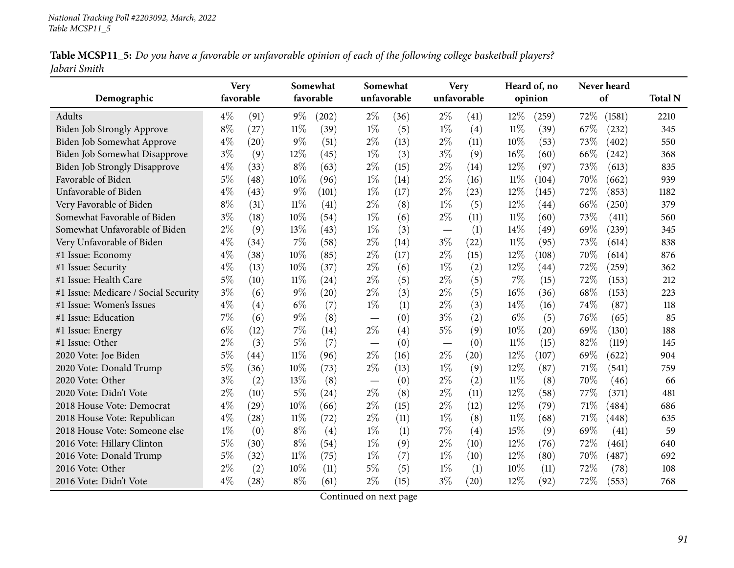|              | Table MCSP11_5: Do you have a favorable or unfavorable opinion of each of the following college basketball players? |  |  |
|--------------|---------------------------------------------------------------------------------------------------------------------|--|--|
| Jabari Smith |                                                                                                                     |  |  |

| Demographic                          | <b>Very</b><br>favorable |      |        | Somewhat<br>favorable | Somewhat<br>unfavorable |      | unfavorable | <b>Very</b> |        | Heard of, no<br>opinion |        | Never heard<br>of | <b>Total N</b> |
|--------------------------------------|--------------------------|------|--------|-----------------------|-------------------------|------|-------------|-------------|--------|-------------------------|--------|-------------------|----------------|
| Adults                               | $4\%$                    | (91) | $9\%$  | (202)                 | $2\%$                   | (36) | $2\%$       | (41)        | 12%    | (259)                   | 72%    | (1581)            | 2210           |
| <b>Biden Job Strongly Approve</b>    | $8\%$                    | (27) | 11%    | (39)                  | $1\%$                   | (5)  | $1\%$       | (4)         | $11\%$ | (39)                    | 67%    | (232)             | 345            |
| Biden Job Somewhat Approve           | $4\%$                    | (20) | $9\%$  | (51)                  | $2\%$                   | (13) | $2\%$       | (11)        | 10%    | (53)                    | 73%    | (402)             | 550            |
| Biden Job Somewhat Disapprove        | $3\%$                    | (9)  | 12%    | (45)                  | $1\%$                   | (3)  | $3\%$       | (9)         | 16%    | (60)                    | 66%    | (242)             | 368            |
| <b>Biden Job Strongly Disapprove</b> | $4\%$                    | (33) | $8\%$  | (63)                  | $2\%$                   | (15) | $2\%$       | (14)        | 12%    | (97)                    | 73%    | (613)             | 835            |
| Favorable of Biden                   | $5\%$                    | (48) | 10%    | (96)                  | $1\%$                   | (14) | $2\%$       | (16)        | $11\%$ | (104)                   | 70%    | (662)             | 939            |
| Unfavorable of Biden                 | $4\%$                    | (43) | 9%     | (101)                 | $1\%$                   | (17) | $2\%$       | (23)        | 12%    | (145)                   | 72%    | (853)             | 1182           |
| Very Favorable of Biden              | $8\%$                    | (31) | $11\%$ | (41)                  | $2\%$                   | (8)  | $1\%$       | (5)         | 12%    | (44)                    | 66%    | (250)             | 379            |
| Somewhat Favorable of Biden          | $3\%$                    | (18) | 10%    | (54)                  | $1\%$                   | (6)  | $2\%$       | (11)        | $11\%$ | (60)                    | 73\%   | (411)             | 560            |
| Somewhat Unfavorable of Biden        | $2\%$                    | (9)  | 13\%   | (43)                  | $1\%$                   | (3)  |             | (1)         | 14%    | (49)                    | 69%    | (239)             | 345            |
| Very Unfavorable of Biden            | $4\%$                    | (34) | $7\%$  | (58)                  | $2\%$                   | (14) | $3\%$       | (22)        | $11\%$ | (95)                    | 73%    | (614)             | 838            |
| #1 Issue: Economy                    | $4\%$                    | (38) | 10%    | (85)                  | $2\%$                   | (17) | $2\%$       | (15)        | 12%    | (108)                   | 70%    | (614)             | 876            |
| #1 Issue: Security                   | $4\%$                    | (13) | 10%    | (37)                  | $2\%$                   | (6)  | $1\%$       | (2)         | 12%    | (44)                    | 72%    | (259)             | 362            |
| #1 Issue: Health Care                | $5\%$                    | (10) | 11%    | (24)                  | $2\%$                   | (5)  | $2\%$       | (5)         | 7%     | (15)                    | 72%    | (153)             | 212            |
| #1 Issue: Medicare / Social Security | $3\%$                    | (6)  | $9\%$  | (20)                  | $2\%$                   | (3)  | $2\%$       | (5)         | 16%    | (36)                    | 68\%   | (153)             | 223            |
| #1 Issue: Women's Issues             | $4\%$                    | (4)  | $6\%$  | (7)                   | $1\%$                   | (1)  | $2\%$       | (3)         | 14%    | (16)                    | 74%    | (87)              | 118            |
| #1 Issue: Education                  | 7%                       | (6)  | $9\%$  | (8)                   |                         | (0)  | $3\%$       | (2)         | $6\%$  | (5)                     | 76\%   | (65)              | 85             |
| #1 Issue: Energy                     | $6\%$                    | (12) | 7%     | (14)                  | $2\%$                   | (4)  | $5\%$       | (9)         | $10\%$ | $\left( 20\right)$      | 69%    | (130)             | 188            |
| #1 Issue: Other                      | $2\%$                    | (3)  | $5\%$  | (7)                   |                         | (0)  |             | (0)         | $11\%$ | (15)                    | 82%    | (119)             | 145            |
| 2020 Vote: Joe Biden                 | $5\%$                    | (44) | $11\%$ | (96)                  | $2\%$                   | (16) | $2\%$       | (20)        | 12%    | (107)                   | 69%    | (622)             | 904            |
| 2020 Vote: Donald Trump              | $5\%$                    | (36) | 10%    | (73)                  | $2\%$                   | (13) | $1\%$       | (9)         | 12%    | (87)                    | $71\%$ | (541)             | 759            |
| 2020 Vote: Other                     | $3\%$                    | (2)  | 13%    | (8)                   |                         | (0)  | $2\%$       | (2)         | $11\%$ | (8)                     | 70%    | (46)              | 66             |
| 2020 Vote: Didn't Vote               | $2\%$                    | (10) | 5%     | (24)                  | $2\%$                   | (8)  | $2\%$       | (11)        | 12%    | (58)                    | 77\%   | (371)             | 481            |
| 2018 House Vote: Democrat            | $4\%$                    | (29) | 10%    | (66)                  | $2\%$                   | (15) | $2\%$       | (12)        | 12%    | (79)                    | 71%    | (484)             | 686            |
| 2018 House Vote: Republican          | $4\%$                    | (28) | $11\%$ | (72)                  | $2\%$                   | (11) | $1\%$       | (8)         | $11\%$ | (68)                    | 71\%   | (448)             | 635            |
| 2018 House Vote: Someone else        | $1\%$                    | (0)  | $8\%$  | (4)                   | $1\%$                   | (1)  | 7%          | (4)         | 15%    | (9)                     | 69%    | (41)              | 59             |
| 2016 Vote: Hillary Clinton           | 5%                       | (30) | $8\%$  | (54)                  | $1\%$                   | (9)  | $2\%$       | (10)        | $12\%$ | (76)                    | 72%    | (461)             | 640            |
| 2016 Vote: Donald Trump              | $5\%$                    | (32) | $11\%$ | (75)                  | $1\%$                   | (7)  | $1\%$       | (10)        | 12%    | (80)                    | 70%    | (487)             | 692            |
| 2016 Vote: Other                     | $2\%$                    | (2)  | 10%    | (11)                  | $5\%$                   | (5)  | $1\%$       | (1)         | 10%    | (11)                    | 72%    | (78)              | 108            |
| 2016 Vote: Didn't Vote               | $4\%$                    | (28) | $8\%$  | (61)                  | $2\%$                   | (15) | $3\%$       | (20)        | 12%    | (92)                    | 72%    | (553)             | 768            |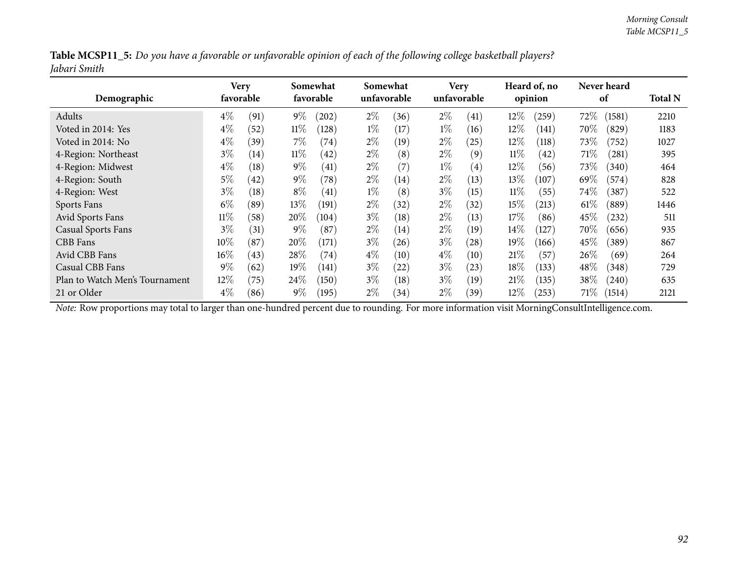|              | Table MCSP11_5: Do you have a favorable or unfavorable opinion of each of the following college basketball players? |  |
|--------------|---------------------------------------------------------------------------------------------------------------------|--|
| Jabari Smith |                                                                                                                     |  |

| Demographic                    | favorable | Very |        | Somewhat<br>favorable | Somewhat | unfavorable |       | <b>Very</b><br>unfavorable |        | Heard of, no<br>opinion |        | Never heard<br>of | <b>Total N</b> |
|--------------------------------|-----------|------|--------|-----------------------|----------|-------------|-------|----------------------------|--------|-------------------------|--------|-------------------|----------------|
| Adults                         | $4\%$     | (91) | $9\%$  | (202)                 | $2\%$    | (36)        | $2\%$ | (41)                       | 12%    | (259)                   | 72\%   | (1581)            | 2210           |
| Voted in 2014: Yes             | $4\%$     | (52) | $11\%$ | (128)                 | $1\%$    | (17)        | $1\%$ | (16)                       | 12%    | (141)                   | 70%    | (829)             | 1183           |
| Voted in 2014: No              | $4\%$     | (39) | $7\%$  | (74)                  | $2\%$    | (19)        | $2\%$ | (25)                       | 12%    | (118)                   | 73\%   | (752)             | 1027           |
| 4-Region: Northeast            | $3\%$     | (14) | $11\%$ | $^{(42)}$             | $2\%$    | (8)         | $2\%$ | (9)                        | $11\%$ | (42)                    | 71\%   | (281)             | 395            |
| 4-Region: Midwest              | $4\%$     | (18) | $9\%$  | (41)                  | $2\%$    | (7)         | $1\%$ | $\left( 4\right)$          | $12\%$ | (56)                    | 73%    | (340)             | 464            |
| 4-Region: South                | $5\%$     | (42) | $9\%$  | (78)                  | $2\%$    | (14)        | $2\%$ | (13)                       | 13\%   | (107)                   | 69\%   | (574)             | 828            |
| 4-Region: West                 | $3\%$     | (18) | $8\%$  | (41)                  | $1\%$    | (8)         | $3\%$ | (15)                       | $11\%$ | (55)                    | $74\%$ | (387)             | 522            |
| Sports Fans                    | $6\%$     | (89) | $13\%$ | (191)                 | $2\%$    | (32)        | $2\%$ | (32)                       | 15%    | (213)                   | $61\%$ | (889)             | 1446           |
| Avid Sports Fans               | $11\%$    | (58) | 20%    | (104)                 | $3\%$    | (18)        | $2\%$ | (13)                       | 17%    | (86)                    | 45%    | (232)             | 511            |
| <b>Casual Sports Fans</b>      | $3\%$     | (31) | $9\%$  | (87)                  | $2\%$    | (14)        | $2\%$ | (19)                       | $14\%$ | 127                     | 70%    | (656)             | 935            |
| CBB Fans                       | $10\%$    | (87) | 20%    | (171)                 | $3\%$    | (26)        | $3\%$ | (28)                       | 19%    | (166)                   | 45%    | (389)             | 867            |
| Avid CBB Fans                  | $16\%$    | (43) | 28\%   | (74)                  | $4\%$    | (10)        | $4\%$ | (10)                       | 21%    | (57)                    | 26\%   | (69)              | 264            |
| Casual CBB Fans                | $9\%$     | (62) | $19\%$ | (141)                 | $3\%$    | (22)        | $3\%$ | (23)                       | 18%    | (133)                   | 48\%   | (348)             | 729            |
| Plan to Watch Men's Tournament | $12\%$    | (75) | 24\%   | (150)                 | $3\%$    | (18)        | $3\%$ | (19)                       | 21%    | (135)                   | $38\%$ | (240)             | 635            |
| 21 or Older                    | $4\%$     | (86) | $9\%$  | (195)                 | $2\%$    | (34)        | $2\%$ | (39)                       | $12\%$ | (253)                   | $71\%$ | (1514)            | 2121           |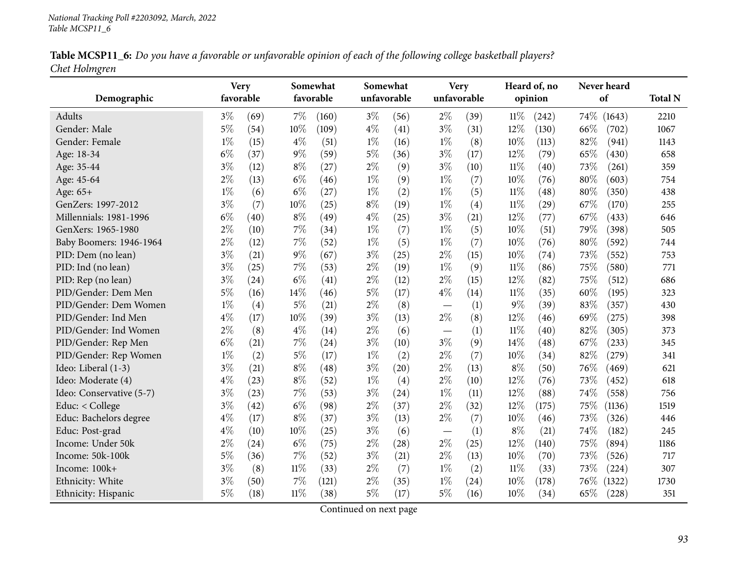|               | Table MCSP11_6: Do you have a favorable or unfavorable opinion of each of the following college basketball players? |  |  |
|---------------|---------------------------------------------------------------------------------------------------------------------|--|--|
| Chet Holmgren |                                                                                                                     |  |  |

| Demographic              |       | <b>Very</b><br>favorable |        | Somewhat<br>favorable | unfavorable | Somewhat | Very<br>unfavorable |      |        | Heard of, no<br>opinion | Never heard<br>of | <b>Total N</b> |
|--------------------------|-------|--------------------------|--------|-----------------------|-------------|----------|---------------------|------|--------|-------------------------|-------------------|----------------|
| Adults                   | $3\%$ | (69)                     | $7\%$  | (160)                 | $3\%$       | (56)     | $2\%$               | (39) | $11\%$ | (242)                   | 74\%<br>(1643)    | 2210           |
| Gender: Male             | $5\%$ | (54)                     | 10%    | (109)                 | $4\%$       | (41)     | $3\%$               | (31) | 12%    | (130)                   | 66\%<br>(702)     | 1067           |
| Gender: Female           | $1\%$ | (15)                     | $4\%$  | (51)                  | $1\%$       | (16)     | $1\%$               | (8)  | 10%    | (113)                   | 82%<br>(941)      | 1143           |
| Age: 18-34               | $6\%$ | (37)                     | $9\%$  | (59)                  | $5\%$       | (36)     | $3\%$               | (17) | 12%    | (79)                    | 65%<br>(430)      | 658            |
| Age: 35-44               | $3\%$ | (12)                     | $8\%$  | (27)                  | $2\%$       | (9)      | $3\%$               | (10) | $11\%$ | (40)                    | 73%<br>(261)      | 359            |
| Age: 45-64               | $2\%$ | (13)                     | $6\%$  | (46)                  | $1\%$       | (9)      | $1\%$               | (7)  | 10%    | (76)                    | 80%<br>(603)      | 754            |
| Age: 65+                 | $1\%$ | (6)                      | $6\%$  | (27)                  | $1\%$       | (2)      | $1\%$               | (5)  | $11\%$ | (48)                    | 80%<br>(350)      | 438            |
| GenZers: 1997-2012       | $3\%$ | (7)                      | 10%    | (25)                  | $8\%$       | (19)     | $1\%$               | (4)  | $11\%$ | $\left( 29\right)$      | 67%<br>(170)      | 255            |
| Millennials: 1981-1996   | $6\%$ | (40)                     | $8\%$  | (49)                  | $4\%$       | (25)     | $3\%$               | (21) | 12%    | (77)                    | 67%<br>(433)      | 646            |
| GenXers: 1965-1980       | $2\%$ | (10)                     | $7\%$  | (34)                  | $1\%$       | (7)      | $1\%$               | (5)  | 10%    | (51)                    | 79%<br>(398)      | 505            |
| Baby Boomers: 1946-1964  | $2\%$ | (12)                     | $7\%$  | (52)                  | $1\%$       | (5)      | $1\%$               | (7)  | 10%    | (76)                    | $80\%$<br>(592)   | 744            |
| PID: Dem (no lean)       | $3\%$ | (21)                     | $9\%$  | (67)                  | $3\%$       | (25)     | $2\%$               | (15) | 10%    | (74)                    | 73%<br>(552)      | 753            |
| PID: Ind (no lean)       | $3\%$ | (25)                     | $7\%$  | (53)                  | $2\%$       | (19)     | $1\%$               | (9)  | $11\%$ | (86)                    | 75%<br>(580)      | 771            |
| PID: Rep (no lean)       | $3\%$ | (24)                     | $6\%$  | (41)                  | $2\%$       | (12)     | $2\%$               | (15) | 12%    | (82)                    | 75%<br>(512)      | 686            |
| PID/Gender: Dem Men      | 5%    | (16)                     | 14%    | (46)                  | $5\%$       | (17)     | $4\%$               | (14) | $11\%$ | (35)                    | 60%<br>(195)      | 323            |
| PID/Gender: Dem Women    | $1\%$ | (4)                      | $5\%$  | (21)                  | $2\%$       | (8)      |                     | (1)  | $9\%$  | (39)                    | 83%<br>(357)      | 430            |
| PID/Gender: Ind Men      | $4\%$ | (17)                     | 10%    | (39)                  | $3\%$       | (13)     | $2\%$               | (8)  | 12%    | (46)                    | 69%<br>(275)      | 398            |
| PID/Gender: Ind Women    | $2\%$ | (8)                      | $4\%$  | (14)                  | $2\%$       | (6)      |                     | (1)  | $11\%$ | (40)                    | 82%<br>(305)      | 373            |
| PID/Gender: Rep Men      | $6\%$ | (21)                     | 7%     | (24)                  | $3\%$       | (10)     | $3\%$               | (9)  | 14\%   | (48)                    | 67\%<br>(233)     | 345            |
| PID/Gender: Rep Women    | $1\%$ | (2)                      | $5\%$  | (17)                  | $1\%$       | (2)      | $2\%$               | (7)  | 10%    | (34)                    | 82%<br>(279)      | 341            |
| Ideo: Liberal (1-3)      | $3\%$ | (21)                     | $8\%$  | (48)                  | $3\%$       | (20)     | $2\%$               | (13) | $8\%$  | (50)                    | 76%<br>(469)      | 621            |
| Ideo: Moderate (4)       | $4\%$ | (23)                     | $8\%$  | (52)                  | $1\%$       | (4)      | $2\%$               | (10) | 12%    | (76)                    | 73%<br>(452)      | 618            |
| Ideo: Conservative (5-7) | $3\%$ | (23)                     | $7\%$  | (53)                  | $3\%$       | (24)     | $1\%$               | (11) | 12%    | (88)                    | 74%<br>(558)      | 756            |
| Educ: < College          | $3\%$ | (42)                     | $6\%$  | (98)                  | $2\%$       | (37)     | $2\%$               | (32) | 12%    | (175)                   | 75%<br>(1136)     | 1519           |
| Educ: Bachelors degree   | $4\%$ | (17)                     | $8\%$  | (37)                  | $3\%$       | (13)     | $2\%$               | (7)  | 10%    | (46)                    | 73%<br>(326)      | 446            |
| Educ: Post-grad          | $4\%$ | (10)                     | 10%    | (25)                  | $3\%$       | (6)      |                     | (1)  | $8\%$  | (21)                    | 74%<br>(182)      | 245            |
| Income: Under 50k        | $2\%$ | (24)                     | $6\%$  | (75)                  | $2\%$       | (28)     | $2\%$               | (25) | 12%    | (140)                   | 75%<br>(894)      | 1186           |
| Income: 50k-100k         | $5\%$ | (36)                     | $7\%$  | (52)                  | $3\%$       | (21)     | $2\%$               | (13) | 10%    | (70)                    | 73%<br>(526)      | 717            |
| Income: 100k+            | $3\%$ | (8)                      | $11\%$ | (33)                  | $2\%$       | (7)      | $1\%$               | (2)  | $11\%$ | (33)                    | 73%<br>(224)      | 307            |
| Ethnicity: White         | $3\%$ | (50)                     | 7%     | (121)                 | $2\%$       | (35)     | $1\%$               | (24) | 10%    | (178)                   | 76%<br>(1322)     | 1730           |
| Ethnicity: Hispanic      | $5\%$ | (18)                     | $11\%$ | (38)                  | 5%          | (17)     | $5\%$               | (16) | 10%    | (34)                    | 65%<br>(228)      | 351            |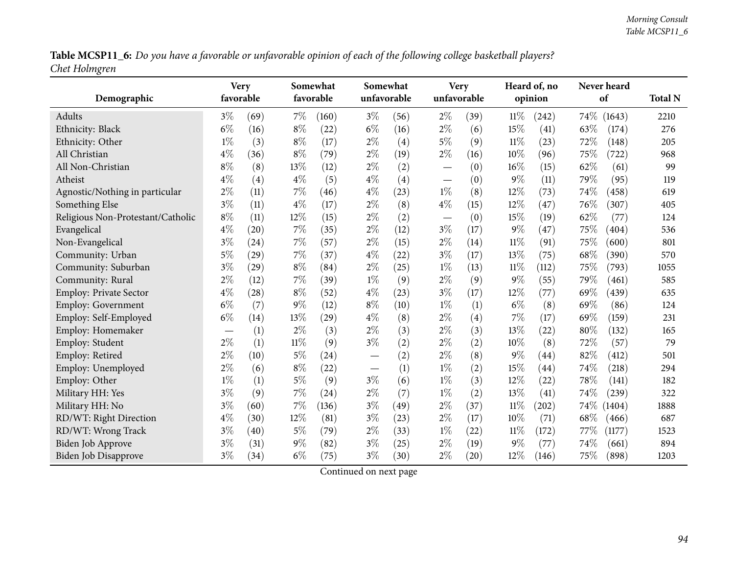Table MCSP11\_6: Do you have a favorable or unfavorable opinion of each of the following college basketball players? *Chet Holmgren*

| Demographic                       | <b>Very</b><br>favorable |      |        | Somewhat<br>favorable |       | Somewhat<br>unfavorable |                                   | <b>Very</b><br>unfavorable |        | Heard of, no<br>opinion |        | Never heard<br>of | <b>Total N</b> |
|-----------------------------------|--------------------------|------|--------|-----------------------|-------|-------------------------|-----------------------------------|----------------------------|--------|-------------------------|--------|-------------------|----------------|
| Adults                            | $3\%$                    | (69) | $7\%$  | (160)                 | $3\%$ | (56)                    | $2\%$                             | (39)                       | $11\%$ | (242)                   |        | 74\% (1643)       | 2210           |
| Ethnicity: Black                  | $6\%$                    | (16) | $8\%$  | (22)                  | $6\%$ | (16)                    | $2\%$                             | (6)                        | 15%    | $\left( 41\right)$      | 63%    | (174)             | 276            |
| Ethnicity: Other                  | $1\%$                    | (3)  | $8\%$  | (17)                  | $2\%$ | (4)                     | $5\%$                             | (9)                        | $11\%$ | (23)                    | 72%    | (148)             | 205            |
| All Christian                     | $4\%$                    | (36) | $8\%$  | (79)                  | $2\%$ | (19)                    | $2\%$                             | (16)                       | 10%    | (96)                    | 75%    | (722)             | 968            |
| All Non-Christian                 | $8\%$                    | (8)  | 13%    | (12)                  | $2\%$ | (2)                     | $\overbrace{\phantom{123221111}}$ | (0)                        | 16%    | (15)                    | 62%    | (61)              | 99             |
| Atheist                           | $4\%$                    | (4)  | $4\%$  | (5)                   | $4\%$ | (4)                     | $\overline{\phantom{0}}$          | (0)                        | 9%     | (11)                    | 79%    | (95)              | 119            |
| Agnostic/Nothing in particular    | $2\%$                    | (11) | 7%     | (46)                  | $4\%$ | (23)                    | $1\%$                             | (8)                        | 12%    | (73)                    | 74%    | (458)             | 619            |
| Something Else                    | $3\%$                    | (11) | $4\%$  | (17)                  | $2\%$ | (8)                     | $4\%$                             | (15)                       | 12%    | (47)                    | 76%    | (307)             | 405            |
| Religious Non-Protestant/Catholic | $8\%$                    | (11) | 12%    | (15)                  | $2\%$ | (2)                     |                                   | (0)                        | 15%    | (19)                    | 62%    | (77)              | 124            |
| Evangelical                       | $4\%$                    | (20) | 7%     | (35)                  | $2\%$ | (12)                    | $3\%$                             | (17)                       | $9\%$  | $\left( 47\right)$      | 75%    | (404)             | 536            |
| Non-Evangelical                   | $3\%$                    | (24) | $7\%$  | (57)                  | $2\%$ | (15)                    | $2\%$                             | (14)                       | $11\%$ | (91)                    | 75%    | (600)             | 801            |
| Community: Urban                  | $5\%$                    | (29) | $7\%$  | (37)                  | $4\%$ | (22)                    | $3\%$                             | (17)                       | 13%    | (75)                    | 68%    | (390)             | 570            |
| Community: Suburban               | $3\%$                    | (29) | $8\%$  | (84)                  | $2\%$ | (25)                    | $1\%$                             | (13)                       | $11\%$ | (112)                   | 75%    | (793)             | 1055           |
| Community: Rural                  | $2\%$                    | (12) | 7%     | (39)                  | $1\%$ | (9)                     | $2\%$                             | (9)                        | $9\%$  | (55)                    | 79%    | (461)             | 585            |
| <b>Employ: Private Sector</b>     | $4\%$                    | (28) | $8\%$  | (52)                  | $4\%$ | (23)                    | $3\%$                             | (17)                       | 12%    | (77)                    | 69%    | (439)             | 635            |
| <b>Employ: Government</b>         | $6\%$                    | (7)  | $9\%$  | (12)                  | $8\%$ | (10)                    | $1\%$                             | (1)                        | $6\%$  | (8)                     | 69%    | (86)              | 124            |
| Employ: Self-Employed             | $6\%$                    | (14) | 13%    | (29)                  | $4\%$ | (8)                     | $2\%$                             | $\left( 4\right)$          | 7%     | (17)                    | 69%    | (159)             | 231            |
| Employ: Homemaker                 |                          | (1)  | $2\%$  | (3)                   | $2\%$ | (3)                     | $2\%$                             | (3)                        | 13%    | (22)                    | 80%    | (132)             | 165            |
| Employ: Student                   | $2\%$                    | (1)  | $11\%$ | (9)                   | $3\%$ | (2)                     | $2\%$                             | (2)                        | 10%    | (8)                     | 72%    | (57)              | 79             |
| Employ: Retired                   | $2\%$                    | (10) | $5\%$  | (24)                  |       | (2)                     | $2\%$                             | (8)                        | $9\%$  | (44)                    | 82%    | (412)             | 501            |
| Employ: Unemployed                | $2\%$                    | (6)  | $8\%$  | (22)                  |       | (1)                     | $1\%$                             | (2)                        | 15%    | (44)                    | 74%    | (218)             | 294            |
| Employ: Other                     | $1\%$                    | (1)  | $5\%$  | (9)                   | $3\%$ | (6)                     | $1\%$                             | (3)                        | 12%    | (22)                    | 78%    | (141)             | 182            |
| Military HH: Yes                  | $3\%$                    | (9)  | 7%     | (24)                  | $2\%$ | (7)                     | $1\%$                             | (2)                        | 13%    | (41)                    | 74%    | (239)             | 322            |
| Military HH: No                   | $3\%$                    | (60) | 7%     | (136)                 | $3\%$ | (49)                    | $2\%$                             | (37)                       | 11%    | (202)                   | $74\%$ | (1404)            | 1888           |
| RD/WT: Right Direction            | $4\%$                    | (30) | 12%    | (81)                  | $3\%$ | (23)                    | $2\%$                             | (17)                       | 10%    | (71)                    | 68\%   | (466)             | 687            |
| RD/WT: Wrong Track                | $3\%$                    | (40) | $5\%$  | (79)                  | $2\%$ | (33)                    | $1\%$                             | (22)                       | $11\%$ | (172)                   | 77\%   | (1177)            | 1523           |
| <b>Biden Job Approve</b>          | $3\%$                    | (31) | $9\%$  | (82)                  | $3\%$ | (25)                    | $2\%$                             | (19)                       | 9%     | (77)                    | 74%    | (661)             | 894            |
| Biden Job Disapprove              | $3\%$                    | (34) | $6\%$  | (75)                  | $3\%$ | (30)                    | $2\%$                             | (20)                       | 12%    | (146)                   | 75%    | (898)             | 1203           |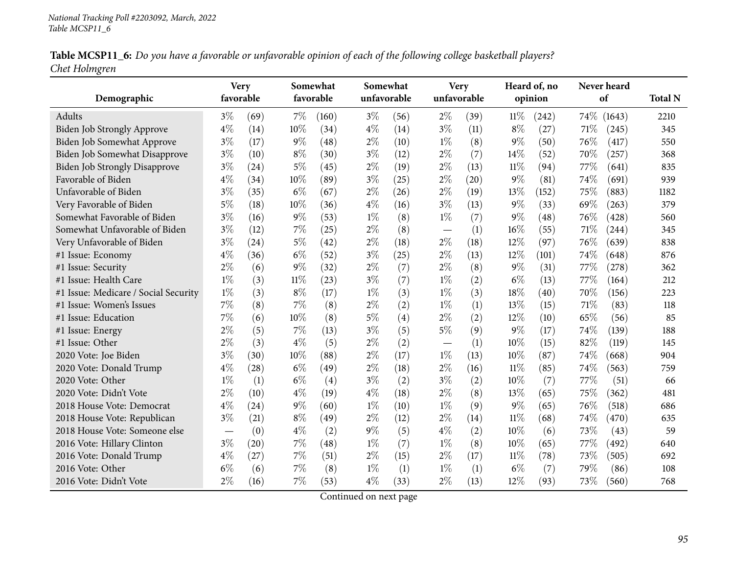|               | Table MCSP11_6: Do you have a favorable or unfavorable opinion of each of the following college basketball players? |  |  |
|---------------|---------------------------------------------------------------------------------------------------------------------|--|--|
| Chet Holmgren |                                                                                                                     |  |  |

| Demographic                          | <b>Very</b><br>favorable |      |       | Somewhat<br>favorable | Somewhat<br>unfavorable |      | <b>Very</b> | unfavorable |        | Heard of, no<br>opinion |        | Never heard<br>of | <b>Total N</b> |
|--------------------------------------|--------------------------|------|-------|-----------------------|-------------------------|------|-------------|-------------|--------|-------------------------|--------|-------------------|----------------|
|                                      |                          |      |       |                       |                         |      |             |             |        |                         |        |                   |                |
| Adults                               | $3\%$                    | (69) | 7%    | (160)                 | $3\%$                   | (56) | $2\%$       | (39)        | 11%    | (242)                   | $74\%$ | (1643)            | 2210           |
| Biden Job Strongly Approve           | $4\%$                    | (14) | 10%   | (34)                  | $4\%$                   | (14) | $3\%$       | (11)        | $8\%$  | (27)                    | 71%    | (245)             | 345            |
| Biden Job Somewhat Approve           | $3\%$                    | (17) | $9\%$ | (48)                  | $2\%$                   | (10) | $1\%$       | (8)         | $9\%$  | (50)                    | 76%    | (417)             | 550            |
| Biden Job Somewhat Disapprove        | $3\%$                    | (10) | $8\%$ | (30)                  | $3\%$                   | (12) | $2\%$       | (7)         | 14%    | (52)                    | 70%    | (257)             | 368            |
| <b>Biden Job Strongly Disapprove</b> | $3\%$                    | (24) | $5\%$ | (45)                  | $2\%$                   | (19) | $2\%$       | (13)        | 11%    | (94)                    | 77%    | (641)             | 835            |
| Favorable of Biden                   | $4\%$                    | (34) | 10%   | (89)                  | $3\%$                   | (25) | $2\%$       | (20)        | $9\%$  | (81)                    | 74%    | (691)             | 939            |
| Unfavorable of Biden                 | $3\%$                    | (35) | $6\%$ | (67)                  | $2\%$                   | (26) | $2\%$       | (19)        | 13%    | (152)                   | 75%    | (883)             | 1182           |
| Very Favorable of Biden              | $5\%$                    | (18) | 10%   | (36)                  | $4\%$                   | (16) | $3\%$       | (13)        | $9\%$  | (33)                    | 69%    | (263)             | 379            |
| Somewhat Favorable of Biden          | $3\%$                    | (16) | $9\%$ | (53)                  | $1\%$                   | (8)  | $1\%$       | (7)         | $9\%$  | (48)                    | 76%    | (428)             | 560            |
| Somewhat Unfavorable of Biden        | $3\%$                    | (12) | 7%    | (25)                  | $2\%$                   | (8)  |             | (1)         | 16%    | (55)                    | 71\%   | (244)             | 345            |
| Very Unfavorable of Biden            | $3\%$                    | (24) | $5\%$ | (42)                  | $2\%$                   | (18) | $2\%$       | (18)        | 12%    | (97)                    | 76%    | (639)             | 838            |
| #1 Issue: Economy                    | $4\%$                    | (36) | $6\%$ | (52)                  | $3\%$                   | (25) | $2\%$       | (13)        | 12%    | (101)                   | 74%    | (648)             | 876            |
| #1 Issue: Security                   | $2\%$                    | (6)  | 9%    | (32)                  | $2\%$                   | (7)  | $2\%$       | (8)         | $9\%$  | (31)                    | 77%    | (278)             | 362            |
| #1 Issue: Health Care                | $1\%$                    | (3)  | 11%   | (23)                  | $3\%$                   | (7)  | $1\%$       | (2)         | $6\%$  | (13)                    | 77%    | (164)             | 212            |
| #1 Issue: Medicare / Social Security | $1\%$                    | (3)  | $8\%$ | (17)                  | $1\%$                   | (3)  | $1\%$       | (3)         | 18%    | (40)                    | 70%    | (156)             | 223            |
| #1 Issue: Women's Issues             | 7%                       | (8)  | 7%    | (8)                   | $2\%$                   | (2)  | $1\%$       | (1)         | 13%    | (15)                    | 71%    | (83)              | 118            |
| #1 Issue: Education                  | 7%                       | (6)  | 10%   | (8)                   | $5\%$                   | (4)  | $2\%$       | (2)         | 12%    | (10)                    | 65%    | (56)              | 85             |
| #1 Issue: Energy                     | $2\%$                    | (5)  | 7%    | (13)                  | $3\%$                   | (5)  | $5\%$       | (9)         | $9\%$  | (17)                    | 74%    | (139)             | 188            |
| #1 Issue: Other                      | $2\%$                    | (3)  | $4\%$ | (5)                   | $2\%$                   | (2)  |             | (1)         | 10%    | (15)                    | 82%    | (119)             | 145            |
| 2020 Vote: Joe Biden                 | $3\%$                    | (30) | 10%   | (88)                  | $2\%$                   | (17) | $1\%$       | (13)        | 10%    | (87)                    | 74%    | (668)             | 904            |
| 2020 Vote: Donald Trump              | $4\%$                    | (28) | $6\%$ | (49)                  | $2\%$                   | (18) | $2\%$       | (16)        | $11\%$ | (85)                    | 74%    | (563)             | 759            |
| 2020 Vote: Other                     | $1\%$                    | (1)  | $6\%$ | (4)                   | $3\%$                   | (2)  | $3\%$       | (2)         | 10%    | (7)                     | 77%    | (51)              | 66             |
| 2020 Vote: Didn't Vote               | 2%                       | (10) | $4\%$ | (19)                  | $4\%$                   | (18) | $2\%$       | (8)         | 13%    | (65)                    | 75%    | (362)             | 481            |
| 2018 House Vote: Democrat            | $4\%$                    | (24) | 9%    | (60)                  | $1\%$                   | (10) | $1\%$       | (9)         | $9\%$  | (65)                    | 76%    | (518)             | 686            |
| 2018 House Vote: Republican          | $3\%$                    | (21) | $8\%$ | (49)                  | $2\%$                   | (12) | $2\%$       | (14)        | $11\%$ | (68)                    | 74%    | (470)             | 635            |
| 2018 House Vote: Someone else        |                          | (0)  | $4\%$ | (2)                   | $9\%$                   | (5)  | $4\%$       | (2)         | 10%    | (6)                     | 73%    | (43)              | 59             |
| 2016 Vote: Hillary Clinton           | $3\%$                    | (20) | 7%    | (48)                  | $1\%$                   | (7)  | $1\%$       | (8)         | 10%    | (65)                    | 77\%   | (492)             | 640            |
| 2016 Vote: Donald Trump              | $4\%$                    | (27) | 7%    | (51)                  | $2\%$                   | (15) | $2\%$       | (17)        | $11\%$ | (78)                    | 73%    | (505)             | 692            |
| 2016 Vote: Other                     | $6\%$                    | (6)  | 7%    | (8)                   | $1\%$                   | (1)  | $1\%$       | (1)         | $6\%$  | (7)                     | 79%    | (86)              | 108            |
| 2016 Vote: Didn't Vote               | $2\%$                    | (16) | 7%    | (53)                  | $4\%$                   | (33) | $2\%$       | (13)        | 12%    | (93)                    | 73%    | (560)             | 768            |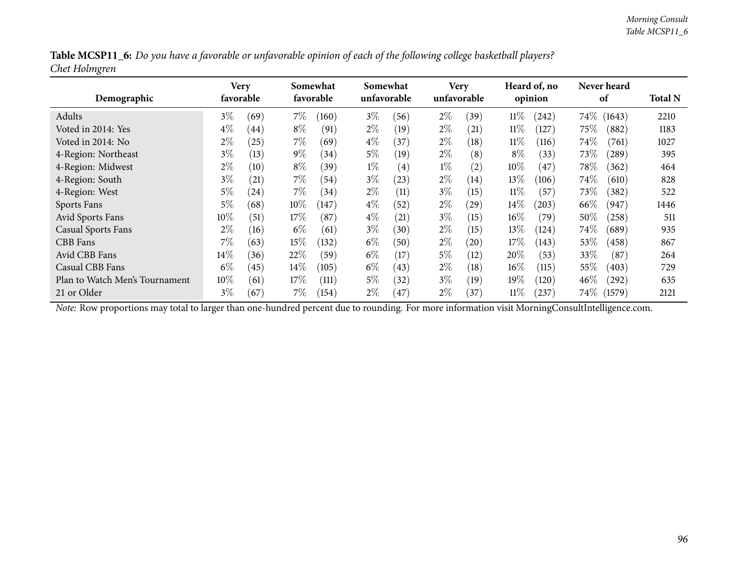|               | Table MCSP11_6: Do you have a favorable or unfavorable opinion of each of the following college basketball players? |  |
|---------------|---------------------------------------------------------------------------------------------------------------------|--|
| Chet Holmgren |                                                                                                                     |  |

| Demographic                    |        | Very<br>favorable |        | Somewhat<br>favorable |       | Somewhat<br>unfavorable |       | <b>Very</b><br>unfavorable |        | Heard of, no<br>opinion |        | Never heard<br>of | <b>Total N</b> |
|--------------------------------|--------|-------------------|--------|-----------------------|-------|-------------------------|-------|----------------------------|--------|-------------------------|--------|-------------------|----------------|
| Adults                         | $3\%$  | (69)              | $7\%$  | (160)                 | $3\%$ | (56)                    | $2\%$ | (39)                       | 11%    | (242)                   | $74\%$ | (1643)            | 2210           |
| Voted in 2014: Yes             | $4\%$  | (44)              | $8\%$  | (91)                  | $2\%$ | (19)                    | $2\%$ | (21)                       | $11\%$ | (127)                   | 75\%   | (882)             | 1183           |
| Voted in 2014: No              | $2\%$  | (25)              | $7\%$  | (69)                  | $4\%$ | (37)                    | $2\%$ | $\left(18\right)$          | $11\%$ | (116)                   | $74\%$ | (761)             | 1027           |
| 4-Region: Northeast            | $3\%$  | (13)              | $9\%$  | (34)                  | $5\%$ | (19)                    | $2\%$ | (8)                        | $8\%$  | (33)                    | 73\%   | (289)             | 395            |
| 4-Region: Midwest              | $2\%$  | (10)              | $8\%$  | (39)                  | $1\%$ | (4)                     | $1\%$ | $\rm(2)$                   | $10\%$ | (47)                    | $78\%$ | (362)             | 464            |
| 4-Region: South                | $3\%$  | (21)              | $7\%$  | (54)                  | $3\%$ | (23)                    | $2\%$ | (14)                       | 13%    | (106)                   | $74\%$ | (610)             | 828            |
| 4-Region: West                 | $5\%$  | (24)              | $7\%$  | (34)                  | $2\%$ | (11)                    | $3\%$ | (15)                       | $11\%$ | (57)                    | 73\%   | (382)             | 522            |
| Sports Fans                    | $5\%$  | (68)              | $10\%$ | (147)                 | $4\%$ | (52)                    | $2\%$ | (29)                       | $14\%$ | (203)                   | 66\%   | (947)             | 1446           |
| Avid Sports Fans               | 10\%   | (51)              | $17\%$ | (87                   | $4\%$ | $\left( 21\right)$      | $3\%$ | (15)                       | $16\%$ | (79)                    | $50\%$ | (258)             | 511            |
| <b>Casual Sports Fans</b>      | $2\%$  | (16)              | $6\%$  | (61)                  | $3\%$ | (30)                    | $2\%$ | (15)                       | 13%    | (124)                   | $74\%$ | (689)             | 935            |
| CBB Fans                       | $7\%$  | (63)              | $15\%$ | (132)                 | $6\%$ | (50)                    | $2\%$ | $\left( 20\right)$         | 17%    | (143)                   | 53\%   | (458)             | 867            |
| Avid CBB Fans                  | 14%    | (36)              | 22%    | (59`                  | $6\%$ | $17 \,$                 | $5\%$ | (12)                       | 20%    | (53)                    | $33\%$ | (87               | 264            |
| Casual CBB Fans                | $6\%$  | (45)              | $14\%$ | (105)                 | $6\%$ | (43)                    | $2\%$ | (18)                       | $16\%$ | (115)                   | $55\%$ | (403)             | 729            |
| Plan to Watch Men's Tournament | $10\%$ | (61)              | $17\%$ | (111)                 | $5\%$ | $\left(32\right)$       | $3\%$ | (19)                       | 19%    | (120)                   | $46\%$ | $^{'}292)$        | 635            |
| 21 or Older                    | $3\%$  | (67)              | 7%     | (154)                 | $2\%$ | (47)                    | $2\%$ | (37)                       | $11\%$ | (237)                   | $74\%$ | (1579)            | 2121           |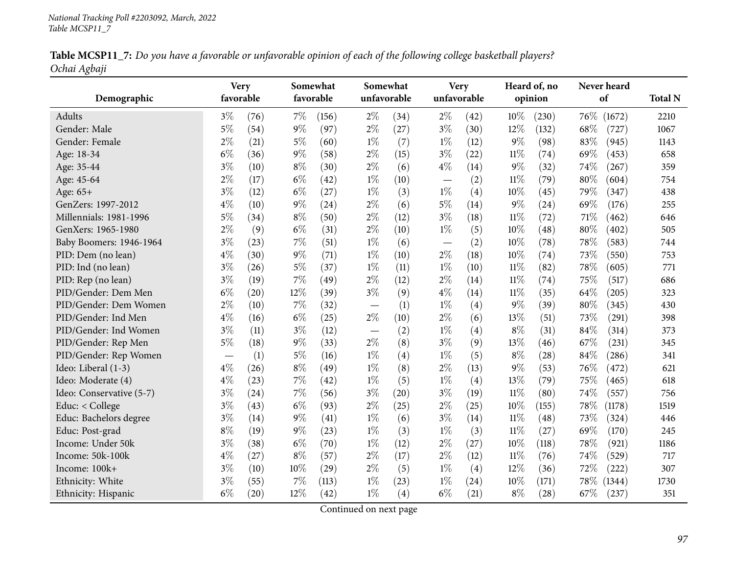Table MCSP11\_7: Do you have a favorable or unfavorable opinion of each of the following college basketball players? *Ochai Agbaji*

| Demographic              | <b>Very</b><br>favorable |      |        | Somewhat<br>favorable | Somewhat<br>unfavorable  |                    | unfavorable | <b>Very</b> |        | Heard of, no<br>opinion | Never heard<br>of | <b>Total N</b> |
|--------------------------|--------------------------|------|--------|-----------------------|--------------------------|--------------------|-------------|-------------|--------|-------------------------|-------------------|----------------|
| Adults                   | $3\%$                    | (76) | $7\%$  | (156)                 | $2\%$                    | (34)               | $2\%$       | (42)        | 10%    | (230)                   | 76\%<br>(1672)    | 2210           |
| Gender: Male             | $5\%$                    | (54) | $9\%$  | (97)                  | $2\%$                    | (27)               | $3\%$       | (30)        | 12%    | (132)                   | 68%<br>(727)      | 1067           |
| Gender: Female           | $2\%$                    | (21) | $5\%$  | (60)                  | $1\%$                    | (7)                | $1\%$       | (12)        | 9%     | (98)                    | 83%<br>(945)      | 1143           |
| Age: 18-34               | $6\%$                    | (36) | $9\%$  | (58)                  | $2\%$                    | (15)               | $3\%$       | (22)        | $11\%$ | (74)                    | 69%<br>(453)      | 658            |
| Age: 35-44               | $3\%$                    | (10) | $8\%$  | (30)                  | $2\%$                    | (6)                | $4\%$       | (14)        | $9\%$  | (32)                    | 74%<br>(267)      | 359            |
| Age: 45-64               | $2\%$                    | (17) | $6\%$  | (42)                  | $1\%$                    | (10)               |             | (2)         | $11\%$ | (79)                    | $80\%$<br>(604)   | 754            |
| Age: 65+                 | $3\%$                    | (12) | $6\%$  | (27)                  | $1\%$                    | (3)                | $1\%$       | (4)         | 10%    | (45)                    | 79%<br>(347)      | 438            |
| GenZers: 1997-2012       | $4\%$                    | (10) | $9\%$  | (24)                  | $2\%$                    | (6)                | $5\%$       | (14)        | 9%     | (24)                    | 69%<br>(176)      | 255            |
| Millennials: 1981-1996   | $5\%$                    |      | $8\%$  |                       | $2\%$                    |                    | $3\%$       |             | $11\%$ |                         | 71\%              |                |
|                          | $2\%$                    | (34) |        | (50)                  |                          | (12)               |             | (18)        |        | (72)                    | (462)             | 646            |
| GenXers: 1965-1980       |                          | (9)  | $6\%$  | (31)                  | $2\%$                    | (10)               | $1\%$       | (5)         | 10%    | (48)                    | 80%<br>(402)      | 505            |
| Baby Boomers: 1946-1964  | $3\%$                    | (23) | $7\%$  | (51)                  | $1\%$                    | (6)                |             | (2)         | 10%    | (78)                    | 78%<br>(583)      | 744            |
| PID: Dem (no lean)       | $4\%$                    | (30) | $9\%$  | (71)                  | $1\%$                    | (10)               | $2\%$       | (18)        | 10%    | (74)                    | 73%<br>(550)      | 753            |
| PID: Ind (no lean)       | $3\%$                    | (26) | $5\%$  | (37)                  | $1\%$                    | (11)               | $1\%$       | (10)        | 11%    | (82)                    | 78%<br>(605)      | 771            |
| PID: Rep (no lean)       | $3\%$                    | (19) | 7%     | (49)                  | $2\%$                    | (12)               | $2\%$       | (14)        | 11%    | (74)                    | 75%<br>(517)      | 686            |
| PID/Gender: Dem Men      | $6\%$                    | (20) | $12\%$ | (39)                  | $3\%$                    | (9)                | $4\%$       | (14)        | $11\%$ | (35)                    | 64%<br>(205)      | 323            |
| PID/Gender: Dem Women    | $2\%$                    | (10) | 7%     | (32)                  |                          | (1)                | $1\%$       | (4)         | $9\%$  | (39)                    | 80%<br>(345)      | 430            |
| PID/Gender: Ind Men      | $4\%$                    | (16) | $6\%$  | (25)                  | $2\%$                    | (10)               | $2\%$       | (6)         | 13%    | (51)                    | 73%<br>(291)      | 398            |
| PID/Gender: Ind Women    | $3\%$                    | (11) | $3\%$  | (12)                  | $\overline{\phantom{m}}$ | (2)                | $1\%$       | (4)         | $8\%$  | (31)                    | 84%<br>(314)      | 373            |
| PID/Gender: Rep Men      | $5\%$                    | (18) | $9\%$  | (33)                  | $2\%$                    | (8)                | $3\%$       | (9)         | 13%    | (46)                    | 67%<br>(231)      | 345            |
| PID/Gender: Rep Women    |                          | (1)  | $5\%$  | (16)                  | $1\%$                    | (4)                | $1\%$       | (5)         | $8\%$  | (28)                    | $84\%$<br>(286)   | 341            |
| Ideo: Liberal (1-3)      | $4\%$                    | (26) | $8\%$  | (49)                  | $1\%$                    | (8)                | $2\%$       | (13)        | 9%     | (53)                    | 76%<br>(472)      | 621            |
| Ideo: Moderate (4)       | $4\%$                    | (23) | $7\%$  | (42)                  | $1\%$                    | (5)                | $1\%$       | (4)         | 13%    | (79)                    | 75%<br>(465)      | 618            |
| Ideo: Conservative (5-7) | $3\%$                    | (24) | $7\%$  | (56)                  | $3\%$                    | $\left( 20\right)$ | $3\%$       | (19)        | 11%    | (80)                    | 74%<br>(557)      | 756            |
| Educ: < College          | $3\%$                    | (43) | $6\%$  | (93)                  | $2\%$                    | (25)               | $2\%$       | (25)        | 10%    | (155)                   | 78%<br>(1178)     | 1519           |
| Educ: Bachelors degree   | $3\%$                    | (14) | $9\%$  | (41)                  | $1\%$                    | (6)                | $3\%$       | (14)        | $11\%$ | (48)                    | 73%<br>(324)      | 446            |
| Educ: Post-grad          | $8\%$                    | (19) | $9\%$  | (23)                  | $1\%$                    | (3)                | $1\%$       | (3)         | 11%    | (27)                    | 69%<br>(170)      | 245            |
| Income: Under 50k        | $3\%$                    | (38) | $6\%$  | (70)                  | $1\%$                    | (12)               | $2\%$       | (27)        | 10%    | (118)                   | 78%<br>(921)      | 1186           |
| Income: 50k-100k         | $4\%$                    | (27) | $8\%$  | (57)                  | $2\%$                    | (17)               | $2\%$       | (12)        | $11\%$ | (76)                    | 74%<br>(529)      | 717            |
| Income: 100k+            | $3\%$                    | (10) | 10%    | (29)                  | $2\%$                    | (5)                | $1\%$       | (4)         | 12%    | (36)                    | 72%<br>(222)      | 307            |
| Ethnicity: White         | $3\%$                    | (55) | 7%     | (113)                 | $1\%$                    | (23)               | $1\%$       | (24)        | 10%    | (171)                   | 78%<br>(1344)     | 1730           |
| Ethnicity: Hispanic      | $6\%$                    | (20) | 12%    | (42)                  | $1\%$                    | (4)                | $6\%$       | (21)        | $8\%$  | (28)                    | 67\%<br>(237)     | 351            |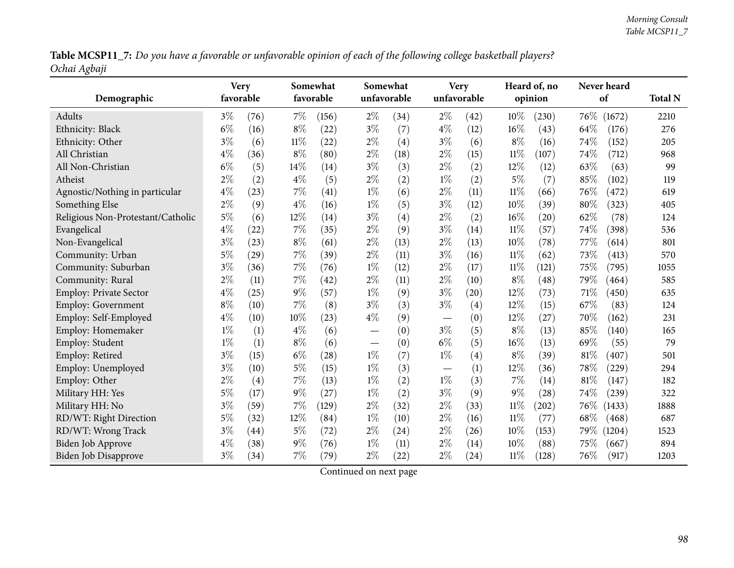Table MCSP11\_7: Do you have a favorable or unfavorable opinion of each of the following college basketball players? *Ochai Agbaji*

|                                   | <b>Very</b> |      |        | Somewhat           |       | Somewhat    |                                 | <b>Very</b> |        | Heard of, no |        | Never heard |                |
|-----------------------------------|-------------|------|--------|--------------------|-------|-------------|---------------------------------|-------------|--------|--------------|--------|-------------|----------------|
| Demographic                       | favorable   |      |        | favorable          |       | unfavorable |                                 | unfavorable |        | opinion      |        | of          | <b>Total N</b> |
| Adults                            | $3\%$       | (76) | $7\%$  | (156)              | $2\%$ | (34)        | $2\%$                           | (42)        | 10%    | (230)        | $76\%$ | (1672)      | 2210           |
| Ethnicity: Black                  | $6\%$       | (16) | $8\%$  | (22)               | $3\%$ | (7)         | $4\%$                           | (12)        | 16%    | (43)         | 64%    | (176)       | 276            |
| Ethnicity: Other                  | $3\%$       | (6)  | $11\%$ | (22)               | $2\%$ | (4)         | $3\%$                           | (6)         | $8\%$  | (16)         | 74%    | (152)       | 205            |
| All Christian                     | $4\%$       | (36) | $8\%$  | (80)               | $2\%$ | (18)        | $2\%$                           | (15)        | 11%    | (107)        | 74%    | (712)       | 968            |
| All Non-Christian                 | $6\%$       | (5)  | 14%    | (14)               | $3\%$ | (3)         | $2\%$                           | (2)         | 12%    | (12)         | 63%    | (63)        | 99             |
| Atheist                           | $2\%$       | (2)  | $4\%$  | (5)                | $2\%$ | (2)         | $1\%$                           | (2)         | $5\%$  | (7)          | 85%    | (102)       | 119            |
| Agnostic/Nothing in particular    | $4\%$       | (23) | 7%     | (41)               | $1\%$ | (6)         | $2\%$                           | (11)        | $11\%$ | (66)         | 76\%   | (472)       | 619            |
| Something Else                    | $2\%$       | (9)  | $4\%$  | (16)               | $1\%$ | (5)         | $3\%$                           | (12)        | 10%    | (39)         | 80%    | (323)       | 405            |
| Religious Non-Protestant/Catholic | $5\%$       | (6)  | 12%    | (14)               | $3\%$ | (4)         | $2\%$                           | (2)         | 16%    | (20)         | 62%    | (78)        | 124            |
| Evangelical                       | $4\%$       | (22) | $7\%$  | (35)               | $2\%$ | (9)         | $3\%$                           | (14)        | 11%    | (57)         | 74%    | (398)       | 536            |
| Non-Evangelical                   | $3\%$       | (23) | $8\%$  | (61)               | $2\%$ | (13)        | $2\%$                           | (13)        | 10%    | (78)         | 77%    | (614)       | 801            |
| Community: Urban                  | $5\%$       | (29) | $7\%$  | (39)               | $2\%$ | (11)        | $3\%$                           | (16)        | $11\%$ | (62)         | 73%    | (413)       | 570            |
| Community: Suburban               | $3\%$       | (36) | 7%     | (76)               | $1\%$ | (12)        | $2\%$                           | (17)        | $11\%$ | (121)        | 75%    | (795)       | 1055           |
| Community: Rural                  | $2\%$       | (11) | 7%     | (42)               | $2\%$ | (11)        | $2\%$                           | (10)        | $8\%$  | (48)         | 79%    | (464)       | 585            |
| <b>Employ: Private Sector</b>     | $4\%$       | (25) | $9\%$  | (57)               | $1\%$ | (9)         | $3\%$                           | (20)        | 12%    | (73)         | $71\%$ | (450)       | 635            |
| <b>Employ: Government</b>         | $8\%$       | (10) | $7\%$  | (8)                | $3\%$ | (3)         | $3\%$                           | (4)         | 12%    | (15)         | 67\%   | (83)        | 124            |
| Employ: Self-Employed             | $4\%$       | (10) | 10%    | (23)               | $4\%$ | (9)         |                                 | (0)         | 12%    | (27)         | 70%    | (162)       | 231            |
| Employ: Homemaker                 | $1\%$       | (1)  | $4\%$  | (6)                |       | (0)         | $3\%$                           | (5)         | $8\%$  | (13)         | 85%    | (140)       | 165            |
| Employ: Student                   | $1\%$       | (1)  | $8\%$  | (6)                |       | (0)         | $6\%$                           | (5)         | 16%    | (13)         | 69%    | (55)        | 79             |
| Employ: Retired                   | $3\%$       | (15) | $6\%$  | $\left( 28\right)$ | $1\%$ | (7)         | $1\%$                           | (4)         | $8\%$  | (39)         | 81%    | (407)       | 501            |
| Employ: Unemployed                | $3\%$       | (10) | $5\%$  | (15)               | $1\%$ | (3)         | $\hspace{0.1mm}-\hspace{0.1mm}$ | (1)         | 12%    | (36)         | 78%    | (229)       | 294            |
| Employ: Other                     | $2\%$       | (4)  | 7%     | (13)               | $1\%$ | (2)         | $1\%$                           | (3)         | 7%     | (14)         | 81%    | (147)       | 182            |
| Military HH: Yes                  | $5\%$       | (17) | $9\%$  | (27)               | $1\%$ | (2)         | $3\%$                           | (9)         | 9%     | (28)         | 74%    | (239)       | 322            |
| Military HH: No                   | $3\%$       | (59) | $7\%$  | (129)              | $2\%$ | (32)        | $2\%$                           | (33)        | $11\%$ | (202)        | 76\%   | (1433)      | 1888           |
| RD/WT: Right Direction            | $5\%$       | (32) | 12%    | (84)               | $1\%$ | (10)        | $2\%$                           | (16)        | 11%    | (77)         | 68%    | (468)       | 687            |
| RD/WT: Wrong Track                | $3\%$       | (44) | $5\%$  | (72)               | $2\%$ | (24)        | $2\%$                           | (26)        | 10%    | (153)        | 79\%   | (1204)      | 1523           |
| <b>Biden Job Approve</b>          | $4\%$       | (38) | $9\%$  | (76)               | $1\%$ | (11)        | $2\%$                           | (14)        | 10%    | (88)         | 75%    | (667)       | 894            |
| Biden Job Disapprove              | $3\%$       | (34) | $7\%$  | (79)               | $2\%$ | (22)        | $2\%$                           | (24)        | $11\%$ | (128)        | 76%    | (917)       | 1203           |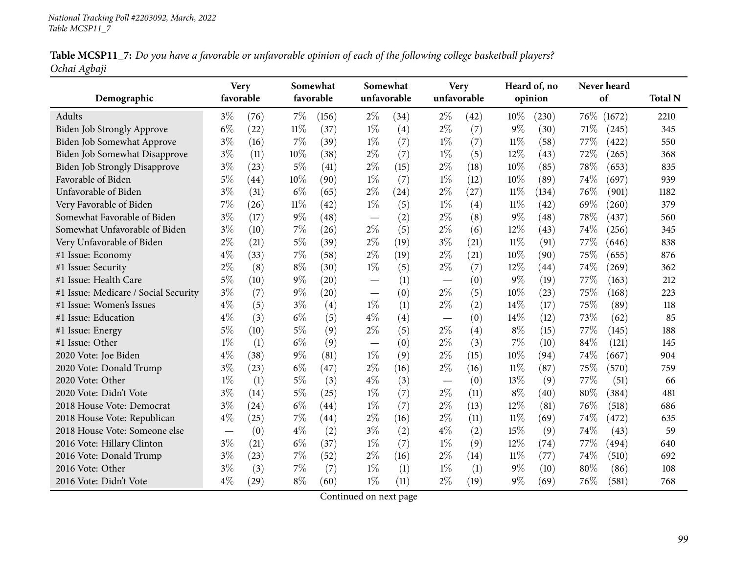| Table MCSP11_7: Do you have a favorable or unfavorable opinion of each of the following college basketball players? |  |
|---------------------------------------------------------------------------------------------------------------------|--|
| Ochai Agbaji                                                                                                        |  |

| Demographic                          | <b>Very</b><br>favorable |      |        | Somewhat<br>favorable | Somewhat                      | unfavorable        | unfavorable              | <b>Very</b> |        | Heard of, no<br>opinion |        | Never heard<br>of | <b>Total N</b> |
|--------------------------------------|--------------------------|------|--------|-----------------------|-------------------------------|--------------------|--------------------------|-------------|--------|-------------------------|--------|-------------------|----------------|
| Adults                               | $3\%$                    | (76) | 7%     | (156)                 | $2\%$                         | (34)               | $2\%$                    | (42)        | 10%    | (230)                   | $76\%$ | (1672)            | 2210           |
| <b>Biden Job Strongly Approve</b>    | $6\%$                    | (22) | $11\%$ | (37)                  | $1\%$                         | (4)                | $2\%$                    | (7)         | $9\%$  | (30)                    | 71%    | (245)             | 345            |
| Biden Job Somewhat Approve           | $3\%$                    | (16) | 7%     | (39)                  | $1\%$                         | (7)                | $1\%$                    | (7)         | $11\%$ | (58)                    | 77%    | (422)             | 550            |
| Biden Job Somewhat Disapprove        | $3\%$                    | (11) | 10%    | (38)                  | $2\%$                         | (7)                | $1\%$                    | (5)         | 12%    | (43)                    | 72%    | (265)             | 368            |
| <b>Biden Job Strongly Disapprove</b> | $3\%$                    | (23) | 5%     | (41)                  | $2\%$                         | (15)               | $2\%$                    | (18)        | 10%    | (85)                    | 78%    | (653)             | 835            |
| Favorable of Biden                   | $5\%$                    | (44) | 10%    | (90)                  | $1\%$                         | (7)                | $1\%$                    | (12)        | 10%    | (89)                    | 74%    | (697)             | 939            |
| Unfavorable of Biden                 | $3\%$                    | (31) | $6\%$  | (65)                  | $2\%$                         | $\left( 24\right)$ | $2\%$                    | (27)        | $11\%$ | (134)                   | 76%    | (901)             | 1182           |
| Very Favorable of Biden              | 7%                       | (26) | $11\%$ | (42)                  | $1\%$                         | (5)                | $1\%$                    | (4)         | $11\%$ | (42)                    | 69%    | (260)             | 379            |
| Somewhat Favorable of Biden          | $3\%$                    | (17) | $9\%$  | (48)                  | $\overline{\phantom{m}}$      | (2)                | $2\%$                    | (8)         | $9\%$  | (48)                    | 78%    | (437)             | 560            |
| Somewhat Unfavorable of Biden        | $3\%$                    | (10) | 7%     | (26)                  | $2\%$                         | (5)                | $2\%$                    | (6)         | 12%    | (43)                    | 74%    | (256)             | 345            |
| Very Unfavorable of Biden            | $2\%$                    | (21) | $5\%$  | (39)                  | $2\%$                         | (19)               | $3\%$                    | (21)        | $11\%$ | (91)                    | 77\%   | (646)             | 838            |
| #1 Issue: Economy                    | $4\%$                    | (33) | 7%     | (58)                  | $2\%$                         | (19)               | $2\%$                    | (21)        | 10%    | (90)                    | 75%    | (655)             | 876            |
| #1 Issue: Security                   | 2%                       | (8)  | $8\%$  | (30)                  | $1\%$                         | (5)                | $2\%$                    | (7)         | 12%    | (44)                    | 74%    | (269)             | 362            |
| #1 Issue: Health Care                | $5\%$                    | (10) | 9%     | (20)                  |                               | (1)                | $\overline{\phantom{m}}$ | (0)         | $9\%$  | (19)                    | 77%    | (163)             | 212            |
| #1 Issue: Medicare / Social Security | $3\%$                    | (7)  | 9%     | (20)                  | $\overbrace{\phantom{aaaaa}}$ | (0)                | $2\%$                    | (5)         | 10%    | (23)                    | 75%    | (168)             | 223            |
| #1 Issue: Women's Issues             | $4\%$                    | (5)  | $3\%$  | (4)                   | $1\%$                         | (1)                | $2\%$                    | (2)         | 14%    | (17)                    | 75%    | (89)              | 118            |
| #1 Issue: Education                  | $4\%$                    | (3)  | $6\%$  | (5)                   | $4\%$                         | (4)                |                          | (0)         | 14%    | (12)                    | 73%    | (62)              | 85             |
| #1 Issue: Energy                     | $5\%$                    | (10) | $5\%$  | (9)                   | $2\%$                         | (5)                | $2\%$                    | (4)         | $8\%$  | (15)                    | 77\%   | (145)             | 188            |
| #1 Issue: Other                      | $1\%$                    | (1)  | $6\%$  | (9)                   |                               | (0)                | $2\%$                    | (3)         | 7%     | (10)                    | 84%    | (121)             | 145            |
| 2020 Vote: Joe Biden                 | $4\%$                    | (38) | 9%     | (81)                  | $1\%$                         | (9)                | $2\%$                    | (15)        | 10%    | (94)                    | 74%    | (667)             | 904            |
| 2020 Vote: Donald Trump              | $3\%$                    | (23) | $6\%$  | (47)                  | $2\%$                         | (16)               | $2\%$                    | (16)        | $11\%$ | (87)                    | 75%    | (570)             | 759            |
| 2020 Vote: Other                     | $1\%$                    | (1)  | $5\%$  | (3)                   | $4\%$                         | (3)                |                          | (0)         | 13%    | (9)                     | 77%    | (51)              | 66             |
| 2020 Vote: Didn't Vote               | $3\%$                    | (14) | $5\%$  | (25)                  | $1\%$                         | (7)                | $2\%$                    | (11)        | $8\%$  | (40)                    | 80%    | (384)             | 481            |
| 2018 House Vote: Democrat            | $3\%$                    | (24) | $6\%$  | (44)                  | $1\%$                         | (7)                | $2\%$                    | (13)        | 12%    | (81)                    | 76%    | (518)             | 686            |
| 2018 House Vote: Republican          | $4\%$                    | (25) | $7\%$  | $\left( 44\right)$    | $2\%$                         | (16)               | $2\%$                    | (11)        | $11\%$ | (69)                    | 74%    | (472)             | 635            |
| 2018 House Vote: Someone else        |                          | (0)  | $4\%$  | (2)                   | $3\%$                         | (2)                | $4\%$                    | (2)         | 15%    | (9)                     | 74%    | (43)              | 59             |
| 2016 Vote: Hillary Clinton           | $3\%$                    | (21) | $6\%$  | (37)                  | $1\%$                         | (7)                | $1\%$                    | (9)         | 12%    | (74)                    | 77\%   | (494)             | 640            |
| 2016 Vote: Donald Trump              | $3\%$                    | (23) | 7%     | (52)                  | $2\%$                         | (16)               | $2\%$                    | (14)        | $11\%$ | (77)                    | 74%    | (510)             | 692            |
| 2016 Vote: Other                     | $3\%$                    | (3)  | $7\%$  | (7)                   | $1\%$                         | (1)                | $1\%$                    | (1)         | $9\%$  | (10)                    | 80%    | (86)              | 108            |
| 2016 Vote: Didn't Vote               | $4\%$                    | (29) | $8\%$  | (60)                  | $1\%$                         | (11)               | $2\%$                    | (19)        | $9\%$  | (69)                    | 76%    | (581)             | 768            |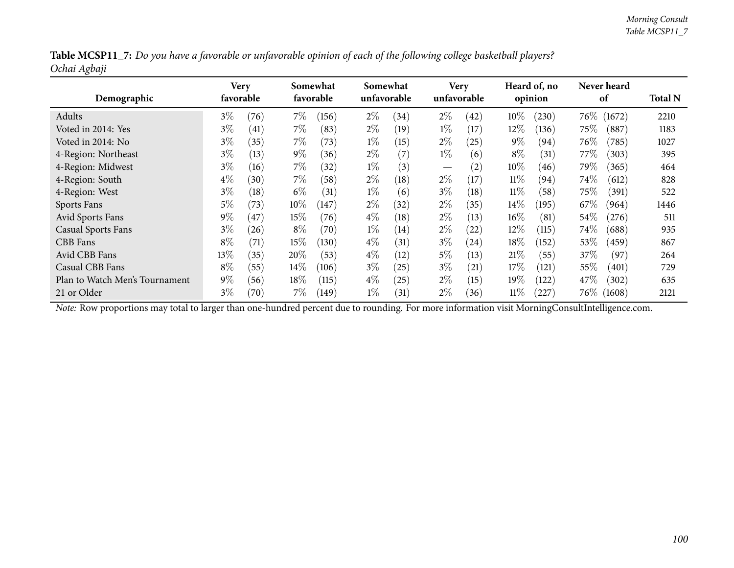|              | Table MCSP11_7: Do you have a favorable or unfavorable opinion of each of the following college basketball players? |  |
|--------------|---------------------------------------------------------------------------------------------------------------------|--|
| Ochai Agbaji |                                                                                                                     |  |

| Demographic                    | Very   | favorable |        | Somewhat<br>favorable |       | Somewhat<br>unfavorable |                   | <b>Very</b><br>unfavorable |        | Heard of, no<br>opinion |          | Never heard<br>of | <b>Total N</b> |
|--------------------------------|--------|-----------|--------|-----------------------|-------|-------------------------|-------------------|----------------------------|--------|-------------------------|----------|-------------------|----------------|
| Adults                         | $3\%$  | (76)      | $7\%$  | (156)                 | $2\%$ | (34)                    | $2\%$             | (42)                       | $10\%$ | (230)                   | $76\%$   | (1672)            | 2210           |
| Voted in 2014: Yes             | $3\%$  | (41)      | 7%     | (83)                  | $2\%$ | (19)                    | $1\%$             | (17)                       | $12\%$ | (136)                   | $75\%$   | (887)             | 1183           |
| Voted in 2014: No              | $3\%$  | (35)      | $7\%$  | (73)                  | $1\%$ | (15)                    | $2\%$             | (25)                       | $9\%$  | (94)                    | 76\%     | (785)             | 1027           |
| 4-Region: Northeast            | $3\%$  | (13)      | $9\%$  | (36)                  | $2\%$ | (7)                     | $1\%$             | (6)                        | $8\%$  | (31)                    | 77\%     | (303)             | 395            |
| 4-Region: Midwest              | $3\%$  | (16)      | $7\%$  | (32)                  | $1\%$ | (3)                     | $\hspace{0.05cm}$ | $\left( 2\right)$          | $10\%$ | (46)                    | 79%      | (365)             | 464            |
| 4-Region: South                | $4\%$  | (30)      | $7\%$  | (58)                  | $2\%$ | (18)                    | $2\%$             | (17)                       | $11\%$ | (94)                    | 74\%     | (612)             | 828            |
| 4-Region: West                 | $3\%$  | (18)      | $6\%$  | (31)                  | $1\%$ | (6)                     | $3\%$             | (18)                       | $11\%$ | (58)                    | $75\%$   | (391)             | 522            |
| Sports Fans                    | 5%     | (73)      | $10\%$ | (147)                 | $2\%$ | (32)                    | $2\%$             | (35)                       | $14\%$ | $^{(195)}$              | 67\%     | (964)             | 1446           |
| Avid Sports Fans               | $9\%$  | 47        | $15\%$ | (76)                  | $4\%$ | (18)                    | $2\%$             | (13)                       | $16\%$ | (81)                    | 54\%     | (276)             | 511            |
| <b>Casual Sports Fans</b>      | $3\%$  | $^{(26)}$ | $8\%$  | (70)                  | $1\%$ | (14)                    | $2\%$             | (22)                       | 12%    | (115)                   | 74%      | (688)             | 935            |
| CBB Fans                       | $8\%$  | (71)      | $15\%$ | (130)                 | $4\%$ | (31)                    | $3\%$             | (24)                       | 18%    | (152)                   | 53%      | (459)             | 867            |
| Avid CBB Fans                  | $13\%$ | (35)      | 20%    | (53)                  | $4\%$ | (12)                    | $5\%$             | (13)                       | 21%    | (55)                    | 37\%     | (97)              | 264            |
| Casual CBB Fans                | $8\%$  | (55)      | $14\%$ | (106)                 | $3\%$ | (25)                    | $3\%$             | (21)                       | 17%    | (121)                   | 55%      | (401)             | 729            |
| Plan to Watch Men's Tournament | $9\%$  | (56)      | $18\%$ | (115)                 | $4\%$ | (25)                    | $2\%$             | (15)                       | 19%    | (122)                   | 47\%     | (302)             | 635            |
| 21 or Older                    | $3\%$  | (70)      | 7%     | (149)                 | $1\%$ | (31)                    | $2\%$             | (36)                       | $11\%$ | 227                     | $76\%$ ( | (1608)            | 2121           |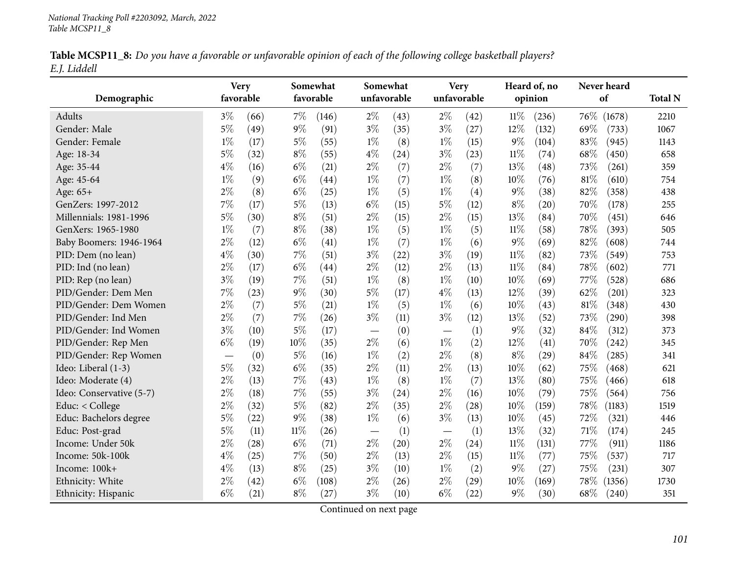|              | Table MCSP11_8: Do you have a favorable or unfavorable opinion of each of the following college basketball players? |  |  |
|--------------|---------------------------------------------------------------------------------------------------------------------|--|--|
| E.J. Liddell |                                                                                                                     |  |  |

| Demographic              | favorable | <b>Very</b> |        | Somewhat<br>favorable |                          | Somewhat<br>unfavorable |                   | Very<br>unfavorable |        | Heard of, no<br>opinion | Never heard<br>of | <b>Total N</b> |
|--------------------------|-----------|-------------|--------|-----------------------|--------------------------|-------------------------|-------------------|---------------------|--------|-------------------------|-------------------|----------------|
| <b>Adults</b>            | $3\%$     | (66)        | $7\%$  | (146)                 | $2\%$                    | (43)                    | $2\%$             | (42)                | $11\%$ | (236)                   | 76\%<br>(1678)    | 2210           |
| Gender: Male             | $5\%$     | (49)        | $9\%$  | (91)                  | $3\%$                    | (35)                    | $3\%$             | (27)                | $12\%$ | (132)                   | 69%<br>(733)      | 1067           |
| Gender: Female           | $1\%$     | (17)        | $5\%$  | (55)                  | $1\%$                    | (8)                     | $1\%$             | (15)                | $9\%$  | (104)                   | 83%<br>(945)      | 1143           |
| Age: 18-34               | $5\%$     | (32)        | $8\%$  | (55)                  | $4\%$                    | (24)                    | $3\%$             | (23)                | $11\%$ | (74)                    | 68\%<br>(450)     | 658            |
| Age: 35-44               | $4\%$     | (16)        | $6\%$  | (21)                  | $2\%$                    | (7)                     | $2\%$             | (7)                 | 13%    | (48)                    | 73%<br>(261)      | 359            |
| Age: 45-64               | $1\%$     | (9)         | $6\%$  | (44)                  | $1\%$                    | (7)                     | $1\%$             | (8)                 | 10%    | (76)                    | 81%<br>(610)      | 754            |
| Age: 65+                 | $2\%$     | (8)         | $6\%$  | (25)                  | $1\%$                    | (5)                     | $1\%$             | (4)                 | $9\%$  | (38)                    | 82%<br>(358)      | 438            |
| GenZers: 1997-2012       | 7%        | (17)        | $5\%$  | (13)                  | $6\%$                    | (15)                    | $5\%$             | (12)                | $8\%$  | (20)                    | 70%<br>(178)      | 255            |
| Millennials: 1981-1996   | $5\%$     | (30)        | $8\%$  | (51)                  | $2\%$                    | (15)                    | $2\%$             | (15)                | $13\%$ | (84)                    | 70%<br>(451)      | 646            |
| GenXers: 1965-1980       | $1\%$     | (7)         | $8\%$  | (38)                  | $1\%$                    | (5)                     | $1\%$             | (5)                 | $11\%$ | (58)                    | 78%<br>(393)      | 505            |
| Baby Boomers: 1946-1964  | $2\%$     | (12)        | $6\%$  | (41)                  | $1\%$                    | (7)                     | $1\%$             | (6)                 | $9\%$  | (69)                    | 82%<br>(608)      | 744            |
| PID: Dem (no lean)       | $4\%$     | (30)        | $7\%$  | (51)                  | $3\%$                    | (22)                    | $3\%$             | (19)                | $11\%$ | (82)                    | 73%<br>(549)      | 753            |
| PID: Ind (no lean)       | $2\%$     | (17)        | $6\%$  | (44)                  | $2\%$                    | (12)                    | $2\%$             | (13)                | $11\%$ | (84)                    | 78\%<br>(602)     | 771            |
| PID: Rep (no lean)       | $3\%$     | (19)        | $7\%$  | (51)                  | $1\%$                    | (8)                     | $1\%$             | (10)                | 10%    | (69)                    | 77\%<br>(528)     | 686            |
| PID/Gender: Dem Men      | 7%        | (23)        | $9\%$  | (30)                  | $5\%$                    | (17)                    | $4\%$             | (13)                | 12%    | (39)                    | 62%<br>(201)      | 323            |
| PID/Gender: Dem Women    | $2\%$     | (7)         | $5\%$  | (21)                  | $1\%$                    | (5)                     | $1\%$             | (6)                 | 10%    | (43)                    | 81%<br>(348)      | 430            |
| PID/Gender: Ind Men      | $2\%$     | (7)         | $7\%$  | (26)                  | $3\%$                    | (11)                    | $3\%$             | (12)                | 13%    | (52)                    | 73%<br>(290)      | 398            |
| PID/Gender: Ind Women    | $3\%$     | (10)        | $5\%$  | (17)                  | $\overline{\phantom{m}}$ | (0)                     | $\qquad \qquad -$ | (1)                 | $9\%$  | (32)                    | 84%<br>(312)      | 373            |
| PID/Gender: Rep Men      | $6\%$     | (19)        | 10%    | (35)                  | $2\%$                    | (6)                     | $1\%$             | (2)                 | 12%    | (41)                    | 70%<br>(242)      | 345            |
| PID/Gender: Rep Women    |           | (0)         | $5\%$  | (16)                  | $1\%$                    | (2)                     | $2\%$             | (8)                 | $8\%$  | (29)                    | 84%<br>(285)      | 341            |
| Ideo: Liberal (1-3)      | $5\%$     | (32)        | $6\%$  | (35)                  | $2\%$                    | (11)                    | $2\%$             | (13)                | 10%    | (62)                    | 75%<br>(468)      | 621            |
| Ideo: Moderate (4)       | $2\%$     | (13)        | $7\%$  | (43)                  | $1\%$                    | (8)                     | $1\%$             | (7)                 | 13%    | (80)                    | 75%<br>(466)      | 618            |
| Ideo: Conservative (5-7) | $2\%$     | (18)        | $7\%$  | (55)                  | $3\%$                    | (24)                    | $2\%$             | (16)                | 10%    | (79)                    | 75%<br>(564)      | 756            |
| Educ: < College          | $2\%$     | (32)        | $5\%$  | (82)                  | $2\%$                    | (35)                    | $2\%$             | (28)                | 10%    | (159)                   | 78%<br>(1183)     | 1519           |
| Educ: Bachelors degree   | $5\%$     | (22)        | $9\%$  | (38)                  | $1\%$                    | (6)                     | $3\%$             | (13)                | 10%    | (45)                    | 72%<br>(321)      | 446            |
| Educ: Post-grad          | $5\%$     | (11)        | $11\%$ | (26)                  |                          | (1)                     |                   | (1)                 | 13%    | (32)                    | 71%<br>(174)      | 245            |
| Income: Under 50k        | $2\%$     | (28)        | $6\%$  | (71)                  | $2\%$                    | (20)                    | $2\%$             | (24)                | $11\%$ | (131)                   | 77%<br>(911)      | 1186           |
| Income: 50k-100k         | $4\%$     | (25)        | $7\%$  | (50)                  | $2\%$                    | (13)                    | $2\%$             | (15)                | $11\%$ | (77)                    | 75%<br>(537)      | 717            |
| Income: 100k+            | $4\%$     | (13)        | $8\%$  | (25)                  | $3\%$                    | (10)                    | $1\%$             | (2)                 | $9\%$  | (27)                    | 75%<br>(231)      | 307            |
| Ethnicity: White         | $2\%$     | (42)        | $6\%$  | (108)                 | $2\%$                    | (26)                    | $2\%$             | (29)                | 10%    | (169)                   | 78%<br>(1356)     | 1730           |
| Ethnicity: Hispanic      | $6\%$     | (21)        | $8\%$  | (27)                  | $3\%$                    | (10)                    | $6\%$             | (22)                | $9\%$  | (30)                    | 68%<br>(240)      | 351            |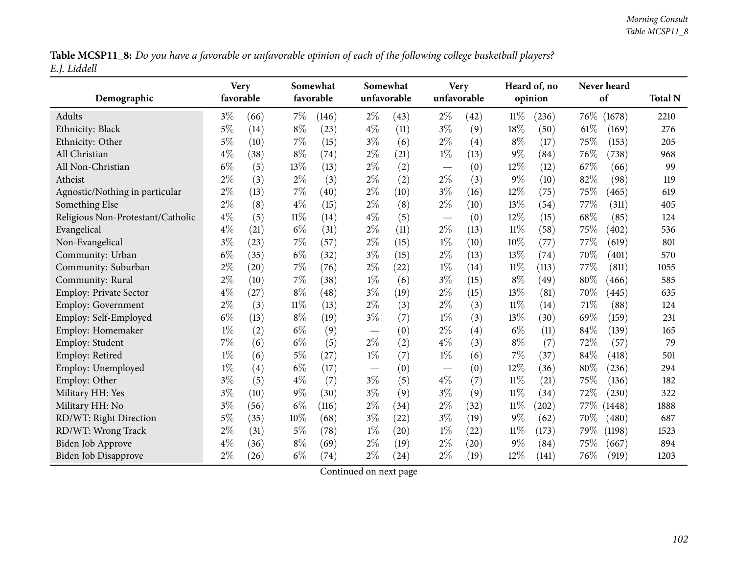Table MCSP11\_8: Do you have a favorable or unfavorable opinion of each of the following college basketball players? *E.J. Liddell*

|                                   | <b>Very</b> |      |        | Somewhat  |       | Somewhat    |                                   | <b>Very</b> |        | Heard of, no |        | Never heard         |      |
|-----------------------------------|-------------|------|--------|-----------|-------|-------------|-----------------------------------|-------------|--------|--------------|--------|---------------------|------|
| Demographic                       | favorable   |      |        | favorable |       | unfavorable |                                   | unfavorable |        | opinion      |        | of                  |      |
| Adults                            | $3\%$       | (66) | $7\%$  | (146)     | $2\%$ | (43)        | $2\%$                             | (42)        | $11\%$ | (236)        | $76\%$ | (1678)              | 2210 |
| Ethnicity: Black                  | $5\%$       | (14) | $8\%$  | (23)      | $4\%$ | (11)        | $3\%$                             | (9)         | 18%    | (50)         | 61%    | (169)               | 276  |
| Ethnicity: Other                  | $5\%$       | (10) | 7%     | (15)      | $3\%$ | (6)         | $2\%$                             | (4)         | $8\%$  | (17)         | 75%    | (153)               | 205  |
| All Christian                     | $4\%$       | (38) | $8\%$  | (74)      | $2\%$ | (21)        | $1\%$                             | (13)        | $9\%$  | (84)         | 76%    | (738)               | 968  |
| All Non-Christian                 | $6\%$       | (5)  | 13%    | (13)      | $2\%$ | (2)         |                                   | (0)         | 12%    | (12)         | 67\%   | (66)                | 99   |
| Atheist                           | $2\%$       | (3)  | $2\%$  | (3)       | $2\%$ | (2)         | $2\%$                             | (3)         | $9\%$  | (10)         | 82%    | (98)                | 119  |
| Agnostic/Nothing in particular    | $2\%$       | (13) | $7\%$  | (40)      | $2\%$ | (10)        | $3\%$                             | (16)        | 12%    | (75)         | 75%    | (465)               | 619  |
| Something Else                    | $2\%$       | (8)  | $4\%$  | (15)      | $2\%$ | (8)         | $2\%$                             | (10)        | 13%    | (54)         | 77\%   | (311)               | 405  |
| Religious Non-Protestant/Catholic | $4\%$       | (5)  | $11\%$ | (14)      | $4\%$ | (5)         | $\overbrace{\phantom{123221111}}$ | (0)         | 12%    | (15)         | 68%    | (85)                | 124  |
| Evangelical                       | $4\%$       | (21) | $6\%$  | (31)      | $2\%$ | (11)        | $2\%$                             | (13)        | $11\%$ | (58)         | 75%    | (402)               | 536  |
| Non-Evangelical                   | $3\%$       | (23) | 7%     | (57)      | $2\%$ | (15)        | $1\%$                             | (10)        | 10%    | (77)         | 77%    | (619)               | 801  |
| Community: Urban                  | $6\%$       | (35) | $6\%$  | (32)      | $3\%$ | (15)        | $2\%$                             | (13)        | 13%    | (74)         | 70%    | (401)               | 570  |
| Community: Suburban               | $2\%$       | (20) | $7\%$  | (76)      | $2\%$ | (22)        | $1\%$                             | (14)        | 11%    | (113)        | 77%    | (811)               | 1055 |
| Community: Rural                  | $2\%$       | (10) | $7\%$  | (38)      | $1\%$ | (6)         | $3\%$                             | (15)        | $8\%$  | (49)         | 80%    | (466)               | 585  |
| <b>Employ: Private Sector</b>     | $4\%$       | (27) | $8\%$  | (48)      | $3\%$ | (19)        | $2\%$                             | (15)        | 13%    | (81)         | 70%    | (445)               | 635  |
| <b>Employ: Government</b>         | $2\%$       | (3)  | $11\%$ | (13)      | $2\%$ | (3)         | $2\%$                             | (3)         | $11\%$ | (14)         | 71%    | (88)                | 124  |
| Employ: Self-Employed             | $6\%$       | (13) | $8\%$  | (19)      | $3\%$ | (7)         | $1\%$                             | (3)         | 13%    | (30)         | 69%    | (159)               | 231  |
| Employ: Homemaker                 | $1\%$       | (2)  | $6\%$  | (9)       |       | (0)         | $2\%$                             | (4)         | $6\%$  | (11)         | 84%    | (139)               | 165  |
| Employ: Student                   | $7\%$       | (6)  | $6\%$  | (5)       | $2\%$ | (2)         | $4\%$                             | (3)         | $8\%$  | (7)          | 72%    | (57)                | 79   |
| Employ: Retired                   | $1\%$       | (6)  | $5\%$  | (27)      | $1\%$ | (7)         | $1\%$                             | (6)         | 7%     | (37)         | 84%    | (418)               | 501  |
| Employ: Unemployed                | $1\%$       | (4)  | $6\%$  | (17)      |       | (0)         | $\overline{\phantom{m}}$          | (0)         | 12%    | (36)         | 80%    | (236)               | 294  |
| Employ: Other                     | $3\%$       | (5)  | $4\%$  | (7)       | $3\%$ | (5)         | $4\%$                             | (7)         | 11%    | (21)         | 75%    | (136)               | 182  |
| Military HH: Yes                  | $3\%$       | (10) | $9\%$  | (30)      | $3\%$ | (9)         | $3\%$                             | (9)         | $11\%$ | (34)         | 72%    | (230)               | 322  |
| Military HH: No                   | $3\%$       | (56) | $6\%$  | (116)     | $2\%$ | (34)        | $2\%$                             | (32)        | 11%    | (202)        | 77\%   | (1448)              | 1888 |
| RD/WT: Right Direction            | $5\%$       | (35) | 10%    | (68)      | $3\%$ | (22)        | $3\%$                             | (19)        | $9\%$  | (62)         | 70%    | $\left( 480\right)$ | 687  |
| RD/WT: Wrong Track                | $2\%$       | (31) | $5\%$  | (78)      | $1\%$ | (20)        | $1\%$                             | (22)        | $11\%$ | (173)        | 79%    | (1198)              | 1523 |
| <b>Biden Job Approve</b>          | $4\%$       | (36) | $8\%$  | (69)      | $2\%$ | (19)        | $2\%$                             | (20)        | 9%     | (84)         | 75%    | (667)               | 894  |
| Biden Job Disapprove              | $2\%$       | (26) | $6\%$  | (74)      | $2\%$ | (24)        | $2\%$                             | (19)        | 12%    | (141)        | 76%    | (919)               | 1203 |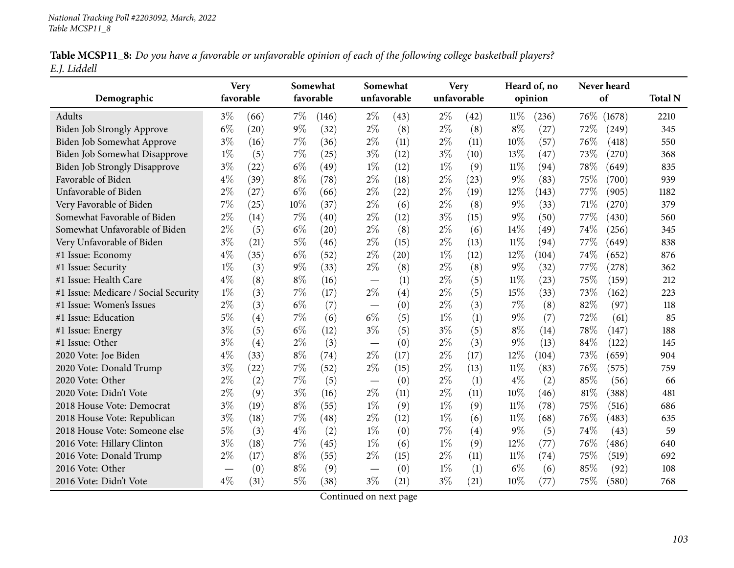|              | Table MCSP11_8: Do you have a favorable or unfavorable opinion of each of the following college basketball players? |  |  |
|--------------|---------------------------------------------------------------------------------------------------------------------|--|--|
| E.J. Liddell |                                                                                                                     |  |  |

| Demographic                          | <b>Very</b><br>favorable |      |       | Somewhat<br>favorable |                          | Somewhat<br>unfavorable | <b>Very</b><br>unfavorable |      | Heard of, no<br>opinion |       | Never heard<br>of |        | <b>Total N</b> |
|--------------------------------------|--------------------------|------|-------|-----------------------|--------------------------|-------------------------|----------------------------|------|-------------------------|-------|-------------------|--------|----------------|
| <b>Adults</b>                        | $3\%$                    | (66) | $7\%$ | (146)                 | $2\%$                    | (43)                    | $2\%$                      | (42) | $11\%$                  | (236) | 76\%              | (1678) | 2210           |
| Biden Job Strongly Approve           | $6\%$                    | (20) | $9\%$ | (32)                  | $2\%$                    | (8)                     | $2\%$                      | (8)  | $8\%$                   | (27)  | 72%               | (249)  | 345            |
| <b>Biden Job Somewhat Approve</b>    | $3\%$                    | (16) | $7\%$ | (36)                  | $2\%$                    | (11)                    | $2\%$                      | (11) | 10%                     | (57)  | 76%               | (418)  | 550            |
| Biden Job Somewhat Disapprove        | $1\%$                    | (5)  | $7\%$ | (25)                  | $3\%$                    | (12)                    | $3\%$                      | (10) | 13%                     | (47)  | 73%               | (270)  | 368            |
| <b>Biden Job Strongly Disapprove</b> | $3\%$                    | (22) | $6\%$ | (49)                  | $1\%$                    | (12)                    | $1\%$                      | (9)  | $11\%$                  | (94)  | 78%               | (649)  | 835            |
| Favorable of Biden                   | $4\%$                    | (39) | $8\%$ | (78)                  | $2\%$                    | (18)                    | $2\%$                      | (23) | $9\%$                   | (83)  | 75%               | (700)  | 939            |
| Unfavorable of Biden                 | $2\%$                    | (27) | $6\%$ | (66)                  | $2\%$                    | (22)                    | $2\%$                      | (19) | $12\%$                  | (143) | 77\%              | (905)  | 1182           |
| Very Favorable of Biden              | 7%                       | (25) | 10%   | (37)                  | $2\%$                    | (6)                     | $2\%$                      | (8)  | $9\%$                   | (33)  | 71%               | (270)  | 379            |
| Somewhat Favorable of Biden          | 2%                       | (14) | 7%    | (40)                  | $2\%$                    | (12)                    | $3\%$                      | (15) | $9\%$                   | (50)  | 77%               | (430)  | 560            |
| Somewhat Unfavorable of Biden        | $2\%$                    | (5)  | $6\%$ | (20)                  | $2\%$                    | (8)                     | $2\%$                      | (6)  | 14\%                    | (49)  | 74%               | (256)  | 345            |
| Very Unfavorable of Biden            | $3\%$                    | (21) | $5\%$ | (46)                  | $2\%$                    | (15)                    | $2\%$                      | (13) | $11\%$                  | (94)  | 77\%              | (649)  | 838            |
| #1 Issue: Economy                    | $4\%$                    | (35) | $6\%$ | (52)                  | $2\%$                    | (20)                    | $1\%$                      | (12) | 12%                     | (104) | 74%               | (652)  | 876            |
| #1 Issue: Security                   | $1\%$                    | (3)  | $9\%$ | (33)                  | $2\%$                    | (8)                     | $2\%$                      | (8)  | $9\%$                   | (32)  | 77%               | (278)  | 362            |
| #1 Issue: Health Care                | $4\%$                    | (8)  | $8\%$ | (16)                  | $\overline{\phantom{m}}$ | (1)                     | $2\%$                      | (5)  | $11\%$                  | (23)  | 75%               | (159)  | 212            |
| #1 Issue: Medicare / Social Security | $1\%$                    | (3)  | 7%    | (17)                  | $2\%$                    | (4)                     | $2\%$                      | (5)  | 15%                     | (33)  | 73%               | (162)  | 223            |
| #1 Issue: Women's Issues             | $2\%$                    | (3)  | $6\%$ | (7)                   | $\overline{\phantom{m}}$ | (0)                     | $2\%$                      | (3)  | 7%                      | (8)   | 82%               | (97)   | 118            |
| #1 Issue: Education                  | $5\%$                    | (4)  | 7%    | (6)                   | $6\%$                    | (5)                     | $1\%$                      | (1)  | $9\%$                   | (7)   | 72%               | (61)   | 85             |
| #1 Issue: Energy                     | $3\%$                    | (5)  | $6\%$ | (12)                  | $3\%$                    | (5)                     | $3\%$                      | (5)  | $8\%$                   | (14)  | 78%               | (147)  | 188            |
| #1 Issue: Other                      | $3\%$                    | (4)  | $2\%$ | (3)                   |                          | (0)                     | $2\%$                      | (3)  | $9\%$                   | (13)  | 84%               | (122)  | 145            |
| 2020 Vote: Joe Biden                 | $4\%$                    | (33) | $8\%$ | (74)                  | $2\%$                    | (17)                    | $2\%$                      | (17) | 12%                     | (104) | 73%               | (659)  | 904            |
| 2020 Vote: Donald Trump              | $3\%$                    | (22) | 7%    | (52)                  | $2\%$                    | (15)                    | $2\%$                      | (13) | $11\%$                  | (83)  | 76%               | (575)  | 759            |
| 2020 Vote: Other                     | $2\%$                    | (2)  | 7%    | (5)                   |                          | (0)                     | $2\%$                      | (1)  | $4\%$                   | (2)   | 85%               | (56)   | 66             |
| 2020 Vote: Didn't Vote               | $2\%$                    | (9)  | $3\%$ | (16)                  | $2\%$                    | (11)                    | $2\%$                      | (11) | 10%                     | (46)  | 81%               | (388)  | 481            |
| 2018 House Vote: Democrat            | $3\%$                    | (19) | $8\%$ | (55)                  | $1\%$                    | (9)                     | $1\%$                      | (9)  | 11%                     | (78)  | 75%               | (516)  | 686            |
| 2018 House Vote: Republican          | $3\%$                    | (18) | 7%    | (48)                  | $2\%$                    | (12)                    | $1\%$                      | (6)  | $11\%$                  | (68)  | 76%               | (483)  | 635            |
| 2018 House Vote: Someone else        | $5\%$                    | (3)  | $4\%$ | (2)                   | $1\%$                    | (0)                     | 7%                         | (4)  | $9\%$                   | (5)   | 74%               | (43)   | 59             |
| 2016 Vote: Hillary Clinton           | $3\%$                    | (18) | 7%    | (45)                  | $1\%$                    | (6)                     | $1\%$                      | (9)  | 12%                     | (77)  | 76\%              | (486)  | 640            |
| 2016 Vote: Donald Trump              | $2\%$                    | (17) | $8\%$ | (55)                  | $2\%$                    | (15)                    | $2\%$                      | (11) | $11\%$                  | (74)  | 75%               | (519)  | 692            |
| 2016 Vote: Other                     |                          | (0)  | $8\%$ | (9)                   |                          | (0)                     | $1\%$                      | (1)  | $6\%$                   | (6)   | 85%               | (92)   | 108            |
| 2016 Vote: Didn't Vote               | $4\%$                    | (31) | $5\%$ | (38)                  | $3\%$                    | (21)                    | $3\%$                      | (21) | 10%                     | (77)  | 75%               | (580)  | 768            |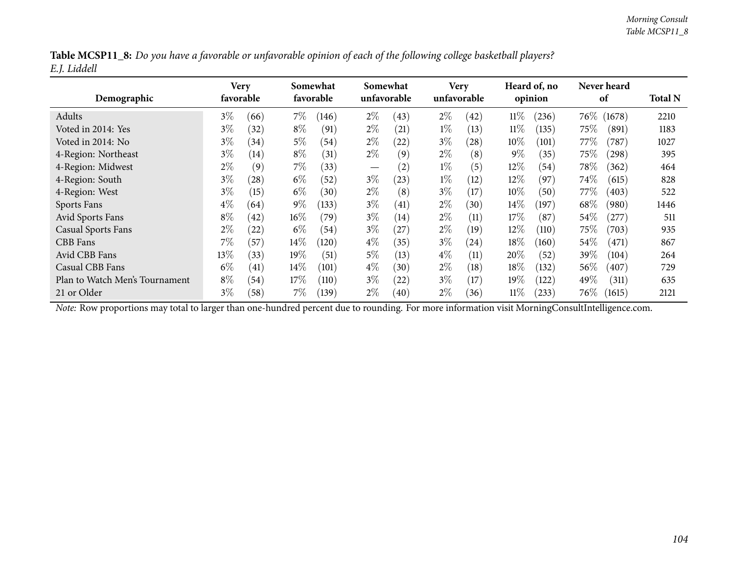|              | Table MCSP11_8: Do you have a favorable or unfavorable opinion of each of the following college basketball players? |  |
|--------------|---------------------------------------------------------------------------------------------------------------------|--|
| E.J. Liddell |                                                                                                                     |  |

| Demographic                    | Very<br>favorable |                    | Somewhat<br>favorable |       | Somewhat<br>unfavorable |      | <b>Very</b><br>unfavorable |      | Heard of, no<br>opinion |            |         | Never heard<br>of |      |
|--------------------------------|-------------------|--------------------|-----------------------|-------|-------------------------|------|----------------------------|------|-------------------------|------------|---------|-------------------|------|
| Adults                         | $3\%$             | (66)               | $7\%$                 | (146) | $2\%$                   | (43) | $2\%$                      | (42) | $11\%$                  | (236)      | $76\%$  | (1678)            | 2210 |
| Voted in 2014: Yes             | $3\%$             | (32)               | $8\%$                 | (91)  | $2\%$                   | (21) | $1\%$                      | (13) | $11\%$                  | (135)      | $75\%$  | (891)             | 1183 |
| Voted in 2014: No              | $3\%$             | (34)               | $5\%$                 | (54)  | $2\%$                   | (22) | $3\%$                      | (28) | 10%                     | (101)      | 77 $\%$ | (787)             | 1027 |
| 4-Region: Northeast            | $3\%$             | (14)               | $8\%$                 | (31)  | $2\%$                   | (9)  | $2\%$                      | (8)  | $9\%$                   | (35)       | 75%     | (298)             | 395  |
| 4-Region: Midwest              | $2\%$             | (9)                | $7\%$                 | (33)  | $\hspace{0.05cm}$       | (2)  | $1\%$                      | (5)  | $12\%$                  | (54)       | 78\%    | (362)             | 464  |
| 4-Region: South                | $3\%$             | (28)               | $6\%$                 | (52)  | $3\%$                   | (23) | $1\%$                      | (12) | $12\%$                  | (97)       | $74\%$  | (615)             | 828  |
| 4-Region: West                 | $3\%$             | (15)               | $6\%$                 | (30)  | $2\%$                   | (8)  | $3\%$                      | (17) | $10\%$                  | (50)       | 77%     | (403)             | 522  |
| Sports Fans                    | $4\%$             | (64)               | $9\%$                 | (133) | $3\%$                   | (41) | $2\%$                      | (30) | 14%                     | (197)      | 68\%    | (980)             | 1446 |
| Avid Sports Fans               | $8\%$             | (42)               | $16\%$                | (79`  | $3\%$                   | (14) | $2\%$                      | (11) | 17%                     | (87        | 54%     | $^{'}277)$        | 511  |
| <b>Casual Sports Fans</b>      | $2\%$             | $\left( 22\right)$ | $6\%$                 | (54)  | $3\%$                   | (27) | $2\%$                      | (19) | 12%                     | (110)      | $75\%$  | (703)             | 935  |
| CBB Fans                       | $7\%$             | (57)               | $14\%$                | (120) | $4\%$                   | (35) | $3\%$                      | (24) | 18%                     | (160)      | 54%     | (471)             | 867  |
| Avid CBB Fans                  | $13\%$            | (33)               | $19\%$                | (51)  | $5\%$                   | (13) | $4\%$                      | (11) | $20\%$                  | (52)       | 39%     | (104)             | 264  |
| Casual CBB Fans                | $6\%$             | (41)               | $14\%$                | (101) | $4\%$                   | (30) | $2\%$                      | (18) | 18%                     | (132)      | 56\%    | (407)             | 729  |
| Plan to Watch Men's Tournament | $8\%$             | (54)               | $17\%$                | (110) | $3\%$                   | (22) | $3\%$                      | (17) | 19%                     | (122)      | 49%     | (311)             | 635  |
| 21 or Older                    | $3\%$             | (58)               | 7%                    | (139) | $2\%$                   | (40) | $2\%$                      | (36) | $11\%$                  | $^{(233)}$ | $76\%$  | (1615)            | 2121 |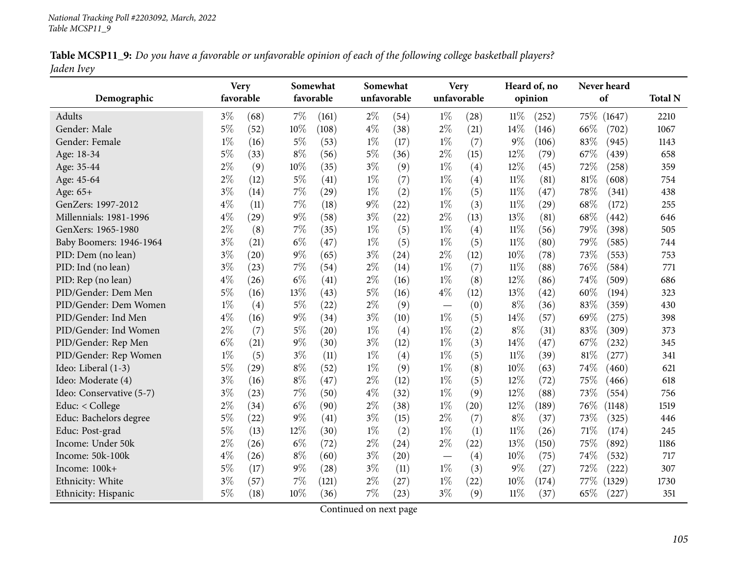|            | Table MCSP11_9: Do you have a favorable or unfavorable opinion of each of the following college basketball players? |  |  |
|------------|---------------------------------------------------------------------------------------------------------------------|--|--|
| Jaden Ivey |                                                                                                                     |  |  |

| Demographic              | <b>Very</b><br>favorable |      |       | Somewhat<br>favorable |       | Somewhat<br>unfavorable |                          | <b>Very</b><br>unfavorable |        | Heard of, no<br>opinion | Never heard<br>of | <b>Total N</b> |
|--------------------------|--------------------------|------|-------|-----------------------|-------|-------------------------|--------------------------|----------------------------|--------|-------------------------|-------------------|----------------|
| Adults                   | $3\%$                    | (68) | 7%    | (161)                 | $2\%$ | (54)                    | $1\%$                    | (28)                       | $11\%$ | (252)                   | 75%<br>(1647)     | 2210           |
| Gender: Male             | $5\%$                    | (52) | 10%   | (108)                 | $4\%$ | (38)                    | $2\%$                    | (21)                       | 14%    | (146)                   | 66%<br>(702)      | 1067           |
| Gender: Female           | $1\%$                    | (16) | $5\%$ | (53)                  | $1\%$ | (17)                    | $1\%$                    | (7)                        | $9\%$  | (106)                   | 83%<br>(945)      | 1143           |
| Age: 18-34               | 5%                       | (33) | $8\%$ | (56)                  | $5\%$ | (36)                    | $2\%$                    | (15)                       | 12%    | (79)                    | 67%<br>(439)      | 658            |
| Age: 35-44               | $2\%$                    | (9)  | 10%   | (35)                  | $3\%$ | (9)                     | $1\%$                    | (4)                        | 12%    | (45)                    | 72%<br>(258)      | 359            |
| Age: 45-64               | $2\%$                    | (12) | $5\%$ | (41)                  | $1\%$ | (7)                     | $1\%$                    | (4)                        | $11\%$ | (81)                    | 81%<br>(608)      | 754            |
| Age: 65+                 | $3\%$                    | (14) | 7%    | (29)                  | $1\%$ | (2)                     | $1\%$                    | (5)                        | $11\%$ | (47)                    | 78%<br>(341)      | 438            |
| GenZers: 1997-2012       | $4\%$                    | (11) | 7%    | (18)                  | $9\%$ | (22)                    | $1\%$                    | (3)                        | $11\%$ | (29)                    | 68%<br>(172)      | 255            |
| Millennials: 1981-1996   | $4\%$                    | (29) | 9%    | (58)                  | $3\%$ | (22)                    | $2\%$                    | (13)                       | 13%    | (81)                    | 68%<br>(442)      | 646            |
| GenXers: 1965-1980       | $2\%$                    | (8)  | 7%    | (35)                  | $1\%$ | (5)                     | $1\%$                    | (4)                        | $11\%$ | (56)                    | 79%<br>(398)      | 505            |
| Baby Boomers: 1946-1964  | $3\%$                    | (21) | $6\%$ | (47)                  | $1\%$ | (5)                     | $1\%$                    | (5)                        | $11\%$ | (80)                    | 79%<br>(585)      | 744            |
| PID: Dem (no lean)       | $3\%$                    | (20) | $9\%$ | (65)                  | $3\%$ | (24)                    | $2\%$                    | (12)                       | 10%    | (78)                    | 73%<br>(553)      | 753            |
| PID: Ind (no lean)       | $3\%$                    | (23) | 7%    | (54)                  | $2\%$ | (14)                    | $1\%$                    | (7)                        | $11\%$ | (88)                    | 76%<br>(584)      | 771            |
| PID: Rep (no lean)       | $4\%$                    | (26) | $6\%$ | (41)                  | $2\%$ | (16)                    | $1\%$                    | (8)                        | 12%    | (86)                    | 74%<br>(509)      | 686            |
| PID/Gender: Dem Men      | 5%                       | (16) | 13%   | (43)                  | $5\%$ | (16)                    | $4\%$                    | (12)                       | 13%    | (42)                    | 60%<br>(194)      | 323            |
| PID/Gender: Dem Women    | $1\%$                    | (4)  | 5%    | (22)                  | $2\%$ | (9)                     | $\overline{\phantom{m}}$ | (0)                        | $8\%$  | (36)                    | 83%<br>(359)      | 430            |
| PID/Gender: Ind Men      | $4\%$                    | (16) | 9%    | (34)                  | $3\%$ | (10)                    | $1\%$                    | (5)                        | 14%    | (57)                    | 69%<br>(275)      | 398            |
| PID/Gender: Ind Women    | $2\%$                    | (7)  | $5\%$ | (20)                  | $1\%$ | (4)                     | $1\%$                    | (2)                        | $8\%$  | (31)                    | 83%<br>(309)      | 373            |
| PID/Gender: Rep Men      | $6\%$                    | (21) | 9%    | (30)                  | $3\%$ | (12)                    | $1\%$                    | (3)                        | 14\%   | (47)                    | 67\%<br>(232)     | 345            |
| PID/Gender: Rep Women    | $1\%$                    | (5)  | $3\%$ | (11)                  | $1\%$ | (4)                     | $1\%$                    | (5)                        | $11\%$ | (39)                    | 81%<br>(277)      | 341            |
| Ideo: Liberal (1-3)      | 5%                       | (29) | 8%    | (52)                  | $1\%$ | (9)                     | $1\%$                    | (8)                        | 10%    | (63)                    | 74%<br>(460)      | 621            |
| Ideo: Moderate (4)       | $3\%$                    | (16) | $8\%$ | (47)                  | $2\%$ | (12)                    | $1\%$                    | (5)                        | 12%    | (72)                    | 75%<br>(466)      | 618            |
| Ideo: Conservative (5-7) | $3\%$                    | (23) | 7%    | (50)                  | $4\%$ | (32)                    | $1\%$                    | (9)                        | 12%    | (88)                    | 73%<br>(554)      | 756            |
| Educ: < College          | $2\%$                    | (34) | $6\%$ | (90)                  | $2\%$ | (38)                    | $1\%$                    | (20)                       | 12%    | (189)                   | 76%<br>(1148)     | 1519           |
| Educ: Bachelors degree   | $5\%$                    | (22) | 9%    | (41)                  | $3\%$ | (15)                    | $2\%$                    | (7)                        | $8\%$  | (37)                    | 73%<br>(325)      | 446            |
| Educ: Post-grad          | $5\%$                    | (13) | 12%   | (30)                  | $1\%$ | (2)                     | $1\%$                    | (1)                        | $11\%$ | (26)                    | 71%<br>(174)      | 245            |
| Income: Under 50k        | $2\%$                    | (26) | $6\%$ | (72)                  | $2\%$ | (24)                    | $2\%$                    | (22)                       | 13%    | (150)                   | 75%<br>(892)      | 1186           |
| Income: 50k-100k         | $4\%$                    | (26) | $8\%$ | (60)                  | $3\%$ | (20)                    | $\overline{\phantom{m}}$ | (4)                        | 10%    | (75)                    | 74%<br>(532)      | 717            |
| Income: 100k+            | $5\%$                    | (17) | $9\%$ | (28)                  | $3\%$ | (11)                    | $1\%$                    | (3)                        | $9\%$  | (27)                    | 72%<br>(222)      | 307            |
| Ethnicity: White         | $3\%$                    | (57) | 7%    | (121)                 | $2\%$ | (27)                    | $1\%$                    | (22)                       | 10%    | (174)                   | 77\%<br>(1329)    | 1730           |
| Ethnicity: Hispanic      | $5\%$                    | (18) | 10%   | (36)                  | 7%    | (23)                    | $3\%$                    | (9)                        | 11%    | (37)                    | 65%<br>(227)      | 351            |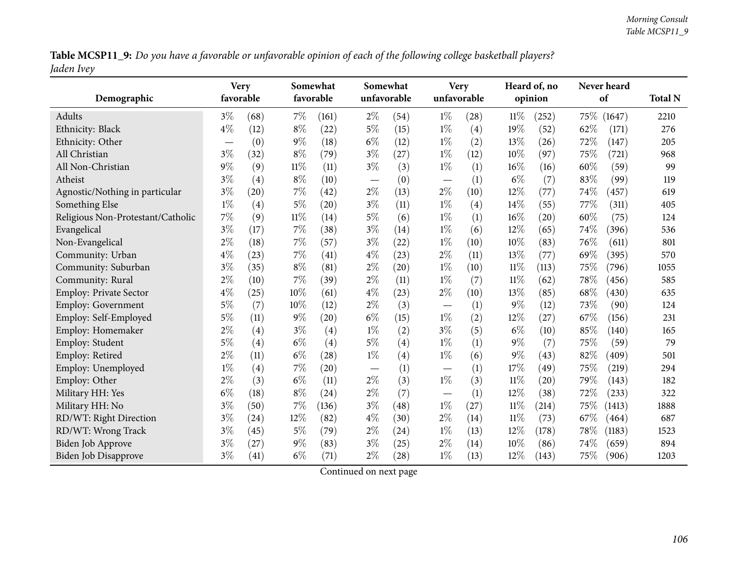Table MCSP11\_9: Do you have a favorable or unfavorable opinion of each of the following college basketball players? *Jaden Ivey*

|                                   | <b>Very</b> |           |        | Somewhat           |       | Somewhat    |                          | <b>Very</b> |        | Heard of, no       |             | Never heard |      |
|-----------------------------------|-------------|-----------|--------|--------------------|-------|-------------|--------------------------|-------------|--------|--------------------|-------------|-------------|------|
| Demographic                       |             | favorable |        | favorable          |       | unfavorable |                          | unfavorable |        | opinion            |             | of          |      |
| Adults                            | $3\%$       | (68)      | 7%     | (161)              | $2\%$ | (54)        | $1\%$                    | (28)        | $11\%$ | (252)              | 75\% (1647) |             | 2210 |
| Ethnicity: Black                  | $4\%$       | (12)      | $8\%$  | (22)               | 5%    | (15)        | $1\%$                    | (4)         | 19%    | (52)               | 62%         | (171)       | 276  |
| Ethnicity: Other                  |             | (0)       | $9\%$  | (18)               | $6\%$ | (12)        | $1\%$                    | (2)         | 13%    | (26)               | 72%         | (147)       | 205  |
| All Christian                     | $3\%$       | (32)      | $8\%$  | (79)               | $3\%$ | (27)        | $1\%$                    | (12)        | 10%    | (97)               | 75%         | (721)       | 968  |
| All Non-Christian                 | $9\%$       | (9)       | $11\%$ | (11)               | $3\%$ | (3)         | $1\%$                    | (1)         | 16%    | (16)               | 60%         | (59)        | 99   |
| Atheist                           | $3\%$       | (4)       | $8\%$  | (10)               |       | (0)         |                          | (1)         | $6\%$  | (7)                | 83%         | (99)        | 119  |
| Agnostic/Nothing in particular    | $3\%$       | (20)      | 7%     | (42)               | $2\%$ | (13)        | $2\%$                    | (10)        | 12%    | (77)               | 74%         | (457)       | 619  |
| Something Else                    | $1\%$       | (4)       | $5\%$  | (20)               | $3\%$ | (11)        | $1\%$                    | (4)         | 14%    | (55)               | 77%         | (311)       | 405  |
| Religious Non-Protestant/Catholic | 7%          | (9)       | $11\%$ | (14)               | $5\%$ | (6)         | $1\%$                    | (1)         | 16%    | $\left( 20\right)$ | 60%         | (75)        | 124  |
| Evangelical                       | $3\%$       | (17)      | $7\%$  | (38)               | $3\%$ | (14)        | $1\%$                    | (6)         | 12%    | (65)               | 74%         | (396)       | 536  |
| Non-Evangelical                   | $2\%$       | (18)      | 7%     | (57)               | $3\%$ | (22)        | $1\%$                    | (10)        | 10%    | (83)               | 76%         | (611)       | 801  |
| Community: Urban                  | $4\%$       | (23)      | $7\%$  | (41)               | $4\%$ | (23)        | $2\%$                    | (11)        | 13%    | (77)               | 69%         | (395)       | 570  |
| Community: Suburban               | $3\%$       | (35)      | $8\%$  | (81)               | $2\%$ | (20)        | $1\%$                    | (10)        | $11\%$ | (113)              | 75%         | (796)       | 1055 |
| Community: Rural                  | $2\%$       | (10)      | $7\%$  | (39)               | $2\%$ | (11)        | $1\%$                    | (7)         | $11\%$ | (62)               | 78%         | (456)       | 585  |
| Employ: Private Sector            | $4\%$       | (25)      | 10%    | (61)               | $4\%$ | (23)        | $2\%$                    | (10)        | 13%    | (85)               | $68\%$      | (430)       | 635  |
| <b>Employ: Government</b>         | $5\%$       | (7)       | 10%    | (12)               | $2\%$ | (3)         | $\overline{\phantom{m}}$ | (1)         | 9%     | (12)               | 73%         | (90)        | 124  |
| Employ: Self-Employed             | $5\%$       | (11)      | $9\%$  | (20)               | $6\%$ | (15)        | $1\%$                    | (2)         | 12%    | (27)               | 67%         | (156)       | 231  |
| Employ: Homemaker                 | $2\%$       | (4)       | $3\%$  | (4)                | $1\%$ | (2)         | $3\%$                    | (5)         | $6\%$  | (10)               | 85%         | (140)       | 165  |
| Employ: Student                   | $5\%$       | (4)       | $6\%$  | (4)                | $5\%$ | (4)         | $1\%$                    | (1)         | $9\%$  | (7)                | 75%         | (59)        | 79   |
| Employ: Retired                   | $2\%$       | (11)      | $6\%$  | $\left( 28\right)$ | $1\%$ | (4)         | $1\%$                    | (6)         | 9%     | (43)               | 82%         | (409)       | 501  |
| Employ: Unemployed                | $1\%$       | (4)       | 7%     | (20)               |       | (1)         |                          | (1)         | 17%    | (49)               | 75%         | (219)       | 294  |
| Employ: Other                     | $2\%$       | (3)       | $6\%$  | (11)               | $2\%$ | (3)         | $1\%$                    | (3)         | $11\%$ | (20)               | 79%         | (143)       | 182  |
| Military HH: Yes                  | $6\%$       | (18)      | $8\%$  | (24)               | $2\%$ | (7)         | $\overline{\phantom{m}}$ | (1)         | 12%    | (38)               | 72%         | (233)       | 322  |
| Military HH: No                   | $3\%$       | (50)      | 7%     | (136)              | $3\%$ | (48)        | $1\%$                    | (27)        | $11\%$ | (214)              | 75%         | (1413)      | 1888 |
| RD/WT: Right Direction            | $3\%$       | (24)      | 12%    | (82)               | $4\%$ | (30)        | $2\%$                    | (14)        | 11%    | (73)               | 67\%        | (464)       | 687  |
| RD/WT: Wrong Track                | $3\%$       | (45)      | $5\%$  | (79)               | $2\%$ | (24)        | $1\%$                    | (13)        | 12%    | (178)              | 78%         | (1183)      | 1523 |
| <b>Biden Job Approve</b>          | $3\%$       | (27)      | $9\%$  | (83)               | $3\%$ | (25)        | $2\%$                    | (14)        | 10%    | (86)               | 74%         | (659)       | 894  |
| <b>Biden Job Disapprove</b>       | $3\%$       | (41)      | $6\%$  | (71)               | $2\%$ | (28)        | $1\%$                    | (13)        | 12%    | (143)              | 75%         | (906)       | 1203 |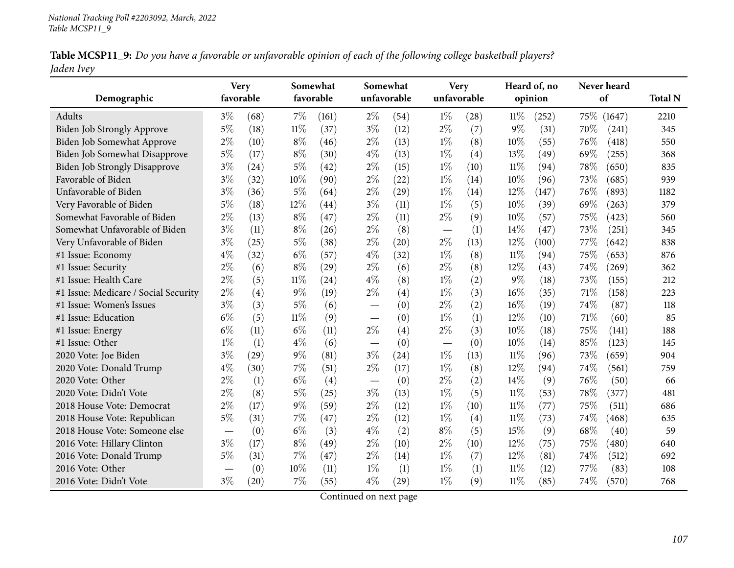| Table MCSP11_9: Do you have a favorable or unfavorable opinion of each of the following college basketball players? |  |
|---------------------------------------------------------------------------------------------------------------------|--|
| Jaden Ivey                                                                                                          |  |

|                                      |           | <b>Very</b><br>Somewhat |        |           | Somewhat    |                    | <b>Very</b> |      | Heard of, no |         | Never heard |             |                |
|--------------------------------------|-----------|-------------------------|--------|-----------|-------------|--------------------|-------------|------|--------------|---------|-------------|-------------|----------------|
| Demographic                          | favorable |                         |        | favorable | unfavorable |                    | unfavorable |      |              | opinion |             | of          | <b>Total N</b> |
| Adults                               | $3\%$     | (68)                    | 7%     | (161)     | $2\%$       | (54)               | $1\%$       | (28) | $11\%$       | (252)   |             | 75\% (1647) | 2210           |
| Biden Job Strongly Approve           | 5%        | (18)                    | $11\%$ | (37)      | $3\%$       | (12)               | $2\%$       | (7)  | $9\%$        | (31)    | 70%         | (241)       | 345            |
| Biden Job Somewhat Approve           | $2\%$     | (10)                    | $8\%$  | (46)      | $2\%$       | (13)               | $1\%$       | (8)  | 10%          | (55)    | 76%         | (418)       | 550            |
| Biden Job Somewhat Disapprove        | $5\%$     | (17)                    | $8\%$  | (30)      | $4\%$       | (13)               | $1\%$       | (4)  | 13%          | (49)    | 69%         | (255)       | 368            |
| <b>Biden Job Strongly Disapprove</b> | $3\%$     | (24)                    | $5\%$  | (42)      | $2\%$       | (15)               | $1\%$       | (10) | $11\%$       | (94)    | 78%         | (650)       | 835            |
| Favorable of Biden                   | $3\%$     | (32)                    | 10%    | (90)      | $2\%$       | (22)               | $1\%$       | (14) | 10%          | (96)    | 73%         | (685)       | 939            |
| Unfavorable of Biden                 | $3\%$     | (36)                    | 5%     | (64)      | $2\%$       | (29)               | $1\%$       | (14) | 12%          | (147)   | 76%         | (893)       | 1182           |
| Very Favorable of Biden              | $5\%$     | (18)                    | 12%    | (44)      | $3\%$       | (11)               | $1\%$       | (5)  | 10%          | (39)    | 69%         | (263)       | 379            |
| Somewhat Favorable of Biden          | $2\%$     | (13)                    | $8\%$  | (47)      | $2\%$       | (11)               | $2\%$       | (9)  | $10\%$       | (57)    | 75%         | (423)       | 560            |
| Somewhat Unfavorable of Biden        | $3\%$     | (11)                    | $8\%$  | (26)      | $2\%$       | (8)                |             | (1)  | 14%          | (47)    | 73%         | (251)       | 345            |
| Very Unfavorable of Biden            | $3\%$     | (25)                    | $5\%$  | (38)      | $2\%$       | (20)               | $2\%$       | (13) | 12%          | (100)   | 77\%        | (642)       | 838            |
| #1 Issue: Economy                    | $4\%$     | (32)                    | $6\%$  | (57)      | $4\%$       | (32)               | $1\%$       | (8)  | $11\%$       | (94)    | 75%         | (653)       | 876            |
| #1 Issue: Security                   | 2%        | (6)                     | $8\%$  | (29)      | $2\%$       | (6)                | $2\%$       | (8)  | 12%          | (43)    | 74%         | (269)       | 362            |
| #1 Issue: Health Care                | 2%        | (5)                     | $11\%$ | (24)      | $4\%$       | (8)                | $1\%$       | (2)  | 9%           | (18)    | 73%         | (155)       | 212            |
| #1 Issue: Medicare / Social Security | $2\%$     | (4)                     | $9\%$  | (19)      | $2\%$       | (4)                | $1\%$       | (3)  | 16%          | (35)    | 71%         | (158)       | 223            |
| #1 Issue: Women's Issues             | $3\%$     | (3)                     | $5\%$  | (6)       |             | (0)                | $2\%$       | (2)  | 16%          | (19)    | 74%         | (87)        | 118            |
| #1 Issue: Education                  | $6\%$     | (5)                     | $11\%$ | (9)       |             | (0)                | $1\%$       | (1)  | 12%          | (10)    | 71%         | (60)        | 85             |
| #1 Issue: Energy                     | $6\%$     | (11)                    | $6\%$  | (11)      | $2\%$       | (4)                | $2\%$       | (3)  | 10%          | (18)    | 75%         | (141)       | 188            |
| #1 Issue: Other                      | $1\%$     | (1)                     | $4\%$  | (6)       |             | (0)                |             | (0)  | 10%          | (14)    | 85%         | (123)       | 145            |
| 2020 Vote: Joe Biden                 | $3\%$     | (29)                    | $9\%$  | (81)      | $3\%$       | (24)               | $1\%$       | (13) | $11\%$       | (96)    | 73%         | (659)       | 904            |
| 2020 Vote: Donald Trump              | $4\%$     | (30)                    | 7%     | (51)      | $2\%$       | (17)               | $1\%$       | (8)  | 12%          | (94)    | 74%         | (561)       | 759            |
| 2020 Vote: Other                     | 2%        | (1)                     | $6\%$  | (4)       |             | (0)                | $2\%$       | (2)  | 14%          | (9)     | 76%         | (50)        | 66             |
| 2020 Vote: Didn't Vote               | $2\%$     | (8)                     | $5\%$  | (25)      | $3\%$       | (13)               | $1\%$       | (5)  | $11\%$       | (53)    | 78%         | (377)       | 481            |
| 2018 House Vote: Democrat            | $2\%$     | (17)                    | $9\%$  | (59)      | $2\%$       | (12)               | $1\%$       | (10) | $11\%$       | (77)    | 75%         | (511)       | 686            |
| 2018 House Vote: Republican          | $5\%$     | (31)                    | 7%     | (47)      | $2\%$       | (12)               | $1\%$       | (4)  | $11\%$       | (73)    | 74%         | (468)       | 635            |
| 2018 House Vote: Someone else        |           | (0)                     | $6\%$  | (3)       | $4\%$       | (2)                | $8\%$       | (5)  | 15%          | (9)     | 68%         | (40)        | 59             |
| 2016 Vote: Hillary Clinton           | $3\%$     | (17)                    | $8\%$  | (49)      | $2\%$       | (10)               | $2\%$       | (10) | $12\%$       | (75)    | 75%         | (480)       | 640            |
| 2016 Vote: Donald Trump              | $5\%$     | (31)                    | 7%     | (47)      | $2\%$       | (14)               | $1\%$       | (7)  | 12%          | (81)    | 74%         | (512)       | 692            |
| 2016 Vote: Other                     |           | (0)                     | 10%    | (11)      | $1\%$       | (1)                | $1\%$       | (1)  | $11\%$       | (12)    | 77\%        | (83)        | 108            |
| 2016 Vote: Didn't Vote               | $3\%$     | (20)                    | 7%     | (55)      | $4\%$       | $\left( 29\right)$ | $1\%$       | (9)  | $11\%$       | (85)    | 74%         | (570)       | 768            |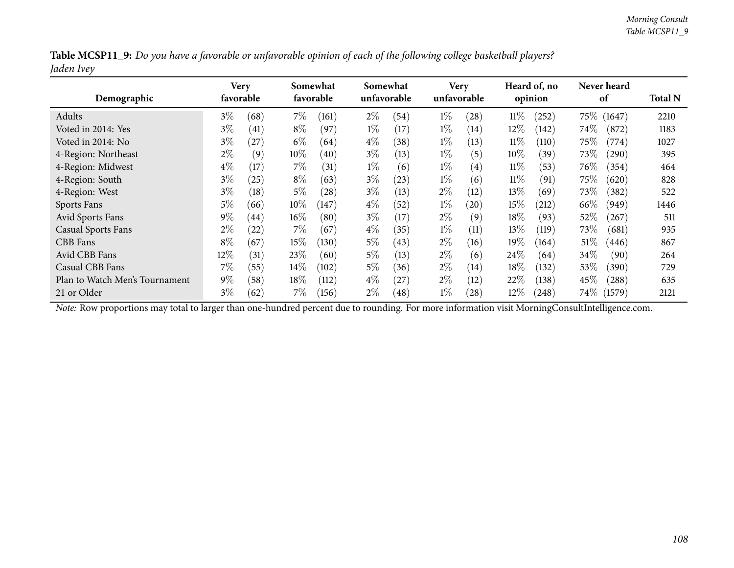|            | Table MCSP11_9: Do you have a favorable or unfavorable opinion of each of the following college basketball players? |  |
|------------|---------------------------------------------------------------------------------------------------------------------|--|
| Jaden Ivey |                                                                                                                     |  |

| Demographic                    | Very<br>favorable |                    |        | Somewhat<br>favorable |       | Somewhat<br>unfavorable |       | <b>Very</b><br>unfavorable |        | Heard of, no<br>opinion |        | Never heard<br>of |      |
|--------------------------------|-------------------|--------------------|--------|-----------------------|-------|-------------------------|-------|----------------------------|--------|-------------------------|--------|-------------------|------|
| Adults                         | $3\%$             | (68)               | $7\%$  | (161)                 | $2\%$ | (54)                    | $1\%$ | (28)                       | $11\%$ | (252)                   | 75\%   | (1647)            | 2210 |
| Voted in 2014: Yes             | $3\%$             | (41)               | $8\%$  | (97)                  | $1\%$ | (17)                    | $1\%$ | (14)                       | $12\%$ | (142)                   | $74\%$ | (872)             | 1183 |
| Voted in 2014: No              | $3\%$             | (27)               | $6\%$  | (64)                  | $4\%$ | (38)                    | $1\%$ | (13)                       | $11\%$ | (110)                   | $75\%$ | (774)             | 1027 |
| 4-Region: Northeast            | $2\%$             | (9)                | $10\%$ | (40)                  | $3\%$ | (13)                    | $1\%$ | (5)                        | $10\%$ | (39)                    | 73\%   | (290)             | 395  |
| 4-Region: Midwest              | $4\%$             | (17)               | $7\%$  | (31)                  | $1\%$ | (6)                     | $1\%$ | $\left( 4\right)$          | $11\%$ | (53)                    | 76\%   | (354)             | 464  |
| 4-Region: South                | $3\%$             | (25)               | $8\%$  | (63)                  | $3\%$ | (23)                    | $1\%$ | (6)                        | $11\%$ | (91)                    | $75\%$ | (620)             | 828  |
| 4-Region: West                 | $3\%$             | (18)               | $5\%$  | (28)                  | $3\%$ | (13)                    | $2\%$ | (12)                       | $13\%$ | (69)                    | 73\%   | (382)             | 522  |
| Sports Fans                    | 5%                | (66)               | $10\%$ | (147)                 | $4\%$ | (52)                    | $1\%$ | (20)                       | 15%    | (212)                   | $66\%$ | (949)             | 1446 |
| Avid Sports Fans               | $9\%$             | (44)               | $16\%$ | (80)                  | $3\%$ | (17)                    | $2\%$ | (9)                        | 18%    | (93)                    | 52%    | (267)             | 511  |
| <b>Casual Sports Fans</b>      | $2\%$             | $\left( 22\right)$ | $7\%$  | (67)                  | $4\%$ | (35)                    | $1\%$ | (11)                       | 13\%   | (119)                   | 73%    | (681)             | 935  |
| CBB Fans                       | $8\%$             | (67)               | $15\%$ | (130)                 | $5\%$ | (43)                    | $2\%$ | (16)                       | 19%    | (164)                   | 51\%   | (446)             | 867  |
| Avid CBB Fans                  | 12\%              | (31)               | 23\%   | (60)                  | $5\%$ | (13)                    | $2\%$ | (6)                        | $24\%$ | (64)                    | 34%    | (90)              | 264  |
| Casual CBB Fans                | $7\%$             | (55)               | $14\%$ | (102)                 | $5\%$ | (36)                    | $2\%$ | (14)                       | 18%    | (132)                   | 53%    | (390)             | 729  |
| Plan to Watch Men's Tournament | $9\%$             | (58)               | $18\%$ | (112)                 | $4\%$ | 27                      | $2\%$ | (12)                       | 22%    | (138)                   | 45\%   | (288)             | 635  |
| 21 or Older                    | $3\%$             | (62)               | 7%     | (156)                 | $2\%$ | (48)                    | $1\%$ | (28)                       | $12\%$ | (248)                   | $74\%$ | (1579)            | 2121 |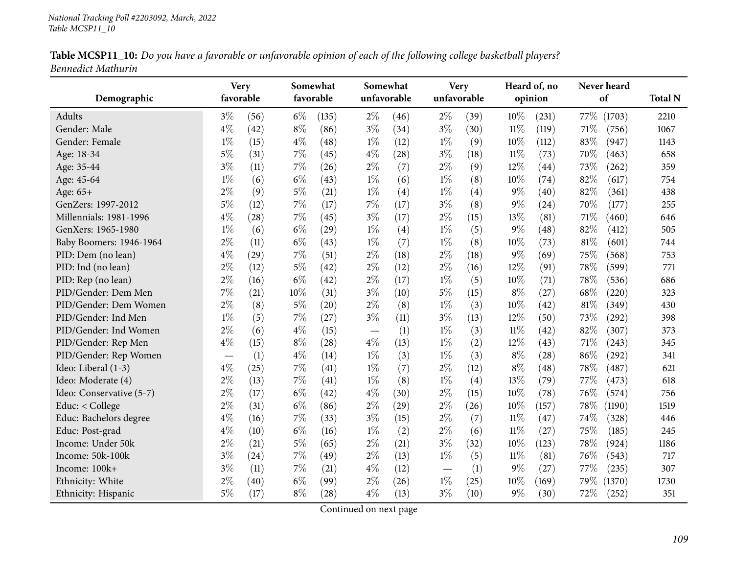|                    |  |  | Table MCSP11_10: Do you have a favorable or unfavorable opinion of each of the following college basketball players? |
|--------------------|--|--|----------------------------------------------------------------------------------------------------------------------|
| Bennedict Mathurin |  |  |                                                                                                                      |

| Demographic              |       | <b>Very</b><br>favorable |       | Somewhat<br>favorable |                          | Somewhat<br>unfavorable | unfavorable | Very |        | Heard of, no<br>opinion | Never heard<br>of | <b>Total N</b> |
|--------------------------|-------|--------------------------|-------|-----------------------|--------------------------|-------------------------|-------------|------|--------|-------------------------|-------------------|----------------|
| <b>Adults</b>            | $3\%$ | (56)                     | $6\%$ | (135)                 | $2\%$                    | (46)                    | $2\%$       | (39) | 10%    | (231)                   | 77\%<br>(1703)    | 2210           |
| Gender: Male             | $4\%$ | (42)                     | $8\%$ | (86)                  | $3\%$                    | (34)                    | $3\%$       | (30) | $11\%$ | (119)                   | 71%<br>(756)      | 1067           |
| Gender: Female           | $1\%$ | (15)                     | $4\%$ | (48)                  | $1\%$                    | (12)                    | $1\%$       | (9)  | 10%    | (112)                   | 83%<br>(947)      | 1143           |
| Age: 18-34               | $5\%$ | (31)                     | $7\%$ | (45)                  | $4\%$                    | (28)                    | $3\%$       | (18) | 11%    | (73)                    | $70\%$<br>(463)   | 658            |
| Age: 35-44               | $3\%$ | (11)                     | $7\%$ | (26)                  | $2\%$                    | (7)                     | $2\%$       | (9)  | 12%    | (44)                    | 73%<br>(262)      | 359            |
| Age: 45-64               | $1\%$ | (6)                      | $6\%$ | (43)                  | $1\%$                    | (6)                     | $1\%$       | (8)  | 10%    | (74)                    | 82%<br>(617)      | 754            |
| Age: 65+                 | $2\%$ | (9)                      | $5\%$ | (21)                  | $1\%$                    | (4)                     | $1\%$       | (4)  | $9\%$  | (40)                    | 82%<br>(361)      | 438            |
| GenZers: 1997-2012       | $5\%$ | (12)                     | $7\%$ | (17)                  | $7\%$                    | (17)                    | $3\%$       | (8)  | $9\%$  | (24)                    | 70%<br>(177)      | 255            |
| Millennials: 1981-1996   | $4\%$ | (28)                     | $7\%$ | (45)                  | $3\%$                    | (17)                    | $2\%$       | (15) | 13%    | (81)                    | 71%<br>(460)      | 646            |
| GenXers: 1965-1980       | $1\%$ | (6)                      | $6\%$ | (29)                  | $1\%$                    | (4)                     | $1\%$       | (5)  | $9\%$  | (48)                    | 82%<br>(412)      | 505            |
| Baby Boomers: 1946-1964  | $2\%$ | (11)                     | $6\%$ | (43)                  | $1\%$                    | (7)                     | $1\%$       | (8)  | 10%    | (73)                    | 81%<br>(601)      | 744            |
| PID: Dem (no lean)       | $4\%$ | (29)                     | $7\%$ | (51)                  | $2\%$                    | (18)                    | $2\%$       | (18) | $9\%$  | (69)                    | 75%<br>(568)      | 753            |
| PID: Ind (no lean)       | $2\%$ | (12)                     | $5\%$ | (42)                  | $2\%$                    | (12)                    | $2\%$       | (16) | 12%    | (91)                    | 78%<br>(599)      | 771            |
| PID: Rep (no lean)       | $2\%$ | (16)                     | $6\%$ | (42)                  | $2\%$                    | (17)                    | $1\%$       | (5)  | 10%    | (71)                    | 78%<br>(536)      | 686            |
| PID/Gender: Dem Men      | 7%    | (21)                     | 10%   | (31)                  | $3\%$                    | (10)                    | $5\%$       | (15) | $8\%$  | (27)                    | 68%<br>(220)      | 323            |
| PID/Gender: Dem Women    | $2\%$ | (8)                      | $5\%$ | (20)                  | $2\%$                    | (8)                     | $1\%$       | (3)  | 10%    | (42)                    | 81%<br>(349)      | 430            |
| PID/Gender: Ind Men      | $1\%$ | (5)                      | $7\%$ | (27)                  | $3\%$                    | (11)                    | $3\%$       | (13) | 12%    | (50)                    | 73%<br>(292)      | 398            |
| PID/Gender: Ind Women    | $2\%$ | (6)                      | $4\%$ | (15)                  | $\overline{\phantom{m}}$ | (1)                     | $1\%$       | (3)  | $11\%$ | (42)                    | 82%<br>(307)      | 373            |
| PID/Gender: Rep Men      | $4\%$ | (15)                     | $8\%$ | (28)                  | $4\%$                    | (13)                    | $1\%$       | (2)  | 12%    | (43)                    | 71\%<br>(243)     | 345            |
| PID/Gender: Rep Women    |       | (1)                      | $4\%$ | (14)                  | $1\%$                    | (3)                     | $1\%$       | (3)  | $8\%$  | (28)                    | 86%<br>(292)      | 341            |
| Ideo: Liberal (1-3)      | $4\%$ | (25)                     | $7\%$ | (41)                  | $1\%$                    | (7)                     | $2\%$       | (12) | $8\%$  | (48)                    | 78%<br>(487)      | 621            |
| Ideo: Moderate (4)       | $2\%$ | (13)                     | $7\%$ | (41)                  | $1\%$                    | (8)                     | $1\%$       | (4)  | 13%    | (79)                    | 77%<br>(473)      | 618            |
| Ideo: Conservative (5-7) | $2\%$ | (17)                     | $6\%$ | (42)                  | $4\%$                    | (30)                    | $2\%$       | (15) | 10%    | (78)                    | 76%<br>(574)      | 756            |
| Educ: < College          | $2\%$ | (31)                     | $6\%$ | (86)                  | $2\%$                    | (29)                    | $2\%$       | (26) | 10%    | (157)                   | 78%<br>(1190)     | 1519           |
| Educ: Bachelors degree   | $4\%$ | (16)                     | $7\%$ | (33)                  | $3\%$                    | (15)                    | $2\%$       | (7)  | $11\%$ | (47)                    | 74%<br>(328)      | 446            |
| Educ: Post-grad          | $4\%$ | (10)                     | $6\%$ | (16)                  | $1\%$                    | (2)                     | $2\%$       | (6)  | $11\%$ | (27)                    | 75%<br>(185)      | 245            |
| Income: Under 50k        | $2\%$ | (21)                     | $5\%$ | (65)                  | $2\%$                    | (21)                    | $3\%$       | (32) | 10%    | (123)                   | 78%<br>(924)      | 1186           |
| Income: 50k-100k         | $3\%$ | (24)                     | $7\%$ | (49)                  | $2\%$                    | (13)                    | $1\%$       | (5)  | $11\%$ | (81)                    | 76%<br>(543)      | 717            |
| Income: 100k+            | $3\%$ | (11)                     | $7\%$ | (21)                  | $4\%$                    | (12)                    |             | (1)  | $9\%$  | (27)                    | 77%<br>(235)      | 307            |
| Ethnicity: White         | $2\%$ | (40)                     | $6\%$ | (99)                  | $2\%$                    | (26)                    | $1\%$       | (25) | $10\%$ | (169)                   | 79%<br>(1370)     | 1730           |
| Ethnicity: Hispanic      | $5\%$ | (17)                     | $8\%$ | (28)                  | $4\%$                    | (13)                    | $3\%$       | (10) | $9\%$  | (30)                    | 72%<br>(252)      | 351            |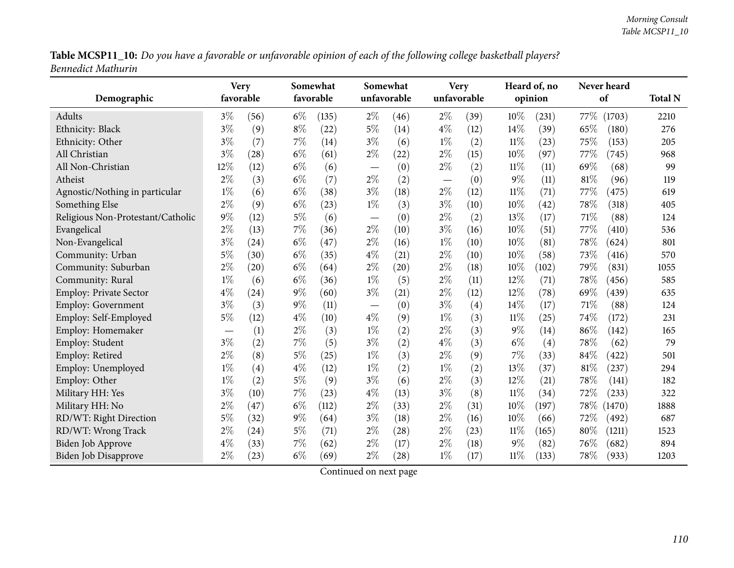Table MCSP11\_10: Do you have a favorable or unfavorable opinion of each of the following college basketball players? *Bennedict Mathurin*

| Demographic                       | <b>Very</b><br>favorable |      |       | Somewhat<br>favorable |                          | Somewhat<br>unfavorable |                                   | <b>Very</b><br>unfavorable |        | Heard of, no<br>opinion |      | Never heard<br>of | <b>Total N</b> |
|-----------------------------------|--------------------------|------|-------|-----------------------|--------------------------|-------------------------|-----------------------------------|----------------------------|--------|-------------------------|------|-------------------|----------------|
| Adults                            | $3\%$                    | (56) | $6\%$ | (135)                 | $2\%$                    | (46)                    | $2\%$                             | (39)                       | 10%    | (231)                   | 77%  | (1703)            | 2210           |
| Ethnicity: Black                  | $3\%$                    | (9)  | $8\%$ | (22)                  | $5\%$                    | (14)                    | $4\%$                             | (12)                       | 14%    | (39)                    | 65%  | (180)             | 276            |
| Ethnicity: Other                  | $3\%$                    | (7)  | $7\%$ | (14)                  | $3\%$                    | (6)                     | $1\%$                             | (2)                        | 11%    | (23)                    | 75%  | (153)             | 205            |
| All Christian                     | $3\%$                    | (28) | $6\%$ | (61)                  | $2\%$                    | (22)                    | $2\%$                             | (15)                       | 10%    | (97)                    | 77%  | (745)             | 968            |
| All Non-Christian                 | 12%                      | (12) | $6\%$ | (6)                   | $\overline{\phantom{m}}$ | (0)                     | $2\%$                             | (2)                        | $11\%$ | (11)                    | 69%  | (68)              | 99             |
| Atheist                           | $2\%$                    | (3)  | $6\%$ | (7)                   | $2\%$                    | (2)                     | $\overbrace{\phantom{123221111}}$ | (0)                        | 9%     | (11)                    | 81%  | (96)              | 119            |
| Agnostic/Nothing in particular    | $1\%$                    | (6)  | $6\%$ | (38)                  | $3\%$                    | (18)                    | $2\%$                             | (12)                       | $11\%$ | (71)                    | 77%  | (475)             | 619            |
| Something Else                    | $2\%$                    | (9)  | $6\%$ | (23)                  | $1\%$                    | (3)                     | $3\%$                             | (10)                       | 10%    | (42)                    | 78%  | (318)             | 405            |
| Religious Non-Protestant/Catholic | $9\%$                    | (12) | $5\%$ | (6)                   |                          | (0)                     | $2\%$                             | (2)                        | 13%    | (17)                    | 71\% | (88)              | 124            |
| Evangelical                       | $2\%$                    | (13) | 7%    | (36)                  | $2\%$                    | (10)                    | $3\%$                             | (16)                       | 10%    | (51)                    | 77%  | (410)             | 536            |
| Non-Evangelical                   | $3\%$                    | (24) | $6\%$ | (47)                  | $2\%$                    | (16)                    | $1\%$                             | (10)                       | 10%    | (81)                    | 78%  | (624)             | 801            |
| Community: Urban                  | $5\%$                    | (30) | $6\%$ | (35)                  | $4\%$                    | (21)                    | $2\%$                             | (10)                       | 10%    | (58)                    | 73%  | (416)             | 570            |
| Community: Suburban               | $2\%$                    | (20) | $6\%$ | (64)                  | $2\%$                    | (20)                    | $2\%$                             | (18)                       | 10%    | (102)                   | 79%  | (831)             | 1055           |
| Community: Rural                  | $1\%$                    | (6)  | $6\%$ | (36)                  | $1\%$                    | (5)                     | $2\%$                             | (11)                       | 12%    | (71)                    | 78%  | (456)             | 585            |
| <b>Employ: Private Sector</b>     | $4\%$                    | (24) | $9\%$ | (60)                  | $3\%$                    | (21)                    | $2\%$                             | (12)                       | 12%    | (78)                    | 69%  | (439)             | 635            |
| Employ: Government                | $3\%$                    | (3)  | $9\%$ | (11)                  |                          | (0)                     | $3\%$                             | (4)                        | 14%    | (17)                    | 71\% | (88)              | 124            |
| Employ: Self-Employed             | $5\%$                    | (12) | $4\%$ | (10)                  | $4\%$                    | (9)                     | $1\%$                             | (3)                        | 11%    | (25)                    | 74%  | (172)             | 231            |
| Employ: Homemaker                 |                          | (1)  | $2\%$ | (3)                   | $1\%$                    | (2)                     | $2\%$                             | (3)                        | $9\%$  | (14)                    | 86%  | (142)             | 165            |
| Employ: Student                   | $3\%$                    | (2)  | 7%    | (5)                   | $3\%$                    | (2)                     | $4\%$                             | (3)                        | $6\%$  | (4)                     | 78%  | (62)              | 79             |
| Employ: Retired                   | $2\%$                    | (8)  | $5\%$ | (25)                  | $1\%$                    | (3)                     | $2\%$                             | (9)                        | 7%     | (33)                    | 84%  | (422)             | 501            |
| Employ: Unemployed                | $1\%$                    | (4)  | $4\%$ | (12)                  | $1\%$                    | (2)                     | $1\%$                             | (2)                        | 13%    | (37)                    | 81%  | (237)             | 294            |
| Employ: Other                     | $1\%$                    | (2)  | $5\%$ | (9)                   | $3\%$                    | (6)                     | $2\%$                             | (3)                        | 12%    | (21)                    | 78%  | (141)             | 182            |
| Military HH: Yes                  | $3\%$                    | (10) | 7%    | (23)                  | $4\%$                    | (13)                    | $3\%$                             | (8)                        | 11%    | (34)                    | 72%  | (233)             | 322            |
| Military HH: No                   | $2\%$                    | (47) | $6\%$ | (112)                 | $2\%$                    | (33)                    | $2\%$                             | (31)                       | 10%    | (197)                   | 78\% | (1470)            | 1888           |
| RD/WT: Right Direction            | $5\%$                    | (32) | $9\%$ | (64)                  | $3\%$                    | (18)                    | $2\%$                             | (16)                       | 10%    | (66)                    | 72%  | (492)             | 687            |
| RD/WT: Wrong Track                | $2\%$                    | (24) | $5\%$ | (71)                  | $2\%$                    | (28)                    | $2\%$                             | (23)                       | $11\%$ | (165)                   | 80%  | (1211)            | 1523           |
| <b>Biden Job Approve</b>          | $4\%$                    | (33) | 7%    | (62)                  | $2\%$                    | (17)                    | $2\%$                             | (18)                       | 9%     | (82)                    | 76%  | (682)             | 894            |
| Biden Job Disapprove              | $2\%$                    | (23) | $6\%$ | (69)                  | $2\%$                    | (28)                    | $1\%$                             | (17)                       | $11\%$ | (133)                   | 78%  | (933)             | 1203           |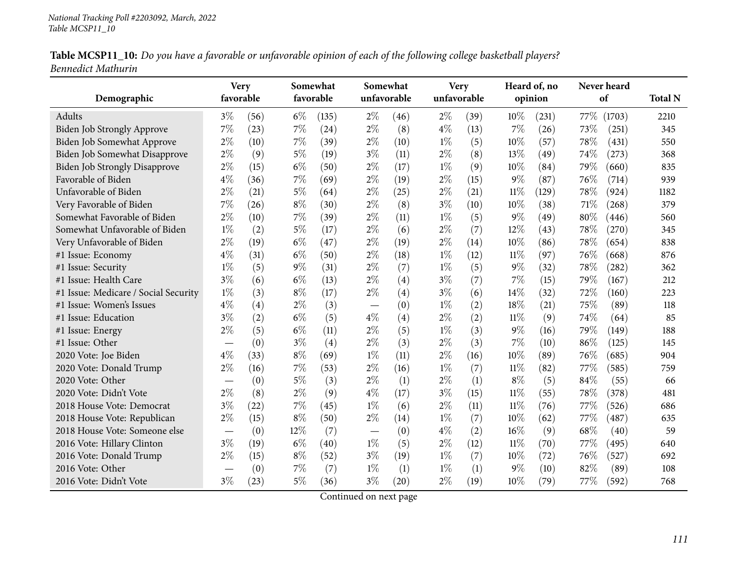|                    | Table MCSP11_10: Do you have a favorable or unfavorable opinion of each of the following college basketball players? |  |
|--------------------|----------------------------------------------------------------------------------------------------------------------|--|
| Bennedict Mathurin |                                                                                                                      |  |

| Demographic                          | <b>Very</b><br>favorable         |      |       | Somewhat<br>favorable |       | Somewhat<br>unfavorable | unfavorable | <b>Very</b> |        | Heard of, no<br>opinion |      | Never heard<br>of | <b>Total N</b> |
|--------------------------------------|----------------------------------|------|-------|-----------------------|-------|-------------------------|-------------|-------------|--------|-------------------------|------|-------------------|----------------|
| Adults                               | $3\%$                            | (56) | $6\%$ | (135)                 | $2\%$ | (46)                    | $2\%$       | (39)        | 10%    | (231)                   | 77\% | (1703)            | 2210           |
| Biden Job Strongly Approve           | 7%                               | (23) | $7\%$ | (24)                  | $2\%$ | (8)                     | $4\%$       | (13)        | 7%     | (26)                    | 73%  | (251)             | 345            |
| Biden Job Somewhat Approve           | $2\%$                            | (10) | 7%    | (39)                  | $2\%$ | (10)                    | $1\%$       | (5)         | 10%    | (57)                    | 78%  | (431)             | 550            |
| Biden Job Somewhat Disapprove        | $2\%$                            | (9)  | $5\%$ | (19)                  | $3\%$ | (11)                    | $2\%$       | (8)         | 13%    | (49)                    | 74%  | (273)             | 368            |
| <b>Biden Job Strongly Disapprove</b> | 2%                               | (15) | $6\%$ | (50)                  | $2\%$ | (17)                    | $1\%$       | (9)         | 10%    | (84)                    | 79%  | (660)             | 835            |
| Favorable of Biden                   | $4\%$                            | (36) | $7\%$ | (69)                  | $2\%$ | (19)                    | $2\%$       | (15)        | $9\%$  | (87)                    | 76%  | (714)             | 939            |
| Unfavorable of Biden                 | $2\%$                            | (21) | $5\%$ | (64)                  | $2\%$ | (25)                    | $2\%$       | (21)        | $11\%$ | (129)                   | 78%  | (924)             | 1182           |
| Very Favorable of Biden              | 7%                               | (26) | $8\%$ | (30)                  | $2\%$ | (8)                     | $3\%$       | (10)        | 10%    | (38)                    | 71%  | (268)             | 379            |
| Somewhat Favorable of Biden          | $2\%$                            | (10) | 7%    | (39)                  | $2\%$ | (11)                    | $1\%$       | (5)         | $9\%$  | (49)                    | 80%  | (446)             | 560            |
| Somewhat Unfavorable of Biden        | $1\%$                            | (2)  | $5\%$ | (17)                  | $2\%$ | (6)                     | $2\%$       | (7)         | 12%    | (43)                    | 78%  | (270)             | 345            |
| Very Unfavorable of Biden            | $2\%$                            | (19) | $6\%$ | (47)                  | $2\%$ | (19)                    | $2\%$       | (14)        | 10%    | (86)                    | 78%  | (654)             | 838            |
| #1 Issue: Economy                    | $4\%$                            | (31) | $6\%$ | (50)                  | $2\%$ | (18)                    | $1\%$       | (12)        | 11%    | (97)                    | 76%  | (668)             | 876            |
| #1 Issue: Security                   | $1\%$                            | (5)  | $9\%$ | (31)                  | $2\%$ | (7)                     | $1\%$       | (5)         | $9\%$  | (32)                    | 78%  | (282)             | 362            |
| #1 Issue: Health Care                | $3\%$                            | (6)  | $6\%$ | (13)                  | $2\%$ | (4)                     | $3\%$       | (7)         | 7%     | (15)                    | 79%  | (167)             | 212            |
| #1 Issue: Medicare / Social Security | $1\%$                            | (3)  | $8\%$ | (17)                  | $2\%$ | (4)                     | $3\%$       | (6)         | 14%    | (32)                    | 72%  | (160)             | 223            |
| #1 Issue: Women's Issues             | $4\%$                            | (4)  | $2\%$ | (3)                   |       | (0)                     | $1\%$       | (2)         | 18%    | (21)                    | 75%  | (89)              | 118            |
| #1 Issue: Education                  | $3\%$                            | (2)  | $6\%$ | (5)                   | $4\%$ | (4)                     | $2\%$       | (2)         | $11\%$ | (9)                     | 74%  | (64)              | 85             |
| #1 Issue: Energy                     | $2\%$                            | (5)  | $6\%$ | (11)                  | $2\%$ | (5)                     | $1\%$       | (3)         | $9\%$  | (16)                    | 79%  | (149)             | 188            |
| #1 Issue: Other                      | $\overbrace{\phantom{12322111}}$ | (0)  | $3\%$ | (4)                   | $2\%$ | (3)                     | $2\%$       | (3)         | $7\%$  | (10)                    | 86%  | (125)             | 145            |
| 2020 Vote: Joe Biden                 | $4\%$                            | (33) | $8\%$ | (69)                  | $1\%$ | (11)                    | $2\%$       | (16)        | 10%    | (89)                    | 76%  | (685)             | 904            |
| 2020 Vote: Donald Trump              | $2\%$                            | (16) | $7\%$ | (53)                  | $2\%$ | (16)                    | $1\%$       | (7)         | $11\%$ | (82)                    | 77%  | (585)             | 759            |
| 2020 Vote: Other                     |                                  | (0)  | $5\%$ | (3)                   | $2\%$ | (1)                     | $2\%$       | (1)         | $8\%$  | (5)                     | 84%  | (55)              | 66             |
| 2020 Vote: Didn't Vote               | $2\%$                            | (8)  | $2\%$ | (9)                   | $4\%$ | (17)                    | $3\%$       | (15)        | 11%    | (55)                    | 78%  | (378)             | 481            |
| 2018 House Vote: Democrat            | $3\%$                            | (22) | 7%    | (45)                  | $1\%$ | (6)                     | $2\%$       | (11)        | $11\%$ | (76)                    | 77%  | (526)             | 686            |
| 2018 House Vote: Republican          | $2\%$                            | (15) | $8\%$ | (50)                  | $2\%$ | (14)                    | $1\%$       | (7)         | 10%    | (62)                    | 77%  | (487)             | 635            |
| 2018 House Vote: Someone else        |                                  | (0)  | 12%   | (7)                   |       | (0)                     | $4\%$       | (2)         | 16%    | (9)                     | 68%  | (40)              | 59             |
| 2016 Vote: Hillary Clinton           | $3\%$                            | (19) | $6\%$ | (40)                  | $1\%$ | (5)                     | $2\%$       | (12)        | $11\%$ | (70)                    | 77\% | (495)             | 640            |
| 2016 Vote: Donald Trump              | $2\%$                            | (15) | $8\%$ | (52)                  | $3\%$ | (19)                    | $1\%$       | (7)         | 10%    | (72)                    | 76%  | (527)             | 692            |
| 2016 Vote: Other                     | $\overbrace{\phantom{12322111}}$ | (0)  | 7%    | (7)                   | $1\%$ | (1)                     | $1\%$       | (1)         | $9\%$  | (10)                    | 82%  | (89)              | 108            |
| 2016 Vote: Didn't Vote               | $3\%$                            | (23) | $5\%$ | (36)                  | $3\%$ | $\left( 20\right)$      | $2\%$       | (19)        | 10%    | (79)                    | 77%  | (592)             | 768            |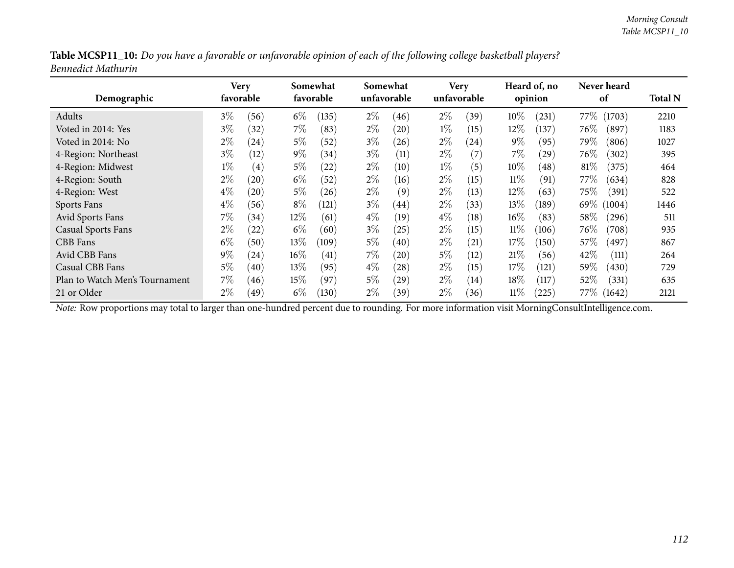| Table MCSP11_10: Do you have a favorable or unfavorable opinion of each of the following college basketball players? |  |
|----------------------------------------------------------------------------------------------------------------------|--|
| Bennedict Mathurin                                                                                                   |  |

| Demographic                    | Very<br>favorable |                    |        | Somewhat<br>favorable |       | Somewhat<br>unfavorable |       | <b>Very</b><br>unfavorable |        | Heard of, no<br>opinion | Never heard<br>of |        | <b>Total N</b> |
|--------------------------------|-------------------|--------------------|--------|-----------------------|-------|-------------------------|-------|----------------------------|--------|-------------------------|-------------------|--------|----------------|
| Adults                         | $3\%$             | (56)               | $6\%$  | (135)                 | $2\%$ | (46)                    | $2\%$ | (39)                       | $10\%$ | (231)                   | 77\%              | (1703) | 2210           |
| Voted in 2014: Yes             | $3\%$             | (32)               | $7\%$  | (83)                  | $2\%$ | (20)                    | $1\%$ | (15)                       | 12%    | (137)                   | 76\%              | (897)  | 1183           |
| Voted in 2014: No              | $2\%$             | (24)               | $5\%$  | (52)                  | $3\%$ | (26)                    | $2\%$ | (24)                       | $9\%$  | (95)                    | 79%               | (806)  | 1027           |
| 4-Region: Northeast            | $3\%$             | (12)               | $9\%$  | (34)                  | $3\%$ | (11)                    | $2\%$ | $\left( 7\right)$          | $7\%$  | (29)                    | 76\%              | (302)  | 395            |
| 4-Region: Midwest              | $1\%$             | $\left( 4\right)$  | $5\%$  | (22)                  | $2\%$ | (10)                    | $1\%$ | (5)                        | $10\%$ | (48)                    | 81\%              | (375)  | 464            |
| 4-Region: South                | $2\%$             | (20)               | $6\%$  | (52)                  | $2\%$ | (16)                    | $2\%$ | (15)                       | $11\%$ | (91)                    | 77 $\%$           | (634)  | 828            |
| 4-Region: West                 | $4\%$             | (20)               | $5\%$  | (26)                  | $2\%$ | (9)                     | $2\%$ | (13)                       | $12\%$ | (63)                    | $75\%$            | (391)  | 522            |
| Sports Fans                    | $4\%$             | (56)               | $8\%$  | (121)                 | $3\%$ | (44)                    | $2\%$ | (33)                       | 13\%   | (189)                   | 69%               | (1004) | 1446           |
| Avid Sports Fans               | $7\%$             | (34)               | $12\%$ | (61)                  | $4\%$ | (19)                    | $4\%$ | (18)                       | $16\%$ | (83)                    | $58\%$            | (296)  | 511            |
| <b>Casual Sports Fans</b>      | $2\%$             | $\left( 22\right)$ | $6\%$  | (60)                  | $3\%$ | (25)                    | $2\%$ | (15)                       | $11\%$ | (106)                   | 76\%              | (708)  | 935            |
| CBB Fans                       | $6\%$             | (50)               | $13\%$ | (109)                 | $5\%$ | (40)                    | $2\%$ | (21)                       | 17%    | (150)                   | 57%               | (497)  | 867            |
| Avid CBB Fans                  | $9\%$             | (24)               | $16\%$ | (41)                  | $7\%$ | (20)                    | $5\%$ | (12)                       | 21%    | (56)                    | 42%               | (111)  | 264            |
| Casual CBB Fans                | $5\%$             | (40)               | $13\%$ | (95)                  | $4\%$ | (28)                    | $2\%$ | (15)                       | 17%    | (121)                   | 59\%              | (430)  | 729            |
| Plan to Watch Men's Tournament | $7\%$             | (46)               | $15\%$ | (97)                  | $5\%$ | (29)                    | $2\%$ | (14)                       | 18%    | (117)                   | $52\%$            | (331)  | 635            |
| 21 or Older                    | $2\%$             | .49 <sup>°</sup>   | $6\%$  | (130)                 | $2\%$ | (39`                    | $2\%$ | (36)                       | $11\%$ | (225)                   | 77\% (1642)       |        | 2121           |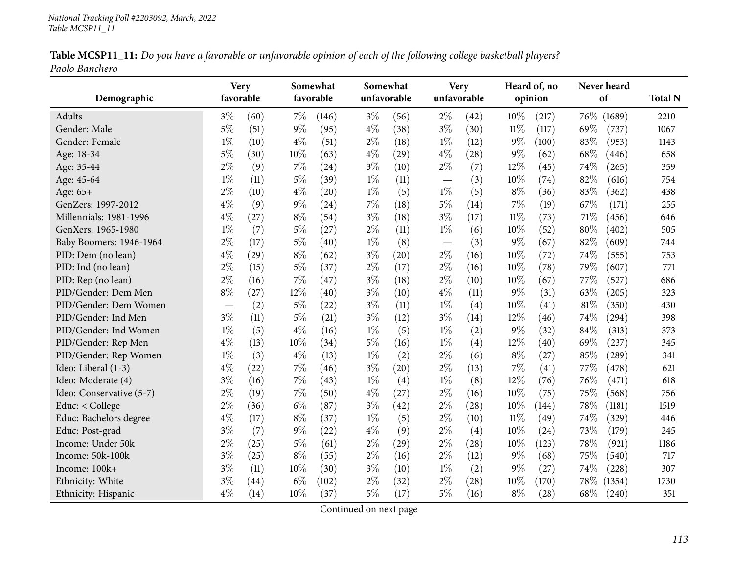|                | Table MCSP11_11: Do you have a favorable or unfavorable opinion of each of the following college basketball players? |  |
|----------------|----------------------------------------------------------------------------------------------------------------------|--|
| Paolo Banchero |                                                                                                                      |  |

| Demographic              | <b>Very</b><br>favorable |      |       | Somewhat<br>favorable | Somewhat<br>unfavorable |      |                                   | <b>Very</b><br>unfavorable |        | Heard of, no<br>opinion |      | Never heard<br>of | <b>Total N</b> |
|--------------------------|--------------------------|------|-------|-----------------------|-------------------------|------|-----------------------------------|----------------------------|--------|-------------------------|------|-------------------|----------------|
| Adults                   | $3\%$                    | (60) | $7\%$ | (146)                 | $3\%$                   | (56) | $2\%$                             | (42)                       | 10%    | (217)                   | 76\% | (1689)            | 2210           |
| Gender: Male             | $5\%$                    | (51) | $9\%$ | (95)                  | $4\%$                   | (38) | $3\%$                             | (30)                       | 11%    | (117)                   | 69%  | (737)             | 1067           |
| Gender: Female           | $1\%$                    | (10) | $4\%$ | (51)                  | $2\%$                   | (18) | $1\%$                             | (12)                       | $9\%$  | (100)                   | 83%  | (953)             | 1143           |
| Age: 18-34               | $5\%$                    | (30) | 10%   | (63)                  | $4\%$                   | (29) | $4\%$                             | (28)                       | $9\%$  | (62)                    | 68%  | (446)             | 658            |
| Age: 35-44               | $2\%$                    | (9)  | 7%    | (24)                  | $3\%$                   | (10) | $2\%$                             | (7)                        | 12%    | (45)                    | 74%  | (265)             | 359            |
| Age: 45-64               | $1\%$                    | (11) | $5\%$ | (39)                  | $1\%$                   | (11) | $\overbrace{\phantom{123221111}}$ | (3)                        | 10%    | (74)                    | 82%  | (616)             | 754            |
| Age: 65+                 | $2\%$                    | (10) | $4\%$ | (20)                  | $1\%$                   | (5)  | $1\%$                             | (5)                        | $8\%$  | (36)                    | 83%  | (362)             | 438            |
| GenZers: 1997-2012       | $4\%$                    | (9)  | $9\%$ | (24)                  | 7%                      | (18) | $5\%$                             | (14)                       | 7%     | (19)                    | 67%  | (171)             | 255            |
| Millennials: 1981-1996   | $4\%$                    | (27) | $8\%$ | (54)                  | $3\%$                   | (18) | $3\%$                             | (17)                       | $11\%$ | (73)                    | 71%  | (456)             | 646            |
| GenXers: 1965-1980       | $1\%$                    | (7)  | $5\%$ | (27)                  | $2\%$                   | (11) | $1\%$                             | (6)                        | 10%    | (52)                    | 80%  | (402)             | 505            |
| Baby Boomers: 1946-1964  | $2\%$                    | (17) | $5\%$ | (40)                  | $1\%$                   | (8)  |                                   | (3)                        | 9%     | (67)                    | 82%  | (609)             | 744            |
| PID: Dem (no lean)       | $4\%$                    | (29) | $8\%$ | (62)                  | $3\%$                   | (20) | $2\%$                             | (16)                       | 10%    | (72)                    | 74%  | (555)             | 753            |
| PID: Ind (no lean)       | $2\%$                    | (15) | $5\%$ | (37)                  | $2\%$                   | (17) | $2\%$                             | (16)                       | 10%    | (78)                    | 79%  | (607)             | 771            |
| PID: Rep (no lean)       | $2\%$                    | (16) | 7%    | (47)                  | $3\%$                   | (18) | $2\%$                             | (10)                       | 10%    | (67)                    | 77%  | (527)             | 686            |
| PID/Gender: Dem Men      | $8\%$                    | (27) | 12%   | (40)                  | $3\%$                   | (10) | $4\%$                             | (11)                       | $9\%$  | (31)                    | 63%  | (205)             | 323            |
| PID/Gender: Dem Women    |                          | (2)  | $5\%$ | (22)                  | $3\%$                   | (11) | $1\%$                             | (4)                        | 10%    | (41)                    | 81%  | (350)             | 430            |
| PID/Gender: Ind Men      | $3\%$                    | (11) | $5\%$ | (21)                  | $3\%$                   | (12) | $3\%$                             | (14)                       | 12%    | (46)                    | 74%  | (294)             | 398            |
| PID/Gender: Ind Women    | $1\%$                    | (5)  | $4\%$ | (16)                  | $1\%$                   | (5)  | $1\%$                             | (2)                        | 9%     | (32)                    | 84%  | (313)             | 373            |
| PID/Gender: Rep Men      | $4\%$                    | (13) | 10%   | (34)                  | 5%                      | (16) | $1\%$                             | (4)                        | 12%    | (40)                    | 69%  | (237)             | 345            |
| PID/Gender: Rep Women    | $1\%$                    | (3)  | $4\%$ | (13)                  | $1\%$                   | (2)  | $2\%$                             | (6)                        | $8\%$  | (27)                    | 85%  | (289)             | 341            |
| Ideo: Liberal (1-3)      | $4\%$                    | (22) | 7%    | (46)                  | $3\%$                   | (20) | $2\%$                             | (13)                       | 7%     | (41)                    | 77%  | (478)             | 621            |
| Ideo: Moderate (4)       | $3\%$                    | (16) | 7%    | (43)                  | $1\%$                   | (4)  | $1\%$                             | (8)                        | 12%    | (76)                    | 76%  | (471)             | 618            |
| Ideo: Conservative (5-7) | $2\%$                    | (19) | 7%    | (50)                  | $4\%$                   | (27) | $2\%$                             | (16)                       | 10%    | (75)                    | 75%  | (568)             | 756            |
| Educ: $<$ College        | $2\%$                    | (36) | $6\%$ | (87)                  | $3\%$                   | (42) | $2\%$                             | (28)                       | 10%    | (144)                   | 78%  | (1181)            | 1519           |
| Educ: Bachelors degree   | $4\%$                    | (17) | $8\%$ | (37)                  | $1\%$                   | (5)  | $2\%$                             | (10)                       | 11%    | (49)                    | 74%  | (329)             | 446            |
| Educ: Post-grad          | $3\%$                    | (7)  | $9\%$ | (22)                  | $4\%$                   | (9)  | $2\%$                             | (4)                        | 10%    | (24)                    | 73%  | (179)             | 245            |
| Income: Under 50k        | $2\%$                    | (25) | $5\%$ | (61)                  | $2\%$                   | (29) | $2\%$                             | (28)                       | 10%    | (123)                   | 78%  | (921)             | 1186           |
| Income: 50k-100k         | $3\%$                    | (25) | $8\%$ | (55)                  | $2\%$                   | (16) | $2\%$                             | (12)                       | $9\%$  | (68)                    | 75%  | (540)             | 717            |
| Income: 100k+            | $3\%$                    | (11) | 10%   | (30)                  | $3\%$                   | (10) | $1\%$                             | (2)                        | $9\%$  | (27)                    | 74%  | (228)             | 307            |
| Ethnicity: White         | $3\%$                    | (44) | $6\%$ | (102)                 | $2\%$                   | (32) | $2\%$                             | (28)                       | 10%    | (170)                   | 78%  | (1354)            | 1730           |
| Ethnicity: Hispanic      | $4\%$                    | (14) | 10%   | (37)                  | $5\%$                   | (17) | $5\%$                             | (16)                       | $8\%$  | (28)                    | 68%  | (240)             | 351            |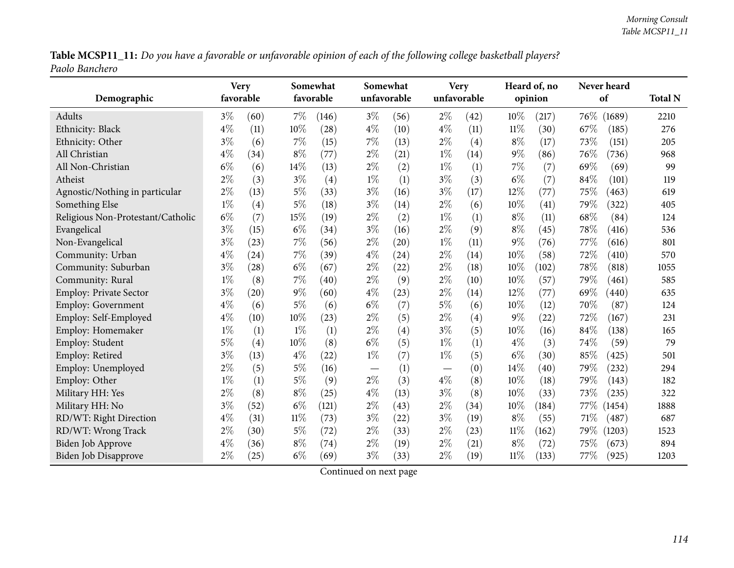Table MCSP11\_11: Do you have a favorable or unfavorable opinion of each of the following college basketball players? *Paolo Banchero*

|                                   |       | <b>Very</b> |        | Somewhat  |                                 | Somewhat    |       | <b>Very</b> |        | Heard of, no |        | Never heard         |                |
|-----------------------------------|-------|-------------|--------|-----------|---------------------------------|-------------|-------|-------------|--------|--------------|--------|---------------------|----------------|
| Demographic                       |       | favorable   |        | favorable |                                 | unfavorable |       | unfavorable |        | opinion      |        | of                  | <b>Total N</b> |
| Adults                            | $3\%$ | (60)        | $7\%$  | (146)     | $3\%$                           | (56)        | $2\%$ | (42)        | 10%    | (217)        | $76\%$ | (1689)              | 2210           |
| Ethnicity: Black                  | $4\%$ | (11)        | 10%    | (28)      | $4\%$                           | (10)        | $4\%$ | (11)        | $11\%$ | (30)         | 67%    | (185)               | 276            |
| Ethnicity: Other                  | $3\%$ | (6)         | $7\%$  | (15)      | 7%                              | (13)        | $2\%$ | (4)         | $8\%$  | (17)         | 73%    | (151)               | 205            |
| All Christian                     | $4\%$ | (34)        | $8\%$  | (77)      | $2\%$                           | (21)        | $1\%$ | (14)        | 9%     | (86)         | 76%    | (736)               | 968            |
| All Non-Christian                 | $6\%$ | (6)         | 14\%   | (13)      | $2\%$                           | (2)         | $1\%$ | (1)         | $7\%$  | (7)          | 69%    | (69)                | 99             |
| Atheist                           | $2\%$ | (3)         | $3\%$  | (4)       | $1\%$                           | (1)         | $3\%$ | (3)         | $6\%$  | (7)          | 84%    | (101)               | 119            |
| Agnostic/Nothing in particular    | $2\%$ | (13)        | $5\%$  | (33)      | $3\%$                           | (16)        | $3\%$ | (17)        | 12%    | (77)         | 75%    | (463)               | 619            |
| Something Else                    | $1\%$ | (4)         | $5\%$  | (18)      | $3\%$                           | (14)        | $2\%$ | (6)         | 10%    | (41)         | 79%    | (322)               | 405            |
| Religious Non-Protestant/Catholic | $6\%$ | (7)         | 15%    | (19)      | $2\%$                           | (2)         | $1\%$ | (1)         | $8\%$  | (11)         | 68\%   | (84)                | 124            |
| Evangelical                       | $3\%$ | (15)        | $6\%$  | (34)      | $3\%$                           | (16)        | $2\%$ | (9)         | $8\%$  | (45)         | 78%    | (416)               | 536            |
| Non-Evangelical                   | $3\%$ | (23)        | 7%     | (56)      | $2\%$                           | (20)        | $1\%$ | (11)        | 9%     | (76)         | 77%    | (616)               | 801            |
| Community: Urban                  | $4\%$ | (24)        | $7\%$  | (39)      | $4\%$                           | (24)        | $2\%$ | (14)        | 10%    | (58)         | 72%    | (410)               | 570            |
| Community: Suburban               | $3\%$ | (28)        | $6\%$  | (67)      | $2\%$                           | (22)        | $2\%$ | (18)        | 10%    | (102)        | 78%    | (818)               | 1055           |
| Community: Rural                  | $1\%$ | (8)         | $7\%$  | (40)      | $2\%$                           | (9)         | $2\%$ | (10)        | 10%    | (57)         | 79%    | (461)               | 585            |
| <b>Employ: Private Sector</b>     | $3\%$ | (20)        | $9\%$  | (60)      | $4\%$                           | (23)        | $2\%$ | (14)        | 12%    | (77)         | 69%    | (440)               | 635            |
| Employ: Government                | $4\%$ | (6)         | $5\%$  | (6)       | $6\%$                           | (7)         | $5\%$ | (6)         | 10%    | (12)         | 70%    | (87)                | 124            |
| Employ: Self-Employed             | $4\%$ | (10)        | 10%    | (23)      | $2\%$                           | (5)         | $2\%$ | (4)         | 9%     | (22)         | 72%    | (167)               | 231            |
| Employ: Homemaker                 | $1\%$ | (1)         | $1\%$  | (1)       | $2\%$                           | (4)         | $3\%$ | (5)         | 10%    | (16)         | 84%    | (138)               | 165            |
| Employ: Student                   | $5\%$ | (4)         | 10%    | (8)       | $6\%$                           | (5)         | $1\%$ | (1)         | $4\%$  | (3)          | 74\%   | (59)                | 79             |
| Employ: Retired                   | $3\%$ | (13)        | $4\%$  | (22)      | $1\%$                           | (7)         | $1\%$ | (5)         | $6\%$  | (30)         | 85%    | (425)               | 501            |
| Employ: Unemployed                | $2\%$ | (5)         | $5\%$  | (16)      | $\hspace{0.1mm}-\hspace{0.1mm}$ | (1)         |       | (0)         | 14%    | (40)         | 79%    | (232)               | 294            |
| Employ: Other                     | $1\%$ | (1)         | $5\%$  | (9)       | $2\%$                           | (3)         | $4\%$ | (8)         | 10%    | (18)         | 79%    | (143)               | 182            |
| Military HH: Yes                  | $2\%$ | (8)         | $8\%$  | (25)      | $4\%$                           | (13)        | $3\%$ | (8)         | 10%    | (33)         | 73%    | (235)               | 322            |
| Military HH: No                   | $3\%$ | (52)        | $6\%$  | (121)     | $2\%$                           | (43)        | $2\%$ | (34)        | 10%    | (184)        | 77\%   | (1454)              | 1888           |
| RD/WT: Right Direction            | $4\%$ | (31)        | $11\%$ | (73)      | $3\%$                           | (22)        | $3\%$ | (19)        | $8\%$  | (55)         | 71%    | $\left( 487\right)$ | 687            |
| RD/WT: Wrong Track                | $2\%$ | (30)        | $5\%$  | (72)      | $2\%$                           | (33)        | $2\%$ | (23)        | $11\%$ | (162)        | 79\%   | (1203)              | 1523           |
| Biden Job Approve                 | $4\%$ | (36)        | $8\%$  | (74)      | $2\%$                           | (19)        | $2\%$ | (21)        | $8\%$  | (72)         | 75%    | (673)               | 894            |
| Biden Job Disapprove              | $2\%$ | (25)        | $6\%$  | (69)      | $3\%$                           | (33)        | $2\%$ | (19)        | $11\%$ | (133)        | 77\%   | (925)               | 1203           |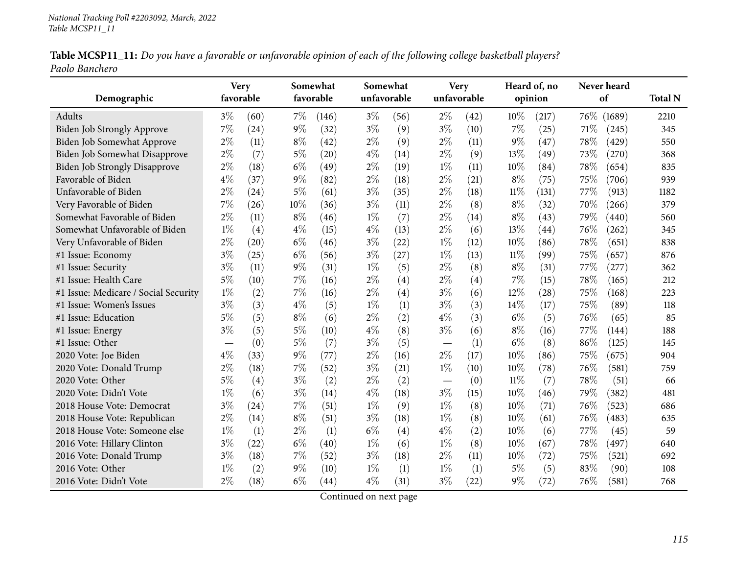|                |  |  | Table MCSP11_11: Do you have a favorable or unfavorable opinion of each of the following college basketball players? |  |
|----------------|--|--|----------------------------------------------------------------------------------------------------------------------|--|
| Paolo Banchero |  |  |                                                                                                                      |  |

|                                      | <b>Very</b> |      |       | Somewhat           | Somewhat |             |       | <b>Very</b> |        | Heard of, no | Never heard |        |                |
|--------------------------------------|-------------|------|-------|--------------------|----------|-------------|-------|-------------|--------|--------------|-------------|--------|----------------|
| Demographic                          | favorable   |      |       | favorable          |          | unfavorable |       | unfavorable |        | opinion      | of          |        | <b>Total N</b> |
| Adults                               | $3\%$       | (60) | $7\%$ | (146)              | $3\%$    | (56)        | $2\%$ | (42)        | 10%    | (217)        | 76\%        | (1689) | 2210           |
| Biden Job Strongly Approve           | 7%          | (24) | $9\%$ | (32)               | $3\%$    | (9)         | $3\%$ | (10)        | $7\%$  | (25)         | 71%         | (245)  | 345            |
| Biden Job Somewhat Approve           | $2\%$       | (11) | $8\%$ | (42)               | $2\%$    | (9)         | $2\%$ | (11)        | $9\%$  | (47)         | 78%         | (429)  | 550            |
| Biden Job Somewhat Disapprove        | $2\%$       | (7)  | $5\%$ | (20)               | $4\%$    | (14)        | $2\%$ | (9)         | 13%    | (49)         | 73\%        | (270)  | 368            |
| <b>Biden Job Strongly Disapprove</b> | $2\%$       | (18) | $6\%$ | (49)               | $2\%$    | (19)        | $1\%$ | (11)        | 10%    | (84)         | 78%         | (654)  | 835            |
| Favorable of Biden                   | $4\%$       | (37) | $9\%$ | (82)               | $2\%$    | (18)        | $2\%$ | (21)        | $8\%$  | (75)         | 75%         | (706)  | 939            |
| Unfavorable of Biden                 | $2\%$       | (24) | $5\%$ | (61)               | $3\%$    | (35)        | $2\%$ | (18)        | 11%    | (131)        | 77\%        | (913)  | 1182           |
| Very Favorable of Biden              | 7%          | (26) | 10%   | (36)               | $3\%$    | (11)        | $2\%$ | (8)         | $8\%$  | (32)         | 70%         | (266)  | 379            |
| Somewhat Favorable of Biden          | $2\%$       | (11) | $8\%$ | (46)               | $1\%$    | (7)         | $2\%$ | (14)        | $8\%$  | (43)         | 79%         | (440)  | 560            |
| Somewhat Unfavorable of Biden        | $1\%$       | (4)  | $4\%$ | (15)               | $4\%$    | (13)        | $2\%$ | (6)         | 13%    | (44)         | 76%         | (262)  | 345            |
| Very Unfavorable of Biden            | $2\%$       | (20) | $6\%$ | (46)               | $3\%$    | (22)        | $1\%$ | (12)        | 10%    | (86)         | 78%         | (651)  | 838            |
| #1 Issue: Economy                    | $3\%$       | (25) | $6\%$ | (56)               | $3\%$    | (27)        | $1\%$ | (13)        | $11\%$ | (99)         | 75%         | (657)  | 876            |
| #1 Issue: Security                   | $3\%$       | (11) | $9\%$ | (31)               | $1\%$    | (5)         | $2\%$ | (8)         | $8\%$  | (31)         | 77%         | (277)  | 362            |
| #1 Issue: Health Care                | $5\%$       | (10) | 7%    | (16)               | $2\%$    | (4)         | $2\%$ | (4)         | $7\%$  | (15)         | 78%         | (165)  | 212            |
| #1 Issue: Medicare / Social Security | $1\%$       | (2)  | 7%    | (16)               | $2\%$    | (4)         | $3\%$ | (6)         | 12%    | (28)         | 75%         | (168)  | 223            |
| #1 Issue: Women's Issues             | $3\%$       | (3)  | $4\%$ | (5)                | $1\%$    | (1)         | $3\%$ | (3)         | 14\%   | (17)         | 75%         | (89)   | 118            |
| #1 Issue: Education                  | $5\%$       | (5)  | $8\%$ | (6)                | $2\%$    | (2)         | $4\%$ | (3)         | $6\%$  | (5)          | 76%         | (65)   | 85             |
| #1 Issue: Energy                     | $3\%$       | (5)  | $5\%$ | (10)               | $4\%$    | (8)         | $3\%$ | (6)         | $8\%$  | (16)         | 77\%        | (144)  | 188            |
| #1 Issue: Other                      |             | (0)  | $5\%$ | (7)                | $3\%$    | (5)         |       | (1)         | $6\%$  | (8)          | 86%         | (125)  | 145            |
| 2020 Vote: Joe Biden                 | $4\%$       | (33) | 9%    | (77)               | $2\%$    | (16)        | $2\%$ | (17)        | 10%    | (86)         | 75%         | (675)  | 904            |
| 2020 Vote: Donald Trump              | $2\%$       | (18) | 7%    | (52)               | $3\%$    | (21)        | $1\%$ | (10)        | 10%    | (78)         | 76%         | (581)  | 759            |
| 2020 Vote: Other                     | 5%          | (4)  | $3\%$ | (2)                | $2\%$    | (2)         |       | (0)         | $11\%$ | (7)          | 78%         | (51)   | 66             |
| 2020 Vote: Didn't Vote               | $1\%$       | (6)  | $3\%$ | (14)               | $4\%$    | (18)        | $3\%$ | (15)        | 10%    | (46)         | 79%         | (382)  | 481            |
| 2018 House Vote: Democrat            | $3\%$       | (24) | 7%    | (51)               | $1\%$    | (9)         | $1\%$ | (8)         | 10%    | (71)         | 76%         | (523)  | 686            |
| 2018 House Vote: Republican          | $2\%$       | (14) | $8\%$ | (51)               | $3\%$    | (18)        | $1\%$ | (8)         | 10%    | (61)         | 76%         | (483)  | 635            |
| 2018 House Vote: Someone else        | $1\%$       | (1)  | $2\%$ | (1)                | $6\%$    | (4)         | $4\%$ | (2)         | 10%    | (6)          | 77%         | (45)   | 59             |
| 2016 Vote: Hillary Clinton           | $3\%$       | (22) | $6\%$ | (40)               | $1\%$    | (6)         | $1\%$ | (8)         | 10%    | (67)         | 78%         | (497)  | 640            |
| 2016 Vote: Donald Trump              | $3\%$       | (18) | 7%    | (52)               | $3\%$    | (18)        | $2\%$ | (11)        | 10%    | (72)         | 75%         | (521)  | 692            |
| 2016 Vote: Other                     | $1\%$       | (2)  | $9\%$ | (10)               | $1\%$    | (1)         | $1\%$ | (1)         | $5\%$  | (5)          | 83%         | (90)   | 108            |
| 2016 Vote: Didn't Vote               | $2\%$       | (18) | $6\%$ | $\left( 44\right)$ | $4\%$    | (31)        | $3\%$ | (22)        | $9\%$  | (72)         | 76%         | (581)  | 768            |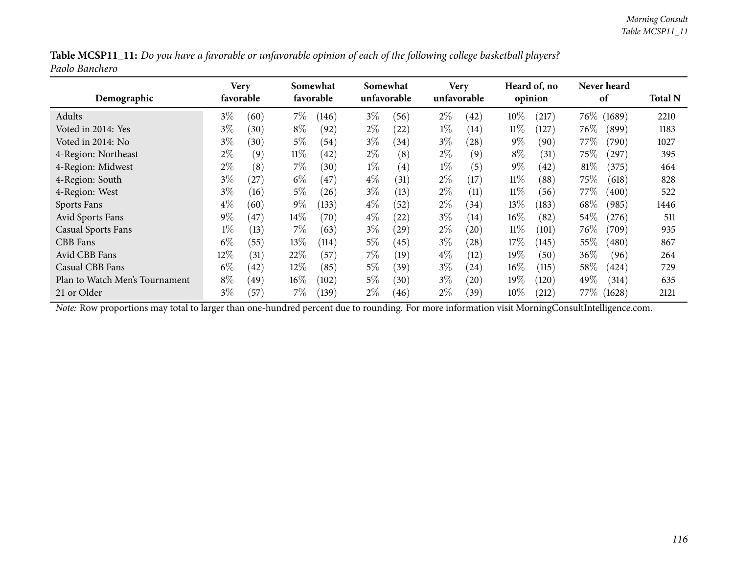|                |  | Table MCSP11_11: Do you have a favorable or unfavorable opinion of each of the following college basketball players? |
|----------------|--|----------------------------------------------------------------------------------------------------------------------|
| Paolo Banchero |  |                                                                                                                      |

| Demographic                    |       | Very<br>favorable |        | Somewhat<br>favorable |       | Somewhat<br>unfavorable |       | <b>Very</b><br>unfavorable |        | Heard of, no<br>opinion |         | Never heard<br>of | <b>Total N</b> |
|--------------------------------|-------|-------------------|--------|-----------------------|-------|-------------------------|-------|----------------------------|--------|-------------------------|---------|-------------------|----------------|
| Adults                         | $3\%$ | (60)              | $7\%$  | (146)                 | $3\%$ | (56)                    | $2\%$ | (42)                       | $10\%$ | (217)                   | $76\%$  | (1689)            | 2210           |
| Voted in 2014: Yes             | $3\%$ | (30)              | $8\%$  | (92)                  | $2\%$ | (22)                    | $1\%$ | (14)                       | $11\%$ | 127)                    | $76\%$  | (899)             | 1183           |
| Voted in 2014: No              | $3\%$ | (30)              | $5\%$  | (54)                  | $3\%$ | (34)                    | $3\%$ | $\left( 28\right)$         | $9\%$  | (90)                    | 77\%    | (790)             | 1027           |
| 4-Region: Northeast            | $2\%$ | (9)               | $11\%$ | (42)                  | $2\%$ | (8)                     | $2\%$ | (9)                        | $8\%$  | (31)                    | $75\%$  | $^{'}297)$        | 395            |
| 4-Region: Midwest              | $2\%$ | (8)               | $7\%$  | (30)                  | $1\%$ | (4)                     | $1\%$ | (5)                        | $9\%$  | (42)                    | $81\%$  | (375)             | 464            |
| 4-Region: South                | $3\%$ | 27                | $6\%$  | (47)                  | $4\%$ | (31)                    | $2\%$ | (17)                       | $11\%$ | (88)                    | $75\%$  | (618)             | 828            |
| 4-Region: West                 | $3\%$ | (16)              | $5\%$  | (26)                  | $3\%$ | (13)                    | $2\%$ | (11)                       | $11\%$ | (56)                    | 77\%    | (400)             | 522            |
| Sports Fans                    | $4\%$ | (60)              | $9\%$  | (133)                 | $4\%$ | $^{'}52$                | $2\%$ | (34)                       | 13%    | (183)                   | 68\%    | (985)             | 1446           |
| Avid Sports Fans               | $9\%$ | 47                | $14\%$ | (70)                  | $4\%$ | (22)                    | $3\%$ | (14)                       | $16\%$ | (82)                    | $54\%$  | (276)             | 511            |
| <b>Casual Sports Fans</b>      | $1\%$ | (13)              | $7\%$  | (63)                  | $3\%$ | (29)                    | $2\%$ | (20)                       | $11\%$ | (101)                   | 76\%    | (709)             | 935            |
| CBB Fans                       | $6\%$ | (55)              | $13\%$ | (114)                 | $5\%$ | (45)                    | $3\%$ | (28)                       | 17%    | (145)                   | $55\%$  | (480)             | 867            |
| Avid CBB Fans                  | 12%   | (31)              | 22%    | (57)                  | $7\%$ | (19)                    | $4\%$ | (12)                       | 19%    | (50)                    | $36\%$  | (96)              | 264            |
| Casual CBB Fans                | $6\%$ | (42)              | $12\%$ | (85)                  | $5\%$ | (39)                    | $3\%$ | (24)                       | $16\%$ | (115)                   | $58\%$  | (424)             | 729            |
| Plan to Watch Men's Tournament | $8\%$ | $^{\prime}49$     | $16\%$ | (102)                 | $5\%$ | (30)                    | $3\%$ | (20)                       | 19%    | (120)                   | 49\%    | (314)             | 635            |
| 21 or Older                    | $3\%$ | (57)              | 7%     | (139)                 | $2\%$ | (46)                    | $2\%$ | (39)                       | $10\%$ | (212)                   | 77 $\%$ | (1628)            | 2121           |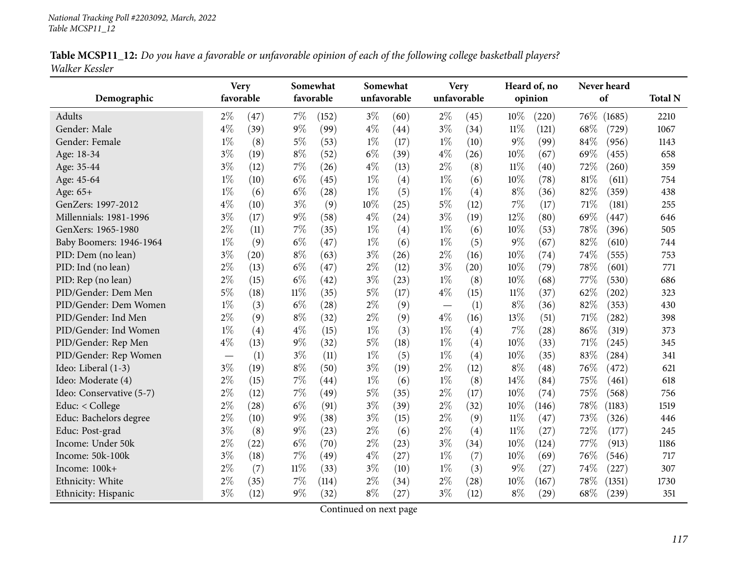|                | Table MCSP11_12: Do you have a favorable or unfavorable opinion of each of the following college basketball players? |  |
|----------------|----------------------------------------------------------------------------------------------------------------------|--|
| Walker Kessler |                                                                                                                      |  |

| Demographic              | favorable | <b>Very</b> |        | Somewhat<br>favorable | unfavorable | Somewhat | Very<br>unfavorable |      |        | Heard of, no<br>opinion | Never heard<br>of |        | <b>Total N</b> |
|--------------------------|-----------|-------------|--------|-----------------------|-------------|----------|---------------------|------|--------|-------------------------|-------------------|--------|----------------|
| <b>Adults</b>            | $2\%$     | (47)        | $7\%$  | (152)                 | $3\%$       | (60)     | $2\%$               | (45) | 10%    | (220)                   | 76\%              | (1685) | 2210           |
| Gender: Male             | $4\%$     | (39)        | $9\%$  | (99)                  | $4\%$       | (44)     | $3\%$               | (34) | $11\%$ | (121)                   | 68%               | (729)  | 1067           |
| Gender: Female           | $1\%$     | (8)         | $5\%$  | (53)                  | $1\%$       | (17)     | $1\%$               | (10) | $9\%$  | (99)                    | 84%               | (956)  | 1143           |
| Age: 18-34               | $3\%$     | (19)        | $8\%$  | (52)                  | $6\%$       | (39)     | $4\%$               | (26) | 10%    | (67)                    | 69%               | (455)  | 658            |
| Age: 35-44               | $3\%$     | (12)        | $7\%$  | (26)                  | $4\%$       | (13)     | $2\%$               | (8)  | $11\%$ | (40)                    | 72%               | (260)  | 359            |
| Age: 45-64               | $1\%$     | (10)        | $6\%$  | (45)                  | $1\%$       | (4)      | $1\%$               | (6)  | 10%    | (78)                    | 81%               | (611)  | 754            |
| Age: 65+                 | $1\%$     | (6)         | $6\%$  | (28)                  | $1\%$       | (5)      | $1\%$               | (4)  | $8\%$  | (36)                    | 82%               | (359)  | 438            |
| GenZers: 1997-2012       | $4\%$     | (10)        | $3\%$  | (9)                   | 10%         | (25)     | $5\%$               | (12) | 7%     | (17)                    | 71\%              | (181)  | 255            |
| Millennials: 1981-1996   | $3\%$     | (17)        | 9%     | (58)                  | $4\%$       | (24)     | $3\%$               | (19) | 12%    | (80)                    | 69%               | (447)  | 646            |
| GenXers: 1965-1980       | $2\%$     | (11)        | $7\%$  | (35)                  | $1\%$       | (4)      | $1\%$               | (6)  | 10%    | (53)                    | 78%               | (396)  | 505            |
| Baby Boomers: 1946-1964  | $1\%$     | (9)         | $6\%$  | (47)                  | $1\%$       | (6)      | $1\%$               | (5)  | $9\%$  | (67)                    | 82%               | (610)  | 744            |
| PID: Dem (no lean)       | $3\%$     | (20)        | $8\%$  | (63)                  | $3\%$       | (26)     | $2\%$               | (16) | 10%    | (74)                    | 74%               | (555)  | 753            |
| PID: Ind (no lean)       | $2\%$     | (13)        | $6\%$  | (47)                  | $2\%$       | (12)     | $3\%$               | (20) | 10%    | (79)                    | 78%               | (601)  | 771            |
| PID: Rep (no lean)       | $2\%$     | (15)        | $6\%$  | (42)                  | $3\%$       | (23)     | $1\%$               | (8)  | 10%    | (68)                    | 77\%              | (530)  | 686            |
| PID/Gender: Dem Men      | 5%        | (18)        | $11\%$ | (35)                  | $5\%$       | (17)     | $4\%$               | (15) | $11\%$ | (37)                    | 62%               | (202)  | 323            |
| PID/Gender: Dem Women    | $1\%$     | (3)         | $6\%$  | (28)                  | $2\%$       | (9)      |                     | (1)  | $8\%$  | (36)                    | 82%               | (353)  | 430            |
| PID/Gender: Ind Men      | $2\%$     | (9)         | $8\%$  | (32)                  | $2\%$       | (9)      | $4\%$               | (16) | 13%    | (51)                    | 71%               | (282)  | 398            |
| PID/Gender: Ind Women    | $1\%$     | (4)         | $4\%$  | (15)                  | $1\%$       | (3)      | $1\%$               | (4)  | $7\%$  | $\left( 28\right)$      | 86%               | (319)  | 373            |
| PID/Gender: Rep Men      | $4\%$     | (13)        | $9\%$  | (32)                  | $5\%$       | (18)     | $1\%$               | (4)  | 10%    | (33)                    | 71\%              | (245)  | 345            |
| PID/Gender: Rep Women    |           | (1)         | $3\%$  | (11)                  | $1\%$       | (5)      | $1\%$               | (4)  | 10%    | (35)                    | 83%               | (284)  | 341            |
| Ideo: Liberal (1-3)      | $3\%$     | (19)        | $8\%$  | (50)                  | $3\%$       | (19)     | $2\%$               | (12) | $8\%$  | (48)                    | 76%               | (472)  | 621            |
| Ideo: Moderate (4)       | $2\%$     | (15)        | $7\%$  | (44)                  | $1\%$       | (6)      | $1\%$               | (8)  | 14%    | (84)                    | 75%               | (461)  | 618            |
| Ideo: Conservative (5-7) | $2\%$     | (12)        | $7\%$  | (49)                  | $5\%$       | (35)     | $2\%$               | (17) | 10%    | (74)                    | 75%               | (568)  | 756            |
| Educ: < College          | $2\%$     | (28)        | $6\%$  | (91)                  | $3\%$       | (39)     | $2\%$               | (32) | 10%    | (146)                   | 78%               | (1183) | 1519           |
| Educ: Bachelors degree   | $2\%$     | (10)        | $9\%$  | (38)                  | $3\%$       | (15)     | $2\%$               | (9)  | $11\%$ | (47)                    | 73%               | (326)  | 446            |
| Educ: Post-grad          | $3\%$     | (8)         | $9\%$  | (23)                  | $2\%$       | (6)      | $2\%$               | (4)  | $11\%$ | (27)                    | 72%               | (177)  | 245            |
| Income: Under 50k        | $2\%$     | (22)        | $6\%$  | (70)                  | $2\%$       | (23)     | $3\%$               | (34) | 10%    | (124)                   | 77%               | (913)  | 1186           |
| Income: 50k-100k         | $3\%$     | (18)        | 7%     | (49)                  | $4\%$       | (27)     | $1\%$               | (7)  | 10%    | (69)                    | 76%               | (546)  | 717            |
| Income: 100k+            | $2\%$     | (7)         | $11\%$ | (33)                  | $3\%$       | (10)     | $1\%$               | (3)  | $9\%$  | (27)                    | 74%               | (227)  | 307            |
| Ethnicity: White         | $2\%$     | (35)        | 7%     | (114)                 | $2\%$       | (34)     | $2\%$               | (28) | 10%    | (167)                   | 78%               | (1351) | 1730           |
| Ethnicity: Hispanic      | $3\%$     | (12)        | $9\%$  | (32)                  | $8\%$       | (27)     | $3\%$               | (12) | $8\%$  | (29)                    | 68%               | (239)  | 351            |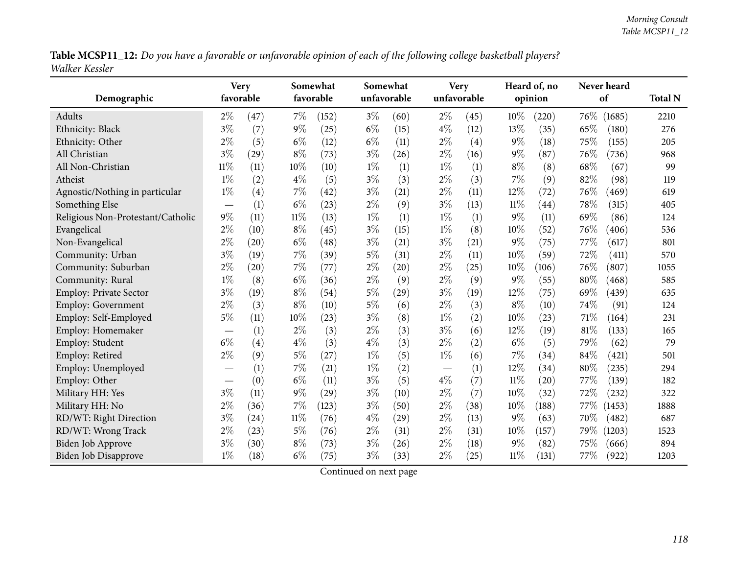Table MCSP11\_12: Do you have a favorable or unfavorable opinion of each of the following college basketball players? *Walker Kessler*

|                                   | <b>Very</b>              |           |        | Somewhat  |       | Somewhat    |       | <b>Very</b> |        | Heard of, no       |      | Never heard |                |
|-----------------------------------|--------------------------|-----------|--------|-----------|-------|-------------|-------|-------------|--------|--------------------|------|-------------|----------------|
| Demographic                       |                          | favorable |        | favorable |       | unfavorable |       | unfavorable |        | opinion            |      | of          | <b>Total N</b> |
| Adults                            | $2\%$                    | (47)      | 7%     | (152)     | $3\%$ | (60)        | $2\%$ | (45)        | 10%    | (220)              | 76\% | (1685)      | 2210           |
| Ethnicity: Black                  | $3\%$                    | (7)       | $9\%$  | (25)      | $6\%$ | (15)        | $4\%$ | (12)        | 13%    | (35)               | 65%  | (180)       | 276            |
| Ethnicity: Other                  | $2\%$                    | (5)       | $6\%$  | (12)      | $6\%$ | (11)        | $2\%$ | (4)         | $9\%$  | (18)               | 75%  | (155)       | 205            |
| All Christian                     | $3\%$                    | (29)      | $8\%$  | (73)      | $3\%$ | (26)        | $2\%$ | (16)        | 9%     | (87)               | 76%  | (736)       | 968            |
| All Non-Christian                 | $11\%$                   | (11)      | $10\%$ | (10)      | $1\%$ | (1)         | $1\%$ | (1)         | $8\%$  | (8)                | 68%  | (67)        | 99             |
| Atheist                           | $1\%$                    | (2)       | $4\%$  | (5)       | $3\%$ | (3)         | $2\%$ | (3)         | 7%     | (9)                | 82%  | (98)        | 119            |
| Agnostic/Nothing in particular    | $1\%$                    | (4)       | $7\%$  | (42)      | $3\%$ | (21)        | $2\%$ | (11)        | 12%    | (72)               | 76%  | (469)       | 619            |
| Something Else                    | $\overline{\phantom{0}}$ | (1)       | $6\%$  | (23)      | $2\%$ | (9)         | $3\%$ | (13)        | $11\%$ | $\left( 44\right)$ | 78%  | (315)       | 405            |
| Religious Non-Protestant/Catholic | $9\%$                    | (11)      | $11\%$ | (13)      | $1\%$ | (1)         | $1\%$ | (1)         | 9%     | (11)               | 69%  | (86)        | 124            |
| Evangelical                       | $2\%$                    | (10)      | $8\%$  | (45)      | $3\%$ | (15)        | $1\%$ | (8)         | 10%    | (52)               | 76%  | (406)       | 536            |
| Non-Evangelical                   | $2\%$                    | (20)      | $6\%$  | (48)      | $3\%$ | (21)        | $3\%$ | (21)        | 9%     | (75)               | 77%  | (617)       | 801            |
| Community: Urban                  | $3\%$                    | (19)      | $7\%$  | (39)      | $5\%$ | (31)        | $2\%$ | (11)        | 10%    | (59)               | 72%  | (411)       | 570            |
| Community: Suburban               | $2\%$                    | (20)      | 7%     | (77)      | $2\%$ | (20)        | $2\%$ | (25)        | 10%    | (106)              | 76%  | (807)       | 1055           |
| Community: Rural                  | $1\%$                    | (8)       | $6\%$  | (36)      | $2\%$ | (9)         | $2\%$ | (9)         | 9%     | (55)               | 80%  | (468)       | 585            |
| <b>Employ: Private Sector</b>     | $3\%$                    | (19)      | $8\%$  | (54)      | $5\%$ | (29)        | $3\%$ | (19)        | 12%    | (75)               | 69%  | (439)       | 635            |
| <b>Employ: Government</b>         | $2\%$                    | (3)       | $8\%$  | (10)      | $5\%$ | (6)         | $2\%$ | (3)         | $8\%$  | (10)               | 74%  | (91)        | 124            |
| Employ: Self-Employed             | $5\%$                    | (11)      | 10%    | (23)      | $3\%$ | (8)         | $1\%$ | (2)         | 10%    | (23)               | 71\% | (164)       | 231            |
| Employ: Homemaker                 | $\overline{\phantom{0}}$ | (1)       | $2\%$  | (3)       | $2\%$ | (3)         | $3\%$ | (6)         | 12%    | (19)               | 81%  | (133)       | 165            |
| Employ: Student                   | $6\%$                    | (4)       | $4\%$  | (3)       | $4\%$ | (3)         | $2\%$ | (2)         | $6\%$  | (5)                | 79%  | (62)        | 79             |
| Employ: Retired                   | $2\%$                    | (9)       | $5\%$  | (27)      | $1\%$ | (5)         | $1\%$ | (6)         | 7%     | (34)               | 84%  | (421)       | 501            |
| Employ: Unemployed                |                          | (1)       | $7\%$  | (21)      | $1\%$ | (2)         |       | (1)         | 12%    | (34)               | 80%  | (235)       | 294            |
| Employ: Other                     | $\overline{\phantom{0}}$ | (0)       | $6\%$  | (11)      | $3\%$ | (5)         | $4\%$ | (7)         | $11\%$ | $\left( 20\right)$ | 77\% | (139)       | 182            |
| Military HH: Yes                  | $3\%$                    | (11)      | $9\%$  | (29)      | $3\%$ | (10)        | $2\%$ | (7)         | 10%    | (32)               | 72%  | (232)       | 322            |
| Military HH: No                   | $2\%$                    | (36)      | $7\%$  | (123)     | $3\%$ | (50)        | $2\%$ | (38)        | 10%    | (188)              | 77\% | (1453)      | 1888           |
| RD/WT: Right Direction            | $3\%$                    | (24)      | $11\%$ | (76)      | $4\%$ | (29)        | $2\%$ | (13)        | $9\%$  | (63)               | 70%  | (482)       | 687            |
| RD/WT: Wrong Track                | $2\%$                    | (23)      | $5\%$  | (76)      | $2\%$ | (31)        | $2\%$ | (31)        | 10%    | (157)              | 79\% | (1203)      | 1523           |
| Biden Job Approve                 | $3\%$                    | (30)      | $8\%$  | (73)      | $3\%$ | (26)        | $2\%$ | (18)        | 9%     | (82)               | 75%  | (666)       | 894            |
| Biden Job Disapprove              | $1\%$                    | (18)      | $6\%$  | (75)      | $3\%$ | (33)        | $2\%$ | (25)        | $11\%$ | (131)              | 77\% | (922)       | 1203           |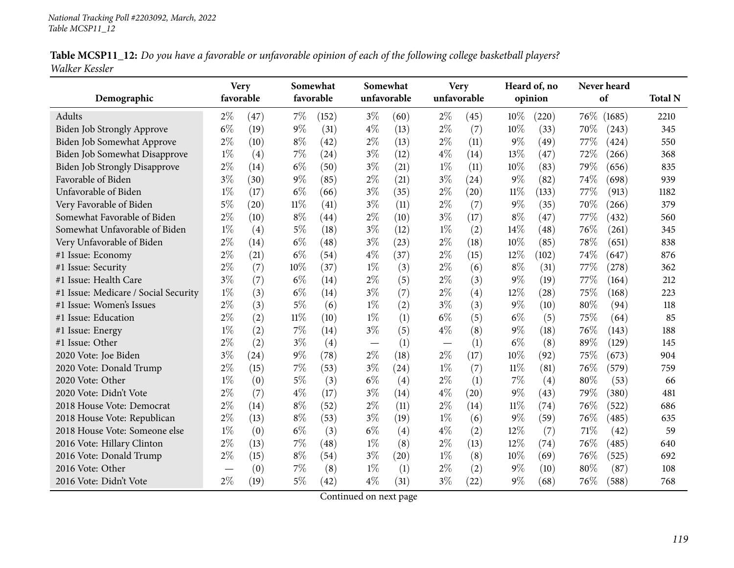|                | Table MCSP11_12: Do you have a favorable or unfavorable opinion of each of the following college basketball players? |  |
|----------------|----------------------------------------------------------------------------------------------------------------------|--|
| Walker Kessler |                                                                                                                      |  |

| Demographic                          | <b>Very</b><br>favorable |      |        | Somewhat<br>favorable |       | Somewhat<br>unfavorable |       | <b>Very</b><br>unfavorable |        | Heard of, no<br>opinion |      | Never heard<br>of | <b>Total N</b> |
|--------------------------------------|--------------------------|------|--------|-----------------------|-------|-------------------------|-------|----------------------------|--------|-------------------------|------|-------------------|----------------|
| Adults                               | $2\%$                    | (47) | $7\%$  | (152)                 | $3\%$ | (60)                    | $2\%$ | (45)                       | 10%    | (220)                   | 76\% | (1685)            | 2210           |
| Biden Job Strongly Approve           | $6\%$                    | (19) | $9\%$  | (31)                  | $4\%$ | (13)                    | $2\%$ | (7)                        | 10%    | (33)                    | 70%  | (243)             | 345            |
| Biden Job Somewhat Approve           | $2\%$                    | (10) | $8\%$  | (42)                  | $2\%$ | (13)                    | $2\%$ | (11)                       | $9\%$  | (49)                    | 77%  | (424)             | 550            |
| Biden Job Somewhat Disapprove        | $1\%$                    | (4)  | $7\%$  | (24)                  | $3\%$ | (12)                    | $4\%$ | (14)                       | 13%    | (47)                    | 72%  | (266)             | 368            |
| <b>Biden Job Strongly Disapprove</b> | $2\%$                    | (14) | $6\%$  | (50)                  | $3\%$ | (21)                    | $1\%$ | (11)                       | 10%    | (83)                    | 79%  | (656)             | 835            |
| Favorable of Biden                   | $3\%$                    | (30) | $9\%$  | (85)                  | $2\%$ | (21)                    | $3\%$ | (24)                       | $9\%$  | (82)                    | 74%  | (698)             | 939            |
| Unfavorable of Biden                 | $1\%$                    | (17) | $6\%$  | (66)                  | $3\%$ | (35)                    | $2\%$ | (20)                       | $11\%$ | (133)                   | 77%  | (913)             | 1182           |
| Very Favorable of Biden              | $5\%$                    | (20) | $11\%$ | (41)                  | $3\%$ | (11)                    | $2\%$ | (7)                        | $9\%$  | (35)                    | 70%  | (266)             | 379            |
| Somewhat Favorable of Biden          | $2\%$                    | (10) | $8\%$  | (44)                  | $2\%$ | (10)                    | $3\%$ | (17)                       | $8\%$  | (47)                    | 77%  | (432)             | 560            |
| Somewhat Unfavorable of Biden        | $1\%$                    | (4)  | $5\%$  | (18)                  | $3\%$ | (12)                    | $1\%$ | (2)                        | 14%    | (48)                    | 76%  | (261)             | 345            |
| Very Unfavorable of Biden            | $2\%$                    | (14) | $6\%$  | (48)                  | $3\%$ | (23)                    | $2\%$ | (18)                       | 10%    | (85)                    | 78%  | (651)             | 838            |
| #1 Issue: Economy                    | $2\%$                    | (21) | $6\%$  | (54)                  | $4\%$ | (37)                    | $2\%$ | (15)                       | 12%    | (102)                   | 74%  | (647)             | 876            |
| #1 Issue: Security                   | 2%                       | (7)  | 10%    | (37)                  | $1\%$ | (3)                     | $2\%$ | (6)                        | $8\%$  | (31)                    | 77%  | (278)             | 362            |
| #1 Issue: Health Care                | $3\%$                    | (7)  | $6\%$  | (14)                  | $2\%$ | (5)                     | $2\%$ | (3)                        | $9\%$  | (19)                    | 77%  | (164)             | 212            |
| #1 Issue: Medicare / Social Security | $1\%$                    | (3)  | $6\%$  | (14)                  | $3\%$ | (7)                     | $2\%$ | (4)                        | 12%    | (28)                    | 75%  | (168)             | 223            |
| #1 Issue: Women's Issues             | $2\%$                    | (3)  | $5\%$  | (6)                   | $1\%$ | (2)                     | $3\%$ | (3)                        | $9\%$  | (10)                    | 80%  | (94)              | 118            |
| #1 Issue: Education                  | $2\%$                    | (2)  | $11\%$ | (10)                  | $1\%$ | (1)                     | $6\%$ | (5)                        | $6\%$  | (5)                     | 75%  | (64)              | 85             |
| #1 Issue: Energy                     | $1\%$                    | (2)  | 7%     | (14)                  | $3\%$ | (5)                     | $4\%$ | (8)                        | $9\%$  | (18)                    | 76%  | (143)             | 188            |
| #1 Issue: Other                      | $2\%$                    | (2)  | $3\%$  | (4)                   |       | (1)                     |       | (1)                        | $6\%$  | (8)                     | 89%  | (129)             | 145            |
| 2020 Vote: Joe Biden                 | $3\%$                    | (24) | $9\%$  | (78)                  | $2\%$ | (18)                    | $2\%$ | (17)                       | 10%    | (92)                    | 75%  | (673)             | 904            |
| 2020 Vote: Donald Trump              | $2\%$                    | (15) | 7%     | (53)                  | $3\%$ | (24)                    | $1\%$ | (7)                        | $11\%$ | (81)                    | 76%  | (579)             | 759            |
| 2020 Vote: Other                     | $1\%$                    | (0)  | $5\%$  | (3)                   | $6\%$ | (4)                     | $2\%$ | (1)                        | 7%     | (4)                     | 80%  | (53)              | 66             |
| 2020 Vote: Didn't Vote               | $2\%$                    | (7)  | $4\%$  | (17)                  | $3\%$ | (14)                    | $4\%$ | (20)                       | $9\%$  | (43)                    | 79%  | (380)             | 481            |
| 2018 House Vote: Democrat            | $2\%$                    | (14) | $8\%$  | (52)                  | $2\%$ | (11)                    | $2\%$ | (14)                       | $11\%$ | (74)                    | 76%  | (522)             | 686            |
| 2018 House Vote: Republican          | $2\%$                    | (13) | $8\%$  | (53)                  | $3\%$ | (19)                    | $1\%$ | (6)                        | $9\%$  | (59)                    | 76%  | (485)             | 635            |
| 2018 House Vote: Someone else        | $1\%$                    | (0)  | $6\%$  | (3)                   | $6\%$ | (4)                     | $4\%$ | (2)                        | 12%    | (7)                     | 71%  | (42)              | 59             |
| 2016 Vote: Hillary Clinton           | $2\%$                    | (13) | $7\%$  | (48)                  | $1\%$ | (8)                     | $2\%$ | (13)                       | 12%    | (74)                    | 76%  | (485)             | 640            |
| 2016 Vote: Donald Trump              | $2\%$                    | (15) | $8\%$  | (54)                  | $3\%$ | (20)                    | $1\%$ | (8)                        | 10%    | (69)                    | 76%  | (525)             | 692            |
| 2016 Vote: Other                     |                          | (0)  | $7\%$  | (8)                   | $1\%$ | (1)                     | $2\%$ | (2)                        | $9\%$  | (10)                    | 80%  | (87)              | 108            |
| 2016 Vote: Didn't Vote               | $2\%$                    | (19) | 5%     | (42)                  | $4\%$ | (31)                    | $3\%$ | (22)                       | $9\%$  | (68)                    | 76%  | (588)             | 768            |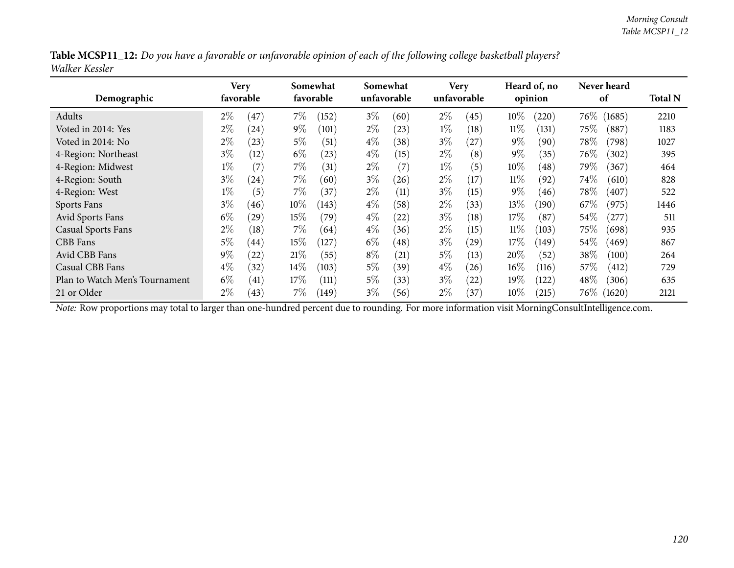|                | Table MCSP11_12: Do you have a favorable or unfavorable opinion of each of the following college basketball players? |
|----------------|----------------------------------------------------------------------------------------------------------------------|
| Walker Kessler |                                                                                                                      |

| Demographic                    |       | Very<br>favorable |        | Somewhat<br>favorable |       | Somewhat<br>unfavorable |       | <b>Very</b><br>unfavorable | Heard of, no<br>opinion |       |        | Never heard<br>of |      |
|--------------------------------|-------|-------------------|--------|-----------------------|-------|-------------------------|-------|----------------------------|-------------------------|-------|--------|-------------------|------|
| Adults                         | $2\%$ | 47                | 7%     | (152)                 | $3\%$ | (60)                    | $2\%$ | (45)                       | $10\%$                  | (220) | $76\%$ | (1685)            | 2210 |
| Voted in 2014: Yes             | $2\%$ | (24)              | $9\%$  | (101)                 | $2\%$ | (23)                    | $1\%$ | (18)                       | $11\%$                  | (131) | $75\%$ | (887)             | 1183 |
| Voted in 2014: No              | $2\%$ | (23)              | $5\%$  | (51)                  | $4\%$ | (38)                    | $3\%$ | (27)                       | $9\%$                   | (90)  | $78\%$ | (798)             | 1027 |
| 4-Region: Northeast            | $3\%$ | (12)              | $6\%$  | (23)                  | $4\%$ | (15)                    | $2\%$ | (8)                        | $9\%$                   | (35)  | $76\%$ | (302)             | 395  |
| 4-Region: Midwest              | $1\%$ | (7)               | $7\%$  | (31)                  | $2\%$ | (7)                     | $1\%$ | (5)                        | $10\%$                  | (48)  | 79%    | (367)             | 464  |
| 4-Region: South                | $3\%$ | (24)              | $7\%$  | (60)                  | $3\%$ | (26)                    | $2\%$ | (17)                       | $11\%$                  | (92)  | $74\%$ | (610)             | 828  |
| 4-Region: West                 | $1\%$ | (5)               | 7%     | (37)                  | $2\%$ | (11)                    | $3\%$ | (15)                       | $9\%$                   | (46)  | $78\%$ | (407)             | 522  |
| Sports Fans                    | $3\%$ | (46)              | $10\%$ | (143)                 | $4\%$ | (58)                    | $2\%$ | (33)                       | 13%                     | (190) | $67\%$ | (975)             | 1446 |
| Avid Sports Fans               | $6\%$ | $^{(29)}$         | 15%    | (79)                  | $4\%$ | (22)                    | $3\%$ | (18)                       | 17%                     | (87)  | $54\%$ | $^{'}277)$        | 511  |
| <b>Casual Sports Fans</b>      | $2\%$ | (18)              | $7\%$  | (64)                  | $4\%$ | (36)                    | $2\%$ | (15)                       | $11\%$                  | (103) | $75\%$ | (698)             | 935  |
| CBB Fans                       | $5\%$ | (44)              | 15%    | (127)                 | $6\%$ | (48)                    | $3\%$ | (29)                       | 17%                     | (149) | $54\%$ | (469)             | 867  |
| Avid CBB Fans                  | $9\%$ | (22)              | 21%    | (55)                  | $8\%$ | $\left( 21\right)$      | $5\%$ | (13)                       | 20%                     | (52)  | 38%    | (100)             | 264  |
| Casual CBB Fans                | $4\%$ | (32)              | $14\%$ | (103)                 | $5\%$ | (39)                    | $4\%$ | (26)                       | $16\%$                  | (116) | 57%    | (412)             | 729  |
| Plan to Watch Men's Tournament | $6\%$ | (41)              | 17%    | (111)                 | $5\%$ | (33)                    | $3\%$ | (22)                       | $19\%$                  | (122) | 48\%   | (306)             | 635  |
| 21 or Older                    | $2\%$ | (43)              | 7%     | (149)                 | $3\%$ | (56)                    | $2\%$ | (37)                       | $10\%$                  | (215) | $76\%$ | (1620)            | 2121 |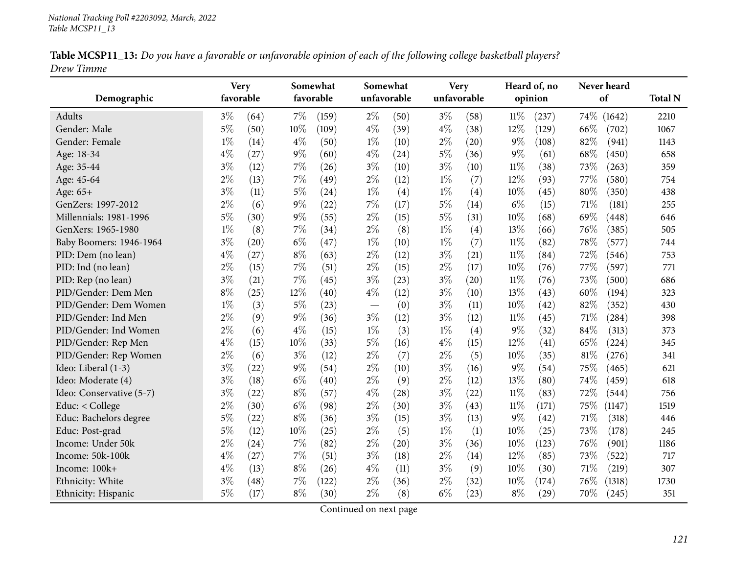|            |  |  | Table MCSP11_13: Do you have a favorable or unfavorable opinion of each of the following college basketball players? |  |
|------------|--|--|----------------------------------------------------------------------------------------------------------------------|--|
| Drew Timme |  |  |                                                                                                                      |  |

|                          | <b>Very</b> |      |       | Somewhat  | Somewhat |                    | <b>Very</b> |      |        | Heard of, no | Never heard    |                |
|--------------------------|-------------|------|-------|-----------|----------|--------------------|-------------|------|--------|--------------|----------------|----------------|
| Demographic              | favorable   |      |       | favorable |          | unfavorable        | unfavorable |      |        | opinion      | of             | <b>Total N</b> |
| Adults                   | $3\%$       | (64) | $7\%$ | (159)     | $2\%$    | (50)               | $3\%$       | (58) | $11\%$ | (237)        | 74\%<br>(1642) | 2210           |
| Gender: Male             | $5\%$       | (50) | 10%   | (109)     | $4\%$    | (39)               | $4\%$       | (38) | $12\%$ | (129)        | 66%<br>(702)   | 1067           |
| Gender: Female           | $1\%$       | (14) | $4\%$ | (50)      | $1\%$    | (10)               | $2\%$       | (20) | $9\%$  | (108)        | 82%<br>(941)   | 1143           |
| Age: 18-34               | $4\%$       | (27) | $9\%$ | (60)      | $4\%$    | (24)               | $5\%$       | (36) | $9\%$  | (61)         | 68%<br>(450)   | 658            |
| Age: 35-44               | $3\%$       | (12) | $7\%$ | (26)      | $3\%$    | (10)               | $3\%$       | (10) | $11\%$ | (38)         | 73%<br>(263)   | 359            |
| Age: 45-64               | $2\%$       | (13) | 7%    | (49)      | $2\%$    | (12)               | $1\%$       | (7)  | 12%    | (93)         | 77%<br>(580)   | 754            |
| Age: 65+                 | $3\%$       | (11) | $5\%$ | (24)      | $1\%$    | (4)                | $1\%$       | (4)  | 10%    | (45)         | 80%<br>(350)   | 438            |
| GenZers: 1997-2012       | $2\%$       | (6)  | $9\%$ | (22)      | $7\%$    | (17)               | $5\%$       | (14) | $6\%$  | (15)         | 71%<br>(181)   | 255            |
| Millennials: 1981-1996   | $5\%$       | (30) | $9\%$ | (55)      | $2\%$    | (15)               | $5\%$       | (31) | 10%    | (68)         | 69%<br>(448)   | 646            |
| GenXers: 1965-1980       | $1\%$       | (8)  | 7%    | (34)      | $2\%$    | (8)                | $1\%$       | (4)  | 13%    | (66)         | 76%<br>(385)   | 505            |
| Baby Boomers: 1946-1964  | $3\%$       | (20) | $6\%$ | (47)      | $1\%$    | (10)               | $1\%$       | (7)  | $11\%$ | (82)         | 78%<br>(577)   | 744            |
| PID: Dem (no lean)       | $4\%$       | (27) | $8\%$ | (63)      | $2\%$    | (12)               | $3\%$       | (21) | $11\%$ | (84)         | 72%<br>(546)   | 753            |
| PID: Ind (no lean)       | $2\%$       | (15) | $7\%$ | (51)      | $2\%$    | (15)               | $2\%$       | (17) | 10%    | (76)         | 77%<br>(597)   | 771            |
| PID: Rep (no lean)       | $3\%$       | (21) | 7%    | (45)      | $3\%$    | (23)               | $3\%$       | (20) | $11\%$ | (76)         | 73%<br>(500)   | 686            |
| PID/Gender: Dem Men      | $8\%$       | (25) | 12%   | (40)      | $4\%$    | (12)               | $3\%$       | (10) | 13%    | (43)         | 60%<br>(194)   | 323            |
| PID/Gender: Dem Women    | $1\%$       | (3)  | $5\%$ | (23)      |          | (0)                | $3\%$       | (11) | 10%    | (42)         | 82%<br>(352)   | 430            |
| PID/Gender: Ind Men      | $2\%$       | (9)  | 9%    | (36)      | $3\%$    | (12)               | $3\%$       | (12) | $11\%$ | (45)         | 71%<br>(284)   | 398            |
| PID/Gender: Ind Women    | $2\%$       | (6)  | $4\%$ | (15)      | $1\%$    | (3)                | $1\%$       | (4)  | $9\%$  | (32)         | 84%<br>(313)   | 373            |
| PID/Gender: Rep Men      | $4\%$       | (15) | 10%   | (33)      | $5\%$    | (16)               | $4\%$       | (15) | 12%    | (41)         | 65%<br>(224)   | 345            |
| PID/Gender: Rep Women    | $2\%$       | (6)  | $3\%$ | (12)      | $2\%$    | (7)                | $2\%$       | (5)  | 10%    | (35)         | 81%<br>(276)   | 341            |
| Ideo: Liberal (1-3)      | $3\%$       | (22) | 9%    | (54)      | $2\%$    | (10)               | $3\%$       | (16) | $9\%$  | (54)         | 75%<br>(465)   | 621            |
| Ideo: Moderate (4)       | $3\%$       | (18) | $6\%$ | (40)      | $2\%$    | (9)                | $2\%$       | (12) | 13%    | (80)         | 74%<br>(459)   | 618            |
| Ideo: Conservative (5-7) | $3\%$       | (22) | $8\%$ | (57)      | $4\%$    | (28)               | $3\%$       | (22) | $11\%$ | (83)         | 72%<br>(544)   | 756            |
| Educ: < College          | $2\%$       | (30) | $6\%$ | (98)      | $2\%$    | (30)               | $3\%$       | (43) | $11\%$ | (171)        | 75%<br>(1147)  | 1519           |
| Educ: Bachelors degree   | $5\%$       | (22) | $8\%$ | (36)      | $3\%$    | (15)               | $3\%$       | (13) | $9\%$  | (42)         | 71%<br>(318)   | 446            |
| Educ: Post-grad          | $5\%$       | (12) | 10%   | (25)      | $2\%$    | (5)                | $1\%$       | (1)  | 10%    | (25)         | 73%<br>(178)   | 245            |
| Income: Under 50k        | $2\%$       | (24) | $7\%$ | (82)      | $2\%$    | $\left( 20\right)$ | $3\%$       | (36) | 10%    | (123)        | 76%<br>(901)   | 1186           |
| Income: 50k-100k         | $4\%$       | (27) | 7%    | (51)      | $3\%$    | (18)               | $2\%$       | (14) | 12%    | (85)         | 73%<br>(522)   | 717            |
| Income: 100k+            | $4\%$       | (13) | $8\%$ | (26)      | $4\%$    | (11)               | $3\%$       | (9)  | 10%    | (30)         | 71%<br>(219)   | 307            |
| Ethnicity: White         | $3\%$       | (48) | 7%    | (122)     | $2\%$    | (36)               | $2\%$       | (32) | 10%    | (174)        | 76%<br>(1318)  | 1730           |
| Ethnicity: Hispanic      | $5\%$       | (17) | $8\%$ | (30)      | $2\%$    | (8)                | $6\%$       | (23) | $8\%$  | (29)         | 70%<br>(245)   | 351            |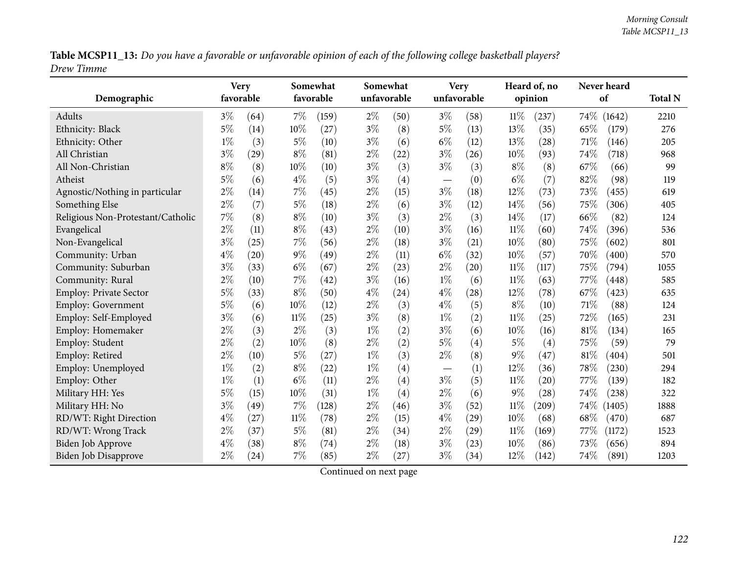Table MCSP11\_13: Do you have a favorable or unfavorable opinion of each of the following college basketball players? *Drew Timme*

|                                   | <b>Very</b> |           |        | Somewhat  |       | Somewhat    |                   | <b>Very</b> |        | Heard of, no | Never heard |                     |                |
|-----------------------------------|-------------|-----------|--------|-----------|-------|-------------|-------------------|-------------|--------|--------------|-------------|---------------------|----------------|
| Demographic                       |             | favorable |        | favorable |       | unfavorable |                   | unfavorable |        | opinion      | of          |                     | <b>Total N</b> |
| Adults                            | $3\%$       | (64)      | $7\%$  | (159)     | $2\%$ | (50)        | $3\%$             | (58)        | $11\%$ | (237)        | 74\% (1642) |                     | 2210           |
| Ethnicity: Black                  | $5\%$       | (14)      | 10%    | (27)      | $3\%$ | (8)         | $5\%$             | (13)        | 13%    | (35)         | 65%         | (179)               | 276            |
| Ethnicity: Other                  | $1\%$       | (3)       | $5\%$  | (10)      | $3\%$ | (6)         | $6\%$             | (12)        | 13%    | (28)         | 71%         | (146)               | 205            |
| All Christian                     | $3\%$       | (29)      | $8\%$  | (81)      | $2\%$ | (22)        | $3\%$             | (26)        | 10%    | (93)         | 74%         | (718)               | 968            |
| All Non-Christian                 | $8\%$       | (8)       | 10%    | (10)      | $3\%$ | (3)         | $3\%$             | (3)         | $8\%$  | (8)          | 67%         | (66)                | 99             |
| Atheist                           | $5\%$       | (6)       | $4\%$  | (5)       | $3\%$ | (4)         |                   | (0)         | $6\%$  | (7)          | 82%         | (98)                | 119            |
| Agnostic/Nothing in particular    | $2\%$       | (14)      | $7\%$  | (45)      | $2\%$ | (15)        | $3\%$             | (18)        | 12%    | (73)         | 73%         | (455)               | 619            |
| Something Else                    | $2\%$       | (7)       | $5\%$  | (18)      | $2\%$ | (6)         | $3\%$             | (12)        | 14%    | (56)         | 75%         | (306)               | 405            |
| Religious Non-Protestant/Catholic | 7%          | (8)       | $8\%$  | (10)      | $3\%$ | (3)         | $2\%$             | (3)         | 14%    | (17)         | 66%         | (82)                | 124            |
| Evangelical                       | $2\%$       | (11)      | $8\%$  | (43)      | $2\%$ | (10)        | $3\%$             | (16)        | 11%    | (60)         | 74%         | (396)               | 536            |
| Non-Evangelical                   | $3\%$       | (25)      | 7%     | (56)      | $2\%$ | (18)        | $3\%$             | (21)        | 10%    | (80)         | 75%         | (602)               | 801            |
| Community: Urban                  | $4\%$       | (20)      | $9\%$  | (49)      | $2\%$ | (11)        | $6\%$             | (32)        | 10%    | (57)         | 70%         | (400)               | 570            |
| Community: Suburban               | $3\%$       | (33)      | $6\%$  | (67)      | $2\%$ | (23)        | $2\%$             | (20)        | $11\%$ | (117)        | 75%         | (794)               | 1055           |
| Community: Rural                  | $2\%$       | (10)      | $7\%$  | (42)      | $3\%$ | (16)        | $1\%$             | (6)         | $11\%$ | (63)         | 77%         | (448)               | 585            |
| Employ: Private Sector            | $5\%$       | (33)      | $8\%$  | (50)      | $4\%$ | (24)        | $4\%$             | (28)        | 12%    | (78)         | 67%         | (423)               | 635            |
| Employ: Government                | 5%          | (6)       | 10%    | (12)      | $2\%$ | (3)         | $4\%$             | (5)         | $8\%$  | (10)         | 71%         | (88)                | 124            |
| Employ: Self-Employed             | $3\%$       | (6)       | $11\%$ | (25)      | $3\%$ | (8)         | $1\%$             | (2)         | $11\%$ | (25)         | 72%         | (165)               | 231            |
| Employ: Homemaker                 | $2\%$       | (3)       | $2\%$  | (3)       | $1\%$ | (2)         | $3\%$             | (6)         | 10%    | (16)         | 81%         | (134)               | 165            |
| Employ: Student                   | $2\%$       | (2)       | 10%    | (8)       | $2\%$ | (2)         | $5\%$             | (4)         | $5\%$  | (4)          | 75%         | (59)                | 79             |
| Employ: Retired                   | $2\%$       | (10)      | $5\%$  | (27)      | $1\%$ | (3)         | $2\%$             | (8)         | 9%     | (47)         | 81%         | $\left( 404\right)$ | 501            |
| Employ: Unemployed                | $1\%$       | (2)       | $8\%$  | (22)      | $1\%$ | (4)         | $\qquad \qquad -$ | (1)         | 12%    | (36)         | 78%         | (230)               | 294            |
| Employ: Other                     | $1\%$       | (1)       | $6\%$  | (11)      | $2\%$ | (4)         | $3\%$             | (5)         | $11\%$ | (20)         | 77%         | (139)               | 182            |
| Military HH: Yes                  | $5\%$       | (15)      | 10%    | (31)      | $1\%$ | (4)         | $2\%$             | (6)         | 9%     | (28)         | 74%         | (238)               | 322            |
| Military HH: No                   | $3\%$       | (49)      | $7\%$  | (128)     | $2\%$ | (46)        | $3\%$             | (52)        | 11%    | (209)        | 74\%        | (1405)              | 1888           |
| RD/WT: Right Direction            | $4\%$       | (27)      | $11\%$ | (78)      | $2\%$ | (15)        | $4\%$             | (29)        | 10%    | (68)         | 68%         | (470)               | 687            |
| RD/WT: Wrong Track                | $2\%$       | (37)      | $5\%$  | (81)      | $2\%$ | (34)        | $2\%$             | (29)        | $11\%$ | (169)        | 77%         | (1172)              | 1523           |
| <b>Biden Job Approve</b>          | $4\%$       | (38)      | $8\%$  | (74)      | $2\%$ | (18)        | $3\%$             | (23)        | 10%    | (86)         | 73%         | (656)               | 894            |
| <b>Biden Job Disapprove</b>       | $2\%$       | (24)      | $7\%$  | (85)      | $2\%$ | (27)        | $3\%$             | (34)        | 12%    | (142)        | 74%         | (891)               | 1203           |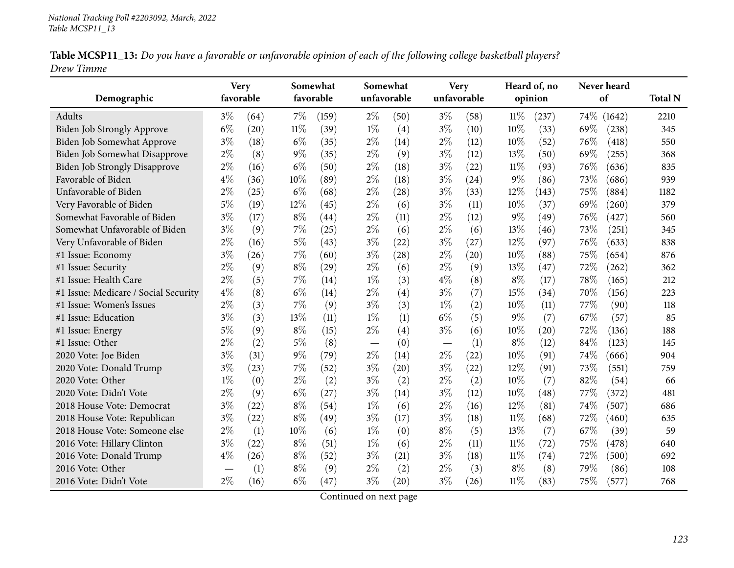|            | Table MCSP11_13: Do you have a favorable or unfavorable opinion of each of the following college basketball players? |  |
|------------|----------------------------------------------------------------------------------------------------------------------|--|
| Drew Timme |                                                                                                                      |  |

| Demographic                          |       | <b>Very</b><br>favorable |        | Somewhat<br>favorable |       | Somewhat<br>unfavorable |                                   | <b>Very</b><br>unfavorable | Heard of, no<br>opinion |       | Never heard<br>of |        | <b>Total N</b> |
|--------------------------------------|-------|--------------------------|--------|-----------------------|-------|-------------------------|-----------------------------------|----------------------------|-------------------------|-------|-------------------|--------|----------------|
| Adults                               | $3\%$ | (64)                     | $7\%$  | (159)                 | $2\%$ | (50)                    | $3\%$                             | (58)                       | $11\%$                  | (237) | $74\%$            | (1642) | 2210           |
| Biden Job Strongly Approve           | $6\%$ | (20)                     | $11\%$ | (39)                  | $1\%$ | (4)                     | $3\%$                             | (10)                       | 10%                     | (33)  | 69%               | (238)  | 345            |
| Biden Job Somewhat Approve           | $3\%$ | (18)                     | $6\%$  | (35)                  | $2\%$ | (14)                    | $2\%$                             | (12)                       | 10%                     | (52)  | 76%               | (418)  | 550            |
| Biden Job Somewhat Disapprove        | $2\%$ | (8)                      | $9\%$  | (35)                  | $2\%$ | (9)                     | $3\%$                             | (12)                       | 13%                     | (50)  | 69%               | (255)  | 368            |
| <b>Biden Job Strongly Disapprove</b> | $2\%$ | (16)                     | $6\%$  | (50)                  | $2\%$ | (18)                    | $3\%$                             | (22)                       | $11\%$                  | (93)  | 76%               | (636)  | 835            |
| Favorable of Biden                   | $4\%$ | (36)                     | 10%    | (89)                  | $2\%$ | (18)                    | $3\%$                             | (24)                       | $9\%$                   | (86)  | 73%               | (686)  | 939            |
| Unfavorable of Biden                 | $2\%$ | (25)                     | $6\%$  | (68)                  | $2\%$ | (28)                    | $3\%$                             | (33)                       | 12%                     | (143) | 75%               | (884)  | 1182           |
| Very Favorable of Biden              | $5\%$ | (19)                     | 12%    | (45)                  | $2\%$ | (6)                     | $3\%$                             | (11)                       | 10%                     | (37)  | 69%               | (260)  | 379            |
| Somewhat Favorable of Biden          | $3\%$ | (17)                     | $8\%$  | $\left( 44\right)$    | $2\%$ | (11)                    | $2\%$                             | (12)                       | $9\%$                   | (49)  | 76%               | (427)  | 560            |
| Somewhat Unfavorable of Biden        | $3\%$ | (9)                      | 7%     | (25)                  | $2\%$ | (6)                     | $2\%$                             | (6)                        | 13%                     | (46)  | 73%               | (251)  | 345            |
| Very Unfavorable of Biden            | $2\%$ | (16)                     | $5\%$  | (43)                  | $3\%$ | (22)                    | $3\%$                             | (27)                       | 12%                     | (97)  | 76%               | (633)  | 838            |
| #1 Issue: Economy                    | $3\%$ | (26)                     | 7%     | (60)                  | $3\%$ | (28)                    | $2\%$                             | (20)                       | 10%                     | (88)  | 75%               | (654)  | 876            |
| #1 Issue: Security                   | $2\%$ | (9)                      | $8\%$  | (29)                  | $2\%$ | (6)                     | $2\%$                             | (9)                        | 13%                     | (47)  | 72%               | (262)  | 362            |
| #1 Issue: Health Care                | $2\%$ | (5)                      | $7\%$  | (14)                  | $1\%$ | (3)                     | $4\%$                             | (8)                        | $8\%$                   | (17)  | 78%               | (165)  | 212            |
| #1 Issue: Medicare / Social Security | $4\%$ | (8)                      | $6\%$  | (14)                  | $2\%$ | (4)                     | $3\%$                             | (7)                        | 15%                     | (34)  | 70%               | (156)  | 223            |
| #1 Issue: Women's Issues             | $2\%$ | (3)                      | 7%     | (9)                   | $3\%$ | (3)                     | $1\%$                             | (2)                        | 10%                     | (11)  | 77%               | (90)   | 118            |
| #1 Issue: Education                  | $3\%$ | (3)                      | 13%    | (11)                  | $1\%$ | (1)                     | $6\%$                             | (5)                        | $9\%$                   | (7)   | 67%               | (57)   | 85             |
| #1 Issue: Energy                     | $5\%$ | (9)                      | $8\%$  | (15)                  | $2\%$ | (4)                     | $3\%$                             | (6)                        | 10%                     | (20)  | 72%               | (136)  | 188            |
| #1 Issue: Other                      | $2\%$ | (2)                      | $5\%$  | (8)                   |       | (0)                     | $\overbrace{\phantom{123221111}}$ | (1)                        | $8\%$                   | (12)  | 84%               | (123)  | 145            |
| 2020 Vote: Joe Biden                 | $3\%$ | (31)                     | 9%     | (79)                  | $2\%$ | (14)                    | $2\%$                             | (22)                       | 10%                     | (91)  | 74%               | (666)  | 904            |
| 2020 Vote: Donald Trump              | $3\%$ | (23)                     | $7\%$  | (52)                  | $3\%$ | (20)                    | $3\%$                             | (22)                       | 12%                     | (91)  | 73%               | (551)  | 759            |
| 2020 Vote: Other                     | $1\%$ | (0)                      | $2\%$  | (2)                   | $3\%$ | (2)                     | $2\%$                             | (2)                        | 10%                     | (7)   | 82%               | (54)   | 66             |
| 2020 Vote: Didn't Vote               | $2\%$ | (9)                      | $6\%$  | (27)                  | $3\%$ | (14)                    | $3\%$                             | (12)                       | 10%                     | (48)  | 77%               | (372)  | 481            |
| 2018 House Vote: Democrat            | $3\%$ | (22)                     | $8\%$  | (54)                  | $1\%$ | (6)                     | $2\%$                             | (16)                       | 12%                     | (81)  | 74%               | (507)  | 686            |
| 2018 House Vote: Republican          | $3\%$ | (22)                     | $8\%$  | (49)                  | $3\%$ | (17)                    | $3\%$                             | (18)                       | $11\%$                  | (68)  | 72%               | (460)  | 635            |
| 2018 House Vote: Someone else        | $2\%$ | (1)                      | 10%    | (6)                   | $1\%$ | (0)                     | $8\%$                             | (5)                        | $13\%$                  | (7)   | 67%               | (39)   | 59             |
| 2016 Vote: Hillary Clinton           | $3\%$ | (22)                     | $8\%$  | (51)                  | $1\%$ | (6)                     | $2\%$                             | (11)                       | 11%                     | (72)  | 75%               | (478)  | 640            |
| 2016 Vote: Donald Trump              | $4\%$ | (26)                     | $8\%$  | (52)                  | $3\%$ | (21)                    | $3\%$                             | (18)                       | $11\%$                  | (74)  | 72%               | (500)  | 692            |
| 2016 Vote: Other                     |       | (1)                      | $8\%$  | (9)                   | $2\%$ | (2)                     | $2\%$                             | (3)                        | $8\%$                   | (8)   | 79%               | (86)   | 108            |
| 2016 Vote: Didn't Vote               | $2\%$ | (16)                     | $6\%$  | (47)                  | $3\%$ | (20)                    | $3\%$                             | (26)                       | 11%                     | (83)  | 75%               | (577)  | 768            |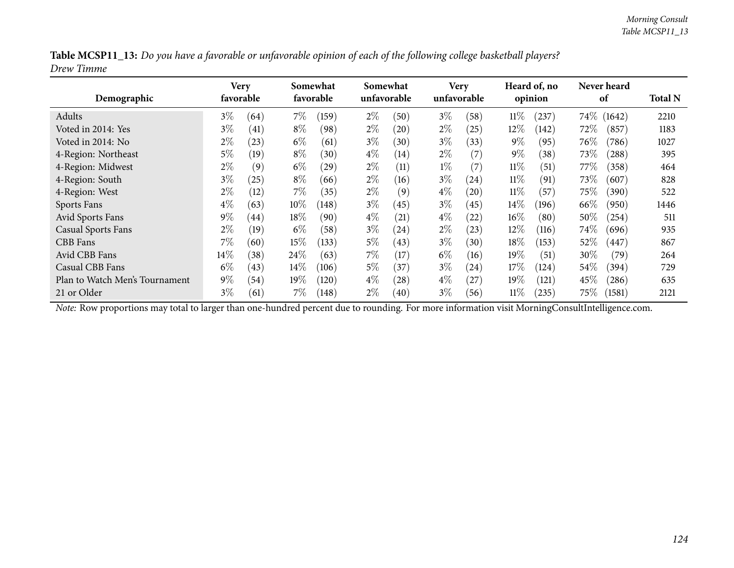|            | Table MCSP11_13: Do you have a favorable or unfavorable opinion of each of the following college basketball players? |  |  |
|------------|----------------------------------------------------------------------------------------------------------------------|--|--|
| Drew Timme |                                                                                                                      |  |  |

| Demographic                    | Very<br>favorable |      |        | Somewhat<br>favorable | Somewhat | unfavorable |       | <b>Very</b><br>unfavorable |        | Heard of, no<br>opinion |         | Never heard<br>of | <b>Total N</b> |
|--------------------------------|-------------------|------|--------|-----------------------|----------|-------------|-------|----------------------------|--------|-------------------------|---------|-------------------|----------------|
| Adults                         | $3\%$             | (64) | $7\%$  | (159)                 | $2\%$    | (50)        | $3\%$ | (58)                       | $11\%$ | (237)                   | $74\%$  | (1642)            | 2210           |
| Voted in 2014: Yes             | $3\%$             | (41) | $8\%$  | (98)                  | $2\%$    | (20)        | $2\%$ | (25)                       | $12\%$ | (142)                   | 72%     | (857)             | 1183           |
| Voted in 2014: No              | $2\%$             | (23) | $6\%$  | (61)                  | $3\%$    | (30)        | $3\%$ | (33)                       | $9\%$  | (95)                    | 76\%    | (786)             | 1027           |
| 4-Region: Northeast            | $5\%$             | (19) | $8\%$  | (30)                  | $4\%$    | (14)        | $2\%$ | $\left( 7\right)$          | $9\%$  | (38)                    | 73\%    | (288)             | 395            |
| 4-Region: Midwest              | $2\%$             | (9)  | $6\%$  | (29)                  | $2\%$    | (11)        | $1\%$ | (7)                        | $11\%$ | (51)                    | 77 $\%$ | (358)             | 464            |
| 4-Region: South                | $3\%$             | (25) | $8\%$  | (66)                  | $2\%$    | (16)        | $3\%$ | (24)                       | $11\%$ | (91)                    | 73\%    | (607)             | 828            |
| 4-Region: West                 | $2\%$             | (12) | $7\%$  | (35)                  | $2\%$    | (9)         | $4\%$ | (20)                       | $11\%$ | (57)                    | $75\%$  | (390)             | 522            |
| Sports Fans                    | $4\%$             | (63) | $10\%$ | (148)                 | $3\%$    | (45)        | $3\%$ | (45)                       | $14\%$ | (196)                   | 66\%    | (950)             | 1446           |
| Avid Sports Fans               | $9\%$             | (44) | 18\%   | (90)                  | $4\%$    | (21)        | $4\%$ | (22)                       | $16\%$ | (80)                    | 50%     | (254)             | 511            |
| <b>Casual Sports Fans</b>      | $2\%$             | (19) | $6\%$  | (58)                  | $3\%$    | (24)        | $2\%$ | (23)                       | 12%    | (116)                   | 74\%    | (696)             | 935            |
| CBB Fans                       | $7\%$             | (60) | 15%    | (133)                 | $5\%$    | (43)        | $3\%$ | (30)                       | 18%    | (153)                   | 52%     | (447)             | 867            |
| Avid CBB Fans                  | $14\%$            | (38) | 24\%   | (63)                  | $7\%$    | (17)        | $6\%$ | (16)                       | 19%    | (51)                    | 30%     | (79)              | 264            |
| Casual CBB Fans                | $6\%$             | (43) | $14\%$ | (106)                 | $5\%$    | (37)        | $3\%$ | (24)                       | 17%    | (124)                   | 54\%    | (394)             | 729            |
| Plan to Watch Men's Tournament | $9\%$             | (54) | $19\%$ | (120)                 | $4\%$    | (28)        | $4\%$ | (27)                       | 19%    | (121)                   | 45\%    | (286)             | 635            |
| 21 or Older                    | $3\%$             | (61) | 7%     | (148)                 | $2\%$    | (40)        | $3\%$ | (56)                       | $11\%$ | (235)                   | $75\%$  | (1581)            | 2121           |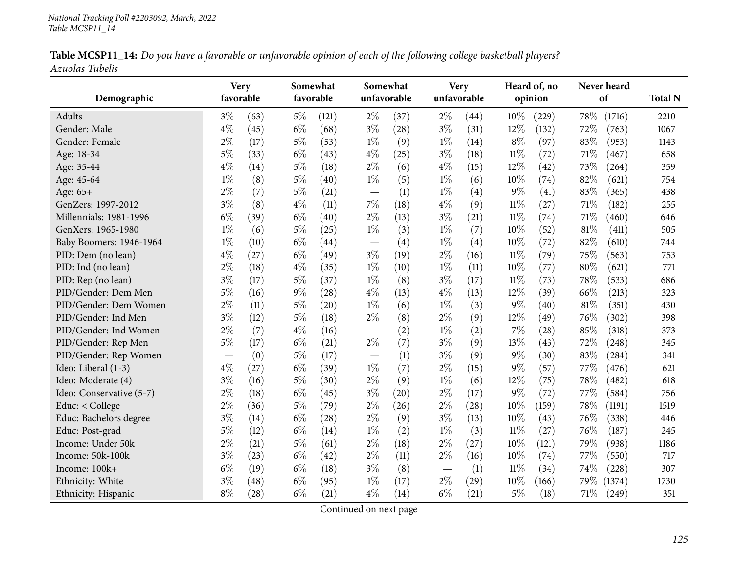|                 |  |  | Table MCSP11_14: Do you have a favorable or unfavorable opinion of each of the following college basketball players? |
|-----------------|--|--|----------------------------------------------------------------------------------------------------------------------|
| Azuolas Tubelis |  |  |                                                                                                                      |

| Demographic              | favorable | <b>Very</b> | Somewhat<br>favorable |       | unfavorable              | Somewhat | unfavorable | Very |        | Heard of, no<br>opinion | Never heard<br>of | <b>Total N</b> |
|--------------------------|-----------|-------------|-----------------------|-------|--------------------------|----------|-------------|------|--------|-------------------------|-------------------|----------------|
| <b>Adults</b>            | $3\%$     | (63)        | $5\%$                 | (121) | $2\%$                    | (37)     | $2\%$       | (44) | 10%    | (229)                   | 78%<br>(1716)     | 2210           |
| Gender: Male             | $4\%$     | (45)        | $6\%$                 | (68)  | $3\%$                    | (28)     | $3\%$       | (31) | 12%    | (132)                   | 72%<br>(763)      | 1067           |
| Gender: Female           | $2\%$     | (17)        | $5\%$                 | (53)  | $1\%$                    | (9)      | $1\%$       | (14) | $8\%$  | (97)                    | 83%<br>(953)      | 1143           |
| Age: 18-34               | $5\%$     | (33)        | $6\%$                 | (43)  | $4\%$                    | (25)     | $3\%$       | (18) | $11\%$ | (72)                    | 71\%<br>(467)     | 658            |
| Age: 35-44               | $4\%$     | (14)        | $5\%$                 | (18)  | $2\%$                    | (6)      | $4\%$       | (15) | 12%    | (42)                    | 73%<br>(264)      | 359            |
| Age: 45-64               | $1\%$     | (8)         | $5\%$                 | (40)  | $1\%$                    | (5)      | $1\%$       | (6)  | 10%    | (74)                    | 82%<br>(621)      | 754            |
| Age: 65+                 | $2\%$     | (7)         | $5\%$                 | (21)  |                          | (1)      | $1\%$       | (4)  | $9\%$  | (41)                    | 83%<br>(365)      | 438            |
| GenZers: 1997-2012       | $3\%$     | (8)         | $4\%$                 | (11)  | $7\%$                    | (18)     | $4\%$       | (9)  | $11\%$ | (27)                    | 71%<br>(182)      | 255            |
| Millennials: 1981-1996   | $6\%$     | (39)        | $6\%$                 | (40)  | $2\%$                    | (13)     | $3\%$       | (21) | $11\%$ | (74)                    | 71%<br>(460)      | 646            |
| GenXers: 1965-1980       | $1\%$     | (6)         | $5\%$                 | (25)  | $1\%$                    | (3)      | $1\%$       | (7)  | 10%    | (52)                    | 81%<br>(411)      | 505            |
| Baby Boomers: 1946-1964  | $1\%$     | (10)        | $6\%$                 | (44)  | $\overline{\phantom{m}}$ | (4)      | $1\%$       | (4)  | 10%    | (72)                    | 82%<br>(610)      | 744            |
| PID: Dem (no lean)       | $4\%$     | (27)        | $6\%$                 | (49)  | $3\%$                    | (19)     | $2\%$       | (16) | $11\%$ | (79)                    | 75%<br>(563)      | 753            |
| PID: Ind (no lean)       | $2\%$     | (18)        | $4\%$                 | (35)  | $1\%$                    | (10)     | $1\%$       | (11) | 10%    | (77)                    | $80\%$<br>(621)   | 771            |
| PID: Rep (no lean)       | $3\%$     | (17)        | $5\%$                 | (37)  | $1\%$                    | (8)      | $3\%$       | (17) | 11%    | (73)                    | 78%<br>(533)      | 686            |
| PID/Gender: Dem Men      | 5%        | (16)        | $9\%$                 | (28)  | $4\%$                    | (13)     | $4\%$       | (13) | 12%    | (39)                    | 66%<br>(213)      | 323            |
| PID/Gender: Dem Women    | $2\%$     | (11)        | $5\%$                 | (20)  | $1\%$                    | (6)      | $1\%$       | (3)  | $9\%$  | (40)                    | 81%<br>(351)      | 430            |
| PID/Gender: Ind Men      | $3\%$     | (12)        | $5\%$                 | (18)  | $2\%$                    | (8)      | $2\%$       | (9)  | 12%    | (49)                    | 76%<br>(302)      | 398            |
| PID/Gender: Ind Women    | $2\%$     | (7)         | $4\%$                 | (16)  |                          | (2)      | $1\%$       | (2)  | $7\%$  | (28)                    | 85%<br>(318)      | 373            |
| PID/Gender: Rep Men      | $5\%$     | (17)        | $6\%$                 | (21)  | $2\%$                    | (7)      | $3\%$       | (9)  | 13%    | (43)                    | 72%<br>(248)      | 345            |
| PID/Gender: Rep Women    |           | (0)         | $5\%$                 | (17)  |                          | (1)      | $3\%$       | (9)  | $9\%$  | (30)                    | 83%<br>(284)      | 341            |
| Ideo: Liberal (1-3)      | $4\%$     | (27)        | $6\%$                 | (39)  | $1\%$                    | (7)      | $2\%$       | (15) | $9\%$  | (57)                    | 77%<br>(476)      | 621            |
| Ideo: Moderate (4)       | $3\%$     | (16)        | $5\%$                 | (30)  | $2\%$                    | (9)      | $1\%$       | (6)  | 12%    | (75)                    | 78%<br>(482)      | 618            |
| Ideo: Conservative (5-7) | $2\%$     | (18)        | $6\%$                 | (45)  | $3\%$                    | (20)     | $2\%$       | (17) | $9\%$  | (72)                    | 77\%<br>(584)     | 756            |
| Educ: < College          | $2\%$     | (36)        | $5\%$                 | (79)  | $2\%$                    | (26)     | $2\%$       | (28) | 10%    | (159)                   | 78%<br>(1191)     | 1519           |
| Educ: Bachelors degree   | $3\%$     | (14)        | $6\%$                 | (28)  | $2\%$                    | (9)      | $3\%$       | (13) | 10%    | (43)                    | 76%<br>(338)      | 446            |
| Educ: Post-grad          | $5\%$     | (12)        | $6\%$                 | (14)  | $1\%$                    | (2)      | $1\%$       | (3)  | $11\%$ | (27)                    | 76%<br>(187)      | 245            |
| Income: Under 50k        | $2\%$     | (21)        | $5\%$                 | (61)  | $2\%$                    | (18)     | $2\%$       | (27) | 10%    | (121)                   | 79%<br>(938)      | 1186           |
| Income: 50k-100k         | $3\%$     | (23)        | $6\%$                 | (42)  | $2\%$                    | (11)     | $2\%$       | (16) | 10%    | (74)                    | 77%<br>(550)      | 717            |
| Income: 100k+            | $6\%$     | (19)        | $6\%$                 | (18)  | $3\%$                    | (8)      |             | (1)  | $11\%$ | (34)                    | 74%<br>(228)      | 307            |
| Ethnicity: White         | $3\%$     | (48)        | $6\%$                 | (95)  | $1\%$                    | (17)     | $2\%$       | (29) | 10%    | (166)                   | 79%<br>(1374)     | 1730           |
| Ethnicity: Hispanic      | $8\%$     | (28)        | $6\%$                 | (21)  | $4\%$                    | (14)     | $6\%$       | (21) | $5\%$  | (18)                    | $71\%$<br>(249)   | 351            |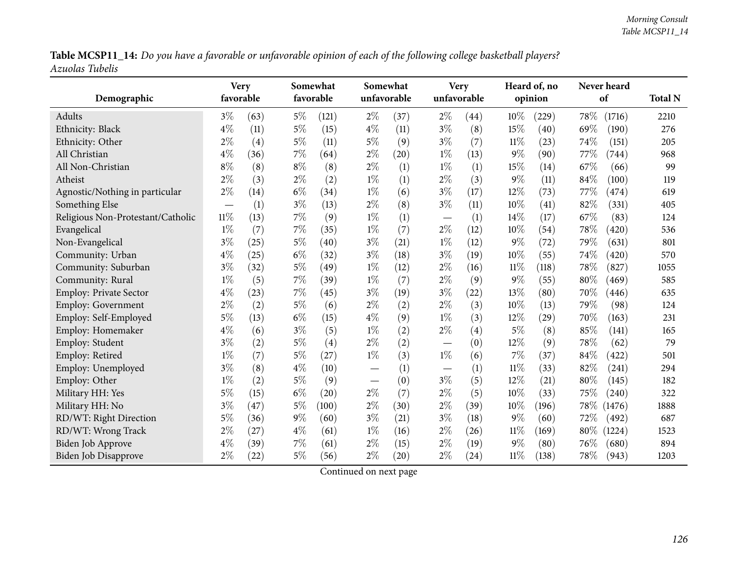Table MCSP11\_14: Do you have a favorable or unfavorable opinion of each of the following college basketball players? *Azuolas Tubelis*

|                                   | <b>Very</b> |      |       | Somewhat  |       | Somewhat    |                          | <b>Very</b> |        | Heard of, no       | Never heard |        |                |
|-----------------------------------|-------------|------|-------|-----------|-------|-------------|--------------------------|-------------|--------|--------------------|-------------|--------|----------------|
| Demographic                       | favorable   |      |       | favorable |       | unfavorable |                          | unfavorable |        | opinion            | of          |        | <b>Total N</b> |
| Adults                            | $3\%$       | (63) | $5\%$ | (121)     | $2\%$ | (37)        | $2\%$                    | (44)        | 10%    | (229)              | 78\%        | (1716) | 2210           |
| Ethnicity: Black                  | $4\%$       | (11) | $5\%$ | (15)      | $4\%$ | (11)        | $3\%$                    | (8)         | 15%    | (40)               | 69%         | (190)  | 276            |
| Ethnicity: Other                  | $2\%$       | (4)  | $5\%$ | (11)      | $5\%$ | (9)         | $3\%$                    | (7)         | $11\%$ | (23)               | 74%         | (151)  | 205            |
| All Christian                     | $4\%$       | (36) | 7%    | (64)      | $2\%$ | (20)        | $1\%$                    | (13)        | $9\%$  | (90)               | 77%         | (744)  | 968            |
| All Non-Christian                 | $8\%$       | (8)  | $8\%$ | (8)       | $2\%$ | (1)         | $1\%$                    | (1)         | 15%    | (14)               | 67%         | (66)   | 99             |
| Atheist                           | $2\%$       | (3)  | $2\%$ | (2)       | $1\%$ | (1)         | $2\%$                    | (3)         | $9\%$  | (11)               | 84%         | (100)  | 119            |
| Agnostic/Nothing in particular    | $2\%$       | (14) | $6\%$ | (34)      | $1\%$ | (6)         | $3\%$                    | (17)        | 12%    | (73)               | 77%         | (474)  | 619            |
| Something Else                    |             | (1)  | $3\%$ | (13)      | $2\%$ | (8)         | $3\%$                    | (11)        | 10%    | (41)               | 82%         | (331)  | 405            |
| Religious Non-Protestant/Catholic | $11\%$      | (13) | 7%    | (9)       | $1\%$ | (1)         | $\overline{\phantom{m}}$ | (1)         | 14%    | (17)               | 67%         | (83)   | 124            |
| Evangelical                       | $1\%$       | (7)  | 7%    | (35)      | $1\%$ | (7)         | $2\%$                    | (12)        | 10%    | (54)               | 78%         | (420)  | 536            |
| Non-Evangelical                   | $3\%$       | (25) | $5\%$ | (40)      | $3\%$ | (21)        | $1\%$                    | (12)        | 9%     | (72)               | 79%         | (631)  | 801            |
| Community: Urban                  | $4\%$       | (25) | $6\%$ | (32)      | $3\%$ | (18)        | $3\%$                    | (19)        | 10%    | (55)               | 74%         | (420)  | 570            |
| Community: Suburban               | $3\%$       | (32) | $5\%$ | (49)      | $1\%$ | (12)        | $2\%$                    | (16)        | 11%    | (118)              | 78%         | (827)  | 1055           |
| Community: Rural                  | $1\%$       | (5)  | $7\%$ | (39)      | $1\%$ | (7)         | $2\%$                    | (9)         | $9\%$  | (55)               | 80%         | (469)  | 585            |
| Employ: Private Sector            | $4\%$       | (23) | 7%    | (45)      | $3\%$ | (19)        | $3\%$                    | (22)        | 13%    | (80)               | 70%         | (446)  | 635            |
| Employ: Government                | $2\%$       | (2)  | $5\%$ | (6)       | $2\%$ | (2)         | $2\%$                    | (3)         | 10%    | (13)               | 79%         | (98)   | 124            |
| Employ: Self-Employed             | 5%          | (13) | $6\%$ | (15)      | $4\%$ | (9)         | $1\%$                    | (3)         | 12%    | $\left( 29\right)$ | 70%         | (163)  | 231            |
| Employ: Homemaker                 | $4\%$       | (6)  | $3\%$ | (5)       | $1\%$ | (2)         | $2\%$                    | (4)         | $5\%$  | (8)                | 85%         | (141)  | 165            |
| Employ: Student                   | $3\%$       | (2)  | $5\%$ | (4)       | $2\%$ | (2)         | $\overline{\phantom{m}}$ | (0)         | 12%    | (9)                | 78%         | (62)   | 79             |
| Employ: Retired                   | $1\%$       | (7)  | $5\%$ | (27)      | $1\%$ | (3)         | $1\%$                    | (6)         | 7%     | (37)               | 84%         | (422)  | 501            |
| Employ: Unemployed                | $3\%$       | (8)  | $4\%$ | (10)      |       | (1)         | $\qquad \qquad -$        | (1)         | $11\%$ | (33)               | 82%         | (241)  | 294            |
| Employ: Other                     | $1\%$       | (2)  | $5\%$ | (9)       |       | (0)         | $3\%$                    | (5)         | 12%    | (21)               | 80%         | (145)  | 182            |
| Military HH: Yes                  | $5\%$       | (15) | $6\%$ | (20)      | $2\%$ | (7)         | $2\%$                    | (5)         | 10%    | (33)               | 75%         | (240)  | 322            |
| Military HH: No                   | $3\%$       | (47) | 5%    | (100)     | $2\%$ | (30)        | $2\%$                    | (39)        | 10%    | (196)              | 78%         | (1476) | 1888           |
| RD/WT: Right Direction            | 5%          | (36) | $9\%$ | (60)      | $3\%$ | (21)        | $3\%$                    | (18)        | 9%     | (60)               | 72\%        | (492)  | 687            |
| RD/WT: Wrong Track                | $2\%$       | (27) | $4\%$ | (61)      | $1\%$ | (16)        | $2\%$                    | (26)        | $11\%$ | (169)              | 80%         | (1224) | 1523           |
| <b>Biden Job Approve</b>          | $4\%$       | (39) | 7%    | (61)      | $2\%$ | (15)        | $2\%$                    | (19)        | 9%     | (80)               | 76%         | (680)  | 894            |
| <b>Biden Job Disapprove</b>       | $2\%$       | (22) | $5\%$ | (56)      | $2\%$ | (20)        | $2\%$                    | (24)        | $11\%$ | (138)              | 78%         | (943)  | 1203           |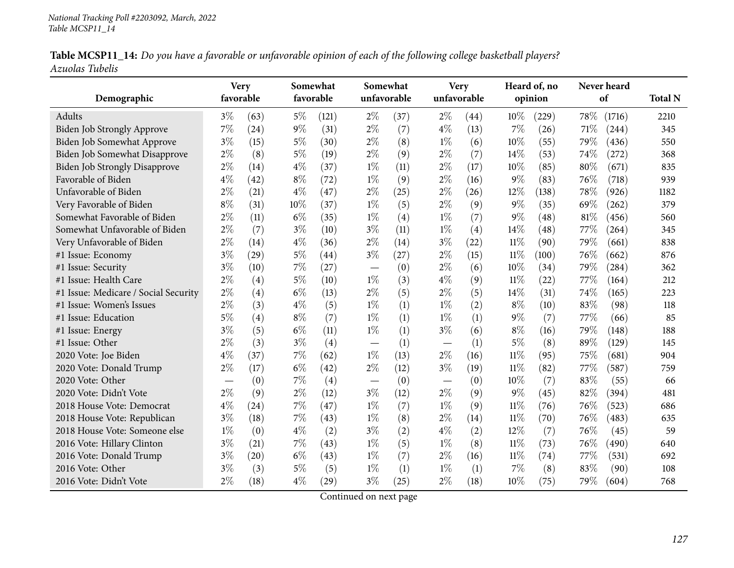|                 | Table MCSP11_14: Do you have a favorable or unfavorable opinion of each of the following college basketball players? |  |  |  |
|-----------------|----------------------------------------------------------------------------------------------------------------------|--|--|--|
| Azuolas Tubelis |                                                                                                                      |  |  |  |

|                                      | <b>Very</b> |      |       | Somewhat  | Somewhat                        |      |       | <b>Very</b> |        | Heard of, no |     | Never heard |                |
|--------------------------------------|-------------|------|-------|-----------|---------------------------------|------|-------|-------------|--------|--------------|-----|-------------|----------------|
| Demographic                          | favorable   |      |       | favorable | unfavorable                     |      |       | unfavorable |        | opinion      |     | of          | <b>Total N</b> |
| Adults                               | $3\%$       | (63) | $5\%$ | (121)     | $2\%$                           | (37) | $2\%$ | (44)        | 10%    | (229)        | 78% | (1716)      | 2210           |
| Biden Job Strongly Approve           | 7%          | (24) | $9\%$ | (31)      | $2\%$                           | (7)  | $4\%$ | (13)        | $7\%$  | (26)         | 71% | (244)       | 345            |
| Biden Job Somewhat Approve           | $3\%$       | (15) | $5\%$ | (30)      | $2\%$                           | (8)  | $1\%$ | (6)         | 10%    | (55)         | 79% | (436)       | 550            |
| Biden Job Somewhat Disapprove        | $2\%$       | (8)  | $5\%$ | (19)      | $2\%$                           | (9)  | $2\%$ | (7)         | 14\%   | (53)         | 74% | (272)       | 368            |
| <b>Biden Job Strongly Disapprove</b> | $2\%$       | (14) | $4\%$ | (37)      | $1\%$                           | (11) | $2\%$ | (17)        | 10%    | (85)         | 80% | (671)       | 835            |
| Favorable of Biden                   | $4\%$       | (42) | $8\%$ | (72)      | $1\%$                           | (9)  | $2\%$ | (16)        | $9\%$  | (83)         | 76% | (718)       | 939            |
| Unfavorable of Biden                 | $2\%$       | (21) | $4\%$ | (47)      | $2\%$                           | (25) | $2\%$ | (26)        | 12%    | (138)        | 78% | (926)       | 1182           |
| Very Favorable of Biden              | $8\%$       | (31) | 10%   | (37)      | $1\%$                           | (5)  | $2\%$ | (9)         | $9\%$  | (35)         | 69% | (262)       | 379            |
| Somewhat Favorable of Biden          | $2\%$       | (11) | $6\%$ | (35)      | $1\%$                           | (4)  | $1\%$ | (7)         | $9\%$  | (48)         | 81% | (456)       | 560            |
| Somewhat Unfavorable of Biden        | $2\%$       | (7)  | $3\%$ | (10)      | $3\%$                           | (11) | $1\%$ | (4)         | 14%    | (48)         | 77% | (264)       | 345            |
| Very Unfavorable of Biden            | $2\%$       | (14) | $4\%$ | (36)      | $2\%$                           | (14) | $3\%$ | (22)        | $11\%$ | (90)         | 79% | (661)       | 838            |
| #1 Issue: Economy                    | $3\%$       | (29) | $5\%$ | (44)      | $3\%$                           | (27) | $2\%$ | (15)        | $11\%$ | (100)        | 76% | (662)       | 876            |
| #1 Issue: Security                   | $3\%$       | (10) | 7%    | (27)      | $\hspace{0.1mm}-\hspace{0.1mm}$ | (0)  | $2\%$ | (6)         | 10%    | (34)         | 79% | (284)       | 362            |
| #1 Issue: Health Care                | $2\%$       | (4)  | $5\%$ | (10)      | $1\%$                           | (3)  | $4\%$ | (9)         | $11\%$ | (22)         | 77% | (164)       | 212            |
| #1 Issue: Medicare / Social Security | $2\%$       | (4)  | $6\%$ | (13)      | $2\%$                           | (5)  | $2\%$ | (5)         | 14%    | (31)         | 74% | (165)       | 223            |
| #1 Issue: Women's Issues             | $2\%$       | (3)  | $4\%$ | (5)       | $1\%$                           | (1)  | $1\%$ | (2)         | $8\%$  | (10)         | 83% | (98)        | 118            |
| #1 Issue: Education                  | 5%          | (4)  | $8\%$ | (7)       | $1\%$                           | (1)  | $1\%$ | (1)         | $9\%$  | (7)          | 77% | (66)        | 85             |
| #1 Issue: Energy                     | $3\%$       | (5)  | $6\%$ | (11)      | $1\%$                           | (1)  | $3\%$ | (6)         | $8\%$  | (16)         | 79% | (148)       | 188            |
| #1 Issue: Other                      | $2\%$       | (3)  | $3\%$ | (4)       |                                 | (1)  |       | (1)         | $5\%$  | (8)          | 89% | (129)       | 145            |
| 2020 Vote: Joe Biden                 | $4\%$       | (37) | 7%    | (62)      | $1\%$                           | (13) | $2\%$ | (16)        | $11\%$ | (95)         | 75% | (681)       | 904            |
| 2020 Vote: Donald Trump              | $2\%$       | (17) | $6\%$ | (42)      | $2\%$                           | (12) | $3\%$ | (19)        | $11\%$ | (82)         | 77% | (587)       | 759            |
| 2020 Vote: Other                     |             | (0)  | 7%    | (4)       |                                 | (0)  |       | (0)         | 10%    | (7)          | 83% | (55)        | 66             |
| 2020 Vote: Didn't Vote               | $2\%$       | (9)  | $2\%$ | (12)      | $3\%$                           | (12) | $2\%$ | (9)         | $9\%$  | (45)         | 82% | (394)       | 481            |
| 2018 House Vote: Democrat            | $4\%$       | (24) | 7%    | (47)      | $1\%$                           | (7)  | $1\%$ | (9)         | $11\%$ | (76)         | 76% | (523)       | 686            |
| 2018 House Vote: Republican          | $3\%$       | (18) | 7%    | (43)      | $1\%$                           | (8)  | $2\%$ | (14)        | $11\%$ | (70)         | 76% | (483)       | 635            |
| 2018 House Vote: Someone else        | $1\%$       | (0)  | $4\%$ | (2)       | $3\%$                           | (2)  | $4\%$ | (2)         | 12%    | (7)          | 76% | (45)        | 59             |
| 2016 Vote: Hillary Clinton           | $3\%$       | (21) | 7%    | (43)      | $1\%$                           | (5)  | $1\%$ | (8)         | $11\%$ | (73)         | 76% | (490)       | 640            |
| 2016 Vote: Donald Trump              | $3\%$       | (20) | $6\%$ | (43)      | $1\%$                           | (7)  | $2\%$ | (16)        | $11\%$ | (74)         | 77% | (531)       | 692            |
| 2016 Vote: Other                     | $3\%$       | (3)  | 5%    | (5)       | $1\%$                           | (1)  | $1\%$ | (1)         | 7%     | (8)          | 83% | (90)        | 108            |
| 2016 Vote: Didn't Vote               | $2\%$       | (18) | $4\%$ | (29)      | $3\%$                           | (25) | $2\%$ | (18)        | 10%    | (75)         | 79% | (604)       | 768            |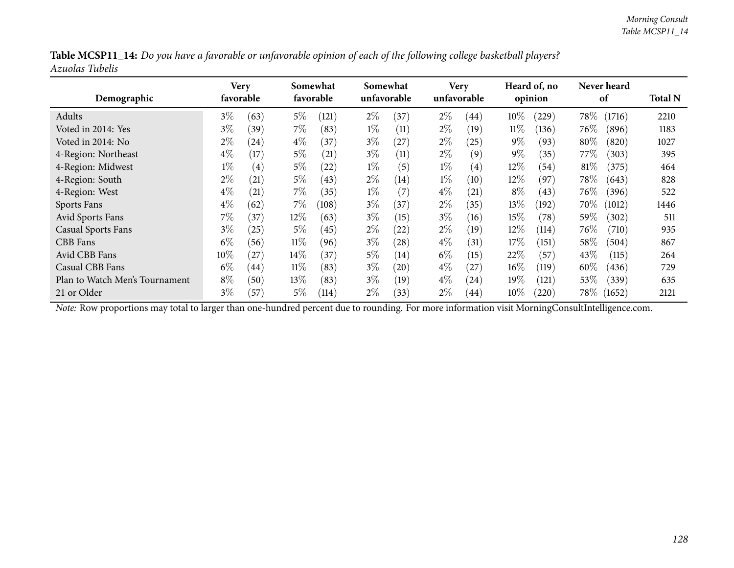|                 |  |  | Table MCSP11_14: Do you have a favorable or unfavorable opinion of each of the following college basketball players? |
|-----------------|--|--|----------------------------------------------------------------------------------------------------------------------|
| Azuolas Tubelis |  |  |                                                                                                                      |

| Demographic                    | Very   | favorable |        | Somewhat<br>favorable | Somewhat | unfavorable |       | <b>Very</b><br>unfavorable |        | Heard of, no<br>opinion |        | Never heard<br>of | <b>Total N</b> |
|--------------------------------|--------|-----------|--------|-----------------------|----------|-------------|-------|----------------------------|--------|-------------------------|--------|-------------------|----------------|
| Adults                         | $3\%$  | (63)      | $5\%$  | (121)                 | $2\%$    | (37)        | $2\%$ | (44)                       | $10\%$ | (229)                   | 78\%   | (1716)            | 2210           |
| Voted in 2014: Yes             | $3\%$  | (39)      | $7\%$  | (83)                  | $1\%$    | (11)        | $2\%$ | (19)                       | $11\%$ | (136)                   | 76\%   | (896)             | 1183           |
| Voted in 2014: No              | $2\%$  | (24)      | $4\%$  | (37)                  | $3\%$    | (27)        | $2\%$ | (25)                       | $9\%$  | (93)                    | 80%    | (820)             | 1027           |
| 4-Region: Northeast            | $4\%$  | (17)      | $5\%$  | (21)                  | $3\%$    | (11)        | $2\%$ | (9)                        | $9\%$  | (35)                    | 77\%   | (303)             | 395            |
| 4-Region: Midwest              | $1\%$  | (4)       | $5\%$  | (22)                  | $1\%$    | (5)         | $1\%$ | $\left( 4\right)$          | $12\%$ | (54)                    | 81\%   | (375)             | 464            |
| 4-Region: South                | $2\%$  | (21)      | $5\%$  | (43)                  | $2\%$    | (14)        | $1\%$ | (10)                       | $12\%$ | (97)                    | $78\%$ | (643)             | 828            |
| 4-Region: West                 | $4\%$  | (21)      | $7\%$  | (35)                  | $1\%$    | (7)         | $4\%$ | (21)                       | $8\%$  | (43)                    | 76%    | (396)             | 522            |
| Sports Fans                    | $4\%$  | (62)      | 7%     | (108)                 | $3\%$    | (37)        | $2\%$ | (35)                       | $13\%$ | (192)                   | 70%    | (1012)            | 1446           |
| Avid Sports Fans               | $7\%$  | (37)      | $12\%$ | (63)                  | $3\%$    | (15)        | $3\%$ | (16)                       | 15%    | (78)                    | 59%    | (302)             | 511            |
| <b>Casual Sports Fans</b>      | $3\%$  | (25)      | $5\%$  | (45)                  | $2\%$    | (22)        | $2\%$ | (19)                       | $12\%$ | (114)                   | 76\%   | (710)             | 935            |
| CBB Fans                       | $6\%$  | (56)      | $11\%$ | (96)                  | $3\%$    | (28)        | $4\%$ | (31)                       | 17%    | (151)                   | $58\%$ | (504)             | 867            |
| Avid CBB Fans                  | $10\%$ | (27)      | $14\%$ | (37)                  | $5\%$    | (14)        | $6\%$ | (15)                       | 22%    | (57)                    | 43%    | (115)             | 264            |
| Casual CBB Fans                | $6\%$  | (44)      | $11\%$ | (83)                  | $3\%$    | (20)        | $4\%$ | (27)                       | $16\%$ | (119)                   | $60\%$ | (436)             | 729            |
| Plan to Watch Men's Tournament | $8\%$  | (50)      | $13\%$ | (83)                  | $3\%$    | (19)        | $4\%$ | (24)                       | $19\%$ | (121)                   | $53\%$ | (339)             | 635            |
| 21 or Older                    | $3\%$  | (57)      | $5\%$  | (114)                 | $2\%$    | (33)        | $2\%$ | (44)                       | $10\%$ | (220)                   | $78\%$ | (1652)            | 2121           |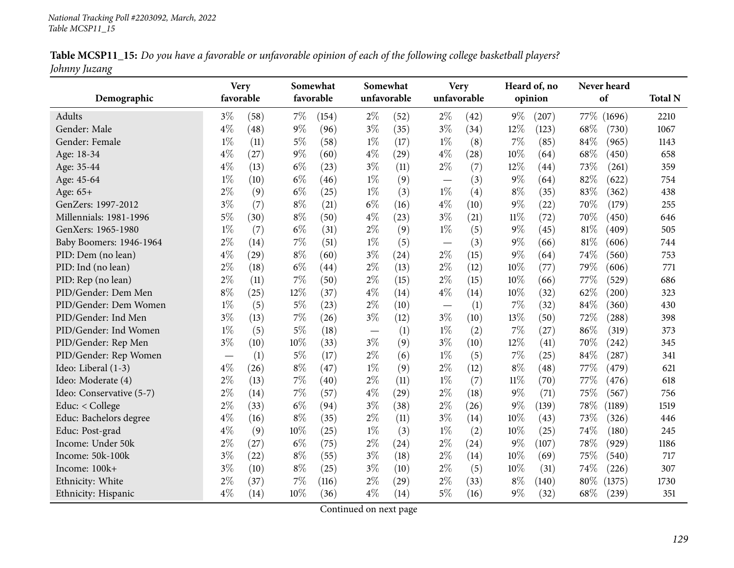|               | Table MCSP11_15: Do you have a favorable or unfavorable opinion of each of the following college basketball players? |
|---------------|----------------------------------------------------------------------------------------------------------------------|
| Johnny Juzang |                                                                                                                      |

| Demographic              | <b>Very</b><br>favorable |      |       | Somewhat<br>favorable | Somewhat                 | unfavorable        | <b>Very</b><br>unfavorable |      |        | Heard of, no<br>opinion | Never heard<br>of | <b>Total N</b> |
|--------------------------|--------------------------|------|-------|-----------------------|--------------------------|--------------------|----------------------------|------|--------|-------------------------|-------------------|----------------|
| Adults                   | $3\%$                    | (58) | 7%    | (154)                 | $2\%$                    | (52)               | $2\%$                      | (42) | $9\%$  | (207)                   | 77\%<br>(1696)    | 2210           |
| Gender: Male             | $4\%$                    | (48) | 9%    | (96)                  | $3\%$                    | (35)               | $3\%$                      | (34) | 12%    | (123)                   | 68%<br>(730)      | 1067           |
| Gender: Female           | $1\%$                    | (11) | $5\%$ | (58)                  | $1\%$                    | (17)               | $1\%$                      | (8)  | 7%     | (85)                    | 84%<br>(965)      | 1143           |
| Age: 18-34               | $4\%$                    | (27) | $9\%$ | (60)                  | $4\%$                    | (29)               | $4\%$                      | (28) | 10%    | (64)                    | 68%<br>(450)      | 658            |
| Age: 35-44               | $4\%$                    | (13) | $6\%$ | (23)                  | $3\%$                    | (11)               | $2\%$                      | (7)  | 12%    | (44)                    | 73%<br>(261)      | 359            |
| Age: 45-64               | $1\%$                    | (10) | $6\%$ | (46)                  | $1\%$                    | (9)                |                            | (3)  | $9\%$  | (64)                    | 82%<br>(622)      | 754            |
| Age: 65+                 | $2\%$                    | (9)  | $6\%$ | (25)                  | $1\%$                    | (3)                | $1\%$                      | (4)  | $8\%$  | (35)                    | 83%<br>(362)      | 438            |
| GenZers: 1997-2012       | $3\%$                    | (7)  | $8\%$ | (21)                  | $6\%$                    | (16)               | $4\%$                      | (10) | $9\%$  | (22)                    | 70%<br>(179)      | 255            |
| Millennials: 1981-1996   | $5\%$                    | (30) | $8\%$ | (50)                  | $4\%$                    | (23)               | $3\%$                      | (21) | $11\%$ | (72)                    | 70%<br>(450)      | 646            |
| GenXers: 1965-1980       | $1\%$                    | (7)  | $6\%$ | (31)                  | $2\%$                    | (9)                | $1\%$                      | (5)  | $9\%$  | (45)                    | 81%<br>(409)      | 505            |
| Baby Boomers: 1946-1964  | $2\%$                    | (14) | 7%    | (51)                  | $1\%$                    | (5)                |                            | (3)  | $9\%$  | (66)                    | 81%<br>(606)      | 744            |
| PID: Dem (no lean)       | $4\%$                    | (29) | $8\%$ | (60)                  | $3\%$                    | (24)               | $2\%$                      | (15) | $9\%$  | (64)                    | 74%<br>(560)      | 753            |
| PID: Ind (no lean)       | $2\%$                    | (18) | $6\%$ | (44)                  | $2\%$                    | (13)               | $2\%$                      | (12) | 10%    | (77)                    | 79%<br>(606)      | 771            |
| PID: Rep (no lean)       | $2\%$                    | (11) | 7%    | (50)                  | $2\%$                    | (15)               | $2\%$                      | (15) | 10%    | (66)                    | 77%<br>(529)      | 686            |
| PID/Gender: Dem Men      | $8\%$                    | (25) | 12%   | (37)                  | $4\%$                    | (14)               | $4\%$                      | (14) | $10\%$ | (32)                    | 62%<br>(200)      | 323            |
| PID/Gender: Dem Women    | $1\%$                    | (5)  | 5%    | (23)                  | $2\%$                    | (10)               |                            | (1)  | $7\%$  | (32)                    | 84%<br>(360)      | 430            |
| PID/Gender: Ind Men      | $3\%$                    | (13) | 7%    | (26)                  | $3\%$                    | (12)               | $3\%$                      | (10) | 13%    | (50)                    | 72%<br>(288)      | 398            |
| PID/Gender: Ind Women    | $1\%$                    | (5)  | $5\%$ | (18)                  | $\overline{\phantom{m}}$ | (1)                | $1\%$                      | (2)  | $7\%$  | (27)                    | 86%<br>(319)      | 373            |
| PID/Gender: Rep Men      | $3\%$                    | (10) | 10%   | (33)                  | $3\%$                    | (9)                | $3\%$                      | (10) | $12\%$ | (41)                    | 70%<br>(242)      | 345            |
| PID/Gender: Rep Women    |                          | (1)  | $5\%$ | (17)                  | $2\%$                    | (6)                | $1\%$                      | (5)  | $7\%$  | (25)                    | 84%<br>(287)      | 341            |
| Ideo: Liberal (1-3)      | $4\%$                    | (26) | $8\%$ | (47)                  | $1\%$                    | (9)                | $2\%$                      | (12) | $8\%$  | (48)                    | 77%<br>(479)      | 621            |
| Ideo: Moderate (4)       | $2\%$                    | (13) | 7%    | (40)                  | $2\%$                    | (11)               | $1\%$                      | (7)  | $11\%$ | (70)                    | 77%<br>(476)      | 618            |
| Ideo: Conservative (5-7) | $2\%$                    | (14) | 7%    | (57)                  | $4\%$                    | $\left( 29\right)$ | $2\%$                      | (18) | $9\%$  | (71)                    | $75\%$<br>(567)   | 756            |
| Educ: < College          | $2\%$                    | (33) | $6\%$ | (94)                  | $3\%$                    | (38)               | $2\%$                      | (26) | $9\%$  | (139)                   | 78%<br>(1189)     | 1519           |
| Educ: Bachelors degree   | $4\%$                    | (16) | $8\%$ | (35)                  | $2\%$                    | (11)               | $3\%$                      | (14) | 10%    | (43)                    | 73%<br>(326)      | 446            |
| Educ: Post-grad          | $4\%$                    | (9)  | 10%   | (25)                  | $1\%$                    | (3)                | $1\%$                      | (2)  | 10%    | (25)                    | 74%<br>(180)      | 245            |
| Income: Under 50k        | $2\%$                    | (27) | $6\%$ | (75)                  | $2\%$                    | (24)               | $2\%$                      | (24) | $9\%$  | (107)                   | 78%<br>(929)      | 1186           |
| Income: 50k-100k         | $3\%$                    | (22) | $8\%$ | (55)                  | $3\%$                    | (18)               | $2\%$                      | (14) | 10%    | (69)                    | 75%<br>(540)      | 717            |
| Income: 100k+            | $3\%$                    | (10) | $8\%$ | (25)                  | $3\%$                    | (10)               | $2\%$                      | (5)  | 10%    | (31)                    | 74%<br>(226)      | 307            |
| Ethnicity: White         | $2\%$                    | (37) | 7%    | (116)                 | $2\%$                    | (29)               | $2\%$                      | (33) | $8\%$  | (140)                   | 80%<br>(1375)     | 1730           |
| Ethnicity: Hispanic      | $4\%$                    | (14) | 10%   | (36)                  | $4\%$                    | (14)               | $5\%$                      | (16) | $9\%$  | (32)                    | 68%<br>(239)      | 351            |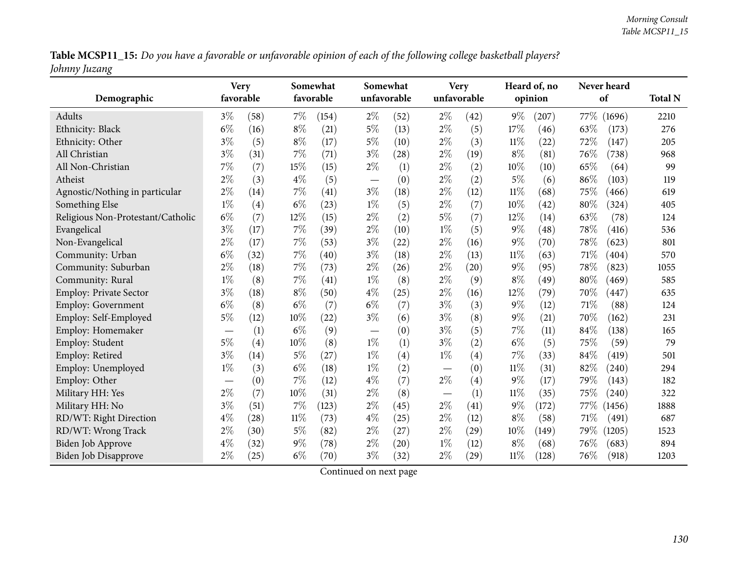Table MCSP11\_15: Do you have a favorable or unfavorable opinion of each of the following college basketball players? *Johnny Juzang*

| Demographic                       | <b>Very</b><br>favorable |      |        | Somewhat<br>favorable |                               | Somewhat<br>unfavorable |                          | <b>Very</b><br>unfavorable |        | Heard of, no<br>opinion |      | Never heard<br>of | <b>Total N</b> |
|-----------------------------------|--------------------------|------|--------|-----------------------|-------------------------------|-------------------------|--------------------------|----------------------------|--------|-------------------------|------|-------------------|----------------|
| Adults                            | $3\%$                    | (58) | $7\%$  | (154)                 | $2\%$                         | (52)                    | $2\%$                    | (42)                       | $9\%$  | (207)                   |      | 77\% (1696)       | 2210           |
| Ethnicity: Black                  | $6\%$                    | (16) | $8\%$  | (21)                  | $5\%$                         | (13)                    | $2\%$                    | (5)                        | 17%    | (46)                    | 63%  | (173)             | 276            |
| Ethnicity: Other                  | $3\%$                    | (5)  | $8\%$  | (17)                  | $5\%$                         | (10)                    | $2\%$                    | (3)                        | $11\%$ | (22)                    | 72%  | (147)             | 205            |
| All Christian                     | $3\%$                    | (31) | 7%     | (71)                  | $3\%$                         | (28)                    | $2\%$                    | (19)                       | $8\%$  | (81)                    | 76%  | (738)             | 968            |
| All Non-Christian                 | 7%                       | (7)  | 15%    | (15)                  | $2\%$                         | (1)                     | $2\%$                    | (2)                        | 10%    | (10)                    | 65%  | (64)              | 99             |
| Atheist                           | $2\%$                    | (3)  | $4\%$  | (5)                   |                               | (0)                     | $2\%$                    | (2)                        | $5\%$  | (6)                     | 86%  | (103)             | 119            |
| Agnostic/Nothing in particular    | $2\%$                    | (14) | 7%     | (41)                  | $3\%$                         | (18)                    | $2\%$                    | (12)                       | $11\%$ | (68)                    | 75%  | (466)             | 619            |
| Something Else                    | $1\%$                    | (4)  | $6\%$  | (23)                  | $1\%$                         | (5)                     | $2\%$                    | (7)                        | 10%    | (42)                    | 80%  | (324)             | 405            |
| Religious Non-Protestant/Catholic | $6\%$                    | (7)  | 12%    | (15)                  | $2\%$                         | (2)                     | $5\%$                    | (7)                        | 12%    | (14)                    | 63%  | (78)              | 124            |
| Evangelical                       | $3\%$                    | (17) | $7\%$  | (39)                  | $2\%$                         | (10)                    | $1\%$                    | (5)                        | 9%     | $\left( 48\right)$      | 78%  | (416)             | 536            |
| Non-Evangelical                   | $2\%$                    | (17) | 7%     | (53)                  | $3\%$                         | (22)                    | $2\%$                    | (16)                       | 9%     | (70)                    | 78%  | (623)             | 801            |
| Community: Urban                  | $6\%$                    | (32) | 7%     | (40)                  | $3\%$                         | (18)                    | $2\%$                    | (13)                       | $11\%$ | (63)                    | 71%  | (404)             | 570            |
| Community: Suburban               | $2\%$                    | (18) | 7%     | (73)                  | $2\%$                         | (26)                    | $2\%$                    | (20)                       | $9\%$  | (95)                    | 78%  | (823)             | 1055           |
| Community: Rural                  | $1\%$                    | (8)  | 7%     | (41)                  | $1\%$                         | (8)                     | $2\%$                    | (9)                        | $8\%$  | (49)                    | 80%  | (469)             | 585            |
| Employ: Private Sector            | $3\%$                    | (18) | $8\%$  | (50)                  | $4\%$                         | (25)                    | $2\%$                    | (16)                       | 12%    | (79)                    | 70%  | (447)             | 635            |
| <b>Employ: Government</b>         | $6\%$                    | (8)  | $6\%$  | (7)                   | $6\%$                         | (7)                     | $3\%$                    | (3)                        | $9\%$  | (12)                    | 71%  | (88)              | 124            |
| Employ: Self-Employed             | $5\%$                    | (12) | 10%    | (22)                  | $3\%$                         | (6)                     | $3\%$                    | (8)                        | 9%     | $\left( 21\right)$      | 70%  | (162)             | 231            |
| Employ: Homemaker                 |                          | (1)  | $6\%$  | (9)                   | $\overbrace{\phantom{13333}}$ | (0)                     | $3\%$                    | (5)                        | 7%     | (11)                    | 84%  | (138)             | 165            |
| Employ: Student                   | 5%                       | (4)  | 10%    | (8)                   | $1\%$                         | (1)                     | $3\%$                    | (2)                        | $6\%$  | (5)                     | 75%  | (59)              | 79             |
| Employ: Retired                   | $3\%$                    | (14) | $5\%$  | (27)                  | $1\%$                         | (4)                     | $1\%$                    | (4)                        | 7%     | (33)                    | 84%  | (419)             | 501            |
| Employ: Unemployed                | $1\%$                    | (3)  | $6\%$  | (18)                  | $1\%$                         | (2)                     |                          | (0)                        | $11\%$ | (31)                    | 82%  | (240)             | 294            |
| Employ: Other                     |                          | (0)  | $7\%$  | (12)                  | $4\%$                         | (7)                     | $2\%$                    | (4)                        | $9\%$  | (17)                    | 79%  | (143)             | 182            |
| Military HH: Yes                  | $2\%$                    | (7)  | 10%    | (31)                  | $2\%$                         | (8)                     | $\overline{\phantom{m}}$ | (1)                        | $11\%$ | (35)                    | 75%  | (240)             | 322            |
| Military HH: No                   | $3\%$                    | (51) | $7\%$  | (123)                 | $2\%$                         | (45)                    | $2\%$                    | (41)                       | $9\%$  | (172)                   | 77\% | (1456)            | 1888           |
| RD/WT: Right Direction            | $4\%$                    | (28) | $11\%$ | (73)                  | $4\%$                         | (25)                    | $2\%$                    | (12)                       | $8\%$  | (58)                    | 71%  | (491)             | 687            |
| RD/WT: Wrong Track                | $2\%$                    | (30) | $5\%$  | (82)                  | $2\%$                         | (27)                    | $2\%$                    | (29)                       | 10%    | (149)                   | 79%  | (1205)            | 1523           |
| <b>Biden Job Approve</b>          | $4\%$                    | (32) | $9\%$  | (78)                  | $2\%$                         | (20)                    | $1\%$                    | (12)                       | $8\%$  | (68)                    | 76%  | (683)             | 894            |
| <b>Biden Job Disapprove</b>       | $2\%$                    | (25) | $6\%$  | (70)                  | $3\%$                         | (32)                    | $2\%$                    | (29)                       | $11\%$ | (128)                   | 76%  | (918)             | 1203           |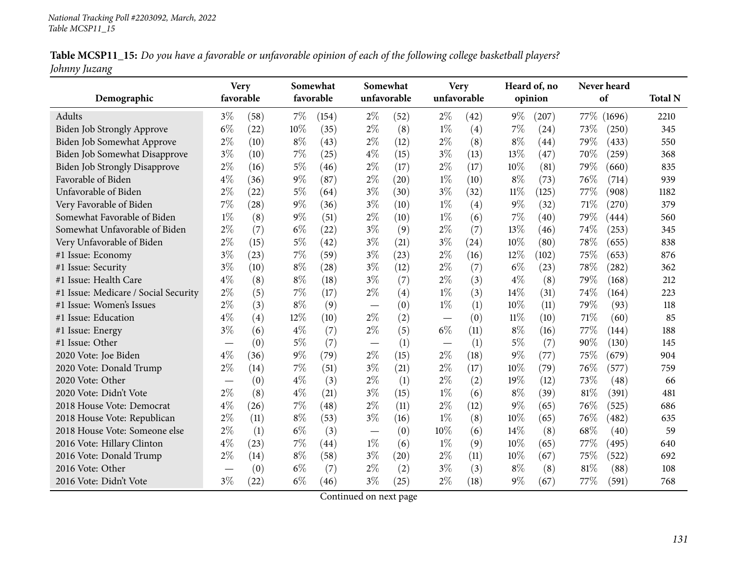|               | Table MCSP11_15: Do you have a favorable or unfavorable opinion of each of the following college basketball players? |  |
|---------------|----------------------------------------------------------------------------------------------------------------------|--|
| Johnny Juzang |                                                                                                                      |  |

| Demographic                          | <b>Very</b><br>favorable         |      |       | Somewhat<br>favorable |       | Somewhat<br>unfavorable |       | <b>Very</b><br>unfavorable |        | Heard of, no<br>opinion | Never heard<br>of |        | <b>Total N</b> |
|--------------------------------------|----------------------------------|------|-------|-----------------------|-------|-------------------------|-------|----------------------------|--------|-------------------------|-------------------|--------|----------------|
| Adults                               | $3\%$                            | (58) | $7\%$ | (154)                 | $2\%$ | (52)                    | $2\%$ | (42)                       | $9\%$  | (207)                   | 77\%              | (1696) | 2210           |
| Biden Job Strongly Approve           | $6\%$                            | (22) | 10%   | (35)                  | $2\%$ | (8)                     | $1\%$ | (4)                        | 7%     | (24)                    | 73%               | (250)  | 345            |
| Biden Job Somewhat Approve           | $2\%$                            | (10) | $8\%$ | (43)                  | $2\%$ | (12)                    | $2\%$ | (8)                        | $8\%$  | (44)                    | 79%               | (433)  | 550            |
| Biden Job Somewhat Disapprove        | $3\%$                            | (10) | 7%    | (25)                  | $4\%$ | (15)                    | $3\%$ | (13)                       | 13%    | (47)                    | 70%               | (259)  | 368            |
| <b>Biden Job Strongly Disapprove</b> | $2\%$                            | (16) | $5\%$ | (46)                  | $2\%$ | (17)                    | $2\%$ | (17)                       | 10%    | (81)                    | 79%               | (660)  | 835            |
| Favorable of Biden                   | $4\%$                            | (36) | $9\%$ | (87)                  | $2\%$ | (20)                    | $1\%$ | (10)                       | $8\%$  | (73)                    | 76%               | (714)  | 939            |
| Unfavorable of Biden                 | $2\%$                            | (22) | $5\%$ | (64)                  | $3\%$ | (30)                    | $3\%$ | (32)                       | $11\%$ | (125)                   | 77%               | (908)  | 1182           |
| Very Favorable of Biden              | $7\%$                            | (28) | 9%    | (36)                  | $3\%$ | (10)                    | $1\%$ | (4)                        | $9\%$  | (32)                    | 71%               | (270)  | 379            |
| Somewhat Favorable of Biden          | $1\%$                            | (8)  | $9\%$ | (51)                  | $2\%$ | (10)                    | $1\%$ | (6)                        | 7%     | (40)                    | 79%               | (444)  | 560            |
| Somewhat Unfavorable of Biden        | $2\%$                            | (7)  | $6\%$ | (22)                  | $3\%$ | (9)                     | $2\%$ | (7)                        | 13%    | (46)                    | 74%               | (253)  | 345            |
| Very Unfavorable of Biden            | $2\%$                            | (15) | $5\%$ | (42)                  | $3\%$ | (21)                    | $3\%$ | (24)                       | 10%    | (80)                    | 78%               | (655)  | 838            |
| #1 Issue: Economy                    | $3\%$                            | (23) | 7%    | (59)                  | $3\%$ | (23)                    | $2\%$ | (16)                       | 12%    | (102)                   | 75%               | (653)  | 876            |
| #1 Issue: Security                   | $3\%$                            | (10) | $8\%$ | (28)                  | $3\%$ | (12)                    | $2\%$ | (7)                        | $6\%$  | (23)                    | 78%               | (282)  | 362            |
| #1 Issue: Health Care                | $4\%$                            | (8)  | $8\%$ | (18)                  | $3\%$ | (7)                     | $2\%$ | (3)                        | $4\%$  | (8)                     | 79%               | (168)  | 212            |
| #1 Issue: Medicare / Social Security | $2\%$                            | (5)  | 7%    | (17)                  | $2\%$ | (4)                     | $1\%$ | (3)                        | 14%    | (31)                    | 74%               | (164)  | 223            |
| #1 Issue: Women's Issues             | $2\%$                            | (3)  | $8\%$ | (9)                   |       | (0)                     | $1\%$ | (1)                        | 10%    | (11)                    | 79%               | (93)   | 118            |
| #1 Issue: Education                  | $4\%$                            | (4)  | 12%   | (10)                  | $2\%$ | (2)                     |       | (0)                        | $11\%$ | (10)                    | 71%               | (60)   | 85             |
| #1 Issue: Energy                     | $3\%$                            | (6)  | $4\%$ | (7)                   | $2\%$ | (5)                     | $6\%$ | (11)                       | $8\%$  | (16)                    | 77%               | (144)  | 188            |
| #1 Issue: Other                      | $\hspace{0.1mm}-\hspace{0.1mm}$  | (0)  | $5\%$ | (7)                   |       | (1)                     |       | (1)                        | $5\%$  | (7)                     | 90%               | (130)  | 145            |
| 2020 Vote: Joe Biden                 | $4\%$                            | (36) | 9%    | (79)                  | $2\%$ | (15)                    | $2\%$ | (18)                       | $9\%$  | (77)                    | 75%               | (679)  | 904            |
| 2020 Vote: Donald Trump              | $2\%$                            | (14) | $7\%$ | (51)                  | $3\%$ | (21)                    | $2\%$ | (17)                       | 10%    | (79)                    | 76%               | (577)  | 759            |
| 2020 Vote: Other                     |                                  | (0)  | $4\%$ | (3)                   | $2\%$ | (1)                     | $2\%$ | (2)                        | 19%    | (12)                    | 73%               | (48)   | 66             |
| 2020 Vote: Didn't Vote               | $2\%$                            | (8)  | $4\%$ | (21)                  | $3\%$ | (15)                    | $1\%$ | (6)                        | $8\%$  | (39)                    | 81%               | (391)  | 481            |
| 2018 House Vote: Democrat            | $4\%$                            | (26) | 7%    | (48)                  | $2\%$ | (11)                    | $2\%$ | (12)                       | $9\%$  | (65)                    | 76%               | (525)  | 686            |
| 2018 House Vote: Republican          | $2\%$                            | (11) | $8\%$ | (53)                  | $3\%$ | (16)                    | $1\%$ | (8)                        | 10%    | (65)                    | 76%               | (482)  | 635            |
| 2018 House Vote: Someone else        | $2\%$                            | (1)  | $6\%$ | (3)                   |       | (0)                     | 10%   | (6)                        | 14%    | (8)                     | 68%               | (40)   | 59             |
| 2016 Vote: Hillary Clinton           | $4\%$                            | (23) | 7%    | (44)                  | $1\%$ | (6)                     | $1\%$ | (9)                        | 10%    | (65)                    | 77\%              | (495)  | 640            |
| 2016 Vote: Donald Trump              | $2\%$                            | (14) | $8\%$ | (58)                  | $3\%$ | (20)                    | $2\%$ | (11)                       | 10%    | (67)                    | 75%               | (522)  | 692            |
| 2016 Vote: Other                     | $\overbrace{\phantom{12322111}}$ | (0)  | $6\%$ | (7)                   | $2\%$ | (2)                     | $3\%$ | (3)                        | $8\%$  | (8)                     | 81%               | (88)   | 108            |
| 2016 Vote: Didn't Vote               | $3\%$                            | (22) | $6\%$ | (46)                  | $3\%$ | (25)                    | $2\%$ | (18)                       | $9\%$  | (67)                    | 77%               | (591)  | 768            |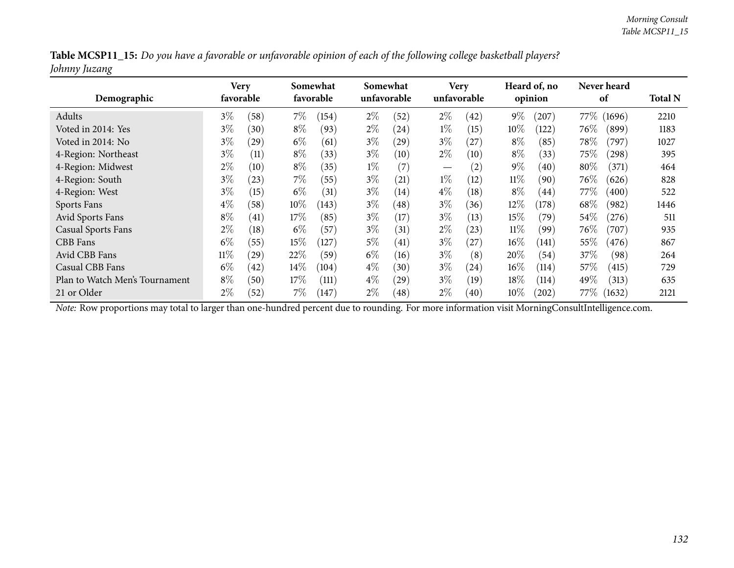| Table MCSP11_15: Do you have a favorable or unfavorable opinion of each of the following college basketball players? |  |
|----------------------------------------------------------------------------------------------------------------------|--|
| Johnny Juzang                                                                                                        |  |

| Demographic                    | Very<br>favorable |           |        | Somewhat<br>favorable |       | Somewhat<br>unfavorable |                                 | <b>Very</b><br>unfavorable |        | Heard of, no<br>opinion |         | Never heard<br>of | <b>Total N</b> |
|--------------------------------|-------------------|-----------|--------|-----------------------|-------|-------------------------|---------------------------------|----------------------------|--------|-------------------------|---------|-------------------|----------------|
| Adults                         | $3\%$             | (58)      | 7%     | (154)                 | $2\%$ | (52)                    | $2\%$                           | (42)                       | $9\%$  | (207)                   | 77\%    | (1696)            | 2210           |
| Voted in 2014: Yes             | $3\%$             | (30)      | $8\%$  | (93)                  | $2\%$ | (24)                    | $1\%$                           | (15)                       | $10\%$ | (122)                   | $76\%$  | (899)             | 1183           |
| Voted in 2014: No              | $3\%$             | $^{(29)}$ | $6\%$  | (61)                  | $3\%$ | (29)                    | $3\%$                           | (27)                       | $8\%$  | (85)                    | $78\%$  | (797)             | 1027           |
| 4-Region: Northeast            | $3\%$             | (11)      | $8\%$  | (33)                  | $3\%$ | (10)                    | $2\%$                           | (10)                       | $8\%$  | (33)                    | 75\%    | (298)             | 395            |
| 4-Region: Midwest              | $2\%$             | (10)      | $8\%$  | (35)                  | $1\%$ | (7)                     | $\hspace{0.1mm}-\hspace{0.1mm}$ | (2)                        | $9\%$  | (40)                    | $80\%$  | (371)             | 464            |
| 4-Region: South                | $3\%$             | (23)      | $7\%$  | (55)                  | $3\%$ | $\left( 21\right)$      | $1\%$                           | (12)                       | $11\%$ | (90)                    | $76\%$  | (626)             | 828            |
| 4-Region: West                 | $3\%$             | (15)      | $6\%$  | (31)                  | $3\%$ | (14)                    | $4\%$                           | (18)                       | $8\%$  | (44)                    | 77%     | (400)             | 522            |
| Sports Fans                    | $4\%$             | (58)      | $10\%$ | (143)                 | $3\%$ | (48)                    | $3\%$                           | (36)                       | $12\%$ | (178)                   | 68\%    | (982)             | 1446           |
| Avid Sports Fans               | $8\%$             | (41)      | $17\%$ | (85)                  | $3\%$ | (17)                    | $3\%$                           | (13)                       | 15%    | (79)                    | $54\%$  | (276)             | 511            |
| <b>Casual Sports Fans</b>      | $2\%$             | (18)      | $6\%$  | (57)                  | $3\%$ | (31)                    | $2\%$                           | (23)                       | $11\%$ | (99)                    | $76\%$  | (707)             | 935            |
| <b>CBB</b> Fans                | $6\%$             | (55)      | 15%    | (127)                 | $5\%$ | (41)                    | $3\%$                           | (27)                       | $16\%$ | (141)                   | 55%     | (476)             | 867            |
| Avid CBB Fans                  | $11\%$            | $^{'}29)$ | 22%    | (59)                  | $6\%$ | (16)                    | $3\%$                           | (8)                        | 20%    | (54)                    | 37%     | (98)              | 264            |
| Casual CBB Fans                | $6\%$             | (42)      | $14\%$ | (104)                 | $4\%$ | (30)                    | $3\%$                           | (24)                       | $16\%$ | (114)                   | 57\%    | (415)             | 729            |
| Plan to Watch Men's Tournament | $8\%$             | (50)      | 17%    | (111)                 | $4\%$ | (29)                    | $3\%$                           | (19)                       | 18%    | (114)                   | 49%     | (313)             | 635            |
| 21 or Older                    | $2\%$             | (52)      | 7%     | (147)                 | $2\%$ | (48)                    | $2\%$                           | (40)                       | $10\%$ | (202)                   | 77 $\%$ | (1632)            | 2121           |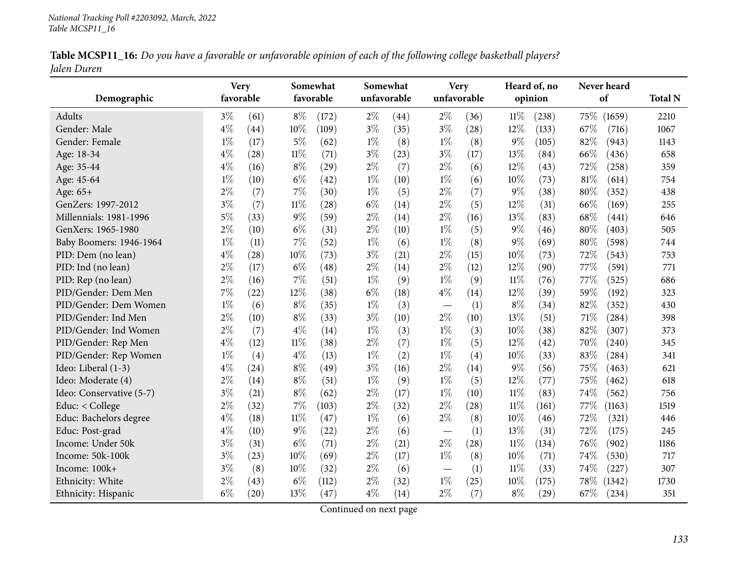|             | Table MCSP11_16: Do you have a favorable or unfavorable opinion of each of the following college basketball players? |  |
|-------------|----------------------------------------------------------------------------------------------------------------------|--|
| Jalen Duren |                                                                                                                      |  |

| Demographic              | <b>Very</b><br>favorable |                    |        | Somewhat<br>favorable | Somewhat<br>unfavorable |      |                          | <b>Very</b><br>unfavorable |        | Heard of, no<br>opinion | Never heard<br>of |        | <b>Total N</b> |
|--------------------------|--------------------------|--------------------|--------|-----------------------|-------------------------|------|--------------------------|----------------------------|--------|-------------------------|-------------------|--------|----------------|
| Adults                   | $3\%$                    | (61)               | $8\%$  | (172)                 | $2\%$                   | (44) | $2\%$                    | (36)                       | $11\%$ | (238)                   | 75%               | (1659) | 2210           |
| Gender: Male             | $4\%$                    | (44)               | 10%    | (109)                 | $3\%$                   | (35) | $3\%$                    | (28)                       | 12%    | (133)                   | 67%               | (716)  | 1067           |
| Gender: Female           | $1\%$                    | (17)               | $5\%$  | (62)                  | $1\%$                   | (8)  | $1\%$                    | (8)                        | 9%     | (105)                   | 82%               | (943)  | 1143           |
| Age: 18-34               | $4\%$                    | (28)               | $11\%$ | (71)                  | $3\%$                   | (23) | $3\%$                    | (17)                       | 13%    | (84)                    | 66%               | (436)  | 658            |
| Age: 35-44               | $4\%$                    | (16)               | $8\%$  | (29)                  | $2\%$                   | (7)  | $2\%$                    | (6)                        | 12%    | (43)                    | 72%               | (258)  | 359            |
| Age: 45-64               | $1\%$                    | (10)               | $6\%$  | (42)                  | $1\%$                   | (10) | $1\%$                    | (6)                        | 10%    | (73)                    | 81%               | (614)  | 754            |
| Age: 65+                 | $2\%$                    | (7)                | 7%     | (30)                  | $1\%$                   | (5)  | $2\%$                    | (7)                        | 9%     | (38)                    | 80%               | (352)  | 438            |
| GenZers: 1997-2012       | $3\%$                    | (7)                | $11\%$ | (28)                  | $6\%$                   | (14) | $2\%$                    | (5)                        | 12%    | (31)                    | 66%               | (169)  | 255            |
| Millennials: 1981-1996   | $5\%$                    | (33)               | $9\%$  | (59)                  | $2\%$                   | (14) | $2\%$                    | (16)                       | 13%    | (83)                    | 68%               | (441)  | 646            |
| GenXers: 1965-1980       | $2\%$                    | (10)               | $6\%$  | (31)                  | $2\%$                   | (10) | $1\%$                    | (5)                        | 9%     | (46)                    | 80%               | (403)  | 505            |
| Baby Boomers: 1946-1964  | $1\%$                    | (11)               | 7%     | (52)                  | $1\%$                   | (6)  | $1\%$                    | (8)                        | 9%     | (69)                    | 80%               | (598)  | 744            |
| PID: Dem (no lean)       | $4\%$                    | (28)               | 10%    | (73)                  | $3\%$                   | (21) | $2\%$                    | (15)                       | 10%    | (73)                    | 72%               | (543)  | 753            |
| PID: Ind (no lean)       | $2\%$                    | (17)               | $6\%$  | (48)                  | $2\%$                   | (14) | $2\%$                    | (12)                       | 12%    | (90)                    | 77%               | (591)  | 771            |
| PID: Rep (no lean)       | $2\%$                    | (16)               | 7%     | (51)                  | $1\%$                   | (9)  | $1\%$                    | (9)                        | $11\%$ | (76)                    | 77%               | (525)  | 686            |
| PID/Gender: Dem Men      | $7\%$                    | (22)               | 12%    | (38)                  | $6\%$                   | (18) | $4\%$                    | (14)                       | 12%    | (39)                    | 59%               | (192)  | 323            |
| PID/Gender: Dem Women    | $1\%$                    | (6)                | $8\%$  | (35)                  | $1\%$                   | (3)  | $\overline{\phantom{m}}$ | (1)                        | $8\%$  | (34)                    | 82%               | (352)  | 430            |
| PID/Gender: Ind Men      | $2\%$                    | (10)               | $8\%$  | (33)                  | $3\%$                   | (10) | $2\%$                    | (10)                       | 13%    | (51)                    | 71%               | (284)  | 398            |
| PID/Gender: Ind Women    | $2\%$                    | (7)                | $4\%$  | (14)                  | $1\%$                   | (3)  | $1\%$                    | (3)                        | 10%    | (38)                    | 82%               | (307)  | 373            |
| PID/Gender: Rep Men      | $4\%$                    | (12)               | $11\%$ | (38)                  | $2\%$                   | (7)  | $1\%$                    | (5)                        | 12%    | (42)                    | 70%               | (240)  | 345            |
| PID/Gender: Rep Women    | $1\%$                    | (4)                | $4\%$  | (13)                  | $1\%$                   | (2)  | $1\%$                    | (4)                        | 10%    | (33)                    | 83%               | (284)  | 341            |
| Ideo: Liberal (1-3)      | $4\%$                    | (24)               | $8\%$  | (49)                  | $3\%$                   | (16) | $2\%$                    | (14)                       | 9%     | (56)                    | 75%               | (463)  | 621            |
| Ideo: Moderate (4)       | $2\%$                    | (14)               | $8\%$  | (51)                  | $1\%$                   | (9)  | $1\%$                    | (5)                        | 12%    | (77)                    | 75%               | (462)  | 618            |
| Ideo: Conservative (5-7) | $3\%$                    | (21)               | $8\%$  | (62)                  | $2\%$                   | (17) | $1\%$                    | (10)                       | $11\%$ | (83)                    | 74%               | (562)  | 756            |
| Educ: $<$ College        | $2\%$                    | (32)               | 7%     | (103)                 | $2\%$                   | (32) | $2\%$                    | (28)                       | $11\%$ | (161)                   | 77%               | (1163) | 1519           |
| Educ: Bachelors degree   | $4\%$                    | (18)               | $11\%$ | (47)                  | $1\%$                   | (6)  | $2\%$                    | (8)                        | 10%    | (46)                    | 72%               | (321)  | 446            |
| Educ: Post-grad          | $4\%$                    | (10)               | $9\%$  | (22)                  | $2\%$                   | (6)  | $\overline{\phantom{m}}$ | (1)                        | 13%    | (31)                    | 72%               | (175)  | 245            |
| Income: Under 50k        | $3\%$                    | (31)               | $6\%$  | (71)                  | $2\%$                   | (21) | $2\%$                    | (28)                       | $11\%$ | (134)                   | 76%               | (902)  | 1186           |
| Income: 50k-100k         | $3\%$                    | (23)               | 10%    | (69)                  | $2\%$                   | (17) | $1\%$                    | (8)                        | 10%    | (71)                    | 74%               | (530)  | 717            |
| Income: 100k+            | $3\%$                    | (8)                | 10%    | (32)                  | $2\%$                   | (6)  |                          | (1)                        | $11\%$ | (33)                    | 74%               | (227)  | 307            |
| Ethnicity: White         | $2\%$                    | (43)               | $6\%$  | (112)                 | $2\%$                   | (32) | $1\%$                    | (25)                       | 10%    | (175)                   | 78%               | (1342) | 1730           |
| Ethnicity: Hispanic      | $6\%$                    | $\left( 20\right)$ | 13%    | (47)                  | $4\%$                   | (14) | $2\%$                    | (7)                        | $8\%$  | $\left( 29\right)$      | 67%               | (234)  | 351            |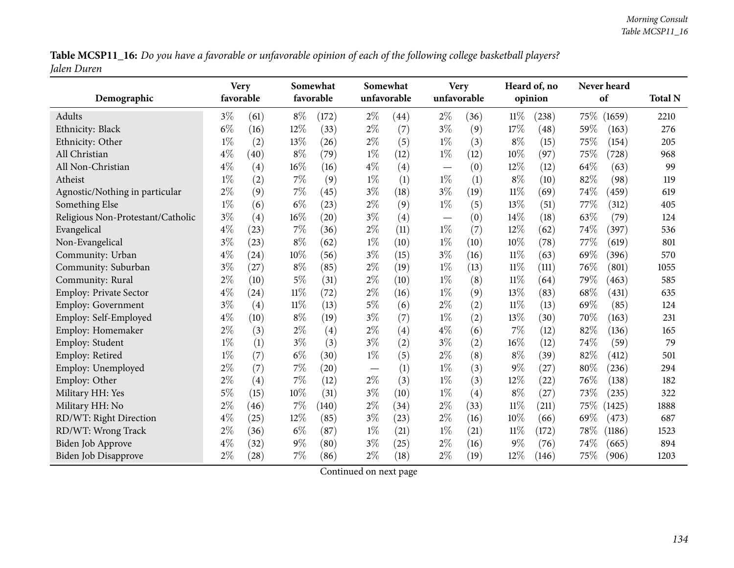Table MCSP11\_16: Do you have a favorable or unfavorable opinion of each of the following college basketball players? *Jalen Duren*

| Demographic                       | <b>Very</b><br>favorable |      |        | Somewhat<br>favorable |       | Somewhat<br>unfavorable |                          | <b>Very</b><br>unfavorable |        | Heard of, no<br>opinion |        | Never heard<br>of | <b>Total N</b> |
|-----------------------------------|--------------------------|------|--------|-----------------------|-------|-------------------------|--------------------------|----------------------------|--------|-------------------------|--------|-------------------|----------------|
| Adults                            | $3\%$                    | (61) | $8\%$  | (172)                 | $2\%$ | (44)                    | $2\%$                    | (36)                       | $11\%$ | (238)                   | 75\%   | (1659)            | 2210           |
| Ethnicity: Black                  | $6\%$                    | (16) | 12%    | (33)                  | $2\%$ | (7)                     | $3\%$                    | (9)                        | 17%    | $\left( 48\right)$      | 59%    | (163)             | 276            |
| Ethnicity: Other                  | $1\%$                    | (2)  | 13%    | (26)                  | $2\%$ | (5)                     | $1\%$                    | (3)                        | $8\%$  | (15)                    | 75%    | (154)             | 205            |
| All Christian                     | $4\%$                    | (40) | $8\%$  | (79)                  | $1\%$ | (12)                    | $1\%$                    | (12)                       | 10%    | (97)                    | 75%    | (728)             | 968            |
| All Non-Christian                 | $4\%$                    | (4)  | 16%    | (16)                  | $4\%$ | (4)                     | $\overline{\phantom{m}}$ | (0)                        | 12%    | (12)                    | 64%    | (63)              | 99             |
| Atheist                           | $1\%$                    | (2)  | $7\%$  | (9)                   | $1\%$ | (1)                     | $1\%$                    | (1)                        | $8\%$  | (10)                    | 82%    | (98)              | 119            |
| Agnostic/Nothing in particular    | $2\%$                    | (9)  | 7%     | (45)                  | $3\%$ | (18)                    | $3\%$                    | (19)                       | $11\%$ | (69)                    | 74%    | (459)             | 619            |
| Something Else                    | $1\%$                    | (6)  | $6\%$  | (23)                  | $2\%$ | (9)                     | $1\%$                    | (5)                        | 13%    | (51)                    | 77%    | (312)             | 405            |
| Religious Non-Protestant/Catholic | $3\%$                    | (4)  | 16%    | (20)                  | $3\%$ | (4)                     |                          | (0)                        | 14%    | (18)                    | 63%    | (79)              | 124            |
| Evangelical                       | $4\%$                    | (23) | 7%     | (36)                  | $2\%$ | (11)                    | $1\%$                    | (7)                        | 12%    | (62)                    | 74%    | (397)             | 536            |
| Non-Evangelical                   | $3\%$                    | (23) | $8\%$  | (62)                  | $1\%$ | (10)                    | $1\%$                    | (10)                       | 10%    | (78)                    | 77%    | (619)             | 801            |
| Community: Urban                  | $4\%$                    | (24) | 10%    | (56)                  | $3\%$ | (15)                    | $3\%$                    | (16)                       | $11\%$ | (63)                    | 69%    | (396)             | 570            |
| Community: Suburban               | $3\%$                    | (27) | $8\%$  | (85)                  | $2\%$ | (19)                    | $1\%$                    | (13)                       | $11\%$ | (111)                   | 76%    | (801)             | 1055           |
| Community: Rural                  | $2\%$                    | (10) | $5\%$  | (31)                  | $2\%$ | (10)                    | $1\%$                    | (8)                        | $11\%$ | (64)                    | 79%    | (463)             | 585            |
| <b>Employ: Private Sector</b>     | $4\%$                    | (24) | $11\%$ | (72)                  | $2\%$ | (16)                    | $1\%$                    | (9)                        | 13%    | (83)                    | 68%    | (431)             | 635            |
| Employ: Government                | $3\%$                    | (4)  | $11\%$ | (13)                  | $5\%$ | (6)                     | $2\%$                    | (2)                        | 11%    | (13)                    | 69%    | (85)              | 124            |
| Employ: Self-Employed             | $4\%$                    | (10) | $8\%$  | (19)                  | $3\%$ | (7)                     | $1\%$                    | (2)                        | 13%    | (30)                    | 70%    | (163)             | 231            |
| Employ: Homemaker                 | $2\%$                    | (3)  | $2\%$  | (4)                   | $2\%$ | (4)                     | $4\%$                    | (6)                        | 7%     | (12)                    | 82%    | (136)             | 165            |
| Employ: Student                   | $1\%$                    | (1)  | $3\%$  | (3)                   | $3\%$ | (2)                     | $3\%$                    | (2)                        | 16%    | (12)                    | 74%    | (59)              | 79             |
| Employ: Retired                   | $1\%$                    | (7)  | $6\%$  | (30)                  | $1\%$ | (5)                     | $2\%$                    | (8)                        | $8\%$  | (39)                    | 82%    | (412)             | 501            |
| Employ: Unemployed                | $2\%$                    | (7)  | 7%     | (20)                  |       | (1)                     | $1\%$                    | (3)                        | $9\%$  | (27)                    | $80\%$ | (236)             | 294            |
| Employ: Other                     | $2\%$                    | (4)  | $7\%$  | (12)                  | $2\%$ | (3)                     | $1\%$                    | (3)                        | 12%    | (22)                    | 76%    | (138)             | 182            |
| Military HH: Yes                  | $5\%$                    | (15) | 10%    | (31)                  | $3\%$ | (10)                    | $1\%$                    | (4)                        | $8\%$  | (27)                    | 73%    | (235)             | 322            |
| Military HH: No                   | $2\%$                    | (46) | 7%     | (140)                 | $2\%$ | (34)                    | $2\%$                    | (33)                       | 11%    | (211)                   | 75\%   | (1425)            | 1888           |
| RD/WT: Right Direction            | $4\%$                    | (25) | 12%    | (85)                  | $3\%$ | (23)                    | $2\%$                    | (16)                       | 10%    | (66)                    | 69%    | (473)             | 687            |
| RD/WT: Wrong Track                | $2\%$                    | (36) | $6\%$  | (87)                  | $1\%$ | (21)                    | $1\%$                    | (21)                       | 11%    | (172)                   | 78%    | (1186)            | 1523           |
| <b>Biden Job Approve</b>          | $4\%$                    | (32) | $9\%$  | (80)                  | $3\%$ | (25)                    | $2\%$                    | (16)                       | 9%     | (76)                    | 74%    | (665)             | 894            |
| Biden Job Disapprove              | $2\%$                    | (28) | $7\%$  | (86)                  | $2\%$ | (18)                    | $2\%$                    | (19)                       | 12%    | (146)                   | 75%    | (906)             | 1203           |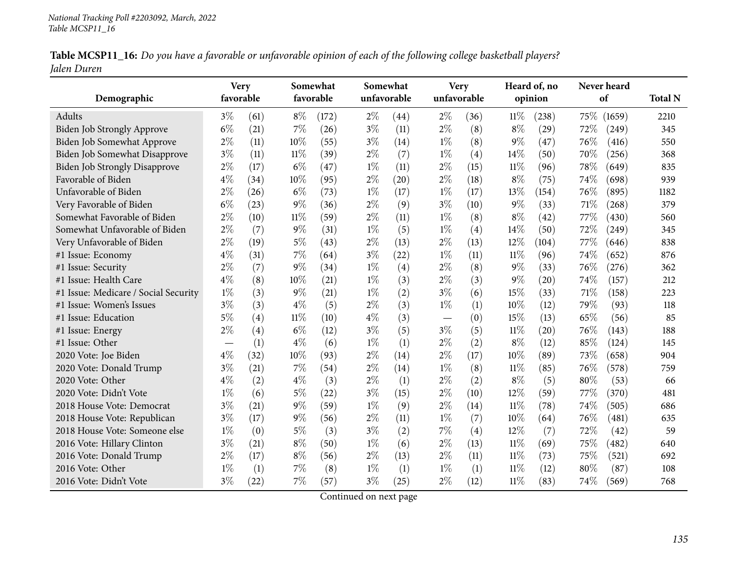|             | Table MCSP11_16: Do you have a favorable or unfavorable opinion of each of the following college basketball players? |  |  |
|-------------|----------------------------------------------------------------------------------------------------------------------|--|--|
| Jalen Duren |                                                                                                                      |  |  |

|                                      | <b>Very</b>                      |                   |        | Somewhat  | Somewhat |             |       | <b>Very</b> |        | Heard of, no |      | Never heard |                |
|--------------------------------------|----------------------------------|-------------------|--------|-----------|----------|-------------|-------|-------------|--------|--------------|------|-------------|----------------|
| Demographic                          | favorable                        |                   |        | favorable |          | unfavorable |       | unfavorable |        | opinion      |      | of          | <b>Total N</b> |
| Adults                               | $3\%$                            | (61)              | $8\%$  | (172)     | $2\%$    | (44)        | $2\%$ | (36)        | $11\%$ | (238)        | 75\% | (1659)      | 2210           |
| Biden Job Strongly Approve           | $6\%$                            | (21)              | 7%     | (26)      | $3\%$    | (11)        | $2\%$ | (8)         | $8\%$  | (29)         | 72%  | (249)       | 345            |
| Biden Job Somewhat Approve           | $2\%$                            | (11)              | 10%    | (55)      | $3\%$    | (14)        | $1\%$ | (8)         | $9\%$  | (47)         | 76%  | (416)       | 550            |
| Biden Job Somewhat Disapprove        | $3\%$                            | (11)              | 11%    | (39)      | $2\%$    | (7)         | $1\%$ | (4)         | 14\%   | (50)         | 70%  | (256)       | 368            |
| <b>Biden Job Strongly Disapprove</b> | $2\%$                            | (17)              | $6\%$  | (47)      | $1\%$    | (11)        | $2\%$ | (15)        | $11\%$ | (96)         | 78%  | (649)       | 835            |
| Favorable of Biden                   | $4\%$                            | (34)              | 10%    | (95)      | $2\%$    | (20)        | $2\%$ | (18)        | $8\%$  | (75)         | 74%  | (698)       | 939            |
| Unfavorable of Biden                 | $2\%$                            | (26)              | $6\%$  | (73)      | $1\%$    | (17)        | $1\%$ | (17)        | 13%    | (154)        | 76%  | (895)       | 1182           |
| Very Favorable of Biden              | $6\%$                            | (23)              | $9\%$  | (36)      | $2\%$    | (9)         | $3\%$ | (10)        | $9\%$  | (33)         | 71%  | (268)       | 379            |
| Somewhat Favorable of Biden          | $2\%$                            | (10)              | $11\%$ | (59)      | $2\%$    | (11)        | $1\%$ | (8)         | $8\%$  | (42)         | 77%  | (430)       | 560            |
| Somewhat Unfavorable of Biden        | $2\%$                            | (7)               | $9\%$  | (31)      | $1\%$    | (5)         | $1\%$ | (4)         | 14%    | (50)         | 72%  | (249)       | 345            |
| Very Unfavorable of Biden            | $2\%$                            | (19)              | $5\%$  | (43)      | $2\%$    | (13)        | $2\%$ | (13)        | 12%    | (104)        | 77\% | (646)       | 838            |
| #1 Issue: Economy                    | $4\%$                            | (31)              | 7%     | (64)      | $3\%$    | (22)        | $1\%$ | (11)        | $11\%$ | (96)         | 74%  | (652)       | 876            |
| #1 Issue: Security                   | $2\%$                            | (7)               | 9%     | (34)      | $1\%$    | (4)         | $2\%$ | (8)         | $9\%$  | (33)         | 76%  | (276)       | 362            |
| #1 Issue: Health Care                | $4\%$                            | (8)               | 10%    | (21)      | $1\%$    | (3)         | $2\%$ | (3)         | $9\%$  | (20)         | 74%  | (157)       | 212            |
| #1 Issue: Medicare / Social Security | $1\%$                            | (3)               | 9%     | (21)      | $1\%$    | (2)         | $3\%$ | (6)         | 15%    | (33)         | 71%  | (158)       | 223            |
| #1 Issue: Women's Issues             | $3\%$                            | (3)               | $4\%$  | (5)       | $2\%$    | (3)         | $1\%$ | (1)         | 10%    | (12)         | 79%  | (93)        | 118            |
| #1 Issue: Education                  | $5\%$                            | (4)               | $11\%$ | (10)      | $4\%$    | (3)         |       | (0)         | 15%    | (13)         | 65%  | (56)        | 85             |
| #1 Issue: Energy                     | $2\%$                            | $\left( 4\right)$ | $6\%$  | (12)      | $3\%$    | (5)         | $3\%$ | (5)         | $11\%$ | (20)         | 76%  | (143)       | 188            |
| #1 Issue: Other                      | $\overbrace{\phantom{12322111}}$ | (1)               | $4\%$  | (6)       | $1\%$    | (1)         | $2\%$ | (2)         | $8\%$  | (12)         | 85%  | (124)       | 145            |
| 2020 Vote: Joe Biden                 | $4\%$                            | (32)              | 10%    | (93)      | $2\%$    | (14)        | $2\%$ | (17)        | 10%    | (89)         | 73%  | (658)       | 904            |
| 2020 Vote: Donald Trump              | $3\%$                            | (21)              | 7%     | (54)      | $2\%$    | (14)        | $1\%$ | (8)         | $11\%$ | (85)         | 76%  | (578)       | 759            |
| 2020 Vote: Other                     | $4\%$                            | (2)               | $4\%$  | (3)       | $2\%$    | (1)         | $2\%$ | (2)         | $8\%$  | (5)          | 80%  | (53)        | 66             |
| 2020 Vote: Didn't Vote               | $1\%$                            | (6)               | $5\%$  | (22)      | $3\%$    | (15)        | $2\%$ | (10)        | 12%    | (59)         | 77%  | (370)       | 481            |
| 2018 House Vote: Democrat            | $3\%$                            | (21)              | $9\%$  | (59)      | $1\%$    | (9)         | $2\%$ | (14)        | $11\%$ | (78)         | 74%  | (505)       | 686            |
| 2018 House Vote: Republican          | $3\%$                            | (17)              | 9%     | (56)      | $2\%$    | (11)        | $1\%$ | (7)         | 10%    | (64)         | 76%  | (481)       | 635            |
| 2018 House Vote: Someone else        | $1\%$                            | (0)               | $5\%$  | (3)       | $3\%$    | (2)         | $7\%$ | (4)         | 12%    | (7)          | 72%  | (42)        | 59             |
| 2016 Vote: Hillary Clinton           | $3\%$                            | (21)              | $8\%$  | (50)      | $1\%$    | (6)         | $2\%$ | (13)        | 11%    | (69)         | 75%  | (482)       | 640            |
| 2016 Vote: Donald Trump              | $2\%$                            | (17)              | $8\%$  | (56)      | $2\%$    | (13)        | $2\%$ | (11)        | $11\%$ | (73)         | 75%  | (521)       | 692            |
| 2016 Vote: Other                     | $1\%$                            | (1)               | 7%     | (8)       | $1\%$    | (1)         | $1\%$ | (1)         | $11\%$ | (12)         | 80%  | (87)        | 108            |
| 2016 Vote: Didn't Vote               | $3\%$                            | (22)              | 7%     | (57)      | $3\%$    | (25)        | $2\%$ | (12)        | 11%    | (83)         | 74%  | (569)       | 768            |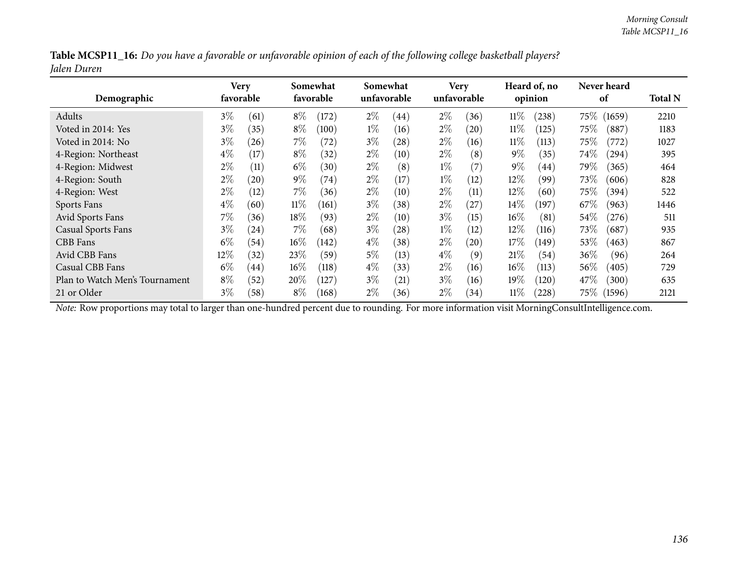|             |  |  | Table MCSP11_16: Do you have a favorable or unfavorable opinion of each of the following college basketball players? |
|-------------|--|--|----------------------------------------------------------------------------------------------------------------------|
| Jalen Duren |  |  |                                                                                                                      |

| Demographic                    | Very<br>favorable |           |        | Somewhat<br>favorable |       | Somewhat<br>unfavorable |       | <b>Very</b><br>unfavorable |        | Heard of, no<br>opinion |        | Never heard<br>of | <b>Total N</b> |
|--------------------------------|-------------------|-----------|--------|-----------------------|-------|-------------------------|-------|----------------------------|--------|-------------------------|--------|-------------------|----------------|
| Adults                         | $3\%$             | (61)      | $8\%$  | (172)                 | $2\%$ | (44)                    | $2\%$ | (36)                       | $11\%$ | (238)                   | 75%    | (1659)            | 2210           |
| Voted in 2014: Yes             | $3\%$             | (35)      | $8\%$  | (100)                 | $1\%$ | (16)                    | $2\%$ | (20)                       | $11\%$ | (125)                   | $75\%$ | (887)             | 1183           |
| Voted in 2014: No              | $3\%$             | $^{(26)}$ | 7%     | (72)                  | $3\%$ | (28)                    | $2\%$ | (16)                       | $11\%$ | (113)                   | $75\%$ | (772)             | 1027           |
| 4-Region: Northeast            | $4\%$             | (17)      | $8\%$  | (32)                  | $2\%$ | (10)                    | $2\%$ | (8)                        | $9\%$  | (35)                    | 74\%   | (294)             | 395            |
| 4-Region: Midwest              | $2\%$             | (11)      | $6\%$  | (30)                  | $2\%$ | (8)                     | $1\%$ | (7)                        | $9\%$  | (44)                    | 79%    | (365)             | 464            |
| 4-Region: South                | $2\%$             | (20)      | $9\%$  | (74)                  | $2\%$ | (17)                    | $1\%$ | (12)                       | $12\%$ | (99)                    | 73\%   | (606)             | 828            |
| 4-Region: West                 | $2\%$             | (12)      | $7\%$  | (36)                  | $2\%$ | (10)                    | $2\%$ | (11)                       | $12\%$ | (60)                    | $75\%$ | (394)             | 522            |
| Sports Fans                    | $4\%$             | (60)      | $11\%$ | (161)                 | $3\%$ | (38)                    | $2\%$ | (27)                       | $14\%$ | (197)                   | 67\%   | (963)             | 1446           |
| Avid Sports Fans               | $7\%$             | (36)      | $18\%$ | (93)                  | $2\%$ | (10)                    | $3\%$ | (15)                       | $16\%$ | (81)                    | 54%    | (276)             | 511            |
| Casual Sports Fans             | $3\%$             | (24)      | $7\%$  | (68)                  | $3\%$ | (28)                    | $1\%$ | (12)                       | 12%    | (116)                   | 73\%   | (687)             | 935            |
| CBB Fans                       | $6\%$             | (54)      | $16\%$ | (142)                 | $4\%$ | (38)                    | $2\%$ | (20)                       | 17%    | (149)                   | 53%    | (463)             | 867            |
| Avid CBB Fans                  | $12\%$            | (32)      | 23%    | (59)                  | $5\%$ | (13)                    | $4\%$ | (9)                        | 21%    | (54)                    | 36%    | (96)              | 264            |
| Casual CBB Fans                | $6\%$             | (44)      | $16\%$ | (118)                 | $4\%$ | (33)                    | $2\%$ | (16)                       | $16\%$ | (113)                   | $56\%$ | (405)             | 729            |
| Plan to Watch Men's Tournament | $8\%$             | (52)      | $20\%$ | (127)                 | $3\%$ | (21)                    | $3\%$ | (16)                       | 19%    | (120)                   | 47\%   | (300)             | 635            |
| 21 or Older                    | $3\%$             | (58)      | $8\%$  | (168)                 | $2\%$ | (36)                    | $2\%$ | (34)                       | $11\%$ | (228)                   | $75\%$ | (1596)            | 2121           |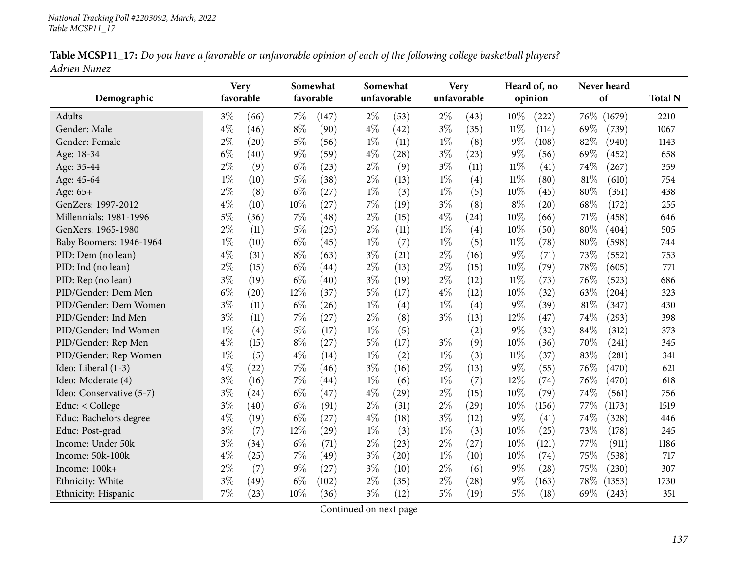|              | Table MCSP11_17: Do you have a favorable or unfavorable opinion of each of the following college basketball players? |  |
|--------------|----------------------------------------------------------------------------------------------------------------------|--|
| Adrien Nunez |                                                                                                                      |  |

| Demographic              | <b>Very</b><br>favorable |      |       | Somewhat<br>favorable | Somewhat<br>unfavorable |      |                          | <b>Very</b><br>unfavorable |        | Heard of, no<br>opinion | Never heard<br>of |        | <b>Total N</b> |
|--------------------------|--------------------------|------|-------|-----------------------|-------------------------|------|--------------------------|----------------------------|--------|-------------------------|-------------------|--------|----------------|
| <b>Adults</b>            | $3\%$                    | (66) | 7%    | (147)                 | $2\%$                   | (53) | $2\%$                    | (43)                       | 10%    | (222)                   | 76%               | (1679) | 2210           |
| Gender: Male             | $4\%$                    | (46) | $8\%$ | (90)                  | $4\%$                   | (42) | $3\%$                    | (35)                       | $11\%$ | (114)                   | 69%               | (739)  | 1067           |
| Gender: Female           | $2\%$                    | (20) | $5\%$ | (56)                  | $1\%$                   | (11) | $1\%$                    | (8)                        | $9\%$  | (108)                   | 82%               | (940)  | 1143           |
| Age: 18-34               | $6\%$                    | (40) | $9\%$ | (59)                  | $4\%$                   | (28) | $3\%$                    | (23)                       | $9\%$  | (56)                    | 69%               | (452)  | 658            |
| Age: 35-44               | $2\%$                    | (9)  | $6\%$ | (23)                  | $2\%$                   | (9)  | $3\%$                    | (11)                       | $11\%$ | (41)                    | 74%               | (267)  | 359            |
| Age: 45-64               | $1\%$                    | (10) | $5\%$ | (38)                  | $2\%$                   | (13) | $1\%$                    | (4)                        | $11\%$ | (80)                    | 81%               | (610)  | 754            |
| Age: 65+                 | $2\%$                    | (8)  | $6\%$ | (27)                  | $1\%$                   | (3)  | $1\%$                    | (5)                        | 10%    | (45)                    | 80%               | (351)  | 438            |
| GenZers: 1997-2012       | $4\%$                    | (10) | 10%   | (27)                  | $7\%$                   | (19) | $3\%$                    | (8)                        | $8\%$  | (20)                    | 68%               | (172)  | 255            |
| Millennials: 1981-1996   | $5\%$                    | (36) | 7%    | (48)                  | $2\%$                   | (15) | $4\%$                    | (24)                       | 10%    | (66)                    | 71%               | (458)  | 646            |
| GenXers: 1965-1980       | $2\%$                    | (11) | $5\%$ | (25)                  | $2\%$                   | (11) | $1\%$                    | (4)                        | 10%    | (50)                    | 80%               | (404)  | 505            |
| Baby Boomers: 1946-1964  | $1\%$                    | (10) | $6\%$ | (45)                  | $1\%$                   | (7)  | $1\%$                    | (5)                        | $11\%$ | (78)                    | 80%               | (598)  | 744            |
| PID: Dem (no lean)       | $4\%$                    | (31) | $8\%$ | (63)                  | $3\%$                   | (21) | $2\%$                    | (16)                       | $9\%$  | (71)                    | 73%               | (552)  | 753            |
| PID: Ind (no lean)       | $2\%$                    | (15) | $6\%$ | (44)                  | $2\%$                   | (13) | $2\%$                    | (15)                       | 10%    | (79)                    | 78%               | (605)  | 771            |
| PID: Rep (no lean)       | $3\%$                    | (19) | $6\%$ | (40)                  | $3\%$                   | (19) | $2\%$                    | (12)                       | 11%    | (73)                    | 76%               | (523)  | 686            |
| PID/Gender: Dem Men      | $6\%$                    | (20) | 12%   | (37)                  | $5\%$                   | (17) | $4\%$                    | (12)                       | 10%    | (32)                    | 63%               | (204)  | 323            |
| PID/Gender: Dem Women    | $3\%$                    | (11) | $6\%$ | (26)                  | $1\%$                   | (4)  | $1\%$                    | (4)                        | $9\%$  | (39)                    | 81%               | (347)  | 430            |
| PID/Gender: Ind Men      | $3\%$                    | (11) | 7%    | (27)                  | $2\%$                   | (8)  | $3\%$                    | (13)                       | 12%    | (47)                    | 74%               | (293)  | 398            |
| PID/Gender: Ind Women    | $1\%$                    | (4)  | $5\%$ | (17)                  | $1\%$                   | (5)  | $\overline{\phantom{m}}$ | (2)                        | $9\%$  | (32)                    | 84%               | (312)  | 373            |
| PID/Gender: Rep Men      | $4\%$                    | (15) | $8\%$ | (27)                  | $5\%$                   | (17) | $3\%$                    | (9)                        | 10%    | (36)                    | 70%               | (241)  | 345            |
| PID/Gender: Rep Women    | $1\%$                    | (5)  | $4\%$ | (14)                  | $1\%$                   | (2)  | $1\%$                    | (3)                        | $11\%$ | (37)                    | 83%               | (281)  | 341            |
| Ideo: Liberal (1-3)      | $4\%$                    | (22) | 7%    | (46)                  | $3\%$                   | (16) | $2\%$                    | (13)                       | $9\%$  | (55)                    | 76%               | (470)  | 621            |
| Ideo: Moderate (4)       | $3\%$                    | (16) | 7%    | (44)                  | $1\%$                   | (6)  | $1\%$                    | (7)                        | 12%    | (74)                    | 76%               | (470)  | 618            |
| Ideo: Conservative (5-7) | $3\%$                    | (24) | $6\%$ | (47)                  | $4\%$                   | (29) | $2\%$                    | (15)                       | 10%    | (79)                    | 74%               | (561)  | 756            |
| Educ: < College          | $3\%$                    | (40) | $6\%$ | (91)                  | $2\%$                   | (31) | $2\%$                    | (29)                       | 10%    | (156)                   | 77\%              | (1173) | 1519           |
| Educ: Bachelors degree   | $4\%$                    | (19) | $6\%$ | (27)                  | $4\%$                   | (18) | $3\%$                    | (12)                       | $9\%$  | (41)                    | 74%               | (328)  | 446            |
| Educ: Post-grad          | $3\%$                    | (7)  | 12%   | (29)                  | $1\%$                   | (3)  | $1\%$                    | (3)                        | 10%    | (25)                    | 73%               | (178)  | 245            |
| Income: Under 50k        | $3\%$                    | (34) | $6\%$ | (71)                  | $2\%$                   | (23) | $2\%$                    | (27)                       | 10%    | (121)                   | 77%               | (911)  | 1186           |
| Income: 50k-100k         | $4\%$                    | (25) | 7%    | (49)                  | $3\%$                   | (20) | $1\%$                    | (10)                       | 10%    | (74)                    | 75%               | (538)  | 717            |
| Income: 100k+            | $2\%$                    | (7)  | $9\%$ | (27)                  | $3\%$                   | (10) | $2\%$                    | (6)                        | $9\%$  | (28)                    | 75%               | (230)  | 307            |
| Ethnicity: White         | $3\%$                    | (49) | $6\%$ | (102)                 | $2\%$                   | (35) | $2\%$                    | (28)                       | $9\%$  | (163)                   | 78%               | (1353) | 1730           |
| Ethnicity: Hispanic      | 7%                       | (23) | 10%   | (36)                  | $3\%$                   | (12) | $5\%$                    | (19)                       | 5%     | (18)                    | $69\%$            | (243)  | 351            |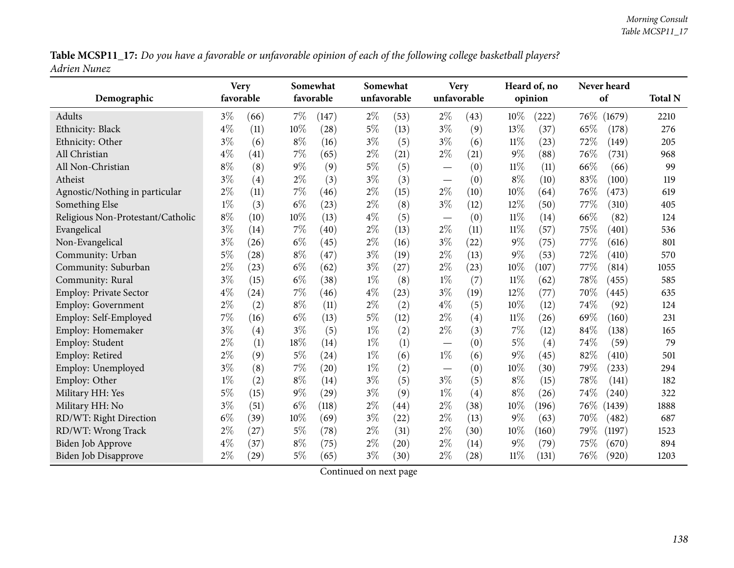Table MCSP11\_17: Do you have a favorable or unfavorable opinion of each of the following college basketball players? *Adrien Nunez*

| Demographic                       | <b>Very</b> | favorable |       | Somewhat<br>favorable | Somewhat | unfavorable |                               | <b>Very</b><br>unfavorable |        | Heard of, no<br>opinion |        | Never heard<br>of | <b>Total N</b> |
|-----------------------------------|-------------|-----------|-------|-----------------------|----------|-------------|-------------------------------|----------------------------|--------|-------------------------|--------|-------------------|----------------|
| Adults                            | $3\%$       | (66)      | $7\%$ | (147)                 | $2\%$    | (53)        | $2\%$                         | (43)                       | 10%    | (222)                   | $76\%$ | (1679)            | 2210           |
| Ethnicity: Black                  | $4\%$       | (11)      | 10%   | (28)                  | $5\%$    | (13)        | $3\%$                         | (9)                        | 13%    | (37)                    | 65%    | (178)             | 276            |
| Ethnicity: Other                  | $3\%$       | (6)       | $8\%$ | (16)                  | $3\%$    | (5)         | $3\%$                         | (6)                        | $11\%$ | (23)                    | 72%    | (149)             | 205            |
| All Christian                     | $4\%$       | (41)      | 7%    | (65)                  | $2\%$    | (21)        | $2\%$                         | (21)                       | $9\%$  | (88)                    | 76%    | (731)             | 968            |
| All Non-Christian                 | $8\%$       | (8)       | $9\%$ | (9)                   | $5\%$    | (5)         |                               | (0)                        | $11\%$ | (11)                    | 66%    | (66)              | 99             |
| Atheist                           | $3\%$       | (4)       | $2\%$ | (3)                   | $3\%$    | (3)         |                               | (0)                        | $8\%$  | (10)                    | 83%    | (100)             | 119            |
| Agnostic/Nothing in particular    | $2\%$       | (11)      | 7%    | (46)                  | $2\%$    | (15)        | $2\%$                         | (10)                       | 10%    | (64)                    | 76%    | (473)             | 619            |
| Something Else                    | $1\%$       | (3)       | $6\%$ | (23)                  | $2\%$    | (8)         | $3\%$                         | (12)                       | 12%    | (50)                    | 77%    | (310)             | 405            |
| Religious Non-Protestant/Catholic | $8\%$       | (10)      | 10%   | (13)                  | $4\%$    | (5)         | $\overbrace{\phantom{13333}}$ | (0)                        | $11\%$ | (14)                    | 66%    | (82)              | 124            |
| Evangelical                       | $3\%$       | (14)      | 7%    | (40)                  | $2\%$    | (13)        | $2\%$                         | (11)                       | $11\%$ | (57)                    | 75%    | (401)             | 536            |
| Non-Evangelical                   | $3\%$       | (26)      | $6\%$ | (45)                  | $2\%$    | (16)        | $3\%$                         | (22)                       | 9%     | (75)                    | 77%    | (616)             | 801            |
| Community: Urban                  | 5%          | (28)      | $8\%$ | (47)                  | $3\%$    | (19)        | $2\%$                         | (13)                       | $9\%$  | (53)                    | 72%    | (410)             | 570            |
| Community: Suburban               | $2\%$       | (23)      | $6\%$ | (62)                  | $3\%$    | (27)        | $2\%$                         | (23)                       | 10%    | (107)                   | 77%    | (814)             | 1055           |
| Community: Rural                  | $3\%$       | (15)      | $6\%$ | (38)                  | $1\%$    | (8)         | $1\%$                         | (7)                        | $11\%$ | (62)                    | 78%    | (455)             | 585            |
| Employ: Private Sector            | $4\%$       | (24)      | $7\%$ | (46)                  | $4\%$    | (23)        | $3\%$                         | (19)                       | 12%    | (77)                    | 70%    | (445)             | 635            |
| <b>Employ: Government</b>         | $2\%$       | (2)       | $8\%$ | (11)                  | $2\%$    | (2)         | $4\%$                         | (5)                        | 10%    | (12)                    | 74%    | (92)              | 124            |
| Employ: Self-Employed             | $7\%$       | (16)      | $6\%$ | (13)                  | $5\%$    | (12)        | $2\%$                         | $\left( 4\right)$          | 11%    | (26)                    | 69%    | (160)             | 231            |
| Employ: Homemaker                 | $3\%$       | (4)       | $3\%$ | (5)                   | $1\%$    | (2)         | $2\%$                         | (3)                        | 7%     | (12)                    | 84%    | (138)             | 165            |
| Employ: Student                   | $2\%$       | (1)       | 18%   | (14)                  | $1\%$    | (1)         | $\overline{\phantom{m}}$      | (0)                        | $5\%$  | (4)                     | 74%    | (59)              | 79             |
| Employ: Retired                   | $2\%$       | (9)       | $5\%$ | (24)                  | $1\%$    | (6)         | $1\%$                         | (6)                        | 9%     | (45)                    | 82%    | (410)             | 501            |
| Employ: Unemployed                | $3\%$       | (8)       | 7%    | (20)                  | $1\%$    | (2)         |                               | (0)                        | 10%    | (30)                    | 79%    | (233)             | 294            |
| Employ: Other                     | $1\%$       | (2)       | $8\%$ | (14)                  | $3\%$    | (5)         | $3\%$                         | (5)                        | $8\%$  | (15)                    | 78%    | (141)             | 182            |
| Military HH: Yes                  | $5\%$       | (15)      | $9\%$ | (29)                  | $3\%$    | (9)         | $1\%$                         | (4)                        | $8\%$  | (26)                    | 74%    | (240)             | 322            |
| Military HH: No                   | $3\%$       | (51)      | $6\%$ | (118)                 | $2\%$    | (44)        | $2\%$                         | (38)                       | 10%    | (196)                   | 76\%   | (1439)            | 1888           |
| RD/WT: Right Direction            | $6\%$       | (39)      | 10%   | (69)                  | $3\%$    | (22)        | $2\%$                         | (13)                       | $9\%$  | (63)                    | 70%    | (482)             | 687            |
| RD/WT: Wrong Track                | $2\%$       | (27)      | $5\%$ | (78)                  | $2\%$    | (31)        | $2\%$                         | (30)                       | 10%    | (160)                   | 79%    | (1197)            | 1523           |
| <b>Biden Job Approve</b>          | $4\%$       | (37)      | $8\%$ | (75)                  | $2\%$    | (20)        | $2\%$                         | (14)                       | 9%     | (79)                    | 75%    | (670)             | 894            |
| <b>Biden Job Disapprove</b>       | $2\%$       | (29)      | $5\%$ | (65)                  | $3\%$    | (30)        | $2\%$                         | (28)                       | $11\%$ | (131)                   | 76%    | (920)             | 1203           |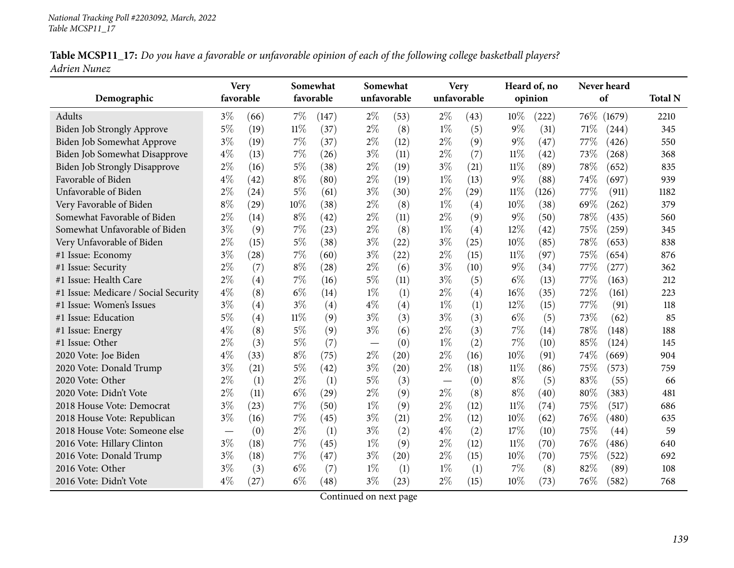|              | Table MCSP11_17: Do you have a favorable or unfavorable opinion of each of the following college basketball players? |  |
|--------------|----------------------------------------------------------------------------------------------------------------------|--|
| Adrien Nunez |                                                                                                                      |  |

| Demographic                          | <b>Very</b><br>favorable        |                   |        | Somewhat<br>favorable |       | Somewhat<br>unfavorable | <b>Very</b><br>unfavorable |      |        | Heard of, no<br>opinion |      | Never heard<br>of  | <b>Total N</b> |
|--------------------------------------|---------------------------------|-------------------|--------|-----------------------|-------|-------------------------|----------------------------|------|--------|-------------------------|------|--------------------|----------------|
| Adults                               | $3\%$                           | (66)              | $7\%$  | (147)                 | $2\%$ | (53)                    | $2\%$                      | (43) | 10%    | (222)                   | 76\% | (1679)             | 2210           |
| Biden Job Strongly Approve           | 5%                              | (19)              | $11\%$ | (37)                  | $2\%$ | (8)                     | $1\%$                      | (5)  | $9\%$  | (31)                    | 71\% | (244)              | 345            |
| Biden Job Somewhat Approve           | $3\%$                           | (19)              | $7\%$  | (37)                  | $2\%$ | (12)                    | $2\%$                      | (9)  | $9\%$  | (47)                    | 77\% | (426)              | 550            |
| Biden Job Somewhat Disapprove        | $4\%$                           | (13)              | $7\%$  | (26)                  | $3\%$ | (11)                    | $2\%$                      | (7)  | 11%    | (42)                    | 73%  | (268)              | 368            |
| <b>Biden Job Strongly Disapprove</b> | $2\%$                           | (16)              | $5\%$  | (38)                  | $2\%$ | (19)                    | $3\%$                      | (21) | $11\%$ | (89)                    | 78%  | (652)              | 835            |
| Favorable of Biden                   | $4\%$                           | (42)              | $8\%$  | (80)                  | $2\%$ | (19)                    | $1\%$                      | (13) | $9\%$  | (88)                    | 74%  | (697)              | 939            |
| Unfavorable of Biden                 | $2\%$                           | (24)              | $5\%$  | (61)                  | $3\%$ | (30)                    | $2\%$                      | (29) | $11\%$ | (126)                   | 77%  | (911)              | 1182           |
| Very Favorable of Biden              | $8\%$                           | (29)              | 10%    | (38)                  | $2\%$ | (8)                     | $1\%$                      | (4)  | 10%    | (38)                    | 69%  | (262)              | 379            |
| Somewhat Favorable of Biden          | 2%                              | (14)              | $8\%$  | (42)                  | $2\%$ | (11)                    | $2\%$                      | (9)  | $9\%$  | (50)                    | 78%  | (435)              | 560            |
| Somewhat Unfavorable of Biden        | $3\%$                           | (9)               | 7%     | (23)                  | $2\%$ | (8)                     | $1\%$                      | (4)  | 12%    | (42)                    | 75%  | (259)              | 345            |
| Very Unfavorable of Biden            | $2\%$                           | (15)              | $5\%$  | (38)                  | $3\%$ | (22)                    | $3\%$                      | (25) | 10%    | (85)                    | 78%  | (653)              | 838            |
| #1 Issue: Economy                    | $3\%$                           | (28)              | 7%     | (60)                  | $3\%$ | (22)                    | $2\%$                      | (15) | $11\%$ | (97)                    | 75%  | (654)              | 876            |
| #1 Issue: Security                   | $2\%$                           | (7)               | $8\%$  | (28)                  | $2\%$ | (6)                     | $3\%$                      | (10) | $9\%$  | (34)                    | 77%  | (277)              | 362            |
| #1 Issue: Health Care                | $2\%$                           | $\left( 4\right)$ | $7\%$  | (16)                  | $5\%$ | (11)                    | $3\%$                      | (5)  | $6\%$  | (13)                    | 77%  | (163)              | 212            |
| #1 Issue: Medicare / Social Security | $4\%$                           | (8)               | $6\%$  | (14)                  | $1\%$ | (1)                     | $2\%$                      | (4)  | 16%    | (35)                    | 72%  | (161)              | 223            |
| #1 Issue: Women's Issues             | $3\%$                           | (4)               | $3\%$  | (4)                   | $4\%$ | (4)                     | $1\%$                      | (1)  | 12%    | (15)                    | 77%  | (91)               | 118            |
| #1 Issue: Education                  | $5\%$                           | (4)               | $11\%$ | (9)                   | $3\%$ | (3)                     | $3\%$                      | (3)  | $6\%$  | (5)                     | 73%  | (62)               | 85             |
| #1 Issue: Energy                     | $4\%$                           | (8)               | $5\%$  | (9)                   | $3\%$ | (6)                     | $2\%$                      | (3)  | $7\%$  | (14)                    | 78%  | (148)              | 188            |
| #1 Issue: Other                      | $2\%$                           | (3)               | $5\%$  | (7)                   |       | (0)                     | $1\%$                      | (2)  | $7\%$  | (10)                    | 85%  | (124)              | 145            |
| 2020 Vote: Joe Biden                 | $4\%$                           | (33)              | $8\%$  | (75)                  | $2\%$ | (20)                    | $2\%$                      | (16) | 10%    | (91)                    | 74%  | (669)              | 904            |
| 2020 Vote: Donald Trump              | $3\%$                           | (21)              | $5\%$  | (42)                  | $3\%$ | (20)                    | $2\%$                      | (18) | $11\%$ | (86)                    | 75%  | (573)              | 759            |
| 2020 Vote: Other                     | $2\%$                           | (1)               | $2\%$  | (1)                   | $5\%$ | (3)                     |                            | (0)  | $8\%$  | (5)                     | 83%  | (55)               | 66             |
| 2020 Vote: Didn't Vote               | $2\%$                           | (11)              | $6\%$  | (29)                  | $2\%$ | (9)                     | $2\%$                      | (8)  | $8\%$  | (40)                    | 80%  | (383)              | 481            |
| 2018 House Vote: Democrat            | $3\%$                           | (23)              | 7%     | (50)                  | $1\%$ | (9)                     | $2\%$                      | (12) | $11\%$ | (74)                    | 75%  | (517)              | 686            |
| 2018 House Vote: Republican          | $3\%$                           | (16)              | 7%     | (45)                  | $3\%$ | (21)                    | $2\%$                      | (12) | 10%    | (62)                    | 76%  | (480)              | 635            |
| 2018 House Vote: Someone else        | $\hspace{0.1mm}-\hspace{0.1mm}$ | (0)               | $2\%$  | (1)                   | $3\%$ | (2)                     | $4\%$                      | (2)  | 17%    | (10)                    | 75%  | $\left( 44\right)$ | 59             |
| 2016 Vote: Hillary Clinton           | $3\%$                           | (18)              | 7%     | (45)                  | $1\%$ | (9)                     | $2\%$                      | (12) | 11%    | (70)                    | 76%  | (486)              | 640            |
| 2016 Vote: Donald Trump              | $3\%$                           | (18)              | 7%     | (47)                  | $3\%$ | (20)                    | $2\%$                      | (15) | 10%    | (70)                    | 75%  | (522)              | 692            |
| 2016 Vote: Other                     | $3\%$                           | (3)               | $6\%$  | (7)                   | $1\%$ | (1)                     | $1\%$                      | (1)  | $7\%$  | (8)                     | 82%  | (89)               | 108            |
| 2016 Vote: Didn't Vote               | $4\%$                           | (27)              | $6\%$  | (48)                  | $3\%$ | (23)                    | $2\%$                      | (15) | 10%    | (73)                    | 76\% | (582)              | 768            |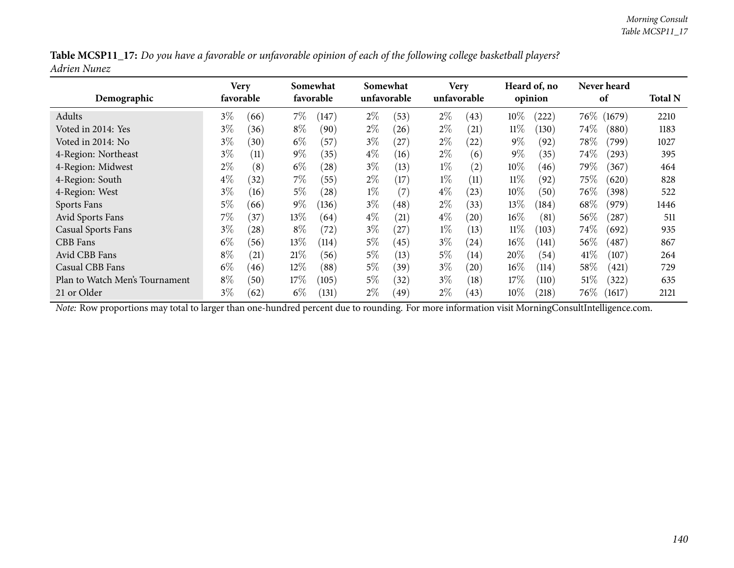|              |  |  | Table MCSP11_17: Do you have a favorable or unfavorable opinion of each of the following college basketball players? |
|--------------|--|--|----------------------------------------------------------------------------------------------------------------------|
| Adrien Nunez |  |  |                                                                                                                      |

| Demographic                    | Very<br>favorable |      |        | Somewhat<br>favorable | Somewhat | unfavorable |       | <b>Very</b><br>unfavorable |        | Heard of, no<br>opinion |        | Never heard<br>of | <b>Total N</b> |
|--------------------------------|-------------------|------|--------|-----------------------|----------|-------------|-------|----------------------------|--------|-------------------------|--------|-------------------|----------------|
| Adults                         | $3\%$             | (66) | $7\%$  | (147)                 | $2\%$    | (53)        | $2\%$ | (43)                       | 10%    | (222)                   | $76\%$ | (1679)            | 2210           |
| Voted in 2014: Yes             | $3\%$             | (36) | $8\%$  | (90)                  | $2\%$    | (26)        | $2\%$ | (21)                       | $11\%$ | (130)                   | $74\%$ | (880)             | 1183           |
| Voted in 2014: No              | $3\%$             | (30) | $6\%$  | (57)                  | $3\%$    | (27)        | $2\%$ | $\left( 22\right)$         | $9\%$  | (92)                    | $78\%$ | (799)             | 1027           |
| 4-Region: Northeast            | $3\%$             | (11) | $9\%$  | (35)                  | $4\%$    | (16)        | $2\%$ | (6)                        | $9\%$  | (35)                    | 74\%   | $^{'}293)$        | 395            |
| 4-Region: Midwest              | $2\%$             | (8)  | $6\%$  | (28)                  | $3\%$    | (13)        | $1\%$ | $\left( 2\right)$          | $10\%$ | (46)                    | 79%    | (367)             | 464            |
| 4-Region: South                | $4\%$             | (32) | $7\%$  | (55)                  | $2\%$    | (17)        | $1\%$ | (11)                       | $11\%$ | (92)                    | $75\%$ | (620)             | 828            |
| 4-Region: West                 | $3\%$             | (16) | $5\%$  | (28)                  | $1\%$    | (7)         | $4\%$ | (23)                       | $10\%$ | (50)                    | $76\%$ | (398)             | 522            |
| Sports Fans                    | 5%                | (66) | $9\%$  | (136)                 | $3\%$    | (48)        | $2\%$ | (33)                       | 13\%   | (184)                   | 68\%   | (979)             | 1446           |
| Avid Sports Fans               | $7\%$             | (37) | $13\%$ | (64)                  | $4\%$    | (21)        | $4\%$ | (20)                       | $16\%$ | (81)                    | 56%    | $^{'}287)$        | 511            |
| Casual Sports Fans             | $3\%$             | (28) | $8\%$  | (72)                  | $3\%$    | (27)        | $1\%$ | (13)                       | $11\%$ | (103)                   | 74\%   | (692)             | 935            |
| CBB Fans                       | $6\%$             | (56) | $13\%$ | (114)                 | $5\%$    | (45)        | $3\%$ | (24)                       | $16\%$ | (141)                   | 56\%   | (487)             | 867            |
| Avid CBB Fans                  | $8\%$             | (21) | 21%    | (56)                  | $5\%$    | (13)        | $5\%$ | (14)                       | $20\%$ | (54)                    | 41\%   | (107)             | 264            |
| Casual CBB Fans                | $6\%$             | (46) | $12\%$ | (88)                  | $5\%$    | (39)        | $3\%$ | (20)                       | $16\%$ | (114)                   | $58\%$ | (421)             | 729            |
| Plan to Watch Men's Tournament | $8\%$             | (50) | 17%    | (105)                 | $5\%$    | (32)        | $3\%$ | (18)                       | 17%    | (110)                   | 51%    | (322)             | 635            |
| 21 or Older                    | $3\%$             | (62) | $6\%$  | (131)                 | $2\%$    | (49)        | $2\%$ | (43)                       | $10\%$ | (218)                   | $76\%$ | (1617)            | 2121           |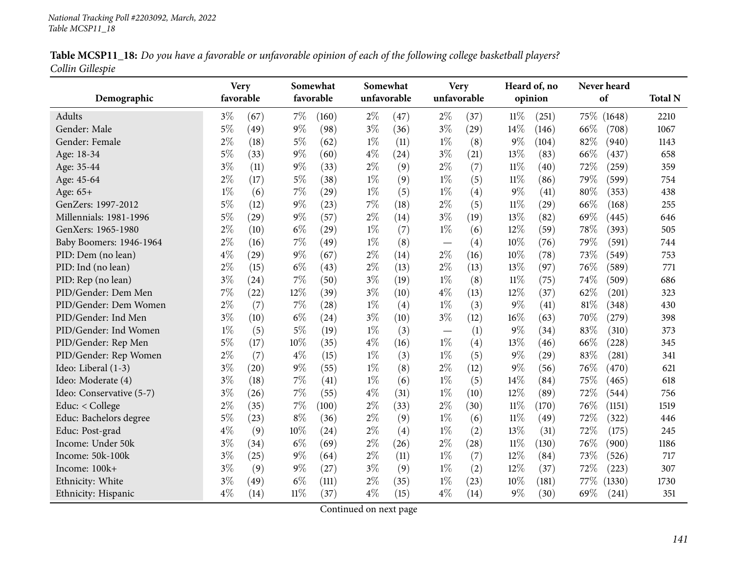|                  | Table MCSP11_18: Do you have a favorable or unfavorable opinion of each of the following college basketball players? |  |
|------------------|----------------------------------------------------------------------------------------------------------------------|--|
| Collin Gillespie |                                                                                                                      |  |

| Demographic              | <b>Very</b><br>favorable |                    |        | Somewhat<br>favorable | Somewhat<br>unfavorable |      |                                  | <b>Very</b><br>unfavorable |        | Heard of, no<br>opinion | Never heard<br>of |        | <b>Total N</b> |
|--------------------------|--------------------------|--------------------|--------|-----------------------|-------------------------|------|----------------------------------|----------------------------|--------|-------------------------|-------------------|--------|----------------|
| Adults                   | $3\%$                    | (67)               | $7\%$  | (160)                 | $2\%$                   | (47) | $2\%$                            | (37)                       | $11\%$ | (251)                   | 75\%              | (1648) | 2210           |
| Gender: Male             | $5\%$                    | (49)               | $9\%$  | (98)                  | $3\%$                   | (36) | $3\%$                            | (29)                       | 14%    | (146)                   | 66%               | (708)  | 1067           |
| Gender: Female           | $2\%$                    | (18)               | $5\%$  | (62)                  | $1\%$                   | (11) | $1\%$                            | (8)                        | $9\%$  | (104)                   | 82%               | (940)  | 1143           |
| Age: 18-34               | $5\%$                    | (33)               | $9\%$  | (60)                  | $4\%$                   | (24) | $3\%$                            | (21)                       | 13%    | (83)                    | 66%               | (437)  | 658            |
| Age: 35-44               | $3\%$                    | (11)               | $9\%$  | (33)                  | $2\%$                   | (9)  | $2\%$                            | (7)                        | $11\%$ | (40)                    | 72%               | (259)  | 359            |
| Age: 45-64               | $2\%$                    | (17)               | $5\%$  | (38)                  | $1\%$                   | (9)  | $1\%$                            | (5)                        | $11\%$ | (86)                    | 79%               | (599)  | 754            |
| Age: 65+                 | $1\%$                    | (6)                | 7%     | (29)                  | $1\%$                   | (5)  | $1\%$                            | (4)                        | 9%     | (41)                    | 80%               | (353)  | 438            |
| GenZers: 1997-2012       | $5\%$                    | (12)               | $9\%$  | (23)                  | 7%                      | (18) | $2\%$                            | (5)                        | $11\%$ | $\left( 29\right)$      | 66%               | (168)  | 255            |
| Millennials: 1981-1996   | $5\%$                    | (29)               | $9\%$  | (57)                  | $2\%$                   | (14) | $3\%$                            | (19)                       | 13%    | (82)                    | 69%               | (445)  | 646            |
| GenXers: 1965-1980       | $2\%$                    | (10)               | $6\%$  | (29)                  | $1\%$                   | (7)  | $1\%$                            | (6)                        | 12%    | (59)                    | 78%               | (393)  | 505            |
| Baby Boomers: 1946-1964  | $2\%$                    | (16)               | 7%     | (49)                  | $1\%$                   | (8)  |                                  | (4)                        | 10%    | (76)                    | 79%               | (591)  | 744            |
| PID: Dem (no lean)       | $4\%$                    | $\left( 29\right)$ | $9\%$  | (67)                  | $2\%$                   | (14) | $2\%$                            | (16)                       | 10%    | (78)                    | 73%               | (549)  | 753            |
| PID: Ind (no lean)       | $2\%$                    | (15)               | $6\%$  | (43)                  | $2\%$                   | (13) | $2\%$                            | (13)                       | 13%    | (97)                    | 76%               | (589)  | 771            |
| PID: Rep (no lean)       | $3\%$                    | (24)               | 7%     | (50)                  | $3\%$                   | (19) | $1\%$                            | (8)                        | $11\%$ | (75)                    | 74%               | (509)  | 686            |
| PID/Gender: Dem Men      | $7\%$                    | (22)               | 12%    | (39)                  | $3\%$                   | (10) | $4\%$                            | (13)                       | 12%    | (37)                    | 62%               | (201)  | 323            |
| PID/Gender: Dem Women    | $2\%$                    | (7)                | 7%     | (28)                  | $1\%$                   | (4)  | $1\%$                            | (3)                        | 9%     | (41)                    | 81%               | (348)  | 430            |
| PID/Gender: Ind Men      | $3\%$                    | (10)               | $6\%$  | (24)                  | $3\%$                   | (10) | $3\%$                            | (12)                       | 16%    | (63)                    | 70%               | (279)  | 398            |
| PID/Gender: Ind Women    | $1\%$                    | (5)                | $5\%$  | (19)                  | $1\%$                   | (3)  | $\overbrace{\phantom{12322111}}$ | (1)                        | $9\%$  | (34)                    | 83%               | (310)  | 373            |
| PID/Gender: Rep Men      | $5\%$                    | (17)               | 10%    | (35)                  | $4\%$                   | (16) | $1\%$                            | (4)                        | 13%    | (46)                    | 66%               | (228)  | 345            |
| PID/Gender: Rep Women    | $2\%$                    | (7)                | $4\%$  | (15)                  | $1\%$                   | (3)  | $1\%$                            | (5)                        | 9%     | $\left( 29\right)$      | 83%               | (281)  | 341            |
| Ideo: Liberal (1-3)      | $3\%$                    | (20)               | $9\%$  | (55)                  | $1\%$                   | (8)  | $2\%$                            | (12)                       | 9%     | (56)                    | 76%               | (470)  | 621            |
| Ideo: Moderate (4)       | $3\%$                    | (18)               | 7%     | (41)                  | $1\%$                   | (6)  | $1\%$                            | (5)                        | 14\%   | (84)                    | 75%               | (465)  | 618            |
| Ideo: Conservative (5-7) | $3\%$                    | (26)               | 7%     | (55)                  | $4\%$                   | (31) | $1\%$                            | (10)                       | 12%    | (89)                    | 72%               | (544)  | 756            |
| Educ: $<$ College        | $2\%$                    | (35)               | 7%     | (100)                 | $2\%$                   | (33) | $2\%$                            | (30)                       | $11\%$ | (170)                   | 76%               | (1151) | 1519           |
| Educ: Bachelors degree   | $5\%$                    | (23)               | $8\%$  | (36)                  | $2\%$                   | (9)  | $1\%$                            | (6)                        | $11\%$ | (49)                    | 72%               | (322)  | 446            |
| Educ: Post-grad          | $4\%$                    | (9)                | 10%    | (24)                  | 2%                      | (4)  | $1\%$                            | (2)                        | 13%    | (31)                    | 72%               | (175)  | 245            |
| Income: Under 50k        | $3\%$                    | (34)               | $6\%$  | (69)                  | $2\%$                   | (26) | $2\%$                            | (28)                       | $11\%$ | (130)                   | 76%               | (900)  | 1186           |
| Income: 50k-100k         | $3\%$                    | (25)               | $9\%$  | (64)                  | $2\%$                   | (11) | $1\%$                            | (7)                        | 12%    | (84)                    | 73%               | (526)  | 717            |
| Income: 100k+            | $3\%$                    | (9)                | $9\%$  | (27)                  | $3\%$                   | (9)  | $1\%$                            | (2)                        | 12%    | (37)                    | 72%               | (223)  | 307            |
| Ethnicity: White         | $3\%$                    | (49)               | $6\%$  | (111)                 | $2\%$                   | (35) | $1\%$                            | (23)                       | 10%    | (181)                   | 77\%              | (1330) | 1730           |
| Ethnicity: Hispanic      | $4\%$                    | (14)               | $11\%$ | (37)                  | $4\%$                   | (15) | $4\%$                            | (14)                       | $9\%$  | (30)                    | 69%               | (241)  | 351            |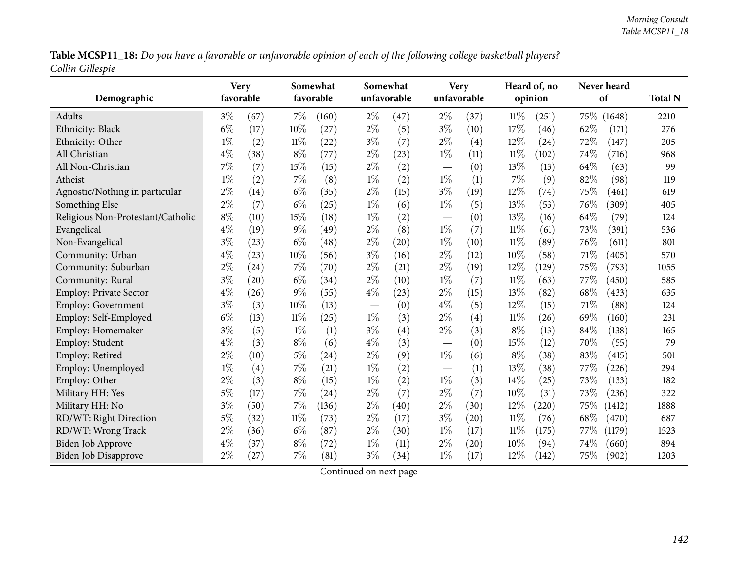Table MCSP11\_18: Do you have a favorable or unfavorable opinion of each of the following college basketball players? *Collin Gillespie*

| Demographic                       |       | <b>Very</b><br>favorable |        | Somewhat<br>favorable |       | Somewhat<br>unfavorable |                               | <b>Very</b><br>unfavorable |        | Heard of, no<br>opinion |      | Never heard<br>of | <b>Total N</b> |
|-----------------------------------|-------|--------------------------|--------|-----------------------|-------|-------------------------|-------------------------------|----------------------------|--------|-------------------------|------|-------------------|----------------|
| Adults                            | $3\%$ | (67)                     | $7\%$  | (160)                 | $2\%$ | (47)                    | $2\%$                         | (37)                       | $11\%$ | (251)                   |      | 75\% (1648)       | 2210           |
| Ethnicity: Black                  | $6\%$ | (17)                     | 10%    | (27)                  | $2\%$ | (5)                     | $3\%$                         | (10)                       | 17%    | (46)                    | 62%  | (171)             | 276            |
| Ethnicity: Other                  | $1\%$ | (2)                      | $11\%$ | (22)                  | $3\%$ | (7)                     | $2\%$                         | (4)                        | $12\%$ | (24)                    | 72%  | (147)             | 205            |
| All Christian                     | $4\%$ | (38)                     | $8\%$  | (77)                  | $2\%$ | (23)                    | $1\%$                         | (11)                       | $11\%$ | (102)                   | 74%  | (716)             | 968            |
| All Non-Christian                 | 7%    | (7)                      | 15%    | (15)                  | $2\%$ | (2)                     |                               | (0)                        | 13\%   | (13)                    | 64%  | (63)              | 99             |
| Atheist                           | $1\%$ | (2)                      | $7\%$  | (8)                   | $1\%$ | (2)                     | $1\%$                         | (1)                        | 7%     | (9)                     | 82%  | (98)              | 119            |
| Agnostic/Nothing in particular    | $2\%$ | (14)                     | $6\%$  | (35)                  | $2\%$ | (15)                    | $3\%$                         | (19)                       | 12%    | (74)                    | 75%  | (461)             | 619            |
| Something Else                    | $2\%$ | (7)                      | $6\%$  | (25)                  | $1\%$ | (6)                     | $1\%$                         | (5)                        | 13%    | (53)                    | 76%  | (309)             | 405            |
| Religious Non-Protestant/Catholic | $8\%$ | (10)                     | 15%    | (18)                  | $1\%$ | (2)                     | $\overbrace{\phantom{13333}}$ | (0)                        | 13%    | (16)                    | 64%  | (79)              | 124            |
| Evangelical                       | $4\%$ | (19)                     | $9\%$  | (49)                  | $2\%$ | (8)                     | $1\%$                         | (7)                        | $11\%$ | (61)                    | 73%  | (391)             | 536            |
| Non-Evangelical                   | $3\%$ | (23)                     | $6\%$  | (48)                  | $2\%$ | (20)                    | $1\%$                         | (10)                       | $11\%$ | (89)                    | 76%  | (611)             | 801            |
| Community: Urban                  | $4\%$ | (23)                     | 10%    | (56)                  | $3\%$ | (16)                    | $2\%$                         | (12)                       | 10%    | (58)                    | 71%  | (405)             | 570            |
| Community: Suburban               | $2\%$ | (24)                     | 7%     | (70)                  | $2\%$ | (21)                    | $2\%$                         | (19)                       | 12%    | (129)                   | 75%  | (793)             | 1055           |
| Community: Rural                  | $3\%$ | (20)                     | $6\%$  | (34)                  | $2\%$ | (10)                    | $1\%$                         | (7)                        | $11\%$ | (63)                    | 77%  | (450)             | 585            |
| Employ: Private Sector            | $4\%$ | (26)                     | $9\%$  | (55)                  | $4\%$ | (23)                    | $2\%$                         | (15)                       | 13%    | (82)                    | 68%  | (433)             | 635            |
| <b>Employ: Government</b>         | $3\%$ | (3)                      | 10%    | (13)                  |       | (0)                     | $4\%$                         | (5)                        | 12%    | (15)                    | 71%  | (88)              | 124            |
| Employ: Self-Employed             | $6\%$ | (13)                     | $11\%$ | (25)                  | $1\%$ | (3)                     | $2\%$                         | (4)                        | 11%    | (26)                    | 69%  | (160)             | 231            |
| Employ: Homemaker                 | $3\%$ | (5)                      | $1\%$  | (1)                   | $3\%$ | (4)                     | $2\%$                         | (3)                        | $8\%$  | (13)                    | 84%  | (138)             | 165            |
| Employ: Student                   | $4\%$ | (3)                      | $8\%$  | (6)                   | $4\%$ | (3)                     | $\overline{\phantom{m}}$      | (0)                        | 15%    | (12)                    | 70%  | (55)              | 79             |
| Employ: Retired                   | $2\%$ | (10)                     | $5\%$  | (24)                  | $2\%$ | (9)                     | $1\%$                         | (6)                        | $8\%$  | (38)                    | 83%  | (415)             | 501            |
| Employ: Unemployed                | $1\%$ | (4)                      | 7%     | (21)                  | $1\%$ | (2)                     |                               | (1)                        | 13%    | (38)                    | 77%  | (226)             | 294            |
| Employ: Other                     | $2\%$ | (3)                      | $8\%$  | (15)                  | $1\%$ | (2)                     | $1\%$                         | (3)                        | 14%    | (25)                    | 73%  | (133)             | 182            |
| Military HH: Yes                  | $5\%$ | (17)                     | 7%     | (24)                  | $2\%$ | (7)                     | $2\%$                         | (7)                        | 10%    | (31)                    | 73%  | (236)             | 322            |
| Military HH: No                   | $3\%$ | (50)                     | 7%     | (136)                 | $2\%$ | (40)                    | $2\%$                         | (30)                       | 12%    | (220)                   | 75%  | (1412)            | 1888           |
| RD/WT: Right Direction            | $5\%$ | (32)                     | $11\%$ | (73)                  | $2\%$ | (17)                    | $3\%$                         | (20)                       | $11\%$ | (76)                    | 68%  | (470)             | 687            |
| RD/WT: Wrong Track                | $2\%$ | (36)                     | $6\%$  | (87)                  | $2\%$ | (30)                    | $1\%$                         | (17)                       | $11\%$ | (175)                   | 77\% | (1179)            | 1523           |
| <b>Biden Job Approve</b>          | $4\%$ | (37)                     | $8\%$  | (72)                  | $1\%$ | (11)                    | $2\%$                         | (20)                       | 10%    | (94)                    | 74%  | (660)             | 894            |
| <b>Biden Job Disapprove</b>       | $2\%$ | (27)                     | 7%     | (81)                  | $3\%$ | (34)                    | $1\%$                         | (17)                       | 12%    | (142)                   | 75%  | (902)             | 1203           |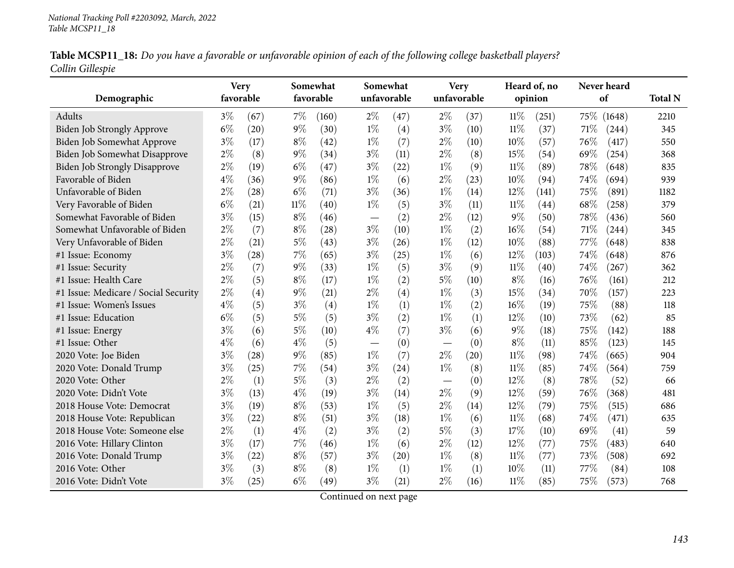|                  | Table MCSP11_18: Do you have a favorable or unfavorable opinion of each of the following college basketball players? |  |
|------------------|----------------------------------------------------------------------------------------------------------------------|--|
| Collin Gillespie |                                                                                                                      |  |

|                                      | <b>Very</b> |      | Somewhat  |       |                          | Somewhat    |                          | <b>Very</b> |        | Heard of, no |     | Never heard |                |
|--------------------------------------|-------------|------|-----------|-------|--------------------------|-------------|--------------------------|-------------|--------|--------------|-----|-------------|----------------|
| Demographic                          | favorable   |      | favorable |       |                          | unfavorable |                          | unfavorable |        | opinion      |     | of          | <b>Total N</b> |
| Adults                               | $3\%$       | (67) | $7\%$     | (160) | $2\%$                    | (47)        | $2\%$                    | (37)        | $11\%$ | (251)        |     | 75\% (1648) | 2210           |
| Biden Job Strongly Approve           | $6\%$       | (20) | $9\%$     | (30)  | $1\%$                    | (4)         | $3\%$                    | (10)        | $11\%$ | (37)         | 71% | (244)       | 345            |
| Biden Job Somewhat Approve           | $3\%$       | (17) | $8\%$     | (42)  | $1\%$                    | (7)         | $2\%$                    | (10)        | 10%    | (57)         | 76% | (417)       | 550            |
| Biden Job Somewhat Disapprove        | $2\%$       | (8)  | 9%        | (34)  | $3\%$                    | (11)        | $2\%$                    | (8)         | 15%    | (54)         | 69% | (254)       | 368            |
| <b>Biden Job Strongly Disapprove</b> | $2\%$       | (19) | $6\%$     | (47)  | $3\%$                    | (22)        | $1\%$                    | (9)         | $11\%$ | (89)         | 78% | (648)       | 835            |
| Favorable of Biden                   | $4\%$       | (36) | $9\%$     | (86)  | $1\%$                    | (6)         | $2\%$                    | (23)        | 10%    | (94)         | 74% | (694)       | 939            |
| Unfavorable of Biden                 | $2\%$       | (28) | $6\%$     | (71)  | $3\%$                    | (36)        | $1\%$                    | (14)        | 12%    | (141)        | 75% | (891)       | 1182           |
| Very Favorable of Biden              | $6\%$       | (21) | $11\%$    | (40)  | $1\%$                    | (5)         | $3\%$                    | (11)        | $11\%$ | (44)         | 68% | (258)       | 379            |
| Somewhat Favorable of Biden          | $3\%$       | (15) | $8\%$     | (46)  | $\overline{\phantom{m}}$ | (2)         | $2\%$                    | (12)        | $9\%$  | (50)         | 78% | (436)       | 560            |
| Somewhat Unfavorable of Biden        | $2\%$       | (7)  | $8\%$     | (28)  | $3\%$                    | (10)        | $1\%$                    | (2)         | $16\%$ | (54)         | 71% | (244)       | 345            |
| Very Unfavorable of Biden            | $2\%$       | (21) | $5\%$     | (43)  | $3\%$                    | (26)        | $1\%$                    | (12)        | 10%    | (88)         | 77% | (648)       | 838            |
| #1 Issue: Economy                    | $3\%$       | (28) | 7%        | (65)  | $3\%$                    | (25)        | $1\%$                    | (6)         | 12%    | (103)        | 74% | (648)       | 876            |
| #1 Issue: Security                   | $2\%$       | (7)  | 9%        | (33)  | $1\%$                    | (5)         | $3\%$                    | (9)         | $11\%$ | (40)         | 74% | (267)       | 362            |
| #1 Issue: Health Care                | $2\%$       | (5)  | $8\%$     | (17)  | $1\%$                    | (2)         | $5\%$                    | (10)        | $8\%$  | (16)         | 76% | (161)       | 212            |
| #1 Issue: Medicare / Social Security | $2\%$       | (4)  | 9%        | (21)  | $2\%$                    | (4)         | $1\%$                    | (3)         | 15%    | (34)         | 70% | (157)       | 223            |
| #1 Issue: Women's Issues             | $4\%$       | (5)  | $3\%$     | (4)   | $1\%$                    | (1)         | $1\%$                    | (2)         | 16%    | (19)         | 75% | (88)        | 118            |
| #1 Issue: Education                  | $6\%$       | (5)  | $5\%$     | (5)   | $3\%$                    | (2)         | $1\%$                    | (1)         | 12%    | (10)         | 73% | (62)        | 85             |
| #1 Issue: Energy                     | $3\%$       | (6)  | $5\%$     | (10)  | $4\%$                    | (7)         | $3\%$                    | (6)         | $9\%$  | (18)         | 75% | (142)       | 188            |
| #1 Issue: Other                      | $4\%$       | (6)  | $4\%$     | (5)   |                          | (0)         |                          | (0)         | $8\%$  | (11)         | 85% | (123)       | 145            |
| 2020 Vote: Joe Biden                 | $3\%$       | (28) | 9%        | (85)  | $1\%$                    | (7)         | $2\%$                    | (20)        | $11\%$ | (98)         | 74% | (665)       | 904            |
| 2020 Vote: Donald Trump              | $3\%$       | (25) | 7%        | (54)  | $3\%$                    | (24)        | $1\%$                    | (8)         | $11\%$ | (85)         | 74% | (564)       | 759            |
| 2020 Vote: Other                     | $2\%$       | (1)  | $5\%$     | (3)   | $2\%$                    | (2)         | $\overline{\phantom{0}}$ | (0)         | 12%    | (8)          | 78% | (52)        | 66             |
| 2020 Vote: Didn't Vote               | $3\%$       | (13) | $4\%$     | (19)  | $3\%$                    | (14)        | $2\%$                    | (9)         | 12%    | (59)         | 76% | (368)       | 481            |
| 2018 House Vote: Democrat            | $3\%$       | (19) | $8\%$     | (53)  | $1\%$                    | (5)         | $2\%$                    | (14)        | 12%    | (79)         | 75% | (515)       | 686            |
| 2018 House Vote: Republican          | $3\%$       | (22) | $8\%$     | (51)  | $3\%$                    | (18)        | $1\%$                    | (6)         | $11\%$ | (68)         | 74% | (471)       | 635            |
| 2018 House Vote: Someone else        | $2\%$       | (1)  | $4\%$     | (2)   | $3\%$                    | (2)         | $5\%$                    | (3)         | 17%    | (10)         | 69% | (41)        | 59             |
| 2016 Vote: Hillary Clinton           | $3\%$       | (17) | 7%        | (46)  | $1\%$                    | (6)         | $2\%$                    | (12)        | 12%    | (77)         | 75% | (483)       | 640            |
| 2016 Vote: Donald Trump              | $3\%$       | (22) | $8\%$     | (57)  | $3\%$                    | (20)        | $1\%$                    | (8)         | $11\%$ | (77)         | 73% | (508)       | 692            |
| 2016 Vote: Other                     | $3\%$       | (3)  | $8\%$     | (8)   | $1\%$                    | (1)         | $1\%$                    | (1)         | 10%    | (11)         | 77% | (84)        | 108            |
| 2016 Vote: Didn't Vote               | $3\%$       | (25) | $6\%$     | (49)  | $3\%$                    | (21)        | $2\%$                    | (16)        | $11\%$ | (85)         | 75% | (573)       | 768            |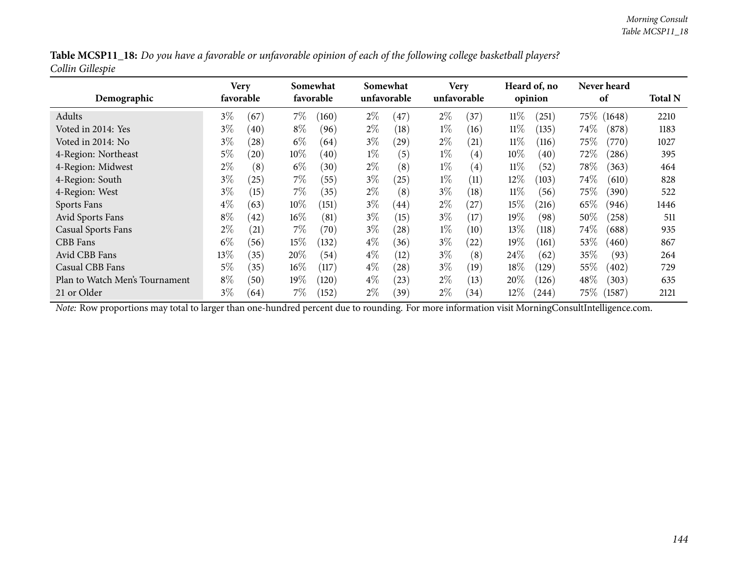| Table MCSP11_18: Do you have a favorable or unfavorable opinion of each of the following college basketball players? |  |  |
|----------------------------------------------------------------------------------------------------------------------|--|--|
| Collin Gillespie                                                                                                     |  |  |

| Demographic                    | Very<br>favorable |      | Somewhat<br>favorable |                  |       | Somewhat<br>unfavorable |       | <b>Very</b><br>unfavorable |        | Heard of, no<br>opinion |          | <b>Never heard</b><br>of |      |
|--------------------------------|-------------------|------|-----------------------|------------------|-------|-------------------------|-------|----------------------------|--------|-------------------------|----------|--------------------------|------|
| Adults                         | $3\%$             | (67) | $7\%$                 | (160)            | $2\%$ | (47)                    | $2\%$ | (37)                       | $11\%$ | (251)                   | $75\%$ ( | (1648)                   | 2210 |
| Voted in 2014: Yes             | $3\%$             | (40) | $8\%$                 | (96)             | $2\%$ | (18)                    | $1\%$ | (16)                       | 11%    | (135)                   | $74\%$   | (878)                    | 1183 |
| Voted in 2014: No              | $3\%$             | (28) | $6\%$                 | (64)             | $3\%$ | (29)                    | $2\%$ | $\left( 21\right)$         | $11\%$ | (116)                   | 75%      | (770)                    | 1027 |
| 4-Region: Northeast            | 5%                | (20) | $10\%$                | (40)             | $1\%$ | (5)                     | $1\%$ | $\left( 4\right)$          | $10\%$ | (40)                    | 72\%     | (286)                    | 395  |
| 4-Region: Midwest              | $2\%$             | (8)  | $6\%$                 | (30)             | $2\%$ | (8)                     | $1\%$ | $\left( 4\right)$          | $11\%$ | (52)                    | 78\%     | (363)                    | 464  |
| 4-Region: South                | $3\%$             | (25) | $7\%$                 | (55)             | $3\%$ | $^{'}25)$               | $1\%$ | (11)                       | $12\%$ | (103)                   | $74\%$   | (610)                    | 828  |
| 4-Region: West                 | $3\%$             | (15) | $7\%$                 | (35)             | $2\%$ | (8)                     | $3\%$ | (18)                       | $11\%$ | (56)                    | 75%      | (390)                    | 522  |
| Sports Fans                    | $4\%$             | (63) | $10\%$                | (151)            | $3\%$ | (44)                    | $2\%$ | $^{'}27$                   | $15\%$ | (216)                   | 65%      | (946)                    | 1446 |
| Avid Sports Fans               | $8\%$             | (42) | $16\%$                | (81)             | $3\%$ | (15)                    | $3\%$ | (17)                       | 19%    | (98)                    | 50%      | (258)                    | 511  |
| <b>Casual Sports Fans</b>      | $2\%$             | (21) | $7\%$                 | (70)             | $3\%$ | $\left( 28\right)$      | $1\%$ | (10)                       | 13\%   | (118)                   | $74\%$   | (688)                    | 935  |
| CBB Fans                       | $6\%$             | (56) | $15\%$                | (132)            | $4\%$ | (36)                    | $3\%$ | (22)                       | 19%    | (161)                   | 53%      | (460)                    | 867  |
| Avid CBB Fans                  | 13\%              | (35) | 20%                   | (54)             | $4\%$ | $\left(12\right)$       | $3\%$ | (8)                        | $24\%$ | (62)                    | 35%      | (93)                     | 264  |
| Casual CBB Fans                | $5\%$             | (35) | $16\%$                | $\overline{117}$ | $4\%$ | (28)                    | $3\%$ | (19)                       | 18%    | (129)                   | 55%      | (402)                    | 729  |
| Plan to Watch Men's Tournament | $8\%$             | (50) | $19\%$                | (120)            | $4\%$ | (23)                    | $2\%$ | (13)                       | 20%    | (126)                   | 48\%     | (303)                    | 635  |
| 21 or Older                    | $3\%$             | (64) | $7\%$                 | (152)            | $2\%$ | (39)                    | $2\%$ | (34)                       | $12\%$ | (244)                   | $75\%$   | (1587)                   | 2121 |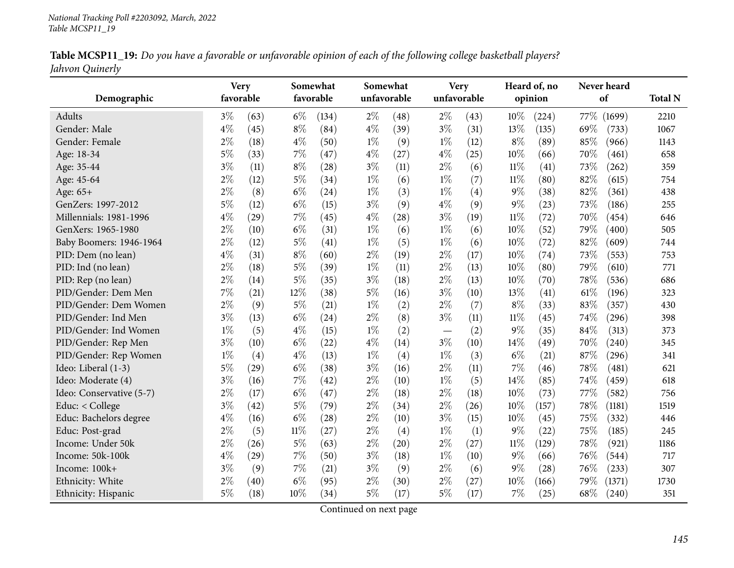|                 | Table MCSP11_19: Do you have a favorable or unfavorable opinion of each of the following college basketball players? |  |
|-----------------|----------------------------------------------------------------------------------------------------------------------|--|
| Jahvon Quinerly |                                                                                                                      |  |

|                          | <b>Very</b> |                    | Somewhat  |                    | Somewhat    |      | <b>Very</b>              |      |        | Heard of, no |      | Never heard |                |
|--------------------------|-------------|--------------------|-----------|--------------------|-------------|------|--------------------------|------|--------|--------------|------|-------------|----------------|
| Demographic              | favorable   |                    | favorable |                    | unfavorable |      | unfavorable              |      |        | opinion      |      | of          | <b>Total N</b> |
| Adults                   | $3\%$       | (63)               | $6\%$     | (134)              | $2\%$       | (48) | $2\%$                    | (43) | 10%    | (224)        | 77\% | (1699)      | 2210           |
| Gender: Male             | $4\%$       | (45)               | $8\%$     | (84)               | $4\%$       | (39) | $3\%$                    | (31) | $13\%$ | (135)        | 69%  | (733)       | 1067           |
| Gender: Female           | $2\%$       | (18)               | $4\%$     | (50)               | $1\%$       | (9)  | $1\%$                    | (12) | $8\%$  | (89)         | 85%  | (966)       | 1143           |
| Age: 18-34               | $5\%$       | (33)               | 7%        | (47)               | $4\%$       | (27) | $4\%$                    | (25) | 10%    | (66)         | 70%  | (461)       | 658            |
| Age: 35-44               | $3\%$       | (11)               | $8\%$     | (28)               | $3\%$       | (11) | $2\%$                    | (6)  | $11\%$ | (41)         | 73%  | (262)       | 359            |
| Age: 45-64               | $2\%$       | (12)               | $5\%$     | (34)               | $1\%$       | (6)  | $1\%$                    | (7)  | $11\%$ | (80)         | 82%  | (615)       | 754            |
| Age: 65+                 | $2\%$       | (8)                | $6\%$     | (24)               | $1\%$       | (3)  | $1\%$                    | (4)  | $9\%$  | (38)         | 82%  | (361)       | 438            |
| GenZers: 1997-2012       | 5%          | (12)               | $6\%$     | (15)               | $3\%$       | (9)  | $4\%$                    | (9)  | $9\%$  | (23)         | 73%  | (186)       | 255            |
| Millennials: 1981-1996   | $4\%$       | (29)               | 7%        | (45)               | $4\%$       | (28) | $3\%$                    | (19) | $11\%$ | (72)         | 70%  | (454)       | 646            |
| GenXers: 1965-1980       | $2\%$       | (10)               | $6\%$     | (31)               | $1\%$       | (6)  | $1\%$                    | (6)  | 10%    | (52)         | 79%  | (400)       | 505            |
| Baby Boomers: 1946-1964  | $2\%$       | (12)               | $5\%$     | (41)               | $1\%$       | (5)  | $1\%$                    | (6)  | 10%    | (72)         | 82%  | (609)       | 744            |
| PID: Dem (no lean)       | $4\%$       | (31)               | $8\%$     | (60)               | $2\%$       | (19) | $2\%$                    | (17) | 10%    | (74)         | 73%  | (553)       | 753            |
| PID: Ind (no lean)       | $2\%$       | (18)               | $5\%$     | (39)               | $1\%$       | (11) | $2\%$                    | (13) | 10%    | (80)         | 79%  | (610)       | 771            |
| PID: Rep (no lean)       | $2\%$       | (14)               | $5\%$     | (35)               | $3\%$       | (18) | $2\%$                    | (13) | 10%    | (70)         | 78%  | (536)       | 686            |
| PID/Gender: Dem Men      | 7%          | (21)               | 12%       | (38)               | $5\%$       | (16) | $3\%$                    | (10) | 13%    | (41)         | 61\% | (196)       | 323            |
| PID/Gender: Dem Women    | $2\%$       | (9)                | $5\%$     | (21)               | $1\%$       | (2)  | $2\%$                    | (7)  | $8\%$  | (33)         | 83%  | (357)       | 430            |
| PID/Gender: Ind Men      | $3\%$       | (13)               | $6\%$     | (24)               | $2\%$       | (8)  | $3\%$                    | (11) | $11\%$ | (45)         | 74%  | (296)       | 398            |
| PID/Gender: Ind Women    | $1\%$       | (5)                | $4\%$     | (15)               | $1\%$       | (2)  | $\overline{\phantom{m}}$ | (2)  | $9\%$  | (35)         | 84%  | (313)       | 373            |
| PID/Gender: Rep Men      | $3\%$       | (10)               | $6\%$     | (22)               | $4\%$       | (14) | $3\%$                    | (10) | 14%    | (49)         | 70%  | (240)       | 345            |
| PID/Gender: Rep Women    | $1\%$       | (4)                | $4\%$     | (13)               | $1\%$       | (4)  | $1\%$                    | (3)  | $6\%$  | (21)         | 87%  | (296)       | 341            |
| Ideo: Liberal (1-3)      | $5\%$       | $\left( 29\right)$ | $6\%$     | (38)               | $3\%$       | (16) | $2\%$                    | (11) | 7%     | (46)         | 78%  | (481)       | 621            |
| Ideo: Moderate (4)       | $3\%$       | (16)               | $7\%$     | (42)               | $2\%$       | (10) | $1\%$                    | (5)  | 14%    | (85)         | 74%  | (459)       | 618            |
| Ideo: Conservative (5-7) | $2\%$       | (17)               | $6\%$     | (47)               | $2\%$       | (18) | $2\%$                    | (18) | 10%    | (73)         | 77%  | (582)       | 756            |
| Educ: < College          | $3\%$       | (42)               | $5\%$     | (79)               | $2\%$       | (34) | $2\%$                    | (26) | 10%    | (157)        | 78%  | (1181)      | 1519           |
| Educ: Bachelors degree   | $4\%$       | (16)               | $6\%$     | $\left( 28\right)$ | $2\%$       | (10) | $3\%$                    | (15) | 10%    | (45)         | 75%  | (332)       | 446            |
| Educ: Post-grad          | $2\%$       | (5)                | $11\%$    | (27)               | $2\%$       | (4)  | $1\%$                    | (1)  | $9\%$  | (22)         | 75%  | (185)       | 245            |
| Income: Under 50k        | $2\%$       | (26)               | $5\%$     | (63)               | $2\%$       | (20) | $2\%$                    | (27) | $11\%$ | (129)        | 78%  | (921)       | 1186           |
| Income: 50k-100k         | $4\%$       | $\left( 29\right)$ | $7\%$     | (50)               | $3\%$       | (18) | $1\%$                    | (10) | $9\%$  | (66)         | 76%  | (544)       | 717            |
| Income: 100k+            | $3\%$       | (9)                | $7\%$     | (21)               | $3\%$       | (9)  | $2\%$                    | (6)  | $9\%$  | (28)         | 76%  | (233)       | 307            |
| Ethnicity: White         | $2\%$       | (40)               | $6\%$     | (95)               | $2\%$       | (30) | $2\%$                    | (27) | 10%    | (166)        | 79%  | (1371)      | 1730           |
| Ethnicity: Hispanic      | $5\%$       | (18)               | 10%       | (34)               | $5\%$       | (17) | $5\%$                    | (17) | 7%     | (25)         | 68%  | (240)       | 351            |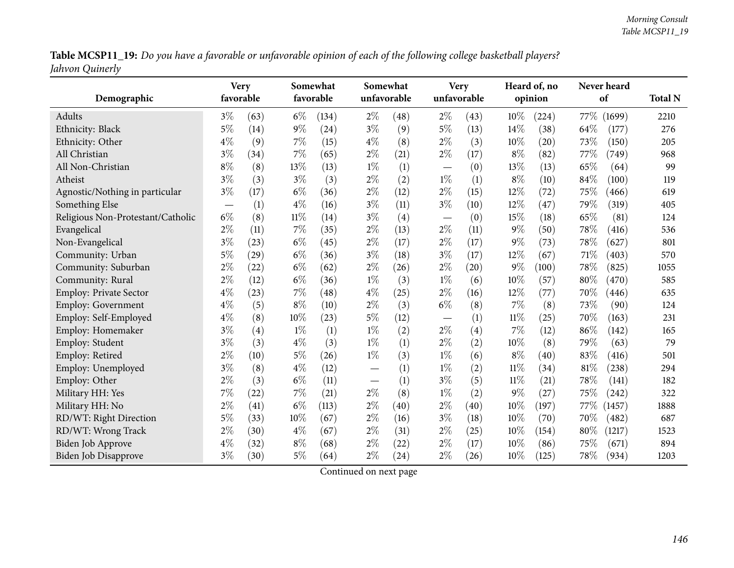Table MCSP11\_19: Do you have a favorable or unfavorable opinion of each of the following college basketball players? *Jahvon Quinerly*

| Demographic                       |       | <b>Very</b><br>favorable |        | Somewhat<br>favorable |       | Somewhat<br>unfavorable |                                  | <b>Very</b><br>unfavorable |        | Heard of, no<br>opinion |      | Never heard<br>of | <b>Total N</b> |
|-----------------------------------|-------|--------------------------|--------|-----------------------|-------|-------------------------|----------------------------------|----------------------------|--------|-------------------------|------|-------------------|----------------|
| Adults                            | $3\%$ | (63)                     | $6\%$  | (134)                 | $2\%$ | (48)                    | $2\%$                            | (43)                       | 10%    | (224)                   |      | 77\% (1699)       | 2210           |
| Ethnicity: Black                  | $5\%$ | (14)                     | $9\%$  | (24)                  | $3\%$ | (9)                     | $5\%$                            | (13)                       | 14%    | (38)                    | 64%  | (177)             | 276            |
| Ethnicity: Other                  | $4\%$ | (9)                      | 7%     | (15)                  | $4\%$ | (8)                     | $2\%$                            | (3)                        | $10\%$ | $\left( 20\right)$      | 73%  | (150)             | 205            |
| All Christian                     | $3\%$ | (34)                     | 7%     | (65)                  | $2\%$ | (21)                    | $2\%$                            | (17)                       | $8\%$  | (82)                    | 77%  | (749)             | 968            |
| All Non-Christian                 | $8\%$ | (8)                      | 13%    | (13)                  | $1\%$ | (1)                     | $\overbrace{\phantom{12322111}}$ | (0)                        | 13%    | (13)                    | 65%  | (64)              | 99             |
| Atheist                           | $3\%$ | (3)                      | $3\%$  | (3)                   | $2\%$ | (2)                     | $1\%$                            | (1)                        | $8\%$  | (10)                    | 84%  | (100)             | 119            |
| Agnostic/Nothing in particular    | $3\%$ | (17)                     | $6\%$  | (36)                  | $2\%$ | (12)                    | $2\%$                            | (15)                       | 12%    | (72)                    | 75%  | (466)             | 619            |
| Something Else                    |       | (1)                      | $4\%$  | (16)                  | $3\%$ | (11)                    | $3\%$                            | (10)                       | 12%    | (47)                    | 79%  | (319)             | 405            |
| Religious Non-Protestant/Catholic | $6\%$ | (8)                      | $11\%$ | (14)                  | $3\%$ | (4)                     | $\overbrace{\phantom{13333}}$    | (0)                        | 15%    | (18)                    | 65%  | (81)              | 124            |
| Evangelical                       | $2\%$ | (11)                     | $7\%$  | (35)                  | $2\%$ | (13)                    | $2\%$                            | (11)                       | $9\%$  | (50)                    | 78%  | (416)             | 536            |
| Non-Evangelical                   | $3\%$ | (23)                     | $6\%$  | (45)                  | $2\%$ | (17)                    | $2\%$                            | (17)                       | 9%     | (73)                    | 78%  | (627)             | 801            |
| Community: Urban                  | 5%    | (29)                     | $6\%$  | (36)                  | $3\%$ | (18)                    | $3\%$                            | (17)                       | 12%    | (67)                    | 71%  | (403)             | 570            |
| Community: Suburban               | $2\%$ | (22)                     | $6\%$  | (62)                  | $2\%$ | (26)                    | $2\%$                            | (20)                       | 9%     | (100)                   | 78%  | (825)             | 1055           |
| Community: Rural                  | $2\%$ | (12)                     | $6\%$  | (36)                  | $1\%$ | (3)                     | $1\%$                            | (6)                        | 10%    | (57)                    | 80%  | (470)             | 585            |
| Employ: Private Sector            | $4\%$ | (23)                     | $7\%$  | (48)                  | $4\%$ | (25)                    | $2\%$                            | (16)                       | 12%    | (77)                    | 70%  | (446)             | 635            |
| <b>Employ: Government</b>         | $4\%$ | (5)                      | $8\%$  | (10)                  | $2\%$ | (3)                     | $6\%$                            | (8)                        | 7%     | (8)                     | 73%  | (90)              | 124            |
| Employ: Self-Employed             | $4\%$ | (8)                      | 10%    | (23)                  | $5\%$ | (12)                    |                                  | (1)                        | 11%    | (25)                    | 70%  | (163)             | 231            |
| Employ: Homemaker                 | $3\%$ | (4)                      | $1\%$  | (1)                   | $1\%$ | (2)                     | $2\%$                            | (4)                        | 7%     | (12)                    | 86%  | (142)             | 165            |
| Employ: Student                   | $3\%$ | (3)                      | $4\%$  | (3)                   | $1\%$ | (1)                     | $2\%$                            | (2)                        | 10%    | (8)                     | 79%  | (63)              | 79             |
| Employ: Retired                   | $2\%$ | (10)                     | $5\%$  | (26)                  | $1\%$ | (3)                     | $1\%$                            | (6)                        | $8\%$  | (40)                    | 83%  | (416)             | 501            |
| Employ: Unemployed                | $3\%$ | (8)                      | $4\%$  | (12)                  |       | (1)                     | $1\%$                            | (2)                        | $11\%$ | (34)                    | 81%  | (238)             | 294            |
| Employ: Other                     | $2\%$ | (3)                      | $6\%$  | (11)                  |       | (1)                     | $3\%$                            | (5)                        | $11\%$ | (21)                    | 78%  | (141)             | 182            |
| Military HH: Yes                  | 7%    | (22)                     | 7%     | (21)                  | $2\%$ | (8)                     | $1\%$                            | (2)                        | 9%     | (27)                    | 75%  | (242)             | 322            |
| Military HH: No                   | $2\%$ | (41)                     | $6\%$  | (113)                 | $2\%$ | (40)                    | $2\%$                            | (40)                       | 10%    | (197)                   | 77\% | (1457)            | 1888           |
| RD/WT: Right Direction            | $5\%$ | (33)                     | 10%    | (67)                  | $2\%$ | (16)                    | $3\%$                            | (18)                       | 10%    | (70)                    | 70%  | (482)             | 687            |
| RD/WT: Wrong Track                | $2\%$ | (30)                     | $4\%$  | (67)                  | $2\%$ | (31)                    | $2\%$                            | (25)                       | 10%    | (154)                   | 80%  | (1217)            | 1523           |
| <b>Biden Job Approve</b>          | $4\%$ | (32)                     | $8\%$  | (68)                  | $2\%$ | (22)                    | $2\%$                            | (17)                       | 10%    | (86)                    | 75%  | (671)             | 894            |
| <b>Biden Job Disapprove</b>       | $3\%$ | (30)                     | $5\%$  | (64)                  | $2\%$ | (24)                    | $2\%$                            | (26)                       | 10%    | (125)                   | 78%  | (934)             | 1203           |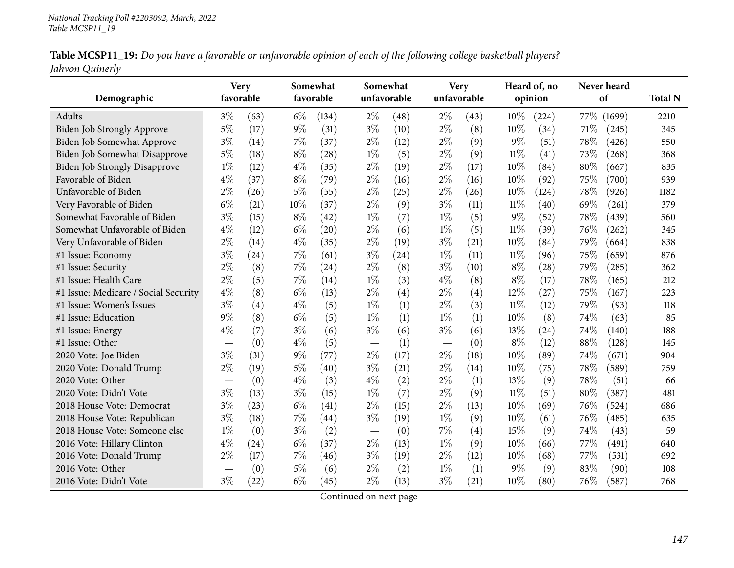|                 | Table MCSP11_19: Do you have a favorable or unfavorable opinion of each of the following college basketball players? |  |
|-----------------|----------------------------------------------------------------------------------------------------------------------|--|
| Jahvon Quinerly |                                                                                                                      |  |

| Demographic                          | <b>Very</b><br>favorable        |      |       | Somewhat<br>favorable |       | Somewhat<br>unfavorable | <b>Very</b><br>unfavorable |      |        | Heard of, no<br>opinion |      | Never heard<br>of | <b>Total N</b> |
|--------------------------------------|---------------------------------|------|-------|-----------------------|-------|-------------------------|----------------------------|------|--------|-------------------------|------|-------------------|----------------|
| Adults                               | $3\%$                           | (63) | $6\%$ | (134)                 | $2\%$ | (48)                    | $2\%$                      | (43) | 10%    | (224)                   | 77\% | (1699)            | 2210           |
| <b>Biden Job Strongly Approve</b>    | $5\%$                           | (17) | $9\%$ | (31)                  | $3\%$ | (10)                    | $2\%$                      | (8)  | 10%    | (34)                    | 71\% | (245)             | 345            |
| Biden Job Somewhat Approve           | $3\%$                           | (14) | $7\%$ | (37)                  | $2\%$ | (12)                    | $2\%$                      | (9)  | $9\%$  | (51)                    | 78%  | (426)             | 550            |
| Biden Job Somewhat Disapprove        | $5\%$                           | (18) | $8\%$ | (28)                  | $1\%$ | (5)                     | $2\%$                      | (9)  | $11\%$ | (41)                    | 73%  | (268)             | 368            |
| <b>Biden Job Strongly Disapprove</b> | $1\%$                           | (12) | $4\%$ | (35)                  | $2\%$ | (19)                    | $2\%$                      | (17) | 10%    | (84)                    | 80%  | (667)             | 835            |
| Favorable of Biden                   | $4\%$                           | (37) | $8\%$ | (79)                  | $2\%$ | (16)                    | $2\%$                      | (16) | 10%    | (92)                    | 75%  | (700)             | 939            |
| Unfavorable of Biden                 | 2%                              | (26) | $5\%$ | (55)                  | $2\%$ | (25)                    | $2\%$                      | (26) | 10%    | (124)                   | 78%  | (926)             | 1182           |
| Very Favorable of Biden              | $6\%$                           | (21) | 10%   | (37)                  | $2\%$ | (9)                     | $3\%$                      | (11) | $11\%$ | (40)                    | 69%  | (261)             | 379            |
| Somewhat Favorable of Biden          | $3\%$                           | (15) | $8\%$ | (42)                  | $1\%$ | (7)                     | $1\%$                      | (5)  | $9\%$  | (52)                    | 78%  | (439)             | 560            |
| Somewhat Unfavorable of Biden        | $4\%$                           | (12) | $6\%$ | (20)                  | $2\%$ | (6)                     | $1\%$                      | (5)  | $11\%$ | (39)                    | 76%  | (262)             | 345            |
| Very Unfavorable of Biden            | 2%                              | (14) | $4\%$ | (35)                  | $2\%$ | (19)                    | $3\%$                      | (21) | 10%    | (84)                    | 79%  | (664)             | 838            |
| #1 Issue: Economy                    | $3\%$                           | (24) | 7%    | (61)                  | $3\%$ | (24)                    | $1\%$                      | (11) | $11\%$ | (96)                    | 75%  | (659)             | 876            |
| #1 Issue: Security                   | $2\%$                           | (8)  | $7\%$ | (24)                  | $2\%$ | (8)                     | $3\%$                      | (10) | $8\%$  | (28)                    | 79%  | (285)             | 362            |
| #1 Issue: Health Care                | $2\%$                           | (5)  | 7%    | (14)                  | $1\%$ | (3)                     | $4\%$                      | (8)  | $8\%$  | (17)                    | 78%  | (165)             | 212            |
| #1 Issue: Medicare / Social Security | $4\%$                           | (8)  | $6\%$ | (13)                  | $2\%$ | (4)                     | $2\%$                      | (4)  | 12%    | (27)                    | 75%  | (167)             | 223            |
| #1 Issue: Women's Issues             | $3\%$                           | (4)  | $4\%$ | (5)                   | $1\%$ | (1)                     | $2\%$                      | (3)  | $11\%$ | (12)                    | 79%  | (93)              | 118            |
| #1 Issue: Education                  | 9%                              | (8)  | $6\%$ | (5)                   | $1\%$ | (1)                     | $1\%$                      | (1)  | 10%    | (8)                     | 74%  | (63)              | 85             |
| #1 Issue: Energy                     | $4\%$                           | (7)  | $3\%$ | (6)                   | $3\%$ | (6)                     | $3\%$                      | (6)  | 13%    | (24)                    | 74%  | (140)             | 188            |
| #1 Issue: Other                      | $\hspace{0.1mm}-\hspace{0.1mm}$ | (0)  | $4\%$ | (5)                   |       | (1)                     |                            | (0)  | $8\%$  | (12)                    | 88%  | (128)             | 145            |
| 2020 Vote: Joe Biden                 | $3\%$                           | (31) | 9%    | (77)                  | $2\%$ | (17)                    | $2\%$                      | (18) | 10%    | (89)                    | 74%  | (671)             | 904            |
| 2020 Vote: Donald Trump              | $2\%$                           | (19) | $5\%$ | (40)                  | $3\%$ | (21)                    | $2\%$                      | (14) | 10%    | (75)                    | 78%  | (589)             | 759            |
| 2020 Vote: Other                     |                                 | (0)  | $4\%$ | (3)                   | $4\%$ | (2)                     | $2\%$                      | (1)  | 13%    | (9)                     | 78%  | (51)              | 66             |
| 2020 Vote: Didn't Vote               | $3\%$                           | (13) | $3\%$ | (15)                  | $1\%$ | (7)                     | $2\%$                      | (9)  | $11\%$ | (51)                    | 80%  | (387)             | 481            |
| 2018 House Vote: Democrat            | $3\%$                           | (23) | $6\%$ | (41)                  | $2\%$ | (15)                    | $2\%$                      | (13) | 10%    | (69)                    | 76%  | (524)             | 686            |
| 2018 House Vote: Republican          | $3\%$                           | (18) | 7%    | $\left( 44\right)$    | $3\%$ | (19)                    | $1\%$                      | (9)  | 10%    | (61)                    | 76%  | (485)             | 635            |
| 2018 House Vote: Someone else        | $1\%$                           | (0)  | $3\%$ | (2)                   |       | (0)                     | 7%                         | (4)  | 15%    | (9)                     | 74%  | (43)              | 59             |
| 2016 Vote: Hillary Clinton           | $4\%$                           | (24) | $6\%$ | (37)                  | $2\%$ | (13)                    | $1\%$                      | (9)  | 10%    | (66)                    | 77\% | (491)             | 640            |
| 2016 Vote: Donald Trump              | $2\%$                           | (17) | 7%    | (46)                  | $3\%$ | (19)                    | $2\%$                      | (12) | 10%    | (68)                    | 77%  | (531)             | 692            |
| 2016 Vote: Other                     |                                 | (0)  | $5\%$ | (6)                   | $2\%$ | (2)                     | $1\%$                      | (1)  | $9\%$  | (9)                     | 83%  | (90)              | 108            |
| 2016 Vote: Didn't Vote               | $3\%$                           | (22) | $6\%$ | (45)                  | $2\%$ | (13)                    | $3\%$                      | (21) | 10%    | (80)                    | 76%  | (587)             | 768            |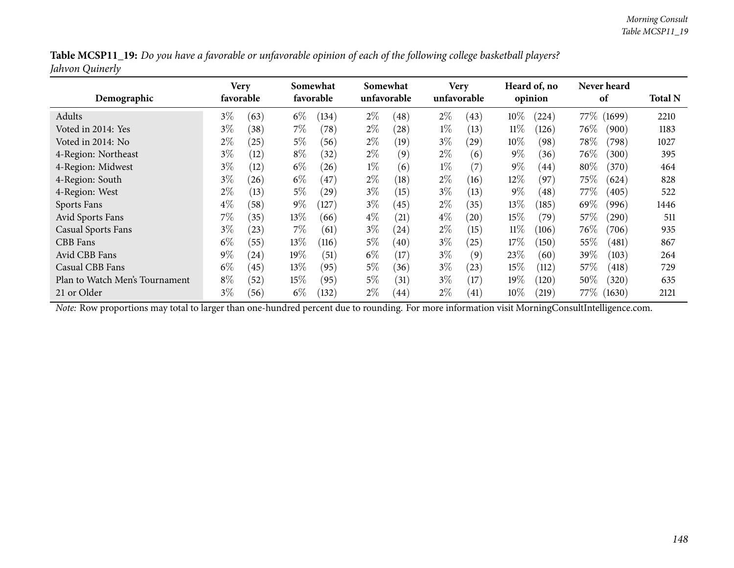| Table MCSP11_19: Do you have a favorable or unfavorable opinion of each of the following college basketball players? |  |
|----------------------------------------------------------------------------------------------------------------------|--|
| Jahvon Quinerly                                                                                                      |  |

| Demographic                    | Very<br>favorable |      |        | Somewhat<br>favorable |       | Somewhat<br>unfavorable |       | <b>Very</b><br>unfavorable |        | Heard of, no<br>opinion |        | <b>Never heard</b><br>of |      |  |
|--------------------------------|-------------------|------|--------|-----------------------|-------|-------------------------|-------|----------------------------|--------|-------------------------|--------|--------------------------|------|--|
| Adults                         | $3\%$             | (63) | $6\%$  | (134)                 | $2\%$ | (48)                    | $2\%$ | (43)                       | 10%    | (224)                   | 77\%   | (1699)                   | 2210 |  |
| Voted in 2014: Yes             | $3\%$             | (38) | $7\%$  | (78)                  | $2\%$ | (28)                    | $1\%$ | (13)                       | $11\%$ | (126)                   | $76\%$ | (900)                    | 1183 |  |
| Voted in 2014: No              | $2\%$             | (25) | $5\%$  | (56)                  | $2\%$ | (19)                    | $3\%$ | (29)                       | $10\%$ | (98)                    | 78\%   | (798)                    | 1027 |  |
| 4-Region: Northeast            | $3\%$             | (12) | $8\%$  | (32)                  | $2\%$ | (9)                     | $2\%$ | (6)                        | $9\%$  | (36)                    | $76\%$ | (300)                    | 395  |  |
| 4-Region: Midwest              | $3\%$             | (12) | $6\%$  | (26)                  | $1\%$ | (6)                     | $1\%$ | (7)                        | $9\%$  | (44)                    | 80%    | (370)                    | 464  |  |
| 4-Region: South                | $3\%$             | (26) | $6\%$  | (47)                  | $2\%$ | (18)                    | $2\%$ | (16)                       | 12%    | (97)                    | 75%    | (624)                    | 828  |  |
| 4-Region: West                 | $2\%$             | (13) | $5\%$  | (29)                  | $3\%$ | (15)                    | $3\%$ | (13)                       | $9\%$  | (48)                    | $77\%$ | (405)                    | 522  |  |
| Sports Fans                    | $4\%$             | (58) | $9\%$  | (127)                 | $3\%$ | (45)                    | $2\%$ | (35)                       | 13%    | (185)                   | 69%    | (996)                    | 1446 |  |
| Avid Sports Fans               | $7\%$             | (35) | $13\%$ | (66)                  | $4\%$ | $\left( 21\right)$      | $4\%$ | (20)                       | 15%    | (79)                    | 57%    | (290)                    | 511  |  |
| <b>Casual Sports Fans</b>      | $3\%$             | (23) | $7\%$  | (61)                  | $3\%$ | (24)                    | $2\%$ | (15)                       | $11\%$ | (106)                   | $76\%$ | (706)                    | 935  |  |
| CBB Fans                       | $6\%$             | (55) | $13\%$ | (116)                 | $5\%$ | (40)                    | $3\%$ | (25)                       | 17%    | (150)                   | 55%    | (481)                    | 867  |  |
| Avid CBB Fans                  | $9\%$             | (24) | 19%    | $\left(51\right)$     | $6\%$ | $17 \,$                 | $3\%$ | (9)                        | 23%    | (60)                    | 39%    | (103)                    | 264  |  |
| Casual CBB Fans                | $6\%$             | (45) | $13\%$ | (95)                  | $5\%$ | (36)                    | $3\%$ | (23)                       | 15%    | (112)                   | 57\%   | (418)                    | 729  |  |
| Plan to Watch Men's Tournament | $8\%$             | (52) | $15\%$ | (95)                  | $5\%$ | (31)                    | $3\%$ | (17)                       | 19%    | (120)                   | $50\%$ | (320)                    | 635  |  |
| 21 or Older                    | $3\%$             | (56) | $6\%$  | (132)                 | $2\%$ | (44)                    | $2\%$ | (41)                       | $10\%$ | 219                     | 77\%   | (1630)                   | 2121 |  |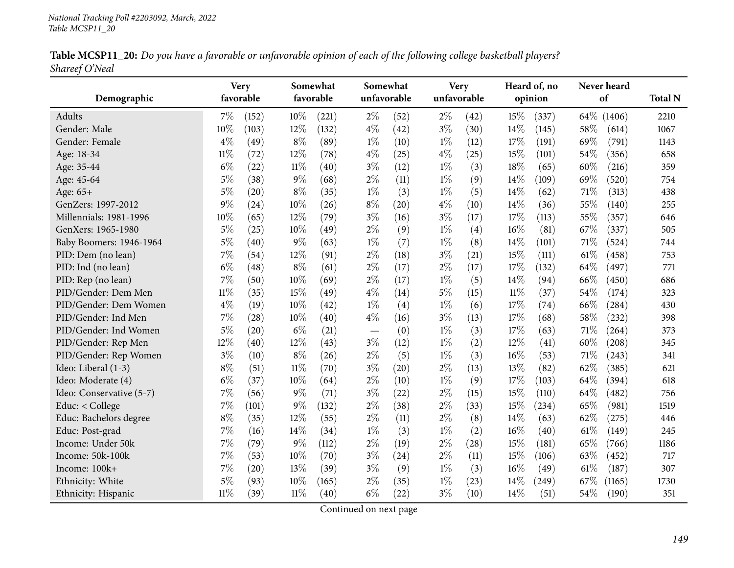|                | Table MCSP11_20: Do you have a favorable or unfavorable opinion of each of the following college basketball players? |  |
|----------------|----------------------------------------------------------------------------------------------------------------------|--|
| Shareef O'Neal |                                                                                                                      |  |

| Demographic              |        | <b>Very</b><br>favorable |        | Somewhat<br>favorable | Somewhat<br>unfavorable |      |       | <b>Very</b><br>unfavorable |        | Heard of, no<br>opinion |      | Never heard<br>of   | <b>Total N</b> |
|--------------------------|--------|--------------------------|--------|-----------------------|-------------------------|------|-------|----------------------------|--------|-------------------------|------|---------------------|----------------|
| Adults                   | $7\%$  | (152)                    | 10%    | (221)                 | $2\%$                   | (52) | $2\%$ | (42)                       | 15%    | (337)                   |      | 64\% (1406)         | 2210           |
| Gender: Male             | 10%    | (103)                    | 12%    | (132)                 | $4\%$                   | (42) | $3\%$ | (30)                       | 14%    | (145)                   | 58%  | (614)               | 1067           |
| Gender: Female           | $4\%$  | (49)                     | $8\%$  | (89)                  | $1\%$                   | (10) | $1\%$ | (12)                       | 17%    | (191)                   | 69%  | (791)               | 1143           |
| Age: 18-34               | $11\%$ | (72)                     | 12%    | (78)                  | $4\%$                   | (25) | $4\%$ | (25)                       | 15%    | (101)                   | 54%  | (356)               | 658            |
| Age: 35-44               | $6\%$  | (22)                     | $11\%$ | (40)                  | $3\%$                   | (12) | $1\%$ | (3)                        | 18%    | (65)                    | 60%  | (216)               | 359            |
| Age: 45-64               | $5\%$  | (38)                     | $9\%$  | (68)                  | $2\%$                   | (11) | $1\%$ | (9)                        | 14%    | (109)                   | 69%  | (520)               | 754            |
| Age: 65+                 | $5\%$  | (20)                     | $8\%$  | (35)                  | $1\%$                   | (3)  | $1\%$ | (5)                        | 14%    | (62)                    | 71%  | (313)               | 438            |
| GenZers: 1997-2012       | $9\%$  | (24)                     | 10%    | (26)                  | $8\%$                   | (20) | $4\%$ | (10)                       | 14%    | (36)                    | 55%  | (140)               | 255            |
| Millennials: 1981-1996   | 10%    | (65)                     | 12%    | (79)                  | $3\%$                   | (16) | $3\%$ | (17)                       | 17%    | (113)                   | 55%  | (357)               | 646            |
| GenXers: 1965-1980       | $5\%$  | (25)                     | 10%    | (49)                  | $2\%$                   | (9)  | $1\%$ | (4)                        | 16%    | (81)                    | 67%  | (337)               | 505            |
| Baby Boomers: 1946-1964  | $5\%$  | (40)                     | $9\%$  | (63)                  | $1\%$                   | (7)  | $1\%$ | (8)                        | 14%    | (101)                   | 71%  | (524)               | 744            |
| PID: Dem (no lean)       | $7\%$  | (54)                     | 12%    | (91)                  | $2\%$                   | (18) | $3\%$ | (21)                       | 15%    | (111)                   | 61\% | (458)               | 753            |
| PID: Ind (no lean)       | $6\%$  | (48)                     | $8\%$  | (61)                  | $2\%$                   | (17) | $2\%$ | (17)                       | 17%    | (132)                   | 64%  | (497)               | 771            |
| PID: Rep (no lean)       | $7\%$  | (50)                     | 10%    | (69)                  | $2\%$                   | (17) | $1\%$ | (5)                        | 14%    | (94)                    | 66%  | (450)               | 686            |
| PID/Gender: Dem Men      | $11\%$ | (35)                     | 15%    | (49)                  | $4\%$                   | (14) | $5\%$ | (15)                       | $11\%$ | (37)                    | 54%  | (174)               | 323            |
| PID/Gender: Dem Women    | $4\%$  | (19)                     | 10%    | (42)                  | $1\%$                   | (4)  | $1\%$ | (6)                        | 17%    | (74)                    | 66%  | (284)               | 430            |
| PID/Gender: Ind Men      | $7\%$  | (28)                     | 10%    | (40)                  | $4\%$                   | (16) | $3\%$ | (13)                       | 17%    | (68)                    | 58%  | (232)               | 398            |
| PID/Gender: Ind Women    | $5\%$  | (20)                     | $6\%$  | (21)                  |                         | (0)  | $1\%$ | (3)                        | 17%    | (63)                    | 71%  | (264)               | 373            |
| PID/Gender: Rep Men      | 12%    | (40)                     | 12%    | (43)                  | $3\%$                   | (12) | $1\%$ | (2)                        | 12%    | (41)                    | 60%  | $\left( 208\right)$ | 345            |
| PID/Gender: Rep Women    | $3\%$  | (10)                     | $8\%$  | (26)                  | $2\%$                   | (5)  | $1\%$ | (3)                        | 16%    | (53)                    | 71%  | (243)               | 341            |
| Ideo: Liberal (1-3)      | $8\%$  | (51)                     | $11\%$ | (70)                  | $3\%$                   | (20) | $2\%$ | (13)                       | 13%    | (82)                    | 62%  | (385)               | 621            |
| Ideo: Moderate (4)       | $6\%$  | (37)                     | 10%    | (64)                  | $2\%$                   | (10) | $1\%$ | (9)                        | 17%    | (103)                   | 64%  | (394)               | 618            |
| Ideo: Conservative (5-7) | $7\%$  | (56)                     | $9\%$  | (71)                  | $3\%$                   | (22) | $2\%$ | (15)                       | 15%    | (110)                   | 64%  | (482)               | 756            |
| Educ: $<$ College        | $7\%$  | (101)                    | $9\%$  | (132)                 | $2\%$                   | (38) | $2\%$ | (33)                       | 15%    | (234)                   | 65%  | (981)               | 1519           |
| Educ: Bachelors degree   | $8\%$  | (35)                     | 12%    | (55)                  | $2\%$                   | (11) | $2\%$ | (8)                        | 14%    | (63)                    | 62%  | (275)               | 446            |
| Educ: Post-grad          | $7\%$  | (16)                     | 14%    | (34)                  | $1\%$                   | (3)  | $1\%$ | (2)                        | 16%    | (40)                    | 61\% | (149)               | 245            |
| Income: Under 50k        | 7%     | (79)                     | $9\%$  | (112)                 | $2\%$                   | (19) | $2\%$ | (28)                       | 15%    | (181)                   | 65%  | (766)               | 1186           |
| Income: 50k-100k         | $7\%$  | (53)                     | 10%    | (70)                  | $3\%$                   | (24) | $2\%$ | (11)                       | 15%    | (106)                   | 63%  | (452)               | 717            |
| Income: 100k+            | $7\%$  | (20)                     | 13%    | (39)                  | $3\%$                   | (9)  | $1\%$ | (3)                        | 16%    | (49)                    | 61\% | (187)               | 307            |
| Ethnicity: White         | $5\%$  | (93)                     | 10%    | (165)                 | $2\%$                   | (35) | $1\%$ | (23)                       | 14%    | (249)                   | 67%  | (1165)              | 1730           |
| Ethnicity: Hispanic      | $11\%$ | (39)                     | 11%    | (40)                  | $6\%$                   | (22) | $3\%$ | (10)                       | 14%    | (51)                    | 54%  | (190)               | 351            |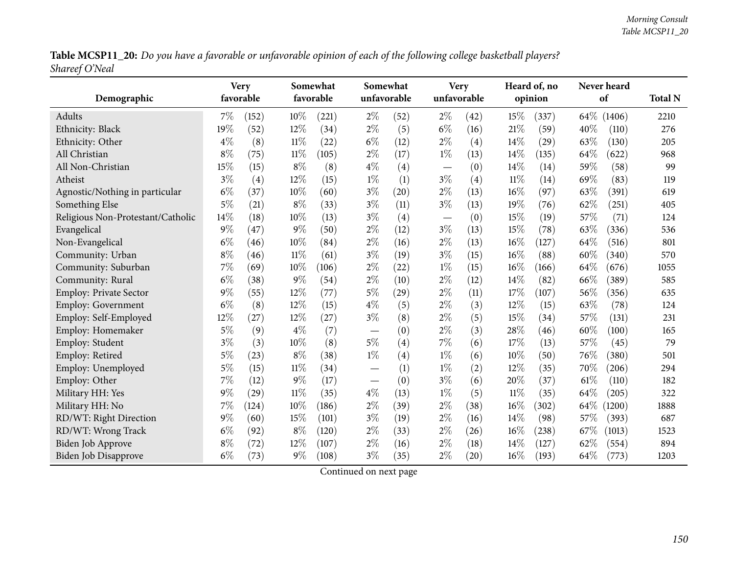Table MCSP11\_20: Do you have a favorable or unfavorable opinion of each of the following college basketball players? *Shareef O'Neal*

| Demographic                       |       | <b>Very</b><br>favorable |        | Somewhat<br>favorable |       | Somewhat<br>unfavorable |                               | <b>Very</b><br>unfavorable |        | Heard of, no<br>opinion |      | Never heard<br>of | <b>Total N</b> |
|-----------------------------------|-------|--------------------------|--------|-----------------------|-------|-------------------------|-------------------------------|----------------------------|--------|-------------------------|------|-------------------|----------------|
| Adults                            | 7%    | (152)                    | $10\%$ | (221)                 | $2\%$ | (52)                    | $2\%$                         | (42)                       | 15%    | (337)                   |      | 64\% (1406)       | 2210           |
| Ethnicity: Black                  | 19%   | (52)                     | 12%    | (34)                  | $2\%$ | (5)                     | $6\%$                         | (16)                       | 21%    | (59)                    | 40%  | (110)             | 276            |
| Ethnicity: Other                  | $4\%$ | (8)                      | 11%    | (22)                  | $6\%$ | (12)                    | $2\%$                         | (4)                        | 14%    | $\left( 29\right)$      | 63%  | (130)             | 205            |
| All Christian                     | $8\%$ | (75)                     | 11%    | (105)                 | $2\%$ | (17)                    | $1\%$                         | (13)                       | 14%    | (135)                   | 64%  | (622)             | 968            |
| All Non-Christian                 | 15%   | (15)                     | $8\%$  | (8)                   | $4\%$ | (4)                     | $\qquad \qquad -$             | (0)                        | 14\%   | (14)                    | 59%  | (58)              | 99             |
| Atheist                           | $3\%$ | (4)                      | 12%    | (15)                  | $1\%$ | (1)                     | $3\%$                         | (4)                        | $11\%$ | (14)                    | 69%  | (83)              | 119            |
| Agnostic/Nothing in particular    | $6\%$ | (37)                     | 10%    | (60)                  | $3\%$ | (20)                    | $2\%$                         | (13)                       | 16%    | (97)                    | 63%  | (391)             | 619            |
| Something Else                    | $5\%$ | (21)                     | $8\%$  | (33)                  | $3\%$ | (11)                    | $3\%$                         | (13)                       | 19%    | (76)                    | 62%  | (251)             | 405            |
| Religious Non-Protestant/Catholic | 14\%  | (18)                     | 10%    | (13)                  | $3\%$ | (4)                     | $\overbrace{\phantom{13333}}$ | (0)                        | 15%    | (19)                    | 57%  | (71)              | 124            |
| Evangelical                       | $9\%$ | (47)                     | $9\%$  | (50)                  | $2\%$ | (12)                    | $3\%$                         | (13)                       | 15%    | $\left( 78\right)$      | 63%  | (336)             | 536            |
| Non-Evangelical                   | $6\%$ | (46)                     | 10%    | (84)                  | $2\%$ | (16)                    | $2\%$                         | (13)                       | 16%    | (127)                   | 64%  | (516)             | 801            |
| Community: Urban                  | $8\%$ | (46)                     | $11\%$ | (61)                  | $3\%$ | (19)                    | $3\%$                         | (15)                       | 16%    | (88)                    | 60%  | (340)             | 570            |
| Community: Suburban               | 7%    | (69)                     | 10%    | (106)                 | $2\%$ | (22)                    | $1\%$                         | (15)                       | 16%    | (166)                   | 64%  | (676)             | 1055           |
| Community: Rural                  | $6\%$ | (38)                     | $9\%$  | (54)                  | $2\%$ | (10)                    | $2\%$                         | (12)                       | 14%    | (82)                    | 66%  | (389)             | 585            |
| Employ: Private Sector            | $9\%$ | (55)                     | 12%    | (77)                  | $5\%$ | (29)                    | $2\%$                         | (11)                       | 17%    | (107)                   | 56%  | (356)             | 635            |
| <b>Employ: Government</b>         | $6\%$ | (8)                      | 12%    | (15)                  | $4\%$ | (5)                     | $2\%$                         | (3)                        | 12%    | (15)                    | 63%  | (78)              | 124            |
| Employ: Self-Employed             | 12%   | (27)                     | 12%    | (27)                  | $3\%$ | (8)                     | $2\%$                         | (5)                        | 15%    | (34)                    | 57%  | (131)             | 231            |
| Employ: Homemaker                 | $5\%$ | (9)                      | $4\%$  | (7)                   |       | (0)                     | $2\%$                         | (3)                        | 28%    | (46)                    | 60%  | (100)             | 165            |
| Employ: Student                   | $3\%$ | (3)                      | 10%    | (8)                   | $5\%$ | (4)                     | 7%                            | (6)                        | 17%    | (13)                    | 57%  | (45)              | 79             |
| Employ: Retired                   | $5\%$ | (23)                     | $8\%$  | (38)                  | $1\%$ | (4)                     | $1\%$                         | (6)                        | 10%    | (50)                    | 76%  | (380)             | 501            |
| Employ: Unemployed                | 5%    | (15)                     | $11\%$ | (34)                  |       | (1)                     | $1\%$                         | (2)                        | 12%    | (35)                    | 70%  | (206)             | 294            |
| Employ: Other                     | $7\%$ | (12)                     | $9\%$  | (17)                  |       | (0)                     | $3\%$                         | (6)                        | 20%    | (37)                    | 61\% | (110)             | 182            |
| Military HH: Yes                  | $9\%$ | (29)                     | $11\%$ | (35)                  | $4\%$ | (13)                    | $1\%$                         | (5)                        | $11\%$ | (35)                    | 64%  | (205)             | 322            |
| Military HH: No                   | $7\%$ | (124)                    | 10%    | (186)                 | $2\%$ | (39)                    | $2\%$                         | (38)                       | 16%    | (302)                   | 64\% | (1200)            | 1888           |
| RD/WT: Right Direction            | $9\%$ | (60)                     | 15%    | (101)                 | $3\%$ | (19)                    | $2\%$                         | (16)                       | 14%    | (98)                    | 57%  | (393)             | 687            |
| RD/WT: Wrong Track                | $6\%$ | (92)                     | $8\%$  | (120)                 | $2\%$ | (33)                    | $2\%$                         | (26)                       | 16%    | (238)                   | 67%  | (1013)            | 1523           |
| <b>Biden Job Approve</b>          | $8\%$ | (72)                     | 12%    | (107)                 | $2\%$ | (16)                    | $2\%$                         | (18)                       | 14%    | (127)                   | 62%  | (554)             | 894            |
| <b>Biden Job Disapprove</b>       | $6\%$ | (73)                     | $9\%$  | (108)                 | $3\%$ | (35)                    | $2\%$                         | (20)                       | 16%    | (193)                   | 64%  | (773)             | 1203           |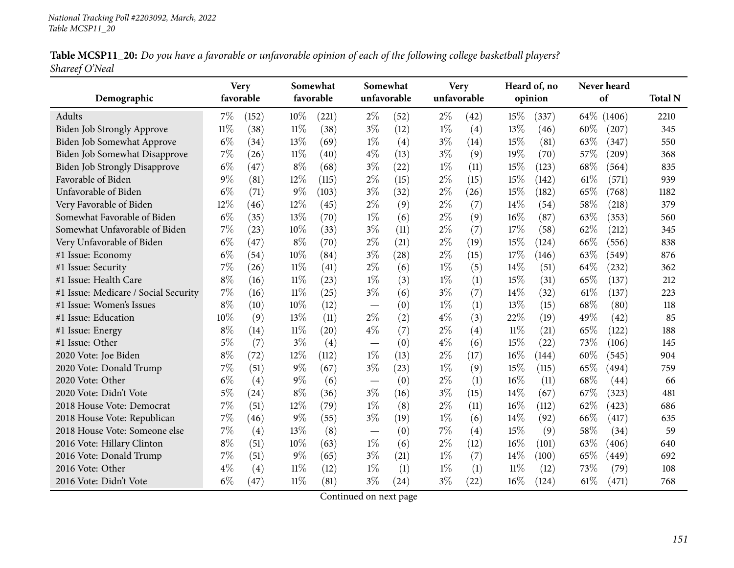|                | Table MCSP11_20: Do you have a favorable or unfavorable opinion of each of the following college basketball players? |  |
|----------------|----------------------------------------------------------------------------------------------------------------------|--|
| Shareef O'Neal |                                                                                                                      |  |

|                                      | <b>Very</b> |           |        | Somewhat           | Somewhat |             |             | <b>Very</b> |        | Heard of, no |        | Never heard |                |
|--------------------------------------|-------------|-----------|--------|--------------------|----------|-------------|-------------|-------------|--------|--------------|--------|-------------|----------------|
| Demographic                          |             | favorable |        | favorable          |          | unfavorable | unfavorable |             |        | opinion      |        | of          | <b>Total N</b> |
| <b>Adults</b>                        | $7\%$       | (152)     | 10%    | (221)              | $2\%$    | (52)        | $2\%$       | (42)        | 15%    | (337)        | $64\%$ | (1406)      | 2210           |
| Biden Job Strongly Approve           | $11\%$      | (38)      | $11\%$ | (38)               | $3\%$    | (12)        | $1\%$       | (4)         | 13%    | (46)         | 60%    | (207)       | 345            |
| Biden Job Somewhat Approve           | $6\%$       | (34)      | 13%    | (69)               | $1\%$    | (4)         | $3\%$       | (14)        | 15%    | (81)         | 63%    | (347)       | 550            |
| Biden Job Somewhat Disapprove        | 7%          | (26)      | 11%    | $\left( 40\right)$ | $4\%$    | (13)        | $3\%$       | (9)         | 19%    | (70)         | 57%    | (209)       | 368            |
| <b>Biden Job Strongly Disapprove</b> | $6\%$       | (47)      | 8%     | (68)               | $3\%$    | (22)        | $1\%$       | (11)        | 15%    | (123)        | 68%    | (564)       | 835            |
| Favorable of Biden                   | 9%          | (81)      | 12%    | (115)              | $2\%$    | (15)        | $2\%$       | (15)        | 15%    | (142)        | 61\%   | (571)       | 939            |
| Unfavorable of Biden                 | $6\%$       | (71)      | 9%     | (103)              | $3\%$    | (32)        | $2\%$       | (26)        | 15%    | (182)        | 65%    | (768)       | 1182           |
| Very Favorable of Biden              | 12%         | (46)      | 12%    | (45)               | $2\%$    | (9)         | $2\%$       | (7)         | 14%    | (54)         | 58%    | (218)       | 379            |
| Somewhat Favorable of Biden          | $6\%$       | (35)      | 13%    | (70)               | $1\%$    | (6)         | $2\%$       | (9)         | 16%    | (87)         | 63%    | (353)       | 560            |
| Somewhat Unfavorable of Biden        | 7%          | (23)      | 10%    | (33)               | $3\%$    | (11)        | $2\%$       | (7)         | 17%    | (58)         | 62%    | (212)       | 345            |
| Very Unfavorable of Biden            | $6\%$       | (47)      | $8\%$  | (70)               | $2\%$    | (21)        | $2\%$       | (19)        | 15%    | (124)        | 66\%   | (556)       | 838            |
| #1 Issue: Economy                    | $6\%$       | (54)      | 10%    | (84)               | $3\%$    | (28)        | $2\%$       | (15)        | 17%    | (146)        | 63%    | (549)       | 876            |
| #1 Issue: Security                   | 7%          | (26)      | $11\%$ | (41)               | $2\%$    | (6)         | $1\%$       | (5)         | 14%    | (51)         | 64%    | (232)       | 362            |
| #1 Issue: Health Care                | $8\%$       | (16)      | $11\%$ | (23)               | $1\%$    | (3)         | $1\%$       | (1)         | 15%    | (31)         | 65%    | (137)       | 212            |
| #1 Issue: Medicare / Social Security | 7%          | (16)      | $11\%$ | (25)               | $3\%$    | (6)         | $3\%$       | (7)         | 14%    | (32)         | 61%    | (137)       | 223            |
| #1 Issue: Women's Issues             | $8\%$       | (10)      | 10%    | (12)               |          | (0)         | $1\%$       | (1)         | 13%    | (15)         | 68%    | (80)        | 118            |
| #1 Issue: Education                  | 10%         | (9)       | 13\%   | (11)               | $2\%$    | (2)         | $4\%$       | (3)         | 22%    | (19)         | 49%    | (42)        | 85             |
| #1 Issue: Energy                     | $8\%$       | (14)      | $11\%$ | (20)               | $4\%$    | (7)         | $2\%$       | (4)         | 11%    | (21)         | 65%    | (122)       | 188            |
| #1 Issue: Other                      | $5\%$       | (7)       | $3\%$  | (4)                |          | (0)         | $4\%$       | (6)         | 15%    | (22)         | 73%    | (106)       | 145            |
| 2020 Vote: Joe Biden                 | $8\%$       | (72)      | 12%    | (112)              | $1\%$    | (13)        | $2\%$       | (17)        | $16\%$ | (144)        | 60%    | (545)       | 904            |
| 2020 Vote: Donald Trump              | 7%          | (51)      | $9\%$  | (67)               | $3\%$    | (23)        | $1\%$       | (9)         | 15%    | (115)        | 65%    | (494)       | 759            |
| 2020 Vote: Other                     | $6\%$       | (4)       | 9%     | (6)                |          | (0)         | $2\%$       | (1)         | 16%    | (11)         | 68%    | (44)        | 66             |
| 2020 Vote: Didn't Vote               | $5\%$       | (24)      | $8\%$  | (36)               | $3\%$    | (16)        | $3\%$       | (15)        | 14\%   | (67)         | 67%    | (323)       | 481            |
| 2018 House Vote: Democrat            | 7%          | (51)      | 12%    | (79)               | $1\%$    | (8)         | $2\%$       | (11)        | 16%    | (112)        | 62%    | (423)       | 686            |
| 2018 House Vote: Republican          | 7%          | (46)      | 9%     | (55)               | $3\%$    | (19)        | $1\%$       | (6)         | 14%    | (92)         | 66%    | (417)       | 635            |
| 2018 House Vote: Someone else        | 7%          | (4)       | 13%    | (8)                |          | (0)         | 7%          | (4)         | 15%    | (9)          | 58%    | (34)        | 59             |
| 2016 Vote: Hillary Clinton           | $8\%$       | (51)      | 10%    | (63)               | $1\%$    | (6)         | $2\%$       | (12)        | 16%    | (101)        | 63%    | (406)       | 640            |
| 2016 Vote: Donald Trump              | 7%          | (51)      | $9\%$  | (65)               | $3\%$    | (21)        | $1\%$       | (7)         | 14%    | (100)        | 65%    | (449)       | 692            |
| 2016 Vote: Other                     | $4\%$       | (4)       | $11\%$ | (12)               | $1\%$    | (1)         | $1\%$       | (1)         | $11\%$ | (12)         | 73%    | (79)        | 108            |
| 2016 Vote: Didn't Vote               | $6\%$       | (47)      | $11\%$ | (81)               | $3\%$    | (24)        | $3\%$       | (22)        | 16%    | (124)        | 61\%   | (471)       | 768            |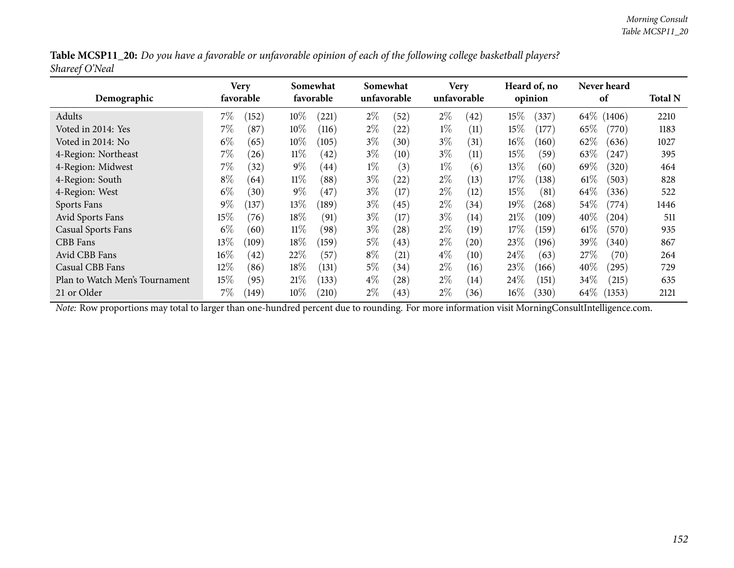|                |  | Table MCSP11_20: Do you have a favorable or unfavorable opinion of each of the following college basketball players? |
|----------------|--|----------------------------------------------------------------------------------------------------------------------|
| Shareef O'Neal |  |                                                                                                                      |

| Demographic                    |        | Very<br>favorable |        | Somewhat<br>favorable |       | Somewhat<br>unfavorable |       | <b>Very</b><br>unfavorable |        | Heard of, no<br>opinion |          | <b>Never heard</b><br>of | <b>Total N</b> |
|--------------------------------|--------|-------------------|--------|-----------------------|-------|-------------------------|-------|----------------------------|--------|-------------------------|----------|--------------------------|----------------|
| Adults                         | $7\%$  | (152)             | 10%    | (221)                 | $2\%$ | (52)                    | $2\%$ | (42)                       | $15\%$ | (337)                   | $64\%$ ( | (1406)                   | 2210           |
| Voted in 2014: Yes             | $7\%$  | (87)              | $10\%$ | (116)                 | $2\%$ | (22)                    | $1\%$ | (11)                       | $15\%$ | (177)                   | 65%      | (770)                    | 1183           |
| Voted in 2014: No              | $6\%$  | (65)              | $10\%$ | (105)                 | $3\%$ | (30)                    | $3\%$ | (31)                       | $16\%$ | (160)                   | 62%      | (636)                    | 1027           |
| 4-Region: Northeast            | 7%     | (26)              | $11\%$ | (42)                  | $3\%$ | (10)                    | $3\%$ | (11)                       | 15%    | (59)                    | 63\%     | (247)                    | 395            |
| 4-Region: Midwest              | $7\%$  | (32)              | $9\%$  | (44)                  | $1\%$ | (3)                     | $1\%$ | (6)                        | 13%    | (60)                    | 69%      | (320)                    | 464            |
| 4-Region: South                | $8\%$  | (64)              | $11\%$ | (88)                  | $3\%$ | (22)                    | $2\%$ | (13)                       | 17%    | (138)                   | $61\%$   | (503)                    | 828            |
| 4-Region: West                 | $6\%$  | (30)              | $9\%$  | (47)                  | $3\%$ | (17)                    | $2\%$ | (12)                       | 15\%   | (81)                    | 64\%     | (336)                    | 522            |
| Sports Fans                    | $9\%$  | (137)             | $13\%$ | (189)                 | $3\%$ | (45)                    | $2\%$ | (34)                       | 19%    | (268)                   | $54\%$   | (774)                    | 1446           |
| Avid Sports Fans               | 15%    | (76)              | $18\%$ | (91)                  | $3\%$ | $17 \,$                 | $3\%$ | (14)                       | 21%    | (109)                   | $40\%$   | (204)                    | 511            |
| <b>Casual Sports Fans</b>      | $6\%$  | (60)              | $11\%$ | (98)                  | $3\%$ | $\left( 28\right)$      | $2\%$ | (19)                       | 17%    | (159)                   | $61\%$   | (570)                    | 935            |
| CBB Fans                       | 13\%   | (109)             | 18%    | (159)                 | $5\%$ | (43)                    | $2\%$ | (20)                       | 23%    | (196)                   | 39\%     | (340)                    | 867            |
| Avid CBB Fans                  | $16\%$ | (42)              | 22\%   | (57)                  | $8\%$ | $\left( 21\right)$      | $4\%$ | $\left(10\right)$          | 24%    | (63)                    | 27\%     | (70)                     | 264            |
| Casual CBB Fans                | $12\%$ | (86)              | $18\%$ | (131)                 | $5\%$ | (34)                    | $2\%$ | (16)                       | 23%    | (166)                   | 40\%     | (295)                    | 729            |
| Plan to Watch Men's Tournament | 15%    | (95)              | 21%    | (133)                 | $4\%$ | (28)                    | $2\%$ | (14)                       | $24\%$ | (151)                   | $34\%$   | (215)                    | 635            |
| 21 or Older                    | 7%     | (149)             | $10\%$ | (210)                 | $2\%$ | (43)                    | $2\%$ | (36)                       | $16\%$ | (330)                   | 64 $\%$  | (1353)                   | 2121           |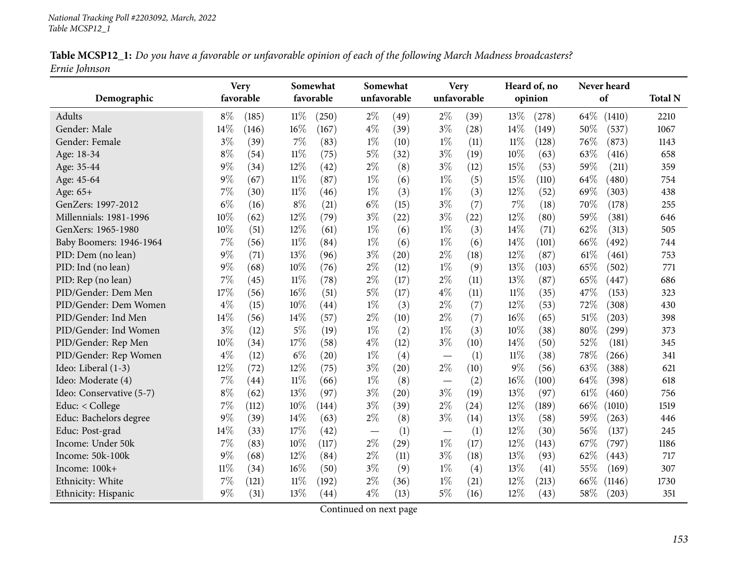| Table MCSP12_1: Do you have a favorable or unfavorable opinion of each of the following March Madness broadcasters? |  |
|---------------------------------------------------------------------------------------------------------------------|--|
| Ernie Johnson                                                                                                       |  |

|                          |        | <b>Very</b> |        | Somewhat  | Somewhat |             |                          | <b>Very</b> |        | Heard of, no | Never heard    |                |
|--------------------------|--------|-------------|--------|-----------|----------|-------------|--------------------------|-------------|--------|--------------|----------------|----------------|
| Demographic              |        | favorable   |        | favorable |          | unfavorable | unfavorable              |             |        | opinion      | of             | <b>Total N</b> |
| <b>Adults</b>            | $8\%$  | (185)       | $11\%$ | (250)     | $2\%$    | (49)        | $2\%$                    | (39)        | 13%    | (278)        | 64%<br>(1410)  | 2210           |
| Gender: Male             | 14%    | (146)       | 16%    | (167)     | $4\%$    | (39)        | $3\%$                    | (28)        | 14%    | (149)        | 50%<br>(537)   | 1067           |
| Gender: Female           | $3\%$  | (39)        | 7%     | (83)      | $1\%$    | (10)        | $1\%$                    | (11)        | $11\%$ | (128)        | 76%<br>(873)   | 1143           |
| Age: 18-34               | $8\%$  | (54)        | $11\%$ | (75)      | $5\%$    | (32)        | $3\%$                    | (19)        | 10%    | (63)         | 63%<br>(416)   | 658            |
| Age: 35-44               | $9\%$  | (34)        | 12%    | (42)      | $2\%$    | (8)         | $3\%$                    | (12)        | 15%    | (53)         | 59%<br>(211)   | 359            |
| Age: 45-64               | 9%     | (67)        | $11\%$ | (87)      | $1\%$    | (6)         | $1\%$                    | (5)         | 15%    | (110)        | 64%<br>(480)   | 754            |
| Age: 65+                 | 7%     | (30)        | $11\%$ | (46)      | $1\%$    | (3)         | $1\%$                    | (3)         | 12%    | (52)         | 69%<br>(303)   | 438            |
| GenZers: 1997-2012       | $6\%$  | (16)        | $8\%$  | (21)      | $6\%$    | (15)        | $3\%$                    | (7)         | $7\%$  | (18)         | 70%<br>(178)   | 255            |
| Millennials: 1981-1996   | 10%    | (62)        | 12%    | (79)      | $3\%$    | (22)        | $3\%$                    | (22)        | 12%    | (80)         | 59%<br>(381)   | 646            |
| GenXers: 1965-1980       | 10%    | (51)        | 12%    | (61)      | $1\%$    | (6)         | $1\%$                    | (3)         | 14%    | (71)         | 62%<br>(313)   | 505            |
| Baby Boomers: 1946-1964  | 7%     | (56)        | $11\%$ | (84)      | $1\%$    | (6)         | $1\%$                    | (6)         | 14%    | (101)        | 66%<br>(492)   | 744            |
| PID: Dem (no lean)       | $9\%$  | (71)        | 13%    | (96)      | $3\%$    | (20)        | $2\%$                    | (18)        | 12%    | (87)         | 61\%<br>(461)  | 753            |
| PID: Ind (no lean)       | $9\%$  | (68)        | 10%    | (76)      | $2\%$    | (12)        | $1\%$                    | (9)         | 13%    | (103)        | 65%<br>(502)   | 771            |
| PID: Rep (no lean)       | 7%     | (45)        | $11\%$ | (78)      | $2\%$    | (17)        | $2\%$                    | (11)        | 13%    | (87)         | 65%<br>(447)   | 686            |
| PID/Gender: Dem Men      | 17%    | (56)        | 16%    | (51)      | $5\%$    | (17)        | $4\%$                    | (11)        | $11\%$ | (35)         | 47%<br>(153)   | 323            |
| PID/Gender: Dem Women    | $4\%$  | (15)        | 10%    | (44)      | $1\%$    | (3)         | $2\%$                    | (7)         | 12%    | (53)         | 72%<br>(308)   | 430            |
| PID/Gender: Ind Men      | 14%    | (56)        | 14%    | (57)      | $2\%$    | (10)        | $2\%$                    | (7)         | 16%    | (65)         | 51%<br>(203)   | 398            |
| PID/Gender: Ind Women    | $3\%$  | (12)        | 5%     | (19)      | $1\%$    | (2)         | $1\%$                    | (3)         | 10%    | (38)         | 80%<br>(299)   | 373            |
| PID/Gender: Rep Men      | 10%    | (34)        | 17%    | (58)      | $4\%$    | (12)        | $3\%$                    | (10)        | 14\%   | (50)         | 52%<br>(181)   | 345            |
| PID/Gender: Rep Women    | $4\%$  | (12)        | $6\%$  | (20)      | $1\%$    | (4)         |                          | (1)         | $11\%$ | (38)         | 78%<br>(266)   | 341            |
| Ideo: Liberal (1-3)      | 12%    | (72)        | 12%    | (75)      | $3\%$    | (20)        | $2\%$                    | (10)        | $9\%$  | (56)         | 63%<br>(388)   | 621            |
| Ideo: Moderate (4)       | 7%     | (44)        | $11\%$ | (66)      | $1\%$    | (8)         | $\overline{\phantom{m}}$ | (2)         | 16%    | (100)        | 64%<br>(398)   | 618            |
| Ideo: Conservative (5-7) | $8\%$  | (62)        | 13\%   | (97)      | $3\%$    | (20)        | $3\%$                    | (19)        | 13%    | (97)         | 61\%<br>(460)  | 756            |
| Educ: < College          | 7%     | (112)       | $10\%$ | (144)     | $3\%$    | (39)        | $2\%$                    | (24)        | 12%    | (189)        | 66\%<br>(1010) | 1519           |
| Educ: Bachelors degree   | $9\%$  | (39)        | 14%    | (63)      | $2\%$    | (8)         | $3\%$                    | (14)        | 13%    | (58)         | 59%<br>(263)   | 446            |
| Educ: Post-grad          | 14%    | (33)        | 17%    | (42)      |          | (1)         |                          | (1)         | 12%    | (30)         | 56%<br>(137)   | 245            |
| Income: Under 50k        | 7%     | (83)        | 10%    | (117)     | $2\%$    | (29)        | $1\%$                    | (17)        | 12%    | (143)        | 67%<br>(797)   | 1186           |
| Income: 50k-100k         | $9\%$  | (68)        | 12%    | (84)      | $2\%$    | (11)        | $3\%$                    | (18)        | 13%    | (93)         | 62%<br>(443)   | 717            |
| Income: 100k+            | $11\%$ | (34)        | 16%    | (50)      | $3\%$    | (9)         | $1\%$                    | (4)         | 13%    | (41)         | 55%<br>(169)   | 307            |
| Ethnicity: White         | 7%     | (121)       | $11\%$ | (192)     | $2\%$    | (36)        | $1\%$                    | (21)        | 12%    | (213)        | 66%<br>(1146)  | 1730           |
| Ethnicity: Hispanic      | 9%     | (31)        | 13%    | (44)      | $4\%$    | (13)        | $5\%$                    | (16)        | 12%    | (43)         | 58%<br>(203)   | 351            |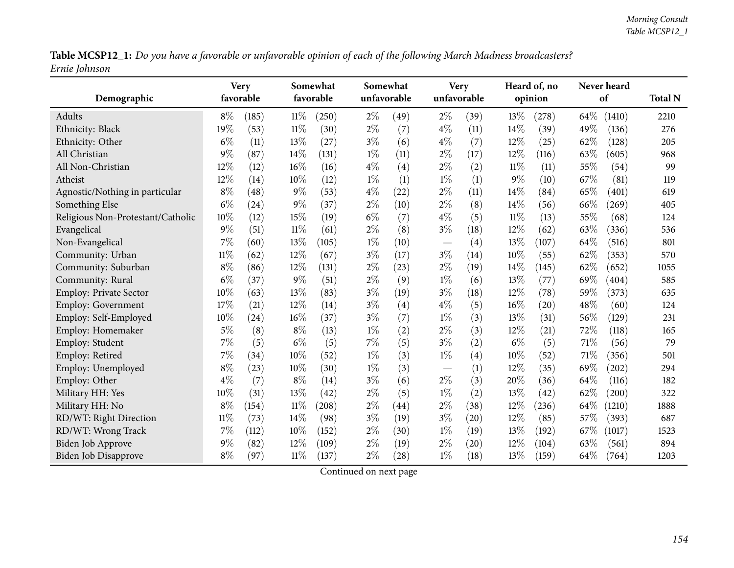Table MCSP12\_1: Do you have a favorable or unfavorable opinion of each of the following March Madness broadcasters? *Ernie Johnson*

| Demographic                       |        | <b>Very</b><br>favorable |        | Somewhat<br>favorable |       | Somewhat<br>unfavorable |                          | <b>Very</b><br>unfavorable |        | Heard of, no<br>opinion |      | Never heard<br>of | <b>Total N</b> |
|-----------------------------------|--------|--------------------------|--------|-----------------------|-------|-------------------------|--------------------------|----------------------------|--------|-------------------------|------|-------------------|----------------|
| Adults                            | $8\%$  | (185)                    | 11%    | (250)                 | $2\%$ | (49)                    | $2\%$                    | (39)                       | 13%    | (278)                   | 64\% | (1410)            | 2210           |
| Ethnicity: Black                  | 19%    | (53)                     | $11\%$ | (30)                  | $2\%$ | (7)                     | $4\%$                    | (11)                       | 14%    | (39)                    | 49%  | (136)             | 276            |
| Ethnicity: Other                  | $6\%$  | (11)                     | 13%    | (27)                  | $3\%$ | (6)                     | $4\%$                    | (7)                        | 12%    | (25)                    | 62%  | (128)             | 205            |
| All Christian                     | $9\%$  | (87)                     | 14%    | (131)                 | $1\%$ | (11)                    | $2\%$                    | (17)                       | 12%    | (116)                   | 63%  | (605)             | 968            |
| All Non-Christian                 | 12%    | (12)                     | 16%    | (16)                  | $4\%$ | (4)                     | $2\%$                    | (2)                        | $11\%$ | (11)                    | 55%  | (54)              | 99             |
| Atheist                           | 12%    | (14)                     | 10%    | (12)                  | $1\%$ | (1)                     | $1\%$                    | (1)                        | $9\%$  | (10)                    | 67%  | (81)              | 119            |
| Agnostic/Nothing in particular    | $8\%$  | (48)                     | $9\%$  | (53)                  | $4\%$ | (22)                    | $2\%$                    | (11)                       | 14%    | (84)                    | 65%  | (401)             | 619            |
| Something Else                    | $6\%$  | (24)                     | $9\%$  | (37)                  | $2\%$ | (10)                    | $2\%$                    | (8)                        | 14%    | (56)                    | 66%  | (269)             | 405            |
| Religious Non-Protestant/Catholic | 10%    | (12)                     | 15%    | (19)                  | $6\%$ | (7)                     | $4\%$                    | (5)                        | $11\%$ | (13)                    | 55%  | (68)              | 124            |
| Evangelical                       | $9\%$  | (51)                     | $11\%$ | (61)                  | $2\%$ | (8)                     | $3\%$                    | (18)                       | 12%    | (62)                    | 63%  | (336)             | 536            |
| Non-Evangelical                   | 7%     | (60)                     | 13%    | (105)                 | $1\%$ | (10)                    |                          | (4)                        | 13%    | (107)                   | 64%  | (516)             | 801            |
| Community: Urban                  | $11\%$ | (62)                     | 12%    | (67)                  | $3\%$ | (17)                    | $3\%$                    | (14)                       | 10%    | (55)                    | 62%  | (353)             | 570            |
| Community: Suburban               | $8\%$  | (86)                     | 12%    | (131)                 | $2\%$ | (23)                    | $2\%$                    | (19)                       | 14%    | (145)                   | 62%  | (652)             | 1055           |
| Community: Rural                  | $6\%$  | (37)                     | $9\%$  | (51)                  | $2\%$ | (9)                     | $1\%$                    | (6)                        | 13%    | (77)                    | 69%  | (404)             | 585            |
| <b>Employ: Private Sector</b>     | 10%    | (63)                     | 13%    | (83)                  | $3\%$ | (19)                    | $3\%$                    | (18)                       | 12%    | (78)                    | 59%  | (373)             | 635            |
| <b>Employ: Government</b>         | 17%    | (21)                     | 12%    | (14)                  | $3\%$ | (4)                     | $4\%$                    | (5)                        | 16%    | (20)                    | 48%  | (60)              | 124            |
| Employ: Self-Employed             | 10%    | (24)                     | 16%    | (37)                  | $3\%$ | (7)                     | $1\%$                    | (3)                        | 13%    | (31)                    | 56%  | (129)             | 231            |
| Employ: Homemaker                 | $5\%$  | (8)                      | $8\%$  | (13)                  | $1\%$ | (2)                     | $2\%$                    | (3)                        | 12%    | (21)                    | 72%  | (118)             | 165            |
| Employ: Student                   | $7\%$  | (5)                      | $6\%$  | (5)                   | 7%    | (5)                     | $3\%$                    | (2)                        | $6\%$  | (5)                     | 71\% | (56)              | 79             |
| Employ: Retired                   | $7\%$  | (34)                     | 10%    | (52)                  | $1\%$ | (3)                     | $1\%$                    | (4)                        | 10%    | (52)                    | 71%  | (356)             | 501            |
| Employ: Unemployed                | $8\%$  | (23)                     | 10%    | (30)                  | $1\%$ | (3)                     | $\overline{\phantom{m}}$ | (1)                        | 12%    | (35)                    | 69%  | (202)             | 294            |
| Employ: Other                     | $4\%$  | (7)                      | $8\%$  | (14)                  | $3\%$ | (6)                     | $2\%$                    | (3)                        | 20%    | (36)                    | 64%  | (116)             | 182            |
| Military HH: Yes                  | 10%    | (31)                     | 13%    | (42)                  | $2\%$ | (5)                     | $1\%$                    | (2)                        | 13%    | (42)                    | 62%  | (200)             | 322            |
| Military HH: No                   | $8\%$  | (154)                    | 11%    | (208)                 | $2\%$ | (44)                    | $2\%$                    | (38)                       | 12%    | (236)                   | 64%  | (1210)            | 1888           |
| RD/WT: Right Direction            | $11\%$ | (73)                     | 14\%   | (98)                  | $3\%$ | (19)                    | $3\%$                    | (20)                       | 12%    | (85)                    | 57%  | (393)             | 687            |
| RD/WT: Wrong Track                | $7\%$  | (112)                    | 10%    | (152)                 | $2\%$ | (30)                    | $1\%$                    | (19)                       | 13%    | (192)                   | 67\% | (1017)            | 1523           |
| <b>Biden Job Approve</b>          | $9\%$  | (82)                     | 12%    | (109)                 | $2\%$ | (19)                    | $2\%$                    | (20)                       | 12%    | (104)                   | 63%  | (561)             | 894            |
| Biden Job Disapprove              | $8\%$  | (97)                     | $11\%$ | (137)                 | $2\%$ | (28)                    | $1\%$                    | (18)                       | 13%    | (159)                   | 64%  | (764)             | 1203           |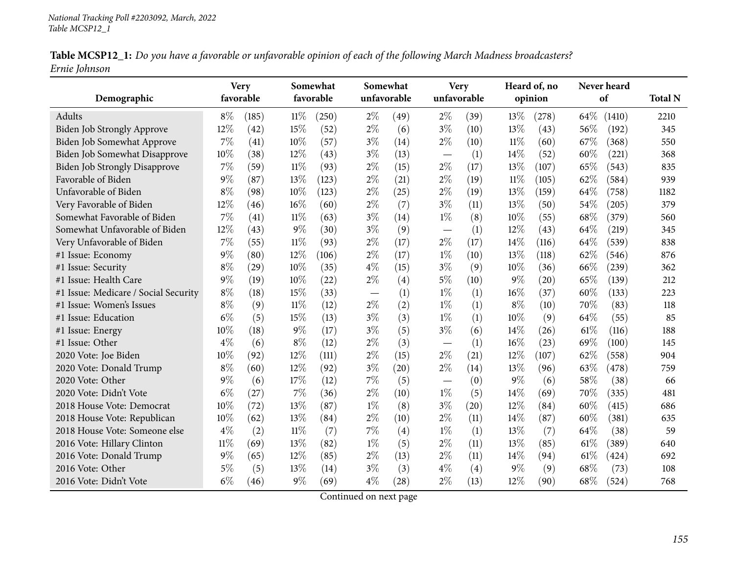| Table MCSP12_1: Do you have a favorable or unfavorable opinion of each of the following March Madness broadcasters? |  |  |
|---------------------------------------------------------------------------------------------------------------------|--|--|
| Ernie Johnson                                                                                                       |  |  |

|                                      |        | <b>Very</b> |        | Somewhat  |             | Somewhat           |                          | <b>Very</b> |        | Heard of, no |      | Never heard |                |
|--------------------------------------|--------|-------------|--------|-----------|-------------|--------------------|--------------------------|-------------|--------|--------------|------|-------------|----------------|
| Demographic                          |        | favorable   |        | favorable | unfavorable |                    |                          | unfavorable |        | opinion      |      | of          | <b>Total N</b> |
| Adults                               | $8\%$  | (185)       | $11\%$ | (250)     | $2\%$       | (49)               | $2\%$                    | (39)        | 13%    | (278)        | 64\% | (1410)      | 2210           |
| Biden Job Strongly Approve           | 12%    | (42)        | 15%    | (52)      | $2\%$       | (6)                | $3\%$                    | (10)        | 13%    | (43)         | 56%  | (192)       | 345            |
| Biden Job Somewhat Approve           | 7%     | (41)        | $10\%$ | (57)      | $3\%$       | (14)               | $2\%$                    | (10)        | $11\%$ | (60)         | 67%  | (368)       | 550            |
| Biden Job Somewhat Disapprove        | 10%    | (38)        | 12%    | (43)      | $3\%$       | (13)               |                          | (1)         | 14%    | (52)         | 60%  | (221)       | 368            |
| <b>Biden Job Strongly Disapprove</b> | 7%     | (59)        | $11\%$ | (93)      | $2\%$       | (15)               | $2\%$                    | (17)        | 13%    | (107)        | 65%  | (543)       | 835            |
| Favorable of Biden                   | $9\%$  | (87)        | 13%    | (123)     | $2\%$       | (21)               | $2\%$                    | (19)        | $11\%$ | (105)        | 62%  | (584)       | 939            |
| Unfavorable of Biden                 | $8\%$  | (98)        | 10%    | (123)     | $2\%$       | (25)               | $2\%$                    | (19)        | 13%    | (159)        | 64%  | (758)       | 1182           |
| Very Favorable of Biden              | 12%    | (46)        | 16%    | (60)      | $2\%$       | (7)                | $3\%$                    | (11)        | 13%    | (50)         | 54%  | (205)       | 379            |
| Somewhat Favorable of Biden          | 7%     | (41)        | $11\%$ | (63)      | $3\%$       | (14)               | $1\%$                    | (8)         | 10%    | (55)         | 68%  | (379)       | 560            |
| Somewhat Unfavorable of Biden        | 12%    | (43)        | $9\%$  | (30)      | $3\%$       | (9)                |                          | (1)         | 12%    | (43)         | 64%  | (219)       | 345            |
| Very Unfavorable of Biden            | 7%     | (55)        | 11%    | (93)      | $2\%$       | (17)               | $2\%$                    | (17)        | 14%    | (116)        | 64\% | (539)       | 838            |
| #1 Issue: Economy                    | $9\%$  | (80)        | 12%    | (106)     | $2\%$       | (17)               | $1\%$                    | (10)        | 13%    | (118)        | 62%  | (546)       | 876            |
| #1 Issue: Security                   | $8\%$  | (29)        | 10%    | (35)      | $4\%$       | (15)               | $3\%$                    | (9)         | 10%    | (36)         | 66%  | (239)       | 362            |
| #1 Issue: Health Care                | $9\%$  | (19)        | $10\%$ | (22)      | $2\%$       | (4)                | $5\%$                    | (10)        | $9\%$  | (20)         | 65%  | (139)       | 212            |
| #1 Issue: Medicare / Social Security | $8\%$  | (18)        | 15%    | (33)      |             | (1)                | $1\%$                    | (1)         | 16%    | (37)         | 60%  | (133)       | 223            |
| #1 Issue: Women's Issues             | $8\%$  | (9)         | $11\%$ | (12)      | $2\%$       | (2)                | $1\%$                    | (1)         | $8\%$  | (10)         | 70%  | (83)        | 118            |
| #1 Issue: Education                  | $6\%$  | (5)         | 15%    | (13)      | $3\%$       | (3)                | $1\%$                    | (1)         | 10%    | (9)          | 64\% | (55)        | 85             |
| #1 Issue: Energy                     | 10%    | (18)        | $9\%$  | (17)      | $3\%$       | (5)                | $3\%$                    | (6)         | 14%    | (26)         | 61%  | (116)       | 188            |
| #1 Issue: Other                      | $4\%$  | (6)         | $8\%$  | (12)      | $2\%$       | (3)                |                          | (1)         | 16%    | (23)         | 69%  | (100)       | 145            |
| 2020 Vote: Joe Biden                 | 10%    | (92)        | 12%    | (111)     | $2\%$       | (15)               | $2\%$                    | (21)        | 12%    | (107)        | 62%  | (558)       | 904            |
| 2020 Vote: Donald Trump              | $8\%$  | (60)        | $12\%$ | (92)      | $3\%$       | (20)               | $2\%$                    | (14)        | 13%    | (96)         | 63%  | (478)       | 759            |
| 2020 Vote: Other                     | $9\%$  | (6)         | 17%    | (12)      | 7%          | (5)                | $\overline{\phantom{0}}$ | (0)         | $9\%$  | (6)          | 58%  | (38)        | 66             |
| 2020 Vote: Didn't Vote               | $6\%$  | (27)        | 7%     | (36)      | $2\%$       | (10)               | $1\%$                    | (5)         | 14%    | (69)         | 70%  | (335)       | 481            |
| 2018 House Vote: Democrat            | 10%    | (72)        | 13%    | (87)      | $1\%$       | (8)                | $3\%$                    | (20)        | 12%    | (84)         | 60%  | (415)       | 686            |
| 2018 House Vote: Republican          | 10%    | (62)        | 13%    | (84)      | $2\%$       | (10)               | $2\%$                    | (11)        | 14\%   | (87)         | 60%  | (381)       | 635            |
| 2018 House Vote: Someone else        | $4\%$  | (2)         | $11\%$ | (7)       | 7%          | (4)                | $1\%$                    | (1)         | 13%    | (7)          | 64\% | (38)        | 59             |
| 2016 Vote: Hillary Clinton           | $11\%$ | (69)        | 13%    | (82)      | $1\%$       | (5)                | $2\%$                    | (11)        | 13%    | (85)         | 61%  | (389)       | 640            |
| 2016 Vote: Donald Trump              | $9\%$  | (65)        | 12%    | (85)      | $2\%$       | (13)               | $2\%$                    | (11)        | 14%    | (94)         | 61\% | (424)       | 692            |
| 2016 Vote: Other                     | $5\%$  | (5)         | 13%    | (14)      | $3\%$       | (3)                | $4\%$                    | (4)         | $9\%$  | (9)          | 68%  | (73)        | 108            |
| 2016 Vote: Didn't Vote               | $6\%$  | (46)        | 9%     | (69)      | $4\%$       | $\left( 28\right)$ | $2\%$                    | (13)        | 12%    | (90)         | 68%  | (524)       | 768            |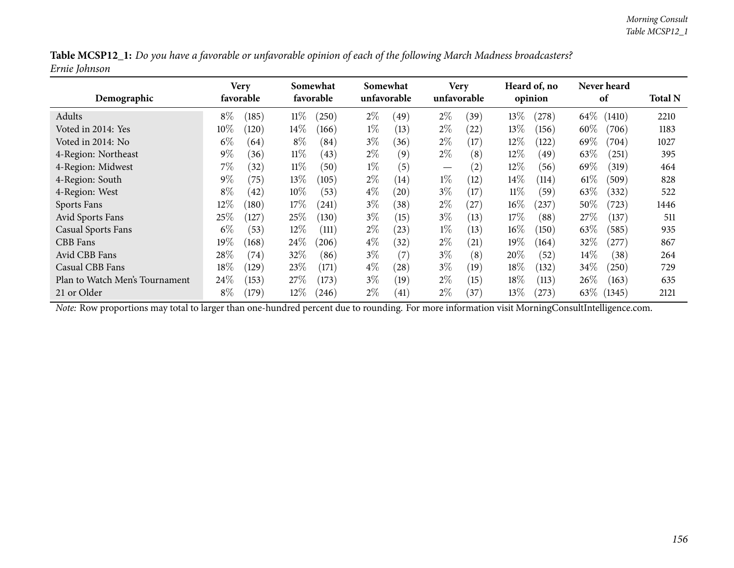|               |  |  | Table MCSP12_1: Do you have a favorable or unfavorable opinion of each of the following March Madness broadcasters? |
|---------------|--|--|---------------------------------------------------------------------------------------------------------------------|
| Ernie Johnson |  |  |                                                                                                                     |

| Demographic                    |        | Very<br>favorable |        | Somewhat<br>favorable |       | Somewhat<br>unfavorable |                                 | <b>Very</b><br>unfavorable |        | Heard of, no<br>opinion |        | Never heard<br>of | <b>Total N</b> |
|--------------------------------|--------|-------------------|--------|-----------------------|-------|-------------------------|---------------------------------|----------------------------|--------|-------------------------|--------|-------------------|----------------|
| Adults                         | $8\%$  | (185)             | $11\%$ | (250)                 | $2\%$ | (49)                    | $2\%$                           | (39)                       | 13%    | (278)                   | $64\%$ | (1410)            | 2210           |
| Voted in 2014: Yes             | $10\%$ | (120)             | $14\%$ | (166)                 | $1\%$ | (13)                    | $2\%$                           | (22)                       | 13%    | (156)                   | $60\%$ | (706)             | 1183           |
| Voted in 2014: No              | $6\%$  | (64)              | $8\%$  | (84)                  | $3\%$ | (36)                    | $2\%$                           | (17)                       | 12%    | (122)                   | $69\%$ | (704)             | 1027           |
| 4-Region: Northeast            | $9\%$  | (36)              | $11\%$ | (43)                  | $2\%$ | (9)                     | $2\%$                           | (8)                        | 12%    | (49)                    | 63\%   | (251)             | 395            |
| 4-Region: Midwest              | $7\%$  | (32)              | $11\%$ | (50)                  | $1\%$ | (5)                     | $\hspace{0.1mm}-\hspace{0.1mm}$ | $\left( 2\right)$          | $12\%$ | (56)                    | 69%    | (319)             | 464            |
| 4-Region: South                | $9\%$  | (75)              | 13%    | (105)                 | $2\%$ | (14)                    | $1\%$                           | (12)                       | $14\%$ | (114)                   | 61%    | (509)             | 828            |
| 4-Region: West                 | $8\%$  | (42)              | $10\%$ | (53)                  | $4\%$ | (20)                    | $3\%$                           | (17)                       | $11\%$ | (59)                    | 63\%   | (332)             | 522            |
| Sports Fans                    | $12\%$ | $^{\prime}180)$   | 17%    | (241)                 | $3\%$ | (38)                    | $2\%$                           | (27)                       | $16\%$ | (237)                   | $50\%$ | (723)             | 1446           |
| Avid Sports Fans               | 25%    | 127               | 25%    | (130)                 | $3\%$ | (15)                    | $3\%$                           | (13)                       | 17%    | (88)                    | 27%    | (137)             | 511            |
| <b>Casual Sports Fans</b>      | $6\%$  | (53)              | $12\%$ | (111)                 | $2\%$ | (23)                    | $1\%$                           | (13)                       | $16\%$ | (150)                   | 63\%   | (585)             | 935            |
| CBB Fans                       | $19\%$ | (168)             | 24\%   | (206)                 | $4\%$ | (32)                    | $2\%$                           | $\left( 21\right)$         | 19%    | (164)                   | 32%    | (277)             | 867            |
| Avid CBB Fans                  | 28\%   | (74)              | 32\%   | (86)                  | $3\%$ | (7)                     | $3\%$                           | (8)                        | 20%    | (52)                    | $14\%$ | (38)              | 264            |
| Casual CBB Fans                | 18\%   | (129)             | 23%    | (171)                 | $4\%$ | (28)                    | $3\%$                           | (19)                       | 18%    | (132)                   | 34\%   | (250)             | 729            |
| Plan to Watch Men's Tournament | 24\%   | (153)             | 27%    | (173)                 | $3\%$ | (19)                    | $2\%$                           | (15)                       | 18\%   | (113)                   | $26\%$ | (163)             | 635            |
| 21 or Older                    | $8\%$  | (179)             | $12\%$ | (246)                 | $2\%$ | (41)                    | $2\%$                           | (37)                       | $13\%$ | (273)                   | 63\%   | (1345)            | 2121           |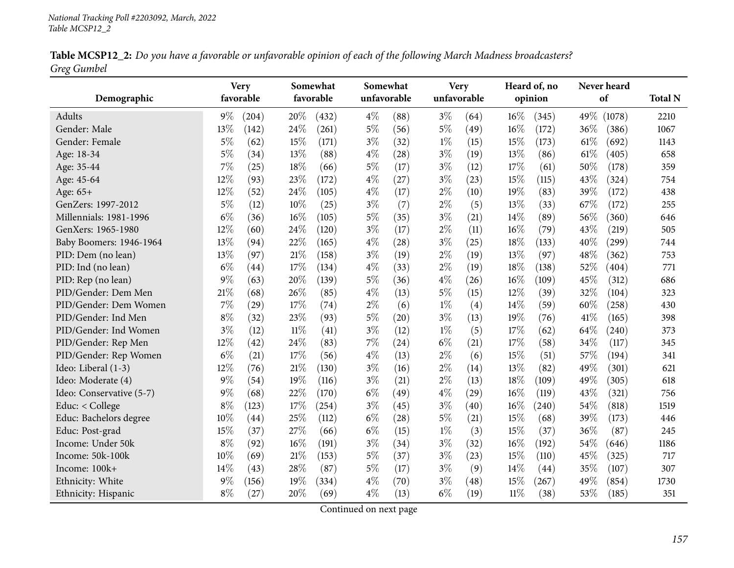|             |  | Table MCSP12_2: Do you have a favorable or unfavorable opinion of each of the following March Madness broadcasters? |  |
|-------------|--|---------------------------------------------------------------------------------------------------------------------|--|
| Greg Gumbel |  |                                                                                                                     |  |

|                          |       | <b>Very</b> |     | Somewhat  | Somewhat    |      |       | <b>Very</b> |      | Heard of, no |      | Never heard |                |
|--------------------------|-------|-------------|-----|-----------|-------------|------|-------|-------------|------|--------------|------|-------------|----------------|
| Demographic              |       | favorable   |     | favorable | unfavorable |      |       | unfavorable |      | opinion      |      | of          | <b>Total N</b> |
| Adults                   | $9\%$ | (204)       | 20% | (432)     | $4\%$       | (88) | $3\%$ | (64)        | 16%  | (345)        | 49%  | (1078)      | 2210           |
| Gender: Male             | 13%   | (142)       | 24% | (261)     | $5\%$       | (56) | $5\%$ | (49)        | 16%  | (172)        | 36%  | (386)       | 1067           |
| Gender: Female           | $5\%$ | (62)        | 15% | (171)     | $3\%$       | (32) | $1\%$ | (15)        | 15%  | (173)        | 61\% | (692)       | 1143           |
| Age: 18-34               | $5\%$ | (34)        | 13% | (88)      | $4\%$       | (28) | $3\%$ | (19)        | 13%  | (86)         | 61\% | (405)       | 658            |
| Age: 35-44               | $7\%$ | (25)        | 18% | (66)      | $5\%$       | (17) | $3\%$ | (12)        | 17%  | (61)         | 50%  | (178)       | 359            |
| Age: 45-64               | 12%   | (93)        | 23% | (172)     | $4\%$       | (27) | $3\%$ | (23)        | 15%  | (115)        | 43%  | (324)       | 754            |
| Age: 65+                 | 12%   | (52)        | 24% | (105)     | $4\%$       | (17) | $2\%$ | (10)        | 19%  | (83)         | 39%  | (172)       | 438            |
| GenZers: 1997-2012       | $5\%$ | (12)        | 10% | (25)      | $3\%$       | (7)  | $2\%$ | (5)         | 13%  | (33)         | 67\% | (172)       | 255            |
| Millennials: 1981-1996   | $6\%$ | (36)        | 16% | (105)     | $5\%$       | (35) | $3\%$ | (21)        | 14%  | (89)         | 56%  | (360)       | 646            |
| GenXers: 1965-1980       | 12%   | (60)        | 24% | (120)     | $3\%$       | (17) | $2\%$ | (11)        | 16%  | (79)         | 43%  | (219)       | 505            |
| Baby Boomers: 1946-1964  | 13%   | (94)        | 22% | (165)     | $4\%$       | (28) | $3\%$ | (25)        | 18%  | (133)        | 40%  | (299)       | 744            |
| PID: Dem (no lean)       | 13%   | (97)        | 21% | (158)     | $3\%$       | (19) | $2\%$ | (19)        | 13%  | (97)         | 48%  | (362)       | 753            |
| PID: Ind (no lean)       | $6\%$ | (44)        | 17% | (134)     | $4\%$       | (33) | $2\%$ | (19)        | 18%  | (138)        | 52%  | (404)       | 771            |
| PID: Rep (no lean)       | $9\%$ | (63)        | 20% | (139)     | $5\%$       | (36) | $4\%$ | (26)        | 16%  | (109)        | 45%  | (312)       | 686            |
| PID/Gender: Dem Men      | 21%   | (68)        | 26% | (85)      | $4\%$       | (13) | $5\%$ | (15)        | 12%  | (39)         | 32%  | (104)       | 323            |
| PID/Gender: Dem Women    | 7%    | (29)        | 17% | (74)      | $2\%$       | (6)  | $1\%$ | (4)         | 14%  | (59)         | 60%  | (258)       | 430            |
| PID/Gender: Ind Men      | $8\%$ | (32)        | 23% | (93)      | $5\%$       | (20) | $3\%$ | (13)        | 19%  | (76)         | 41%  | (165)       | 398            |
| PID/Gender: Ind Women    | $3\%$ | (12)        | 11% | (41)      | $3\%$       | (12) | $1\%$ | (5)         | 17%  | (62)         | 64%  | (240)       | 373            |
| PID/Gender: Rep Men      | 12%   | (42)        | 24% | (83)      | 7%          | (24) | $6\%$ | (21)        | 17%  | (58)         | 34%  | (117)       | 345            |
| PID/Gender: Rep Women    | $6\%$ | (21)        | 17% | (56)      | $4\%$       | (13) | $2\%$ | (6)         | 15%  | (51)         | 57%  | (194)       | 341            |
| Ideo: Liberal (1-3)      | 12%   | (76)        | 21% | (130)     | $3\%$       | (16) | $2\%$ | (14)        | 13%  | (82)         | 49%  | (301)       | 621            |
| Ideo: Moderate (4)       | $9\%$ | (54)        | 19% | (116)     | $3\%$       | (21) | $2\%$ | (13)        | 18%  | (109)        | 49%  | (305)       | 618            |
| Ideo: Conservative (5-7) | $9\%$ | (68)        | 22% | (170)     | $6\%$       | (49) | $4\%$ | (29)        | 16%  | (119)        | 43%  | (321)       | 756            |
| Educ: < College          | $8\%$ | (123)       | 17% | (254)     | $3\%$       | (45) | $3\%$ | (40)        | 16%  | (240)        | 54%  | (818)       | 1519           |
| Educ: Bachelors degree   | 10%   | (44)        | 25% | (112)     | $6\%$       | (28) | $5\%$ | (21)        | 15%  | (68)         | 39%  | (173)       | 446            |
| Educ: Post-grad          | 15%   | (37)        | 27% | (66)      | $6\%$       | (15) | $1\%$ | (3)         | 15%  | (37)         | 36%  | (87)        | 245            |
| Income: Under 50k        | $8\%$ | (92)        | 16% | (191)     | $3\%$       | (34) | $3\%$ | (32)        | 16%  | (192)        | 54%  | (646)       | 1186           |
| Income: 50k-100k         | 10%   | (69)        | 21% | (153)     | 5%          | (37) | $3\%$ | (23)        | 15%  | (110)        | 45%  | (325)       | 717            |
| Income: 100k+            | 14%   | (43)        | 28% | (87)      | $5\%$       | (17) | $3\%$ | (9)         | 14\% | (44)         | 35%  | (107)       | 307            |
| Ethnicity: White         | 9%    | (156)       | 19% | (334)     | $4\%$       | (70) | $3\%$ | (48)        | 15%  | (267)        | 49%  | (854)       | 1730           |
| Ethnicity: Hispanic      | $8\%$ | (27)        | 20% | (69)      | $4\%$       | (13) | $6\%$ | (19)        | 11%  | (38)         | 53%  | (185)       | 351            |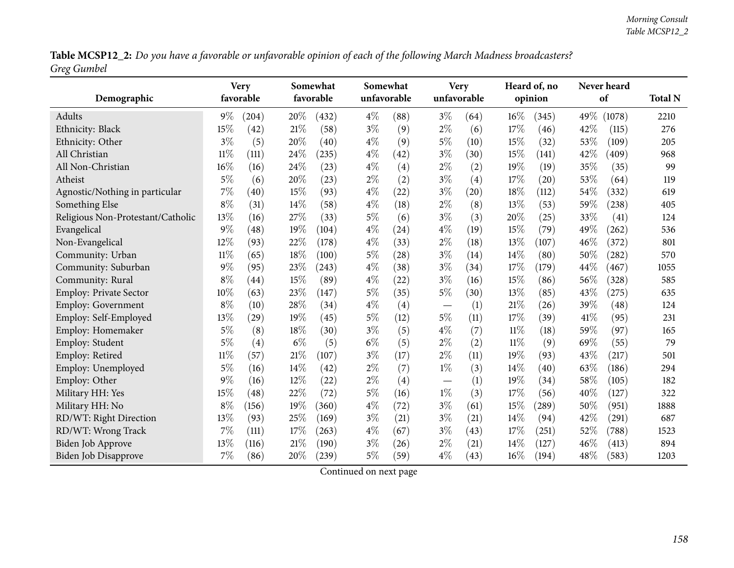Table MCSP12\_2: Do you have a favorable or unfavorable opinion of each of the following March Madness broadcasters? *Greg Gumbel*

|                                   |        | <b>Very</b> |       | Somewhat  |       | Somewhat    |       | <b>Very</b> |        | Heard of, no |      | Never heard |                |
|-----------------------------------|--------|-------------|-------|-----------|-------|-------------|-------|-------------|--------|--------------|------|-------------|----------------|
| Demographic                       |        | favorable   |       | favorable |       | unfavorable |       | unfavorable |        | opinion      |      | of          | <b>Total N</b> |
| Adults                            | $9\%$  | (204)       | 20%   | (432)     | $4\%$ | (88)        | $3\%$ | (64)        | $16\%$ | (345)        | 49%  | (1078)      | 2210           |
| Ethnicity: Black                  | 15%    | (42)        | 21%   | (58)      | $3\%$ | (9)         | $2\%$ | (6)         | 17%    | (46)         | 42%  | (115)       | 276            |
| Ethnicity: Other                  | $3\%$  | (5)         | 20%   | (40)      | $4\%$ | (9)         | $5\%$ | (10)        | 15%    | (32)         | 53%  | (109)       | 205            |
| All Christian                     | $11\%$ | (111)       | 24%   | (235)     | $4\%$ | (42)        | $3\%$ | (30)        | 15%    | (141)        | 42%  | (409)       | 968            |
| All Non-Christian                 | 16%    | (16)        | 24%   | (23)      | $4\%$ | (4)         | $2\%$ | (2)         | 19%    | (19)         | 35%  | (35)        | 99             |
| Atheist                           | $5\%$  | (6)         | 20%   | (23)      | $2\%$ | (2)         | $3\%$ | (4)         | 17%    | (20)         | 53%  | (64)        | 119            |
| Agnostic/Nothing in particular    | $7\%$  | (40)        | 15%   | (93)      | $4\%$ | (22)        | $3\%$ | (20)        | 18%    | (112)        | 54%  | (332)       | 619            |
| Something Else                    | $8\%$  | (31)        | 14%   | (58)      | $4\%$ | (18)        | $2\%$ | (8)         | 13%    | (53)         | 59%  | (238)       | 405            |
| Religious Non-Protestant/Catholic | 13%    | (16)        | 27%   | (33)      | $5\%$ | (6)         | $3\%$ | (3)         | 20%    | (25)         | 33%  | (41)        | 124            |
| Evangelical                       | 9%     | (48)        | 19%   | (104)     | $4\%$ | (24)        | $4\%$ | (19)        | 15%    | (79)         | 49%  | (262)       | 536            |
| Non-Evangelical                   | 12%    | (93)        | 22%   | (178)     | $4\%$ | (33)        | $2\%$ | (18)        | 13%    | (107)        | 46%  | (372)       | 801            |
| Community: Urban                  | $11\%$ | (65)        | 18%   | (100)     | $5\%$ | (28)        | $3\%$ | (14)        | 14%    | (80)         | 50%  | (282)       | 570            |
| Community: Suburban               | $9\%$  | (95)        | 23%   | (243)     | $4\%$ | (38)        | $3\%$ | (34)        | 17%    | (179)        | 44%  | (467)       | 1055           |
| Community: Rural                  | $8\%$  | (44)        | 15%   | (89)      | $4\%$ | (22)        | $3\%$ | (16)        | 15%    | (86)         | 56%  | (328)       | 585            |
| Employ: Private Sector            | 10%    | (63)        | 23%   | (147)     | 5%    | (35)        | $5\%$ | (30)        | 13%    | (85)         | 43%  | (275)       | 635            |
| <b>Employ: Government</b>         | $8\%$  | (10)        | 28%   | (34)      | $4\%$ | (4)         |       | (1)         | 21%    | (26)         | 39%  | (48)        | 124            |
| Employ: Self-Employed             | 13%    | (29)        | 19%   | (45)      | $5\%$ | (12)        | $5\%$ | (11)        | 17%    | (39)         | 41\% | (95)        | 231            |
| Employ: Homemaker                 | $5\%$  | (8)         | 18%   | (30)      | $3\%$ | (5)         | $4\%$ | (7)         | 11%    | (18)         | 59%  | (97)        | 165            |
| Employ: Student                   | $5\%$  | (4)         | $6\%$ | (5)       | $6\%$ | (5)         | $2\%$ | (2)         | 11%    | (9)          | 69%  | (55)        | 79             |
| Employ: Retired                   | $11\%$ | (57)        | 21%   | (107)     | $3\%$ | (17)        | $2\%$ | (11)        | 19%    | (93)         | 43%  | (217)       | 501            |
| Employ: Unemployed                | 5%     | (16)        | 14%   | (42)      | $2\%$ | (7)         | $1\%$ | (3)         | 14%    | (40)         | 63%  | (186)       | 294            |
| Employ: Other                     | $9\%$  | (16)        | 12%   | (22)      | $2\%$ | (4)         |       | (1)         | 19%    | (34)         | 58%  | (105)       | 182            |
| Military HH: Yes                  | 15%    | (48)        | 22%   | (72)      | 5%    | (16)        | $1\%$ | (3)         | 17%    | (56)         | 40%  | (127)       | 322            |
| Military HH: No                   | $8\%$  | (156)       | 19%   | (360)     | $4\%$ | (72)        | $3\%$ | (61)        | 15%    | (289)        | 50%  | (951)       | 1888           |
| RD/WT: Right Direction            | 13%    | (93)        | 25%   | (169)     | $3\%$ | (21)        | $3\%$ | (21)        | 14\%   | (94)         | 42%  | (291)       | 687            |
| RD/WT: Wrong Track                | 7%     | (111)       | 17%   | (263)     | $4\%$ | (67)        | $3\%$ | (43)        | 17%    | (251)        | 52%  | (788)       | 1523           |
| <b>Biden Job Approve</b>          | 13%    | (116)       | 21%   | (190)     | $3\%$ | (26)        | $2\%$ | (21)        | 14\%   | (127)        | 46%  | (413)       | 894            |
| <b>Biden Job Disapprove</b>       | $7\%$  | (86)        | 20%   | (239)     | $5\%$ | (59)        | $4\%$ | (43)        | 16%    | (194)        | 48%  | (583)       | 1203           |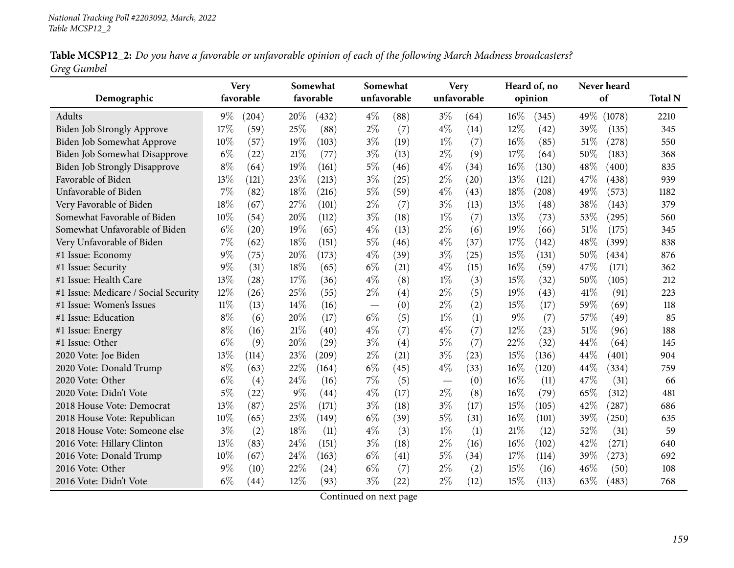|             |  | Table MCSP12_2: Do you have a favorable or unfavorable opinion of each of the following March Madness broadcasters? |  |
|-------------|--|---------------------------------------------------------------------------------------------------------------------|--|
| Greg Gumbel |  |                                                                                                                     |  |

|                                      |        | <b>Very</b> |      | Somewhat  |       | Somewhat    |       | <b>Very</b> |        | Heard of, no |      | Never heard |                |
|--------------------------------------|--------|-------------|------|-----------|-------|-------------|-------|-------------|--------|--------------|------|-------------|----------------|
| Demographic                          |        | favorable   |      | favorable |       | unfavorable |       | unfavorable |        | opinion      |      | of          | <b>Total N</b> |
| Adults                               | $9\%$  | (204)       | 20%  | (432)     | $4\%$ | (88)        | $3\%$ | (64)        | $16\%$ | (345)        | 49%  | (1078)      | 2210           |
| Biden Job Strongly Approve           | 17%    | (59)        | 25%  | (88)      | $2\%$ | (7)         | $4\%$ | (14)        | $12\%$ | (42)         | 39%  | (135)       | 345            |
| Biden Job Somewhat Approve           | 10%    | (57)        | 19%  | (103)     | $3\%$ | (19)        | $1\%$ | (7)         | 16%    | (85)         | 51%  | (278)       | 550            |
| Biden Job Somewhat Disapprove        | $6\%$  | (22)        | 21%  | (77)      | $3\%$ | (13)        | $2\%$ | (9)         | 17%    | (64)         | 50%  | (183)       | 368            |
| <b>Biden Job Strongly Disapprove</b> | $8\%$  | (64)        | 19%  | (161)     | $5\%$ | (46)        | $4\%$ | (34)        | 16%    | (130)        | 48%  | (400)       | 835            |
| Favorable of Biden                   | 13%    | (121)       | 23%  | (213)     | $3\%$ | (25)        | $2\%$ | (20)        | 13%    | (121)        | 47%  | (438)       | 939            |
| Unfavorable of Biden                 | 7%     | (82)        | 18%  | (216)     | $5\%$ | (59)        | $4\%$ | (43)        | 18%    | (208)        | 49%  | (573)       | 1182           |
| Very Favorable of Biden              | 18%    | (67)        | 27%  | (101)     | $2\%$ | (7)         | $3\%$ | (13)        | 13%    | (48)         | 38%  | (143)       | 379            |
| Somewhat Favorable of Biden          | 10%    | (54)        | 20%  | (112)     | $3\%$ | (18)        | $1\%$ | (7)         | 13%    | (73)         | 53%  | (295)       | 560            |
| Somewhat Unfavorable of Biden        | $6\%$  | (20)        | 19%  | (65)      | $4\%$ | (13)        | $2\%$ | (6)         | 19%    | (66)         | 51\% | (175)       | 345            |
| Very Unfavorable of Biden            | 7%     | (62)        | 18%  | (151)     | $5\%$ | (46)        | $4\%$ | (37)        | 17%    | (142)        | 48%  | (399)       | 838            |
| #1 Issue: Economy                    | $9\%$  | (75)        | 20%  | (173)     | $4\%$ | (39)        | $3\%$ | (25)        | 15%    | (131)        | 50%  | (434)       | 876            |
| #1 Issue: Security                   | 9%     | (31)        | 18%  | (65)      | $6\%$ | (21)        | $4\%$ | (15)        | 16%    | (59)         | 47%  | (171)       | 362            |
| #1 Issue: Health Care                | 13%    | (28)        | 17%  | (36)      | $4\%$ | (8)         | $1\%$ | (3)         | 15%    | (32)         | 50%  | (105)       | 212            |
| #1 Issue: Medicare / Social Security | 12%    | (26)        | 25%  | (55)      | $2\%$ | (4)         | $2\%$ | (5)         | 19%    | (43)         | 41%  | (91)        | 223            |
| #1 Issue: Women's Issues             | $11\%$ | (13)        | 14\% | (16)      |       | (0)         | $2\%$ | (2)         | 15%    | (17)         | 59%  | (69)        | 118            |
| #1 Issue: Education                  | $8\%$  | (6)         | 20%  | (17)      | $6\%$ | (5)         | $1\%$ | (1)         | $9\%$  | (7)          | 57%  | (49)        | 85             |
| #1 Issue: Energy                     | $8\%$  | (16)        | 21%  | (40)      | $4\%$ | (7)         | $4\%$ | (7)         | 12%    | (23)         | 51\% | (96)        | 188            |
| #1 Issue: Other                      | $6\%$  | (9)         | 20%  | (29)      | $3\%$ | (4)         | $5\%$ | (7)         | 22%    | (32)         | 44%  | (64)        | 145            |
| 2020 Vote: Joe Biden                 | 13%    | (114)       | 23%  | (209)     | $2\%$ | (21)        | $3\%$ | (23)        | 15%    | (136)        | 44%  | (401)       | 904            |
| 2020 Vote: Donald Trump              | $8\%$  | (63)        | 22%  | (164)     | $6\%$ | (45)        | $4\%$ | (33)        | 16%    | (120)        | 44%  | (334)       | 759            |
| 2020 Vote: Other                     | $6\%$  | (4)         | 24%  | (16)      | 7%    | (5)         |       | (0)         | 16%    | (11)         | 47%  | (31)        | 66             |
| 2020 Vote: Didn't Vote               | $5\%$  | (22)        | 9%   | (44)      | $4\%$ | (17)        | $2\%$ | (8)         | 16%    | (79)         | 65%  | (312)       | 481            |
| 2018 House Vote: Democrat            | 13%    | (87)        | 25%  | (171)     | $3\%$ | (18)        | $3\%$ | (17)        | 15%    | (105)        | 42%  | (287)       | 686            |
| 2018 House Vote: Republican          | 10%    | (65)        | 23%  | (149)     | $6\%$ | (39)        | $5\%$ | (31)        | 16%    | (101)        | 39%  | (250)       | 635            |
| 2018 House Vote: Someone else        | $3\%$  | (2)         | 18%  | (11)      | $4\%$ | (3)         | $1\%$ | (1)         | 21%    | (12)         | 52%  | (31)        | 59             |
| 2016 Vote: Hillary Clinton           | 13%    | (83)        | 24%  | (151)     | $3\%$ | (18)        | $2\%$ | (16)        | $16\%$ | (102)        | 42%  | (271)       | 640            |
| 2016 Vote: Donald Trump              | 10%    | (67)        | 24%  | (163)     | $6\%$ | (41)        | $5\%$ | (34)        | 17%    | (114)        | 39%  | (273)       | 692            |
| 2016 Vote: Other                     | $9\%$  | (10)        | 22%  | (24)      | $6\%$ | (7)         | $2\%$ | (2)         | 15%    | (16)         | 46%  | (50)        | 108            |
| 2016 Vote: Didn't Vote               | $6\%$  | (44)        | 12%  | (93)      | $3\%$ | (22)        | $2\%$ | (12)        | 15%    | (113)        | 63%  | (483)       | 768            |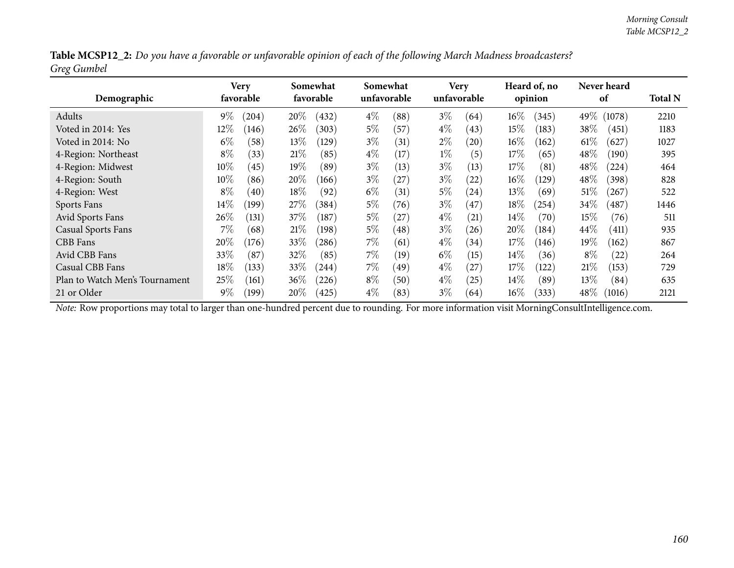| Table MCSP12_2: Do you have a favorable or unfavorable opinion of each of the following March Madness broadcasters? |  |  |  |  |
|---------------------------------------------------------------------------------------------------------------------|--|--|--|--|
| Greg Gumbel                                                                                                         |  |  |  |  |

| Demographic                    | Very<br>favorable |            |        | Somewhat<br>favorable |       | Somewhat<br>unfavorable |       | <b>Very</b><br>unfavorable |        | Heard of, no<br>opinion |        | Never heard<br>of | <b>Total N</b> |
|--------------------------------|-------------------|------------|--------|-----------------------|-------|-------------------------|-------|----------------------------|--------|-------------------------|--------|-------------------|----------------|
| Adults                         | $9\%$             | (204)      | 20%    | (432)                 | $4\%$ | (88)                    | $3\%$ | (64)                       | 16%    | (345)                   | 49%    | (1078)            | 2210           |
| Voted in 2014: Yes             | $12\%$            | (146)      | 26%    | (303)                 | $5\%$ | (57)                    | $4\%$ | (43)                       | 15%    | (183)                   | 38\%   | (451)             | 1183           |
| Voted in 2014: No              | $6\%$             | (58)       | $13\%$ | (129)                 | $3\%$ | (31)                    | $2\%$ | (20)                       | $16\%$ | (162)                   | $61\%$ | (627)             | 1027           |
| 4-Region: Northeast            | $8\%$             | (33)       | 21%    | (85)                  | $4\%$ | (17)                    | $1\%$ | (5)                        | 17%    | (65)                    | $48\%$ | (190)             | 395            |
| 4-Region: Midwest              | $10\%$            | (45)       | $19\%$ | (89)                  | $3\%$ | (13)                    | $3\%$ | (13)                       | 17%    | (81)                    | $48\%$ | (224)             | 464            |
| 4-Region: South                | $10\%$            | (86)       | 20%    | (166)                 | $3\%$ | (27                     | $3\%$ | (22)                       | $16\%$ | (129)                   | 48\%   | (398)             | 828            |
| 4-Region: West                 | $8\%$             | (40)       | $18\%$ | (92)                  | $6\%$ | (31)                    | $5\%$ | (24)                       | $13\%$ | (69)                    | 51%    | (267)             | 522            |
| Sports Fans                    | $14\%$            | $^{'}199)$ | 27%    | (384)                 | $5\%$ | (76)                    | $3\%$ | (47)                       | 18%    | (254)                   | $34\%$ | (487)             | 1446           |
| Avid Sports Fans               | 26\%              | (131)      | 37\%   | (187)                 | $5\%$ | (27)                    | $4\%$ | (21)                       | $14\%$ | (70)                    | $15\%$ | (76)              | 511            |
| <b>Casual Sports Fans</b>      | $7\%$             | (68)       | 21%    | (198)                 | $5\%$ | (48)                    | $3\%$ | (26)                       | 20%    | (184)                   | $44\%$ | (411)             | 935            |
| <b>CBB</b> Fans                | 20%               | (176)      | 33\%   | (286)                 | $7\%$ | (61)                    | $4\%$ | (34)                       | 17%    | (146)                   | $19\%$ | (162)             | 867            |
| Avid CBB Fans                  | 33%               | (87)       | 32\%   | (85)                  | $7\%$ | (19)                    | $6\%$ | (15)                       | $14\%$ | (36)                    | $8\%$  | (22)              | 264            |
| Casual CBB Fans                | $18\%$            | (133)      | 33%    | (244)                 | $7\%$ | (49)                    | $4\%$ | (27)                       | 17%    | (122)                   | 21%    | (153)             | 729            |
| Plan to Watch Men's Tournament | 25\%              | (161)      | $36\%$ | (226)                 | $8\%$ | (50)                    | $4\%$ | (25)                       | $14\%$ | (89)                    | $13\%$ | (84)              | 635            |
| 21 or Older                    | $9\%$             | (199)      | $20\%$ | (425)                 | $4\%$ | (83)                    | $3\%$ | (64)                       | $16\%$ | (333)                   | $48\%$ | (1016)            | 2121           |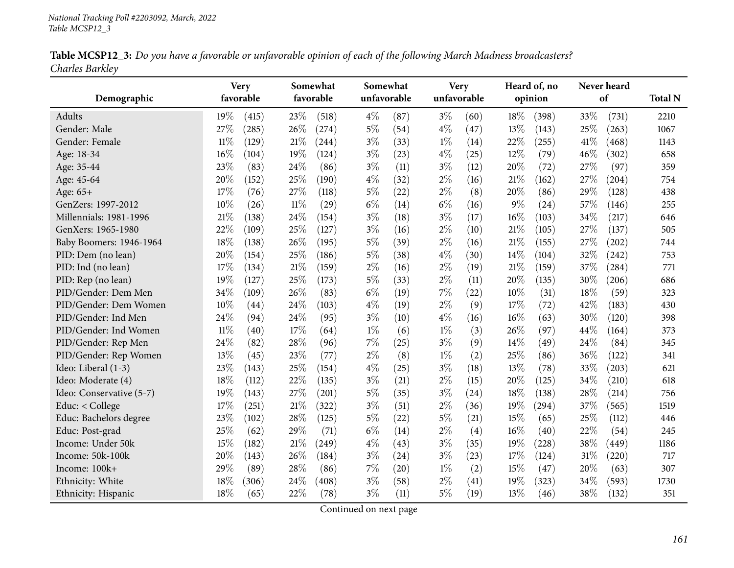| Table MCSP12_3: Do you have a favorable or unfavorable opinion of each of the following March Madness broadcasters? |  |
|---------------------------------------------------------------------------------------------------------------------|--|
| Charles Barkley                                                                                                     |  |

|                          |        | <b>Very</b> |        | Somewhat  |             | Somewhat |             | <b>Very</b> |       | Heard of, no |        | Never heard |                |
|--------------------------|--------|-------------|--------|-----------|-------------|----------|-------------|-------------|-------|--------------|--------|-------------|----------------|
| Demographic              |        | favorable   |        | favorable | unfavorable |          | unfavorable |             |       | opinion      |        | of          | <b>Total N</b> |
| Adults                   | 19%    | (415)       | 23%    | (518)     | $4\%$       | (87)     | $3\%$       | (60)        | 18%   | (398)        | 33%    | (731)       | 2210           |
| Gender: Male             | 27%    | (285)       | 26%    | (274)     | $5\%$       | (54)     | $4\%$       | (47)        | 13%   | (143)        | 25%    | (263)       | 1067           |
| Gender: Female           | $11\%$ | (129)       | 21%    | (244)     | $3\%$       | (33)     | $1\%$       | (14)        | 22%   | (255)        | 41\%   | (468)       | 1143           |
| Age: 18-34               | 16%    | (104)       | 19%    | (124)     | $3\%$       | (23)     | $4\%$       | (25)        | 12%   | (79)         | $46\%$ | (302)       | 658            |
| Age: 35-44               | 23%    | (83)        | 24\%   | (86)      | $3\%$       | (11)     | $3\%$       | (12)        | 20%   | (72)         | 27%    | (97)        | 359            |
| Age: 45-64               | 20%    | (152)       | 25%    | (190)     | $4\%$       | (32)     | $2\%$       | (16)        | 21%   | (162)        | 27%    | (204)       | 754            |
| Age: 65+                 | 17%    | (76)        | 27%    | (118)     | $5\%$       | (22)     | $2\%$       | (8)         | 20%   | (86)         | 29%    | (128)       | 438            |
| GenZers: 1997-2012       | 10%    | (26)        | 11%    | (29)      | $6\%$       | (14)     | $6\%$       | (16)        | $9\%$ | (24)         | 57%    | (146)       | 255            |
| Millennials: 1981-1996   | 21%    | (138)       | 24%    | (154)     | $3\%$       | (18)     | $3\%$       | (17)        | 16%   | (103)        | 34%    | (217)       | 646            |
| GenXers: 1965-1980       | 22%    | (109)       | 25%    | (127)     | $3\%$       | (16)     | $2\%$       | (10)        | 21%   | (105)        | 27%    | (137)       | 505            |
| Baby Boomers: 1946-1964  | 18%    | (138)       | 26%    | (195)     | $5\%$       | (39)     | $2\%$       | (16)        | 21%   | (155)        | 27%    | (202)       | 744            |
| PID: Dem (no lean)       | 20%    | (154)       | 25%    | (186)     | $5\%$       | (38)     | $4\%$       | (30)        | 14%   | (104)        | 32%    | (242)       | 753            |
| PID: Ind (no lean)       | 17%    | (134)       | 21%    | (159)     | $2\%$       | (16)     | $2\%$       | (19)        | 21%   | (159)        | 37%    | (284)       | 771            |
| PID: Rep (no lean)       | 19%    | (127)       | 25\%   | (173)     | $5\%$       | (33)     | $2\%$       | (11)        | 20%   | (135)        | 30%    | (206)       | 686            |
| PID/Gender: Dem Men      | 34%    | (109)       | 26%    | (83)      | $6\%$       | (19)     | 7%          | (22)        | 10%   | (31)         | 18%    | (59)        | 323            |
| PID/Gender: Dem Women    | 10%    | (44)        | 24%    | (103)     | $4\%$       | (19)     | $2\%$       | (9)         | 17%   | (72)         | 42%    | (183)       | 430            |
| PID/Gender: Ind Men      | 24%    | (94)        | 24\%   | (95)      | $3\%$       | (10)     | $4\%$       | (16)        | 16%   | (63)         | 30%    | (120)       | 398            |
| PID/Gender: Ind Women    | $11\%$ | (40)        | 17%    | (64)      | $1\%$       | (6)      | $1\%$       | (3)         | 26%   | (97)         | 44%    | (164)       | 373            |
| PID/Gender: Rep Men      | 24%    | (82)        | 28%    | (96)      | 7%          | (25)     | $3\%$       | (9)         | 14\%  | (49)         | 24%    | (84)        | 345            |
| PID/Gender: Rep Women    | 13%    | (45)        | 23%    | (77)      | $2\%$       | (8)      | $1\%$       | (2)         | 25%   | (86)         | 36%    | (122)       | 341            |
| Ideo: Liberal (1-3)      | 23%    | (143)       | 25%    | (154)     | $4\%$       | (25)     | $3\%$       | (18)        | 13%   | (78)         | 33%    | (203)       | 621            |
| Ideo: Moderate (4)       | 18%    | (112)       | 22%    | (135)     | $3\%$       | (21)     | $2\%$       | (15)        | 20%   | (125)        | 34%    | (210)       | 618            |
| Ideo: Conservative (5-7) | 19%    | (143)       | 27\%   | (201)     | 5%          | (35)     | $3\%$       | (24)        | 18%   | (138)        | 28%    | (214)       | 756            |
| Educ: < College          | 17%    | (251)       | $21\%$ | (322)     | $3\%$       | (51)     | $2\%$       | (36)        | 19%   | (294)        | 37%    | (565)       | 1519           |
| Educ: Bachelors degree   | 23%    | (102)       | 28%    | (125)     | $5\%$       | (22)     | $5\%$       | (21)        | 15%   | (65)         | 25%    | (112)       | 446            |
| Educ: Post-grad          | 25%    | (62)        | 29%    | (71)      | $6\%$       | (14)     | $2\%$       | (4)         | 16%   | (40)         | 22%    | (54)        | 245            |
| Income: Under 50k        | 15%    | (182)       | $21\%$ | (249)     | $4\%$       | (43)     | $3\%$       | (35)        | 19%   | (228)        | 38%    | (449)       | 1186           |
| Income: 50k-100k         | 20%    | (143)       | 26%    | (184)     | $3\%$       | (24)     | $3\%$       | (23)        | 17%   | (124)        | $31\%$ | (220)       | 717            |
| Income: 100k+            | 29%    | (89)        | 28%    | (86)      | $7\%$       | (20)     | $1\%$       | (2)         | 15%   | (47)         | 20%    | (63)        | 307            |
| Ethnicity: White         | 18%    | (306)       | 24%    | (408)     | $3\%$       | (58)     | $2\%$       | (41)        | 19%   | (323)        | 34%    | (593)       | 1730           |
| Ethnicity: Hispanic      | 18%    | (65)        | 22%    | (78)      | $3\%$       | (11)     | $5\%$       | (19)        | 13%   | (46)         | 38%    | (132)       | 351            |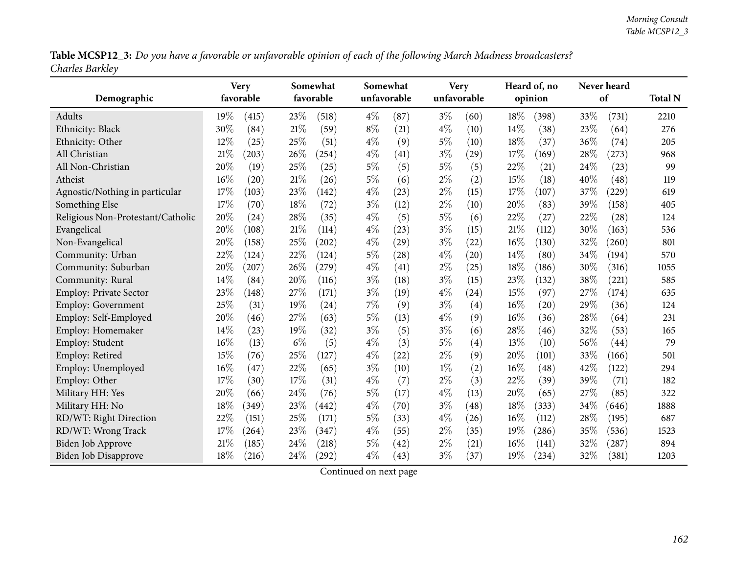Table MCSP12\_3: Do you have a favorable or unfavorable opinion of each of the following March Madness broadcasters? *Charles Barkley*

|                                   | <b>Very</b>  |        | Somewhat  |       | Somewhat    |       | <b>Very</b> |     | Heard of, no |     | Never heard        |                |
|-----------------------------------|--------------|--------|-----------|-------|-------------|-------|-------------|-----|--------------|-----|--------------------|----------------|
| Demographic                       | favorable    |        | favorable |       | unfavorable |       | unfavorable |     | opinion      |     | of                 | <b>Total N</b> |
| Adults                            | 19%<br>(415) | 23\%   | (518)     | $4\%$ | (87)        | $3\%$ | (60)        | 18% | (398)        | 33% | (731)              | 2210           |
| Ethnicity: Black                  | 30%<br>(84)  | 21%    | (59)      | $8\%$ | (21)        | $4\%$ | (10)        | 14% | (38)         | 23% | (64)               | 276            |
| Ethnicity: Other                  | 12%<br>(25)  | 25%    | (51)      | $4\%$ | (9)         | $5\%$ | (10)        | 18% | (37)         | 36% | (74)               | 205            |
| All Christian                     | 21%<br>(203) | 26%    | (254)     | $4\%$ | (41)        | $3\%$ | (29)        | 17% | (169)        | 28% | (273)              | 968            |
| All Non-Christian                 | 20%<br>(19)  | 25%    | (25)      | $5\%$ | (5)         | $5\%$ | (5)         | 22% | (21)         | 24% | (23)               | 99             |
| Atheist                           | 16%<br>(20)  | $21\%$ | (26)      | $5\%$ | (6)         | $2\%$ | (2)         | 15% | (18)         | 40% | (48)               | 119            |
| Agnostic/Nothing in particular    | 17%<br>(103) | 23%    | (142)     | $4\%$ | (23)        | $2\%$ | (15)        | 17% | (107)        | 37% | (229)              | 619            |
| Something Else                    | 17%<br>(70)  | 18%    | (72)      | $3\%$ | (12)        | $2\%$ | (10)        | 20% | (83)         | 39% | (158)              | 405            |
| Religious Non-Protestant/Catholic | 20%<br>(24)  | 28%    | (35)      | $4\%$ | (5)         | $5\%$ | (6)         | 22% | (27)         | 22% | (28)               | 124            |
| Evangelical                       | 20%<br>(108) | 21%    | (114)     | $4\%$ | (23)        | $3\%$ | (15)        | 21% | (112)        | 30% | (163)              | 536            |
| Non-Evangelical                   | 20%<br>(158) | 25%    | (202)     | $4\%$ | (29)        | $3\%$ | (22)        | 16% | (130)        | 32% | (260)              | 801            |
| Community: Urban                  | 22%<br>(124) | 22%    | (124)     | $5\%$ | (28)        | $4\%$ | (20)        | 14% | (80)         | 34% | (194)              | 570            |
| Community: Suburban               | 20%<br>(207) | 26%    | (279)     | $4\%$ | (41)        | $2\%$ | (25)        | 18% | (186)        | 30% | (316)              | 1055           |
| Community: Rural                  | 14%<br>(84)  | 20%    | (116)     | $3\%$ | (18)        | $3\%$ | (15)        | 23% | (132)        | 38% | (221)              | 585            |
| Employ: Private Sector            | 23%<br>(148) | 27%    | (171)     | $3\%$ | (19)        | $4\%$ | (24)        | 15% | (97)         | 27% | (174)              | 635            |
| <b>Employ: Government</b>         | 25%<br>(31)  | 19%    | (24)      | 7%    | (9)         | $3\%$ | (4)         | 16% | (20)         | 29% | (36)               | 124            |
| Employ: Self-Employed             | 20%<br>(46)  | 27%    | (63)      | 5%    | (13)        | $4\%$ | (9)         | 16% | (36)         | 28% | (64)               | 231            |
| Employ: Homemaker                 | 14%<br>(23)  | 19%    | (32)      | $3\%$ | (5)         | $3\%$ | (6)         | 28% | (46)         | 32% | (53)               | 165            |
| Employ: Student                   | 16%<br>(13)  | $6\%$  | (5)       | $4\%$ | (3)         | $5\%$ | (4)         | 13% | (10)         | 56% | $\left( 44\right)$ | 79             |
| Employ: Retired                   | 15%<br>(76)  | 25%    | (127)     | $4\%$ | (22)        | $2\%$ | (9)         | 20% | (101)        | 33% | (166)              | 501            |
| Employ: Unemployed                | 16%<br>(47)  | 22%    | (65)      | $3\%$ | (10)        | $1\%$ | (2)         | 16% | (48)         | 42% | (122)              | 294            |
| Employ: Other                     | 17%<br>(30)  | 17%    | (31)      | $4\%$ | (7)         | $2\%$ | (3)         | 22% | (39)         | 39% | (71)               | 182            |
| Military HH: Yes                  | 20%<br>(66)  | 24%    | (76)      | 5%    | (17)        | $4\%$ | (13)        | 20% | (65)         | 27% | (85)               | 322            |
| Military HH: No                   | 18%<br>(349) | 23%    | (442)     | $4\%$ | (70)        | $3\%$ | (48)        | 18% | (333)        | 34% | (646)              | 1888           |
| RD/WT: Right Direction            | 22%<br>(151) | 25%    | (171)     | $5\%$ | (33)        | $4\%$ | (26)        | 16% | (112)        | 28% | (195)              | 687            |
| RD/WT: Wrong Track                | 17%<br>(264) | 23%    | (347)     | $4\%$ | (55)        | $2\%$ | (35)        | 19% | (286)        | 35% | (536)              | 1523           |
| Biden Job Approve                 | 21%<br>(185) | 24%    | (218)     | $5\%$ | (42)        | $2\%$ | (21)        | 16% | (141)        | 32% | (287)              | 894            |
| <b>Biden Job Disapprove</b>       | 18%<br>(216) | 24%    | (292)     | $4\%$ | (43)        | $3\%$ | (37)        | 19% | (234)        | 32% | (381)              | 1203           |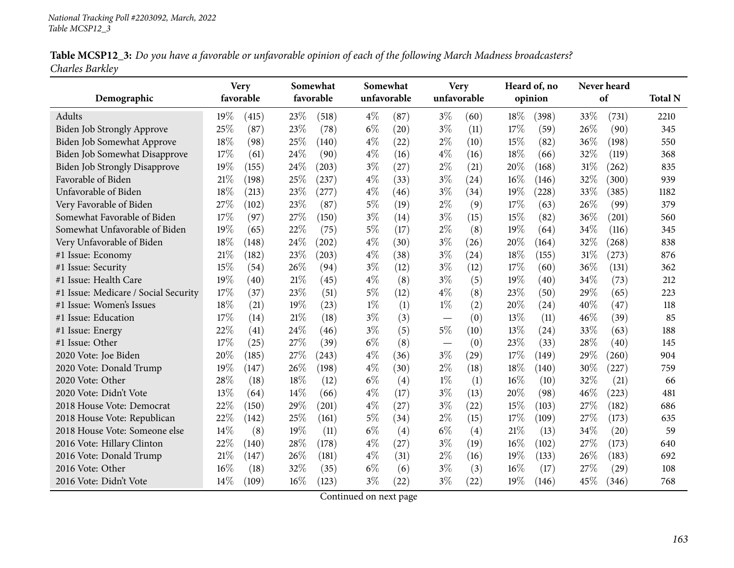| Table MCSP12_3: Do you have a favorable or unfavorable opinion of each of the following March Madness broadcasters? |  |  |
|---------------------------------------------------------------------------------------------------------------------|--|--|
| Charles Barkley                                                                                                     |  |  |

|                                      |        | <b>Very</b> |      | Somewhat  |             | Somewhat |       | <b>Very</b> |        | Heard of, no |      | Never heard |                |
|--------------------------------------|--------|-------------|------|-----------|-------------|----------|-------|-------------|--------|--------------|------|-------------|----------------|
| Demographic                          |        | favorable   |      | favorable | unfavorable |          |       | unfavorable |        | opinion      |      | of          | <b>Total N</b> |
| Adults                               | 19%    | (415)       | 23%  | (518)     | $4\%$       | (87)     | $3\%$ | (60)        | 18%    | (398)        | 33%  | (731)       | 2210           |
| Biden Job Strongly Approve           | 25%    | (87)        | 23%  | (78)      | $6\%$       | (20)     | $3\%$ | (11)        | 17%    | (59)         | 26%  | (90)        | 345            |
| Biden Job Somewhat Approve           | 18%    | (98)        | 25%  | (140)     | $4\%$       | (22)     | $2\%$ | (10)        | 15%    | (82)         | 36%  | (198)       | 550            |
| Biden Job Somewhat Disapprove        | 17%    | (61)        | 24%  | (90)      | $4\%$       | (16)     | $4\%$ | (16)        | 18%    | (66)         | 32%  | (119)       | 368            |
| <b>Biden Job Strongly Disapprove</b> | 19%    | (155)       | 24%  | (203)     | $3\%$       | (27)     | $2\%$ | (21)        | 20%    | (168)        | 31\% | (262)       | 835            |
| Favorable of Biden                   | 21%    | (198)       | 25%  | (237)     | $4\%$       | (33)     | $3\%$ | (24)        | 16%    | (146)        | 32%  | (300)       | 939            |
| Unfavorable of Biden                 | 18%    | (213)       | 23%  | (277)     | $4\%$       | (46)     | $3\%$ | (34)        | 19%    | (228)        | 33%  | (385)       | 1182           |
| Very Favorable of Biden              | 27%    | (102)       | 23%  | (87)      | $5\%$       | (19)     | $2\%$ | (9)         | 17%    | (63)         | 26%  | (99)        | 379            |
| Somewhat Favorable of Biden          | 17%    | (97)        | 27\% | (150)     | $3\%$       | (14)     | $3\%$ | (15)        | 15%    | (82)         | 36%  | (201)       | 560            |
| Somewhat Unfavorable of Biden        | 19%    | (65)        | 22%  | (75)      | $5\%$       | (17)     | $2\%$ | (8)         | 19%    | (64)         | 34%  | (116)       | 345            |
| Very Unfavorable of Biden            | 18%    | (148)       | 24%  | (202)     | $4\%$       | (30)     | $3\%$ | (26)        | $20\%$ | (164)        | 32%  | (268)       | 838            |
| #1 Issue: Economy                    | 21\%   | (182)       | 23%  | (203)     | $4\%$       | (38)     | $3\%$ | (24)        | 18%    | (155)        | 31\% | (273)       | 876            |
| #1 Issue: Security                   | 15%    | (54)        | 26%  | (94)      | $3\%$       | (12)     | $3\%$ | (12)        | 17%    | (60)         | 36%  | (131)       | 362            |
| #1 Issue: Health Care                | 19%    | (40)        | 21%  | (45)      | $4\%$       | (8)      | $3\%$ | (5)         | 19%    | (40)         | 34%  | (73)        | 212            |
| #1 Issue: Medicare / Social Security | 17%    | (37)        | 23%  | (51)      | $5\%$       | (12)     | $4\%$ | (8)         | 23%    | (50)         | 29%  | (65)        | 223            |
| #1 Issue: Women's Issues             | 18%    | (21)        | 19%  | (23)      | $1\%$       | (1)      | $1\%$ | (2)         | 20%    | (24)         | 40%  | (47)        | 118            |
| #1 Issue: Education                  | 17%    | (14)        | 21%  | (18)      | $3\%$       | (3)      |       | (0)         | 13%    | (11)         | 46%  | (39)        | 85             |
| #1 Issue: Energy                     | 22%    | (41)        | 24%  | (46)      | $3\%$       | (5)      | $5\%$ | (10)        | 13%    | (24)         | 33%  | (63)        | 188            |
| #1 Issue: Other                      | 17%    | (25)        | 27%  | (39)      | $6\%$       | (8)      |       | (0)         | 23%    | (33)         | 28%  | (40)        | 145            |
| 2020 Vote: Joe Biden                 | 20%    | (185)       | 27%  | (243)     | $4\%$       | (36)     | $3\%$ | (29)        | 17%    | (149)        | 29%  | (260)       | 904            |
| 2020 Vote: Donald Trump              | 19%    | (147)       | 26%  | (198)     | $4\%$       | (30)     | $2\%$ | (18)        | 18%    | (140)        | 30%  | (227)       | 759            |
| 2020 Vote: Other                     | 28%    | (18)        | 18%  | (12)      | $6\%$       | (4)      | $1\%$ | (1)         | 16%    | (10)         | 32%  | (21)        | 66             |
| 2020 Vote: Didn't Vote               | 13%    | (64)        | 14\% | (66)      | $4\%$       | (17)     | $3\%$ | (13)        | 20%    | (98)         | 46%  | (223)       | 481            |
| 2018 House Vote: Democrat            | 22%    | (150)       | 29%  | (201)     | $4\%$       | (27)     | $3\%$ | (22)        | 15%    | (103)        | 27%  | (182)       | 686            |
| 2018 House Vote: Republican          | 22%    | (142)       | 25%  | (161)     | $5\%$       | (34)     | $2\%$ | (15)        | 17%    | (109)        | 27%  | (173)       | 635            |
| 2018 House Vote: Someone else        | 14\%   | (8)         | 19%  | (11)      | $6\%$       | (4)      | $6\%$ | (4)         | 21%    | (13)         | 34%  | (20)        | 59             |
| 2016 Vote: Hillary Clinton           | 22%    | (140)       | 28%  | (178)     | $4\%$       | (27)     | $3\%$ | (19)        | 16%    | (102)        | 27%  | (173)       | 640            |
| 2016 Vote: Donald Trump              | $21\%$ | (147)       | 26%  | (181)     | $4\%$       | (31)     | $2\%$ | (16)        | 19%    | (133)        | 26%  | (183)       | 692            |
| 2016 Vote: Other                     | 16%    | (18)        | 32%  | (35)      | $6\%$       | (6)      | $3\%$ | (3)         | 16%    | (17)         | 27%  | (29)        | 108            |
| 2016 Vote: Didn't Vote               | 14%    | (109)       | 16%  | (123)     | $3\%$       | (22)     | $3\%$ | (22)        | 19%    | (146)        | 45%  | (346)       | 768            |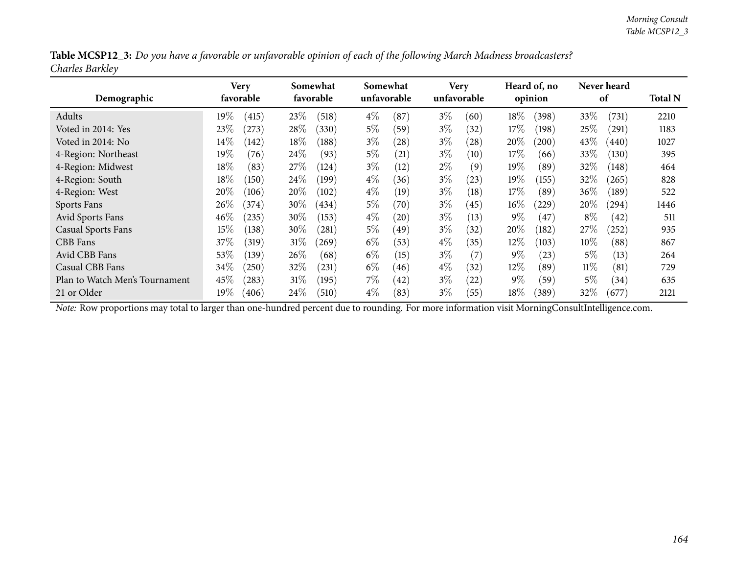| Table MCSP12_3: Do you have a favorable or unfavorable opinion of each of the following March Madness broadcasters? |  |
|---------------------------------------------------------------------------------------------------------------------|--|
| Charles Barkley                                                                                                     |  |

| Demographic                    | Very<br>favorable    | Somewhat<br>favorable | Somewhat<br>unfavorable  | <b>Very</b><br>unfavorable  | Heard of, no<br>opinion    | Never heard<br>of  | <b>Total N</b> |
|--------------------------------|----------------------|-----------------------|--------------------------|-----------------------------|----------------------------|--------------------|----------------|
| Adults                         | 19 $\%$<br>(415)     | $23\%$<br>(518)       | $4\%$<br>(87             | $3\%$<br>(60)               | $18\%$<br>(398)            | 33%<br>(731)       | 2210           |
| Voted in 2014: Yes             | 23%<br>$^{'}273)$    | 28\%<br>(330)         | $5\%$<br>(59)            | $3\%$<br>(32)               | 17%<br>(198)               | 25%<br>(291)       | 1183           |
| Voted in 2014: No              | $14\%$<br>(142)      | 18%<br>(188)          | $3\%$<br>(28)            | $3\%$<br>$\left( 28\right)$ | 20%<br>(200)               | 43\%<br>(440)      | 1027           |
| 4-Region: Northeast            | $19\%$<br>(76)       | 24\%<br>(93)          | $5\%$<br>(21)            | $3\%$<br>(10)               | 17%<br>(66)                | 33\%<br>(130)      | 395            |
| 4-Region: Midwest              | $18\%$<br>(83)       | 27%<br>(124)          | $3\%$<br>(12)            | $2\%$<br>(9)                | $19\%$<br>(89)             | 32%<br>(148)       | 464            |
| 4-Region: South                | $18\%$<br>(150)      | 24%<br>(199)          | $4\%$<br>(36)            | $3\%$<br>(23)               | 19%<br>(155)               | 32%<br>(265)       | 828            |
| 4-Region: West                 | 20%<br>(106)         | $20\%$<br>(102)       | $4\%$<br>(19)            | $3\%$<br>(18)               | 17%<br>(89)                | $36\%$<br>(189)    | 522            |
| Sports Fans                    | 26%<br>(374)         | $30\%$<br>434)        | $5\%$<br>(70)            | $3\%$<br>(45)               | $16\%$<br>(229)            | $20\%$<br>(294)    | 1446           |
| <b>Avid Sports Fans</b>        | $46\%$<br>$^{(235)}$ | $30\%$<br>(153)       | $4\%$<br>$^{'}20$        | $3\%$<br>(13)               | $9\%$<br>$\left(47\right)$ | $8\%$<br>(42)      | 511            |
| <b>Casual Sports Fans</b>      | $15\%$<br>(138)      | 30%<br>$^{\prime}281$ | $5\%$<br>49 <sup>°</sup> | $3\%$<br>(32)               | $20\%$<br>(182)            | 27\%<br>$^{'}252)$ | 935            |
| CBB Fans                       | $37\%$<br>(319)      | $31\%$<br>269         | $6\%$<br>(53)            | $4\%$<br>(35)               | 12%<br>(103)               | $10\%$<br>(88)     | 867            |
| Avid CBB Fans                  | $53\%$<br>(139)      | $26\%$<br>(68)        | $6\%$<br>(15)            | $3\%$<br>(7)                | $9\%$<br>(23)              | 5%<br>(13)         | 264            |
| Casual CBB Fans                | 34\%<br>(250)        | $32\%$<br>(231)       | $6\%$<br>(46)            | $4\%$<br>(32)               | 12%<br>(89)                | $11\%$<br>(81)     | 729            |
| Plan to Watch Men's Tournament | 45%<br>(283)         | 31%<br>(195)          | $7\%$<br>(42)            | $3\%$<br>(22)               | $9\%$<br>(59)              | 5%<br>(34)         | 635            |
| 21 or Older                    | 19 $\%$<br>(406)     | $24\%$<br>(510)       | $4\%$<br>(83)            | $3\%$<br>(55)               | $18\%$<br>(389)            | 32\%<br>(677)      | 2121           |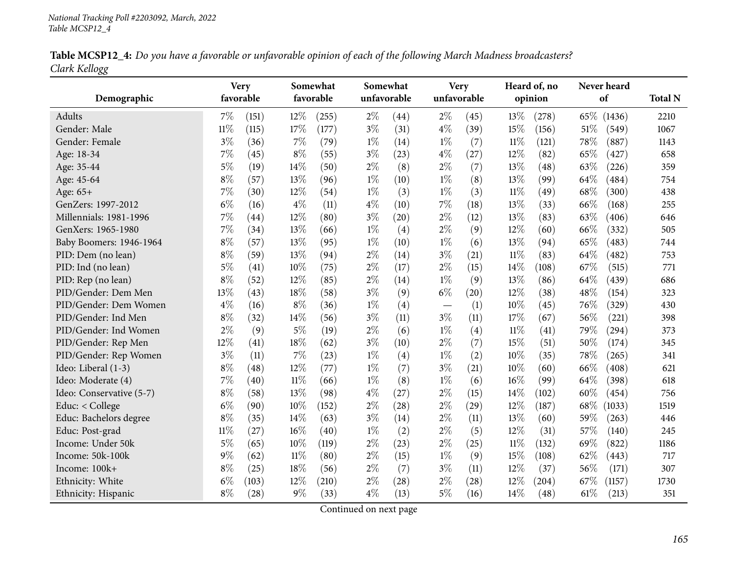| Table MCSP12_4: Do you have a favorable or unfavorable opinion of each of the following March Madness broadcasters? |  |
|---------------------------------------------------------------------------------------------------------------------|--|
| Clark Kellogg                                                                                                       |  |

| Demographic              |        | <b>Very</b><br>favorable |        | Somewhat<br>favorable |       | Somewhat<br>unfavorable | <b>Very</b><br>unfavorable |      |        | Heard of, no<br>opinion |      | Never heard<br>of | <b>Total N</b> |
|--------------------------|--------|--------------------------|--------|-----------------------|-------|-------------------------|----------------------------|------|--------|-------------------------|------|-------------------|----------------|
| Adults                   | 7%     | (151)                    | 12%    | (255)                 | $2\%$ | (44)                    | $2\%$                      | (45) | 13%    | (278)                   | 65%  | (1436)            | 2210           |
| Gender: Male             | $11\%$ | (115)                    | 17%    | (177)                 | $3\%$ | (31)                    | $4\%$                      | (39) | 15%    | (156)                   | 51\% | (549)             | 1067           |
| Gender: Female           | $3\%$  | (36)                     | $7\%$  | (79)                  | $1\%$ | (14)                    | $1\%$                      | (7)  | $11\%$ | (121)                   | 78%  | (887)             | 1143           |
| Age: 18-34               | 7%     | (45)                     | $8\%$  | (55)                  | $3\%$ | (23)                    | $4\%$                      | (27) | 12%    | (82)                    | 65%  | (427)             | 658            |
| Age: 35-44               | $5\%$  | (19)                     | 14%    | (50)                  | $2\%$ | (8)                     | $2\%$                      | (7)  | 13%    | (48)                    | 63%  | (226)             | 359            |
| Age: 45-64               | $8\%$  | (57)                     | 13%    | (96)                  | $1\%$ | (10)                    | $1\%$                      | (8)  | 13%    | (99)                    | 64%  | (484)             | 754            |
| Age: 65+                 | 7%     | (30)                     | 12%    | (54)                  | $1\%$ | (3)                     | $1\%$                      | (3)  | $11\%$ | (49)                    | 68%  | (300)             | 438            |
| GenZers: 1997-2012       | $6\%$  | (16)                     | $4\%$  | (11)                  | $4\%$ | (10)                    | 7%                         | (18) | 13%    | (33)                    | 66%  | (168)             | 255            |
| Millennials: 1981-1996   | 7%     | (44)                     | 12%    | (80)                  | $3\%$ | (20)                    | $2\%$                      | (12) | 13%    | (83)                    | 63%  | (406)             | 646            |
| GenXers: 1965-1980       | 7%     | (34)                     | 13%    | (66)                  | $1\%$ | (4)                     | $2\%$                      | (9)  | 12%    | (60)                    | 66%  | (332)             | 505            |
| Baby Boomers: 1946-1964  | $8\%$  | (57)                     | 13%    | (95)                  | $1\%$ | (10)                    | $1\%$                      | (6)  | 13%    | (94)                    | 65%  | (483)             | 744            |
| PID: Dem (no lean)       | $8\%$  | (59)                     | 13%    | (94)                  | $2\%$ | (14)                    | $3\%$                      | (21) | $11\%$ | (83)                    | 64%  | (482)             | 753            |
| PID: Ind (no lean)       | $5\%$  | (41)                     | 10%    | (75)                  | $2\%$ | (17)                    | $2\%$                      | (15) | 14\%   | (108)                   | 67%  | (515)             | 771            |
| PID: Rep (no lean)       | $8\%$  | (52)                     | 12%    | (85)                  | $2\%$ | (14)                    | $1\%$                      | (9)  | 13%    | (86)                    | 64\% | (439)             | 686            |
| PID/Gender: Dem Men      | 13%    | (43)                     | 18%    | (58)                  | $3\%$ | (9)                     | $6\%$                      | (20) | 12%    | (38)                    | 48%  | (154)             | 323            |
| PID/Gender: Dem Women    | $4\%$  | (16)                     | $8\%$  | (36)                  | $1\%$ | (4)                     |                            | (1)  | 10%    | (45)                    | 76\% | (329)             | 430            |
| PID/Gender: Ind Men      | $8\%$  | (32)                     | 14%    | (56)                  | $3\%$ | (11)                    | $3\%$                      | (11) | 17%    | (67)                    | 56%  | (221)             | 398            |
| PID/Gender: Ind Women    | $2\%$  | (9)                      | 5%     | (19)                  | $2\%$ | (6)                     | $1\%$                      | (4)  | $11\%$ | (41)                    | 79%  | (294)             | 373            |
| PID/Gender: Rep Men      | 12%    | (41)                     | 18%    | (62)                  | $3\%$ | (10)                    | $2\%$                      | (7)  | 15%    | (51)                    | 50%  | (174)             | 345            |
| PID/Gender: Rep Women    | $3\%$  | (11)                     | 7%     | (23)                  | $1\%$ | (4)                     | $1\%$                      | (2)  | 10%    | (35)                    | 78%  | (265)             | 341            |
| Ideo: Liberal (1-3)      | $8\%$  | (48)                     | 12%    | (77)                  | $1\%$ | (7)                     | $3\%$                      | (21) | 10%    | (60)                    | 66%  | (408)             | 621            |
| Ideo: Moderate (4)       | 7%     | (40)                     | $11\%$ | (66)                  | $1\%$ | (8)                     | $1\%$                      | (6)  | 16%    | (99)                    | 64%  | (398)             | 618            |
| Ideo: Conservative (5-7) | $8\%$  | (58)                     | 13%    | (98)                  | $4\%$ | (27)                    | $2\%$                      | (15) | 14%    | (102)                   | 60%  | (454)             | 756            |
| Educ: < College          | $6\%$  | (90)                     | 10%    | (152)                 | $2\%$ | (28)                    | $2\%$                      | (29) | 12%    | (187)                   | 68\% | (1033)            | 1519           |
| Educ: Bachelors degree   | $8\%$  | (35)                     | 14%    | (63)                  | $3\%$ | (14)                    | $2\%$                      | (11) | 13%    | (60)                    | 59%  | (263)             | 446            |
| Educ: Post-grad          | $11\%$ | (27)                     | 16%    | (40)                  | $1\%$ | (2)                     | $2\%$                      | (5)  | 12%    | (31)                    | 57%  | (140)             | 245            |
| Income: Under 50k        | $5\%$  | (65)                     | 10%    | (119)                 | $2\%$ | (23)                    | $2\%$                      | (25) | $11\%$ | (132)                   | 69%  | (822)             | 1186           |
| Income: 50k-100k         | $9\%$  | (62)                     | $11\%$ | (80)                  | $2\%$ | (15)                    | $1\%$                      | (9)  | 15%    | (108)                   | 62%  | (443)             | 717            |
| Income: 100k+            | $8\%$  | (25)                     | 18%    | (56)                  | $2\%$ | (7)                     | $3\%$                      | (11) | 12%    | (37)                    | 56%  | (171)             | 307            |
| Ethnicity: White         | $6\%$  | (103)                    | 12%    | (210)                 | $2\%$ | (28)                    | $2\%$                      | (28) | 12%    | (204)                   | 67%  | (1157)            | 1730           |
| Ethnicity: Hispanic      | $8\%$  | (28)                     | $9\%$  | (33)                  | $4\%$ | (13)                    | $5\%$                      | (16) | 14%    | (48)                    | 61\% | (213)             | 351            |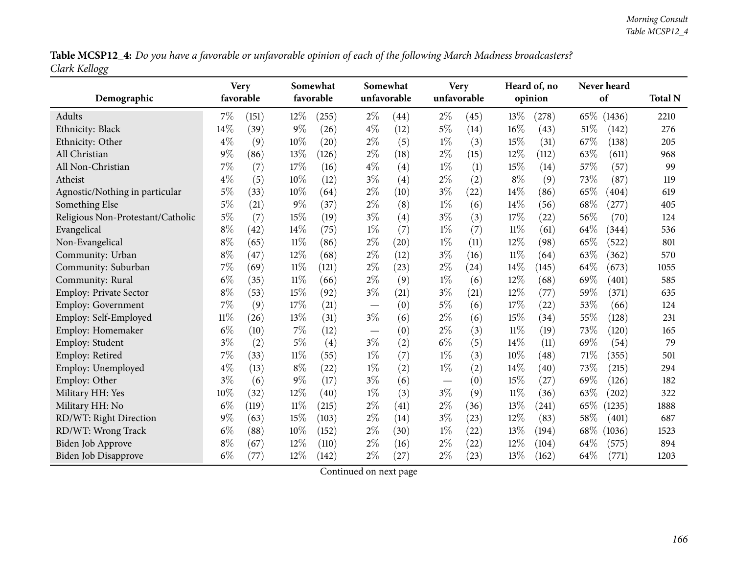Table MCSP12\_4: Do you have a favorable or unfavorable opinion of each of the following March Madness broadcasters? *Clark Kellogg*

| Demographic                       |        | <b>Very</b><br>favorable |        | Somewhat<br>favorable |       | Somewhat<br>unfavorable |       | <b>Very</b><br>unfavorable |        | Heard of, no<br>opinion |     | Never heard<br>of | <b>Total N</b> |
|-----------------------------------|--------|--------------------------|--------|-----------------------|-------|-------------------------|-------|----------------------------|--------|-------------------------|-----|-------------------|----------------|
| Adults                            | $7\%$  | (151)                    | $12\%$ | (255)                 | $2\%$ | (44)                    | $2\%$ | (45)                       | 13%    | (278)                   |     | 65\% (1436)       | 2210           |
| Ethnicity: Black                  | $14\%$ | (39)                     | $9\%$  | (26)                  | $4\%$ | (12)                    | $5\%$ | (14)                       | 16%    | (43)                    | 51% | (142)             | 276            |
| Ethnicity: Other                  | $4\%$  | (9)                      | 10%    | (20)                  | $2\%$ | (5)                     | $1\%$ | (3)                        | 15%    | (31)                    | 67% | (138)             | 205            |
| All Christian                     | $9\%$  | (86)                     | 13%    | (126)                 | $2\%$ | (18)                    | $2\%$ | (15)                       | 12%    | (112)                   | 63% | (611)             | 968            |
| All Non-Christian                 | 7%     | (7)                      | 17%    | (16)                  | $4\%$ | (4)                     | $1\%$ | (1)                        | 15%    | (14)                    | 57% | (57)              | 99             |
| Atheist                           | $4\%$  | (5)                      | 10%    | (12)                  | $3\%$ | (4)                     | $2\%$ | (2)                        | $8\%$  | (9)                     | 73% | (87)              | 119            |
| Agnostic/Nothing in particular    | 5%     | (33)                     | 10%    | (64)                  | $2\%$ | (10)                    | $3\%$ | (22)                       | 14%    | (86)                    | 65% | (404)             | 619            |
| Something Else                    | $5\%$  | (21)                     | $9\%$  | (37)                  | $2\%$ | (8)                     | $1\%$ | (6)                        | 14%    | (56)                    | 68% | (277)             | 405            |
| Religious Non-Protestant/Catholic | $5\%$  | (7)                      | 15%    | (19)                  | $3\%$ | (4)                     | $3\%$ | (3)                        | 17%    | (22)                    | 56% | (70)              | 124            |
| Evangelical                       | $8\%$  | (42)                     | 14%    | (75)                  | $1\%$ | (7)                     | $1\%$ | (7)                        | $11\%$ | (61)                    | 64% | (344)             | 536            |
| Non-Evangelical                   | $8\%$  | (65)                     | $11\%$ | (86)                  | $2\%$ | (20)                    | $1\%$ | (11)                       | 12%    | (98)                    | 65% | (522)             | 801            |
| Community: Urban                  | $8\%$  | (47)                     | 12%    | (68)                  | $2\%$ | (12)                    | $3\%$ | (16)                       | $11\%$ | (64)                    | 63% | (362)             | 570            |
| Community: Suburban               | $7\%$  | (69)                     | $11\%$ | (121)                 | $2\%$ | (23)                    | $2\%$ | (24)                       | 14%    | (145)                   | 64% | (673)             | 1055           |
| Community: Rural                  | $6\%$  | (35)                     | $11\%$ | (66)                  | $2\%$ | (9)                     | $1\%$ | (6)                        | 12%    | (68)                    | 69% | (401)             | 585            |
| Employ: Private Sector            | $8\%$  | (53)                     | 15%    | (92)                  | $3\%$ | (21)                    | $3\%$ | (21)                       | 12%    | (77)                    | 59% | (371)             | 635            |
| Employ: Government                | 7%     | (9)                      | 17%    | (21)                  |       | (0)                     | $5\%$ | (6)                        | 17%    | (22)                    | 53% | (66)              | 124            |
| Employ: Self-Employed             | $11\%$ | (26)                     | 13%    | (31)                  | $3\%$ | (6)                     | $2\%$ | (6)                        | 15%    | (34)                    | 55% | (128)             | 231            |
| Employ: Homemaker                 | $6\%$  | (10)                     | 7%     | (12)                  |       | (0)                     | $2\%$ | (3)                        | $11\%$ | (19)                    | 73% | (120)             | 165            |
| Employ: Student                   | $3\%$  | (2)                      | $5\%$  | (4)                   | $3\%$ | (2)                     | $6\%$ | (5)                        | 14\%   | (11)                    | 69% | (54)              | 79             |
| Employ: Retired                   | $7\%$  | (33)                     | $11\%$ | (55)                  | $1\%$ | (7)                     | $1\%$ | (3)                        | 10%    | (48)                    | 71% | (355)             | 501            |
| Employ: Unemployed                | $4\%$  | (13)                     | $8\%$  | (22)                  | $1\%$ | (2)                     | $1\%$ | (2)                        | 14%    | (40)                    | 73% | (215)             | 294            |
| Employ: Other                     | $3\%$  | (6)                      | $9\%$  | (17)                  | $3\%$ | (6)                     |       | (0)                        | 15%    | (27)                    | 69% | (126)             | 182            |
| Military HH: Yes                  | 10%    | (32)                     | 12%    | (40)                  | $1\%$ | (3)                     | $3\%$ | (9)                        | $11\%$ | (36)                    | 63% | (202)             | 322            |
| Military HH: No                   | $6\%$  | (119)                    | $11\%$ | (215)                 | $2\%$ | (41)                    | $2\%$ | (36)                       | 13%    | (241)                   | 65% | (1235)            | 1888           |
| RD/WT: Right Direction            | $9\%$  | (63)                     | 15%    | (103)                 | $2\%$ | (14)                    | $3\%$ | (23)                       | 12%    | (83)                    | 58% | (401)             | 687            |
| RD/WT: Wrong Track                | $6\%$  | (88)                     | 10%    | (152)                 | $2\%$ | (30)                    | $1\%$ | (22)                       | 13%    | (194)                   | 68% | (1036)            | 1523           |
| Biden Job Approve                 | $8\%$  | (67)                     | 12%    | (110)                 | $2\%$ | (16)                    | $2\%$ | $^{(22)}$                  | 12%    | (104)                   | 64% | (575)             | 894            |
| Biden Job Disapprove              | $6\%$  | (77)                     | 12%    | (142)                 | $2\%$ | (27)                    | $2\%$ | (23)                       | 13%    | (162)                   | 64% | (771)             | 1203           |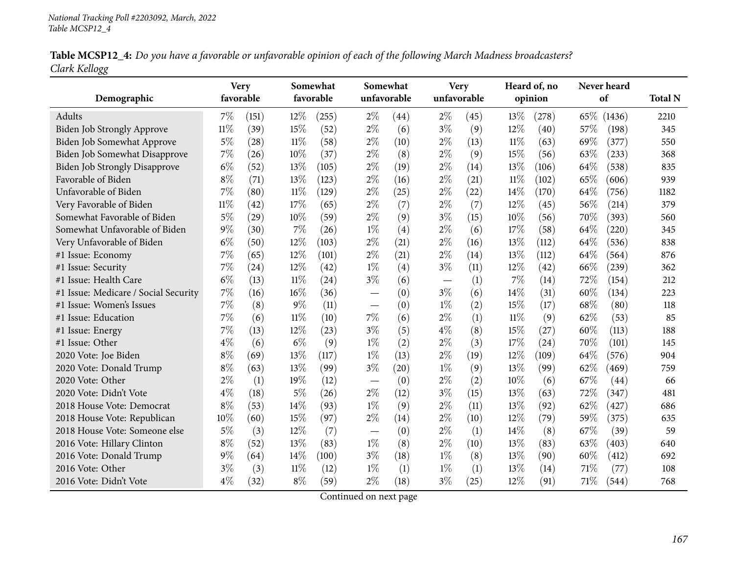|               | Table MCSP12_4: Do you have a favorable or unfavorable opinion of each of the following March Madness broadcasters? |  |
|---------------|---------------------------------------------------------------------------------------------------------------------|--|
| Clark Kellogg |                                                                                                                     |  |

|                                      | <b>Very</b> |       |        | Somewhat  |             | Somewhat |       | <b>Very</b> |        | Heard of, no |      | Never heard |                |
|--------------------------------------|-------------|-------|--------|-----------|-------------|----------|-------|-------------|--------|--------------|------|-------------|----------------|
| Demographic                          | favorable   |       |        | favorable | unfavorable |          |       | unfavorable |        | opinion      |      | of          | <b>Total N</b> |
| Adults                               | $7\%$       | (151) | 12%    | (255)     | $2\%$       | (44)     | $2\%$ | (45)        | 13\%   | (278)        |      | 65\% (1436) | 2210           |
| Biden Job Strongly Approve           | $11\%$      | (39)  | 15%    | (52)      | $2\%$       | (6)      | $3\%$ | (9)         | 12%    | (40)         | 57%  | (198)       | 345            |
| Biden Job Somewhat Approve           | $5\%$       | (28)  | $11\%$ | (58)      | $2\%$       | (10)     | $2\%$ | (13)        | $11\%$ | (63)         | 69%  | (377)       | 550            |
| Biden Job Somewhat Disapprove        | 7%          | (26)  | 10%    | (37)      | $2\%$       | (8)      | $2\%$ | (9)         | 15%    | (56)         | 63%  | (233)       | 368            |
| <b>Biden Job Strongly Disapprove</b> | $6\%$       | (52)  | 13%    | (105)     | $2\%$       | (19)     | $2\%$ | (14)        | 13%    | (106)        | 64%  | (538)       | 835            |
| Favorable of Biden                   | $8\%$       | (71)  | 13%    | (123)     | $2\%$       | (16)     | $2\%$ | (21)        | $11\%$ | (102)        | 65%  | (606)       | 939            |
| Unfavorable of Biden                 | 7%          | (80)  | 11%    | (129)     | $2\%$       | (25)     | $2\%$ | (22)        | 14%    | (170)        | 64%  | (756)       | 1182           |
| Very Favorable of Biden              | $11\%$      | (42)  | 17%    | (65)      | $2\%$       | (7)      | $2\%$ | (7)         | 12%    | (45)         | 56%  | (214)       | 379            |
| Somewhat Favorable of Biden          | $5\%$       | (29)  | 10%    | (59)      | $2\%$       | (9)      | $3\%$ | (15)        | 10%    | (56)         | 70%  | (393)       | 560            |
| Somewhat Unfavorable of Biden        | $9\%$       | (30)  | 7%     | (26)      | $1\%$       | (4)      | $2\%$ | (6)         | 17%    | (58)         | 64%  | (220)       | 345            |
| Very Unfavorable of Biden            | $6\%$       | (50)  | 12%    | (103)     | $2\%$       | (21)     | $2\%$ | (16)        | 13%    | (112)        | 64\% | (536)       | 838            |
| #1 Issue: Economy                    | $7\%$       | (65)  | 12%    | (101)     | $2\%$       | (21)     | $2\%$ | (14)        | 13%    | (112)        | 64%  | (564)       | 876            |
| #1 Issue: Security                   | 7%          | (24)  | 12%    | (42)      | $1\%$       | (4)      | $3\%$ | (11)        | 12%    | (42)         | 66%  | (239)       | 362            |
| #1 Issue: Health Care                | $6\%$       | (13)  | $11\%$ | (24)      | $3\%$       | (6)      |       | (1)         | 7%     | (14)         | 72%  | (154)       | 212            |
| #1 Issue: Medicare / Social Security | 7%          | (16)  | 16%    | (36)      |             | (0)      | $3\%$ | (6)         | 14%    | (31)         | 60%  | (134)       | 223            |
| #1 Issue: Women's Issues             | 7%          | (8)   | $9\%$  | (11)      |             | (0)      | $1\%$ | (2)         | 15%    | (17)         | 68%  | (80)        | 118            |
| #1 Issue: Education                  | 7%          | (6)   | $11\%$ | (10)      | 7%          | (6)      | $2\%$ | (1)         | $11\%$ | (9)          | 62%  | (53)        | 85             |
| #1 Issue: Energy                     | 7%          | (13)  | 12%    | (23)      | $3\%$       | (5)      | $4\%$ | (8)         | 15%    | (27)         | 60%  | (113)       | 188            |
| #1 Issue: Other                      | $4\%$       | (6)   | $6\%$  | (9)       | $1\%$       | (2)      | $2\%$ | (3)         | 17%    | (24)         | 70%  | (101)       | 145            |
| 2020 Vote: Joe Biden                 | $8\%$       | (69)  | 13%    | (117)     | $1\%$       | (13)     | $2\%$ | (19)        | 12%    | (109)        | 64%  | (576)       | 904            |
| 2020 Vote: Donald Trump              | $8\%$       | (63)  | 13%    | (99)      | $3\%$       | (20)     | $1\%$ | (9)         | 13%    | (99)         | 62%  | (469)       | 759            |
| 2020 Vote: Other                     | $2\%$       | (1)   | 19%    | (12)      |             | (0)      | $2\%$ | (2)         | 10%    | (6)          | 67%  | (44)        | 66             |
| 2020 Vote: Didn't Vote               | $4\%$       | (18)  | $5\%$  | (26)      | $2\%$       | (12)     | $3\%$ | (15)        | 13%    | (63)         | 72%  | (347)       | 481            |
| 2018 House Vote: Democrat            | $8\%$       | (53)  | 14%    | (93)      | $1\%$       | (9)      | $2\%$ | (11)        | 13%    | (92)         | 62%  | (427)       | 686            |
| 2018 House Vote: Republican          | 10%         | (60)  | 15%    | (97)      | $2\%$       | (14)     | $2\%$ | (10)        | 12%    | (79)         | 59%  | (375)       | 635            |
| 2018 House Vote: Someone else        | $5\%$       | (3)   | $12\%$ | (7)       |             | (0)      | $2\%$ | (1)         | 14%    | (8)          | 67\% | (39)        | 59             |
| 2016 Vote: Hillary Clinton           | $8\%$       | (52)  | 13%    | (83)      | $1\%$       | (8)      | $2\%$ | (10)        | 13%    | (83)         | 63%  | (403)       | 640            |
| 2016 Vote: Donald Trump              | $9\%$       | (64)  | 14%    | (100)     | $3\%$       | (18)     | $1\%$ | (8)         | 13%    | (90)         | 60%  | (412)       | 692            |
| 2016 Vote: Other                     | $3\%$       | (3)   | 11%    | (12)      | $1\%$       | (1)      | $1\%$ | (1)         | 13%    | (14)         | 71\% | (77)        | 108            |
| 2016 Vote: Didn't Vote               | $4\%$       | (32)  | $8\%$  | (59)      | $2\%$       | (18)     | $3\%$ | (25)        | 12%    | (91)         | 71\% | (544)       | 768            |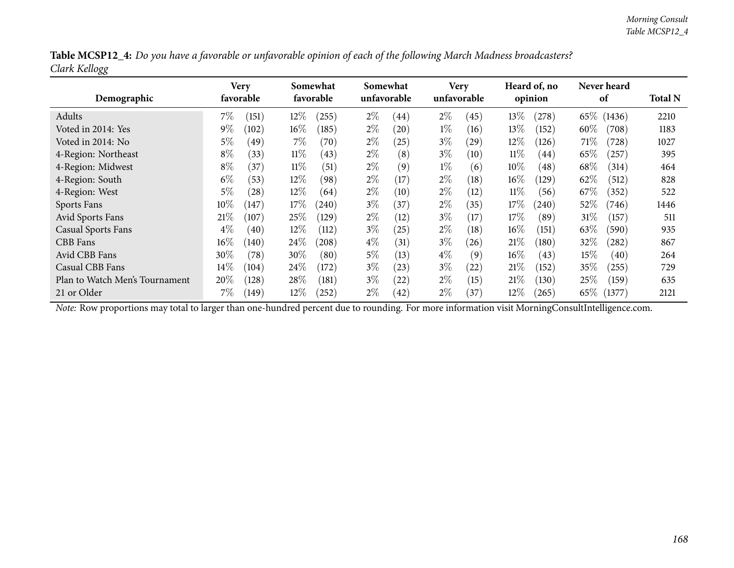| Table MCSP12_4: Do you have a favorable or unfavorable opinion of each of the following March Madness broadcasters? |  |
|---------------------------------------------------------------------------------------------------------------------|--|
| Clark Kellogg                                                                                                       |  |

| Demographic                    |        | Very<br>favorable |        | Somewhat<br>favorable | Somewhat | unfavorable |       | <b>Very</b><br>unfavorable |        | Heard of, no<br>opinion |        | Never heard<br>of | <b>Total N</b> |
|--------------------------------|--------|-------------------|--------|-----------------------|----------|-------------|-------|----------------------------|--------|-------------------------|--------|-------------------|----------------|
| Adults                         | $7\%$  | (151)             | $12\%$ | (255)                 | $2\%$    | (44)        | $2\%$ | (45)                       | 13%    | (278)                   |        | 65\% (1436)       | 2210           |
| Voted in 2014: Yes             | $9\%$  | (102)             | $16\%$ | (185)                 | $2\%$    | (20)        | $1\%$ | (16)                       | $13\%$ | (152)                   | $60\%$ | (708)             | 1183           |
| Voted in 2014: No              | 5%     | (49)              | $7\%$  | (70)                  | $2\%$    | (25)        | $3\%$ | $\left( 29\right)$         | 12%    | (126)                   | 71\%   | (728)             | 1027           |
| 4-Region: Northeast            | $8\%$  | (33)              | $11\%$ | (43)                  | $2\%$    | (8)         | $3\%$ | (10)                       | $11\%$ | (44)                    | 65\%   | (257)             | 395            |
| 4-Region: Midwest              | $8\%$  | (37)              | $11\%$ | (51)                  | $2\%$    | (9)         | $1\%$ | (6)                        | $10\%$ | (48)                    | 68\%   | (314)             | 464            |
| 4-Region: South                | $6\%$  | (53)              | $12\%$ | (98)                  | $2\%$    | (17)        | $2\%$ | (18)                       | $16\%$ | (129)                   | 62\%   | (512)             | 828            |
| 4-Region: West                 | 5%     | (28)              | $12\%$ | (64)                  | $2\%$    | (10)        | $2\%$ | (12)                       | $11\%$ | (56)                    | 67\%   | (352)             | 522            |
| Sports Fans                    | $10\%$ | (147)             | $17\%$ | (240)                 | $3\%$    | (37)        | $2\%$ | (35)                       | 17%    | (240)                   | $52\%$ | (746)             | 1446           |
| Avid Sports Fans               | 21%    | (107)             | 25%    | (129)                 | $2\%$    | (12)        | $3\%$ | (17)                       | 17%    | (89)                    | 31%    | (157)             | 511            |
| <b>Casual Sports Fans</b>      | $4\%$  | (40)              | $12\%$ | (112)                 | $3\%$    | (25)        | $2\%$ | (18)                       | $16\%$ | (151)                   | 63%    | (590)             | 935            |
| CBB Fans                       | $16\%$ | (140)             | 24\%   | 208                   | $4\%$    | (31)        | $3\%$ | (26)                       | 21%    | (180)                   | 32%    | (282)             | 867            |
| Avid CBB Fans                  | 30%    | (78)              | $30\%$ | (80)                  | $5\%$    | (13)        | $4\%$ | (9)                        | $16\%$ | (43)                    | 15%    | (40)              | 264            |
| Casual CBB Fans                | $14\%$ | (104)             | 24\%   | (172)                 | $3\%$    | (23)        | $3\%$ | (22)                       | 21%    | (152)                   | 35%    | (255)             | 729            |
| Plan to Watch Men's Tournament | 20%    | (128)             | $28\%$ | (181)                 | $3\%$    | $^{(22)}$   | $2\%$ | (15)                       | 21%    | (130)                   | 25%    | (159)             | 635            |
| 21 or Older                    | 7%     | (149)             | $12\%$ | $^{'}252$             | $2\%$    | (42)        | $2\%$ | 37)                        | $12\%$ | (265)                   | 65\%   | (1377)            | 2121           |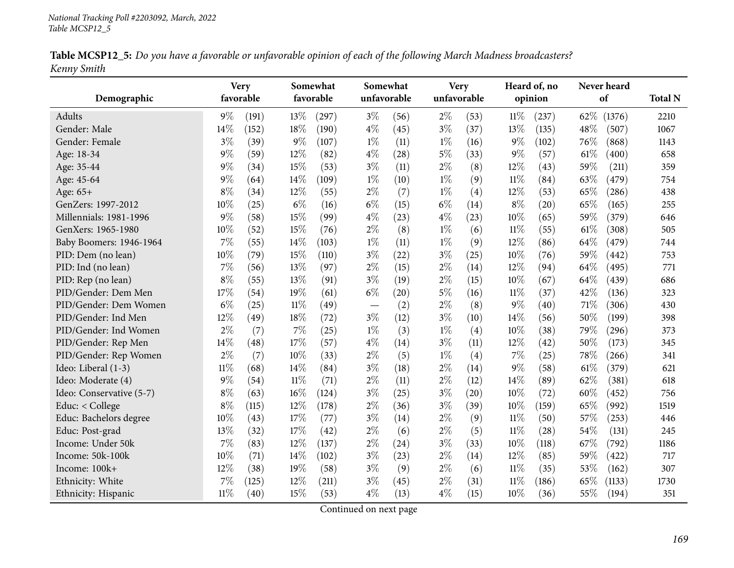|             |  | Table MCSP12_5: Do you have a favorable or unfavorable opinion of each of the following March Madness broadcasters? |
|-------------|--|---------------------------------------------------------------------------------------------------------------------|
| Kenny Smith |  |                                                                                                                     |

|                          |        | <b>Very</b> |        | Somewhat   | Somewhat |             |             | <b>Very</b> |        | Heard of, no |      | Never heard |                |
|--------------------------|--------|-------------|--------|------------|----------|-------------|-------------|-------------|--------|--------------|------|-------------|----------------|
| Demographic              |        | favorable   |        | favorable  |          | unfavorable | unfavorable |             |        | opinion      |      | of          | <b>Total N</b> |
| Adults                   | 9%     | (191)       | 13%    | $^{'}297)$ | $3\%$    | (56)        | $2\%$       | (53)        | $11\%$ | (237)        | 62%  | (1376)      | 2210           |
| Gender: Male             | 14%    | (152)       | 18%    | (190)      | $4\%$    | (45)        | $3\%$       | (37)        | 13%    | (135)        | 48%  | (507)       | 1067           |
| Gender: Female           | $3\%$  | (39)        | $9\%$  | (107)      | $1\%$    | (11)        | $1\%$       | (16)        | $9\%$  | (102)        | 76%  | (868)       | 1143           |
| Age: 18-34               | $9\%$  | (59)        | 12%    | (82)       | $4\%$    | (28)        | $5\%$       | (33)        | $9\%$  | (57)         | 61\% | (400)       | 658            |
| Age: 35-44               | $9\%$  | (34)        | 15%    | (53)       | $3\%$    | (11)        | $2\%$       | (8)         | 12%    | (43)         | 59%  | (211)       | 359            |
| Age: 45-64               | $9\%$  | (64)        | 14%    | (109)      | $1\%$    | (10)        | $1\%$       | (9)         | $11\%$ | (84)         | 63%  | (479)       | 754            |
| Age: 65+                 | $8\%$  | (34)        | 12%    | (55)       | $2\%$    | (7)         | $1\%$       | (4)         | 12%    | (53)         | 65%  | (286)       | 438            |
| GenZers: 1997-2012       | 10%    | (25)        | $6\%$  | (16)       | $6\%$    | (15)        | $6\%$       | (14)        | $8\%$  | (20)         | 65%  | (165)       | 255            |
| Millennials: 1981-1996   | 9%     | (58)        | 15%    | (99)       | $4\%$    | (23)        | $4\%$       | (23)        | 10%    | (65)         | 59%  | (379)       | 646            |
| GenXers: 1965-1980       | 10%    | (52)        | 15%    | (76)       | $2\%$    | (8)         | $1\%$       | (6)         | $11\%$ | (55)         | 61%  | (308)       | 505            |
| Baby Boomers: 1946-1964  | 7%     | (55)        | 14%    | (103)      | $1\%$    | (11)        | $1\%$       | (9)         | 12%    | (86)         | 64%  | (479)       | 744            |
| PID: Dem (no lean)       | 10%    | (79)        | 15%    | (110)      | $3\%$    | (22)        | $3\%$       | (25)        | 10%    | (76)         | 59%  | (442)       | 753            |
| PID: Ind (no lean)       | 7%     | (56)        | 13\%   | (97)       | $2\%$    | (15)        | $2\%$       | (14)        | 12%    | (94)         | 64%  | (495)       | 771            |
| PID: Rep (no lean)       | $8\%$  | (55)        | 13\%   | (91)       | $3\%$    | (19)        | $2\%$       | (15)        | 10%    | (67)         | 64%  | (439)       | 686            |
| PID/Gender: Dem Men      | 17%    | (54)        | 19%    | (61)       | $6\%$    | (20)        | $5\%$       | (16)        | $11\%$ | (37)         | 42%  | (136)       | 323            |
| PID/Gender: Dem Women    | $6\%$  | (25)        | $11\%$ | (49)       |          | (2)         | $2\%$       | (8)         | $9\%$  | (40)         | 71%  | (306)       | 430            |
| PID/Gender: Ind Men      | 12%    | (49)        | 18%    | (72)       | $3\%$    | (12)        | $3\%$       | (10)        | 14%    | (56)         | 50%  | (199)       | 398            |
| PID/Gender: Ind Women    | $2\%$  | (7)         | 7%     | (25)       | $1\%$    | (3)         | $1\%$       | (4)         | 10%    | (38)         | 79%  | (296)       | 373            |
| PID/Gender: Rep Men      | 14%    | (48)        | 17%    | (57)       | $4\%$    | (14)        | $3\%$       | (11)        | 12%    | (42)         | 50%  | (173)       | 345            |
| PID/Gender: Rep Women    | $2\%$  | (7)         | 10%    | (33)       | $2\%$    | (5)         | $1\%$       | (4)         | $7\%$  | (25)         | 78%  | (266)       | 341            |
| Ideo: Liberal (1-3)      | $11\%$ | (68)        | 14%    | (84)       | $3\%$    | (18)        | $2\%$       | (14)        | $9\%$  | (58)         | 61%  | (379)       | 621            |
| Ideo: Moderate (4)       | 9%     | (54)        | $11\%$ | (71)       | $2\%$    | (11)        | $2\%$       | (12)        | 14%    | (89)         | 62%  | (381)       | 618            |
| Ideo: Conservative (5-7) | $8\%$  | (63)        | 16%    | (124)      | $3\%$    | (25)        | $3\%$       | (20)        | 10%    | (72)         | 60%  | (452)       | 756            |
| Educ: < College          | $8\%$  | (115)       | $12\%$ | (178)      | $2\%$    | (36)        | $3\%$       | (39)        | 10%    | (159)        | 65%  | (992)       | 1519           |
| Educ: Bachelors degree   | 10%    | (43)        | 17%    | (77)       | $3\%$    | (14)        | $2\%$       | (9)         | $11\%$ | (50)         | 57%  | (253)       | 446            |
| Educ: Post-grad          | 13%    | (32)        | 17%    | (42)       | $2\%$    | (6)         | $2\%$       | (5)         | $11\%$ | (28)         | 54%  | (131)       | 245            |
| Income: Under 50k        | 7%     | (83)        | 12%    | (137)      | $2\%$    | (24)        | $3\%$       | (33)        | 10%    | (118)        | 67%  | (792)       | 1186           |
| Income: 50k-100k         | 10%    | (71)        | 14%    | (102)      | $3\%$    | (23)        | $2\%$       | (14)        | 12%    | (85)         | 59%  | (422)       | 717            |
| Income: 100k+            | 12%    | (38)        | 19%    | (58)       | $3\%$    | (9)         | $2\%$       | (6)         | $11\%$ | (35)         | 53%  | (162)       | 307            |
| Ethnicity: White         | 7%     | (125)       | 12%    | (211)      | $3\%$    | (45)        | $2\%$       | (31)        | $11\%$ | (186)        | 65%  | (1133)      | 1730           |
| Ethnicity: Hispanic      | $11\%$ | (40)        | 15%    | (53)       | $4\%$    | (13)        | $4\%$       | (15)        | 10%    | (36)         | 55%  | (194)       | 351            |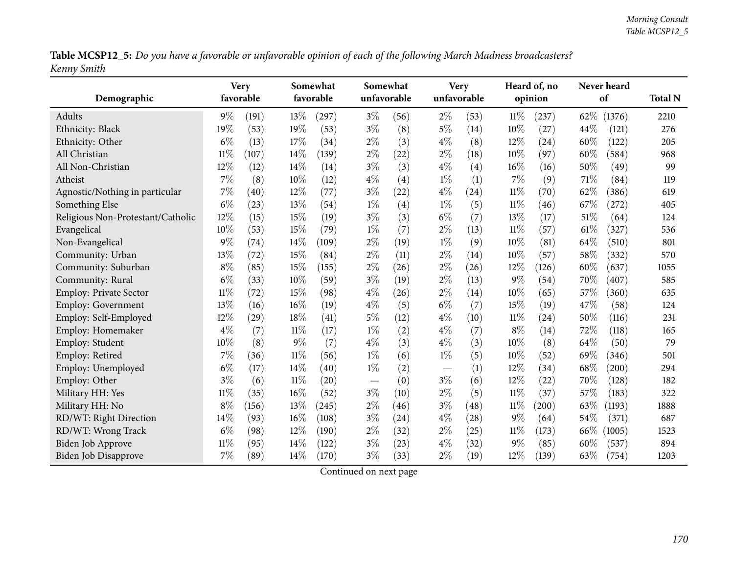Table MCSP12\_5: Do you have a favorable or unfavorable opinion of each of the following March Madness broadcasters? *Kenny Smith*

| Demographic                       |        | <b>Very</b><br>favorable |        | Somewhat<br>favorable | Somewhat | unfavorable |                                 | <b>Very</b><br>unfavorable |        | Heard of, no<br>opinion |      | Never heard<br>of | <b>Total N</b> |
|-----------------------------------|--------|--------------------------|--------|-----------------------|----------|-------------|---------------------------------|----------------------------|--------|-------------------------|------|-------------------|----------------|
| Adults                            | $9\%$  | (191)                    | 13%    | (297)                 | $3\%$    | (56)        | $2\%$                           | (53)                       | 11%    | (237)                   | 62\% | (1376)            | 2210           |
| Ethnicity: Black                  | 19%    | (53)                     | 19%    | (53)                  | $3\%$    | (8)         | $5\%$                           | (14)                       | 10%    | (27)                    | 44%  | (121)             | 276            |
| Ethnicity: Other                  | $6\%$  | (13)                     | 17%    | (34)                  | $2\%$    | (3)         | $4\%$                           | (8)                        | 12%    | $\left( 24\right)$      | 60%  | (122)             | 205            |
| All Christian                     | $11\%$ | (107)                    | 14\%   | (139)                 | $2\%$    | (22)        | $2\%$                           | (18)                       | 10%    | (97)                    | 60%  | (584)             | 968            |
| All Non-Christian                 | 12%    | (12)                     | 14\%   | (14)                  | $3\%$    | (3)         | $4\%$                           | (4)                        | 16%    | (16)                    | 50%  | (49)              | 99             |
| Atheist                           | 7%     | (8)                      | 10%    | (12)                  | $4\%$    | (4)         | $1\%$                           | (1)                        | 7%     | (9)                     | 71%  | (84)              | 119            |
| Agnostic/Nothing in particular    | 7%     | (40)                     | 12%    | (77)                  | $3\%$    | (22)        | $4\%$                           | (24)                       | $11\%$ | (70)                    | 62%  | (386)             | 619            |
| Something Else                    | $6\%$  | (23)                     | 13%    | (54)                  | $1\%$    | (4)         | $1\%$                           | (5)                        | $11\%$ | (46)                    | 67%  | (272)             | 405            |
| Religious Non-Protestant/Catholic | 12%    | (15)                     | 15%    | (19)                  | $3\%$    | (3)         | $6\%$                           | (7)                        | 13%    | (17)                    | 51%  | (64)              | 124            |
| Evangelical                       | 10%    | (53)                     | 15%    | (79)                  | $1\%$    | (7)         | $2\%$                           | (13)                       | $11\%$ | (57)                    | 61%  | (327)             | 536            |
| Non-Evangelical                   | 9%     | (74)                     | 14%    | (109)                 | $2\%$    | (19)        | $1\%$                           | (9)                        | 10%    | (81)                    | 64%  | (510)             | 801            |
| Community: Urban                  | $13\%$ | (72)                     | 15%    | (84)                  | $2\%$    | (11)        | $2\%$                           | (14)                       | 10%    | (57)                    | 58%  | (332)             | 570            |
| Community: Suburban               | $8\%$  | (85)                     | 15%    | (155)                 | $2\%$    | (26)        | $2\%$                           | (26)                       | 12%    | (126)                   | 60%  | (637)             | 1055           |
| Community: Rural                  | $6\%$  | (33)                     | 10%    | (59)                  | $3\%$    | (19)        | $2\%$                           | (13)                       | $9\%$  | (54)                    | 70%  | (407)             | 585            |
| Employ: Private Sector            | $11\%$ | (72)                     | 15%    | (98)                  | $4\%$    | (26)        | $2\%$                           | (14)                       | 10%    | (65)                    | 57%  | (360)             | 635            |
| <b>Employ: Government</b>         | 13%    | (16)                     | 16%    | (19)                  | $4\%$    | (5)         | $6\%$                           | (7)                        | 15%    | (19)                    | 47%  | (58)              | 124            |
| Employ: Self-Employed             | $12\%$ | (29)                     | 18%    | (41)                  | $5\%$    | (12)        | $4\%$                           | (10)                       | 11%    | (24)                    | 50%  | (116)             | 231            |
| Employ: Homemaker                 | $4\%$  | (7)                      | $11\%$ | (17)                  | $1\%$    | (2)         | $4\%$                           | (7)                        | $8\%$  | (14)                    | 72%  | (118)             | 165            |
| Employ: Student                   | 10%    | (8)                      | $9\%$  | (7)                   | $4\%$    | (3)         | $4\%$                           | (3)                        | 10%    | (8)                     | 64%  | (50)              | 79             |
| Employ: Retired                   | $7\%$  | (36)                     | $11\%$ | (56)                  | $1\%$    | (6)         | $1\%$                           | (5)                        | 10%    | (52)                    | 69%  | (346)             | 501            |
| Employ: Unemployed                | $6\%$  | (17)                     | 14%    | (40)                  | $1\%$    | (2)         | $\hspace{0.1mm}-\hspace{0.1mm}$ | (1)                        | 12%    | (34)                    | 68%  | (200)             | 294            |
| Employ: Other                     | $3\%$  | (6)                      | $11\%$ | (20)                  |          | (0)         | $3\%$                           | (6)                        | 12%    | (22)                    | 70%  | (128)             | 182            |
| Military HH: Yes                  | $11\%$ | (35)                     | 16%    | (52)                  | $3\%$    | (10)        | $2\%$                           | (5)                        | $11\%$ | (37)                    | 57%  | (183)             | 322            |
| Military HH: No                   | $8\%$  | (156)                    | 13%    | (245)                 | $2\%$    | (46)        | $3\%$                           | (48)                       | 11%    | (200)                   | 63%  | (1193)            | 1888           |
| RD/WT: Right Direction            | 14%    | (93)                     | 16%    | (108)                 | $3\%$    | (24)        | $4\%$                           | (28)                       | $9\%$  | (64)                    | 54%  | (371)             | 687            |
| RD/WT: Wrong Track                | $6\%$  | (98)                     | 12%    | (190)                 | $2\%$    | (32)        | $2\%$                           | (25)                       | $11\%$ | (173)                   | 66\% | (1005)            | 1523           |
| <b>Biden Job Approve</b>          | $11\%$ | (95)                     | 14%    | (122)                 | $3\%$    | (23)        | $4\%$                           | (32)                       | 9%     | (85)                    | 60%  | (537)             | 894            |
| <b>Biden Job Disapprove</b>       | 7%     | (89)                     | 14%    | (170)                 | $3\%$    | (33)        | $2\%$                           | (19)                       | 12%    | (139)                   | 63%  | (754)             | 1203           |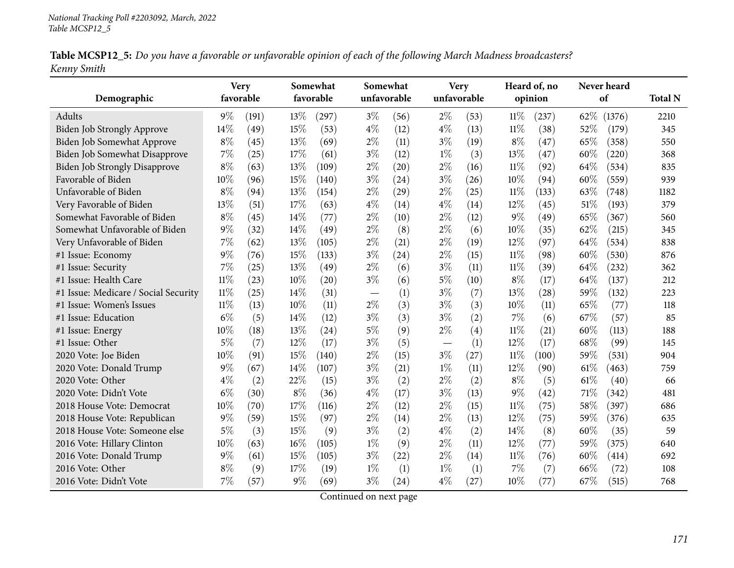|             |  | Table MCSP12_5: Do you have a favorable or unfavorable opinion of each of the following March Madness broadcasters? |
|-------------|--|---------------------------------------------------------------------------------------------------------------------|
| Kenny Smith |  |                                                                                                                     |

|                                      | <b>Very</b> |       |       | Somewhat           |       | Somewhat           |       | <b>Very</b> |        | Heard of, no |        | Never heard |                |
|--------------------------------------|-------------|-------|-------|--------------------|-------|--------------------|-------|-------------|--------|--------------|--------|-------------|----------------|
| Demographic                          | favorable   |       |       | favorable          |       | unfavorable        |       | unfavorable |        | opinion      |        | of          | <b>Total N</b> |
| Adults                               | $9\%$       | (191) | 13%   | (297)              | $3\%$ | (56)               | $2\%$ | (53)        | $11\%$ | (237)        | 62\%   | (1376)      | 2210           |
| Biden Job Strongly Approve           | 14%         | (49)  | 15%   | (53)               | $4\%$ | (12)               | $4\%$ | (13)        | $11\%$ | (38)         | 52%    | (179)       | 345            |
| Biden Job Somewhat Approve           | $8\%$       | (45)  | 13%   | (69)               | $2\%$ | (11)               | $3\%$ | (19)        | $8\%$  | (47)         | 65%    | (358)       | 550            |
| Biden Job Somewhat Disapprove        | 7%          | (25)  | 17%   | (61)               | $3\%$ | (12)               | $1\%$ | (3)         | 13%    | (47)         | 60%    | (220)       | 368            |
| <b>Biden Job Strongly Disapprove</b> | $8\%$       | (63)  | 13%   | (109)              | $2\%$ | (20)               | $2\%$ | (16)        | $11\%$ | (92)         | 64%    | (534)       | 835            |
| Favorable of Biden                   | $10\%$      | (96)  | 15%   | (140)              | $3\%$ | (24)               | $3\%$ | (26)        | 10%    | (94)         | 60%    | (559)       | 939            |
| Unfavorable of Biden                 | $8\%$       | (94)  | 13%   | (154)              | $2\%$ | $\left( 29\right)$ | $2\%$ | (25)        | $11\%$ | (133)        | 63%    | (748)       | 1182           |
| Very Favorable of Biden              | 13%         | (51)  | 17%   | (63)               | $4\%$ | (14)               | $4\%$ | (14)        | 12%    | (45)         | 51\%   | (193)       | 379            |
| Somewhat Favorable of Biden          | $8\%$       | (45)  | 14%   | (77)               | $2\%$ | (10)               | $2\%$ | (12)        | $9\%$  | (49)         | 65%    | (367)       | 560            |
| Somewhat Unfavorable of Biden        | $9\%$       | (32)  | 14%   | (49)               | $2\%$ | (8)                | $2\%$ | (6)         | 10%    | (35)         | 62%    | (215)       | 345            |
| Very Unfavorable of Biden            | 7%          | (62)  | 13%   | (105)              | $2\%$ | (21)               | $2\%$ | (19)        | 12%    | (97)         | 64\%   | (534)       | 838            |
| #1 Issue: Economy                    | $9\%$       | (76)  | 15%   | (133)              | $3\%$ | (24)               | $2\%$ | (15)        | $11\%$ | (98)         | 60%    | (530)       | 876            |
| #1 Issue: Security                   | 7%          | (25)  | 13%   | (49)               | $2\%$ | (6)                | $3\%$ | (11)        | $11\%$ | (39)         | 64%    | (232)       | 362            |
| #1 Issue: Health Care                | $11\%$      | (23)  | 10%   | $\left( 20\right)$ | $3\%$ | (6)                | $5\%$ | (10)        | $8\%$  | (17)         | 64\%   | (137)       | 212            |
| #1 Issue: Medicare / Social Security | $11\%$      | (25)  | 14%   | (31)               |       | (1)                | $3\%$ | (7)         | 13%    | (28)         | 59%    | (132)       | 223            |
| #1 Issue: Women's Issues             | $11\%$      | (13)  | 10%   | (11)               | $2\%$ | (3)                | $3\%$ | (3)         | 10%    | (11)         | 65%    | (77)        | 118            |
| #1 Issue: Education                  | $6\%$       | (5)   | 14%   | (12)               | $3\%$ | (3)                | $3\%$ | (2)         | $7\%$  | (6)          | 67\%   | (57)        | 85             |
| #1 Issue: Energy                     | 10%         | (18)  | 13%   | (24)               | $5\%$ | (9)                | $2\%$ | (4)         | $11\%$ | (21)         | 60%    | (113)       | 188            |
| #1 Issue: Other                      | $5\%$       | (7)   | 12%   | (17)               | $3\%$ | (5)                |       | (1)         | 12%    | (17)         | 68%    | (99)        | 145            |
| 2020 Vote: Joe Biden                 | 10%         | (91)  | 15%   | (140)              | $2\%$ | (15)               | $3\%$ | (27)        | $11\%$ | (100)        | 59%    | (531)       | 904            |
| 2020 Vote: Donald Trump              | $9\%$       | (67)  | 14%   | (107)              | $3\%$ | (21)               | $1\%$ | (11)        | 12%    | (90)         | $61\%$ | (463)       | 759            |
| 2020 Vote: Other                     | $4\%$       | (2)   | 22%   | (15)               | $3\%$ | (2)                | $2\%$ | (2)         | $8\%$  | (5)          | 61\%   | (40)        | 66             |
| 2020 Vote: Didn't Vote               | $6\%$       | (30)  | $8\%$ | (36)               | $4\%$ | (17)               | $3\%$ | (13)        | $9\%$  | (42)         | 71%    | (342)       | 481            |
| 2018 House Vote: Democrat            | 10%         | (70)  | 17%   | (116)              | $2\%$ | (12)               | $2\%$ | (15)        | $11\%$ | (75)         | 58%    | (397)       | 686            |
| 2018 House Vote: Republican          | $9\%$       | (59)  | 15%   | (97)               | $2\%$ | (14)               | $2\%$ | (13)        | 12%    | (75)         | 59%    | (376)       | 635            |
| 2018 House Vote: Someone else        | $5\%$       | (3)   | 15%   | (9)                | $3\%$ | (2)                | $4\%$ | (2)         | 14\%   | (8)          | 60%    | (35)        | 59             |
| 2016 Vote: Hillary Clinton           | 10%         | (63)  | 16%   | (105)              | $1\%$ | (9)                | $2\%$ | (11)        | 12%    | (77)         | 59%    | (375)       | 640            |
| 2016 Vote: Donald Trump              | $9\%$       | (61)  | 15%   | (105)              | $3\%$ | (22)               | $2\%$ | (14)        | $11\%$ | (76)         | 60%    | (414)       | 692            |
| 2016 Vote: Other                     | $8\%$       | (9)   | 17%   | (19)               | $1\%$ | (1)                | $1\%$ | (1)         | 7%     | (7)          | 66%    | (72)        | 108            |
| 2016 Vote: Didn't Vote               | 7%          | (57)  | 9%    | (69)               | $3\%$ | (24)               | $4\%$ | (27)        | 10%    | (77)         | 67%    | (515)       | 768            |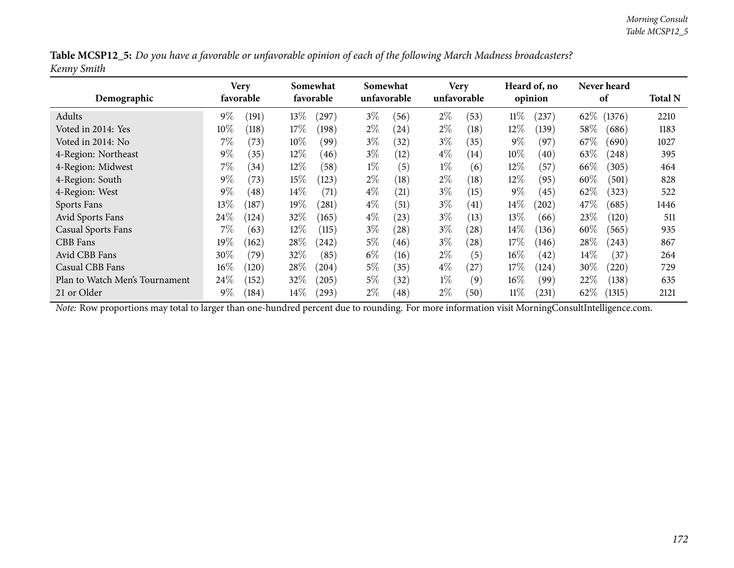|             |  |  | Table MCSP12_5: Do you have a favorable or unfavorable opinion of each of the following March Madness broadcasters? |
|-------------|--|--|---------------------------------------------------------------------------------------------------------------------|
| Kenny Smith |  |  |                                                                                                                     |

| Demographic                    |        | Very<br>favorable |        | Somewhat<br>favorable | Somewhat<br>unfavorable |                    |       | <b>Very</b><br>unfavorable |        | Heard of, no<br>opinion |        | Never heard<br>of | <b>Total N</b> |
|--------------------------------|--------|-------------------|--------|-----------------------|-------------------------|--------------------|-------|----------------------------|--------|-------------------------|--------|-------------------|----------------|
| Adults                         | $9\%$  | (191)             | 13%    | $^{'}297)$            | $3\%$                   | (56)               | $2\%$ | (53)                       | 11%    | (237)                   | 62\%   | (1376)            | 2210           |
| Voted in 2014: Yes             | $10\%$ | (118)             | 17%    | (198)                 | $2\%$                   | (24)               | $2\%$ | (18)                       | $12\%$ | (139)                   | 58%    | (686)             | 1183           |
| Voted in 2014: No              | $7\%$  | (73)              | 10%    | (99)                  | $3\%$                   | (32)               | $3\%$ | (35)                       | $9\%$  | (97)                    | 67%    | (690)             | 1027           |
| 4-Region: Northeast            | $9\%$  | (35)              | $12\%$ | (46)                  | $3\%$                   | (12)               | $4\%$ | $\left(14\right)$          | $10\%$ | (40)                    | 63\%   | (248)             | 395            |
| 4-Region: Midwest              | $7\%$  | (34)              | $12\%$ | (58)                  | $1\%$                   | (5)                | $1\%$ | (6)                        | $12\%$ | (57)                    | 66\%   | (305)             | 464            |
| 4-Region: South                | $9\%$  | (73)              | 15%    | (123)                 | $2\%$                   | (18)               | $2\%$ | (18)                       | 12%    | (95)                    | 60%    | (501)             | 828            |
| 4-Region: West                 | $9\%$  | (48)              | $14\%$ | (71)                  | $4\%$                   | $\left( 21\right)$ | $3\%$ | (15)                       | $9\%$  | (45)                    | $62\%$ | (323)             | 522            |
| Sports Fans                    | $13\%$ | (187)             | $19\%$ | (281)                 | $4\%$                   | (51)               | $3\%$ | $\left( 41\right)$         | $14\%$ | (202)                   | 47\%   | (685)             | 1446           |
| Avid Sports Fans               | 24\%   | (124)             | $32\%$ | (165)                 | $4\%$                   | (23)               | $3\%$ | (13)                       | $13\%$ | (66)                    | 23\%   | (120)             | 511            |
| <b>Casual Sports Fans</b>      | $7\%$  | (63)              | $12\%$ | (115)                 | $3\%$                   | (28)               | $3\%$ | (28)                       | $14\%$ | (136)                   | 60\%   | (565)             | 935            |
| CBB Fans                       | $19\%$ | (162)             | 28\%   | 242)                  | $5\%$                   | (46)               | $3\%$ | (28)                       | 17%    | (146)                   | 28\%   | (243)             | 867            |
| Avid CBB Fans                  | 30%    | (79)              | 32%    | (85)                  | $6\%$                   | (16)               | $2\%$ | (5)                        | $16\%$ | (42)                    | $14\%$ | (37)              | 264            |
| Casual CBB Fans                | $16\%$ | (120)             | 28\%   | (204)                 | $5\%$                   | (35)               | $4\%$ | (27)                       | 17%    | (124)                   | 30%    | (220)             | 729            |
| Plan to Watch Men's Tournament | $24\%$ | (152)             | $32\%$ | (205)                 | $5\%$                   | (32)               | $1\%$ | (9)                        | $16\%$ | (99)                    | 22%    | (138)             | 635            |
| 21 or Older                    | $9\%$  | (184)             | $14\%$ | (293)                 | $2\%$                   | (48)               | $2\%$ | (50)                       | $11\%$ | (231)                   | 62\%   | (1315)            | 2121           |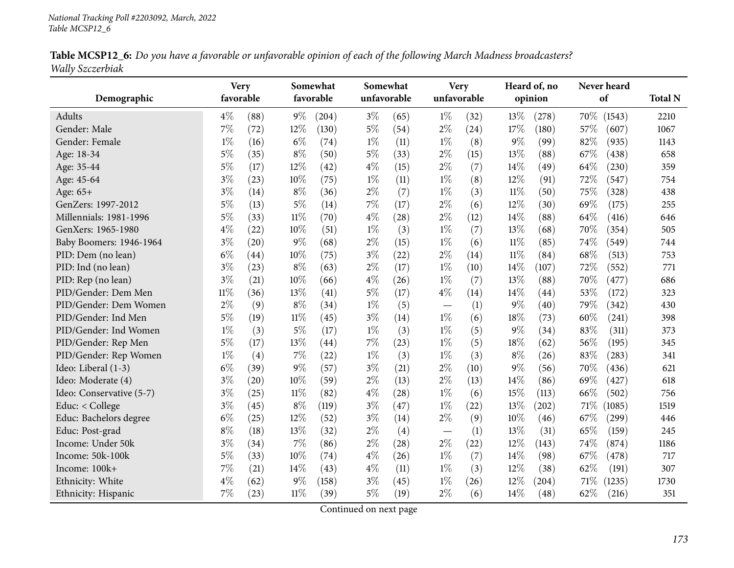| Table MCSP12_6: Do you have a favorable or unfavorable opinion of each of the following March Madness broadcasters? |  |  |
|---------------------------------------------------------------------------------------------------------------------|--|--|
| Wally Szczerbiak                                                                                                    |  |  |

|                          | <b>Very</b> |      |        | Somewhat  | Somewhat    |      | <b>Very</b>              |             |        | Heard of, no |        | Never heard |                |
|--------------------------|-------------|------|--------|-----------|-------------|------|--------------------------|-------------|--------|--------------|--------|-------------|----------------|
| Demographic              | favorable   |      |        | favorable | unfavorable |      |                          | unfavorable |        | opinion      |        | of          | <b>Total N</b> |
| Adults                   | $4\%$       | (88) | $9\%$  | (204)     | $3\%$       | (65) | $1\%$                    | (32)        | 13%    | (278)        | 70\%   | (1543)      | 2210           |
| Gender: Male             | $7\%$       | (72) | 12%    | (130)     | $5\%$       | (54) | $2\%$                    | (24)        | 17%    | (180)        | 57%    | (607)       | 1067           |
| Gender: Female           | $1\%$       | (16) | $6\%$  | (74)      | $1\%$       | (11) | $1\%$                    | (8)         | $9\%$  | (99)         | 82%    | (935)       | 1143           |
| Age: 18-34               | $5\%$       | (35) | $8\%$  | (50)      | $5\%$       | (33) | $2\%$                    | (15)        | 13%    | (88)         | 67%    | (438)       | 658            |
| Age: 35-44               | $5\%$       | (17) | 12%    | (42)      | $4\%$       | (15) | $2\%$                    | (7)         | 14%    | (49)         | 64%    | (230)       | 359            |
| Age: 45-64               | $3\%$       | (23) | 10%    | (75)      | $1\%$       | (11) | $1\%$                    | (8)         | 12%    | (91)         | 72%    | (547)       | 754            |
| Age: 65+                 | $3\%$       | (14) | $8\%$  | (36)      | $2\%$       | (7)  | $1\%$                    | (3)         | $11\%$ | (50)         | 75%    | (328)       | 438            |
| GenZers: 1997-2012       | $5\%$       | (13) | $5\%$  | (14)      | 7%          | (17) | $2\%$                    | (6)         | 12%    | (30)         | 69%    | (175)       | 255            |
| Millennials: 1981-1996   | $5\%$       | (33) | $11\%$ | (70)      | $4\%$       | (28) | $2\%$                    | (12)        | 14%    | (88)         | 64%    | (416)       | 646            |
| GenXers: 1965-1980       | $4\%$       | (22) | 10%    | (51)      | $1\%$       | (3)  | $1\%$                    | (7)         | 13%    | (68)         | 70%    | (354)       | 505            |
| Baby Boomers: 1946-1964  | $3\%$       | (20) | $9\%$  | (68)      | $2\%$       | (15) | $1\%$                    | (6)         | $11\%$ | (85)         | 74%    | (549)       | 744            |
| PID: Dem (no lean)       | $6\%$       | (44) | 10%    | (75)      | $3\%$       | (22) | $2\%$                    | (14)        | $11\%$ | (84)         | 68%    | (513)       | 753            |
| PID: Ind (no lean)       | $3\%$       | (23) | $8\%$  | (63)      | $2\%$       | (17) | $1\%$                    | (10)        | 14%    | (107)        | 72%    | (552)       | 771            |
| PID: Rep (no lean)       | $3\%$       | (21) | 10%    | (66)      | $4\%$       | (26) | $1\%$                    | (7)         | 13%    | (88)         | 70%    | (477)       | 686            |
| PID/Gender: Dem Men      | $11\%$      | (36) | 13%    | (41)      | 5%          | (17) | $4\%$                    | (14)        | 14%    | (44)         | 53%    | (172)       | 323            |
| PID/Gender: Dem Women    | $2\%$       | (9)  | $8\%$  | (34)      | $1\%$       | (5)  |                          | (1)         | 9%     | (40)         | 79%    | (342)       | 430            |
| PID/Gender: Ind Men      | $5\%$       | (19) | $11\%$ | (45)      | $3\%$       | (14) | $1\%$                    | (6)         | 18%    | (73)         | 60%    | (241)       | 398            |
| PID/Gender: Ind Women    | $1\%$       | (3)  | $5\%$  | (17)      | $1\%$       | (3)  | $1\%$                    | (5)         | 9%     | (34)         | 83%    | (311)       | 373            |
| PID/Gender: Rep Men      | $5\%$       | (17) | 13%    | (44)      | 7%          | (23) | $1\%$                    | (5)         | 18%    | (62)         | 56%    | (195)       | 345            |
| PID/Gender: Rep Women    | $1\%$       | (4)  | 7%     | (22)      | $1\%$       | (3)  | $1\%$                    | (3)         | $8\%$  | (26)         | 83%    | (283)       | 341            |
| Ideo: Liberal (1-3)      | $6\%$       | (39) | $9\%$  | (57)      | $3\%$       | (21) | $2\%$                    | (10)        | 9%     | (56)         | 70%    | (436)       | 621            |
| Ideo: Moderate (4)       | $3\%$       | (20) | 10%    | (59)      | $2\%$       | (13) | $2\%$                    | (13)        | 14%    | (86)         | 69%    | (427)       | 618            |
| Ideo: Conservative (5-7) | $3\%$       | (25) | 11%    | (82)      | $4\%$       | (28) | $1\%$                    | (6)         | 15%    | (113)        | 66%    | (502)       | 756            |
| Educ: < College          | $3\%$       | (45) | $8\%$  | (119)     | $3\%$       | (47) | $1\%$                    | (22)        | 13%    | (202)        | $71\%$ | (1085)      | 1519           |
| Educ: Bachelors degree   | $6\%$       | (25) | 12%    | (52)      | $3\%$       | (14) | $2\%$                    | (9)         | 10%    | (46)         | 67%    | (299)       | 446            |
| Educ: Post-grad          | $8\%$       | (18) | 13%    | (32)      | $2\%$       | (4)  | $\overline{\phantom{m}}$ | (1)         | 13%    | (31)         | 65%    | (159)       | 245            |
| Income: Under 50k        | $3\%$       | (34) | 7%     | (86)      | $2\%$       | (28) | $2\%$                    | (22)        | 12%    | (143)        | 74%    | (874)       | 1186           |
| Income: 50k-100k         | $5\%$       | (33) | 10%    | (74)      | $4\%$       | (26) | $1\%$                    | (7)         | 14\%   | (98)         | 67%    | (478)       | 717            |
| Income: 100k+            | $7\%$       | (21) | 14%    | (43)      | $4\%$       | (11) | $1\%$                    | (3)         | 12%    | (38)         | 62%    | (191)       | 307            |
| Ethnicity: White         | $4\%$       | (62) | $9\%$  | (158)     | $3\%$       | (45) | $1\%$                    | (26)        | 12%    | (204)        | 71\%   | (1235)      | 1730           |
| Ethnicity: Hispanic      | $7\%$       | (23) | $11\%$ | (39)      | $5\%$       | (19) | $2\%$                    | (6)         | 14%    | (48)         | 62%    | (216)       | 351            |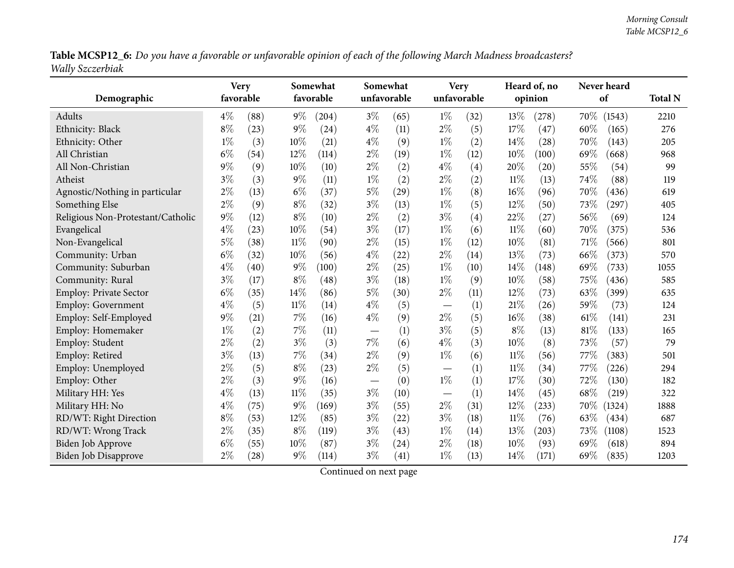Table MCSP12\_6: Do you have a favorable or unfavorable opinion of each of the following March Madness broadcasters? *Wally Szczerbiak*

|                                   | <b>Very</b> |           |        | Somewhat  |       | Somewhat    |                          | <b>Very</b> |        | Heard of, no |      | Never heard |                |
|-----------------------------------|-------------|-----------|--------|-----------|-------|-------------|--------------------------|-------------|--------|--------------|------|-------------|----------------|
| Demographic                       |             | favorable |        | favorable |       | unfavorable |                          | unfavorable |        | opinion      |      | of          | <b>Total N</b> |
| Adults                            | $4\%$       | (88)      | $9\%$  | (204)     | $3\%$ | (65)        | $1\%$                    | (32)        | 13\%   | (278)        | 70%  | (1543)      | 2210           |
| Ethnicity: Black                  | $8\%$       | (23)      | $9\%$  | (24)      | $4\%$ | (11)        | $2\%$                    | (5)         | 17%    | (47)         | 60%  | (165)       | 276            |
| Ethnicity: Other                  | $1\%$       | (3)       | 10%    | (21)      | $4\%$ | (9)         | $1\%$                    | (2)         | 14%    | (28)         | 70%  | (143)       | 205            |
| All Christian                     | $6\%$       | (54)      | 12%    | (114)     | $2\%$ | (19)        | $1\%$                    | (12)        | 10%    | (100)        | 69%  | (668)       | 968            |
| All Non-Christian                 | $9\%$       | (9)       | 10%    | (10)      | $2\%$ | (2)         | $4\%$                    | (4)         | 20%    | (20)         | 55%  | (54)        | 99             |
| Atheist                           | $3\%$       | (3)       | $9\%$  | (11)      | $1\%$ | (2)         | $2\%$                    | (2)         | $11\%$ | (13)         | 74%  | (88)        | 119            |
| Agnostic/Nothing in particular    | $2\%$       | (13)      | $6\%$  | (37)      | $5\%$ | (29)        | $1\%$                    | (8)         | 16%    | (96)         | 70%  | (436)       | 619            |
| Something Else                    | $2\%$       | (9)       | $8\%$  | (32)      | $3\%$ | (13)        | $1\%$                    | (5)         | 12%    | (50)         | 73%  | (297)       | 405            |
| Religious Non-Protestant/Catholic | $9\%$       | (12)      | $8\%$  | (10)      | $2\%$ | (2)         | $3\%$                    | (4)         | 22%    | (27)         | 56%  | (69)        | 124            |
| Evangelical                       | $4\%$       | (23)      | 10%    | (54)      | $3\%$ | (17)        | $1\%$                    | (6)         | $11\%$ | (60)         | 70%  | (375)       | 536            |
| Non-Evangelical                   | $5\%$       | (38)      | $11\%$ | (90)      | $2\%$ | (15)        | $1\%$                    | (12)        | 10%    | (81)         | 71%  | (566)       | 801            |
| Community: Urban                  | $6\%$       | (32)      | 10%    | (56)      | $4\%$ | (22)        | $2\%$                    | (14)        | 13%    | (73)         | 66%  | (373)       | 570            |
| Community: Suburban               | $4\%$       | (40)      | $9\%$  | (100)     | $2\%$ | (25)        | $1\%$                    | (10)        | 14%    | (148)        | 69%  | (733)       | 1055           |
| Community: Rural                  | $3\%$       | (17)      | $8\%$  | (48)      | $3\%$ | (18)        | $1\%$                    | (9)         | 10%    | (58)         | 75%  | (436)       | 585            |
| Employ: Private Sector            | $6\%$       | (35)      | 14%    | (86)      | 5%    | (30)        | $2\%$                    | (11)        | 12%    | (73)         | 63%  | (399)       | 635            |
| <b>Employ: Government</b>         | $4\%$       | (5)       | $11\%$ | (14)      | $4\%$ | (5)         | $\overline{\phantom{m}}$ | (1)         | 21%    | (26)         | 59%  | (73)        | 124            |
| Employ: Self-Employed             | $9\%$       | (21)      | $7\%$  | (16)      | $4\%$ | (9)         | $2\%$                    | (5)         | 16%    | (38)         | 61\% | (141)       | 231            |
| Employ: Homemaker                 | $1\%$       | (2)       | 7%     | (11)      |       | (1)         | $3\%$                    | (5)         | $8\%$  | (13)         | 81%  | (133)       | 165            |
| Employ: Student                   | $2\%$       | (2)       | $3\%$  | (3)       | $7\%$ | (6)         | $4\%$                    | (3)         | 10%    | (8)          | 73%  | (57)        | 79             |
| Employ: Retired                   | $3\%$       | (13)      | $7\%$  | (34)      | $2\%$ | (9)         | $1\%$                    | (6)         | $11\%$ | (56)         | 77%  | (383)       | 501            |
| Employ: Unemployed                | $2\%$       | (5)       | $8\%$  | (23)      | $2\%$ | (5)         |                          | (1)         | $11\%$ | (34)         | 77%  | (226)       | 294            |
| Employ: Other                     | $2\%$       | (3)       | $9\%$  | (16)      |       | (0)         | $1\%$                    | (1)         | 17%    | (30)         | 72%  | (130)       | 182            |
| Military HH: Yes                  | $4\%$       | (13)      | $11\%$ | (35)      | $3\%$ | (10)        | $\overline{\phantom{m}}$ | (1)         | 14%    | (45)         | 68%  | (219)       | 322            |
| Military HH: No                   | $4\%$       | (75)      | $9\%$  | (169)     | $3\%$ | (55)        | $2\%$                    | (31)        | 12%    | (233)        | 70\% | (1324)      | 1888           |
| RD/WT: Right Direction            | $8\%$       | (53)      | 12%    | (85)      | $3\%$ | (22)        | $3\%$                    | (18)        | $11\%$ | (76)         | 63\% | (434)       | 687            |
| RD/WT: Wrong Track                | $2\%$       | (35)      | $8\%$  | (119)     | $3\%$ | (43)        | $1\%$                    | (14)        | 13%    | (203)        | 73%  | (1108)      | 1523           |
| <b>Biden Job Approve</b>          | $6\%$       | (55)      | 10%    | (87)      | $3\%$ | (24)        | $2\%$                    | (18)        | 10%    | (93)         | 69%  | (618)       | 894            |
| <b>Biden Job Disapprove</b>       | $2\%$       | (28)      | $9\%$  | (114)     | $3\%$ | (41)        | $1\%$                    | (13)        | 14%    | (171)        | 69%  | (835)       | 1203           |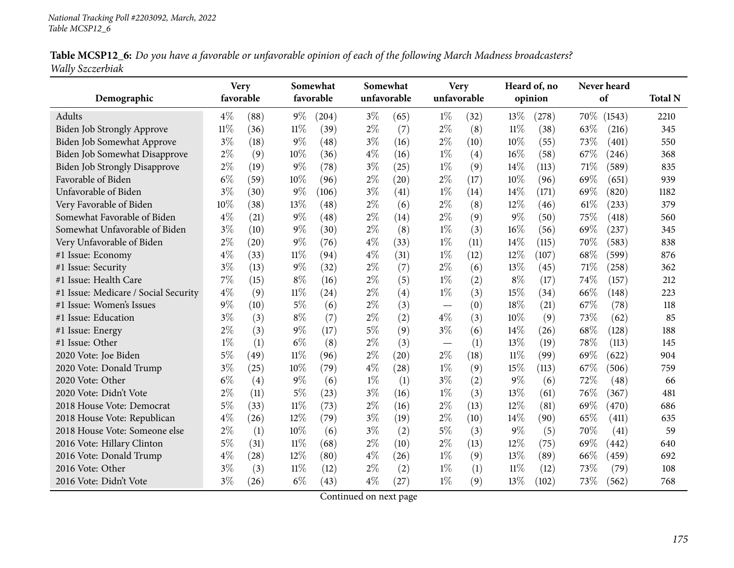| Table MCSP12_6: Do you have a favorable or unfavorable opinion of each of the following March Madness broadcasters? |  |  |
|---------------------------------------------------------------------------------------------------------------------|--|--|
| Wally Szczerbiak                                                                                                    |  |  |

|                                      | <b>Very</b> |      |        | Somewhat  |       | Somewhat    |             | <b>Very</b> |        | Heard of, no |     | Never heard |                |
|--------------------------------------|-------------|------|--------|-----------|-------|-------------|-------------|-------------|--------|--------------|-----|-------------|----------------|
| Demographic                          | favorable   |      |        | favorable |       | unfavorable | unfavorable |             |        | opinion      |     | of          | <b>Total N</b> |
| Adults                               | $4\%$       | (88) | $9\%$  | (204)     | $3\%$ | (65)        | $1\%$       | (32)        | 13%    | (278)        | 70% | (1543)      | 2210           |
| Biden Job Strongly Approve           | $11\%$      | (36) | $11\%$ | (39)      | $2\%$ | (7)         | $2\%$       | (8)         | $11\%$ | (38)         | 63% | (216)       | 345            |
| Biden Job Somewhat Approve           | $3\%$       | (18) | $9\%$  | (48)      | $3\%$ | (16)        | $2\%$       | (10)        | 10%    | (55)         | 73% | (401)       | 550            |
| Biden Job Somewhat Disapprove        | $2\%$       | (9)  | 10%    | (36)      | $4\%$ | (16)        | $1\%$       | (4)         | 16%    | (58)         | 67% | (246)       | 368            |
| <b>Biden Job Strongly Disapprove</b> | $2\%$       | (19) | 9%     | (78)      | $3\%$ | (25)        | $1\%$       | (9)         | 14%    | (113)        | 71% | (589)       | 835            |
| Favorable of Biden                   | $6\%$       | (59) | 10%    | (96)      | $2\%$ | (20)        | $2\%$       | (17)        | 10%    | (96)         | 69% | (651)       | 939            |
| Unfavorable of Biden                 | $3\%$       | (30) | $9\%$  | (106)     | $3\%$ | (41)        | $1\%$       | (14)        | 14\%   | (171)        | 69% | (820)       | 1182           |
| Very Favorable of Biden              | 10%         | (38) | 13\%   | (48)      | $2\%$ | (6)         | $2\%$       | (8)         | 12%    | (46)         | 61% | (233)       | 379            |
| Somewhat Favorable of Biden          | $4\%$       | (21) | 9%     | (48)      | $2\%$ | (14)        | $2\%$       | (9)         | $9\%$  | (50)         | 75% | (418)       | 560            |
| Somewhat Unfavorable of Biden        | $3\%$       | (10) | $9\%$  | (30)      | $2\%$ | (8)         | $1\%$       | (3)         | 16%    | (56)         | 69% | (237)       | 345            |
| Very Unfavorable of Biden            | $2\%$       | (20) | 9%     | (76)      | $4\%$ | (33)        | $1\%$       | (11)        | 14\%   | (115)        | 70% | (583)       | 838            |
| #1 Issue: Economy                    | $4\%$       | (33) | $11\%$ | (94)      | $4\%$ | (31)        | $1\%$       | (12)        | 12%    | (107)        | 68% | (599)       | 876            |
| #1 Issue: Security                   | $3\%$       | (13) | $9\%$  | (32)      | $2\%$ | (7)         | $2\%$       | (6)         | 13%    | (45)         | 71% | (258)       | 362            |
| #1 Issue: Health Care                | 7%          | (15) | $8\%$  | (16)      | $2\%$ | (5)         | $1\%$       | (2)         | $8\%$  | (17)         | 74% | (157)       | 212            |
| #1 Issue: Medicare / Social Security | $4\%$       | (9)  | $11\%$ | (24)      | $2\%$ | (4)         | $1\%$       | (3)         | 15%    | (34)         | 66% | (148)       | 223            |
| #1 Issue: Women's Issues             | $9\%$       | (10) | $5\%$  | (6)       | $2\%$ | (3)         |             | (0)         | 18%    | (21)         | 67% | (78)        | 118            |
| #1 Issue: Education                  | $3\%$       | (3)  | $8\%$  | (7)       | $2\%$ | (2)         | $4\%$       | (3)         | 10%    | (9)          | 73% | (62)        | 85             |
| #1 Issue: Energy                     | $2\%$       | (3)  | $9\%$  | (17)      | $5\%$ | (9)         | $3\%$       | (6)         | 14\%   | (26)         | 68% | (128)       | 188            |
| #1 Issue: Other                      | $1\%$       | (1)  | $6\%$  | (8)       | $2\%$ | (3)         |             | (1)         | 13%    | (19)         | 78% | (113)       | 145            |
| 2020 Vote: Joe Biden                 | $5\%$       | (49) | $11\%$ | (96)      | $2\%$ | (20)        | $2\%$       | (18)        | 11%    | (99)         | 69% | (622)       | 904            |
| 2020 Vote: Donald Trump              | $3\%$       | (25) | 10%    | (79)      | $4\%$ | (28)        | $1\%$       | (9)         | 15%    | (113)        | 67% | (506)       | 759            |
| 2020 Vote: Other                     | $6\%$       | (4)  | $9\%$  | (6)       | $1\%$ | (1)         | $3\%$       | (2)         | $9\%$  | (6)          | 72% | (48)        | 66             |
| 2020 Vote: Didn't Vote               | $2\%$       | (11) | 5%     | (23)      | $3\%$ | (16)        | $1\%$       | (3)         | 13%    | (61)         | 76% | (367)       | 481            |
| 2018 House Vote: Democrat            | $5\%$       | (33) | $11\%$ | (73)      | $2\%$ | (16)        | $2\%$       | (13)        | 12%    | (81)         | 69% | (470)       | 686            |
| 2018 House Vote: Republican          | $4\%$       | (26) | 12%    | (79)      | $3\%$ | (19)        | $2\%$       | (10)        | 14%    | (90)         | 65% | (411)       | 635            |
| 2018 House Vote: Someone else        | $2\%$       | (1)  | 10%    | (6)       | $3\%$ | (2)         | $5\%$       | (3)         | $9\%$  | (5)          | 70% | (41)        | 59             |
| 2016 Vote: Hillary Clinton           | $5\%$       | (31) | $11\%$ | (68)      | $2\%$ | (10)        | $2\%$       | (13)        | 12%    | (75)         | 69% | (442)       | 640            |
| 2016 Vote: Donald Trump              | $4\%$       | (28) | 12%    | (80)      | $4\%$ | (26)        | $1\%$       | (9)         | 13%    | (89)         | 66% | (459)       | 692            |
| 2016 Vote: Other                     | $3\%$       | (3)  | $11\%$ | (12)      | $2\%$ | (2)         | $1\%$       | (1)         | $11\%$ | (12)         | 73% | (79)        | 108            |
| 2016 Vote: Didn't Vote               | $3\%$       | (26) | $6\%$  | (43)      | $4\%$ | (27)        | $1\%$       | (9)         | 13%    | (102)        | 73% | (562)       | 768            |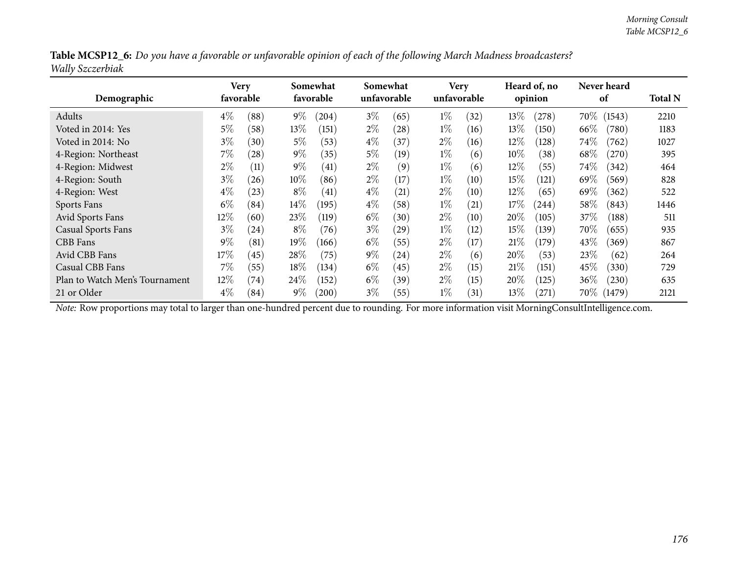| Table MCSP12_6: Do you have a favorable or unfavorable opinion of each of the following March Madness broadcasters? |  |
|---------------------------------------------------------------------------------------------------------------------|--|
| Wally Szczerbiak                                                                                                    |  |

| Demographic                    | Very   | favorable |        | Somewhat<br>favorable | Somewhat | unfavorable | <b>Very</b><br>unfavorable |      |        | Heard of, no<br>opinion |          | Never heard<br>of | <b>Total N</b> |
|--------------------------------|--------|-----------|--------|-----------------------|----------|-------------|----------------------------|------|--------|-------------------------|----------|-------------------|----------------|
| Adults                         | $4\%$  | (88)      | $9\%$  | (204)                 | $3\%$    | (65)        | $1\%$                      | (32) | 13\%   | $^{'}278)$              | 70%      | (1543)            | 2210           |
| Voted in 2014: Yes             | 5%     | (58)      | $13\%$ | (151)                 | $2\%$    | (28)        | $1\%$                      | (16) | 13%    | (150)                   | 66\%     | (780)             | 1183           |
| Voted in 2014: No              | $3\%$  | (30)      | $5\%$  | (53)                  | $4\%$    | (37)        | $2\%$                      | (16) | 12%    | (128)                   | 74\%     | (762)             | 1027           |
| 4-Region: Northeast            | $7\%$  | (28)      | $9\%$  | (35)                  | $5\%$    | (19)        | $1\%$                      | (6)  | $10\%$ | (38)                    | 68\%     | (270)             | 395            |
| 4-Region: Midwest              | $2\%$  | (11)      | $9\%$  | (41)                  | $2\%$    | (9)         | $1\%$                      | (6)  | $12\%$ | (55)                    | 74\%     | (342)             | 464            |
| 4-Region: South                | $3\%$  | (26)      | $10\%$ | (86)                  | $2\%$    | (17)        | $1\%$                      | (10) | 15%    | (121)                   | 69%      | (569)             | 828            |
| 4-Region: West                 | $4\%$  | (23)      | $8\%$  | (41)                  | $4\%$    | (21)        | $2\%$                      | (10) | $12\%$ | (65)                    | 69\%     | (362)             | 522            |
| Sports Fans                    | $6\%$  | (84)      | $14\%$ | (195)                 | $4\%$    | (58)        | $1\%$                      | (21) | 17%    | (244)                   | $58\%$   | (843)             | 1446           |
| Avid Sports Fans               | $12\%$ | (60)      | 23\%   | (119)                 | $6\%$    | (30)        | $2\%$                      | (10) | 20%    | (105)                   | 37\%     | (188)             | 511            |
| <b>Casual Sports Fans</b>      | $3\%$  | (24)      | $8\%$  | (76)                  | $3\%$    | (29)        | $1\%$                      | (12) | 15%    | (139)                   | 70%      | (655)             | 935            |
| CBB Fans                       | $9\%$  | (81)      | $19\%$ | (166)                 | $6\%$    | (55)        | $2\%$                      | (17) | 21%    | (179)                   | 43%      | (369)             | 867            |
| Avid CBB Fans                  | 17%    | (45)      | $28\%$ | (75)                  | $9\%$    | (24)        | $2\%$                      | (6)  | $20\%$ | (53)                    | 23%      | (62)              | 264            |
| Casual CBB Fans                | $7\%$  | (55)      | 18%    | (134)                 | $6\%$    | (45)        | $2\%$                      | (15) | 21%    | (151)                   | 45\%     | (330)             | 729            |
| Plan to Watch Men's Tournament | $12\%$ | (74)      | 24%    | (152)                 | $6\%$    | (39)        | $2\%$                      | (15) | $20\%$ | (125)                   | $36\%$   | (230)             | 635            |
| 21 or Older                    | $4\%$  | (84)      | $9\%$  | $^{'}200$             | $3\%$    | (55)        | $1\%$                      | (31) | 13%    | $^{(271)}$              | $70\%$ ( | (1479)            | 2121           |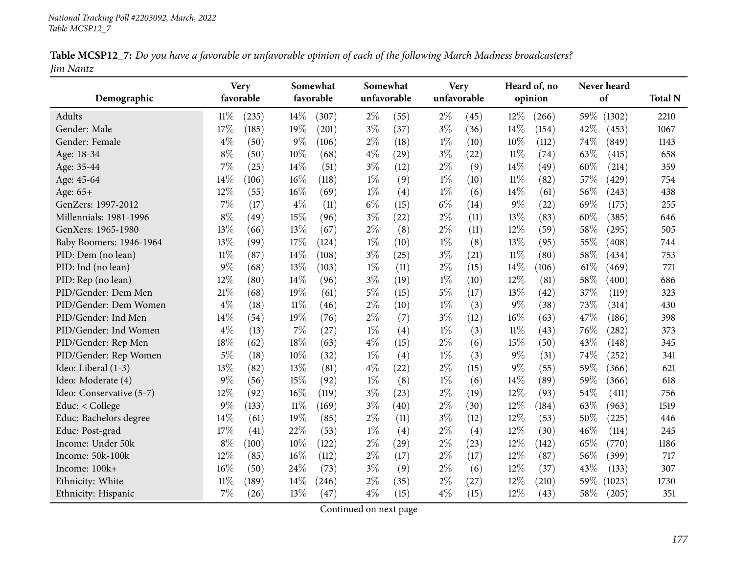| Table MCSP12_7: Do you have a favorable or unfavorable opinion of each of the following March Madness broadcasters? |  |  |
|---------------------------------------------------------------------------------------------------------------------|--|--|
| Jim Nantz                                                                                                           |  |  |

|                          |        | <b>Very</b> |        | Somewhat  | Somewhat    |      |       | <b>Very</b> |        | Heard of, no |      | Never heard |                |
|--------------------------|--------|-------------|--------|-----------|-------------|------|-------|-------------|--------|--------------|------|-------------|----------------|
| Demographic              |        | favorable   |        | favorable | unfavorable |      |       | unfavorable |        | opinion      |      | of          | <b>Total N</b> |
| Adults                   | $11\%$ | (235)       | 14%    | (307)     | $2\%$       | (55) | $2\%$ | (45)        | 12%    | (266)        | 59%  | (1302)      | 2210           |
| Gender: Male             | 17%    | (185)       | 19%    | (201)     | $3\%$       | (37) | $3\%$ | (36)        | 14%    | (154)        | 42%  | (453)       | 1067           |
| Gender: Female           | $4\%$  | (50)        | $9\%$  | (106)     | $2\%$       | (18) | $1\%$ | (10)        | 10%    | (112)        | 74%  | (849)       | 1143           |
| Age: 18-34               | $8\%$  | (50)        | $10\%$ | (68)      | $4\%$       | (29) | $3\%$ | (22)        | 11%    | (74)         | 63%  | (415)       | 658            |
| Age: 35-44               | $7\%$  | (25)        | 14\%   | (51)      | $3\%$       | (12) | $2\%$ | (9)         | 14%    | (49)         | 60%  | (214)       | 359            |
| Age: 45-64               | 14%    | (106)       | 16%    | (118)     | $1\%$       | (9)  | $1\%$ | (10)        | $11\%$ | (82)         | 57%  | (429)       | 754            |
| Age: 65+                 | 12%    | (55)        | 16%    | (69)      | $1\%$       | (4)  | $1\%$ | (6)         | 14%    | (61)         | 56%  | (243)       | 438            |
| GenZers: 1997-2012       | $7\%$  | (17)        | $4\%$  | (11)      | $6\%$       | (15) | $6\%$ | (14)        | 9%     | (22)         | 69%  | (175)       | 255            |
| Millennials: 1981-1996   | $8\%$  | (49)        | 15%    | (96)      | $3\%$       | (22) | $2\%$ | (11)        | 13%    | (83)         | 60%  | (385)       | 646            |
| GenXers: 1965-1980       | 13%    | (66)        | 13%    | (67)      | $2\%$       | (8)  | $2\%$ | (11)        | 12%    | (59)         | 58%  | (295)       | 505            |
| Baby Boomers: 1946-1964  | 13%    | (99)        | 17%    | (124)     | $1\%$       | (10) | $1\%$ | (8)         | 13%    | (95)         | 55%  | (408)       | 744            |
| PID: Dem (no lean)       | $11\%$ | (87)        | 14%    | (108)     | $3\%$       | (25) | $3\%$ | (21)        | $11\%$ | (80)         | 58%  | (434)       | 753            |
| PID: Ind (no lean)       | $9\%$  | (68)        | 13%    | (103)     | $1\%$       | (11) | $2\%$ | (15)        | 14%    | (106)        | 61\% | (469)       | 771            |
| PID: Rep (no lean)       | 12%    | (80)        | 14%    | (96)      | $3\%$       | (19) | $1\%$ | (10)        | 12%    | (81)         | 58%  | (400)       | 686            |
| PID/Gender: Dem Men      | 21%    | (68)        | 19%    | (61)      | $5\%$       | (15) | $5\%$ | (17)        | 13%    | (42)         | 37%  | (119)       | 323            |
| PID/Gender: Dem Women    | $4\%$  | (18)        | $11\%$ | (46)      | $2\%$       | (10) | $1\%$ | (3)         | 9%     | (38)         | 73%  | (314)       | 430            |
| PID/Gender: Ind Men      | 14%    | (54)        | 19%    | (76)      | $2\%$       | (7)  | $3\%$ | (12)        | 16%    | (63)         | 47%  | (186)       | 398            |
| PID/Gender: Ind Women    | $4\%$  | (13)        | 7%     | (27)      | $1\%$       | (4)  | $1\%$ | (3)         | $11\%$ | (43)         | 76%  | (282)       | 373            |
| PID/Gender: Rep Men      | 18%    | (62)        | 18%    | (63)      | $4\%$       | (15) | $2\%$ | (6)         | 15%    | (50)         | 43%  | (148)       | 345            |
| PID/Gender: Rep Women    | $5\%$  | (18)        | 10%    | (32)      | $1\%$       | (4)  | $1\%$ | (3)         | $9\%$  | (31)         | 74%  | (252)       | 341            |
| Ideo: Liberal (1-3)      | 13%    | (82)        | 13%    | (81)      | $4\%$       | (22) | $2\%$ | (15)        | 9%     | (55)         | 59%  | (366)       | 621            |
| Ideo: Moderate (4)       | $9\%$  | (56)        | 15%    | (92)      | $1\%$       | (8)  | $1\%$ | (6)         | 14%    | (89)         | 59%  | (366)       | 618            |
| Ideo: Conservative (5-7) | 12%    | (92)        | 16%    | (119)     | $3\%$       | (23) | $2\%$ | (19)        | 12%    | (93)         | 54%  | (411)       | 756            |
| Educ: < College          | $9\%$  | (133)       | $11\%$ | (169)     | $3\%$       | (40) | $2\%$ | (30)        | 12%    | (184)        | 63%  | (963)       | 1519           |
| Educ: Bachelors degree   | 14%    | (61)        | 19%    | (85)      | $2\%$       | (11) | $3\%$ | (12)        | 12%    | (53)         | 50%  | (225)       | 446            |
| Educ: Post-grad          | 17%    | (41)        | 22%    | (53)      | $1\%$       | (4)  | $2\%$ | (4)         | 12%    | (30)         | 46%  | (114)       | 245            |
| Income: Under 50k        | $8\%$  | (100)       | 10%    | (122)     | $2\%$       | (29) | $2\%$ | (23)        | 12%    | (142)        | 65%  | (770)       | 1186           |
| Income: 50k-100k         | 12%    | (85)        | 16%    | (112)     | $2\%$       | (17) | $2\%$ | (17)        | 12%    | (87)         | 56%  | (399)       | 717            |
| Income: 100k+            | 16%    | (50)        | 24%    | (73)      | $3\%$       | (9)  | $2\%$ | (6)         | 12%    | (37)         | 43%  | (133)       | 307            |
| Ethnicity: White         | $11\%$ | (189)       | 14%    | (246)     | $2\%$       | (35) | $2\%$ | (27)        | 12%    | (210)        | 59%  | (1023)      | 1730           |
| Ethnicity: Hispanic      | $7\%$  | (26)        | 13%    | (47)      | $4\%$       | (15) | $4\%$ | (15)        | 12%    | (43)         | 58%  | (205)       | 351            |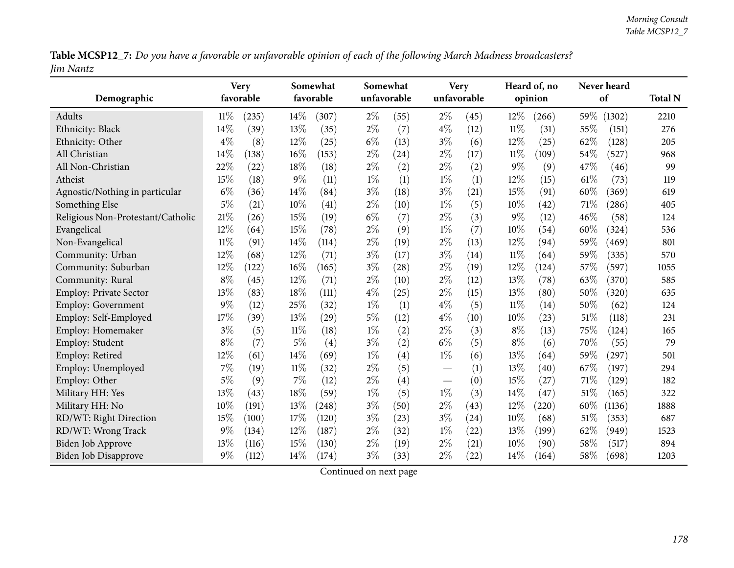Table MCSP12\_7: Do you have a favorable or unfavorable opinion of each of the following March Madness broadcasters? *Jim Nantz*

| Demographic                       |        | <b>Very</b><br>favorable |        | Somewhat<br>favorable | Somewhat | unfavorable |       | <b>Very</b><br>unfavorable |        | Heard of, no<br>opinion |      | Never heard<br>of   | <b>Total N</b> |
|-----------------------------------|--------|--------------------------|--------|-----------------------|----------|-------------|-------|----------------------------|--------|-------------------------|------|---------------------|----------------|
| Adults                            | $11\%$ | (235)                    | 14%    | (307)                 | $2\%$    | (55)        | $2\%$ | (45)                       | 12%    | (266)                   | 59%  | (1302)              | 2210           |
| Ethnicity: Black                  | $14\%$ | (39)                     | 13%    | (35)                  | $2\%$    | (7)         | $4\%$ | (12)                       | $11\%$ | (31)                    | 55%  | (151)               | 276            |
| Ethnicity: Other                  | $4\%$  | (8)                      | 12%    | (25)                  | $6\%$    | (13)        | $3\%$ | (6)                        | 12%    | (25)                    | 62%  | (128)               | 205            |
| All Christian                     | 14%    | (138)                    | 16%    | (153)                 | $2\%$    | (24)        | $2\%$ | (17)                       | $11\%$ | (109)                   | 54%  | (527)               | 968            |
| All Non-Christian                 | 22%    | (22)                     | 18%    | (18)                  | $2\%$    | (2)         | $2\%$ | (2)                        | $9\%$  | (9)                     | 47%  | (46)                | 99             |
| Atheist                           | 15%    | (18)                     | $9\%$  | (11)                  | $1\%$    | (1)         | $1\%$ | (1)                        | 12%    | (15)                    | 61%  | (73)                | 119            |
| Agnostic/Nothing in particular    | $6\%$  | (36)                     | 14\%   | (84)                  | $3\%$    | (18)        | $3\%$ | (21)                       | 15%    | (91)                    | 60%  | (369)               | 619            |
| Something Else                    | $5\%$  | (21)                     | 10%    | (41)                  | $2\%$    | (10)        | $1\%$ | (5)                        | 10%    | (42)                    | 71\% | (286)               | 405            |
| Religious Non-Protestant/Catholic | 21\%   | (26)                     | 15%    | (19)                  | $6\%$    | (7)         | $2\%$ | (3)                        | 9%     | (12)                    | 46%  | (58)                | 124            |
| Evangelical                       | 12%    | (64)                     | 15%    | (78)                  | $2\%$    | (9)         | $1\%$ | (7)                        | 10%    | (54)                    | 60%  | (324)               | 536            |
| Non-Evangelical                   | $11\%$ | (91)                     | 14%    | (114)                 | $2\%$    | (19)        | $2\%$ | (13)                       | 12%    | (94)                    | 59%  | (469)               | 801            |
| Community: Urban                  | 12%    | (68)                     | 12%    | (71)                  | $3\%$    | (17)        | $3\%$ | (14)                       | 11%    | (64)                    | 59%  | (335)               | 570            |
| Community: Suburban               | 12%    | (122)                    | 16%    | (165)                 | $3\%$    | (28)        | $2\%$ | (19)                       | $12\%$ | (124)                   | 57%  | (597)               | 1055           |
| Community: Rural                  | $8\%$  | (45)                     | 12%    | (71)                  | $2\%$    | (10)        | $2\%$ | (12)                       | 13%    | (78)                    | 63%  | (370)               | 585            |
| Employ: Private Sector            | 13%    | (83)                     | 18%    | (111)                 | $4\%$    | (25)        | $2\%$ | (15)                       | 13\%   | (80)                    | 50%  | (320)               | 635            |
| Employ: Government                | $9\%$  | (12)                     | 25%    | (32)                  | $1\%$    | (1)         | $4\%$ | (5)                        | $11\%$ | (14)                    | 50%  | (62)                | 124            |
| Employ: Self-Employed             | 17%    | (39)                     | 13%    | (29)                  | $5\%$    | (12)        | $4\%$ | (10)                       | 10%    | (23)                    | 51%  | (118)               | 231            |
| Employ: Homemaker                 | $3\%$  | (5)                      | 11%    | (18)                  | $1\%$    | (2)         | $2\%$ | (3)                        | $8\%$  | (13)                    | 75%  | (124)               | 165            |
| Employ: Student                   | $8\%$  | (7)                      | $5\%$  | (4)                   | $3\%$    | (2)         | $6\%$ | (5)                        | $8\%$  | (6)                     | 70%  | (55)                | 79             |
| Employ: Retired                   | 12%    | (61)                     | 14%    | (69)                  | $1\%$    | (4)         | $1\%$ | (6)                        | 13%    | (64)                    | 59%  | $\left( 297\right)$ | 501            |
| Employ: Unemployed                | $7\%$  | (19)                     | $11\%$ | (32)                  | $2\%$    | (5)         |       | (1)                        | 13%    | (40)                    | 67%  | (197)               | 294            |
| Employ: Other                     | 5%     | (9)                      | 7%     | (12)                  | $2\%$    | (4)         |       | (0)                        | 15%    | (27)                    | 71%  | (129)               | 182            |
| Military HH: Yes                  | 13%    | (43)                     | 18%    | (59)                  | $1\%$    | (5)         | $1\%$ | (3)                        | 14%    | (47)                    | 51%  | (165)               | 322            |
| Military HH: No                   | 10%    | (191)                    | 13%    | (248)                 | $3\%$    | (50)        | $2\%$ | (43)                       | 12%    | (220)                   | 60%  | (1136)              | 1888           |
| RD/WT: Right Direction            | $15\%$ | (100)                    | 17%    | (120)                 | $3\%$    | (23)        | $3\%$ | (24)                       | 10%    | (68)                    | 51%  | (353)               | 687            |
| RD/WT: Wrong Track                | $9\%$  | (134)                    | 12%    | (187)                 | $2\%$    | (32)        | $1\%$ | (22)                       | 13%    | (199)                   | 62%  | (949)               | 1523           |
| <b>Biden Job Approve</b>          | 13%    | (116)                    | 15%    | (130)                 | $2\%$    | (19)        | $2\%$ | (21)                       | 10%    | (90)                    | 58%  | (517)               | 894            |
| Biden Job Disapprove              | $9\%$  | (112)                    | 14%    | (174)                 | $3\%$    | (33)        | $2\%$ | (22)                       | 14%    | (164)                   | 58%  | (698)               | 1203           |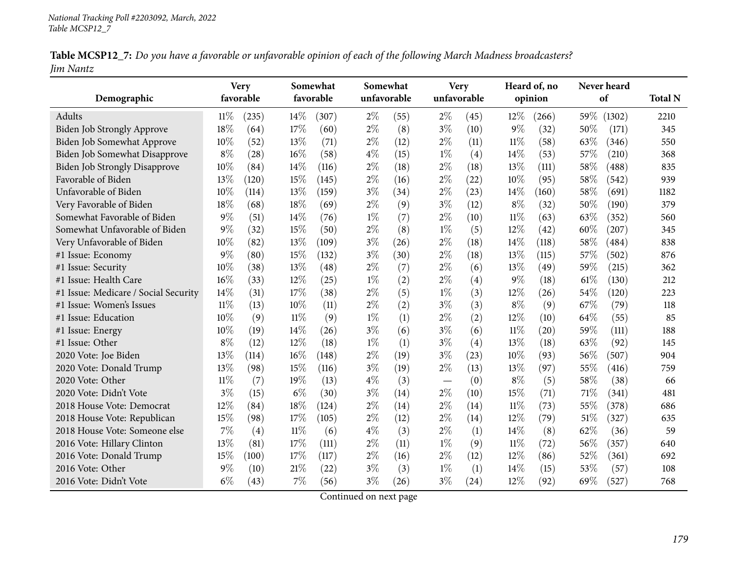|           |  | Table MCSP12_7: Do you have a favorable or unfavorable opinion of each of the following March Madness broadcasters? |
|-----------|--|---------------------------------------------------------------------------------------------------------------------|
| Jim Nantz |  |                                                                                                                     |

| Demographic                          | <b>Very</b><br>favorable |       | Somewhat<br>favorable |       |       | Somewhat<br>unfavorable |       | <b>Very</b><br>unfavorable |        | Heard of, no<br>opinion |     | Never heard<br>of | <b>Total N</b> |
|--------------------------------------|--------------------------|-------|-----------------------|-------|-------|-------------------------|-------|----------------------------|--------|-------------------------|-----|-------------------|----------------|
| Adults                               | 11%                      | (235) | 14%                   | (307) | $2\%$ | (55)                    | $2\%$ | (45)                       | 12%    | (266)                   | 59% | (1302)            | 2210           |
| <b>Biden Job Strongly Approve</b>    | 18%                      | (64)  | 17%                   | (60)  | $2\%$ | (8)                     | $3\%$ | (10)                       | $9\%$  | (32)                    | 50% | (171)             | 345            |
| Biden Job Somewhat Approve           | 10%                      | (52)  | 13\%                  | (71)  | $2\%$ | (12)                    | $2\%$ | (11)                       | $11\%$ | (58)                    | 63% | (346)             | 550            |
| Biden Job Somewhat Disapprove        | $8\%$                    | (28)  | 16%                   | (58)  | $4\%$ | (15)                    | $1\%$ | (4)                        | 14\%   | (53)                    | 57% | (210)             | 368            |
| <b>Biden Job Strongly Disapprove</b> | 10%                      | (84)  | 14%                   | (116) | $2\%$ | (18)                    | $2\%$ | (18)                       | 13%    | (111)                   | 58% | (488)             | 835            |
| Favorable of Biden                   | 13%                      | (120) | 15%                   | (145) | $2\%$ | (16)                    | $2\%$ | (22)                       | 10%    | (95)                    | 58% | (542)             | 939            |
| Unfavorable of Biden                 | 10%                      | (114) | 13\%                  | (159) | $3\%$ | (34)                    | $2\%$ | (23)                       | 14\%   | (160)                   | 58% | (691)             | 1182           |
| Very Favorable of Biden              | 18%                      | (68)  | 18%                   | (69)  | $2\%$ | (9)                     | $3\%$ | (12)                       | $8\%$  | (32)                    | 50% | (190)             | 379            |
| Somewhat Favorable of Biden          | $9\%$                    | (51)  | 14%                   | (76)  | $1\%$ | (7)                     | $2\%$ | (10)                       | $11\%$ | (63)                    | 63% | (352)             | 560            |
| Somewhat Unfavorable of Biden        | $9\%$                    | (32)  | 15%                   | (50)  | $2\%$ | (8)                     | $1\%$ | (5)                        | 12%    | (42)                    | 60% | (207)             | 345            |
| Very Unfavorable of Biden            | 10%                      | (82)  | 13%                   | (109) | $3\%$ | (26)                    | $2\%$ | (18)                       | 14\%   | (118)                   | 58% | (484)             | 838            |
| #1 Issue: Economy                    | 9%                       | (80)  | 15%                   | (132) | $3\%$ | (30)                    | $2\%$ | (18)                       | 13%    | (115)                   | 57% | (502)             | 876            |
| #1 Issue: Security                   | 10%                      | (38)  | 13%                   | (48)  | $2\%$ | (7)                     | $2\%$ | (6)                        | $13\%$ | (49)                    | 59% | (215)             | 362            |
| #1 Issue: Health Care                | 16%                      | (33)  | 12%                   | (25)  | $1\%$ | (2)                     | $2\%$ | (4)                        | $9\%$  | (18)                    | 61% | (130)             | 212            |
| #1 Issue: Medicare / Social Security | 14%                      | (31)  | 17%                   | (38)  | $2\%$ | (5)                     | $1\%$ | (3)                        | 12%    | (26)                    | 54% | (120)             | 223            |
| #1 Issue: Women's Issues             | $11\%$                   | (13)  | 10%                   | (11)  | $2\%$ | (2)                     | $3\%$ | (3)                        | $8\%$  | (9)                     | 67% | (79)              | 118            |
| #1 Issue: Education                  | 10%                      | (9)   | $11\%$                | (9)   | $1\%$ | (1)                     | $2\%$ | (2)                        | 12%    | (10)                    | 64% | (55)              | 85             |
| #1 Issue: Energy                     | 10%                      | (19)  | 14%                   | (26)  | $3\%$ | (6)                     | $3\%$ | (6)                        | $11\%$ | (20)                    | 59% | (111)             | 188            |
| #1 Issue: Other                      | $8\%$                    | (12)  | 12%                   | (18)  | $1\%$ | (1)                     | $3\%$ | (4)                        | 13%    | (18)                    | 63% | (92)              | 145            |
| 2020 Vote: Joe Biden                 | 13%                      | (114) | 16%                   | (148) | $2\%$ | (19)                    | $3\%$ | (23)                       | 10%    | (93)                    | 56% | (507)             | 904            |
| 2020 Vote: Donald Trump              | 13%                      | (98)  | 15%                   | (116) | $3\%$ | (19)                    | $2\%$ | (13)                       | 13%    | (97)                    | 55% | (416)             | 759            |
| 2020 Vote: Other                     | $11\%$                   | (7)   | 19%                   | (13)  | $4\%$ | (3)                     |       | (0)                        | $8\%$  | (5)                     | 58% | (38)              | 66             |
| 2020 Vote: Didn't Vote               | $3\%$                    | (15)  | $6\%$                 | (30)  | $3\%$ | (14)                    | $2\%$ | (10)                       | 15%    | (71)                    | 71% | (341)             | 481            |
| 2018 House Vote: Democrat            | 12%                      | (84)  | 18%                   | (124) | $2\%$ | (14)                    | $2\%$ | (14)                       | $11\%$ | (73)                    | 55% | (378)             | 686            |
| 2018 House Vote: Republican          | 15%                      | (98)  | 17%                   | (105) | $2\%$ | (12)                    | $2\%$ | (14)                       | 12%    | (79)                    | 51% | (327)             | 635            |
| 2018 House Vote: Someone else        | 7%                       | (4)   | $11\%$                | (6)   | $4\%$ | (3)                     | $2\%$ | (1)                        | 14\%   | (8)                     | 62% | (36)              | 59             |
| 2016 Vote: Hillary Clinton           | 13%                      | (81)  | 17%                   | (111) | $2\%$ | (11)                    | $1\%$ | (9)                        | 11%    | (72)                    | 56% | (357)             | 640            |
| 2016 Vote: Donald Trump              | 15%                      | (100) | 17%                   | (117) | $2\%$ | (16)                    | $2\%$ | (12)                       | 12%    | (86)                    | 52% | (361)             | 692            |
| 2016 Vote: Other                     | $9\%$                    | (10)  | 21%                   | (22)  | $3\%$ | (3)                     | $1\%$ | (1)                        | 14\%   | (15)                    | 53% | (57)              | 108            |
| 2016 Vote: Didn't Vote               | $6\%$                    | (43)  | 7%                    | (56)  | $3\%$ | (26)                    | $3\%$ | (24)                       | 12%    | (92)                    | 69% | (527)             | 768            |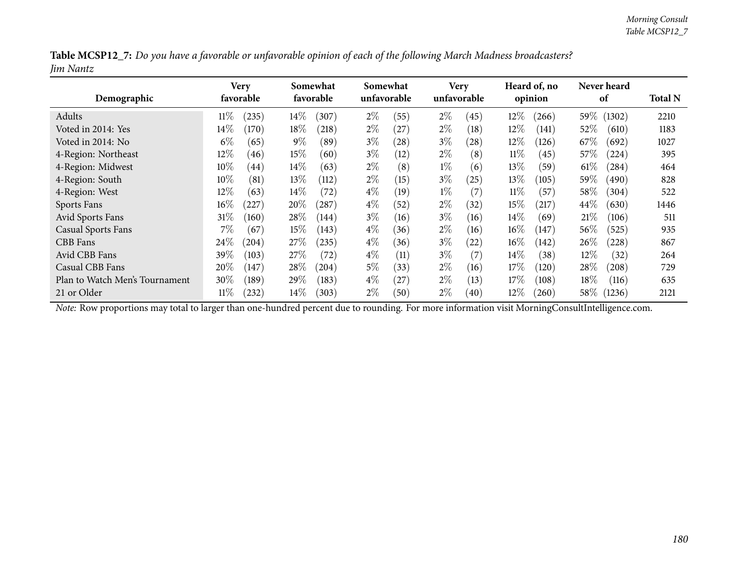|           | Table MCSP12_7: Do you have a favorable or unfavorable opinion of each of the following March Madness broadcasters? |
|-----------|---------------------------------------------------------------------------------------------------------------------|
| Jim Nantz |                                                                                                                     |

| Demographic                    | Very<br>favorable |            | Somewhat<br>favorable |       |       | Somewhat<br>unfavorable |       | <b>Very</b><br>unfavorable |        | Heard of, no<br>opinion |        | Never heard<br>of |      |
|--------------------------------|-------------------|------------|-----------------------|-------|-------|-------------------------|-------|----------------------------|--------|-------------------------|--------|-------------------|------|
| Adults                         | 11%               | $^{(235)}$ | $14\%$                | (307) | $2\%$ | (55)                    | $2\%$ | (45)                       | $12\%$ | (266)                   | 59%    | (1302)            | 2210 |
| Voted in 2014: Yes             | $14\%$            | (170)      | $18\%$                | (218) | $2\%$ | $^{'}27$                | $2\%$ | (18)                       | $12\%$ | (141)                   | 52\%   | (610)             | 1183 |
| Voted in 2014: No              | $6\%$             | (65)       | $9\%$                 | (89)  | $3\%$ | (28)                    | $3\%$ | $\left( 28\right)$         | 12%    | (126)                   | 67%    | (692)             | 1027 |
| 4-Region: Northeast            | $12\%$            | (46)       | 15%                   | (60)  | $3\%$ | (12)                    | $2\%$ | (8)                        | $11\%$ | (45)                    | 57\%   | (224)             | 395  |
| 4-Region: Midwest              | $10\%$            | (44)       | $14\%$                | (63)  | $2\%$ | (8)                     | $1\%$ | (6)                        | $13\%$ | (59)                    | $61\%$ | (284)             | 464  |
| 4-Region: South                | $10\%$            | (81)       | $13\%$                | (112) | $2\%$ | (15)                    | $3\%$ | (25)                       | 13%    | (105)                   | 59%    | (490)             | 828  |
| 4-Region: West                 | $12\%$            | (63)       | $14\%$                | (72)  | $4\%$ | (19)                    | $1\%$ | (7)                        | $11\%$ | (57)                    | $58\%$ | (304)             | 522  |
| Sports Fans                    | $16\%$            | 227        | 20%                   | 287   | $4\%$ | (52)                    | $2\%$ | (32)                       | 15%    | (217)                   | $44\%$ | (630)             | 1446 |
| <b>Avid Sports Fans</b>        | $31\%$            | (160)      | 28\%                  | (144) | $3\%$ | (16)                    | $3\%$ | (16)                       | $14\%$ | (69)                    | 21%    | (106)             | 511  |
| <b>Casual Sports Fans</b>      | $7\%$             | (67)       | $15\%$                | (143) | $4\%$ | (36)                    | $2\%$ | (16)                       | $16\%$ | (147)                   | 56\%   | (525)             | 935  |
| CBB Fans                       | 24\%              | $^{(204)}$ | 27\%                  | (235) | $4\%$ | (36)                    | $3\%$ | (22)                       | $16\%$ | (142)                   | 26\%   | (228)             | 867  |
| Avid CBB Fans                  | 39%               | (103)      | $27\%$                | (72)  | $4\%$ | (11)                    | $3\%$ | (7)                        | $14\%$ | (38)                    | 12%    | (32)              | 264  |
| Casual CBB Fans                | 20%               | (147)      | 28\%                  | (204) | $5\%$ | (33)                    | $2\%$ | (16)                       | 17%    | (120)                   | $28\%$ | (208)             | 729  |
| Plan to Watch Men's Tournament | 30%               | (189)      | 29\%                  | (183) | $4\%$ | 27                      | $2\%$ | (13)                       | 17%    | (108)                   | $18\%$ | (116)             | 635  |
| 21 or Older                    | $11\%$            | $^{(232)}$ | $14\%$                | (303) | $2\%$ | (50)                    | $2\%$ | (40)                       | $12\%$ | (260)                   | $58\%$ | (1236)            | 2121 |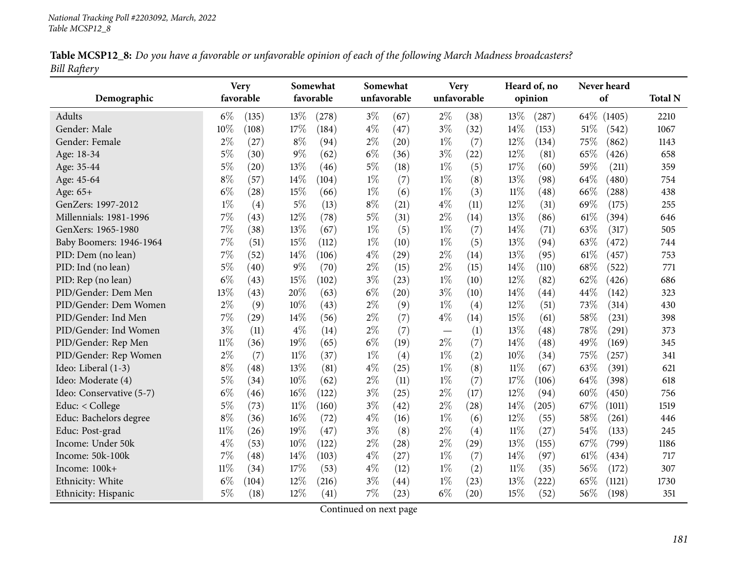|                     |  | Table MCSP12_8: Do you have a favorable or unfavorable opinion of each of the following March Madness broadcasters? |
|---------------------|--|---------------------------------------------------------------------------------------------------------------------|
| <b>Bill Raftery</b> |  |                                                                                                                     |

|                          |        | <b>Very</b> |        | Somewhat  |             | Somewhat |                          | <b>Very</b> |         | Heard of, no |      | Never heard |                |
|--------------------------|--------|-------------|--------|-----------|-------------|----------|--------------------------|-------------|---------|--------------|------|-------------|----------------|
| Demographic              |        | favorable   |        | favorable | unfavorable |          |                          | unfavorable | opinion |              |      | of          | <b>Total N</b> |
| Adults                   | $6\%$  | (135)       | 13%    | (278)     | $3\%$       | (67)     | $2\%$                    | (38)        | 13%     | (287)        | 64%  | (1405)      | 2210           |
| Gender: Male             | 10%    | (108)       | 17%    | (184)     | $4\%$       | (47)     | $3\%$                    | (32)        | 14%     | (153)        | 51%  | (542)       | 1067           |
| Gender: Female           | $2\%$  | (27)        | $8\%$  | (94)      | $2\%$       | (20)     | $1\%$                    | (7)         | 12%     | (134)        | 75%  | (862)       | 1143           |
| Age: 18-34               | 5%     | (30)        | $9\%$  | (62)      | $6\%$       | (36)     | $3\%$                    | (22)        | 12%     | (81)         | 65%  | (426)       | 658            |
| Age: 35-44               | $5\%$  | (20)        | 13\%   | (46)      | $5\%$       | (18)     | $1\%$                    | (5)         | 17%     | (60)         | 59%  | (211)       | 359            |
| Age: 45-64               | $8\%$  | (57)        | 14%    | (104)     | $1\%$       | (7)      | $1\%$                    | (8)         | 13%     | (98)         | 64\% | (480)       | 754            |
| Age: 65+                 | $6\%$  | (28)        | 15%    | (66)      | $1\%$       | (6)      | $1\%$                    | (3)         | $11\%$  | (48)         | 66%  | (288)       | 438            |
| GenZers: 1997-2012       | $1\%$  | (4)         | 5%     | (13)      | $8\%$       | (21)     | $4\%$                    | (11)        | 12%     | (31)         | 69%  | (175)       | 255            |
| Millennials: 1981-1996   | 7%     | (43)        | 12%    | (78)      | $5\%$       | (31)     | $2\%$                    | (14)        | 13%     | (86)         | 61\% | (394)       | 646            |
| GenXers: 1965-1980       | 7%     | (38)        | 13%    | (67)      | $1\%$       | (5)      | $1\%$                    | (7)         | 14%     | (71)         | 63%  | (317)       | 505            |
| Baby Boomers: 1946-1964  | 7%     | (51)        | 15%    | (112)     | $1\%$       | (10)     | $1\%$                    | (5)         | 13%     | (94)         | 63%  | (472)       | 744            |
| PID: Dem (no lean)       | 7%     | (52)        | 14%    | (106)     | $4\%$       | (29)     | $2\%$                    | (14)        | 13%     | (95)         | 61%  | (457)       | 753            |
| PID: Ind (no lean)       | $5\%$  | (40)        | 9%     | (70)      | $2\%$       | (15)     | $2\%$                    | (15)        | 14\%    | (110)        | 68%  | (522)       | 771            |
| PID: Rep (no lean)       | $6\%$  | (43)        | 15%    | (102)     | $3\%$       | (23)     | $1\%$                    | (10)        | 12%     | (82)         | 62%  | (426)       | 686            |
| PID/Gender: Dem Men      | 13%    | (43)        | 20%    | (63)      | $6\%$       | (20)     | $3\%$                    | (10)        | 14%     | (44)         | 44%  | (142)       | 323            |
| PID/Gender: Dem Women    | $2\%$  | (9)         | 10%    | (43)      | $2\%$       | (9)      | $1\%$                    | (4)         | 12%     | (51)         | 73%  | (314)       | 430            |
| PID/Gender: Ind Men      | 7%     | (29)        | 14%    | (56)      | $2\%$       | (7)      | $4\%$                    | (14)        | 15%     | (61)         | 58%  | (231)       | 398            |
| PID/Gender: Ind Women    | $3\%$  | (11)        | $4\%$  | (14)      | $2\%$       | (7)      | $\overline{\phantom{m}}$ | (1)         | 13%     | (48)         | 78%  | (291)       | 373            |
| PID/Gender: Rep Men      | $11\%$ | (36)        | 19%    | (65)      | $6\%$       | (19)     | $2\%$                    | (7)         | 14%     | (48)         | 49%  | (169)       | 345            |
| PID/Gender: Rep Women    | $2\%$  | (7)         | $11\%$ | (37)      | $1\%$       | (4)      | $1\%$                    | (2)         | 10%     | (34)         | 75%  | (257)       | 341            |
| Ideo: Liberal (1-3)      | $8\%$  | (48)        | 13%    | (81)      | $4\%$       | (25)     | $1\%$                    | (8)         | $11\%$  | (67)         | 63%  | (391)       | 621            |
| Ideo: Moderate (4)       | $5\%$  | (34)        | $10\%$ | (62)      | $2\%$       | (11)     | $1\%$                    | (7)         | 17%     | (106)        | 64%  | (398)       | 618            |
| Ideo: Conservative (5-7) | $6\%$  | (46)        | $16\%$ | (122)     | $3\%$       | (25)     | $2\%$                    | (17)        | 12%     | (94)         | 60%  | (450)       | 756            |
| Educ: < College          | $5\%$  | (73)        | $11\%$ | (160)     | $3\%$       | (42)     | $2\%$                    | (28)        | 14\%    | (205)        | 67%  | (1011)      | 1519           |
| Educ: Bachelors degree   | $8\%$  | (36)        | 16%    | (72)      | $4\%$       | (16)     | $1\%$                    | (6)         | 12%     | (55)         | 58%  | (261)       | 446            |
| Educ: Post-grad          | $11\%$ | (26)        | 19%    | (47)      | $3\%$       | (8)      | $2\%$                    | (4)         | $11\%$  | (27)         | 54%  | (133)       | 245            |
| Income: Under 50k        | $4\%$  | (53)        | 10%    | (122)     | $2\%$       | (28)     | $2\%$                    | (29)        | 13%     | (155)        | 67%  | (799)       | 1186           |
| Income: 50k-100k         | 7%     | (48)        | 14%    | (103)     | $4\%$       | (27)     | $1\%$                    | (7)         | 14%     | (97)         | 61\% | (434)       | 717            |
| Income: 100k+            | $11\%$ | (34)        | 17%    | (53)      | $4\%$       | (12)     | $1\%$                    | (2)         | 11%     | (35)         | 56%  | (172)       | 307            |
| Ethnicity: White         | $6\%$  | (104)       | 12%    | (216)     | $3\%$       | (44)     | $1\%$                    | (23)        | 13%     | (222)        | 65%  | (1121)      | 1730           |
| Ethnicity: Hispanic      | $5\%$  | (18)        | 12%    | (41)      | 7%          | (23)     | $6\%$                    | (20)        | 15%     | (52)         | 56%  | (198)       | 351            |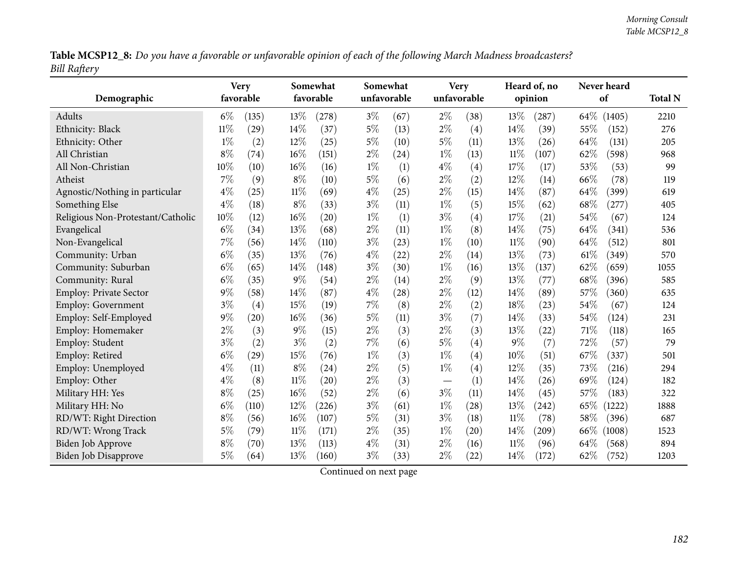Table MCSP12\_8: Do you have a favorable or unfavorable opinion of each of the following March Madness broadcasters? *Bill Raftery*

| Demographic                       | Somewhat<br><b>Very</b><br>favorable<br>favorable |       |        | Somewhat<br><b>Very</b><br>unfavorable<br>unfavorable |       |      |                                   | Heard of, no<br>opinion |        | Never heard<br>of |      |             |      |
|-----------------------------------|---------------------------------------------------|-------|--------|-------------------------------------------------------|-------|------|-----------------------------------|-------------------------|--------|-------------------|------|-------------|------|
| Adults                            | $6\%$                                             | (135) | $13\%$ | (278)                                                 | $3\%$ | (67) | $2\%$                             | (38)                    | 13%    | (287)             |      | 64\% (1405) | 2210 |
| Ethnicity: Black                  | $11\%$                                            | (29)  | 14%    | (37)                                                  | $5\%$ | (13) | $2\%$                             | (4)                     | 14%    | (39)              | 55%  | (152)       | 276  |
| Ethnicity: Other                  | $1\%$                                             | (2)   | 12%    | (25)                                                  | $5\%$ | (10) | $5\%$                             | (11)                    | 13%    | (26)              | 64%  | (131)       | 205  |
| All Christian                     | $8\%$                                             | (74)  | 16%    | (151)                                                 | $2\%$ | (24) | $1\%$                             | (13)                    | $11\%$ | (107)             | 62%  | (598)       | 968  |
| All Non-Christian                 | 10%                                               | (10)  | 16%    | (16)                                                  | $1\%$ | (1)  | $4\%$                             | (4)                     | 17%    | (17)              | 53%  | (53)        | 99   |
| Atheist                           | 7%                                                | (9)   | $8\%$  | (10)                                                  | $5\%$ | (6)  | $2\%$                             | (2)                     | 12%    | (14)              | 66%  | (78)        | 119  |
| Agnostic/Nothing in particular    | $4\%$                                             | (25)  | $11\%$ | (69)                                                  | $4\%$ | (25) | $2\%$                             | (15)                    | 14%    | (87)              | 64%  | (399)       | 619  |
| Something Else                    | $4\%$                                             | (18)  | $8\%$  | (33)                                                  | $3\%$ | (11) | $1\%$                             | (5)                     | 15%    | (62)              | 68%  | (277)       | 405  |
| Religious Non-Protestant/Catholic | 10%                                               | (12)  | 16%    | (20)                                                  | $1\%$ | (1)  | $3\%$                             | (4)                     | 17%    | (21)              | 54%  | (67)        | 124  |
| Evangelical                       | $6\%$                                             | (34)  | 13%    | (68)                                                  | $2\%$ | (11) | $1\%$                             | (8)                     | 14%    | (75)              | 64%  | (341)       | 536  |
| Non-Evangelical                   | $7\%$                                             | (56)  | 14%    | (110)                                                 | $3\%$ | (23) | $1\%$                             | (10)                    | $11\%$ | (90)              | 64%  | (512)       | 801  |
| Community: Urban                  | $6\%$                                             | (35)  | 13%    | (76)                                                  | $4\%$ | (22) | $2\%$                             | (14)                    | 13%    | (73)              | 61\% | (349)       | 570  |
| Community: Suburban               | $6\%$                                             | (65)  | 14%    | (148)                                                 | $3\%$ | (30) | $1\%$                             | (16)                    | 13%    | (137)             | 62%  | (659)       | 1055 |
| Community: Rural                  | $6\%$                                             | (35)  | $9\%$  | (54)                                                  | $2\%$ | (14) | $2\%$                             | (9)                     | 13%    | (77)              | 68%  | (396)       | 585  |
| <b>Employ: Private Sector</b>     | $9\%$                                             | (58)  | 14%    | (87)                                                  | $4\%$ | (28) | $2\%$                             | (12)                    | 14\%   | (89)              | 57%  | (360)       | 635  |
| Employ: Government                | $3\%$                                             | (4)   | 15%    | (19)                                                  | 7%    | (8)  | $2\%$                             | (2)                     | 18%    | (23)              | 54%  | (67)        | 124  |
| Employ: Self-Employed             | $9\%$                                             | (20)  | 16%    | (36)                                                  | $5\%$ | (11) | $3\%$                             | (7)                     | 14%    | (33)              | 54%  | (124)       | 231  |
| Employ: Homemaker                 | $2\%$                                             | (3)   | $9\%$  | (15)                                                  | $2\%$ | (3)  | $2\%$                             | (3)                     | 13%    | (22)              | 71%  | (118)       | 165  |
| Employ: Student                   | $3\%$                                             | (2)   | $3\%$  | (2)                                                   | 7%    | (6)  | $5\%$                             | (4)                     | $9\%$  | (7)               | 72%  | (57)        | 79   |
| Employ: Retired                   | $6\%$                                             | (29)  | $15\%$ | (76)                                                  | $1\%$ | (3)  | $1\%$                             | (4)                     | 10%    | (51)              | 67%  | (337)       | 501  |
| Employ: Unemployed                | $4\%$                                             | (11)  | $8\%$  | (24)                                                  | $2\%$ | (5)  | $1\%$                             | (4)                     | 12%    | (35)              | 73%  | (216)       | 294  |
| Employ: Other                     | $4\%$                                             | (8)   | $11\%$ | (20)                                                  | $2\%$ | (3)  | $\overbrace{\phantom{123221111}}$ | (1)                     | 14%    | (26)              | 69%  | (124)       | 182  |
| Military HH: Yes                  | $8\%$                                             | (25)  | 16%    | (52)                                                  | $2\%$ | (6)  | $3\%$                             | (11)                    | 14%    | (45)              | 57%  | (183)       | 322  |
| Military HH: No                   | $6\%$                                             | (110) | 12%    | (226)                                                 | $3\%$ | (61) | $1\%$                             | (28)                    | 13%    | (242)             | 65\% | 1222)       | 1888 |
| RD/WT: Right Direction            | $8\%$                                             | (56)  | 16%    | (107)                                                 | 5%    | (31) | $3\%$                             | (18)                    | $11\%$ | (78)              | 58%  | (396)       | 687  |
| RD/WT: Wrong Track                | $5\%$                                             | (79)  | $11\%$ | (171)                                                 | $2\%$ | (35) | $1\%$                             | (20)                    | 14%    | (209)             | 66\% | (1008)      | 1523 |
| <b>Biden Job Approve</b>          | $8\%$                                             | (70)  | 13%    | (113)                                                 | $4\%$ | (31) | $2\%$                             | (16)                    | $11\%$ | (96)              | 64%  | (568)       | 894  |
| Biden Job Disapprove              | $5\%$                                             | (64)  | 13%    | (160)                                                 | $3\%$ | (33) | $2\%$                             | (22)                    | 14%    | (172)             | 62%  | (752)       | 1203 |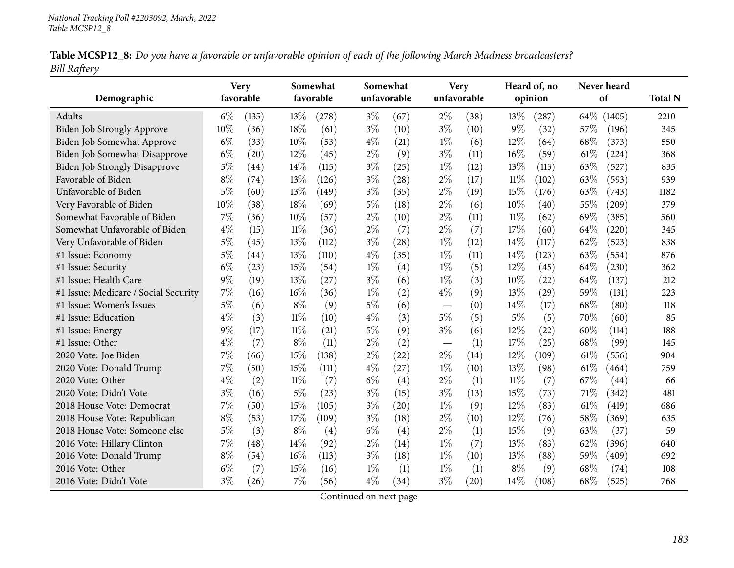| Table MCSP12_8: Do you have a favorable or unfavorable opinion of each of the following March Madness broadcasters? |  |
|---------------------------------------------------------------------------------------------------------------------|--|
| <b>Bill Raftery</b>                                                                                                 |  |

|                                      | Somewhat<br><b>Very</b> |           |        | Somewhat  |       | <b>Very</b> |             | Heard of, no |        | Never heard |        |        |                |
|--------------------------------------|-------------------------|-----------|--------|-----------|-------|-------------|-------------|--------------|--------|-------------|--------|--------|----------------|
| Demographic                          |                         | favorable |        | favorable |       | unfavorable | unfavorable |              |        | opinion     |        | of     | <b>Total N</b> |
| Adults                               | $6\%$                   | (135)     | 13%    | (278)     | $3\%$ | (67)        | $2\%$       | (38)         | 13\%   | (287)       | 64\%   | (1405) | 2210           |
| Biden Job Strongly Approve           | 10%                     | (36)      | 18%    | (61)      | $3\%$ | (10)        | $3\%$       | (10)         | $9\%$  | (32)        | 57%    | (196)  | 345            |
| Biden Job Somewhat Approve           | $6\%$                   | (33)      | 10%    | (53)      | $4\%$ | (21)        | $1\%$       | (6)          | 12%    | (64)        | 68%    | (373)  | 550            |
| Biden Job Somewhat Disapprove        | $6\%$                   | (20)      | 12%    | (45)      | $2\%$ | (9)         | $3\%$       | (11)         | 16%    | (59)        | $61\%$ | (224)  | 368            |
| <b>Biden Job Strongly Disapprove</b> | $5\%$                   | (44)      | 14%    | (115)     | $3\%$ | (25)        | $1\%$       | (12)         | 13%    | (113)       | 63%    | (527)  | 835            |
| Favorable of Biden                   | $8\%$                   | (74)      | 13\%   | (126)     | $3\%$ | (28)        | $2\%$       | (17)         | $11\%$ | (102)       | 63%    | (593)  | 939            |
| Unfavorable of Biden                 | 5%                      | (60)      | 13%    | (149)     | $3\%$ | (35)        | $2\%$       | (19)         | 15%    | (176)       | 63%    | (743)  | 1182           |
| Very Favorable of Biden              | 10%                     | (38)      | 18%    | (69)      | $5\%$ | (18)        | $2\%$       | (6)          | 10%    | (40)        | 55%    | (209)  | 379            |
| Somewhat Favorable of Biden          | 7%                      | (36)      | 10%    | (57)      | $2\%$ | (10)        | $2\%$       | (11)         | $11\%$ | (62)        | 69%    | (385)  | 560            |
| Somewhat Unfavorable of Biden        | $4\%$                   | (15)      | $11\%$ | (36)      | $2\%$ | (7)         | $2\%$       | (7)          | 17%    | (60)        | 64\%   | (220)  | 345            |
| Very Unfavorable of Biden            | $5\%$                   | (45)      | 13\%   | (112)     | $3\%$ | (28)        | $1\%$       | (12)         | 14\%   | (117)       | 62%    | (523)  | 838            |
| #1 Issue: Economy                    | $5\%$                   | (44)      | 13%    | (110)     | $4\%$ | (35)        | $1\%$       | (11)         | 14\%   | (123)       | 63%    | (554)  | 876            |
| #1 Issue: Security                   | $6\%$                   | (23)      | 15%    | (54)      | $1\%$ | (4)         | $1\%$       | (5)          | 12%    | (45)        | 64%    | (230)  | 362            |
| #1 Issue: Health Care                | $9\%$                   | (19)      | 13%    | (27)      | $3\%$ | (6)         | $1\%$       | (3)          | 10%    | (22)        | 64\%   | (137)  | 212            |
| #1 Issue: Medicare / Social Security | 7%                      | (16)      | 16%    | (36)      | $1\%$ | (2)         | $4\%$       | (9)          | 13%    | (29)        | 59%    | (131)  | 223            |
| #1 Issue: Women's Issues             | $5\%$                   | (6)       | $8\%$  | (9)       | $5\%$ | (6)         |             | (0)          | 14\%   | (17)        | 68%    | (80)   | 118            |
| #1 Issue: Education                  | $4\%$                   | (3)       | $11\%$ | (10)      | $4\%$ | (3)         | $5\%$       | (5)          | $5\%$  | (5)         | 70%    | (60)   | 85             |
| #1 Issue: Energy                     | $9\%$                   | (17)      | $11\%$ | (21)      | $5\%$ | (9)         | $3\%$       | (6)          | 12%    | (22)        | 60%    | (114)  | 188            |
| #1 Issue: Other                      | $4\%$                   | (7)       | $8\%$  | (11)      | $2\%$ | (2)         |             | (1)          | 17%    | (25)        | 68%    | (99)   | 145            |
| 2020 Vote: Joe Biden                 | 7%                      | (66)      | 15%    | (138)     | $2\%$ | (22)        | $2\%$       | (14)         | 12%    | (109)       | 61\%   | (556)  | 904            |
| 2020 Vote: Donald Trump              | 7%                      | (50)      | 15%    | (111)     | $4\%$ | (27)        | $1\%$       | (10)         | 13%    | (98)        | 61\%   | (464)  | 759            |
| 2020 Vote: Other                     | $4\%$                   | (2)       | $11\%$ | (7)       | $6\%$ | (4)         | $2\%$       | (1)          | $11\%$ | (7)         | 67%    | (44)   | 66             |
| 2020 Vote: Didn't Vote               | $3\%$                   | (16)      | 5%     | (23)      | $3\%$ | (15)        | $3\%$       | (13)         | 15%    | (73)        | 71%    | (342)  | 481            |
| 2018 House Vote: Democrat            | 7%                      | (50)      | 15%    | (105)     | $3\%$ | (20)        | $1\%$       | (9)          | 12%    | (83)        | 61%    | (419)  | 686            |
| 2018 House Vote: Republican          | $8\%$                   | (53)      | 17%    | (109)     | $3\%$ | (18)        | $2\%$       | (10)         | 12%    | (76)        | 58\%   | (369)  | 635            |
| 2018 House Vote: Someone else        | $5\%$                   | (3)       | $8\%$  | (4)       | $6\%$ | (4)         | $2\%$       | (1)          | 15%    | (9)         | 63%    | (37)   | 59             |
| 2016 Vote: Hillary Clinton           | 7%                      | (48)      | 14%    | (92)      | $2\%$ | (14)        | $1\%$       | (7)          | 13%    | (83)        | 62%    | (396)  | 640            |
| 2016 Vote: Donald Trump              | $8\%$                   | (54)      | 16%    | (113)     | $3\%$ | (18)        | $1\%$       | (10)         | 13%    | (88)        | 59%    | (409)  | 692            |
| 2016 Vote: Other                     | $6\%$                   | (7)       | 15%    | (16)      | $1\%$ | (1)         | $1\%$       | (1)          | $8\%$  | (9)         | 68%    | (74)   | 108            |
| 2016 Vote: Didn't Vote               | $3\%$                   | (26)      | 7%     | (56)      | $4\%$ | (34)        | $3\%$       | (20)         | 14\%   | (108)       | 68%    | (525)  | 768            |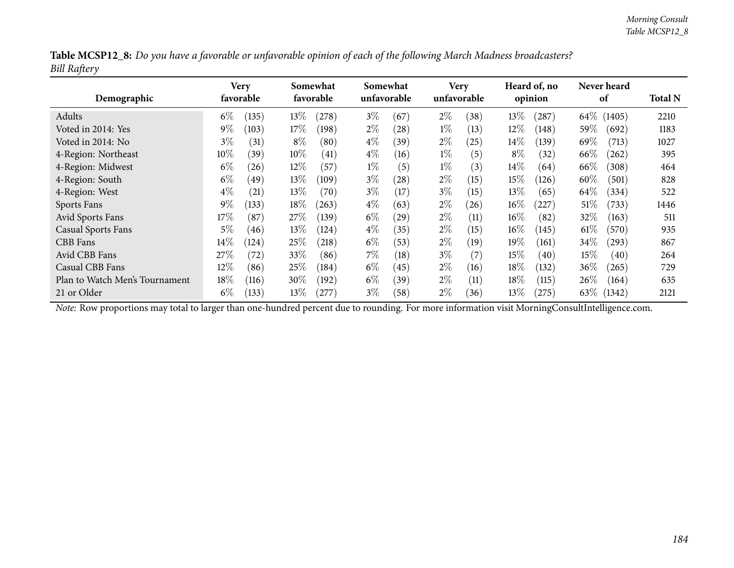| Table MCSP12_8: Do you have a favorable or unfavorable opinion of each of the following March Madness broadcasters? |  |
|---------------------------------------------------------------------------------------------------------------------|--|
| <b>Bill Raftery</b>                                                                                                 |  |

| Demographic                    |        | Very<br>favorable | Somewhat<br>favorable |       | Somewhat<br>unfavorable |      | <b>Very</b><br>unfavorable |                | Heard of, no<br>opinion |           |         | <b>Never heard</b><br>of |      |
|--------------------------------|--------|-------------------|-----------------------|-------|-------------------------|------|----------------------------|----------------|-------------------------|-----------|---------|--------------------------|------|
| Adults                         | $6\%$  | (135)             | $13\%$                | (278) | $3\%$                   | (67) | $2\%$                      | $^{\prime}38)$ | 13%                     | (287)     |         | 64\% (1405)              | 2210 |
| Voted in 2014: Yes             | $9\%$  | (103)             | $17\%$                | (198) | $2\%$                   | (28) | $1\%$                      | (13)           | 12%                     | (148)     | 59%     | (692)                    | 1183 |
| Voted in 2014: No              | $3\%$  | (31)              | $8\%$                 | (80)  | $4\%$                   | (39) | $2\%$                      | (25)           | $14\%$                  | (139)     | 69 $\%$ | (713)                    | 1027 |
| 4-Region: Northeast            | $10\%$ | (39)              | $10\%$                | (41)  | $4\%$                   | (16) | $1\%$                      | (5)            | $8\%$                   | (32)      | $66\%$  | (262)                    | 395  |
| 4-Region: Midwest              | $6\%$  | (26)              | $12\%$                | (57)  | $1\%$                   | (5)  | $1\%$                      | (3)            | $14\%$                  | (64)      | 66\%    | (308)                    | 464  |
| 4-Region: South                | $6\%$  | (49)              | $13\%$                | (109) | $3\%$                   | (28) | $2\%$                      | (15)           | 15%                     | (126)     | 60\%    | (501)                    | 828  |
| 4-Region: West                 | $4\%$  | (21)              | $13\%$                | (70)  | $3\%$                   | (17) | $3\%$                      | (15)           | 13%                     | (65)      | $64\%$  | (334)                    | 522  |
| Sports Fans                    | $9\%$  | (133)             | $18\%$                | (263) | $4\%$                   | (63) | $2\%$                      | (26)           | $16\%$                  | $^{'}227$ | 51%     | (733)                    | 1446 |
| Avid Sports Fans               | $17\%$ | (87)              | 27%                   | (139) | $6\%$                   | (29) | $2\%$                      | (11)           | $16\%$                  | (82)      | 32%     | (163)                    | 511  |
| <b>Casual Sports Fans</b>      | $5\%$  | (46)              | $13\%$                | (124) | $4\%$                   | (35) | $2\%$                      | (15)           | $16\%$                  | (145)     | $61\%$  | (570)                    | 935  |
| CBB Fans                       | $14\%$ | $^{'}124)$        | 25%                   | (218) | $6\%$                   | (53) | $2\%$                      | (19)           | 19%                     | (161)     | 34\%    | $^{(293)}$               | 867  |
| Avid CBB Fans                  | 27\%   | (72)              | 33\%                  | (86)  | $7\%$                   | (18) | $3\%$                      | (7)            | 15%                     | (40)      | $15\%$  | (40)                     | 264  |
| Casual CBB Fans                | $12\%$ | (86)              | 25%                   | (184) | $6\%$                   | (45) | $2\%$                      | (16)           | 18%                     | (132)     | 36%     | (265)                    | 729  |
| Plan to Watch Men's Tournament | 18\%   | (116)             | $30\%$                | (192) | $6\%$                   | (39) | $2\%$                      | (11)           | 18\%                    | (115)     | $26\%$  | (164)                    | 635  |
| 21 or Older                    | $6\%$  | (133)             | $13\%$                | (277) | $3\%$                   | (58) | $2\%$                      | (36)           | 13\%                    | (275)     | 63\%    | (1342)                   | 2121 |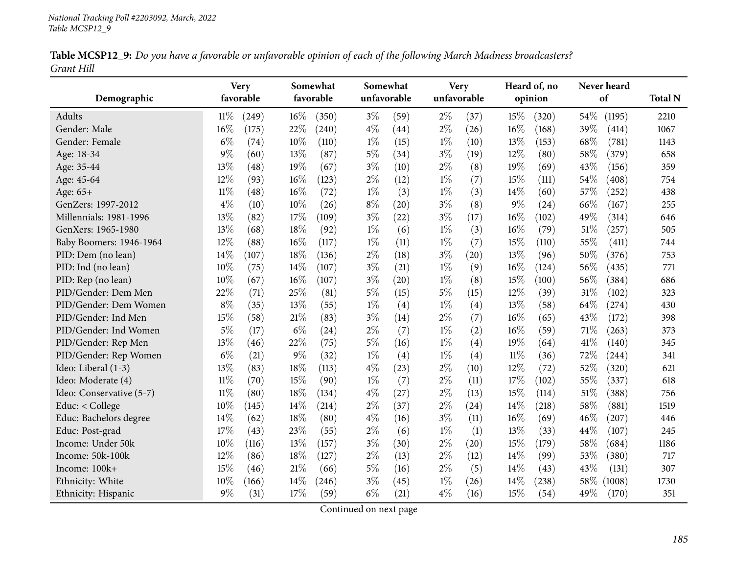| Table MCSP12_9: Do you have a favorable or unfavorable opinion of each of the following March Madness broadcasters? |  |  |
|---------------------------------------------------------------------------------------------------------------------|--|--|
| Grant Hill                                                                                                          |  |  |

|                          | <b>Very</b> |           |       | Somewhat  |             | Somewhat | <b>Very</b> |             | Heard of, no |         | Never heard |        |                |
|--------------------------|-------------|-----------|-------|-----------|-------------|----------|-------------|-------------|--------------|---------|-------------|--------|----------------|
| Demographic              |             | favorable |       | favorable | unfavorable |          |             | unfavorable |              | opinion |             | of     | <b>Total N</b> |
| Adults                   | $11\%$      | (249)     | 16%   | (350)     | $3\%$       | (59)     | $2\%$       | (37)        | 15%          | (320)   | 54%         | (1195) | 2210           |
| Gender: Male             | 16%         | (175)     | 22%   | (240)     | $4\%$       | (44)     | $2\%$       | (26)        | 16%          | (168)   | 39%         | (414)  | 1067           |
| Gender: Female           | $6\%$       | (74)      | 10%   | (110)     | $1\%$       | (15)     | $1\%$       | (10)        | 13%          | (153)   | 68%         | (781)  | 1143           |
| Age: 18-34               | $9\%$       | (60)      | 13%   | (87)      | 5%          | (34)     | $3\%$       | (19)        | 12%          | (80)    | 58%         | (379)  | 658            |
| Age: 35-44               | 13%         | (48)      | 19%   | (67)      | $3\%$       | (10)     | $2\%$       | (8)         | 19%          | (69)    | 43%         | (156)  | 359            |
| Age: 45-64               | 12%         | (93)      | 16%   | (123)     | $2\%$       | (12)     | $1\%$       | (7)         | 15%          | (111)   | 54%         | (408)  | 754            |
| Age: 65+                 | $11\%$      | (48)      | 16%   | (72)      | $1\%$       | (3)      | $1\%$       | (3)         | 14%          | (60)    | 57%         | (252)  | 438            |
| GenZers: 1997-2012       | $4\%$       | (10)      | 10%   | (26)      | $8\%$       | (20)     | $3\%$       | (8)         | $9\%$        | (24)    | 66%         | (167)  | 255            |
| Millennials: 1981-1996   | 13%         | (82)      | 17%   | (109)     | $3\%$       | (22)     | $3\%$       | (17)        | 16%          | (102)   | 49%         | (314)  | 646            |
| GenXers: 1965-1980       | 13%         | (68)      | 18%   | (92)      | $1\%$       | (6)      | $1\%$       | (3)         | 16%          | (79)    | 51\%        | (257)  | 505            |
| Baby Boomers: 1946-1964  | 12%         | (88)      | 16%   | (117)     | $1\%$       | (11)     | $1\%$       | (7)         | 15%          | (110)   | 55%         | (411)  | 744            |
| PID: Dem (no lean)       | 14%         | (107)     | 18%   | (136)     | $2\%$       | (18)     | $3\%$       | (20)        | 13%          | (96)    | 50%         | (376)  | 753            |
| PID: Ind (no lean)       | 10%         | (75)      | 14\%  | (107)     | $3\%$       | (21)     | $1\%$       | (9)         | 16%          | (124)   | 56%         | (435)  | 771            |
| PID: Rep (no lean)       | 10%         | (67)      | 16%   | (107)     | $3\%$       | (20)     | $1\%$       | (8)         | 15%          | (100)   | 56%         | (384)  | 686            |
| PID/Gender: Dem Men      | 22%         | (71)      | 25%   | (81)      | 5%          | (15)     | $5\%$       | (15)        | 12%          | (39)    | 31%         | (102)  | 323            |
| PID/Gender: Dem Women    | $8\%$       | (35)      | 13%   | (55)      | $1\%$       | (4)      | $1\%$       | (4)         | 13%          | (58)    | 64\%        | (274)  | 430            |
| PID/Gender: Ind Men      | 15%         | (58)      | 21%   | (83)      | $3\%$       | (14)     | $2\%$       | (7)         | 16%          | (65)    | 43%         | (172)  | 398            |
| PID/Gender: Ind Women    | $5\%$       | (17)      | $6\%$ | (24)      | $2\%$       | (7)      | $1\%$       | (2)         | 16%          | (59)    | 71%         | (263)  | 373            |
| PID/Gender: Rep Men      | 13%         | (46)      | 22%   | (75)      | 5%          | (16)     | $1\%$       | (4)         | 19%          | (64)    | 41\%        | (140)  | 345            |
| PID/Gender: Rep Women    | $6\%$       | (21)      | $9\%$ | (32)      | $1\%$       | (4)      | $1\%$       | (4)         | $11\%$       | (36)    | 72%         | (244)  | 341            |
| Ideo: Liberal (1-3)      | 13%         | (83)      | 18%   | (113)     | $4\%$       | (23)     | $2\%$       | (10)        | 12%          | (72)    | 52%         | (320)  | 621            |
| Ideo: Moderate (4)       | $11\%$      | (70)      | 15%   | (90)      | $1\%$       | (7)      | $2\%$       | (11)        | 17%          | (102)   | 55%         | (337)  | 618            |
| Ideo: Conservative (5-7) | $11\%$      | (80)      | 18%   | (134)     | $4\%$       | (27)     | $2\%$       | (13)        | 15%          | (114)   | 51\%        | (388)  | 756            |
| Educ: < College          | $10\%$      | (145)     | 14%   | (214)     | $2\%$       | (37)     | $2\%$       | (24)        | 14%          | (218)   | 58%         | (881)  | 1519           |
| Educ: Bachelors degree   | 14\%        | (62)      | 18%   | (80)      | $4\%$       | (16)     | $3\%$       | (11)        | 16%          | (69)    | 46%         | (207)  | 446            |
| Educ: Post-grad          | 17%         | (43)      | 23%   | (55)      | $2\%$       | (6)      | $1\%$       | (1)         | 13%          | (33)    | 44%         | (107)  | 245            |
| Income: Under 50k        | $10\%$      | (116)     | 13%   | (157)     | $3\%$       | (30)     | $2\%$       | (20)        | 15%          | (179)   | 58%         | (684)  | 1186           |
| Income: 50k-100k         | 12%         | (86)      | 18%   | (127)     | $2\%$       | (13)     | $2\%$       | (12)        | 14%          | (99)    | 53%         | (380)  | 717            |
| Income: 100k+            | 15%         | (46)      | 21%   | (66)      | $5\%$       | (16)     | $2\%$       | (5)         | 14%          | (43)    | 43%         | (131)  | 307            |
| Ethnicity: White         | 10%         | (166)     | 14%   | (246)     | $3\%$       | (45)     | $1\%$       | (26)        | 14%          | (238)   | 58\%        | (1008) | 1730           |
| Ethnicity: Hispanic      | $9\%$       | (31)      | 17%   | (59)      | $6\%$       | (21)     | $4\%$       | (16)        | 15%          | (54)    | 49%         | (170)  | 351            |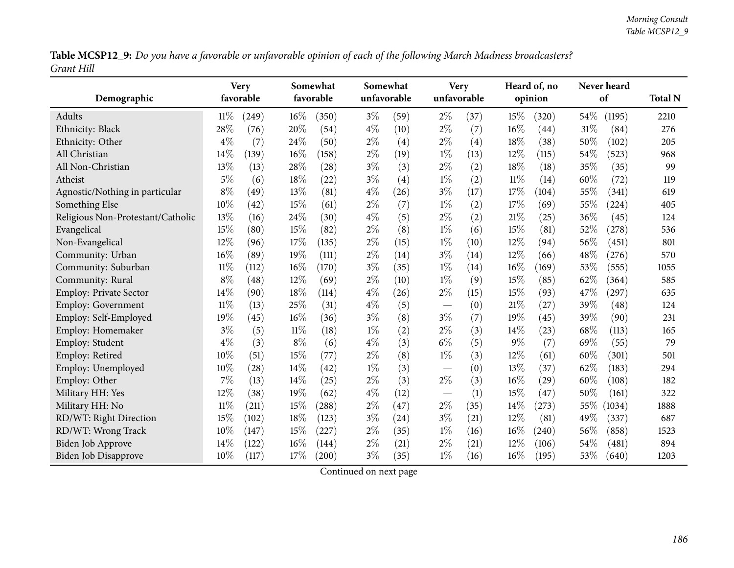Table MCSP12\_9: Do you have a favorable or unfavorable opinion of each of the following March Madness broadcasters? *Grant Hill*

|                                   |        | <b>Very</b> | Somewhat |           |       | Somewhat    |                          | <b>Very</b> |        | Heard of, no |      | Never heard         |                |  |
|-----------------------------------|--------|-------------|----------|-----------|-------|-------------|--------------------------|-------------|--------|--------------|------|---------------------|----------------|--|
| Demographic                       |        | favorable   |          | favorable |       | unfavorable |                          | unfavorable |        | opinion      |      | of                  | <b>Total N</b> |  |
| Adults                            | $11\%$ | (249)       | $16\%$   | (350)     | $3\%$ | (59)        | $2\%$                    | (37)        | 15%    | (320)        | 54\% | (1195)              | 2210           |  |
| Ethnicity: Black                  | 28%    | (76)        | 20%      | (54)      | $4\%$ | (10)        | $2\%$                    | (7)         | 16%    | (44)         | 31%  | (84)                | 276            |  |
| Ethnicity: Other                  | $4\%$  | (7)         | 24%      | (50)      | $2\%$ | (4)         | $2\%$                    | (4)         | 18%    | (38)         | 50%  | (102)               | 205            |  |
| All Christian                     | 14%    | (139)       | 16%      | (158)     | $2\%$ | (19)        | $1\%$                    | (13)        | 12%    | (115)        | 54%  | (523)               | 968            |  |
| All Non-Christian                 | 13%    | (13)        | 28%      | (28)      | $3\%$ | (3)         | $2\%$                    | (2)         | 18%    | (18)         | 35%  | (35)                | 99             |  |
| Atheist                           | $5\%$  | (6)         | 18%      | (22)      | $3\%$ | (4)         | $1\%$                    | (2)         | $11\%$ | (14)         | 60%  | (72)                | 119            |  |
| Agnostic/Nothing in particular    | $8\%$  | (49)        | 13%      | (81)      | $4\%$ | (26)        | $3\%$                    | (17)        | 17%    | (104)        | 55%  | (341)               | 619            |  |
| Something Else                    | 10%    | (42)        | 15%      | (61)      | $2\%$ | (7)         | $1\%$                    | (2)         | 17%    | (69)         | 55%  | (224)               | 405            |  |
| Religious Non-Protestant/Catholic | 13%    | (16)        | 24%      | (30)      | $4\%$ | (5)         | $2\%$                    | (2)         | 21%    | (25)         | 36%  | (45)                | 124            |  |
| Evangelical                       | 15%    | (80)        | 15%      | (82)      | $2\%$ | (8)         | $1\%$                    | (6)         | 15%    | (81)         | 52%  | (278)               | 536            |  |
| Non-Evangelical                   | 12%    | (96)        | 17%      | (135)     | $2\%$ | (15)        | $1\%$                    | (10)        | 12%    | (94)         | 56%  | (451)               | 801            |  |
| Community: Urban                  | 16%    | (89)        | 19%      | (111)     | $2\%$ | (14)        | $3\%$                    | (14)        | 12%    | (66)         | 48%  | (276)               | 570            |  |
| Community: Suburban               | $11\%$ | (112)       | 16%      | (170)     | $3\%$ | (35)        | $1\%$                    | (14)        | $16\%$ | (169)        | 53%  | (555)               | 1055           |  |
| Community: Rural                  | $8\%$  | (48)        | 12%      | (69)      | $2\%$ | (10)        | $1\%$                    | (9)         | 15%    | (85)         | 62%  | (364)               | 585            |  |
| <b>Employ: Private Sector</b>     | 14%    | (90)        | 18%      | (114)     | $4\%$ | (26)        | $2\%$                    | (15)        | 15%    | (93)         | 47%  | $\left( 297\right)$ | 635            |  |
| <b>Employ: Government</b>         | $11\%$ | (13)        | 25%      | (31)      | $4\%$ | (5)         | $\overline{\phantom{m}}$ | (0)         | 21%    | (27)         | 39%  | (48)                | 124            |  |
| Employ: Self-Employed             | 19%    | (45)        | 16%      | (36)      | $3\%$ | (8)         | $3\%$                    | (7)         | 19%    | (45)         | 39%  | (90)                | 231            |  |
| Employ: Homemaker                 | $3\%$  | (5)         | 11%      | (18)      | $1\%$ | (2)         | $2\%$                    | (3)         | 14%    | (23)         | 68%  | (113)               | 165            |  |
| Employ: Student                   | $4\%$  | (3)         | $8\%$    | (6)       | $4\%$ | (3)         | $6\%$                    | (5)         | $9\%$  | (7)          | 69%  | (55)                | 79             |  |
| Employ: Retired                   | 10%    | (51)        | 15%      | (77)      | $2\%$ | (8)         | $1\%$                    | (3)         | 12%    | (61)         | 60%  | (301)               | 501            |  |
| Employ: Unemployed                | 10%    | (28)        | 14%      | (42)      | $1\%$ | (3)         | $\qquad \qquad -$        | (0)         | 13%    | (37)         | 62%  | (183)               | 294            |  |
| Employ: Other                     | 7%     | (13)        | 14%      | (25)      | $2\%$ | (3)         | $2\%$                    | (3)         | 16%    | (29)         | 60%  | (108)               | 182            |  |
| Military HH: Yes                  | 12%    | (38)        | 19%      | (62)      | $4\%$ | (12)        | $\overline{\phantom{m}}$ | (1)         | 15%    | (47)         | 50%  | (161)               | 322            |  |
| Military HH: No                   | 11%    | (211)       | 15%      | (288)     | $2\%$ | (47)        | $2\%$                    | (35)        | 14%    | (273)        | 55%  | (1034)              | 1888           |  |
| RD/WT: Right Direction            | 15%    | (102)       | 18%      | (123)     | $3\%$ | (24)        | $3\%$                    | (21)        | 12%    | (81)         | 49%  | (337)               | 687            |  |
| RD/WT: Wrong Track                | 10%    | (147)       | 15%      | (227)     | $2\%$ | (35)        | $1\%$                    | (16)        | $16\%$ | (240)        | 56%  | (858)               | 1523           |  |
| <b>Biden Job Approve</b>          | 14%    | (122)       | 16%      | (144)     | $2\%$ | (21)        | $2\%$                    | (21)        | 12%    | (106)        | 54%  | (481)               | 894            |  |
| <b>Biden Job Disapprove</b>       | 10%    | (117)       | 17%      | (200)     | $3\%$ | (35)        | $1\%$                    | (16)        | 16%    | (195)        | 53%  | (640)               | 1203           |  |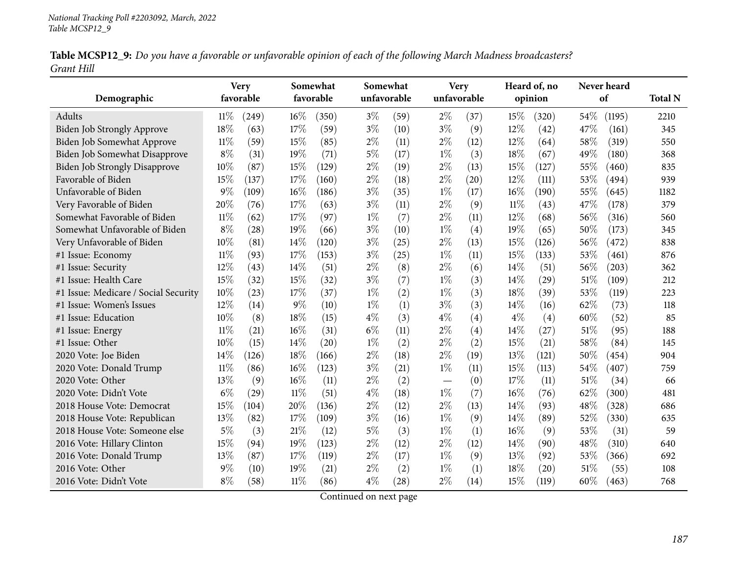| Table MCSP12_9: Do you have a favorable or unfavorable opinion of each of the following March Madness broadcasters? |  |  |
|---------------------------------------------------------------------------------------------------------------------|--|--|
| Grant Hill                                                                                                          |  |  |

|                                      |        | <b>Very</b> | Somewhat<br>favorable |       |       | Somewhat<br>unfavorable |                          | <b>Very</b><br>unfavorable |        | Heard of, no<br>opinion |      | Never heard<br>of |                |
|--------------------------------------|--------|-------------|-----------------------|-------|-------|-------------------------|--------------------------|----------------------------|--------|-------------------------|------|-------------------|----------------|
| Demographic                          |        | favorable   |                       |       |       |                         |                          |                            |        |                         |      |                   | <b>Total N</b> |
| Adults                               | $11\%$ | (249)       | 16%                   | (350) | $3\%$ | (59)                    | $2\%$                    | (37)                       | 15%    | (320)                   | 54%  | (1195)            | 2210           |
| <b>Biden Job Strongly Approve</b>    | 18%    | (63)        | 17%                   | (59)  | $3\%$ | (10)                    | $3\%$                    | (9)                        | 12%    | (42)                    | 47%  | (161)             | 345            |
| Biden Job Somewhat Approve           | 11%    | (59)        | 15%                   | (85)  | $2\%$ | (11)                    | $2\%$                    | (12)                       | 12%    | (64)                    | 58%  | (319)             | 550            |
| Biden Job Somewhat Disapprove        | $8\%$  | (31)        | 19%                   | (71)  | $5\%$ | (17)                    | $1\%$                    | (3)                        | 18%    | (67)                    | 49%  | (180)             | 368            |
| <b>Biden Job Strongly Disapprove</b> | 10%    | (87)        | 15%                   | (129) | $2\%$ | (19)                    | $2\%$                    | (13)                       | 15%    | (127)                   | 55%  | (460)             | 835            |
| Favorable of Biden                   | 15%    | (137)       | 17%                   | (160) | $2\%$ | (18)                    | $2\%$                    | (20)                       | 12%    | (111)                   | 53%  | (494)             | 939            |
| Unfavorable of Biden                 | $9\%$  | (109)       | 16%                   | (186) | $3\%$ | (35)                    | $1\%$                    | (17)                       | 16%    | (190)                   | 55%  | (645)             | 1182           |
| Very Favorable of Biden              | 20%    | (76)        | 17%                   | (63)  | $3\%$ | (11)                    | $2\%$                    | (9)                        | $11\%$ | (43)                    | 47%  | (178)             | 379            |
| Somewhat Favorable of Biden          | $11\%$ | (62)        | 17%                   | (97)  | $1\%$ | (7)                     | $2\%$                    | (11)                       | 12%    | (68)                    | 56%  | (316)             | 560            |
| Somewhat Unfavorable of Biden        | $8\%$  | (28)        | 19%                   | (66)  | $3\%$ | (10)                    | $1\%$                    | (4)                        | 19%    | (65)                    | 50%  | (173)             | 345            |
| Very Unfavorable of Biden            | 10%    | (81)        | 14%                   | (120) | $3\%$ | (25)                    | $2\%$                    | (13)                       | 15%    | (126)                   | 56%  | (472)             | 838            |
| #1 Issue: Economy                    | $11\%$ | (93)        | 17%                   | (153) | $3\%$ | (25)                    | $1\%$                    | (11)                       | 15%    | (133)                   | 53%  | (461)             | 876            |
| #1 Issue: Security                   | 12%    | (43)        | 14\%                  | (51)  | $2\%$ | (8)                     | $2\%$                    | (6)                        | 14\%   | (51)                    | 56%  | (203)             | 362            |
| #1 Issue: Health Care                | 15%    | (32)        | 15%                   | (32)  | $3\%$ | (7)                     | $1\%$                    | (3)                        | 14\%   | (29)                    | 51\% | (109)             | 212            |
| #1 Issue: Medicare / Social Security | 10%    | (23)        | 17%                   | (37)  | $1\%$ | (2)                     | $1\%$                    | (3)                        | 18%    | (39)                    | 53%  | (119)             | 223            |
| #1 Issue: Women's Issues             | $12\%$ | (14)        | $9\%$                 | (10)  | $1\%$ | (1)                     | $3\%$                    | (3)                        | 14\%   | (16)                    | 62%  | (73)              | 118            |
| #1 Issue: Education                  | 10%    | (8)         | 18%                   | (15)  | $4\%$ | (3)                     | $4\%$                    | (4)                        | $4\%$  | (4)                     | 60%  | (52)              | 85             |
| #1 Issue: Energy                     | $11\%$ | (21)        | 16%                   | (31)  | $6\%$ | (11)                    | $2\%$                    | (4)                        | 14%    | (27)                    | 51%  | (95)              | 188            |
| #1 Issue: Other                      | 10%    | (15)        | 14\%                  | (20)  | $1\%$ | (2)                     | $2\%$                    | (2)                        | 15%    | (21)                    | 58%  | (84)              | 145            |
| 2020 Vote: Joe Biden                 | 14%    | (126)       | 18%                   | (166) | $2\%$ | (18)                    | $2\%$                    | (19)                       | $13\%$ | (121)                   | 50%  | (454)             | 904            |
| 2020 Vote: Donald Trump              | $11\%$ | (86)        | 16%                   | (123) | $3\%$ | (21)                    | $1\%$                    | (11)                       | 15%    | (113)                   | 54%  | (407)             | 759            |
| 2020 Vote: Other                     | 13%    | (9)         | 16%                   | (11)  | $2\%$ | (2)                     | $\overline{\phantom{0}}$ | (0)                        | 17%    | (11)                    | 51\% | (34)              | 66             |
| 2020 Vote: Didn't Vote               | $6\%$  | (29)        | $11\%$                | (51)  | $4\%$ | (18)                    | $1\%$                    | (7)                        | 16%    | (76)                    | 62%  | (300)             | 481            |
| 2018 House Vote: Democrat            | 15%    | (104)       | 20%                   | (136) | $2\%$ | (12)                    | $2\%$                    | (13)                       | 14\%   | (93)                    | 48%  | (328)             | 686            |
| 2018 House Vote: Republican          | 13\%   | (82)        | 17%                   | (109) | $3\%$ | (16)                    | $1\%$                    | (9)                        | 14\%   | (89)                    | 52%  | (330)             | 635            |
| 2018 House Vote: Someone else        | $5\%$  | (3)         | 21%                   | (12)  | $5\%$ | (3)                     | $1\%$                    | (1)                        | 16%    | (9)                     | 53%  | (31)              | 59             |
| 2016 Vote: Hillary Clinton           | 15%    | (94)        | 19%                   | (123) | $2\%$ | (12)                    | $2\%$                    | (12)                       | 14\%   | (90)                    | 48%  | (310)             | 640            |
| 2016 Vote: Donald Trump              | 13%    | (87)        | 17\%                  | (119) | $2\%$ | (17)                    | $1\%$                    | (9)                        | 13%    | (92)                    | 53%  | (366)             | 692            |
| 2016 Vote: Other                     | $9\%$  | (10)        | 19%                   | (21)  | $2\%$ | (2)                     | $1\%$                    | (1)                        | 18%    | (20)                    | 51%  | (55)              | 108            |
| 2016 Vote: Didn't Vote               | $8\%$  | (58)        | $11\%$                | (86)  | $4\%$ | (28)                    | $2\%$                    | (14)                       | 15%    | (119)                   | 60%  | (463)             | 768            |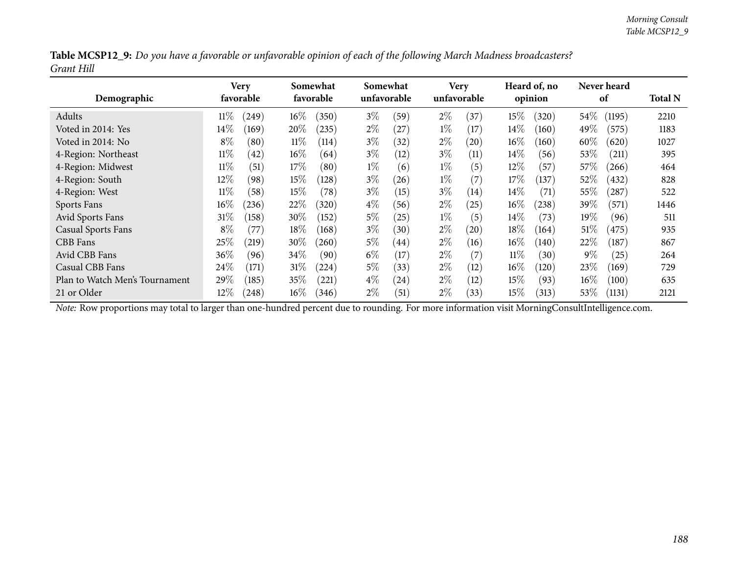| Table MCSP12_9: Do you have a favorable or unfavorable opinion of each of the following March Madness broadcasters? |  |
|---------------------------------------------------------------------------------------------------------------------|--|
| Grant Hill                                                                                                          |  |

| Demographic                    | Very<br>favorable |                 | Somewhat<br>favorable |       | Somewhat<br>unfavorable |       | <b>Very</b><br>unfavorable |        | Heard of, no<br>opinion |         | Never heard<br>of |      |  |
|--------------------------------|-------------------|-----------------|-----------------------|-------|-------------------------|-------|----------------------------|--------|-------------------------|---------|-------------------|------|--|
| Adults                         | $11\%$            | $16\%$<br>(249) | (350)                 | $3\%$ | (59)                    | $2\%$ | (37)                       | 15%    | (320)                   | $54\%$  | (1195)            | 2210 |  |
| Voted in 2014: Yes             | $14\%$            | 20%<br>(169)    | (235)                 | $2\%$ | (27)                    | $1\%$ | (17)                       | $14\%$ | (160)                   | 49%     | (575)             | 1183 |  |
| Voted in 2014: No              | $8\%$             | $11\%$<br>(80)  | (114)                 | $3\%$ | (32)                    | $2\%$ | (20)                       | $16\%$ | (160)                   | $60\%$  | (620)             | 1027 |  |
| 4-Region: Northeast            | $11\%$            | $16\%$<br>(42)  | (64)                  | $3\%$ | (12)                    | $3\%$ | (11)                       | $14\%$ | (56)                    | 53%     | (211)             | 395  |  |
| 4-Region: Midwest              | $11\%$            | 17%<br>(51)     | (80)                  | $1\%$ | (6)                     | $1\%$ | (5)                        | $12\%$ | (57)                    | 57\%    | (266)             | 464  |  |
| 4-Region: South                | $12\%$            | $15\%$<br>(98)  | (128)                 | $3\%$ | (26)                    | $1\%$ | (7)                        | 17%    | (137)                   | 52%     | (432)             | 828  |  |
| 4-Region: West                 | $11\%$            | (58)<br>$15\%$  | (78)                  | $3\%$ | (15)                    | $3\%$ | (14)                       | $14\%$ | (71)                    | $55\%$  | (287)             | 522  |  |
| Sports Fans                    | 16%               | 22%<br>(236)    | (320)                 | $4\%$ | (56)                    | $2\%$ | (25)                       | $16\%$ | (238)                   | 39%     | (571)             | 1446 |  |
| Avid Sports Fans               | $31\%$            | $30\%$<br>(158) | (152)                 | $5\%$ | (25)                    | $1\%$ | (5)                        | $14\%$ | (73)                    | 19 $\%$ | (96)              | 511  |  |
| <b>Casual Sports Fans</b>      | $8\%$             | 18\%<br>(77`    | (168)                 | $3\%$ | (30)                    | $2\%$ | $\left( 20\right)$         | 18%    | (164)                   | 51\%    | (475)             | 935  |  |
| CBB Fans                       | 25%               | 30%<br>(219)    | 260                   | $5\%$ | $\left(44\right)$       | $2\%$ | (16)                       | $16\%$ | (140)                   | 22%     | (187)             | 867  |  |
| Avid CBB Fans                  | 36%               | $34\%$<br>(96)  | (90)                  | $6\%$ | (17)                    | $2\%$ | (7)                        | $11\%$ | (30)                    | $9\%$   | $^{'}25)$         | 264  |  |
| Casual CBB Fans                | 24\%              | $31\%$<br>(171) | (224)                 | $5\%$ | (33)                    | $2\%$ | (12)                       | $16\%$ | (120)                   | 23\%    | (169)             | 729  |  |
| Plan to Watch Men's Tournament | 29\%              | $35\%$<br>(185) | (221)                 | $4\%$ | $\left( 24\right)$      | $2\%$ | (12)                       | 15%    | (93)                    | $16\%$  | (100)             | 635  |  |
| 21 or Older                    | $12\%$            | $16\%$<br>(248) | (346)                 | $2\%$ | (51)                    | $2\%$ | (33)                       | 15%    | (313)                   | $53\%$  | (1131)            | 2121 |  |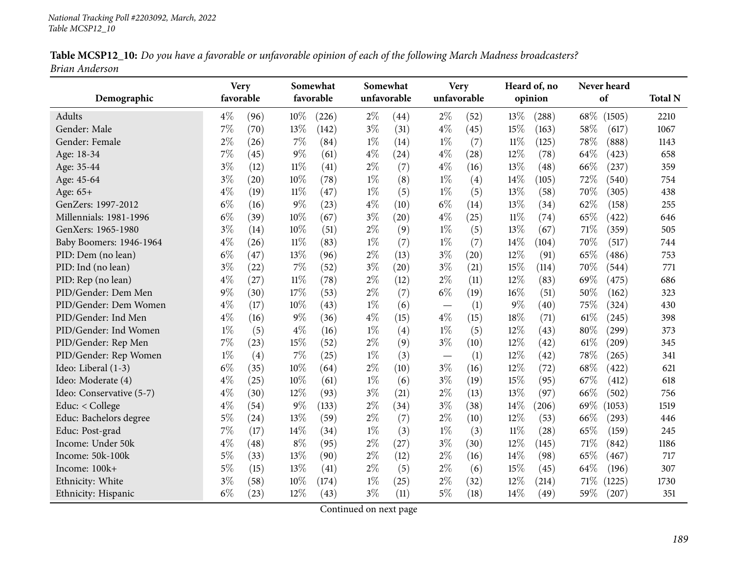| Table MCSP12_10: Do you have a favorable or unfavorable opinion of each of the following March Madness broadcasters? |  |
|----------------------------------------------------------------------------------------------------------------------|--|
| Brian Anderson                                                                                                       |  |

|                          | <b>Very</b> |      | Somewhat |           |       | Somewhat    |             | Very | Heard of, no |       | Never heard     |                |
|--------------------------|-------------|------|----------|-----------|-------|-------------|-------------|------|--------------|-------|-----------------|----------------|
| Demographic              | favorable   |      |          | favorable |       | unfavorable | unfavorable |      | opinion      |       | of              | <b>Total N</b> |
| Adults                   | $4\%$       | (96) | 10%      | (226)     | $2\%$ | (44)        | $2\%$       | (52) | 13%          | (288) | 68\%<br>(1505)  | 2210           |
| Gender: Male             | 7%          | (70) | 13%      | (142)     | $3\%$ | (31)        | $4\%$       | (45) | 15%          | (163) | 58%<br>(617)    | 1067           |
| Gender: Female           | $2\%$       | (26) | $7\%$    | (84)      | $1\%$ | (14)        | $1\%$       | (7)  | $11\%$       | (125) | 78%<br>(888)    | 1143           |
| Age: 18-34               | 7%          | (45) | $9\%$    | (61)      | $4\%$ | (24)        | $4\%$       | (28) | 12%          | (78)  | 64\%<br>(423)   | 658            |
| Age: 35-44               | $3\%$       | (12) | $11\%$   | (41)      | $2\%$ | (7)         | $4\%$       | (16) | 13%          | (48)  | 66\%<br>(237)   | 359            |
| Age: 45-64               | $3\%$       | (20) | 10%      | (78)      | $1\%$ | (8)         | $1\%$       | (4)  | 14%          | (105) | 72%<br>(540)    | 754            |
| Age: 65+                 | $4\%$       | (19) | 11%      | (47)      | $1\%$ | (5)         | $1\%$       | (5)  | 13%          | (58)  | 70%<br>(305)    | 438            |
| GenZers: 1997-2012       | $6\%$       | (16) | 9%       | (23)      | $4\%$ | (10)        | $6\%$       | (14) | 13%          | (34)  | 62%<br>(158)    | 255            |
| Millennials: 1981-1996   | $6\%$       | (39) | 10%      | (67)      | $3\%$ | (20)        | $4\%$       | (25) | $11\%$       | (74)  | 65%<br>(422)    | 646            |
| GenXers: 1965-1980       | $3\%$       | (14) | 10%      | (51)      | $2\%$ | (9)         | $1\%$       | (5)  | 13%          | (67)  | 71%<br>(359)    | 505            |
| Baby Boomers: 1946-1964  | $4\%$       | (26) | $11\%$   | (83)      | $1\%$ | (7)         | $1\%$       | (7)  | 14%          | (104) | 70%<br>(517)    | 744            |
| PID: Dem (no lean)       | $6\%$       | (47) | 13%      | (96)      | $2\%$ | (13)        | $3\%$       | (20) | 12%          | (91)  | 65%<br>(486)    | 753            |
| PID: Ind (no lean)       | $3\%$       | (22) | $7\%$    | (52)      | $3\%$ | (20)        | $3\%$       | (21) | 15%          | (114) | 70%<br>(544)    | 771            |
| PID: Rep (no lean)       | $4\%$       | (27) | $11\%$   | (78)      | $2\%$ | (12)        | $2\%$       | (11) | 12%          | (83)  | 69%<br>(475)    | 686            |
| PID/Gender: Dem Men      | $9\%$       | (30) | 17%      | (53)      | $2\%$ | (7)         | $6\%$       | (19) | 16%          | (51)  | 50%<br>(162)    | 323            |
| PID/Gender: Dem Women    | $4\%$       | (17) | 10%      | (43)      | $1\%$ | (6)         |             | (1)  | $9\%$        | (40)  | 75%<br>(324)    | 430            |
| PID/Gender: Ind Men      | $4\%$       | (16) | $9\%$    | (36)      | $4\%$ | (15)        | $4\%$       | (15) | 18%          | (71)  | 61%<br>(245)    | 398            |
| PID/Gender: Ind Women    | $1\%$       | (5)  | $4\%$    | (16)      | $1\%$ | (4)         | $1\%$       | (5)  | 12%          | (43)  | $80\%$<br>(299) | 373            |
| PID/Gender: Rep Men      | 7%          | (23) | 15%      | (52)      | $2\%$ | (9)         | $3\%$       | (10) | 12%          | (42)  | $61\%$<br>(209) | 345            |
| PID/Gender: Rep Women    | $1\%$       | (4)  | $7\%$    | (25)      | $1\%$ | (3)         |             | (1)  | 12%          | (42)  | 78%<br>(265)    | 341            |
| Ideo: Liberal (1-3)      | $6\%$       | (35) | 10%      | (64)      | $2\%$ | (10)        | $3\%$       | (16) | 12%          | (72)  | 68%<br>(422)    | 621            |
| Ideo: Moderate (4)       | $4\%$       | (25) | 10%      | (61)      | $1\%$ | (6)         | $3\%$       | (19) | 15%          | (95)  | 67%<br>(412)    | 618            |
| Ideo: Conservative (5-7) | $4\%$       | (30) | $12\%$   | (93)      | $3\%$ | (21)        | $2\%$       | (13) | 13%          | (97)  | 66%<br>(502)    | 756            |
| Educ: < College          | $4\%$       | (54) | $9\%$    | (133)     | $2\%$ | (34)        | $3\%$       | (38) | 14%          | (206) | 69%<br>(1053)   | 1519           |
| Educ: Bachelors degree   | $5\%$       | (24) | 13%      | (59)      | $2\%$ | (7)         | $2\%$       | (10) | 12%          | (53)  | 66%<br>(293)    | 446            |
| Educ: Post-grad          | 7%          | (17) | 14%      | (34)      | $1\%$ | (3)         | $1\%$       | (3)  | $11\%$       | (28)  | 65%<br>(159)    | 245            |
| Income: Under 50k        | $4\%$       | (48) | $8\%$    | (95)      | $2\%$ | (27)        | $3\%$       | (30) | 12%          | (145) | 71%<br>(842)    | 1186           |
| Income: 50k-100k         | $5\%$       | (33) | 13%      | (90)      | $2\%$ | (12)        | $2\%$       | (16) | 14%          | (98)  | 65%<br>(467)    | 717            |
| Income: 100k+            | $5\%$       | (15) | 13%      | (41)      | $2\%$ | (5)         | $2\%$       | (6)  | 15%          | (45)  | 64%<br>(196)    | 307            |
| Ethnicity: White         | $3\%$       | (58) | 10%      | (174)     | $1\%$ | (25)        | $2\%$       | (32) | 12%          | (214) | 71%<br>(1225)   | 1730           |
| Ethnicity: Hispanic      | $6\%$       | (23) | 12%      | (43)      | $3\%$ | (11)        | $5\%$       | (18) | 14%          | (49)  | 59%<br>(207)    | 351            |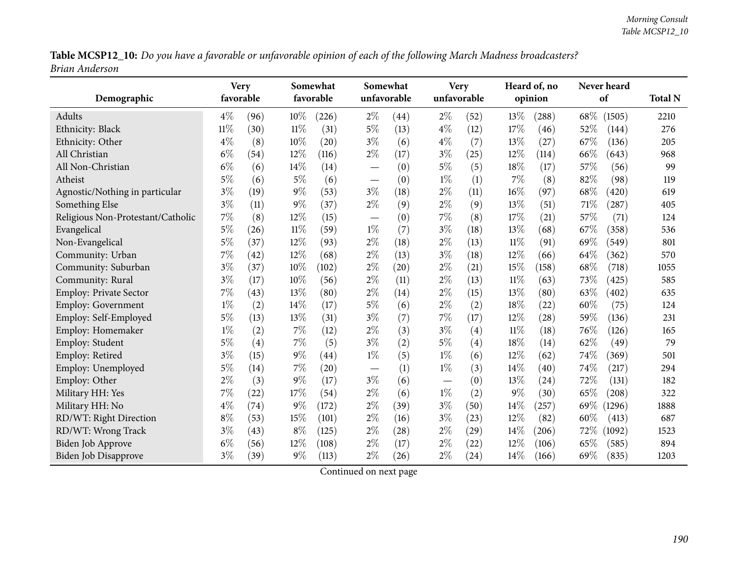Table MCSP12\_10: Do you have a favorable or unfavorable opinion of each of the following March Madness broadcasters? *Brian Anderson*

| Demographic                       | <b>Very</b><br>favorable |      |        | Somewhat<br>favorable |       | Somewhat<br>unfavorable |                 | <b>Very</b><br>unfavorable |        | Heard of, no<br>opinion |      | Never heard<br>of |      |  |
|-----------------------------------|--------------------------|------|--------|-----------------------|-------|-------------------------|-----------------|----------------------------|--------|-------------------------|------|-------------------|------|--|
| Adults                            | $4\%$                    | (96) | $10\%$ | (226)                 | $2\%$ | (44)                    | $2\%$           | (52)                       | 13%    | (288)                   | 68\% | (1505)            | 2210 |  |
| Ethnicity: Black                  | $11\%$                   | (30) | $11\%$ | (31)                  | $5\%$ | (13)                    | $4\%$           | (12)                       | 17%    | (46)                    | 52%  | (144)             | 276  |  |
| Ethnicity: Other                  | $4\%$                    | (8)  | 10%    | (20)                  | $3\%$ | (6)                     | $4\%$           | (7)                        | 13%    | (27)                    | 67%  | (136)             | 205  |  |
| All Christian                     | $6\%$                    | (54) | 12%    | (116)                 | $2\%$ | (17)                    | $3\%$           | (25)                       | 12%    | (114)                   | 66%  | (643)             | 968  |  |
| All Non-Christian                 | $6\%$                    | (6)  | 14%    | (14)                  |       | (0)                     | $5\%$           | (5)                        | 18%    | (17)                    | 57%  | (56)              | 99   |  |
| Atheist                           | 5%                       | (6)  | $5\%$  | (6)                   |       | (0)                     | $1\%$           | (1)                        | 7%     | (8)                     | 82%  | (98)              | 119  |  |
| Agnostic/Nothing in particular    | $3\%$                    | (19) | $9\%$  | (53)                  | $3\%$ | (18)                    | $2\%$           | (11)                       | 16%    | (97)                    | 68%  | (420)             | 619  |  |
| Something Else                    | $3\%$                    | (11) | $9\%$  | (37)                  | $2\%$ | (9)                     | $2\%$           | (9)                        | 13%    | (51)                    | 71%  | (287)             | 405  |  |
| Religious Non-Protestant/Catholic | 7%                       | (8)  | 12%    | (15)                  |       | (0)                     | 7%              | (8)                        | 17%    | (21)                    | 57%  | (71)              | 124  |  |
| Evangelical                       | $5\%$                    | (26) | 11%    | (59)                  | $1\%$ | (7)                     | $3\%$           | (18)                       | 13%    | (68)                    | 67%  | (358)             | 536  |  |
| Non-Evangelical                   | 5%                       | (37) | 12%    | (93)                  | $2\%$ | (18)                    | $2\%$           | (13)                       | $11\%$ | (91)                    | 69%  | (549)             | 801  |  |
| Community: Urban                  | $7\%$                    | (42) | 12%    | (68)                  | $2\%$ | (13)                    | $3\%$           | (18)                       | 12%    | (66)                    | 64%  | (362)             | 570  |  |
| Community: Suburban               | $3\%$                    | (37) | 10%    | (102)                 | $2\%$ | (20)                    | $2\%$           | (21)                       | 15%    | (158)                   | 68%  | (718)             | 1055 |  |
| Community: Rural                  | $3\%$                    | (17) | 10%    | (56)                  | $2\%$ | (11)                    | $2\%$           | (13)                       | $11\%$ | (63)                    | 73%  | (425)             | 585  |  |
| <b>Employ: Private Sector</b>     | $7\%$                    | (43) | 13%    | (80)                  | $2\%$ | (14)                    | $2\%$           | (15)                       | 13%    | (80)                    | 63%  | (402)             | 635  |  |
| <b>Employ: Government</b>         | $1\%$                    | (2)  | 14\%   | (17)                  | $5\%$ | (6)                     | $2\%$           | (2)                        | 18%    | (22)                    | 60%  | (75)              | 124  |  |
| Employ: Self-Employed             | $5\%$                    | (13) | 13%    | (31)                  | $3\%$ | (7)                     | 7%              | (17)                       | 12%    | $^{'}28)$               | 59%  | (136)             | 231  |  |
| Employ: Homemaker                 | $1\%$                    | (2)  | 7%     | (12)                  | $2\%$ | (3)                     | $3\%$           | (4)                        | $11\%$ | (18)                    | 76%  | (126)             | 165  |  |
| Employ: Student                   | 5%                       | (4)  | 7%     | (5)                   | $3\%$ | (2)                     | $5\%$           | (4)                        | 18%    | (14)                    | 62%  | (49)              | 79   |  |
| Employ: Retired                   | $3\%$                    | (15) | $9\%$  | (44)                  | $1\%$ | (5)                     | $1\%$           | (6)                        | 12%    | (62)                    | 74%  | (369)             | 501  |  |
| Employ: Unemployed                | 5%                       | (14) | 7%     | (20)                  |       | (1)                     | $1\%$           | (3)                        | 14%    | (40)                    | 74%  | (217)             | 294  |  |
| Employ: Other                     | $2\%$                    | (3)  | $9\%$  | (17)                  | $3\%$ | (6)                     | $\qquad \qquad$ | (0)                        | 13%    | (24)                    | 72%  | (131)             | 182  |  |
| Military HH: Yes                  | $7\%$                    | (22) | 17%    | (54)                  | $2\%$ | (6)                     | $1\%$           | (2)                        | 9%     | (30)                    | 65%  | (208)             | 322  |  |
| Military HH: No                   | $4\%$                    | (74) | $9\%$  | (172)                 | $2\%$ | (39)                    | $3\%$           | (50)                       | 14%    | (257)                   | 69\% | (1296)            | 1888 |  |
| RD/WT: Right Direction            | $8\%$                    | (53) | 15%    | (101)                 | $2\%$ | (16)                    | $3\%$           | (23)                       | 12%    | (82)                    | 60%  | (413)             | 687  |  |
| RD/WT: Wrong Track                | $3\%$                    | (43) | $8\%$  | (125)                 | $2\%$ | (28)                    | $2\%$           | (29)                       | 14%    | (206)                   | 72\% | (1092)            | 1523 |  |
| <b>Biden Job Approve</b>          | $6\%$                    | (56) | 12%    | (108)                 | $2\%$ | (17)                    | $2\%$           | (22)                       | 12%    | (106)                   | 65%  | (585)             | 894  |  |
| <b>Biden Job Disapprove</b>       | $3\%$                    | (39) | $9\%$  | (113)                 | $2\%$ | (26)                    | $2\%$           | (24)                       | 14%    | (166)                   | 69%  | (835)             | 1203 |  |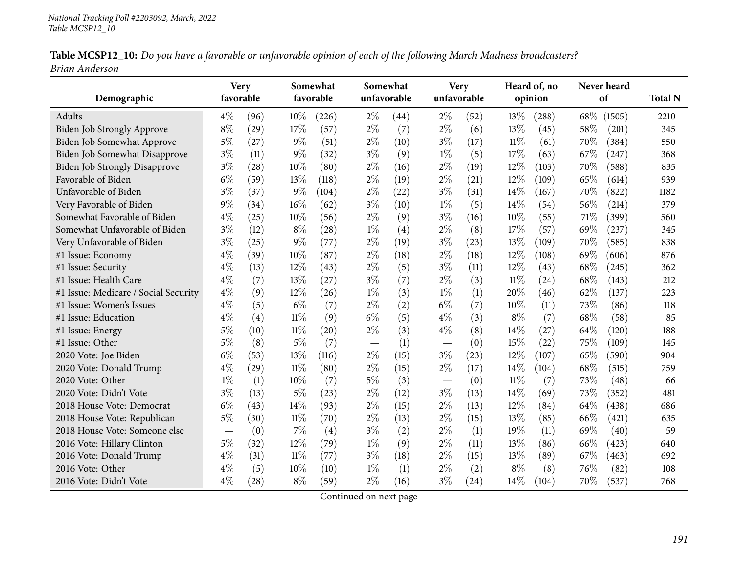| Table MCSP12_10: Do you have a favorable or unfavorable opinion of each of the following March Madness broadcasters? |  |
|----------------------------------------------------------------------------------------------------------------------|--|
| Brian Anderson                                                                                                       |  |

|                                      | <b>Very</b> |      |        | Somewhat  |       | Somewhat    |             | <b>Very</b> |        | Heard of, no |      | Never heard |                |
|--------------------------------------|-------------|------|--------|-----------|-------|-------------|-------------|-------------|--------|--------------|------|-------------|----------------|
| Demographic                          | favorable   |      |        | favorable |       | unfavorable | unfavorable |             |        | opinion      |      | of          | <b>Total N</b> |
| Adults                               | $4\%$       | (96) | 10%    | (226)     | $2\%$ | (44)        | $2\%$       | (52)        | 13\%   | (288)        | 68\% | (1505)      | 2210           |
| Biden Job Strongly Approve           | $8\%$       | (29) | 17%    | (57)      | $2\%$ | (7)         | $2\%$       | (6)         | 13%    | (45)         | 58%  | (201)       | 345            |
| Biden Job Somewhat Approve           | $5\%$       | (27) | $9\%$  | (51)      | $2\%$ | (10)        | $3\%$       | (17)        | $11\%$ | (61)         | 70%  | (384)       | 550            |
| Biden Job Somewhat Disapprove        | $3\%$       | (11) | $9\%$  | (32)      | $3\%$ | (9)         | $1\%$       | (5)         | 17%    | (63)         | 67\% | (247)       | 368            |
| <b>Biden Job Strongly Disapprove</b> | $3\%$       | (28) | 10%    | (80)      | $2\%$ | (16)        | $2\%$       | (19)        | 12%    | (103)        | 70%  | (588)       | 835            |
| Favorable of Biden                   | $6\%$       | (59) | 13%    | (118)     | $2\%$ | (19)        | $2\%$       | (21)        | 12%    | (109)        | 65%  | (614)       | 939            |
| Unfavorable of Biden                 | $3\%$       | (37) | 9%     | (104)     | $2\%$ | (22)        | $3\%$       | (31)        | 14%    | (167)        | 70%  | (822)       | 1182           |
| Very Favorable of Biden              | $9\%$       | (34) | 16%    | (62)      | $3\%$ | (10)        | $1\%$       | (5)         | 14%    | (54)         | 56%  | (214)       | 379            |
| Somewhat Favorable of Biden          | $4\%$       | (25) | 10%    | (56)      | $2\%$ | (9)         | $3\%$       | (16)        | $10\%$ | (55)         | 71%  | (399)       | 560            |
| Somewhat Unfavorable of Biden        | $3\%$       | (12) | $8\%$  | (28)      | $1\%$ | (4)         | $2\%$       | (8)         | 17%    | (57)         | 69%  | (237)       | 345            |
| Very Unfavorable of Biden            | $3\%$       | (25) | $9\%$  | (77)      | $2\%$ | (19)        | $3\%$       | (23)        | 13%    | (109)        | 70%  | (585)       | 838            |
| #1 Issue: Economy                    | $4\%$       | (39) | 10%    | (87)      | $2\%$ | (18)        | $2\%$       | (18)        | 12%    | (108)        | 69%  | (606)       | 876            |
| #1 Issue: Security                   | $4\%$       | (13) | 12%    | (43)      | $2\%$ | (5)         | $3\%$       | (11)        | 12%    | (43)         | 68%  | (245)       | 362            |
| #1 Issue: Health Care                | $4\%$       | (7)  | 13%    | (27)      | $3\%$ | (7)         | $2\%$       | (3)         | $11\%$ | (24)         | 68%  | (143)       | 212            |
| #1 Issue: Medicare / Social Security | $4\%$       | (9)  | 12%    | (26)      | $1\%$ | (3)         | $1\%$       | (1)         | 20%    | (46)         | 62%  | (137)       | 223            |
| #1 Issue: Women's Issues             | $4\%$       | (5)  | $6\%$  | (7)       | $2\%$ | (2)         | $6\%$       | (7)         | $10\%$ | (11)         | 73%  | (86)        | 118            |
| #1 Issue: Education                  | $4\%$       | (4)  | $11\%$ | (9)       | $6\%$ | (5)         | $4\%$       | (3)         | $8\%$  | (7)          | 68%  | (58)        | 85             |
| #1 Issue: Energy                     | $5\%$       | (10) | $11\%$ | (20)      | $2\%$ | (3)         | $4\%$       | (8)         | 14%    | (27)         | 64\% | (120)       | 188            |
| #1 Issue: Other                      | $5\%$       | (8)  | $5\%$  | (7)       |       | (1)         |             | (0)         | 15%    | (22)         | 75\% | (109)       | 145            |
| 2020 Vote: Joe Biden                 | $6\%$       | (53) | 13%    | (116)     | $2\%$ | (15)        | $3\%$       | (23)        | 12%    | (107)        | 65%  | (590)       | 904            |
| 2020 Vote: Donald Trump              | $4\%$       | (29) | $11\%$ | (80)      | $2\%$ | (15)        | $2\%$       | (17)        | 14%    | (104)        | 68%  | (515)       | 759            |
| 2020 Vote: Other                     | $1\%$       | (1)  | 10%    | (7)       | $5\%$ | (3)         |             | (0)         | $11\%$ | (7)          | 73%  | (48)        | 66             |
| 2020 Vote: Didn't Vote               | $3\%$       | (13) | $5\%$  | (23)      | $2\%$ | (12)        | $3\%$       | (13)        | 14%    | (69)         | 73%  | (352)       | 481            |
| 2018 House Vote: Democrat            | $6\%$       | (43) | 14%    | (93)      | $2\%$ | (15)        | $2\%$       | (13)        | 12%    | (84)         | 64%  | (438)       | 686            |
| 2018 House Vote: Republican          | $5\%$       | (30) | 11%    | (70)      | $2\%$ | (13)        | $2\%$       | (15)        | 13%    | (85)         | 66\% | (421)       | 635            |
| 2018 House Vote: Someone else        |             | (0)  | 7%     | (4)       | $3\%$ | (2)         | $2\%$       | (1)         | 19%    | (11)         | 69%  | (40)        | 59             |
| 2016 Vote: Hillary Clinton           | $5\%$       | (32) | 12%    | (79)      | $1\%$ | (9)         | $2\%$       | (11)        | 13%    | (86)         | 66%  | (423)       | 640            |
| 2016 Vote: Donald Trump              | $4\%$       | (31) | $11\%$ | (77)      | $3\%$ | (18)        | $2\%$       | (15)        | 13%    | (89)         | 67%  | (463)       | 692            |
| 2016 Vote: Other                     | $4\%$       | (5)  | 10%    | (10)      | $1\%$ | (1)         | $2\%$       | (2)         | $8\%$  | (8)          | 76%  | (82)        | 108            |
| 2016 Vote: Didn't Vote               | $4\%$       | (28) | $8\%$  | (59)      | $2\%$ | (16)        | $3\%$       | (24)        | 14%    | (104)        | 70%  | (537)       | 768            |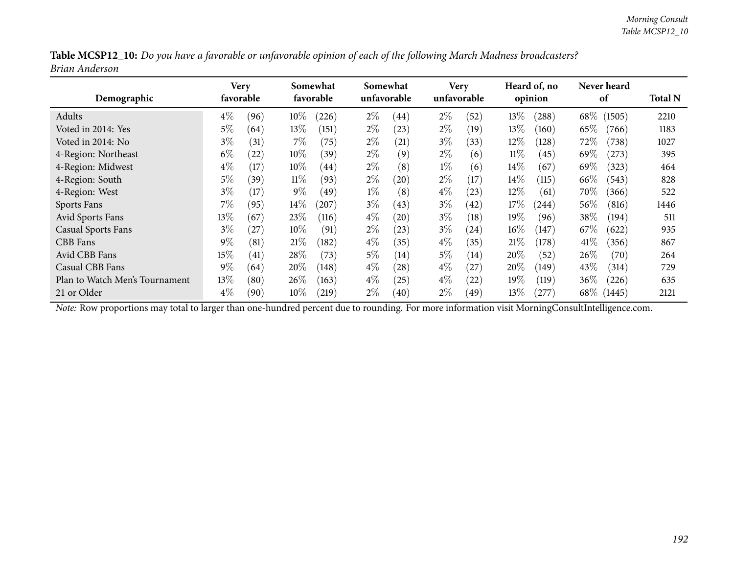| Table MCSP12_10: Do you have a favorable or unfavorable opinion of each of the following March Madness broadcasters? |  |
|----------------------------------------------------------------------------------------------------------------------|--|
| Brian Anderson                                                                                                       |  |

| Demographic                    | <b>Very</b> | favorable         |        | Somewhat<br>favorable |       | Somewhat<br>unfavorable |       | <b>Very</b><br>unfavorable |        | Heard of, no<br>opinion |        | Never heard<br>of |      |  |
|--------------------------------|-------------|-------------------|--------|-----------------------|-------|-------------------------|-------|----------------------------|--------|-------------------------|--------|-------------------|------|--|
| Adults                         | $4\%$       | (96)              | $10\%$ | (226)                 | $2\%$ | (44)                    | $2\%$ | (52)                       | 13%    | (288)                   | $68\%$ | (1505)            | 2210 |  |
| Voted in 2014: Yes             | $5\%$       | (64)              | $13\%$ | (151)                 | $2\%$ | (23)                    | $2\%$ | (19)                       | 13%    | (160)                   | 65\%   | (766)             | 1183 |  |
| Voted in 2014: No              | $3\%$       | (31)              | $7\%$  | (75)                  | $2\%$ | $\left( 21\right)$      | $3\%$ | (33)                       | 12%    | 128)                    | 72\%   | (738)             | 1027 |  |
| 4-Region: Northeast            | $6\%$       | $\left(22\right)$ | $10\%$ | (39)                  | $2\%$ | (9)                     | $2\%$ | (6)                        | $11\%$ | (45)                    | 69%    | (273)             | 395  |  |
| 4-Region: Midwest              | $4\%$       | (17)              | $10\%$ | (44)                  | $2\%$ | (8)                     | $1\%$ | (6)                        | $14\%$ | (67)                    | 69\%   | (323)             | 464  |  |
| 4-Region: South                | $5\%$       | (39)              | $11\%$ | (93)                  | $2\%$ | (20)                    | $2\%$ | (17)                       | $14\%$ | (115)                   | 66\%   | (543)             | 828  |  |
| 4-Region: West                 | $3\%$       | (17)              | $9\%$  | (49)                  | $1\%$ | (8)                     | $4\%$ | (23)                       | $12\%$ | (61)                    | 70\%   | (366)             | 522  |  |
| Sports Fans                    | $7\%$       | (95)              | $14\%$ | $^{'}207$             | $3\%$ | (43)                    | $3\%$ | (42)                       | 17%    | (244)                   | 56%    | (816)             | 1446 |  |
| <b>Avid Sports Fans</b>        | $13\%$      | (67)              | 23%    | (116)                 | $4\%$ | (20)                    | $3\%$ | (18)                       | $19\%$ | (96)                    | $38\%$ | (194)             | 511  |  |
| <b>Casual Sports Fans</b>      | $3\%$       | 27                | $10\%$ | (91)                  | $2\%$ | $^{'}23)$               | $3\%$ | (24)                       | 16%    | (147)                   | $67\%$ | (622)             | 935  |  |
| CBB Fans                       | $9\%$       | (81)              | 21%    | (182)                 | $4\%$ | (35)                    | $4\%$ | (35)                       | 21%    | (178)                   | 41\%   | (356)             | 867  |  |
| Avid CBB Fans                  | 15%         | (41)              | 28\%   | (73)                  | $5\%$ | (14)                    | $5\%$ | (14)                       | 20%    | (52)                    | 26\%   | (70)              | 264  |  |
| Casual CBB Fans                | $9\%$       | (64)              | 20%    | (148)                 | $4\%$ | (28)                    | $4\%$ | (27)                       | 20%    | (149)                   | 43\%   | (314)             | 729  |  |
| Plan to Watch Men's Tournament | 13\%        | (80)              | $26\%$ | (163)                 | $4\%$ | $^{'}25)$               | $4\%$ | (22)                       | 19%    | (119)                   | 36%    | (226)             | 635  |  |
| 21 or Older                    | $4\%$       | (90)              | $10\%$ | (219)                 | $2\%$ | (40)                    | $2\%$ | (49)                       | 13%    | $^{'}277)$              | $68\%$ | (1445)            | 2121 |  |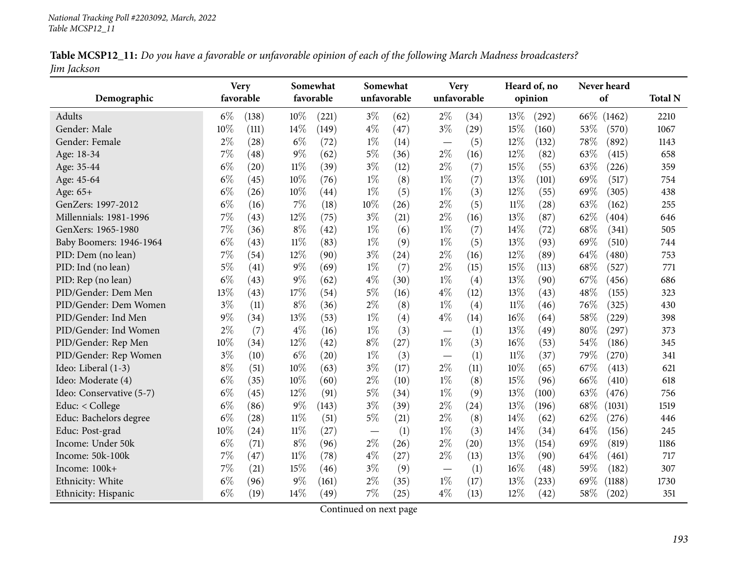| Table MCSP12_11: Do you have a favorable or unfavorable opinion of each of the following March Madness broadcasters? |  |
|----------------------------------------------------------------------------------------------------------------------|--|
| Jim Jackson                                                                                                          |  |

|                          | Somewhat<br><b>Very</b> |           |        |           | Somewhat                 |             | <b>Very</b>              |      | Heard of, no | Never heard |        |        |                |
|--------------------------|-------------------------|-----------|--------|-----------|--------------------------|-------------|--------------------------|------|--------------|-------------|--------|--------|----------------|
| Demographic              |                         | favorable |        | favorable |                          | unfavorable | unfavorable              |      |              | opinion     | of     |        | <b>Total N</b> |
| Adults                   | $6\%$                   | (138)     | 10%    | (221)     | $3\%$                    | (62)        | $2\%$                    | (34) | 13%          | (292)       | 66\%   | (1462) | 2210           |
| Gender: Male             | 10%                     | (111)     | 14%    | (149)     | $4\%$                    | (47)        | $3\%$                    | (29) | 15%          | (160)       | 53%    | (570)  | 1067           |
| Gender: Female           | $2\%$                   | (28)      | $6\%$  | (72)      | $1\%$                    | (14)        |                          | (5)  | 12%          | (132)       | 78%    | (892)  | 1143           |
| Age: 18-34               | $7\%$                   | (48)      | $9\%$  | (62)      | $5\%$                    | (36)        | $2\%$                    | (16) | 12%          | (82)        | 63%    | (415)  | 658            |
| Age: 35-44               | $6\%$                   | (20)      | $11\%$ | (39)      | $3\%$                    | (12)        | $2\%$                    | (7)  | 15%          | (55)        | 63\%   | (226)  | 359            |
| Age: 45-64               | $6\%$                   | (45)      | 10%    | (76)      | $1\%$                    | (8)         | $1\%$                    | (7)  | 13%          | (101)       | 69%    | (517)  | 754            |
| Age: 65+                 | $6\%$                   | (26)      | 10%    | (44)      | $1\%$                    | (5)         | $1\%$                    | (3)  | 12%          | (55)        | 69%    | (305)  | 438            |
| GenZers: 1997-2012       | $6\%$                   | (16)      | $7\%$  | (18)      | 10%                      | (26)        | $2\%$                    | (5)  | $11\%$       | (28)        | 63%    | (162)  | 255            |
| Millennials: 1981-1996   | 7%                      | (43)      | 12%    | (75)      | $3\%$                    | (21)        | $2\%$                    | (16) | 13%          | (87)        | 62%    | (404)  | 646            |
| GenXers: 1965-1980       | 7%                      | (36)      | $8\%$  | (42)      | $1\%$                    | (6)         | $1\%$                    | (7)  | 14%          | (72)        | 68%    | (341)  | 505            |
| Baby Boomers: 1946-1964  | $6\%$                   | (43)      | $11\%$ | (83)      | $1\%$                    | (9)         | $1\%$                    | (5)  | 13%          | (93)        | 69%    | (510)  | 744            |
| PID: Dem (no lean)       | 7%                      | (54)      | 12%    | (90)      | $3\%$                    | (24)        | $2\%$                    | (16) | 12%          | (89)        | 64%    | (480)  | 753            |
| PID: Ind (no lean)       | 5%                      | (41)      | $9\%$  | (69)      | $1\%$                    | (7)         | $2\%$                    | (15) | 15%          | (113)       | 68\%   | (527)  | 771            |
| PID: Rep (no lean)       | $6\%$                   | (43)      | $9\%$  | (62)      | $4\%$                    | (30)        | $1\%$                    | (4)  | 13%          | (90)        | 67\%   | (456)  | 686            |
| PID/Gender: Dem Men      | 13%                     | (43)      | 17%    | (54)      | $5\%$                    | (16)        | $4\%$                    | (12) | 13%          | (43)        | 48%    | (155)  | 323            |
| PID/Gender: Dem Women    | $3\%$                   | (11)      | $8\%$  | (36)      | $2\%$                    | (8)         | $1\%$                    | (4)  | $11\%$       | (46)        | 76%    | (325)  | 430            |
| PID/Gender: Ind Men      | 9%                      | (34)      | 13%    | (53)      | $1\%$                    | (4)         | $4\%$                    | (14) | 16%          | (64)        | 58%    | (229)  | 398            |
| PID/Gender: Ind Women    | $2\%$                   | (7)       | $4\%$  | (16)      | $1\%$                    | (3)         | $\overline{\phantom{m}}$ | (1)  | 13%          | (49)        | $80\%$ | (297)  | 373            |
| PID/Gender: Rep Men      | 10%                     | (34)      | 12%    | (42)      | $8\%$                    | (27)        | $1\%$                    | (3)  | 16%          | (53)        | 54%    | (186)  | 345            |
| PID/Gender: Rep Women    | $3\%$                   | (10)      | $6\%$  | (20)      | $1\%$                    | (3)         | $\overline{\phantom{0}}$ | (1)  | $11\%$       | (37)        | 79%    | (270)  | 341            |
| Ideo: Liberal (1-3)      | $8\%$                   | (51)      | 10%    | (63)      | $3\%$                    | (17)        | $2\%$                    | (11) | 10%          | (65)        | 67%    | (413)  | 621            |
| Ideo: Moderate (4)       | $6\%$                   | (35)      | 10%    | (60)      | $2\%$                    | (10)        | $1\%$                    | (8)  | 15%          | (96)        | 66%    | (410)  | 618            |
| Ideo: Conservative (5-7) | $6\%$                   | (45)      | $12\%$ | (91)      | 5%                       | (34)        | $1\%$                    | (9)  | 13%          | (100)       | 63%    | (476)  | 756            |
| Educ: < College          | $6\%$                   | (86)      | $9\%$  | (143)     | $3\%$                    | (39)        | $2\%$                    | (24) | 13%          | (196)       | 68\%   | (1031) | 1519           |
| Educ: Bachelors degree   | $6\%$                   | (28)      | 11%    | (51)      | $5\%$                    | (21)        | $2\%$                    | (8)  | 14%          | (62)        | 62%    | (276)  | 446            |
| Educ: Post-grad          | 10%                     | (24)      | $11\%$ | (27)      | $\overline{\phantom{m}}$ | (1)         | $1\%$                    | (3)  | 14\%         | (34)        | 64%    | (156)  | 245            |
| Income: Under 50k        | $6\%$                   | (71)      | $8\%$  | (96)      | $2\%$                    | (26)        | $2\%$                    | (20) | 13%          | (154)       | 69%    | (819)  | 1186           |
| Income: 50k-100k         | 7%                      | (47)      | $11\%$ | (78)      | $4\%$                    | (27)        | $2\%$                    | (13) | 13%          | (90)        | 64%    | (461)  | 717            |
| Income: 100k+            | 7%                      | (21)      | 15%    | (46)      | $3\%$                    | (9)         |                          | (1)  | 16%          | (48)        | 59%    | (182)  | 307            |
| Ethnicity: White         | $6\%$                   | (96)      | 9%     | (161)     | $2\%$                    | (35)        | $1\%$                    | (17) | 13%          | (233)       | 69%    | (1188) | 1730           |
| Ethnicity: Hispanic      | $6\%$                   | (19)      | 14%    | (49)      | 7%                       | (25)        | $4\%$                    | (13) | 12%          | (42)        | 58%    | (202)  | 351            |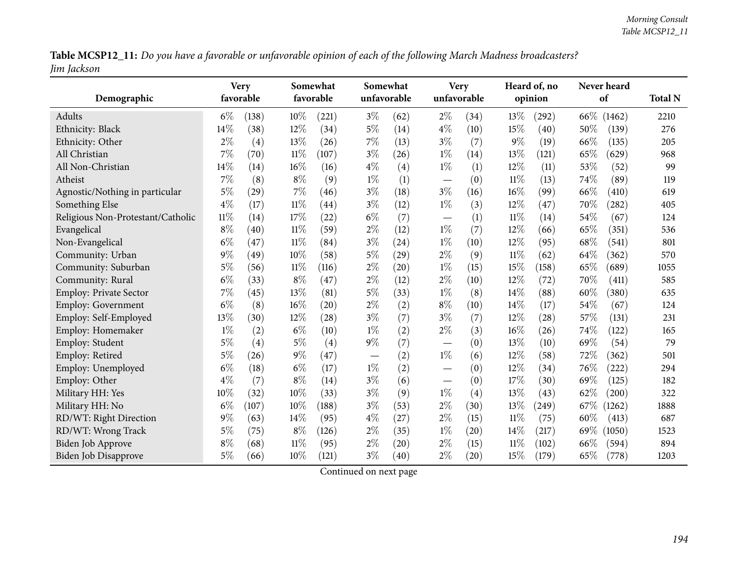Table MCSP12\_11: Do you have a favorable or unfavorable opinion of each of the following March Madness broadcasters? *Jim Jackson*

| Demographic                       |        | <b>Very</b><br>favorable |        | Somewhat<br>favorable |                          | Somewhat<br>unfavorable |                                   | <b>Very</b><br>unfavorable |        | Heard of, no<br>opinion |      | Never heard<br>of |      |  |
|-----------------------------------|--------|--------------------------|--------|-----------------------|--------------------------|-------------------------|-----------------------------------|----------------------------|--------|-------------------------|------|-------------------|------|--|
| Adults                            | $6\%$  | (138)                    | 10%    | (221)                 | $3\%$                    | (62)                    | $2\%$                             | (34)                       | 13%    | (292)                   |      | 66\% (1462)       | 2210 |  |
| Ethnicity: Black                  | 14%    | (38)                     | 12%    | (34)                  | $5\%$                    | (14)                    | $4\%$                             | (10)                       | 15%    | (40)                    | 50%  | (139)             | 276  |  |
| Ethnicity: Other                  | $2\%$  | (4)                      | 13%    | (26)                  | $7\%$                    | (13)                    | $3\%$                             | (7)                        | $9\%$  | (19)                    | 66%  | (135)             | 205  |  |
| All Christian                     | 7%     | (70)                     | $11\%$ | (107)                 | $3\%$                    | (26)                    | $1\%$                             | (14)                       | 13%    | (121)                   | 65%  | (629)             | 968  |  |
| All Non-Christian                 | 14%    | (14)                     | 16%    | (16)                  | $4\%$                    | (4)                     | $1\%$                             | (1)                        | 12%    | (11)                    | 53%  | (52)              | 99   |  |
| Atheist                           | 7%     | (8)                      | $8\%$  | (9)                   | $1\%$                    | (1)                     | $\overbrace{\phantom{123221111}}$ | (0)                        | $11\%$ | (13)                    | 74%  | (89)              | 119  |  |
| Agnostic/Nothing in particular    | 5%     | (29)                     | 7%     | (46)                  | $3\%$                    | (18)                    | $3\%$                             | (16)                       | 16%    | (99)                    | 66%  | (410)             | 619  |  |
| Something Else                    | $4\%$  | (17)                     | $11\%$ | $\left( 44\right)$    | $3\%$                    | (12)                    | $1\%$                             | (3)                        | 12%    | (47)                    | 70%  | (282)             | 405  |  |
| Religious Non-Protestant/Catholic | $11\%$ | (14)                     | 17%    | (22)                  | $6\%$                    | (7)                     | $\overline{\phantom{0}}$          | (1)                        | $11\%$ | (14)                    | 54\% | (67)              | 124  |  |
| Evangelical                       | $8\%$  | (40)                     | $11\%$ | (59)                  | $2\%$                    | (12)                    | $1\%$                             | (7)                        | 12%    | (66)                    | 65%  | (351)             | 536  |  |
| Non-Evangelical                   | $6\%$  | (47)                     | $11\%$ | (84)                  | $3\%$                    | (24)                    | $1\%$                             | (10)                       | 12%    | (95)                    | 68%  | (541)             | 801  |  |
| Community: Urban                  | $9\%$  | (49)                     | 10%    | (58)                  | $5\%$                    | (29)                    | $2\%$                             | (9)                        | $11\%$ | (62)                    | 64%  | (362)             | 570  |  |
| Community: Suburban               | $5\%$  | (56)                     | $11\%$ | (116)                 | $2\%$                    | (20)                    | $1\%$                             | (15)                       | 15%    | (158)                   | 65%  | (689)             | 1055 |  |
| Community: Rural                  | $6\%$  | (33)                     | $8\%$  | (47)                  | $2\%$                    | (12)                    | $2\%$                             | (10)                       | 12%    | (72)                    | 70%  | (411)             | 585  |  |
| Employ: Private Sector            | 7%     | (45)                     | 13%    | (81)                  | $5\%$                    | (33)                    | $1\%$                             | (8)                        | 14%    | (88)                    | 60%  | (380)             | 635  |  |
| <b>Employ: Government</b>         | $6\%$  | (8)                      | 16%    | (20)                  | $2\%$                    | (2)                     | $8\%$                             | (10)                       | 14%    | (17)                    | 54%  | (67)              | 124  |  |
| Employ: Self-Employed             | 13%    | (30)                     | 12%    | (28)                  | $3\%$                    | (7)                     | $3\%$                             | (7)                        | 12%    | (28)                    | 57%  | (131)             | 231  |  |
| Employ: Homemaker                 | $1\%$  | (2)                      | $6\%$  | (10)                  | $1\%$                    | (2)                     | $2\%$                             | (3)                        | 16%    | (26)                    | 74%  | (122)             | 165  |  |
| Employ: Student                   | $5\%$  | (4)                      | $5\%$  | (4)                   | $9\%$                    | (7)                     | $\overline{\phantom{m}}$          | (0)                        | 13%    | (10)                    | 69%  | (54)              | 79   |  |
| Employ: Retired                   | $5\%$  | (26)                     | $9\%$  | (47)                  | $\overline{\phantom{0}}$ | (2)                     | $1\%$                             | (6)                        | 12%    | (58)                    | 72%  | (362)             | 501  |  |
| Employ: Unemployed                | $6\%$  | (18)                     | $6\%$  | (17)                  | $1\%$                    | (2)                     | $\overline{\phantom{0}}$          | (0)                        | 12%    | (34)                    | 76%  | (222)             | 294  |  |
| Employ: Other                     | $4\%$  | (7)                      | $8\%$  | (14)                  | $3\%$                    | (6)                     | $\overbrace{\phantom{13333}}$     | (0)                        | 17%    | (30)                    | 69%  | (125)             | 182  |  |
| Military HH: Yes                  | 10%    | (32)                     | 10%    | (33)                  | $3\%$                    | (9)                     | $1\%$                             | (4)                        | 13%    | (43)                    | 62%  | (200)             | 322  |  |
| Military HH: No                   | $6\%$  | (107)                    | 10%    | (188)                 | $3\%$                    | (53)                    | $2\%$                             | (30)                       | 13%    | (249)                   | 67\% | (1262)            | 1888 |  |
| RD/WT: Right Direction            | $9\%$  | (63)                     | 14%    | (95)                  | $4\%$                    | (27)                    | $2\%$                             | (15)                       | $11\%$ | (75)                    | 60%  | (413)             | 687  |  |
| RD/WT: Wrong Track                | $5\%$  | (75)                     | $8\%$  | (126)                 | $2\%$                    | (35)                    | $1\%$                             | (20)                       | 14%    | (217)                   | 69%  | (1050)            | 1523 |  |
| <b>Biden Job Approve</b>          | $8\%$  | (68)                     | $11\%$ | (95)                  | $2\%$                    | (20)                    | $2\%$                             | (15)                       | $11\%$ | (102)                   | 66%  | (594)             | 894  |  |
| Biden Job Disapprove              | $5\%$  | (66)                     | 10%    | (121)                 | $3\%$                    | (40)                    | $2\%$                             | (20)                       | 15%    | (179)                   | 65%  | (778)             | 1203 |  |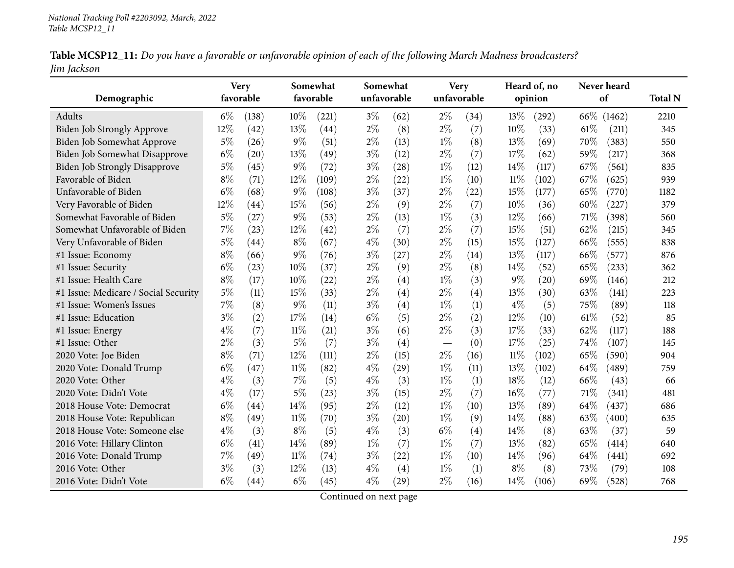| Table MCSP12_11: Do you have a favorable or unfavorable opinion of each of the following March Madness broadcasters? |  |
|----------------------------------------------------------------------------------------------------------------------|--|
| Jim Jackson                                                                                                          |  |

|                                      |       | <b>Very</b>        |        | Somewhat  |       | Somewhat           |             | <b>Very</b> |        | Heard of, no |      | Never heard |                |
|--------------------------------------|-------|--------------------|--------|-----------|-------|--------------------|-------------|-------------|--------|--------------|------|-------------|----------------|
| Demographic                          |       | favorable          |        | favorable |       | unfavorable        | unfavorable |             |        | opinion      |      | of          | <b>Total N</b> |
| Adults                               | $6\%$ | (138)              | 10%    | (221)     | $3\%$ | (62)               | $2\%$       | (34)        | 13%    | (292)        | 66\% | (1462)      | 2210           |
| <b>Biden Job Strongly Approve</b>    | 12%   | (42)               | 13%    | (44)      | $2\%$ | (8)                | $2\%$       | (7)         | 10%    | (33)         | 61\% | (211)       | 345            |
| Biden Job Somewhat Approve           | $5\%$ | (26)               | $9\%$  | (51)      | $2\%$ | (13)               | $1\%$       | (8)         | 13%    | (69)         | 70%  | (383)       | 550            |
| Biden Job Somewhat Disapprove        | $6\%$ | $\left( 20\right)$ | 13%    | (49)      | $3\%$ | (12)               | $2\%$       | (7)         | 17%    | (62)         | 59%  | (217)       | 368            |
| <b>Biden Job Strongly Disapprove</b> | $5\%$ | (45)               | 9%     | (72)      | $3\%$ | (28)               | $1\%$       | (12)        | 14%    | (117)        | 67%  | (561)       | 835            |
| Favorable of Biden                   | $8\%$ | (71)               | 12%    | (109)     | $2\%$ | (22)               | $1\%$       | (10)        | $11\%$ | (102)        | 67%  | (625)       | 939            |
| Unfavorable of Biden                 | $6\%$ | (68)               | $9\%$  | (108)     | $3\%$ | (37)               | $2\%$       | (22)        | 15%    | (177)        | 65%  | (770)       | 1182           |
| Very Favorable of Biden              | 12%   | (44)               | 15%    | (56)      | $2\%$ | (9)                | $2\%$       | (7)         | 10%    | (36)         | 60%  | (227)       | 379            |
| Somewhat Favorable of Biden          | $5\%$ | (27)               | $9\%$  | (53)      | $2\%$ | (13)               | $1\%$       | (3)         | 12%    | (66)         | 71%  | (398)       | 560            |
| Somewhat Unfavorable of Biden        | 7%    | (23)               | 12%    | (42)      | $2\%$ | (7)                | $2\%$       | (7)         | 15%    | (51)         | 62%  | (215)       | 345            |
| Very Unfavorable of Biden            | $5\%$ | (44)               | $8\%$  | (67)      | $4\%$ | (30)               | $2\%$       | (15)        | 15%    | (127)        | 66\% | (555)       | 838            |
| #1 Issue: Economy                    | $8\%$ | (66)               | 9%     | (76)      | $3\%$ | (27)               | $2\%$       | (14)        | 13%    | (117)        | 66%  | (577)       | 876            |
| #1 Issue: Security                   | $6\%$ | (23)               | 10%    | (37)      | $2\%$ | (9)                | $2\%$       | (8)         | 14%    | (52)         | 65%  | (233)       | 362            |
| #1 Issue: Health Care                | $8\%$ | (17)               | 10%    | (22)      | $2\%$ | (4)                | $1\%$       | (3)         | $9\%$  | (20)         | 69%  | (146)       | 212            |
| #1 Issue: Medicare / Social Security | $5\%$ | (11)               | 15%    | (33)      | $2\%$ | (4)                | $2\%$       | (4)         | 13%    | (30)         | 63%  | (141)       | 223            |
| #1 Issue: Women's Issues             | 7%    | (8)                | $9\%$  | (11)      | $3\%$ | (4)                | $1\%$       | (1)         | $4\%$  | (5)          | 75%  | (89)        | 118            |
| #1 Issue: Education                  | $3\%$ | (2)                | 17%    | (14)      | $6\%$ | (5)                | $2\%$       | (2)         | 12%    | (10)         | 61\% | (52)        | 85             |
| #1 Issue: Energy                     | $4\%$ | (7)                | $11\%$ | (21)      | $3\%$ | (6)                | $2\%$       | (3)         | 17%    | (33)         | 62%  | (117)       | 188            |
| #1 Issue: Other                      | $2\%$ | (3)                | $5\%$  | (7)       | $3\%$ | (4)                |             | (0)         | 17%    | (25)         | 74%  | (107)       | 145            |
| 2020 Vote: Joe Biden                 | $8\%$ | (71)               | 12%    | (111)     | $2\%$ | (15)               | $2\%$       | (16)        | $11\%$ | (102)        | 65%  | (590)       | 904            |
| 2020 Vote: Donald Trump              | $6\%$ | (47)               | $11\%$ | (82)      | $4\%$ | (29)               | $1\%$       | (11)        | 13%    | (102)        | 64\% | (489)       | 759            |
| 2020 Vote: Other                     | $4\%$ | (3)                | 7%     | (5)       | $4\%$ | (3)                | $1\%$       | (1)         | 18%    | (12)         | 66%  | (43)        | 66             |
| 2020 Vote: Didn't Vote               | $4\%$ | (17)               | 5%     | (23)      | $3\%$ | (15)               | $2\%$       | (7)         | 16%    | (77)         | 71%  | (341)       | 481            |
| 2018 House Vote: Democrat            | $6\%$ | (44)               | 14%    | (95)      | $2\%$ | (12)               | $1\%$       | (10)        | 13%    | (89)         | 64%  | (437)       | 686            |
| 2018 House Vote: Republican          | $8\%$ | (49)               | $11\%$ | (70)      | $3\%$ | (20)               | $1\%$       | (9)         | 14%    | (88)         | 63\% | (400)       | 635            |
| 2018 House Vote: Someone else        | $4\%$ | (3)                | $8\%$  | (5)       | $4\%$ | (3)                | $6\%$       | (4)         | 14%    | (8)          | 63%  | (37)        | 59             |
| 2016 Vote: Hillary Clinton           | $6\%$ | (41)               | 14%    | (89)      | $1\%$ | (7)                | $1\%$       | (7)         | 13%    | (82)         | 65%  | (414)       | 640            |
| 2016 Vote: Donald Trump              | 7%    | (49)               | $11\%$ | (74)      | $3\%$ | (22)               | $1\%$       | (10)        | 14%    | (96)         | 64%  | (441)       | 692            |
| 2016 Vote: Other                     | $3\%$ | (3)                | 12%    | (13)      | $4\%$ | (4)                | $1\%$       | (1)         | $8\%$  | (8)          | 73%  | (79)        | 108            |
| 2016 Vote: Didn't Vote               | $6\%$ | (44)               | $6\%$  | (45)      | $4\%$ | $\left( 29\right)$ | $2\%$       | (16)        | 14%    | (106)        | 69%  | (528)       | 768            |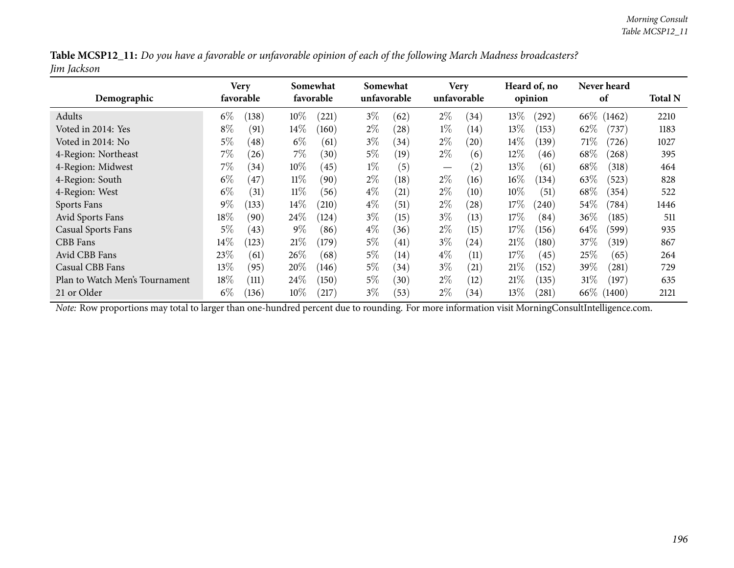| Table MCSP12_11: Do you have a favorable or unfavorable opinion of each of the following March Madness broadcasters? |  |
|----------------------------------------------------------------------------------------------------------------------|--|
| Jim Jackson                                                                                                          |  |

| Demographic                    |        | Very<br>favorable  |        | Somewhat<br>favorable |       | Somewhat<br>unfavorable |                                 | <b>Very</b><br>unfavorable |        | Heard of, no<br>opinion |        | Never heard<br>of | <b>Total N</b> |
|--------------------------------|--------|--------------------|--------|-----------------------|-------|-------------------------|---------------------------------|----------------------------|--------|-------------------------|--------|-------------------|----------------|
| Adults                         | $6\%$  | (138)              | 10%    | (221)                 | $3\%$ | (62)                    | $2\%$                           | (34)                       | 13\%   | $^{(292)}$              | 66\%   | (1462)            | 2210           |
| Voted in 2014: Yes             | $8\%$  | (91)               | $14\%$ | (160)                 | $2\%$ | (28)                    | $1\%$                           | $\left(14\right)$          | 13%    | (153)                   | 62%    | (737)             | 1183           |
| Voted in 2014: No              | $5\%$  | (48)               | $6\%$  | (61)                  | $3\%$ | (34)                    | $2\%$                           | (20)                       | $14\%$ | (139)                   | 71%    | (726)             | 1027           |
| 4-Region: Northeast            | $7\%$  | (26)               | $7\%$  | (30)                  | $5\%$ | (19)                    | $2\%$                           | (6)                        | 12%    | (46)                    | $68\%$ | (268)             | 395            |
| 4-Region: Midwest              | $7\%$  | (34)               | $10\%$ | (45)                  | $1\%$ | (5)                     | $\hspace{0.1mm}-\hspace{0.1mm}$ | (2)                        | 13%    | (61)                    | $68\%$ | (318)             | 464            |
| 4-Region: South                | $6\%$  | (47)               | $11\%$ | (90)                  | $2\%$ | (18)                    | $2\%$                           | (16)                       | $16\%$ | (134)                   | 63\%   | (523)             | 828            |
| 4-Region: West                 | $6\%$  | (31)               | $11\%$ | (56)                  | $4\%$ | $\left( 21\right)$      | $2\%$                           | (10)                       | $10\%$ | (51)                    | $68\%$ | (354)             | 522            |
| Sports Fans                    | $9\%$  | (133)              | $14\%$ | (210)                 | $4\%$ | (51)                    | $2\%$                           | (28)                       | 17%    | (240)                   | $54\%$ | (784)             | 1446           |
| Avid Sports Fans               | 18\%   | (90)               | 24%    | (124)                 | $3\%$ | (15)                    | $3\%$                           | (13)                       | 17%    | (84)                    | 36\%   | (185)             | 511            |
| <b>Casual Sports Fans</b>      | $5\%$  | (43)               | $9\%$  | (86)                  | $4\%$ | (36)                    | $2\%$                           | (15)                       | 17%    | (156)                   | $64\%$ | (599)             | 935            |
| CBB Fans                       | $14\%$ | (123)              | 21%    | (179)                 | $5\%$ | (41)                    | $3\%$                           | (24)                       | 21%    | (180)                   | 37\%   | (319)             | 867            |
| Avid CBB Fans                  | 23\%   | (61)               | 26%    | (68)                  | $5\%$ | (14)                    | $4\%$                           | (11)                       | 17%    | (45)                    | 25%    | (65)              | 264            |
| Casual CBB Fans                | $13\%$ | (95)               | 20%    | (146)                 | $5\%$ | (34)                    | $3\%$                           | (21)                       | 21%    | (152)                   | 39\%   | (281)             | 729            |
| Plan to Watch Men's Tournament | $18\%$ | $\left(111\right)$ | 24\%   | (150)                 | $5\%$ | (30)                    | $2\%$                           | (12)                       | 21%    | (135)                   | 31%    | (197)             | 635            |
| 21 or Older                    | $6\%$  | (136)              | $10\%$ | (217)                 | $3\%$ | (53)                    | $2\%$                           | (34)                       | 13\%   | (281)                   | $66\%$ | (1400)            | 2121           |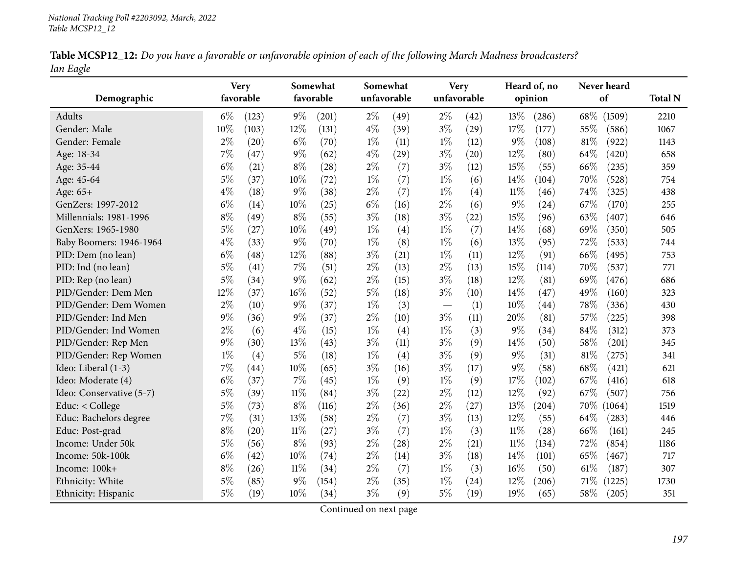| Table MCSP12_12: Do you have a favorable or unfavorable opinion of each of the following March Madness broadcasters? |  |
|----------------------------------------------------------------------------------------------------------------------|--|
| Ian Eagle                                                                                                            |  |

|                          |       | <b>Very</b> |        | Somewhat  | Somewhat    |                    |                                  | <b>Very</b> |        | Heard of, no       |      | Never heard |                |
|--------------------------|-------|-------------|--------|-----------|-------------|--------------------|----------------------------------|-------------|--------|--------------------|------|-------------|----------------|
| Demographic              |       | favorable   |        | favorable | unfavorable |                    |                                  | unfavorable |        | opinion            |      | of          | <b>Total N</b> |
| Adults                   | $6\%$ | (123)       | $9\%$  | (201)     | $2\%$       | (49)               | $2\%$                            | (42)        | 13%    | (286)              | 68\% | (1509)      | 2210           |
| Gender: Male             | 10%   | (103)       | 12%    | (131)     | $4\%$       | (39)               | $3\%$                            | (29)        | 17%    | (177)              | 55%  | (586)       | 1067           |
| Gender: Female           | $2\%$ | (20)        | $6\%$  | (70)      | $1\%$       | (11)               | $1\%$                            | (12)        | 9%     | (108)              | 81%  | (922)       | 1143           |
| Age: 18-34               | $7\%$ | (47)        | $9\%$  | (62)      | $4\%$       | (29)               | $3\%$                            | (20)        | 12%    | (80)               | 64%  | (420)       | 658            |
| Age: 35-44               | $6\%$ | (21)        | $8\%$  | (28)      | $2\%$       | (7)                | $3\%$                            | (12)        | 15%    | (55)               | 66%  | (235)       | 359            |
| Age: 45-64               | $5\%$ | (37)        | 10%    | (72)      | $1\%$       | (7)                | $1\%$                            | (6)         | 14\%   | (104)              | 70%  | (528)       | 754            |
| Age: 65+                 | $4\%$ | (18)        | $9\%$  | (38)      | $2\%$       | (7)                | $1\%$                            | (4)         | $11\%$ | (46)               | 74%  | (325)       | 438            |
| GenZers: 1997-2012       | $6\%$ | (14)        | 10%    | (25)      | $6\%$       | (16)               | $2\%$                            | (6)         | 9%     | (24)               | 67%  | (170)       | 255            |
| Millennials: 1981-1996   | $8\%$ | (49)        | $8\%$  | (55)      | $3\%$       | (18)               | $3\%$                            | (22)        | 15%    | (96)               | 63%  | (407)       | 646            |
| GenXers: 1965-1980       | $5\%$ | (27)        | 10%    | (49)      | $1\%$       | (4)                | $1\%$                            | (7)         | 14%    | (68)               | 69%  | (350)       | 505            |
| Baby Boomers: 1946-1964  | $4\%$ | (33)        | $9\%$  | (70)      | $1\%$       | (8)                | $1\%$                            | (6)         | 13%    | (95)               | 72%  | (533)       | 744            |
| PID: Dem (no lean)       | $6\%$ | (48)        | 12%    | (88)      | $3\%$       | (21)               | $1\%$                            | (11)        | 12%    | (91)               | 66%  | (495)       | 753            |
| PID: Ind (no lean)       | $5\%$ | (41)        | $7\%$  | (51)      | $2\%$       | (13)               | $2\%$                            | (13)        | 15%    | (114)              | 70%  | (537)       | 771            |
| PID: Rep (no lean)       | $5\%$ | (34)        | $9\%$  | (62)      | $2\%$       | (15)               | $3\%$                            | (18)        | 12%    | (81)               | 69%  | (476)       | 686            |
| PID/Gender: Dem Men      | 12%   | (37)        | 16%    | (52)      | $5\%$       | (18)               | $3\%$                            | (10)        | 14%    | (47)               | 49%  | (160)       | 323            |
| PID/Gender: Dem Women    | $2\%$ | (10)        | $9\%$  | (37)      | $1\%$       | (3)                | $\overbrace{\phantom{12322111}}$ | (1)         | 10%    | $\left( 44\right)$ | 78%  | (336)       | 430            |
| PID/Gender: Ind Men      | $9\%$ | (36)        | $9\%$  | (37)      | $2\%$       | (10)               | $3\%$                            | (11)        | 20%    | (81)               | 57%  | (225)       | 398            |
| PID/Gender: Ind Women    | $2\%$ | (6)         | $4\%$  | (15)      | $1\%$       | (4)                | $1\%$                            | (3)         | 9%     | (34)               | 84%  | (312)       | 373            |
| PID/Gender: Rep Men      | $9\%$ | (30)        | 13%    | (43)      | $3\%$       | (11)               | $3\%$                            | (9)         | 14%    | (50)               | 58%  | (201)       | 345            |
| PID/Gender: Rep Women    | $1\%$ | (4)         | $5\%$  | (18)      | $1\%$       | (4)                | $3\%$                            | (9)         | 9%     | (31)               | 81%  | (275)       | 341            |
| Ideo: Liberal (1-3)      | $7\%$ | (44)        | 10%    | (65)      | $3\%$       | (16)               | $3\%$                            | (17)        | 9%     | (58)               | 68%  | (421)       | 621            |
| Ideo: Moderate (4)       | $6\%$ | (37)        | 7%     | (45)      | $1\%$       | (9)                | $1\%$                            | (9)         | 17%    | (102)              | 67%  | (416)       | 618            |
| Ideo: Conservative (5-7) | $5\%$ | (39)        | 11%    | (84)      | $3\%$       | (22)               | $2\%$                            | (12)        | 12%    | (92)               | 67\% | (507)       | 756            |
| Educ: < College          | $5\%$ | (73)        | $8\%$  | (116)     | $2\%$       | (36)               | $2\%$                            | (27)        | 13%    | (204)              | 70\% | (1064)      | 1519           |
| Educ: Bachelors degree   | $7\%$ | (31)        | 13%    | (58)      | $2\%$       | (7)                | $3\%$                            | (13)        | 12%    | (55)               | 64\% | (283)       | 446            |
| Educ: Post-grad          | $8\%$ | (20)        | 11%    | (27)      | $3\%$       | (7)                | $1\%$                            | (3)         | $11\%$ | (28)               | 66%  | (161)       | 245            |
| Income: Under 50k        | $5\%$ | (56)        | $8\%$  | (93)      | $2\%$       | $\left( 28\right)$ | $2\%$                            | (21)        | $11\%$ | (134)              | 72%  | (854)       | 1186           |
| Income: 50k-100k         | $6\%$ | (42)        | 10%    | (74)      | $2\%$       | (14)               | $3\%$                            | (18)        | 14%    | (101)              | 65%  | (467)       | 717            |
| Income: 100k+            | $8\%$ | (26)        | $11\%$ | (34)      | $2\%$       | (7)                | $1\%$                            | (3)         | 16%    | (50)               | 61\% | (187)       | 307            |
| Ethnicity: White         | $5\%$ | (85)        | $9\%$  | (154)     | $2\%$       | (35)               | $1\%$                            | (24)        | 12%    | (206)              | 71%  | (1225)      | 1730           |
| Ethnicity: Hispanic      | $5\%$ | (19)        | 10%    | (34)      | $3\%$       | (9)                | $5\%$                            | (19)        | 19%    | (65)               | 58%  | (205)       | 351            |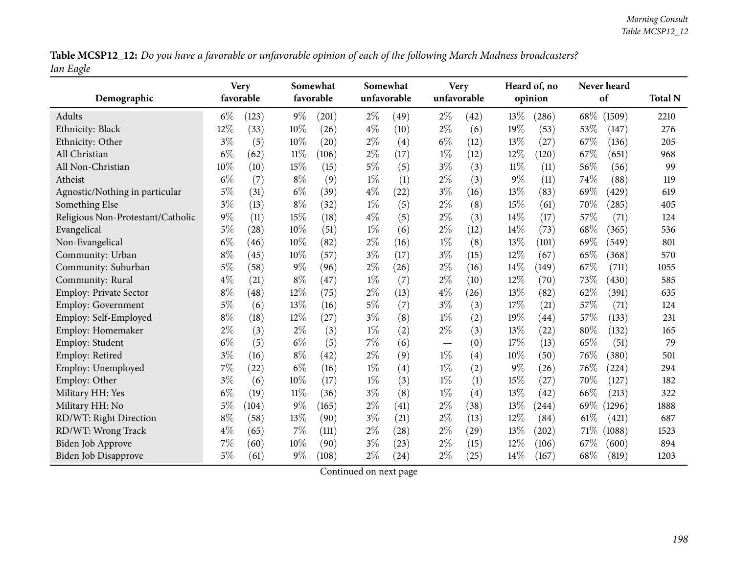Table MCSP12\_12: Do you have a favorable or unfavorable opinion of each of the following March Madness broadcasters? *Ian Eagle*

| Demographic                       |       | <b>Very</b><br>favorable |        | Somewhat<br>favorable |       | Somewhat<br>unfavorable |                          | <b>Very</b><br>unfavorable |        | Heard of, no<br>opinion |        | Never heard<br>of | <b>Total N</b> |
|-----------------------------------|-------|--------------------------|--------|-----------------------|-------|-------------------------|--------------------------|----------------------------|--------|-------------------------|--------|-------------------|----------------|
| Adults                            | $6\%$ | (123)                    | $9\%$  | (201)                 | $2\%$ | (49)                    | $2\%$                    | (42)                       | 13%    | (286)                   | $68\%$ | (1509)            | 2210           |
| Ethnicity: Black                  | 12%   | (33)                     | 10%    | (26)                  | $4\%$ | (10)                    | $2\%$                    | (6)                        | 19%    | (53)                    | 53%    | (147)             | 276            |
| Ethnicity: Other                  | $3\%$ | (5)                      | 10%    | (20)                  | $2\%$ | (4)                     | $6\%$                    | (12)                       | 13%    | (27)                    | 67%    | (136)             | 205            |
| All Christian                     | $6\%$ | (62)                     | $11\%$ | (106)                 | $2\%$ | (17)                    | $1\%$                    | (12)                       | 12%    | (120)                   | 67%    | (651)             | 968            |
| All Non-Christian                 | 10%   | (10)                     | 15%    | (15)                  | $5\%$ | (5)                     | $3\%$                    | (3)                        | $11\%$ | (11)                    | 56%    | (56)              | 99             |
| Atheist                           | $6\%$ | (7)                      | $8\%$  | (9)                   | $1\%$ | (1)                     | $2\%$                    | (3)                        | $9\%$  | (11)                    | 74%    | (88)              | 119            |
| Agnostic/Nothing in particular    | 5%    | (31)                     | $6\%$  | (39)                  | $4\%$ | (22)                    | $3\%$                    | (16)                       | 13%    | (83)                    | 69%    | (429)             | 619            |
| Something Else                    | $3\%$ | (13)                     | $8\%$  | (32)                  | $1\%$ | (5)                     | $2\%$                    | (8)                        | 15%    | (61)                    | 70%    | (285)             | 405            |
| Religious Non-Protestant/Catholic | $9\%$ | (11)                     | 15%    | (18)                  | $4\%$ | (5)                     | $2\%$                    | (3)                        | 14%    | (17)                    | 57%    | (71)              | 124            |
| Evangelical                       | $5\%$ | (28)                     | 10%    | (51)                  | $1\%$ | (6)                     | $2\%$                    | (12)                       | 14%    | (73)                    | 68%    | (365)             | 536            |
| Non-Evangelical                   | $6\%$ | (46)                     | 10%    | (82)                  | $2\%$ | (16)                    | $1\%$                    | (8)                        | 13%    | (101)                   | 69%    | (549)             | 801            |
| Community: Urban                  | $8\%$ | (45)                     | 10%    | (57)                  | $3\%$ | (17)                    | $3\%$                    | (15)                       | 12%    | (67)                    | 65%    | (368)             | 570            |
| Community: Suburban               | 5%    | (58)                     | $9\%$  | (96)                  | $2\%$ | (26)                    | $2\%$                    | (16)                       | 14%    | (149)                   | 67%    | (711)             | 1055           |
| Community: Rural                  | $4\%$ | (21)                     | $8\%$  | (47)                  | $1\%$ | (7)                     | $2\%$                    | (10)                       | 12%    | (70)                    | 73%    | (430)             | 585            |
| Employ: Private Sector            | $8\%$ | (48)                     | 12%    | (75)                  | $2\%$ | (13)                    | $4\%$                    | (26)                       | 13%    | (82)                    | 62%    | (391)             | 635            |
| <b>Employ: Government</b>         | $5\%$ | (6)                      | 13%    | (16)                  | $5\%$ | (7)                     | $3\%$                    | (3)                        | 17\%   | (21)                    | 57%    | (71)              | 124            |
| Employ: Self-Employed             | $8\%$ | (18)                     | 12%    | (27)                  | $3\%$ | (8)                     | $1\%$                    | (2)                        | 19%    | (44)                    | 57%    | (133)             | 231            |
| Employ: Homemaker                 | $2\%$ | (3)                      | $2\%$  | (3)                   | $1\%$ | (2)                     | $2\%$                    | (3)                        | 13%    | (22)                    | 80%    | (132)             | 165            |
| Employ: Student                   | $6\%$ | (5)                      | $6\%$  | (5)                   | $7\%$ | (6)                     | $\overline{\phantom{m}}$ | (0)                        | 17\%   | (13)                    | 65%    | (51)              | 79             |
| Employ: Retired                   | $3\%$ | (16)                     | $8\%$  | (42)                  | $2\%$ | (9)                     | $1\%$                    | (4)                        | 10%    | (50)                    | 76%    | (380)             | 501            |
| Employ: Unemployed                | $7\%$ | (22)                     | $6\%$  | (16)                  | $1\%$ | (4)                     | $1\%$                    | (2)                        | $9\%$  | (26)                    | 76%    | (224)             | 294            |
| Employ: Other                     | $3\%$ | (6)                      | 10%    | (17)                  | $1\%$ | (3)                     | $1\%$                    | (1)                        | 15%    | (27)                    | 70%    | (127)             | 182            |
| Military HH: Yes                  | $6\%$ | (19)                     | 11%    | (36)                  | $3\%$ | (8)                     | $1\%$                    | (4)                        | 13%    | (42)                    | 66%    | (213)             | 322            |
| Military HH: No                   | $5\%$ | (104)                    | $9\%$  | (165)                 | $2\%$ | (41)                    | $2\%$                    | (38)                       | 13%    | (244)                   | 69\%   | (1296)            | 1888           |
| RD/WT: Right Direction            | $8\%$ | (58)                     | 13%    | (90)                  | $3\%$ | (21)                    | $2\%$                    | (13)                       | 12%    | (84)                    | 61%    | (421)             | 687            |
| RD/WT: Wrong Track                | $4\%$ | (65)                     | 7%     | (111)                 | $2\%$ | (28)                    | $2\%$                    | (29)                       | 13%    | (202)                   | 71\%   | (1088)            | 1523           |
| <b>Biden Job Approve</b>          | 7%    | (60)                     | 10%    | (90)                  | $3\%$ | (23)                    | $2\%$                    | (15)                       | 12%    | (106)                   | 67%    | (600)             | 894            |
| <b>Biden Job Disapprove</b>       | 5%    | (61)                     | $9\%$  | (108)                 | $2\%$ | (24)                    | $2\%$                    | (25)                       | 14%    | (167)                   | 68%    | (819)             | 1203           |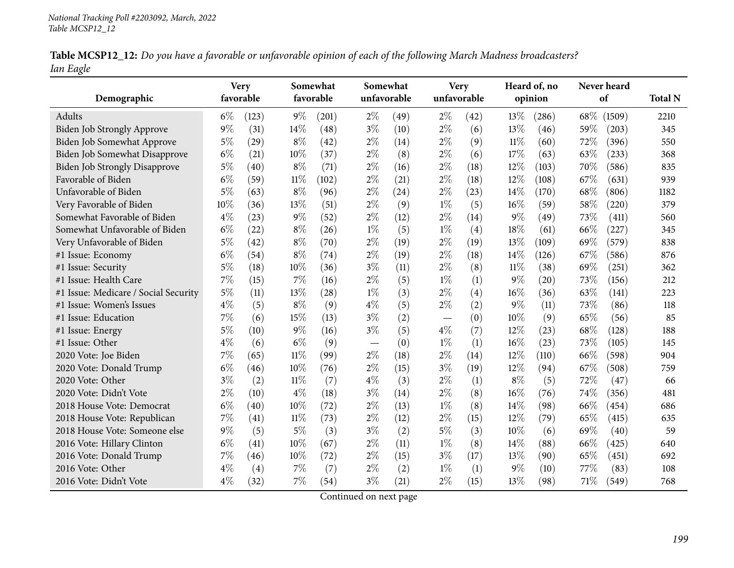| Table MCSP12_12: Do you have a favorable or unfavorable opinion of each of the following March Madness broadcasters? |  |
|----------------------------------------------------------------------------------------------------------------------|--|
| Ian Eagle                                                                                                            |  |

| Demographic                          |       | <b>Very</b><br>favorable |        | Somewhat<br>favorable |       | Somewhat<br>unfavorable | <b>Very</b><br>unfavorable |      |        | Heard of, no<br>opinion |      | Never heard<br>of | <b>Total N</b> |
|--------------------------------------|-------|--------------------------|--------|-----------------------|-------|-------------------------|----------------------------|------|--------|-------------------------|------|-------------------|----------------|
| Adults                               | $6\%$ | (123)                    | $9\%$  | (201)                 | $2\%$ | (49)                    | $2\%$                      | (42) | 13%    | (286)                   | 68\% | (1509)            | 2210           |
| Biden Job Strongly Approve           | 9%    | (31)                     | 14%    | (48)                  | $3\%$ | (10)                    | $2\%$                      | (6)  | 13%    | (46)                    | 59%  | (203)             | 345            |
| Biden Job Somewhat Approve           | $5\%$ | (29)                     | $8\%$  | (42)                  | $2\%$ | (14)                    | $2\%$                      | (9)  | $11\%$ | (60)                    | 72%  | (396)             | 550            |
| Biden Job Somewhat Disapprove        | $6\%$ | (21)                     | 10%    | (37)                  | $2\%$ | (8)                     | $2\%$                      | (6)  | 17%    | (63)                    | 63%  | (233)             | 368            |
| <b>Biden Job Strongly Disapprove</b> | $5\%$ | (40)                     | $8\%$  | (71)                  | $2\%$ | (16)                    | $2\%$                      | (18) | 12%    | (103)                   | 70%  | (586)             | 835            |
| Favorable of Biden                   | $6\%$ | (59)                     | $11\%$ | (102)                 | $2\%$ | (21)                    | $2\%$                      | (18) | 12%    | (108)                   | 67%  | (631)             | 939            |
| Unfavorable of Biden                 | $5\%$ | (63)                     | $8\%$  | (96)                  | $2\%$ | (24)                    | $2\%$                      | (23) | 14%    | (170)                   | 68%  | (806)             | 1182           |
| Very Favorable of Biden              | 10%   | (36)                     | 13%    | (51)                  | $2\%$ | (9)                     | $1\%$                      | (5)  | 16%    | (59)                    | 58%  | (220)             | 379            |
| Somewhat Favorable of Biden          | $4\%$ | (23)                     | $9\%$  | (52)                  | $2\%$ | (12)                    | $2\%$                      | (14) | $9\%$  | (49)                    | 73%  | (411)             | 560            |
| Somewhat Unfavorable of Biden        | $6\%$ | (22)                     | $8\%$  | (26)                  | $1\%$ | (5)                     | $1\%$                      | (4)  | 18%    | (61)                    | 66%  | (227)             | 345            |
| Very Unfavorable of Biden            | $5\%$ | (42)                     | $8\%$  | (70)                  | $2\%$ | (19)                    | $2\%$                      | (19) | 13%    | (109)                   | 69%  | (579)             | 838            |
| #1 Issue: Economy                    | $6\%$ | (54)                     | $8\%$  | (74)                  | $2\%$ | (19)                    | $2\%$                      | (18) | 14%    | (126)                   | 67%  | (586)             | 876            |
| #1 Issue: Security                   | $5\%$ | (18)                     | 10%    | (36)                  | $3\%$ | (11)                    | $2\%$                      | (8)  | $11\%$ | (38)                    | 69%  | (251)             | 362            |
| #1 Issue: Health Care                | 7%    | (15)                     | 7%     | (16)                  | $2\%$ | (5)                     | $1\%$                      | (1)  | $9\%$  | (20)                    | 73%  | (156)             | 212            |
| #1 Issue: Medicare / Social Security | $5\%$ | (11)                     | 13%    | (28)                  | $1\%$ | (3)                     | $2\%$                      | (4)  | 16%    | (36)                    | 63%  | (141)             | 223            |
| #1 Issue: Women's Issues             | $4\%$ | (5)                      | $8\%$  | (9)                   | $4\%$ | (5)                     | $2\%$                      | (2)  | $9\%$  | (11)                    | 73%  | (86)              | 118            |
| #1 Issue: Education                  | 7%    | (6)                      | 15%    | (13)                  | $3\%$ | (2)                     |                            | (0)  | 10%    | (9)                     | 65%  | (56)              | 85             |
| #1 Issue: Energy                     | $5\%$ | (10)                     | 9%     | (16)                  | $3\%$ | (5)                     | $4\%$                      | (7)  | 12%    | (23)                    | 68%  | (128)             | 188            |
| #1 Issue: Other                      | $4\%$ | (6)                      | $6\%$  | (9)                   |       | (0)                     | $1\%$                      | (1)  | 16%    | (23)                    | 73%  | (105)             | 145            |
| 2020 Vote: Joe Biden                 | 7%    | (65)                     | $11\%$ | (99)                  | $2\%$ | (18)                    | $2\%$                      | (14) | 12%    | (110)                   | 66%  | (598)             | 904            |
| 2020 Vote: Donald Trump              | $6\%$ | (46)                     | 10%    | (76)                  | $2\%$ | (15)                    | $3\%$                      | (19) | 12%    | (94)                    | 67%  | (508)             | 759            |
| 2020 Vote: Other                     | $3\%$ | (2)                      | $11\%$ | (7)                   | $4\%$ | (3)                     | $2\%$                      | (1)  | $8\%$  | (5)                     | 72%  | (47)              | 66             |
| 2020 Vote: Didn't Vote               | $2\%$ | (10)                     | $4\%$  | (18)                  | $3\%$ | (14)                    | $2\%$                      | (8)  | 16%    | (76)                    | 74%  | (356)             | 481            |
| 2018 House Vote: Democrat            | $6\%$ | (40)                     | 10%    | (72)                  | $2\%$ | (13)                    | $1\%$                      | (8)  | 14\%   | (98)                    | 66%  | (454)             | 686            |
| 2018 House Vote: Republican          | 7%    | (41)                     | $11\%$ | (73)                  | $2\%$ | (12)                    | $2\%$                      | (15) | 12%    | (79)                    | 65%  | (415)             | 635            |
| 2018 House Vote: Someone else        | $9\%$ | (5)                      | $5\%$  | (3)                   | $3\%$ | (2)                     | $5\%$                      | (3)  | 10%    | (6)                     | 69%  | (40)              | 59             |
| 2016 Vote: Hillary Clinton           | $6\%$ | (41)                     | 10%    | (67)                  | $2\%$ | (11)                    | $1\%$                      | (8)  | 14\%   | (88)                    | 66%  | (425)             | 640            |
| 2016 Vote: Donald Trump              | 7%    | (46)                     | 10%    | (72)                  | $2\%$ | (15)                    | $3\%$                      | (17) | 13%    | (90)                    | 65%  | (451)             | 692            |
| 2016 Vote: Other                     | $4\%$ | (4)                      | 7%     | (7)                   | $2\%$ | (2)                     | $1\%$                      | (1)  | $9\%$  | (10)                    | 77%  | (83)              | 108            |
| 2016 Vote: Didn't Vote               | $4\%$ | (32)                     | 7%     | (54)                  | $3\%$ | (21)                    | $2\%$                      | (15) | 13%    | (98)                    | 71\% | (549)             | 768            |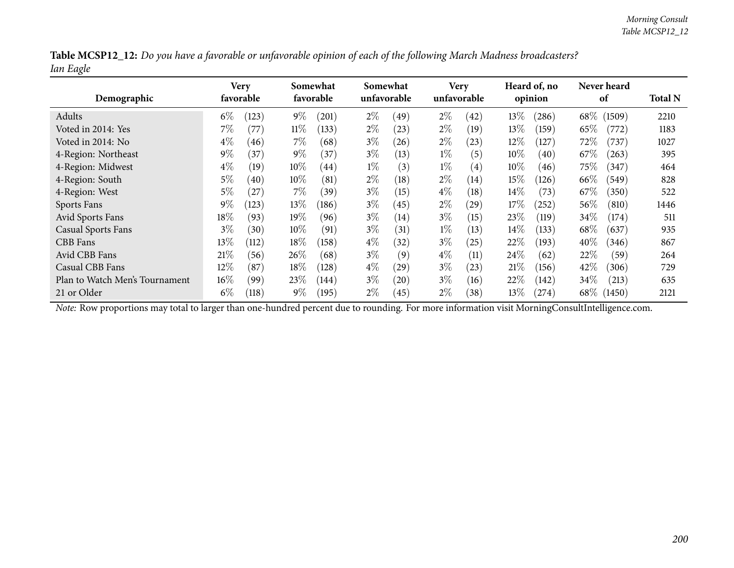|           |  | Table MCSP12_12: Do you have a favorable or unfavorable opinion of each of the following March Madness broadcasters? |
|-----------|--|----------------------------------------------------------------------------------------------------------------------|
| Ian Eagle |  |                                                                                                                      |

| Demographic                    |        | Very<br>favorable |        | Somewhat<br>favorable |       | Somewhat<br>unfavorable |       | <b>Very</b><br>unfavorable |        | Heard of, no<br>opinion |        | Never heard<br>of | <b>Total N</b> |
|--------------------------------|--------|-------------------|--------|-----------------------|-------|-------------------------|-------|----------------------------|--------|-------------------------|--------|-------------------|----------------|
| Adults                         | $6\%$  | (123)             | $9\%$  | (201)                 | $2\%$ | (49)                    | $2\%$ | (42)                       | 13\%   | (286)                   | $68\%$ | (1509)            | 2210           |
| Voted in 2014: Yes             | $7\%$  | (77)              | $11\%$ | (133)                 | $2\%$ | (23)                    | $2\%$ | (19)                       | 13\%   | (159)                   | 65%    | (772)             | 1183           |
| Voted in 2014: No              | $4\%$  | (46)              | 7%     | (68)                  | $3\%$ | (26)                    | $2\%$ | (23)                       | $12\%$ | 127                     | $72\%$ | (737)             | 1027           |
| 4-Region: Northeast            | $9\%$  | (37)              | $9\%$  | (37)                  | $3\%$ | (13)                    | $1\%$ | (5)                        | $10\%$ | (40)                    | 67\%   | (263)             | 395            |
| 4-Region: Midwest              | $4\%$  | (19)              | $10\%$ | (44)                  | $1\%$ | (3)                     | $1\%$ | $\left( 4\right)$          | $10\%$ | (46)                    | $75\%$ | (347)             | 464            |
| 4-Region: South                | 5%     | (40)              | $10\%$ | (81)                  | $2\%$ | (18)                    | $2\%$ | (14)                       | 15%    | (126)                   | 66\%   | (549)             | 828            |
| 4-Region: West                 | 5%     | $^{'}27$          | $7\%$  | (39)                  | $3\%$ | (15)                    | $4\%$ | (18)                       | $14\%$ | (73)                    | 67\%   | (350)             | 522            |
| Sports Fans                    | $9\%$  | (123)             | $13\%$ | (186)                 | $3\%$ | (45)                    | $2\%$ | $\left( 29\right)$         | 17%    | (252)                   | 56\%   | (810)             | 1446           |
| Avid Sports Fans               | $18\%$ | (93)              | $19\%$ | (96)                  | $3\%$ | (14)                    | $3\%$ | (15)                       | 23%    | (119)                   | 34%    | (174)             | 511            |
| <b>Casual Sports Fans</b>      | $3\%$  | (30)              | $10\%$ | (91)                  | $3\%$ | (31)                    | $1\%$ | (13)                       | 14%    | (133)                   | 68\%   | (637)             | 935            |
| CBB Fans                       | $13\%$ | (112)             | 18%    | (158)                 | $4\%$ | (32)                    | $3\%$ | (25)                       | 22%    | (193)                   | 40\%   | (346)             | 867            |
| Avid CBB Fans                  | 21%    | (56)              | 26%    | (68)                  | $3\%$ | (9)                     | $4\%$ | (11)                       | $24\%$ | (62)                    | 22%    | (59)              | 264            |
| Casual CBB Fans                | 12%    | (87)              | 18%    | (128)                 | $4\%$ | (29)                    | $3\%$ | (23)                       | 21%    | (156)                   | 42%    | (306)             | 729            |
| Plan to Watch Men's Tournament | $16\%$ | (99)              | $23\%$ | $\left(144\right)$    | $3\%$ | (20)                    | $3\%$ | (16)                       | $22\%$ | (142)                   | $34\%$ | (213)             | 635            |
| 21 or Older                    | $6\%$  | (118)             | $9\%$  | (195)                 | $2\%$ | (45)                    | $2\%$ | (38)                       | 13\%   | (274)                   | $68\%$ | (1450)            | 2121           |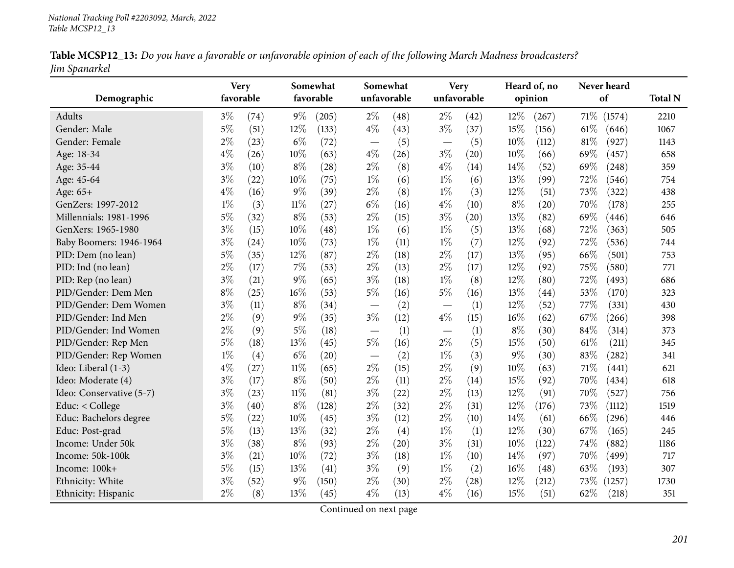| Table MCSP12_13: Do you have a favorable or unfavorable opinion of each of the following March Madness broadcasters? |  |
|----------------------------------------------------------------------------------------------------------------------|--|
| Jim Spanarkel                                                                                                        |  |

|                          | <b>Very</b> |      |        | Somewhat  | Somewhat                      |      |                                  | <b>Very</b> |       | Heard of, no |      | Never heard |                |
|--------------------------|-------------|------|--------|-----------|-------------------------------|------|----------------------------------|-------------|-------|--------------|------|-------------|----------------|
| Demographic              | favorable   |      |        | favorable | unfavorable                   |      |                                  | unfavorable |       | opinion      |      | of          | <b>Total N</b> |
| Adults                   | $3\%$       | (74) | $9\%$  | (205)     | $2\%$                         | (48) | $2\%$                            | (42)        | 12%   | (267)        | 71\% | (1574)      | 2210           |
| Gender: Male             | $5\%$       | (51) | 12%    | (133)     | $4\%$                         | (43) | $3\%$                            | (37)        | 15%   | (156)        | 61\% | (646)       | 1067           |
| Gender: Female           | $2\%$       | (23) | $6\%$  | (72)      | $\overbrace{\phantom{13333}}$ | (5)  | $\overbrace{\phantom{13333}}$    | (5)         | 10%   | (112)        | 81%  | (927)       | 1143           |
| Age: 18-34               | $4\%$       | (26) | 10%    | (63)      | $4\%$                         | (26) | $3\%$                            | (20)        | 10%   | (66)         | 69%  | (457)       | 658            |
| Age: 35-44               | $3\%$       | (10) | $8\%$  | (28)      | $2\%$                         | (8)  | $4\%$                            | (14)        | 14%   | (52)         | 69%  | (248)       | 359            |
| Age: 45-64               | $3\%$       | (22) | 10%    | (75)      | $1\%$                         | (6)  | $1\%$                            | (6)         | 13%   | (99)         | 72%  | (546)       | 754            |
| Age: 65+                 | $4\%$       | (16) | $9\%$  | (39)      | $2\%$                         | (8)  | $1\%$                            | (3)         | 12%   | (51)         | 73%  | (322)       | 438            |
| GenZers: 1997-2012       | $1\%$       | (3)  | $11\%$ | (27)      | $6\%$                         | (16) | $4\%$                            | (10)        | $8\%$ | (20)         | 70%  | (178)       | 255            |
| Millennials: 1981-1996   | $5\%$       | (32) | $8\%$  | (53)      | $2\%$                         | (15) | $3\%$                            | (20)        | 13%   | (82)         | 69%  | (446)       | 646            |
| GenXers: 1965-1980       | $3\%$       | (15) | 10%    | (48)      | $1\%$                         | (6)  | $1\%$                            | (5)         | 13%   | (68)         | 72%  | (363)       | 505            |
| Baby Boomers: 1946-1964  | $3\%$       | (24) | 10%    | (73)      | $1\%$                         | (11) | $1\%$                            | (7)         | 12%   | (92)         | 72%  | (536)       | 744            |
| PID: Dem (no lean)       | $5\%$       | (35) | 12%    | (87)      | $2\%$                         | (18) | $2\%$                            | (17)        | 13%   | (95)         | 66%  | (501)       | 753            |
| PID: Ind (no lean)       | $2\%$       | (17) | 7%     | (53)      | $2\%$                         | (13) | $2\%$                            | (17)        | 12%   | (92)         | 75%  | (580)       | 771            |
| PID: Rep (no lean)       | $3\%$       | (21) | $9\%$  | (65)      | $3\%$                         | (18) | $1\%$                            | (8)         | 12%   | (80)         | 72%  | (493)       | 686            |
| PID/Gender: Dem Men      | $8\%$       | (25) | 16%    | (53)      | 5%                            | (16) | $5\%$                            | (16)        | 13%   | (44)         | 53%  | (170)       | 323            |
| PID/Gender: Dem Women    | $3\%$       | (11) | $8\%$  | (34)      |                               | (2)  |                                  | (1)         | 12%   | (52)         | 77%  | (331)       | 430            |
| PID/Gender: Ind Men      | $2\%$       | (9)  | $9\%$  | (35)      | $3\%$                         | (12) | $4\%$                            | (15)        | 16%   | (62)         | 67%  | (266)       | 398            |
| PID/Gender: Ind Women    | $2\%$       | (9)  | $5\%$  | (18)      |                               | (1)  | $\overbrace{\phantom{12322111}}$ | (1)         | $8\%$ | (30)         | 84%  | (314)       | 373            |
| PID/Gender: Rep Men      | $5\%$       | (18) | 13%    | (45)      | $5\%$                         | (16) | $2\%$                            | (5)         | 15%   | (50)         | 61\% | (211)       | 345            |
| PID/Gender: Rep Women    | $1\%$       | (4)  | $6\%$  | (20)      |                               | (2)  | $1\%$                            | (3)         | $9\%$ | (30)         | 83%  | (282)       | 341            |
| Ideo: Liberal (1-3)      | $4\%$       | (27) | $11\%$ | (65)      | $2\%$                         | (15) | $2\%$                            | (9)         | 10%   | (63)         | 71\% | (441)       | 621            |
| Ideo: Moderate (4)       | $3\%$       | (17) | $8\%$  | (50)      | $2\%$                         | (11) | $2\%$                            | (14)        | 15%   | (92)         | 70%  | (434)       | 618            |
| Ideo: Conservative (5-7) | $3\%$       | (23) | 11%    | (81)      | $3\%$                         | (22) | $2\%$                            | (13)        | 12%   | (91)         | 70%  | (527)       | 756            |
| Educ: < College          | $3\%$       | (40) | $8\%$  | (128)     | $2\%$                         | (32) | $2\%$                            | (31)        | 12%   | (176)        | 73%  | (1112)      | 1519           |
| Educ: Bachelors degree   | $5\%$       | (22) | 10%    | (45)      | $3\%$                         | (12) | $2\%$                            | (10)        | 14%   | (61)         | 66%  | (296)       | 446            |
| Educ: Post-grad          | $5\%$       | (13) | 13%    | (32)      | $2\%$                         | (4)  | $1\%$                            | (1)         | 12%   | (30)         | 67%  | (165)       | 245            |
| Income: Under 50k        | $3\%$       | (38) | $8\%$  | (93)      | $2\%$                         | (20) | $3\%$                            | (31)        | 10%   | (122)        | 74%  | (882)       | 1186           |
| Income: 50k-100k         | $3\%$       | (21) | 10%    | (72)      | $3\%$                         | (18) | $1\%$                            | (10)        | 14\%  | (97)         | 70%  | (499)       | 717            |
| Income: 100k+            | $5\%$       | (15) | 13%    | (41)      | $3\%$                         | (9)  | $1\%$                            | (2)         | 16%   | (48)         | 63%  | (193)       | 307            |
| Ethnicity: White         | $3\%$       | (52) | $9\%$  | (150)     | $2\%$                         | (30) | $2\%$                            | (28)        | 12%   | (212)        | 73%  | (1257)      | 1730           |
| Ethnicity: Hispanic      | $2\%$       | (8)  | 13%    | (45)      | $4\%$                         | (13) | $4\%$                            | (16)        | 15%   | (51)         | 62%  | (218)       | 351            |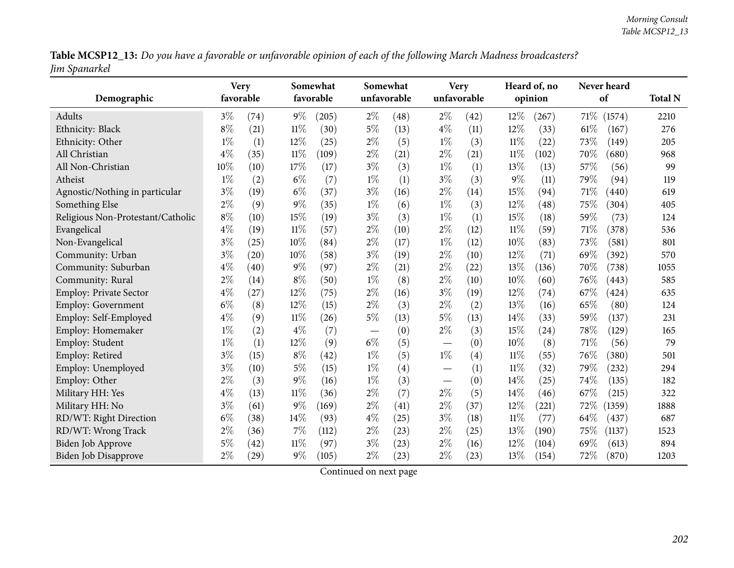Table MCSP12\_13: Do you have a favorable or unfavorable opinion of each of the following March Madness broadcasters? *Jim Spanarkel*

| Demographic                       |       | <b>Very</b><br>favorable |        | Somewhat<br>favorable |       | Somewhat<br>unfavorable |                 | <b>Very</b><br>unfavorable |        | Heard of, no<br>opinion |        | Never heard<br>of |                        |
|-----------------------------------|-------|--------------------------|--------|-----------------------|-------|-------------------------|-----------------|----------------------------|--------|-------------------------|--------|-------------------|------------------------|
| Adults                            | $3\%$ |                          | $9\%$  |                       | $2\%$ |                         | $2\%$           |                            | 12%    |                         | $71\%$ |                   | <b>Total N</b><br>2210 |
|                                   |       | (74)                     |        | (205)                 |       | (48)                    |                 | $\left( 42\right)$         |        | (267)                   |        | (1574)            |                        |
| Ethnicity: Black                  | $8\%$ | (21)                     | $11\%$ | (30)                  | $5\%$ | (13)                    | $4\%$           | (11)                       | 12%    | (33)                    | 61\%   | (167)             | 276                    |
| Ethnicity: Other                  | $1\%$ | (1)                      | 12%    | (25)                  | $2\%$ | (5)                     | $1\%$           | (3)                        | $11\%$ | (22)                    | 73%    | (149)             | 205                    |
| All Christian                     | $4\%$ | (35)                     | $11\%$ | (109)                 | $2\%$ | (21)                    | $2\%$           | (21)                       | $11\%$ | (102)                   | 70%    | (680)             | 968                    |
| All Non-Christian                 | 10%   | (10)                     | 17%    | (17)                  | $3\%$ | (3)                     | $1\%$           | (1)                        | 13%    | (13)                    | 57%    | (56)              | 99                     |
| Atheist                           | $1\%$ | (2)                      | $6\%$  | (7)                   | $1\%$ | (1)                     | $3\%$           | (3)                        | 9%     | (11)                    | 79%    | (94)              | 119                    |
| Agnostic/Nothing in particular    | $3\%$ | (19)                     | $6\%$  | (37)                  | $3\%$ | (16)                    | $2\%$           | (14)                       | 15%    | (94)                    | 71%    | (440)             | 619                    |
| Something Else                    | $2\%$ | (9)                      | $9\%$  | (35)                  | $1\%$ | (6)                     | $1\%$           | (3)                        | 12%    | (48)                    | 75%    | (304)             | 405                    |
| Religious Non-Protestant/Catholic | $8\%$ | (10)                     | 15%    | (19)                  | $3\%$ | (3)                     | $1\%$           | (1)                        | 15%    | (18)                    | 59%    | (73)              | 124                    |
| Evangelical                       | $4\%$ | (19)                     | $11\%$ | (57)                  | $2\%$ | (10)                    | $2\%$           | (12)                       | $11\%$ | (59)                    | 71%    | (378)             | 536                    |
| Non-Evangelical                   | $3\%$ | (25)                     | 10%    | (84)                  | $2\%$ | (17)                    | $1\%$           | (12)                       | 10%    | (83)                    | 73%    | (581)             | 801                    |
| Community: Urban                  | $3\%$ | (20)                     | 10%    | (58)                  | $3\%$ | (19)                    | $2\%$           | (10)                       | 12%    | (71)                    | 69%    | (392)             | 570                    |
| Community: Suburban               | $4\%$ | (40)                     | $9\%$  | (97)                  | $2\%$ | (21)                    | $2\%$           | (22)                       | 13%    | (136)                   | 70%    | (738)             | 1055                   |
| Community: Rural                  | $2\%$ | (14)                     | $8\%$  | (50)                  | $1\%$ | (8)                     | $2\%$           | (10)                       | 10%    | (60)                    | 76%    | (443)             | 585                    |
| <b>Employ: Private Sector</b>     | $4\%$ | (27)                     | 12%    | (75)                  | $2\%$ | (16)                    | $3\%$           | (19)                       | 12%    | (74)                    | 67%    | (424)             | 635                    |
| <b>Employ: Government</b>         | $6\%$ | (8)                      | 12%    | (15)                  | $2\%$ | (3)                     | $2\%$           | (2)                        | 13%    | (16)                    | 65%    | (80)              | 124                    |
| Employ: Self-Employed             | $4\%$ | (9)                      | $11\%$ | (26)                  | $5\%$ | (13)                    | $5\%$           | (13)                       | 14%    | (33)                    | 59%    | (137)             | 231                    |
| Employ: Homemaker                 | $1\%$ | (2)                      | $4\%$  | (7)                   |       | (0)                     | $2\%$           | (3)                        | 15%    | (24)                    | 78%    | (129)             | 165                    |
| Employ: Student                   | $1\%$ | (1)                      | 12%    | (9)                   | $6\%$ | (5)                     |                 | (0)                        | 10%    | (8)                     | 71%    | (56)              | 79                     |
| Employ: Retired                   | $3\%$ | (15)                     | $8\%$  | (42)                  | $1\%$ | (5)                     | $1\%$           | (4)                        | 11%    | (55)                    | 76%    | (380)             | 501                    |
| Employ: Unemployed                | $3\%$ | (10)                     | $5\%$  | (15)                  | $1\%$ | (4)                     |                 | (1)                        | $11\%$ | (32)                    | 79%    | (232)             | 294                    |
| Employ: Other                     | $2\%$ | (3)                      | $9\%$  | (16)                  | $1\%$ | (3)                     | $\qquad \qquad$ | (0)                        | 14%    | (25)                    | 74%    | (135)             | 182                    |
| Military HH: Yes                  | $4\%$ | (13)                     | $11\%$ | (36)                  | $2\%$ | (7)                     | $2\%$           | (5)                        | 14%    | (46)                    | 67\%   | (215)             | 322                    |
| Military HH: No                   | $3\%$ | (61)                     | $9\%$  | (169)                 | $2\%$ | (41)                    | $2\%$           | (37)                       | 12%    | (221)                   | 72\%   | (1359)            | 1888                   |
| RD/WT: Right Direction            | $6\%$ | (38)                     | 14%    | (93)                  | $4\%$ | (25)                    | $3\%$           | (18)                       | $11\%$ | (77)                    | 64\%   | (437)             | 687                    |
| RD/WT: Wrong Track                | $2\%$ | (36)                     | $7\%$  | (112)                 | $2\%$ | (23)                    | $2\%$           | (25)                       | 13%    | (190)                   | 75%    | (1137)            | 1523                   |
| <b>Biden Job Approve</b>          | $5\%$ | (42)                     | $11\%$ | (97)                  | $3\%$ | (23)                    | $2\%$           | (16)                       | 12%    | (104)                   | 69%    | (613)             | 894                    |
| Biden Job Disapprove              | $2\%$ | (29)                     | $9\%$  | (105)                 | $2\%$ | (23)                    | $2\%$           | (23)                       | 13%    | (154)                   | 72%    | (870)             | 1203                   |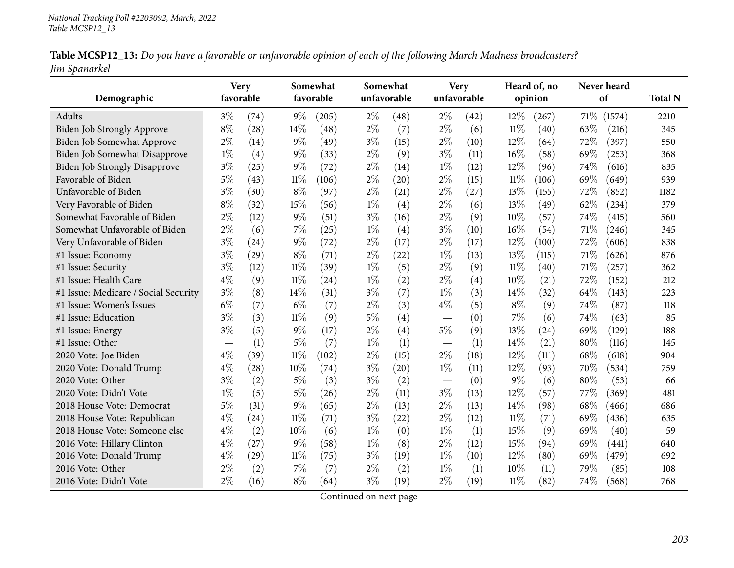| Table MCSP12_13: Do you have a favorable or unfavorable opinion of each of the following March Madness broadcasters? |  |
|----------------------------------------------------------------------------------------------------------------------|--|
| Jim Spanarkel                                                                                                        |  |

|                                      | <b>Very</b>       |      |        | Somewhat  | Somewhat |             |             | <b>Very</b> |        | Heard of, no |      | Never heard |                |
|--------------------------------------|-------------------|------|--------|-----------|----------|-------------|-------------|-------------|--------|--------------|------|-------------|----------------|
| Demographic                          | favorable         |      |        | favorable |          | unfavorable | unfavorable |             |        | opinion      |      | of          | <b>Total N</b> |
| <b>Adults</b>                        | $3\%$             | (74) | $9\%$  | (205)     | $2\%$    | (48)        | $2\%$       | (42)        | 12%    | (267)        | 71\% | (1574)      | 2210           |
| Biden Job Strongly Approve           | $8\%$             | (28) | 14%    | (48)      | $2\%$    | (7)         | $2\%$       | (6)         | $11\%$ | (40)         | 63%  | (216)       | 345            |
| Biden Job Somewhat Approve           | $2\%$             | (14) | $9\%$  | (49)      | $3\%$    | (15)        | $2\%$       | (10)        | 12%    | (64)         | 72%  | (397)       | 550            |
| <b>Biden Job Somewhat Disapprove</b> | $1\%$             | (4)  | $9\%$  | (33)      | $2\%$    | (9)         | $3\%$       | (11)        | 16%    | (58)         | 69%  | (253)       | 368            |
| <b>Biden Job Strongly Disapprove</b> | $3\%$             | (25) | 9%     | (72)      | $2\%$    | (14)        | $1\%$       | (12)        | 12%    | (96)         | 74%  | (616)       | 835            |
| Favorable of Biden                   | 5%                | (43) | $11\%$ | (106)     | $2\%$    | (20)        | $2\%$       | (15)        | $11\%$ | (106)        | 69%  | (649)       | 939            |
| Unfavorable of Biden                 | $3\%$             | (30) | $8\%$  | (97)      | $2\%$    | (21)        | $2\%$       | (27)        | 13%    | (155)        | 72%  | (852)       | 1182           |
| Very Favorable of Biden              | $8\%$             | (32) | 15%    | (56)      | $1\%$    | (4)         | $2\%$       | (6)         | 13%    | (49)         | 62%  | (234)       | 379            |
| Somewhat Favorable of Biden          | $2\%$             | (12) | $9\%$  | (51)      | $3\%$    | (16)        | $2\%$       | (9)         | 10%    | (57)         | 74%  | (415)       | 560            |
| Somewhat Unfavorable of Biden        | $2\%$             | (6)  | 7%     | (25)      | $1\%$    | (4)         | $3\%$       | (10)        | 16%    | (54)         | 71%  | (246)       | 345            |
| Very Unfavorable of Biden            | $3\%$             | (24) | 9%     | (72)      | $2\%$    | (17)        | $2\%$       | (17)        | 12%    | (100)        | 72%  | (606)       | 838            |
| #1 Issue: Economy                    | $3\%$             | (29) | $8\%$  | (71)      | $2\%$    | (22)        | $1\%$       | (13)        | $13\%$ | (115)        | 71%  | (626)       | 876            |
| #1 Issue: Security                   | $3\%$             | (12) | $11\%$ | (39)      | $1\%$    | (5)         | $2\%$       | (9)         | $11\%$ | (40)         | 71%  | (257)       | 362            |
| #1 Issue: Health Care                | $4\%$             | (9)  | $11\%$ | (24)      | $1\%$    | (2)         | $2\%$       | (4)         | 10%    | (21)         | 72%  | (152)       | 212            |
| #1 Issue: Medicare / Social Security | $3\%$             | (8)  | 14%    | (31)      | $3\%$    | (7)         | $1\%$       | (3)         | 14%    | (32)         | 64%  | (143)       | 223            |
| #1 Issue: Women's Issues             | $6\%$             | (7)  | $6\%$  | (7)       | $2\%$    | (3)         | $4\%$       | (5)         | $8\%$  | (9)          | 74%  | (87)        | 118            |
| #1 Issue: Education                  | $3\%$             | (3)  | 11%    | (9)       | $5\%$    | (4)         |             | (0)         | $7\%$  | (6)          | 74%  | (63)        | 85             |
| #1 Issue: Energy                     | $3\%$             | (5)  | 9%     | (17)      | $2\%$    | (4)         | $5\%$       | (9)         | 13%    | (24)         | 69%  | (129)       | 188            |
| #1 Issue: Other                      | $\hspace{0.05cm}$ | (1)  | 5%     | (7)       | $1\%$    | (1)         |             | (1)         | 14%    | (21)         | 80%  | (116)       | 145            |
| 2020 Vote: Joe Biden                 | $4\%$             | (39) | $11\%$ | (102)     | $2\%$    | (15)        | $2\%$       | (18)        | 12%    | (111)        | 68%  | (618)       | 904            |
| 2020 Vote: Donald Trump              | $4\%$             | (28) | 10%    | (74)      | $3\%$    | (20)        | $1\%$       | (11)        | 12%    | (93)         | 70%  | (534)       | 759            |
| 2020 Vote: Other                     | $3\%$             | (2)  | $5\%$  | (3)       | $3\%$    | (2)         |             | (0)         | $9\%$  | (6)          | 80%  | (53)        | 66             |
| 2020 Vote: Didn't Vote               | $1\%$             | (5)  | $5\%$  | (26)      | $2\%$    | (11)        | $3\%$       | (13)        | 12%    | (57)         | 77%  | (369)       | 481            |
| 2018 House Vote: Democrat            | $5\%$             | (31) | $9\%$  | (65)      | $2\%$    | (13)        | $2\%$       | (13)        | 14%    | (98)         | 68%  | (466)       | 686            |
| 2018 House Vote: Republican          | $4\%$             | (24) | $11\%$ | (71)      | $3\%$    | (22)        | $2\%$       | (12)        | 11%    | (71)         | 69%  | (436)       | 635            |
| 2018 House Vote: Someone else        | $4\%$             | (2)  | 10%    | (6)       | $1\%$    | (0)         | $1\%$       | (1)         | 15%    | (9)          | 69%  | (40)        | 59             |
| 2016 Vote: Hillary Clinton           | $4\%$             | (27) | 9%     | (58)      | $1\%$    | (8)         | $2\%$       | (12)        | 15%    | (94)         | 69%  | (441)       | 640            |
| 2016 Vote: Donald Trump              | $4\%$             | (29) | $11\%$ | (75)      | $3\%$    | (19)        | $1\%$       | (10)        | 12%    | (80)         | 69%  | (479)       | 692            |
| 2016 Vote: Other                     | $2\%$             | (2)  | 7%     | (7)       | $2\%$    | (2)         | $1\%$       | (1)         | 10%    | (11)         | 79%  | (85)        | 108            |
| 2016 Vote: Didn't Vote               | $2\%$             | (16) | $8\%$  | (64)      | $3\%$    | (19)        | $2\%$       | (19)        | 11%    | (82)         | 74%  | (568)       | 768            |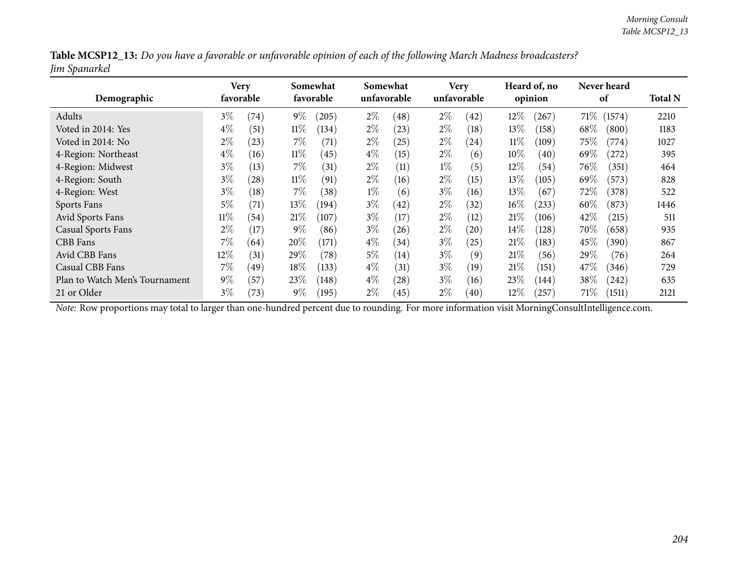| Table MCSP12_13: Do you have a favorable or unfavorable opinion of each of the following March Madness broadcasters? |  |
|----------------------------------------------------------------------------------------------------------------------|--|
| Jim Spanarkel                                                                                                        |  |

| Demographic                    | <b>Very</b> | favorable     |        | Somewhat<br>favorable |       | Somewhat<br>unfavorable |       | <b>Very</b><br>unfavorable |        | Heard of, no<br>opinion |        | Never heard<br>of | <b>Total N</b> |
|--------------------------------|-------------|---------------|--------|-----------------------|-------|-------------------------|-------|----------------------------|--------|-------------------------|--------|-------------------|----------------|
| Adults                         | $3\%$       | (74)          | $9\%$  | (205)                 | $2\%$ | (48)                    | $2\%$ | (42)                       | $12\%$ | (267)                   | $71\%$ | (1574)            | 2210           |
| Voted in 2014: Yes             | $4\%$       | (51)          | $11\%$ | (134)                 | $2\%$ | (23)                    | $2\%$ | (18)                       | 13\%   | (158)                   | 68\%   | (800)             | 1183           |
| Voted in 2014: No              | $2\%$       | (23)          | $7\%$  | (71)                  | $2\%$ | $^{'}25)$               | $2\%$ | $\left( 24\right)$         | $11\%$ | (109)                   | 75\%   | (774)             | 1027           |
| 4-Region: Northeast            | $4\%$       | (16)          | $11\%$ | (45)                  | $4\%$ | (15)                    | $2\%$ | (6)                        | $10\%$ | (40)                    | 69\%   | (272)             | 395            |
| 4-Region: Midwest              | $3\%$       | (13)          | $7\%$  | $\left(31\right)$     | $2\%$ | (11)                    | $1\%$ | (5)                        | $12\%$ | (54)                    | $76\%$ | (351)             | 464            |
| 4-Region: South                | $3\%$       | (28)          | $11\%$ | (91)                  | $2\%$ | (16)                    | $2\%$ | (15)                       | 13\%   | (105)                   | 69\%   | (573)             | 828            |
| 4-Region: West                 | $3\%$       | (18)          | $7\%$  | (38)                  | $1\%$ | (6)                     | $3\%$ | (16)                       | 13\%   | (67)                    | 72\%   | (378)             | 522            |
| Sports Fans                    | $5\%$       | (71)          | $13\%$ | (194)                 | $3\%$ | (42)                    | $2\%$ | (32)                       | $16\%$ | (233)                   | $60\%$ | (873)             | 1446           |
| <b>Avid Sports Fans</b>        | $11\%$      | (54)          | $21\%$ | (107)                 | $3\%$ | $17 \,$                 | $2\%$ | (12)                       | 21%    | (106)                   | 42\%   | (215)             | 511            |
| <b>Casual Sports Fans</b>      | $2\%$       | (17)          | $9\%$  | (86)                  | $3\%$ | (26)                    | $2\%$ | (20)                       | $14\%$ | (128)                   | 70\%   | (658)             | 935            |
| CBB Fans                       | $7\%$       | (64)          | 20%    | (171)                 | $4\%$ | (34)                    | $3\%$ | (25)                       | 21%    | (183)                   | 45\%   | (390)             | 867            |
| Avid CBB Fans                  | 12%         | (31)          | 29\%   | (78)                  | $5\%$ | (14)                    | $3\%$ | (9)                        | 21%    | (56)                    | 29%    | (76)              | 264            |
| Casual CBB Fans                | $7\%$       | $^{\prime}49$ | 18%    | (133)                 | $4\%$ | (31)                    | $3\%$ | (19)                       | 21%    | (151)                   | 47\%   | (346)             | 729            |
| Plan to Watch Men's Tournament | $9\%$       | (57)          | $23\%$ | (148)                 | $4\%$ | (28)                    | $3\%$ | (16)                       | 23\%   | (144)                   | $38\%$ | (242)             | 635            |
| 21 or Older                    | $3\%$       | (73)          | $9\%$  | (195)                 | $2\%$ | (45)                    | $2\%$ | (40)                       | $12\%$ | (257)                   | $71\%$ | (1511)            | 2121           |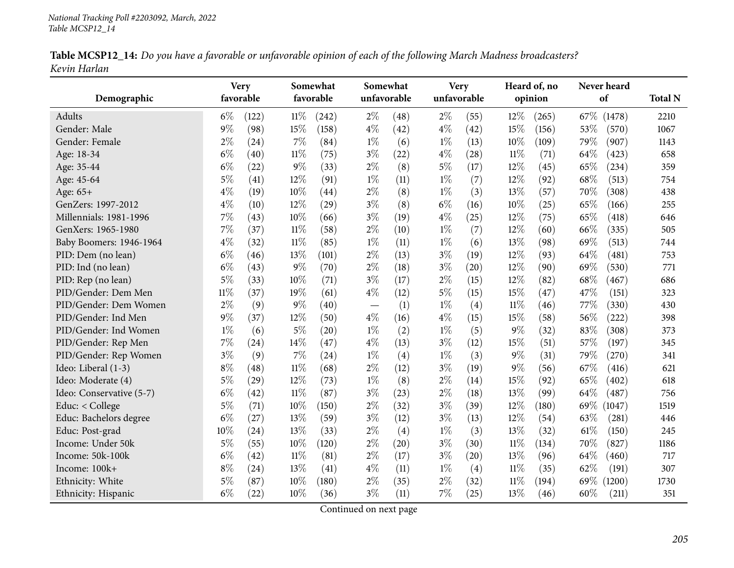| Table MCSP12_14: Do you have a favorable or unfavorable opinion of each of the following March Madness broadcasters? |  |
|----------------------------------------------------------------------------------------------------------------------|--|
| Kevin Harlan                                                                                                         |  |

|                          |        | <b>Very</b> |        | Somewhat           | Somewhat |                    | <b>Very</b> |      |         | Heard of, no | Never heard                |                |
|--------------------------|--------|-------------|--------|--------------------|----------|--------------------|-------------|------|---------|--------------|----------------------------|----------------|
| Demographic              |        | favorable   |        | favorable          |          | unfavorable        | unfavorable |      | opinion |              | of                         | <b>Total N</b> |
| Adults                   | $6\%$  | (122)       | $11\%$ | (242)              | $2\%$    | (48)               | $2\%$       | (55) | 12%     | (265)        | 67\%<br>(1478)             | 2210           |
| Gender: Male             | $9\%$  | (98)        | 15%    | (158)              | $4\%$    | (42)               | $4\%$       | (42) | 15%     | (156)        | 53%<br>(570)               | 1067           |
| Gender: Female           | $2\%$  | (24)        | $7\%$  | (84)               | $1\%$    | (6)                | $1\%$       | (13) | $10\%$  | (109)        | 79%<br>(907)               | 1143           |
| Age: 18-34               | $6\%$  | (40)        | $11\%$ | (75)               | $3\%$    | (22)               | $4\%$       | (28) | $11\%$  | (71)         | 64%<br>(423)               | 658            |
| Age: 35-44               | $6\%$  | (22)        | $9\%$  | (33)               | $2\%$    | (8)                | $5\%$       | (17) | 12%     | (45)         | 65%<br>(234)               | 359            |
| Age: 45-64               | $5\%$  | (41)        | $12\%$ | (91)               | $1\%$    | (11)               | $1\%$       | (7)  | 12%     | (92)         | 68%<br>(513)               | 754            |
| Age: 65+                 | $4\%$  | (19)        | 10%    | (44)               | $2\%$    | (8)                | $1\%$       | (3)  | 13%     | (57)         | 70%<br>(308)               | 438            |
| GenZers: 1997-2012       | $4\%$  | (10)        | 12%    | (29)               | $3\%$    | (8)                | $6\%$       | (16) | 10%     | (25)         | 65%<br>(166)               | 255            |
| Millennials: 1981-1996   | 7%     | (43)        | 10%    | (66)               | $3\%$    | (19)               | $4\%$       | (25) | 12%     | (75)         | 65%<br>(418)               | 646            |
| GenXers: 1965-1980       | 7%     | (37)        | $11\%$ | (58)               | $2\%$    | (10)               | $1\%$       | (7)  | 12%     | (60)         | 66%<br>(335)               | 505            |
| Baby Boomers: 1946-1964  | $4\%$  | (32)        | $11\%$ | (85)               | $1\%$    | (11)               | $1\%$       | (6)  | 13%     | (98)         | 69%<br>(513)               | 744            |
| PID: Dem (no lean)       | $6\%$  | (46)        | 13%    | (101)              | $2\%$    | (13)               | $3\%$       | (19) | 12%     | (93)         | 64%<br>(481)               | 753            |
| PID: Ind (no lean)       | $6\%$  | (43)        | $9\%$  | (70)               | $2\%$    | (18)               | $3\%$       | (20) | 12%     | (90)         | 69%<br>(530)               | 771            |
| PID: Rep (no lean)       | $5\%$  | (33)        | 10%    | (71)               | $3\%$    | (17)               | $2\%$       | (15) | 12%     | (82)         | 68\%<br>(467)              | 686            |
| PID/Gender: Dem Men      | $11\%$ | (37)        | 19%    | (61)               | $4\%$    | (12)               | $5\%$       | (15) | 15%     | (47)         | 47%<br>(151)               | 323            |
| PID/Gender: Dem Women    | $2\%$  | (9)         | 9%     | (40)               |          | (1)                | $1\%$       | (4)  | $11\%$  | (46)         | 77%<br>(330)               | 430            |
| PID/Gender: Ind Men      | $9\%$  | (37)        | $12\%$ | (50)               | $4\%$    | (16)               | $4\%$       | (15) | 15%     | (58)         | 56%<br>(222)               | 398            |
| PID/Gender: Ind Women    | $1\%$  | (6)         | $5\%$  | $\left( 20\right)$ | $1\%$    | (2)                | $1\%$       | (5)  | $9\%$   | (32)         | 83%<br>(308)               | 373            |
| PID/Gender: Rep Men      | 7%     | (24)        | 14%    | (47)               | $4\%$    | (13)               | $3\%$       | (12) | 15%     | (51)         | 57%<br>(197)               | 345            |
| PID/Gender: Rep Women    | $3\%$  | (9)         | $7\%$  | (24)               | $1\%$    | (4)                | $1\%$       | (3)  | $9\%$   | (31)         | 79%<br>(270)               | 341            |
| Ideo: Liberal (1-3)      | $8\%$  | (48)        | $11\%$ | (68)               | $2\%$    | (12)               | $3\%$       | (19) | $9\%$   | (56)         | 67%<br>(416)               | 621            |
| Ideo: Moderate (4)       | 5%     | (29)        | 12%    | (73)               | $1\%$    | (8)                | $2\%$       | (14) | 15%     | (92)         | 65%<br>(402)               | 618            |
| Ideo: Conservative (5-7) | $6\%$  | (42)        | $11\%$ | (87)               | $3\%$    | (23)               | $2\%$       | (18) | 13%     | (99)         | 64%<br>$\left( 487\right)$ | 756            |
| Educ: < College          | $5\%$  | (71)        | 10%    | (150)              | $2\%$    | (32)               | $3\%$       | (39) | 12%     | (180)        | 69%<br>(1047)              | 1519           |
| Educ: Bachelors degree   | $6\%$  | (27)        | 13%    | (59)               | $3\%$    | (12)               | $3\%$       | (13) | 12%     | (54)         | 63%<br>(281)               | 446            |
| Educ: Post-grad          | 10%    | (24)        | 13%    | (33)               | $2\%$    | (4)                | $1\%$       | (3)  | 13%     | (32)         | 61\%<br>(150)              | 245            |
| Income: Under 50k        | $5\%$  | (55)        | 10%    | (120)              | $2\%$    | $\left( 20\right)$ | $3\%$       | (30) | $11\%$  | (134)        | 70%<br>(827)               | 1186           |
| Income: 50k-100k         | $6\%$  | (42)        | $11\%$ | (81)               | $2\%$    | (17)               | $3\%$       | (20) | 13%     | (96)         | 64\%<br>(460)              | 717            |
| Income: 100k+            | $8\%$  | (24)        | 13%    | (41)               | $4\%$    | (11)               | $1\%$       | (4)  | $11\%$  | (35)         | 62%<br>(191)               | 307            |
| Ethnicity: White         | $5\%$  | (87)        | 10%    | (180)              | $2\%$    | (35)               | $2\%$       | (32) | 11%     | (194)        | 69%<br>(1200)              | 1730           |
| Ethnicity: Hispanic      | $6\%$  | (22)        | 10%    | (36)               | $3\%$    | (11)               | 7%          | (25) | 13%     | (46)         | 60%<br>(211)               | 351            |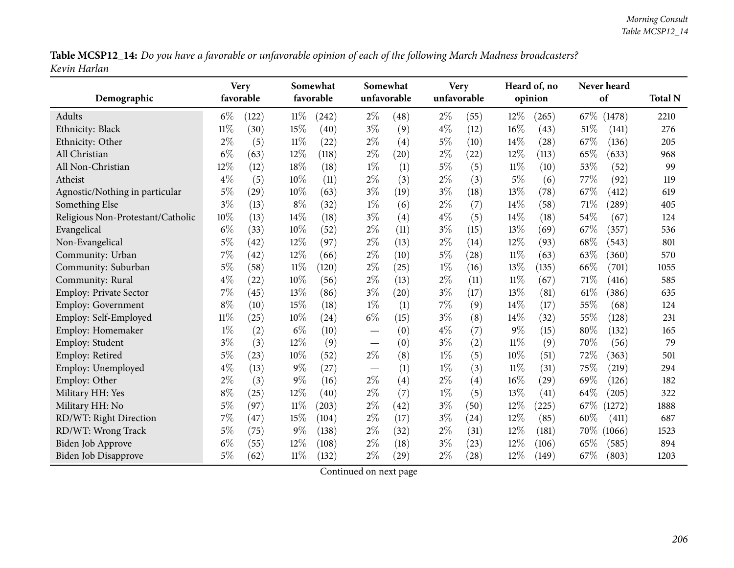Table MCSP12\_14: Do you have a favorable or unfavorable opinion of each of the following March Madness broadcasters? *Kevin Harlan*

| Demographic                       | <b>Very</b><br>favorable |       |        | Somewhat<br>favorable |                               | Somewhat<br>unfavorable |       | <b>Very</b><br>unfavorable |        | Heard of, no<br>opinion |      | Never heard<br>of |      |
|-----------------------------------|--------------------------|-------|--------|-----------------------|-------------------------------|-------------------------|-------|----------------------------|--------|-------------------------|------|-------------------|------|
| Adults                            | $6\%$                    | (122) | $11\%$ | (242)                 | $2\%$                         | (48)                    | $2\%$ | (55)                       | 12%    | (265)                   |      | 67\% (1478)       | 2210 |
| Ethnicity: Black                  | $11\%$                   | (30)  | 15%    | (40)                  | $3\%$                         | (9)                     | $4\%$ | (12)                       | 16%    | (43)                    | 51%  | (141)             | 276  |
| Ethnicity: Other                  | $2\%$                    | (5)   | 11%    | (22)                  | $2\%$                         | (4)                     | $5\%$ | (10)                       | 14\%   | $\left( 28\right)$      | 67%  | (136)             | 205  |
| All Christian                     | $6\%$                    | (63)  | 12%    | (118)                 | $2\%$                         | (20)                    | $2\%$ | (22)                       | 12%    | (113)                   | 65%  | (633)             | 968  |
| All Non-Christian                 | 12%                      | (12)  | 18%    | (18)                  | $1\%$                         | (1)                     | $5\%$ | (5)                        | $11\%$ | (10)                    | 53%  | (52)              | 99   |
| Atheist                           | $4\%$                    | (5)   | 10%    | (11)                  | $2\%$                         | (3)                     | $2\%$ | (3)                        | $5\%$  | (6)                     | 77%  | (92)              | 119  |
| Agnostic/Nothing in particular    | 5%                       | (29)  | 10%    | (63)                  | $3\%$                         | (19)                    | $3\%$ | (18)                       | 13%    | (78)                    | 67%  | (412)             | 619  |
| Something Else                    | $3\%$                    | (13)  | $8\%$  | (32)                  | $1\%$                         | (6)                     | $2\%$ | (7)                        | 14%    | (58)                    | 71%  | (289)             | 405  |
| Religious Non-Protestant/Catholic | 10%                      | (13)  | 14\%   | (18)                  | $3\%$                         | (4)                     | $4\%$ | (5)                        | 14%    | (18)                    | 54%  | (67)              | 124  |
| Evangelical                       | $6\%$                    | (33)  | 10%    | (52)                  | $2\%$                         | (11)                    | $3\%$ | (15)                       | 13%    | (69)                    | 67%  | (357)             | 536  |
| Non-Evangelical                   | 5%                       | (42)  | 12%    | (97)                  | $2\%$                         | (13)                    | $2\%$ | (14)                       | 12%    | (93)                    | 68%  | (543)             | 801  |
| Community: Urban                  | $7\%$                    | (42)  | 12%    | (66)                  | $2\%$                         | (10)                    | $5\%$ | (28)                       | $11\%$ | (63)                    | 63%  | (360)             | 570  |
| Community: Suburban               | 5%                       | (58)  | $11\%$ | (120)                 | $2\%$                         | (25)                    | $1\%$ | (16)                       | 13%    | (135)                   | 66%  | (701)             | 1055 |
| Community: Rural                  | $4\%$                    | (22)  | 10%    | (56)                  | $2\%$                         | (13)                    | $2\%$ | (11)                       | $11\%$ | (67)                    | 71%  | (416)             | 585  |
| Employ: Private Sector            | $7\%$                    | (45)  | 13%    | (86)                  | $3\%$                         | (20)                    | $3\%$ | (17)                       | 13%    | (81)                    | 61\% | (386)             | 635  |
| <b>Employ: Government</b>         | $8\%$                    | (10)  | 15%    | (18)                  | $1\%$                         | (1)                     | $7\%$ | (9)                        | 14\%   | (17)                    | 55%  | (68)              | 124  |
| Employ: Self-Employed             | $11\%$                   | (25)  | 10%    | (24)                  | $6\%$                         | (15)                    | $3\%$ | (8)                        | 14%    | (32)                    | 55%  | (128)             | 231  |
| Employ: Homemaker                 | $1\%$                    | (2)   | $6\%$  | (10)                  |                               | (0)                     | $4\%$ | (7)                        | $9\%$  | (15)                    | 80%  | (132)             | 165  |
| Employ: Student                   | $3\%$                    | (3)   | 12%    | (9)                   |                               | (0)                     | $3\%$ | (2)                        | $11\%$ | (9)                     | 70%  | (56)              | 79   |
| Employ: Retired                   | 5%                       | (23)  | 10%    | (52)                  | $2\%$                         | (8)                     | $1\%$ | (5)                        | 10%    | (51)                    | 72%  | (363)             | 501  |
| Employ: Unemployed                | $4\%$                    | (13)  | $9\%$  | (27)                  | $\overbrace{\phantom{13333}}$ | (1)                     | $1\%$ | (3)                        | $11\%$ | (31)                    | 75%  | (219)             | 294  |
| Employ: Other                     | $2\%$                    | (3)   | $9\%$  | (16)                  | $2\%$                         | (4)                     | $2\%$ | (4)                        | 16%    | (29)                    | 69%  | (126)             | 182  |
| Military HH: Yes                  | $8\%$                    | (25)  | 12%    | (40)                  | $2\%$                         | (7)                     | $1\%$ | (5)                        | 13%    | (41)                    | 64%  | (205)             | 322  |
| Military HH: No                   | $5\%$                    | (97)  | 11%    | (203)                 | $2\%$                         | (42)                    | $3\%$ | (50)                       | 12%    | (225)                   | 67%  | (1272)            | 1888 |
| RD/WT: Right Direction            | $7\%$                    | (47)  | 15%    | (104)                 | $2\%$                         | (17)                    | $3\%$ | (24)                       | 12%    | (85)                    | 60%  | (411)             | 687  |
| RD/WT: Wrong Track                | $5\%$                    | (75)  | $9\%$  | (138)                 | $2\%$                         | (32)                    | $2\%$ | (31)                       | 12%    | (181)                   | 70%  | (1066)            | 1523 |
| <b>Biden Job Approve</b>          | $6\%$                    | (55)  | 12%    | (108)                 | $2\%$                         | (18)                    | $3\%$ | (23)                       | 12%    | (106)                   | 65%  | (585)             | 894  |
| <b>Biden Job Disapprove</b>       | 5%                       | (62)  | $11\%$ | (132)                 | $2\%$                         | (29)                    | $2\%$ | (28)                       | 12%    | (149)                   | 67%  | (803)             | 1203 |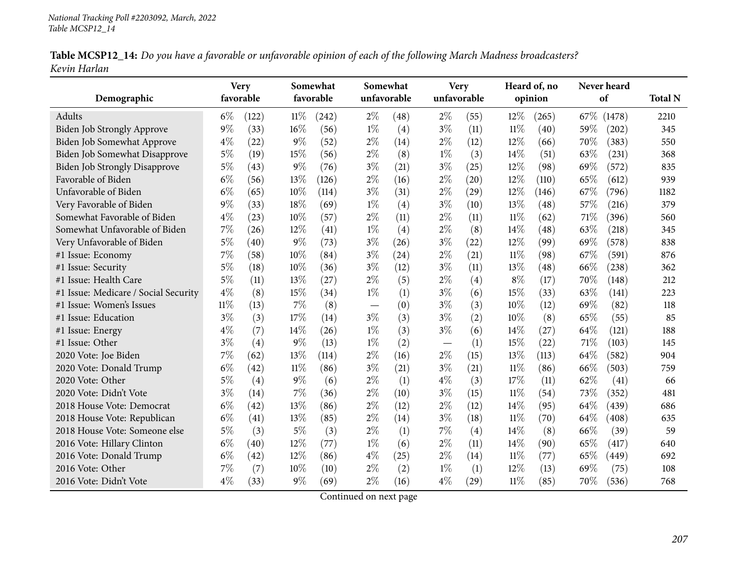| Table MCSP12_14: Do you have a favorable or unfavorable opinion of each of the following March Madness broadcasters? |  |
|----------------------------------------------------------------------------------------------------------------------|--|
| Kevin Harlan                                                                                                         |  |

|                                      |        | <b>Very</b> |        | Somewhat  | Somewhat |             |             | <b>Very</b> |        | Heard of, no |      | Never heard |                |
|--------------------------------------|--------|-------------|--------|-----------|----------|-------------|-------------|-------------|--------|--------------|------|-------------|----------------|
| Demographic                          |        | favorable   |        | favorable |          | unfavorable | unfavorable |             |        | opinion      |      | of          | <b>Total N</b> |
| <b>Adults</b>                        | $6\%$  | (122)       | $11\%$ | (242)     | $2\%$    | (48)        | $2\%$       | (55)        | 12%    | (265)        | 67\% | (1478)      | 2210           |
| Biden Job Strongly Approve           | $9\%$  | (33)        | 16%    | (56)      | $1\%$    | (4)         | $3\%$       | (11)        | $11\%$ | (40)         | 59%  | (202)       | 345            |
| Biden Job Somewhat Approve           | $4\%$  | (22)        | $9\%$  | (52)      | $2\%$    | (14)        | $2\%$       | (12)        | 12%    | (66)         | 70%  | (383)       | 550            |
| Biden Job Somewhat Disapprove        | $5\%$  | (19)        | 15%    | (56)      | $2\%$    | (8)         | $1\%$       | (3)         | 14\%   | (51)         | 63%  | (231)       | 368            |
| <b>Biden Job Strongly Disapprove</b> | $5\%$  | (43)        | 9%     | (76)      | $3\%$    | (21)        | $3\%$       | (25)        | 12%    | (98)         | 69%  | (572)       | 835            |
| Favorable of Biden                   | $6\%$  | (56)        | 13%    | (126)     | $2\%$    | (16)        | $2\%$       | (20)        | 12%    | (110)        | 65%  | (612)       | 939            |
| Unfavorable of Biden                 | $6\%$  | (65)        | $10\%$ | (114)     | $3\%$    | (31)        | $2\%$       | (29)        | 12%    | (146)        | 67\% | (796)       | 1182           |
| Very Favorable of Biden              | 9%     | (33)        | 18%    | (69)      | $1\%$    | (4)         | $3\%$       | (10)        | 13%    | (48)         | 57%  | (216)       | 379            |
| Somewhat Favorable of Biden          | $4\%$  | (23)        | $10\%$ | (57)      | $2\%$    | (11)        | $2\%$       | (11)        | $11\%$ | (62)         | 71%  | (396)       | 560            |
| Somewhat Unfavorable of Biden        | 7%     | (26)        | 12%    | (41)      | $1\%$    | (4)         | $2\%$       | (8)         | 14%    | (48)         | 63%  | (218)       | 345            |
| Very Unfavorable of Biden            | 5%     | (40)        | 9%     | (73)      | $3\%$    | (26)        | $3\%$       | (22)        | 12%    | (99)         | 69%  | (578)       | 838            |
| #1 Issue: Economy                    | 7%     | (58)        | 10%    | (84)      | $3\%$    | (24)        | $2\%$       | (21)        | $11\%$ | (98)         | 67%  | (591)       | 876            |
| #1 Issue: Security                   | 5%     | (18)        | 10%    | (36)      | $3\%$    | (12)        | $3\%$       | (11)        | 13%    | (48)         | 66%  | (238)       | 362            |
| #1 Issue: Health Care                | 5%     | (11)        | 13%    | (27)      | $2\%$    | (5)         | $2\%$       | (4)         | $8\%$  | (17)         | 70%  | (148)       | 212            |
| #1 Issue: Medicare / Social Security | $4\%$  | (8)         | 15%    | (34)      | $1\%$    | (1)         | $3\%$       | (6)         | 15%    | (33)         | 63%  | (141)       | 223            |
| #1 Issue: Women's Issues             | $11\%$ | (13)        | 7%     | (8)       |          | (0)         | $3\%$       | (3)         | 10%    | (12)         | 69%  | (82)        | 118            |
| #1 Issue: Education                  | $3\%$  | (3)         | 17%    | (14)      | $3\%$    | (3)         | $3\%$       | (2)         | 10%    | (8)          | 65%  | (55)        | 85             |
| #1 Issue: Energy                     | $4\%$  | (7)         | 14%    | (26)      | $1\%$    | (3)         | $3\%$       | (6)         | 14\%   | (27)         | 64%  | (121)       | 188            |
| #1 Issue: Other                      | $3\%$  | (4)         | 9%     | (13)      | $1\%$    | (2)         |             | (1)         | 15%    | (22)         | 71%  | (103)       | 145            |
| 2020 Vote: Joe Biden                 | 7%     | (62)        | 13%    | (114)     | $2\%$    | (16)        | $2\%$       | (15)        | 13%    | (113)        | 64%  | (582)       | 904            |
| 2020 Vote: Donald Trump              | $6\%$  | (42)        | $11\%$ | (86)      | $3\%$    | (21)        | $3\%$       | (21)        | $11\%$ | (86)         | 66\% | (503)       | 759            |
| 2020 Vote: Other                     | 5%     | (4)         | 9%     | (6)       | $2\%$    | (1)         | $4\%$       | (3)         | 17%    | (11)         | 62%  | (41)        | 66             |
| 2020 Vote: Didn't Vote               | $3\%$  | (14)        | 7%     | (36)      | $2\%$    | (10)        | $3\%$       | (15)        | 11%    | (54)         | 73%  | (352)       | 481            |
| 2018 House Vote: Democrat            | $6\%$  | (42)        | 13\%   | (86)      | $2\%$    | (12)        | $2\%$       | (12)        | 14\%   | (95)         | 64%  | (439)       | 686            |
| 2018 House Vote: Republican          | $6\%$  | (41)        | 13%    | (85)      | $2\%$    | (14)        | $3\%$       | (18)        | 11%    | (70)         | 64%  | (408)       | 635            |
| 2018 House Vote: Someone else        | $5\%$  | (3)         | 5%     | (3)       | $2\%$    | (1)         | 7%          | (4)         | 14%    | (8)          | 66%  | (39)        | 59             |
| 2016 Vote: Hillary Clinton           | $6\%$  | (40)        | 12%    | (77)      | $1\%$    | (6)         | $2\%$       | (11)        | 14\%   | (90)         | 65%  | (417)       | 640            |
| 2016 Vote: Donald Trump              | $6\%$  | (42)        | 12%    | (86)      | $4\%$    | (25)        | $2\%$       | (14)        | $11\%$ | (77)         | 65%  | (449)       | 692            |
| 2016 Vote: Other                     | 7%     | (7)         | 10%    | (10)      | $2\%$    | (2)         | $1\%$       | (1)         | 12%    | (13)         | 69%  | (75)        | 108            |
| 2016 Vote: Didn't Vote               | $4\%$  | (33)        | 9%     | (69)      | $2\%$    | (16)        | $4\%$       | (29)        | 11%    | (85)         | 70%  | (536)       | 768            |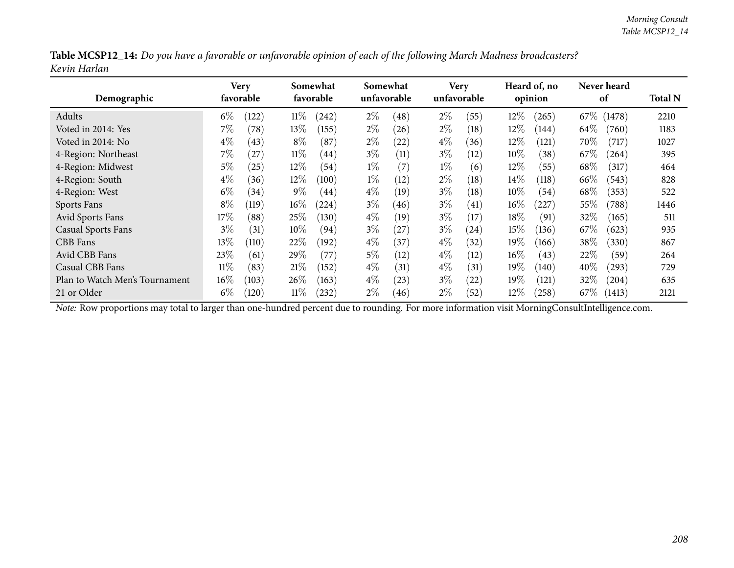| Table MCSP12_14: Do you have a favorable or unfavorable opinion of each of the following March Madness broadcasters? |  |
|----------------------------------------------------------------------------------------------------------------------|--|
| Kevin Harlan                                                                                                         |  |

| Demographic                    |        | Very<br>favorable |        | Somewhat<br>favorable |       | Somewhat<br>unfavorable |       | <b>Very</b><br>unfavorable |        | Heard of, no<br>opinion |        | Never heard<br>of |      |  |
|--------------------------------|--------|-------------------|--------|-----------------------|-------|-------------------------|-------|----------------------------|--------|-------------------------|--------|-------------------|------|--|
| Adults                         | $6\%$  | (122)             | $11\%$ | (242)                 | $2\%$ | (48)                    | $2\%$ | (55)                       | 12%    | (265)                   | 67\%   | (1478)            | 2210 |  |
| Voted in 2014: Yes             | $7\%$  | (78)              | $13\%$ | (155)                 | $2\%$ | (26)                    | $2\%$ | (18)                       | 12%    | (144)                   | 64\%   | (760)             | 1183 |  |
| Voted in 2014: No              | $4\%$  | (43)              | $8\%$  | (87)                  | $2\%$ | (22)                    | $4\%$ | (36)                       | $12\%$ | (121)                   | 70\%   | (717)             | 1027 |  |
| 4-Region: Northeast            | $7\%$  | (27)              | $11\%$ | $\left( 44\right)$    | $3\%$ | (11)                    | $3\%$ | (12)                       | $10\%$ | (38)                    | 67\%   | (264)             | 395  |  |
| 4-Region: Midwest              | $5\%$  | (25)              | $12\%$ | (54)                  | $1\%$ | (7)                     | $1\%$ | (6)                        | $12\%$ | (55)                    | 68\%   | (317)             | 464  |  |
| 4-Region: South                | $4\%$  | (36)              | $12\%$ | (100)                 | $1\%$ | (12)                    | $2\%$ | (18)                       | $14\%$ | (118)                   | 66\%   | (543)             | 828  |  |
| 4-Region: West                 | $6\%$  | (34)              | $9\%$  | (44)                  | $4\%$ | (19)                    | $3\%$ | (18)                       | $10\%$ | (54)                    | 68\%   | (353)             | 522  |  |
| Sports Fans                    | $8\%$  | (119)             | $16\%$ | (224)                 | $3\%$ | (46)                    | $3\%$ | (41)                       | $16\%$ | 227                     | 55%    | (788)             | 1446 |  |
| Avid Sports Fans               | $17\%$ | (88)              | 25%    | (130)                 | $4\%$ | (19)                    | $3\%$ | (17)                       | $18\%$ | (91)                    | 32%    | (165)             | 511  |  |
| <b>Casual Sports Fans</b>      | $3\%$  | (31)              | $10\%$ | (94)                  | $3\%$ | (27)                    | $3\%$ | (24)                       | 15%    | (136)                   | 67\%   | (623)             | 935  |  |
| CBB Fans                       | $13\%$ | (110)             | 22%    | (192)                 | $4\%$ | (37)                    | $4\%$ | (32)                       | 19%    | (166)                   | 38\%   | (330)             | 867  |  |
| Avid CBB Fans                  | 23\%   | (61)              | 29\%   | (77                   | $5\%$ | (12)                    | $4\%$ | (12)                       | $16\%$ | (43)                    | 22%    | (59)              | 264  |  |
| Casual CBB Fans                | $11\%$ | (83)              | 21%    | (152)                 | $4\%$ | (31)                    | $4\%$ | (31)                       | 19%    | (140)                   | 40%    | $^{'}293)$        | 729  |  |
| Plan to Watch Men's Tournament | $16\%$ | (103)             | $26\%$ | (163)                 | $4\%$ | (23)                    | $3\%$ | (22)                       | $19\%$ | (121)                   | 32\%   | (204)             | 635  |  |
| 21 or Older                    | $6\%$  | (120)             | $11\%$ | 232                   | $2\%$ | (46)                    | $2\%$ | (52)                       | $12\%$ | (258)                   | $67\%$ | (1413)            | 2121 |  |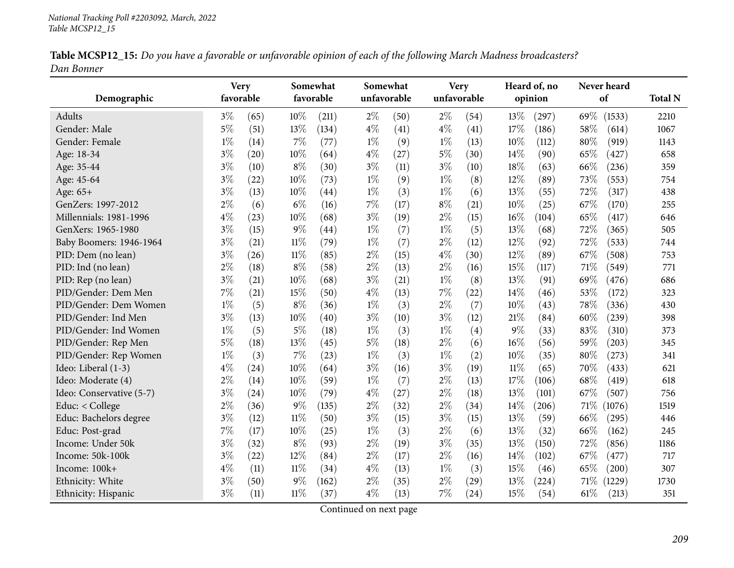| Table MCSP12_15: Do you have a favorable or unfavorable opinion of each of the following March Madness broadcasters? |  |
|----------------------------------------------------------------------------------------------------------------------|--|
| Dan Bonner                                                                                                           |  |

|                          | <b>Very</b> |      |        | Somewhat  |             | Somewhat |       | <b>Very</b> |        | Heard of, no | Never heard |        |                |
|--------------------------|-------------|------|--------|-----------|-------------|----------|-------|-------------|--------|--------------|-------------|--------|----------------|
| Demographic              | favorable   |      |        | favorable | unfavorable |          |       | unfavorable |        | opinion      |             | of     | <b>Total N</b> |
| Adults                   | $3\%$       | (65) | 10%    | (211)     | $2\%$       | (50)     | $2\%$ | (54)        | 13%    | (297)        | 69%         | (1533) | 2210           |
| Gender: Male             | $5\%$       | (51) | 13%    | (134)     | $4\%$       | (41)     | $4\%$ | (41)        | 17%    | (186)        | 58%         | (614)  | 1067           |
| Gender: Female           | $1\%$       | (14) | 7%     | (77)      | $1\%$       | (9)      | $1\%$ | (13)        | 10%    | (112)        | 80%         | (919)  | 1143           |
| Age: 18-34               | $3\%$       | (20) | 10%    | (64)      | $4\%$       | (27)     | $5\%$ | (30)        | 14\%   | (90)         | 65%         | (427)  | 658            |
| Age: 35-44               | $3\%$       | (10) | $8\%$  | (30)      | $3\%$       | (11)     | $3\%$ | (10)        | 18%    | (63)         | 66%         | (236)  | 359            |
| Age: 45-64               | $3\%$       | (22) | 10%    | (73)      | $1\%$       | (9)      | $1\%$ | (8)         | 12%    | (89)         | 73%         | (553)  | 754            |
| Age: 65+                 | $3\%$       | (13) | 10%    | (44)      | $1\%$       | (3)      | $1\%$ | (6)         | 13%    | (55)         | 72%         | (317)  | 438            |
| GenZers: 1997-2012       | $2\%$       | (6)  | $6\%$  | (16)      | 7%          | (17)     | $8\%$ | (21)        | 10%    | (25)         | 67\%        | (170)  | 255            |
| Millennials: 1981-1996   | $4\%$       | (23) | 10%    | (68)      | $3\%$       | (19)     | $2\%$ | (15)        | 16%    | (104)        | 65%         | (417)  | 646            |
| GenXers: 1965-1980       | $3\%$       | (15) | $9\%$  | (44)      | $1\%$       | (7)      | $1\%$ | (5)         | 13%    | (68)         | 72%         | (365)  | 505            |
| Baby Boomers: 1946-1964  | $3\%$       | (21) | $11\%$ | (79)      | $1\%$       | (7)      | $2\%$ | (12)        | 12%    | (92)         | 72%         | (533)  | 744            |
| PID: Dem (no lean)       | $3\%$       | (26) | $11\%$ | (85)      | $2\%$       | (15)     | $4\%$ | (30)        | 12%    | (89)         | 67%         | (508)  | 753            |
| PID: Ind (no lean)       | $2\%$       | (18) | $8\%$  | (58)      | $2\%$       | (13)     | $2\%$ | (16)        | 15%    | (117)        | 71\%        | (549)  | 771            |
| PID: Rep (no lean)       | $3\%$       | (21) | 10%    | (68)      | $3\%$       | (21)     | $1\%$ | (8)         | 13%    | (91)         | 69%         | (476)  | 686            |
| PID/Gender: Dem Men      | $7\%$       | (21) | 15%    | (50)      | $4\%$       | (13)     | $7\%$ | (22)        | 14%    | (46)         | 53%         | (172)  | 323            |
| PID/Gender: Dem Women    | $1\%$       | (5)  | $8\%$  | (36)      | $1\%$       | (3)      | $2\%$ | (7)         | 10%    | (43)         | 78%         | (336)  | 430            |
| PID/Gender: Ind Men      | $3\%$       | (13) | 10%    | (40)      | $3\%$       | (10)     | $3\%$ | (12)        | 21%    | (84)         | 60%         | (239)  | 398            |
| PID/Gender: Ind Women    | $1\%$       | (5)  | $5\%$  | (18)      | $1\%$       | (3)      | $1\%$ | (4)         | $9\%$  | (33)         | 83%         | (310)  | 373            |
| PID/Gender: Rep Men      | $5\%$       | (18) | 13%    | (45)      | 5%          | (18)     | $2\%$ | (6)         | 16%    | (56)         | 59%         | (203)  | 345            |
| PID/Gender: Rep Women    | $1\%$       | (3)  | 7%     | (23)      | $1\%$       | (3)      | $1\%$ | (2)         | 10%    | (35)         | 80%         | (273)  | 341            |
| Ideo: Liberal (1-3)      | $4\%$       | (24) | 10%    | (64)      | $3\%$       | (16)     | $3\%$ | (19)        | $11\%$ | (65)         | 70%         | (433)  | 621            |
| Ideo: Moderate (4)       | $2\%$       | (14) | 10%    | (59)      | $1\%$       | (7)      | $2\%$ | (13)        | 17%    | (106)        | 68%         | (419)  | 618            |
| Ideo: Conservative (5-7) | $3\%$       | (24) | 10%    | (79)      | $4\%$       | (27)     | $2\%$ | (18)        | 13%    | (101)        | 67\%        | (507)  | 756            |
| Educ: < College          | $2\%$       | (36) | 9%     | (135)     | $2\%$       | (32)     | $2\%$ | (34)        | 14%    | (206)        | $71\%$      | (1076) | 1519           |
| Educ: Bachelors degree   | $3\%$       | (12) | $11\%$ | (50)      | $3\%$       | (15)     | $3\%$ | (15)        | 13%    | (59)         | 66%         | (295)  | 446            |
| Educ: Post-grad          | $7\%$       | (17) | 10%    | (25)      | $1\%$       | (3)      | $2\%$ | (6)         | 13%    | (32)         | 66%         | (162)  | 245            |
| Income: Under 50k        | $3\%$       | (32) | $8\%$  | (93)      | $2\%$       | (19)     | $3\%$ | (35)        | 13%    | (150)        | 72%         | (856)  | 1186           |
| Income: 50k-100k         | $3\%$       | (22) | 12%    | (84)      | $2\%$       | (17)     | $2\%$ | (16)        | 14%    | (102)        | 67%         | (477)  | 717            |
| Income: 100k+            | $4\%$       | (11) | $11\%$ | (34)      | $4\%$       | (13)     | $1\%$ | (3)         | 15%    | (46)         | 65%         | (200)  | 307            |
| Ethnicity: White         | $3\%$       | (50) | $9\%$  | (162)     | $2\%$       | (35)     | $2\%$ | (29)        | 13%    | (224)        | 71\%        | (1229) | 1730           |
| Ethnicity: Hispanic      | $3\%$       | (11) | $11\%$ | (37)      | $4\%$       | (13)     | $7\%$ | (24)        | 15%    | (54)         | 61%         | (213)  | 351            |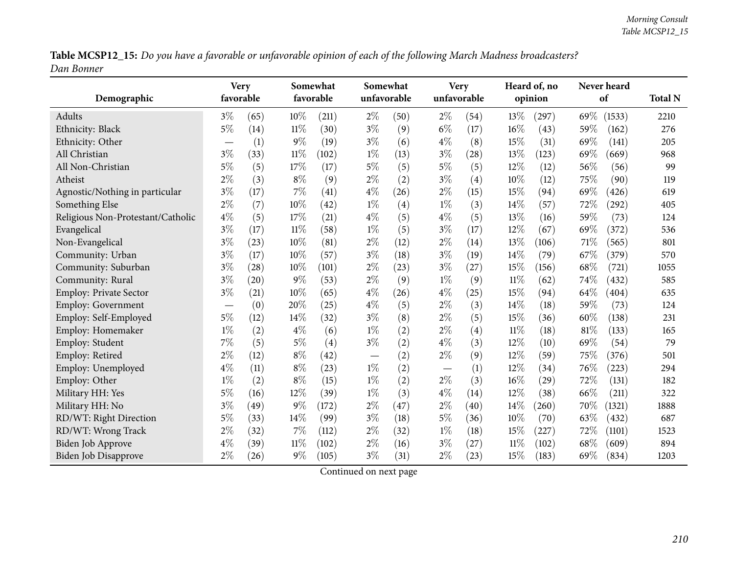Table MCSP12\_15: Do you have a favorable or unfavorable opinion of each of the following March Madness broadcasters? *Dan Bonner*

| Demographic                       | <b>Very</b><br>favorable |      | Somewhat<br>Somewhat<br><b>Very</b><br>favorable<br>unfavorable<br>unfavorable |       |                                 |      | Heard of, no<br>opinion | Never heard<br>of | <b>Total N</b> |       |      |        |      |
|-----------------------------------|--------------------------|------|--------------------------------------------------------------------------------|-------|---------------------------------|------|-------------------------|-------------------|----------------|-------|------|--------|------|
| Adults                            | $3\%$                    | (65) | $10\%$                                                                         | (211) | $2\%$                           | (50) | $2\%$                   | (54)              | 13\%           | (297) | 69\% | (1533) | 2210 |
| Ethnicity: Black                  | $5\%$                    | (14) | $11\%$                                                                         | (30)  | $3\%$                           | (9)  | $6\%$                   | (17)              | 16%            | (43)  | 59%  | (162)  | 276  |
| Ethnicity: Other                  |                          | (1)  | $9\%$                                                                          | (19)  | $3\%$                           | (6)  | $4\%$                   | (8)               | 15%            | (31)  | 69%  | (141)  | 205  |
| All Christian                     | $3\%$                    | (33) | $11\%$                                                                         | (102) | $1\%$                           | (13) | $3\%$                   | (28)              | 13%            | (123) | 69%  | (669)  | 968  |
| All Non-Christian                 | $5\%$                    | (5)  | 17%                                                                            | (17)  | $5\%$                           | (5)  | $5\%$                   | (5)               | 12%            | (12)  | 56%  | (56)   | 99   |
| Atheist                           | $2\%$                    | (3)  | $8\%$                                                                          | (9)   | $2\%$                           | (2)  | $3\%$                   | (4)               | 10%            | (12)  | 75%  | (90)   | 119  |
| Agnostic/Nothing in particular    | $3\%$                    | (17) | 7%                                                                             | (41)  | $4\%$                           | (26) | $2\%$                   | (15)              | 15%            | (94)  | 69%  | (426)  | 619  |
| Something Else                    | $2\%$                    | (7)  | 10%                                                                            | (42)  | $1\%$                           | (4)  | $1\%$                   | (3)               | 14%            | (57)  | 72%  | (292)  | 405  |
| Religious Non-Protestant/Catholic | $4\%$                    | (5)  | 17%                                                                            | (21)  | $4\%$                           | (5)  | $4\%$                   | (5)               | 13\%           | (16)  | 59%  | (73)   | 124  |
| Evangelical                       | $3\%$                    | (17) | $11\%$                                                                         | (58)  | $1\%$                           | (5)  | $3\%$                   | (17)              | 12%            | (67)  | 69%  | (372)  | 536  |
| Non-Evangelical                   | $3\%$                    | (23) | 10%                                                                            | (81)  | $2\%$                           | (12) | $2\%$                   | (14)              | 13%            | (106) | 71%  | (565)  | 801  |
| Community: Urban                  | $3\%$                    | (17) | 10%                                                                            | (57)  | $3\%$                           | (18) | $3\%$                   | (19)              | 14%            | (79)  | 67%  | (379)  | 570  |
| Community: Suburban               | $3\%$                    | (28) | 10%                                                                            | (101) | $2\%$                           | (23) | $3\%$                   | (27)              | 15%            | (156) | 68%  | (721)  | 1055 |
| Community: Rural                  | $3\%$                    | (20) | $9\%$                                                                          | (53)  | $2\%$                           | (9)  | $1\%$                   | (9)               | $11\%$         | (62)  | 74%  | (432)  | 585  |
| <b>Employ: Private Sector</b>     | $3\%$                    | (21) | 10%                                                                            | (65)  | $4\%$                           | (26) | $4\%$                   | (25)              | 15%            | (94)  | 64\% | (404)  | 635  |
| Employ: Government                |                          | (0)  | 20%                                                                            | (25)  | $4\%$                           | (5)  | $2\%$                   | (3)               | 14\%           | (18)  | 59%  | (73)   | 124  |
| Employ: Self-Employed             | $5\%$                    | (12) | 14%                                                                            | (32)  | $3\%$                           | (8)  | $2\%$                   | (5)               | 15%            | (36)  | 60%  | (138)  | 231  |
| Employ: Homemaker                 | $1\%$                    | (2)  | $4\%$                                                                          | (6)   | $1\%$                           | (2)  | $2\%$                   | (4)               | $11\%$         | (18)  | 81%  | (133)  | 165  |
| Employ: Student                   | 7%                       | (5)  | $5\%$                                                                          | (4)   | $3\%$                           | (2)  | $4\%$                   | (3)               | 12%            | (10)  | 69%  | (54)   | 79   |
| Employ: Retired                   | $2\%$                    | (12) | $8\%$                                                                          | (42)  | $\hspace{0.1mm}-\hspace{0.1mm}$ | (2)  | $2\%$                   | (9)               | 12%            | (59)  | 75%  | (376)  | 501  |
| Employ: Unemployed                | $4\%$                    | (11) | $8\%$                                                                          | (23)  | $1\%$                           | (2)  |                         | (1)               | 12%            | (34)  | 76%  | (223)  | 294  |
| Employ: Other                     | $1\%$                    | (2)  | $8\%$                                                                          | (15)  | $1\%$                           | (2)  | $2\%$                   | (3)               | 16%            | (29)  | 72%  | (131)  | 182  |
| Military HH: Yes                  | $5\%$                    | (16) | 12%                                                                            | (39)  | $1\%$                           | (3)  | $4\%$                   | (14)              | 12%            | (38)  | 66\% | (211)  | 322  |
| Military HH: No                   | $3\%$                    | (49) | $9\%$                                                                          | (172) | $2\%$                           | (47) | $2\%$                   | (40)              | 14%            | (260) | 70%  | (1321) | 1888 |
| RD/WT: Right Direction            | $5\%$                    | (33) | 14%                                                                            | (99)  | $3\%$                           | (18) | $5\%$                   | (36)              | $10\%$         | (70)  | 63%  | (432)  | 687  |
| RD/WT: Wrong Track                | $2\%$                    | (32) | 7%                                                                             | (112) | $2\%$                           | (32) | $1\%$                   | (18)              | 15%            | (227) | 72%  | (1101) | 1523 |
| <b>Biden Job Approve</b>          | $4\%$                    | (39) | 11%                                                                            | (102) | $2\%$                           | (16) | $3\%$                   | (27)              | $11\%$         | (102) | 68%  | (609)  | 894  |
| <b>Biden Job Disapprove</b>       | $2\%$                    | (26) | $9\%$                                                                          | (105) | $3\%$                           | (31) | $2\%$                   | (23)              | 15%            | (183) | 69%  | (834)  | 1203 |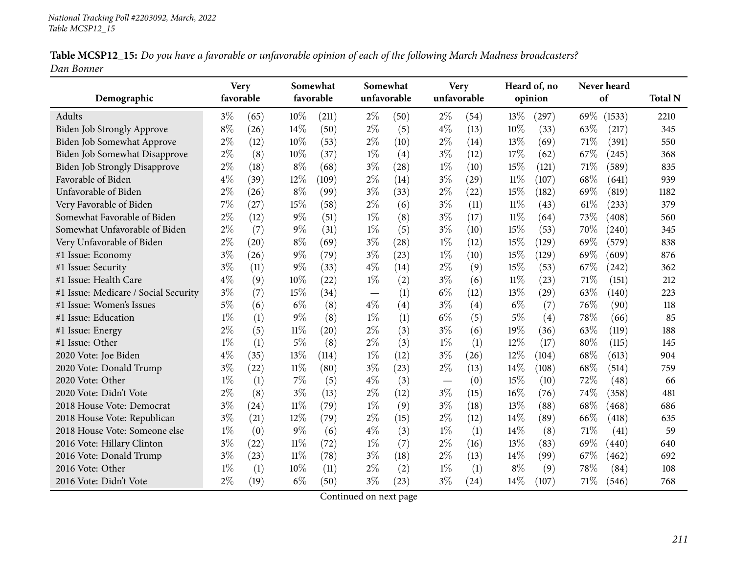| Table MCSP12_15: Do you have a favorable or unfavorable opinion of each of the following March Madness broadcasters? |  |
|----------------------------------------------------------------------------------------------------------------------|--|
| Dan Bonner                                                                                                           |  |

|                                      | <b>Very</b> |      |        | Somewhat  | Somewhat    |      |             | <b>Very</b> |        | Heard of, no |      | Never heard |                |
|--------------------------------------|-------------|------|--------|-----------|-------------|------|-------------|-------------|--------|--------------|------|-------------|----------------|
| Demographic                          | favorable   |      |        | favorable | unfavorable |      | unfavorable |             |        | opinion      |      | of          | <b>Total N</b> |
| Adults                               | $3\%$       | (65) | 10%    | (211)     | $2\%$       | (50) | $2\%$       | (54)        | 13\%   | (297)        | 69%  | (1533)      | 2210           |
| Biden Job Strongly Approve           | $8\%$       | (26) | 14%    | (50)      | $2\%$       | (5)  | $4\%$       | (13)        | 10%    | (33)         | 63%  | (217)       | 345            |
| Biden Job Somewhat Approve           | $2\%$       | (12) | 10%    | (53)      | $2\%$       | (10) | $2\%$       | (14)        | 13%    | (69)         | 71%  | (391)       | 550            |
| Biden Job Somewhat Disapprove        | $2\%$       | (8)  | 10%    | (37)      | $1\%$       | (4)  | $3\%$       | (12)        | 17%    | (62)         | 67\% | (245)       | 368            |
| <b>Biden Job Strongly Disapprove</b> | $2\%$       | (18) | $8\%$  | (68)      | $3\%$       | (28) | $1\%$       | (10)        | 15%    | (121)        | 71\% | (589)       | 835            |
| Favorable of Biden                   | $4\%$       | (39) | 12%    | (109)     | $2\%$       | (14) | $3\%$       | (29)        | $11\%$ | (107)        | 68%  | (641)       | 939            |
| Unfavorable of Biden                 | $2\%$       | (26) | $8\%$  | (99)      | $3\%$       | (33) | $2\%$       | (22)        | 15%    | (182)        | 69%  | (819)       | 1182           |
| Very Favorable of Biden              | 7%          | (27) | 15%    | (58)      | $2\%$       | (6)  | $3\%$       | (11)        | $11\%$ | (43)         | 61%  | (233)       | 379            |
| Somewhat Favorable of Biden          | $2\%$       | (12) | $9\%$  | (51)      | $1\%$       | (8)  | $3\%$       | (17)        | $11\%$ | (64)         | 73\% | (408)       | 560            |
| Somewhat Unfavorable of Biden        | 2%          | (7)  | $9\%$  | (31)      | $1\%$       | (5)  | $3\%$       | (10)        | 15%    | (53)         | 70%  | (240)       | 345            |
| Very Unfavorable of Biden            | $2\%$       | (20) | $8\%$  | (69)      | $3\%$       | (28) | $1\%$       | (12)        | 15%    | (129)        | 69%  | (579)       | 838            |
| #1 Issue: Economy                    | $3\%$       | (26) | 9%     | (79)      | $3\%$       | (23) | $1\%$       | (10)        | 15%    | (129)        | 69%  | (609)       | 876            |
| #1 Issue: Security                   | $3\%$       | (11) | $9\%$  | (33)      | $4\%$       | (14) | $2\%$       | (9)         | 15%    | (53)         | 67%  | (242)       | 362            |
| #1 Issue: Health Care                | $4\%$       | (9)  | 10%    | (22)      | $1\%$       | (2)  | $3\%$       | (6)         | $11\%$ | (23)         | 71%  | (151)       | 212            |
| #1 Issue: Medicare / Social Security | $3\%$       | (7)  | 15%    | (34)      |             | (1)  | $6\%$       | (12)        | 13%    | (29)         | 63%  | (140)       | 223            |
| #1 Issue: Women's Issues             | $5\%$       | (6)  | $6\%$  | (8)       | $4\%$       | (4)  | $3\%$       | (4)         | $6\%$  | (7)          | 76%  | (90)        | 118            |
| #1 Issue: Education                  | $1\%$       | (1)  | $9\%$  | (8)       | $1\%$       | (1)  | $6\%$       | (5)         | $5\%$  | (4)          | 78%  | (66)        | 85             |
| #1 Issue: Energy                     | $2\%$       | (5)  | $11\%$ | (20)      | $2\%$       | (3)  | $3\%$       | (6)         | 19%    | (36)         | 63\% | (119)       | 188            |
| #1 Issue: Other                      | $1\%$       | (1)  | $5\%$  | (8)       | $2\%$       | (3)  | $1\%$       | (1)         | 12%    | (17)         | 80%  | (115)       | 145            |
| 2020 Vote: Joe Biden                 | $4\%$       | (35) | 13%    | (114)     | $1\%$       | (12) | $3\%$       | (26)        | 12%    | (104)        | 68\% | (613)       | 904            |
| 2020 Vote: Donald Trump              | $3\%$       | (22) | $11\%$ | (80)      | $3\%$       | (23) | $2\%$       | (13)        | 14%    | (108)        | 68%  | (514)       | 759            |
| 2020 Vote: Other                     | $1\%$       | (1)  | 7%     | (5)       | $4\%$       | (3)  |             | (0)         | 15%    | (10)         | 72%  | (48)        | 66             |
| 2020 Vote: Didn't Vote               | $2\%$       | (8)  | $3\%$  | (13)      | $2\%$       | (12) | $3\%$       | (15)        | 16%    | (76)         | 74%  | (358)       | 481            |
| 2018 House Vote: Democrat            | $3\%$       | (24) | $11\%$ | (79)      | $1\%$       | (9)  | $3\%$       | (18)        | 13%    | (88)         | 68%  | (468)       | 686            |
| 2018 House Vote: Republican          | $3\%$       | (21) | 12%    | (79)      | $2\%$       | (15) | $2\%$       | (12)        | 14%    | (89)         | 66\% | (418)       | 635            |
| 2018 House Vote: Someone else        | $1\%$       | (0)  | $9\%$  | (6)       | $4\%$       | (3)  | $1\%$       | (1)         | 14\%   | (8)          | 71\% | (41)        | 59             |
| 2016 Vote: Hillary Clinton           | $3\%$       | (22) | $11\%$ | (72)      | $1\%$       | (7)  | $2\%$       | (16)        | 13%    | (83)         | 69%  | (440)       | 640            |
| 2016 Vote: Donald Trump              | $3\%$       | (23) | $11\%$ | (78)      | $3\%$       | (18) | $2\%$       | (13)        | 14%    | (99)         | 67%  | (462)       | 692            |
| 2016 Vote: Other                     | $1\%$       | (1)  | 10%    | (11)      | $2\%$       | (2)  | $1\%$       | (1)         | $8\%$  | (9)          | 78%  | (84)        | 108            |
| 2016 Vote: Didn't Vote               | $2\%$       | (19) | $6\%$  | (50)      | $3\%$       | (23) | $3\%$       | (24)        | 14%    | (107)        | 71\% | (546)       | 768            |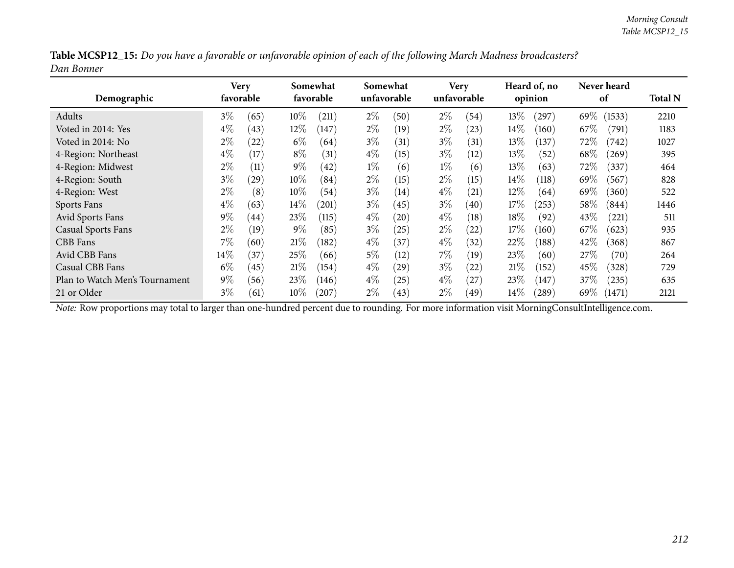|            | Table MCSP12_15: Do you have a favorable or unfavorable opinion of each of the following March Madness broadcasters? |
|------------|----------------------------------------------------------------------------------------------------------------------|
| Dan Bonner |                                                                                                                      |

| Demographic                    |        | Very<br>favorable |        | Somewhat<br>favorable |       | Somewhat<br>unfavorable |       | <b>Very</b><br>unfavorable |        | Heard of, no<br>opinion |        | <b>Never heard</b><br>of |      |  |
|--------------------------------|--------|-------------------|--------|-----------------------|-------|-------------------------|-------|----------------------------|--------|-------------------------|--------|--------------------------|------|--|
| Adults                         | $3\%$  | (65)              | $10\%$ | (211)                 | $2\%$ | (50)                    | $2\%$ | (54)                       | 13%    | (297)                   | 69%    | (1533)                   | 2210 |  |
| Voted in 2014: Yes             | $4\%$  | (43)              | $12\%$ | (147)                 | $2\%$ | (19)                    | $2\%$ | (23)                       | 14%    | (160)                   | 67\%   | (791)                    | 1183 |  |
| Voted in 2014: No              | $2\%$  | (22)              | $6\%$  | (64)                  | $3\%$ | (31)                    | $3\%$ | (31)                       | 13%    | (137)                   | 72\%   | (742)                    | 1027 |  |
| 4-Region: Northeast            | $4\%$  | (17)              | $8\%$  | (31)                  | $4\%$ | (15)                    | $3\%$ | (12)                       | 13\%   | (52)                    | 68\%   | (269)                    | 395  |  |
| 4-Region: Midwest              | $2\%$  | (11)              | $9\%$  | (42)                  | $1\%$ | (6)                     | $1\%$ | (6)                        | 13%    | (63)                    | 72\%   | (337)                    | 464  |  |
| 4-Region: South                | $3\%$  | (29)              | $10\%$ | (84)                  | $2\%$ | (15)                    | $2\%$ | (15)                       | 14%    | (118)                   | 69%    | (567)                    | 828  |  |
| 4-Region: West                 | $2\%$  | (8)               | $10\%$ | (54)                  | $3\%$ | (14)                    | $4\%$ | (21)                       | $12\%$ | (64)                    | $69\%$ | (360)                    | 522  |  |
| Sports Fans                    | $4\%$  | (63)              | $14\%$ | (201)                 | $3\%$ | (45)                    | $3\%$ | (40)                       | 17%    | (253)                   | 58\%   | (844)                    | 1446 |  |
| Avid Sports Fans               | $9\%$  | (44)              | 23\%   | (115)                 | $4\%$ | (20)                    | $4\%$ | $\left(18\right)$          | 18\%   | (92)                    | 43\%   | (221)                    | 511  |  |
| <b>Casual Sports Fans</b>      | $2\%$  | (19)              | $9\%$  | (85)                  | $3\%$ | 25                      | $2\%$ | (22)                       | 17%    | (160)                   | 67%    | (623)                    | 935  |  |
| CBB Fans                       | $7\%$  | (60)              | 21%    | (182)                 | $4\%$ | (37)                    | $4\%$ | (32)                       | 22%    | (188)                   | 42%    | (368)                    | 867  |  |
| Avid CBB Fans                  | $14\%$ | (37)              | 25\%   | (66)                  | $5\%$ | $\left(12\right)$       | 7%    | (19)                       | 23%    | (60)                    | 27\%   | (70)                     | 264  |  |
| Casual CBB Fans                | $6\%$  | (45)              | 21%    | (154)                 | $4\%$ | (29)                    | $3\%$ | (22)                       | 21%    | (152)                   | 45\%   | (328)                    | 729  |  |
| Plan to Watch Men's Tournament | $9\%$  | (56)              | $23\%$ | (146)                 | $4\%$ | $^{'}25)$               | $4\%$ | (27)                       | 23%    | (147)                   | 37%    | (235)                    | 635  |  |
| 21 or Older                    | $3\%$  | (61)              | $10\%$ | $^{\prime}207$        | $2\%$ | (43)                    | $2\%$ | (49)                       | 14%    | $^{'}289)$              | 69\%   | (1471)                   | 2121 |  |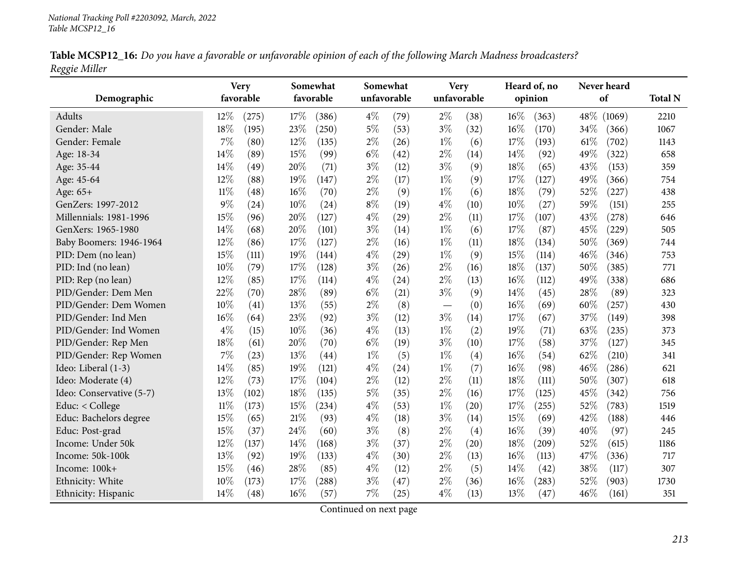| Table MCSP12_16: Do you have a favorable or unfavorable opinion of each of the following March Madness broadcasters? |  |
|----------------------------------------------------------------------------------------------------------------------|--|
| Reggie Miller                                                                                                        |  |

|                          |        | <b>Very</b> | Somewhat<br>Somewhat |           |       | <b>Very</b> |       | Heard of, no |      | Never heard |      |        |                |
|--------------------------|--------|-------------|----------------------|-----------|-------|-------------|-------|--------------|------|-------------|------|--------|----------------|
| Demographic              |        | favorable   |                      | favorable |       | unfavorable |       | unfavorable  |      | opinion     |      | of     | <b>Total N</b> |
| Adults                   | 12%    | (275)       | 17%                  | (386)     | $4\%$ | (79)        | $2\%$ | (38)         | 16%  | (363)       | 48\% | (1069) | 2210           |
| Gender: Male             | 18%    | (195)       | 23%                  | (250)     | $5\%$ | (53)        | $3\%$ | (32)         | 16%  | (170)       | 34%  | (366)  | 1067           |
| Gender: Female           | 7%     | (80)        | 12%                  | (135)     | $2\%$ | (26)        | $1\%$ | (6)          | 17%  | (193)       | 61\% | (702)  | 1143           |
| Age: 18-34               | 14%    | (89)        | 15%                  | (99)      | $6\%$ | (42)        | $2\%$ | (14)         | 14\% | (92)        | 49%  | (322)  | 658            |
| Age: 35-44               | 14%    | (49)        | 20%                  | (71)      | $3\%$ | (12)        | $3\%$ | (9)          | 18%  | (65)        | 43%  | (153)  | 359            |
| Age: 45-64               | 12%    | (88)        | 19%                  | (147)     | $2\%$ | (17)        | $1\%$ | (9)          | 17%  | (127)       | 49%  | (366)  | 754            |
| Age: 65+                 | $11\%$ | (48)        | 16%                  | (70)      | $2\%$ | (9)         | $1\%$ | (6)          | 18%  | (79)        | 52%  | (227)  | 438            |
| GenZers: 1997-2012       | 9%     | (24)        | 10%                  | (24)      | $8\%$ | (19)        | $4\%$ | (10)         | 10%  | (27)        | 59%  | (151)  | 255            |
| Millennials: 1981-1996   | 15%    | (96)        | 20%                  | (127)     | $4\%$ | (29)        | $2\%$ | (11)         | 17%  | (107)       | 43%  | (278)  | 646            |
| GenXers: 1965-1980       | 14%    | (68)        | 20%                  | (101)     | $3\%$ | (14)        | $1\%$ | (6)          | 17%  | (87)        | 45%  | (229)  | 505            |
| Baby Boomers: 1946-1964  | 12%    | (86)        | 17%                  | (127)     | $2\%$ | (16)        | $1\%$ | (11)         | 18%  | (134)       | 50%  | (369)  | 744            |
| PID: Dem (no lean)       | 15%    | (111)       | 19%                  | (144)     | $4\%$ | (29)        | $1\%$ | (9)          | 15%  | (114)       | 46%  | (346)  | 753            |
| PID: Ind (no lean)       | 10%    | (79)        | 17%                  | (128)     | $3\%$ | (26)        | $2\%$ | (16)         | 18%  | (137)       | 50%  | (385)  | 771            |
| PID: Rep (no lean)       | 12%    | (85)        | 17%                  | (114)     | $4\%$ | (24)        | $2\%$ | (13)         | 16%  | (112)       | 49%  | (338)  | 686            |
| PID/Gender: Dem Men      | 22%    | (70)        | 28%                  | (89)      | $6\%$ | (21)        | $3\%$ | (9)          | 14%  | (45)        | 28%  | (89)   | 323            |
| PID/Gender: Dem Women    | 10%    | (41)        | 13%                  | (55)      | $2\%$ | (8)         |       | (0)          | 16%  | (69)        | 60%  | (257)  | 430            |
| PID/Gender: Ind Men      | 16%    | (64)        | 23%                  | (92)      | $3\%$ | (12)        | $3\%$ | (14)         | 17%  | (67)        | 37%  | (149)  | 398            |
| PID/Gender: Ind Women    | $4\%$  | (15)        | 10%                  | (36)      | $4\%$ | (13)        | $1\%$ | (2)          | 19%  | (71)        | 63%  | (235)  | 373            |
| PID/Gender: Rep Men      | 18%    | (61)        | 20%                  | (70)      | $6\%$ | (19)        | $3\%$ | (10)         | 17%  | (58)        | 37%  | (127)  | 345            |
| PID/Gender: Rep Women    | 7%     | (23)        | 13%                  | (44)      | $1\%$ | (5)         | $1\%$ | (4)          | 16%  | (54)        | 62%  | (210)  | 341            |
| Ideo: Liberal (1-3)      | 14%    | (85)        | 19%                  | (121)     | $4\%$ | (24)        | $1\%$ | (7)          | 16%  | (98)        | 46%  | (286)  | 621            |
| Ideo: Moderate (4)       | 12%    | (73)        | 17%                  | (104)     | $2\%$ | (12)        | $2\%$ | (11)         | 18%  | (111)       | 50%  | (307)  | 618            |
| Ideo: Conservative (5-7) | 13%    | (102)       | 18%                  | (135)     | $5\%$ | (35)        | $2\%$ | (16)         | 17%  | (125)       | 45\% | (342)  | 756            |
| Educ: < College          | $11\%$ | (173)       | 15%                  | (234)     | $4\%$ | (53)        | $1\%$ | (20)         | 17%  | (255)       | 52%  | (783)  | 1519           |
| Educ: Bachelors degree   | 15%    | (65)        | 21%                  | (93)      | $4\%$ | (18)        | $3\%$ | (14)         | 15%  | (69)        | 42%  | (188)  | 446            |
| Educ: Post-grad          | 15%    | (37)        | 24%                  | (60)      | $3\%$ | (8)         | $2\%$ | (4)          | 16%  | (39)        | 40%  | (97)   | 245            |
| Income: Under 50k        | 12%    | (137)       | 14%                  | (168)     | $3\%$ | (37)        | $2\%$ | (20)         | 18%  | (209)       | 52%  | (615)  | 1186           |
| Income: 50k-100k         | 13%    | (92)        | 19%                  | (133)     | $4\%$ | (30)        | $2\%$ | (13)         | 16%  | (113)       | 47%  | (336)  | 717            |
| Income: 100k+            | 15%    | (46)        | 28%                  | (85)      | $4\%$ | (12)        | $2\%$ | (5)          | 14\% | (42)        | 38%  | (117)  | 307            |
| Ethnicity: White         | 10%    | (173)       | 17%                  | (288)     | $3\%$ | (47)        | $2\%$ | (36)         | 16%  | (283)       | 52%  | (903)  | 1730           |
| Ethnicity: Hispanic      | 14%    | (48)        | 16%                  | (57)      | 7%    | (25)        | $4\%$ | (13)         | 13%  | (47)        | 46%  | (161)  | 351            |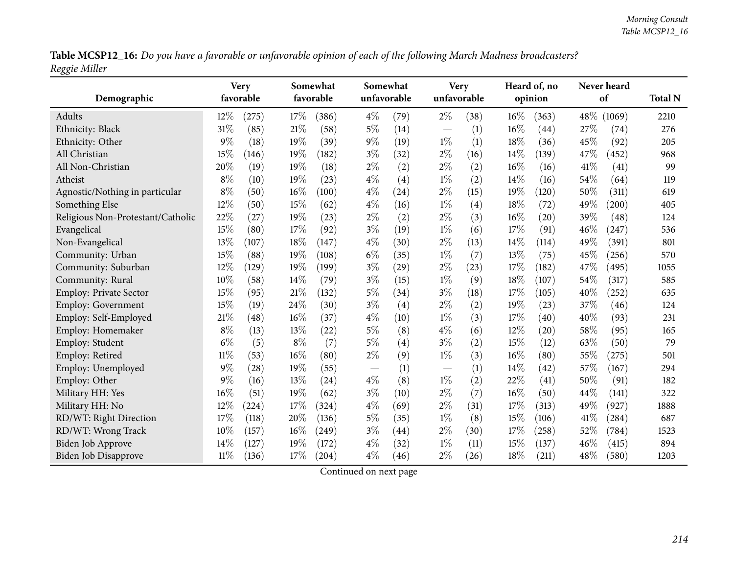Table MCSP12\_16: Do you have a favorable or unfavorable opinion of each of the following March Madness broadcasters? *Reggie Miller*

| Demographic                       |        | <b>Very</b><br>favorable |       | Somewhat<br>favorable | Somewhat<br><b>Very</b><br>unfavorable<br>unfavorable |      |       | Heard of, no<br>opinion | Never heard<br>of | <b>Total N</b>     |      |            |      |
|-----------------------------------|--------|--------------------------|-------|-----------------------|-------------------------------------------------------|------|-------|-------------------------|-------------------|--------------------|------|------------|------|
| Adults                            | 12%    | (275)                    | 17%   | (386)                 | $4\%$                                                 | (79) | $2\%$ | (38)                    | 16%               | (363)              | 48\% | (1069)     | 2210 |
| Ethnicity: Black                  | 31%    | (85)                     | 21%   | (58)                  | $5\%$                                                 | (14) |       | (1)                     | 16%               | $\left( 44\right)$ | 27%  | (74)       | 276  |
| Ethnicity: Other                  | $9\%$  | (18)                     | 19%   | (39)                  | $9\%$                                                 | (19) | $1\%$ | (1)                     | 18%               | (36)               | 45%  | (92)       | 205  |
| All Christian                     | 15%    | (146)                    | 19%   | (182)                 | $3\%$                                                 | (32) | $2\%$ | (16)                    | 14%               | (139)              | 47%  | (452)      | 968  |
| All Non-Christian                 | 20%    | (19)                     | 19%   | (18)                  | $2\%$                                                 | (2)  | $2\%$ | (2)                     | 16%               | (16)               | 41%  | (41)       | 99   |
| Atheist                           | $8\%$  | (10)                     | 19%   | (23)                  | $4\%$                                                 | (4)  | $1\%$ | (2)                     | 14%               | (16)               | 54%  | (64)       | 119  |
| Agnostic/Nothing in particular    | $8\%$  | (50)                     | 16%   | (100)                 | $4\%$                                                 | (24) | $2\%$ | (15)                    | 19%               | (120)              | 50%  | (311)      | 619  |
| Something Else                    | 12%    | (50)                     | 15%   | (62)                  | $4\%$                                                 | (16) | $1\%$ | (4)                     | 18%               | (72)               | 49%  | (200)      | 405  |
| Religious Non-Protestant/Catholic | 22%    | (27)                     | 19%   | (23)                  | $2\%$                                                 | (2)  | $2\%$ | (3)                     | 16%               | (20)               | 39%  | (48)       | 124  |
| Evangelical                       | 15%    | (80)                     | 17%   | (92)                  | $3\%$                                                 | (19) | $1\%$ | (6)                     | 17%               | (91)               | 46%  | (247)      | 536  |
| Non-Evangelical                   | 13%    | (107)                    | 18%   | (147)                 | $4\%$                                                 | (30) | $2\%$ | (13)                    | 14%               | (114)              | 49%  | (391)      | 801  |
| Community: Urban                  | 15%    | (88)                     | 19%   | (108)                 | $6\%$                                                 | (35) | $1\%$ | (7)                     | 13\%              | (75)               | 45%  | (256)      | 570  |
| Community: Suburban               | 12%    | (129)                    | 19%   | (199)                 | $3\%$                                                 | (29) | $2\%$ | (23)                    | 17%               | (182)              | 47%  | (495)      | 1055 |
| Community: Rural                  | 10%    | (58)                     | 14%   | (79)                  | $3\%$                                                 | (15) | $1\%$ | (9)                     | 18%               | (107)              | 54%  | (317)      | 585  |
| <b>Employ: Private Sector</b>     | 15%    | (95)                     | 21%   | (132)                 | $5\%$                                                 | (34) | $3\%$ | (18)                    | 17%               | (105)              | 40%  | (252)      | 635  |
| <b>Employ: Government</b>         | 15%    | (19)                     | 24%   | (30)                  | $3\%$                                                 | (4)  | $2\%$ | (2)                     | 19%               | (23)               | 37%  | (46)       | 124  |
| Employ: Self-Employed             | 21%    | (48)                     | 16%   | (37)                  | $4\%$                                                 | (10) | $1\%$ | (3)                     | 17%               | $\left( 40\right)$ | 40%  | (93)       | 231  |
| Employ: Homemaker                 | $8\%$  | (13)                     | 13%   | (22)                  | $5\%$                                                 | (8)  | $4\%$ | (6)                     | 12%               | (20)               | 58%  | (95)       | 165  |
| Employ: Student                   | $6\%$  | (5)                      | $8\%$ | (7)                   | $5\%$                                                 | (4)  | $3\%$ | (2)                     | 15%               | (12)               | 63%  | (50)       | 79   |
| Employ: Retired                   | 11%    | (53)                     | 16%   | (80)                  | $2\%$                                                 | (9)  | $1\%$ | (3)                     | 16%               | (80)               | 55%  | (275)      | 501  |
| Employ: Unemployed                | $9\%$  | (28)                     | 19%   | (55)                  | $\overbrace{\phantom{123221111}}$                     | (1)  |       | (1)                     | 14%               | $\left( 42\right)$ | 57%  | (167)      | 294  |
| Employ: Other                     | $9\%$  | (16)                     | 13%   | (24)                  | $4\%$                                                 | (8)  | $1\%$ | (2)                     | 22%               | (41)               | 50%  | (91)       | 182  |
| Military HH: Yes                  | 16%    | (51)                     | 19%   | (62)                  | $3\%$                                                 | (10) | $2\%$ | (7)                     | 16%               | (50)               | 44%  | (141)      | 322  |
| Military HH: No                   | 12%    | (224)                    | 17%   | (324)                 | $4\%$                                                 | (69) | $2\%$ | (31)                    | 17%               | (313)              | 49%  | (927)      | 1888 |
| RD/WT: Right Direction            | 17%    | (118)                    | 20%   | (136)                 | $5\%$                                                 | (35) | $1\%$ | (8)                     | 15%               | (106)              | 41\% | $^{(284)}$ | 687  |
| RD/WT: Wrong Track                | 10%    | (157)                    | 16%   | (249)                 | $3\%$                                                 | (44) | $2\%$ | (30)                    | 17%               | (258)              | 52%  | (784)      | 1523 |
| <b>Biden Job Approve</b>          | 14%    | (127)                    | 19%   | (172)                 | $4\%$                                                 | (32) | $1\%$ | (11)                    | 15%               | (137)              | 46%  | (415)      | 894  |
| Biden Job Disapprove              | $11\%$ | (136)                    | 17%   | (204)                 | $4\%$                                                 | (46) | $2\%$ | (26)                    | 18%               | (211)              | 48%  | (580)      | 1203 |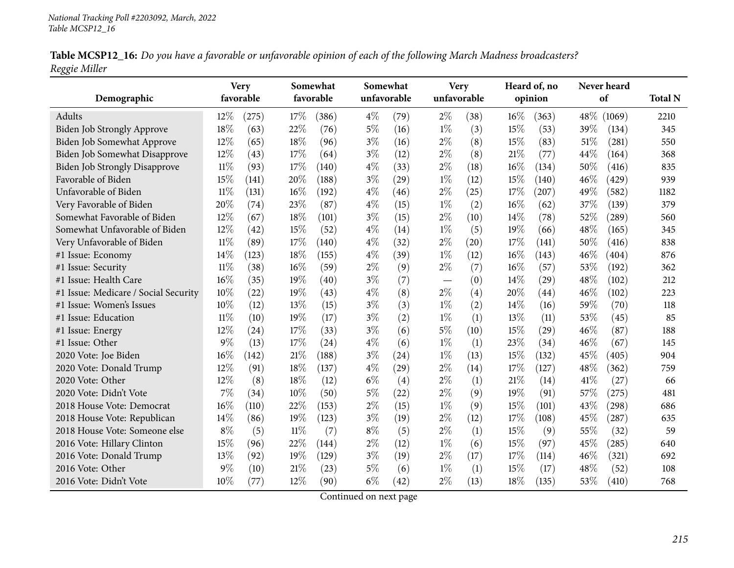| Table MCSP12_16: Do you have a favorable or unfavorable opinion of each of the following March Madness broadcasters? |  |
|----------------------------------------------------------------------------------------------------------------------|--|
| Reggie Miller                                                                                                        |  |

|                                      |           | <b>Very</b><br>Somewhat |           |       | Somewhat |             | <b>Very</b>                      |             | Heard of, no |         | Never heard |        |                |
|--------------------------------------|-----------|-------------------------|-----------|-------|----------|-------------|----------------------------------|-------------|--------------|---------|-------------|--------|----------------|
| Demographic                          | favorable |                         | favorable |       |          | unfavorable |                                  | unfavorable |              | opinion |             | of     | <b>Total N</b> |
| Adults                               | 12%       | (275)                   | 17%       | (386) | $4\%$    | (79)        | $2\%$                            | (38)        | $16\%$       | (363)   | $48\%$      | (1069) | 2210           |
| Biden Job Strongly Approve           | 18%       | (63)                    | 22%       | (76)  | $5\%$    | (16)        | $1\%$                            | (3)         | 15%          | (53)    | 39%         | (134)  | 345            |
| Biden Job Somewhat Approve           | 12%       | (65)                    | 18%       | (96)  | $3\%$    | (16)        | $2\%$                            | (8)         | 15%          | (83)    | 51%         | (281)  | 550            |
| Biden Job Somewhat Disapprove        | 12%       | (43)                    | 17\%      | (64)  | $3\%$    | (12)        | $2\%$                            | (8)         | $21\%$       | (77)    | 44%         | (164)  | 368            |
| <b>Biden Job Strongly Disapprove</b> | 11%       | (93)                    | 17%       | (140) | $4\%$    | (33)        | $2\%$                            | (18)        | 16%          | (134)   | 50%         | (416)  | 835            |
| Favorable of Biden                   | 15%       | (141)                   | 20%       | (188) | $3\%$    | (29)        | $1\%$                            | (12)        | 15%          | (140)   | 46%         | (429)  | 939            |
| Unfavorable of Biden                 | $11\%$    | (131)                   | 16%       | (192) | $4\%$    | (46)        | $2\%$                            | (25)        | 17%          | (207)   | 49%         | (582)  | 1182           |
| Very Favorable of Biden              | 20%       | (74)                    | 23%       | (87)  | $4\%$    | (15)        | $1\%$                            | (2)         | 16%          | (62)    | 37%         | (139)  | 379            |
| Somewhat Favorable of Biden          | 12%       | (67)                    | 18%       | (101) | $3\%$    | (15)        | $2\%$                            | (10)        | 14%          | (78)    | 52%         | (289)  | 560            |
| Somewhat Unfavorable of Biden        | 12%       | (42)                    | 15%       | (52)  | $4\%$    | (14)        | $1\%$                            | (5)         | 19%          | (66)    | 48%         | (165)  | 345            |
| Very Unfavorable of Biden            | $11\%$    | (89)                    | 17\%      | (140) | $4\%$    | (32)        | $2\%$                            | (20)        | 17%          | (141)   | 50%         | (416)  | 838            |
| #1 Issue: Economy                    | 14%       | (123)                   | 18%       | (155) | $4\%$    | (39)        | $1\%$                            | (12)        | $16\%$       | (143)   | 46%         | (404)  | 876            |
| #1 Issue: Security                   | $11\%$    | (38)                    | 16%       | (59)  | $2\%$    | (9)         | $2\%$                            | (7)         | 16%          | (57)    | 53%         | (192)  | 362            |
| #1 Issue: Health Care                | 16%       | (35)                    | 19%       | (40)  | $3\%$    | (7)         | $\overbrace{\phantom{12322111}}$ | (0)         | 14%          | (29)    | 48%         | (102)  | 212            |
| #1 Issue: Medicare / Social Security | 10%       | (22)                    | 19%       | (43)  | $4\%$    | (8)         | $2\%$                            | (4)         | 20%          | (44)    | 46%         | (102)  | 223            |
| #1 Issue: Women's Issues             | 10%       | (12)                    | 13%       | (15)  | $3\%$    | (3)         | $1\%$                            | (2)         | 14%          | (16)    | 59%         | (70)   | 118            |
| #1 Issue: Education                  | $11\%$    | (10)                    | 19%       | (17)  | $3\%$    | (2)         | $1\%$                            | (1)         | 13%          | (11)    | 53%         | (45)   | 85             |
| #1 Issue: Energy                     | 12%       | (24)                    | 17%       | (33)  | $3\%$    | (6)         | 5%                               | (10)        | 15%          | (29)    | 46%         | (87)   | 188            |
| #1 Issue: Other                      | $9\%$     | (13)                    | 17%       | (24)  | $4\%$    | (6)         | $1\%$                            | (1)         | 23%          | (34)    | 46%         | (67)   | 145            |
| 2020 Vote: Joe Biden                 | 16%       | (142)                   | 21%       | (188) | $3\%$    | (24)        | $1\%$                            | (13)        | 15%          | (132)   | 45%         | (405)  | 904            |
| 2020 Vote: Donald Trump              | 12%       | (91)                    | 18%       | (137) | $4\%$    | (29)        | $2\%$                            | (14)        | 17%          | (127)   | 48%         | (362)  | 759            |
| 2020 Vote: Other                     | 12%       | (8)                     | 18%       | (12)  | $6\%$    | (4)         | $2\%$                            | (1)         | 21%          | (14)    | 41%         | (27)   | 66             |
| 2020 Vote: Didn't Vote               | 7%        | (34)                    | 10%       | (50)  | $5\%$    | (22)        | $2\%$                            | (9)         | 19%          | (91)    | 57%         | (275)  | 481            |
| 2018 House Vote: Democrat            | 16%       | (110)                   | 22%       | (153) | $2\%$    | (15)        | $1\%$                            | (9)         | 15%          | (101)   | 43%         | (298)  | 686            |
| 2018 House Vote: Republican          | 14%       | (86)                    | 19%       | (123) | $3\%$    | (19)        | $2\%$                            | (12)        | 17%          | (108)   | 45%         | (287)  | 635            |
| 2018 House Vote: Someone else        | $8\%$     | (5)                     | $11\%$    | (7)   | $8\%$    | (5)         | $2\%$                            | (1)         | 15%          | (9)     | 55%         | (32)   | 59             |
| 2016 Vote: Hillary Clinton           | 15%       | (96)                    | 22%       | (144) | $2\%$    | (12)        | $1\%$                            | (6)         | 15%          | (97)    | 45%         | (285)  | 640            |
| 2016 Vote: Donald Trump              | 13%       | (92)                    | 19%       | (129) | $3\%$    | (19)        | $2\%$                            | (17)        | 17%          | (114)   | 46%         | (321)  | 692            |
| 2016 Vote: Other                     | 9%        | (10)                    | 21%       | (23)  | $5\%$    | (6)         | $1\%$                            | (1)         | 15%          | (17)    | 48%         | (52)   | 108            |
| 2016 Vote: Didn't Vote               | 10%       | (77)                    | 12%       | (90)  | $6\%$    | (42)        | $2\%$                            | (13)        | 18%          | (135)   | 53%         | (410)  | 768            |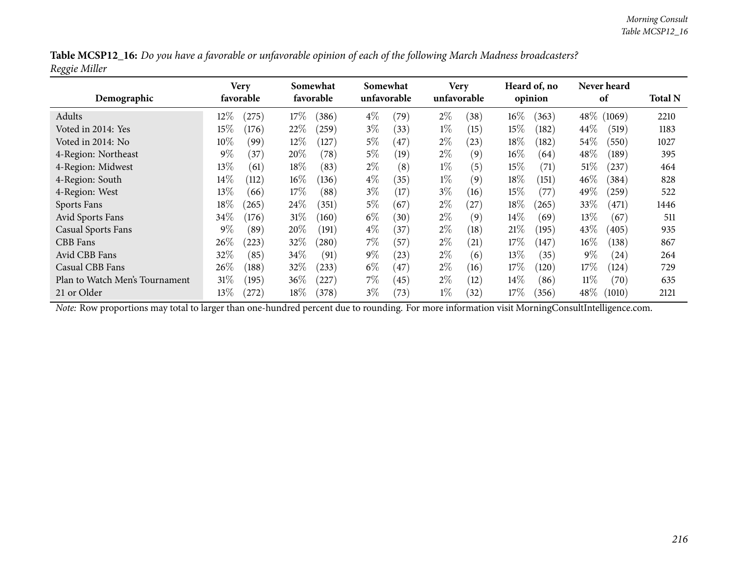| Table MCSP12_16: Do you have a favorable or unfavorable opinion of each of the following March Madness broadcasters? |  |
|----------------------------------------------------------------------------------------------------------------------|--|
| Reggie Miller                                                                                                        |  |

| Demographic                    | Very<br>favorable |            | Somewhat<br>favorable |           |       | Somewhat<br>unfavorable |       | <b>Very</b><br>unfavorable |        | Heard of, no<br>opinion |         | Never heard<br>of |      |
|--------------------------------|-------------------|------------|-----------------------|-----------|-------|-------------------------|-------|----------------------------|--------|-------------------------|---------|-------------------|------|
| Adults                         | $12\%$            | $^{'}275)$ | 17%                   | (386)     | $4\%$ | (79)                    | $2\%$ | (38)                       | $16\%$ | (363)                   | $48\%$  | (1069)            | 2210 |
| Voted in 2014: Yes             | $15\%$            | (176)      | 22%                   | (259)     | $3\%$ | (33)                    | $1\%$ | (15)                       | 15%    | (182)                   | $44\%$  | (519)             | 1183 |
| Voted in 2014: No              | $10\%$            | (99)       | $12\%$                | (127)     | $5\%$ | $\left(47\right)$       | $2\%$ | (23)                       | 18%    | (182)                   | $54\%$  | (550)             | 1027 |
| 4-Region: Northeast            | $9\%$             | (37)       | 20%                   | (78)      | $5\%$ | (19)                    | $2\%$ | (9)                        | $16\%$ | (64)                    | 48\%    | (189)             | 395  |
| 4-Region: Midwest              | $13\%$            | (61)       | 18\%                  | (83)      | $2\%$ | (8)                     | $1\%$ | (5)                        | 15%    | (71)                    | $51\%$  | (237)             | 464  |
| 4-Region: South                | $14\%$            | (112)      | $16\%$                | (136)     | $4\%$ | (35)                    | $1\%$ | (9)                        | $18\%$ | (151)                   | $46\%$  | (384)             | 828  |
| 4-Region: West                 | $13\%$            | (66)       | $17\%$                | (88)      | $3\%$ | (17)                    | $3\%$ | (16)                       | 15%    | (77)                    | 49 $\%$ | $^{'}259)$        | 522  |
| Sports Fans                    | $18\%$            | (265)      | 24\%                  | (351)     | $5\%$ | (67)                    | $2\%$ | (27)                       | 18%    | (265)                   | $33\%$  | (471)             | 1446 |
| Avid Sports Fans               | 34\%              | (176)      | 31%                   | (160)     | $6\%$ | (30)                    | $2\%$ | (9)                        | $14\%$ | (69)                    | $13\%$  | (67)              | 511  |
| <b>Casual Sports Fans</b>      | $9\%$             | (89)       | 20%                   | (191)     | $4\%$ | (37)                    | $2\%$ | (18)                       | 21%    | (195)                   | 43%     | (405)             | 935  |
| CBB Fans                       | $26\%$            | (223)      | 32\%                  | (280)     | $7\%$ | (57                     | $2\%$ | (21)                       | 17%    | (147)                   | $16\%$  | (138)             | 867  |
| Avid CBB Fans                  | 32%               | (85)       | $34\%$                | (91)      | $9\%$ | (23)                    | $2\%$ | (6)                        | 13\%   | (35)                    | $9\%$   | (24)              | 264  |
| Casual CBB Fans                | 26\%              | (188)      | 32%                   | (233)     | $6\%$ | 47                      | $2\%$ | (16)                       | 17%    | (120)                   | $17\%$  | (124)             | 729  |
| Plan to Watch Men's Tournament | $31\%$            | (195)      | $36\%$                | $^{'}227$ | $7\%$ | (45)                    | $2\%$ | (12)                       | $14\%$ | (86)                    | 11%     | (70)              | 635  |
| 21 or Older                    | $13\%$            | (272)      | $18\%$                | (378)     | $3\%$ | (73)                    | $1\%$ | (32)                       | 17%    | (356)                   | $48\%$  | (1010)            | 2121 |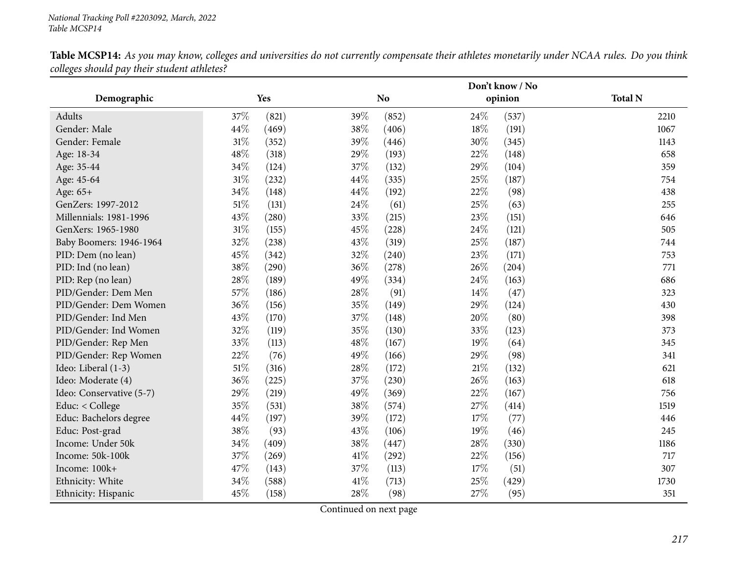|                          |        |       |      | Don't know / No |        |         |                |  |
|--------------------------|--------|-------|------|-----------------|--------|---------|----------------|--|
| Demographic              |        | Yes   |      | N <sub>o</sub>  |        | opinion | <b>Total N</b> |  |
| Adults                   | 37%    | (821) | 39%  | (852)           | 24\%   | (537)   | 2210           |  |
| Gender: Male             | 44%    | (469) | 38%  | (406)           | 18%    | (191)   | 1067           |  |
| Gender: Female           | 31%    | (352) | 39%  | (446)           | 30%    | (345)   | 1143           |  |
| Age: 18-34               | 48\%   | (318) | 29%  | (193)           | 22%    | (148)   | 658            |  |
| Age: 35-44               | 34%    | (124) | 37%  | (132)           | 29%    | (104)   | 359            |  |
| Age: 45-64               | $31\%$ | (232) | 44\% | (335)           | 25\%   | (187)   | 754            |  |
| Age: 65+                 | 34%    | (148) | 44\% | (192)           | 22%    | (98)    | 438            |  |
| GenZers: 1997-2012       | 51\%   | (131) | 24\% | (61)            | 25\%   | (63)    | 255            |  |
| Millennials: 1981-1996   | 43%    | (280) | 33%  | (215)           | 23%    | (151)   | 646            |  |
| GenXers: 1965-1980       | $31\%$ | (155) | 45%  | (228)           | 24\%   | (121)   | 505            |  |
| Baby Boomers: 1946-1964  | 32%    | (238) | 43%  | (319)           | 25%    | (187)   | 744            |  |
| PID: Dem (no lean)       | 45%    | (342) | 32%  | (240)           | 23%    | (171)   | 753            |  |
| PID: Ind (no lean)       | $38\%$ | (290) | 36%  | (278)           | 26\%   | (204)   | 771            |  |
| PID: Rep (no lean)       | 28\%   | (189) | 49%  | (334)           | 24\%   | (163)   | 686            |  |
| PID/Gender: Dem Men      | 57%    | (186) | 28%  | (91)            | 14\%   | (47)    | 323            |  |
| PID/Gender: Dem Women    | 36%    | (156) | 35%  | (149)           | 29%    | (124)   | 430            |  |
| PID/Gender: Ind Men      | 43%    | (170) | 37%  | (148)           | 20%    | (80)    | 398            |  |
| PID/Gender: Ind Women    | 32%    | (119) | 35%  | (130)           | 33%    | (123)   | 373            |  |
| PID/Gender: Rep Men      | 33%    | (113) | 48%  | (167)           | 19%    | (64)    | 345            |  |
| PID/Gender: Rep Women    | 22%    | (76)  | 49%  | (166)           | 29%    | (98)    | 341            |  |
| Ideo: Liberal (1-3)      | $51\%$ | (316) | 28%  | (172)           | $21\%$ | (132)   | 621            |  |
| Ideo: Moderate (4)       | 36%    | (225) | 37%  | (230)           | 26%    | (163)   | 618            |  |
| Ideo: Conservative (5-7) | 29%    | (219) | 49%  | (369)           | 22\%   | (167)   | 756            |  |
| Educ: < College          | 35%    | (531) | 38%  | (574)           | 27\%   | (414)   | 1519           |  |
| Educ: Bachelors degree   | 44\%   | (197) | 39%  | (172)           | 17%    | (77)    | 446            |  |
| Educ: Post-grad          | 38%    | (93)  | 43%  | (106)           | $19\%$ | (46)    | 245            |  |
| Income: Under 50k        | $34\%$ | (409) | 38%  | (447)           | 28\%   | (330)   | 1186           |  |
| Income: 50k-100k         | 37%    | (269) | 41\% | (292)           | 22\%   | (156)   | 717            |  |
| Income: 100k+            | 47%    | (143) | 37%  | (113)           | 17%    | (51)    | 307            |  |
| Ethnicity: White         | 34%    | (588) | 41\% | (713)           | 25%    | (429)   | 1730           |  |
| Ethnicity: Hispanic      | 45%    | (158) | 28%  | (98)            | 27%    | (95)    | 351            |  |

Table MCSP14: As you may know, colleges and universities do not currently compensate their athletes monetarily under NCAA rules. Do you think *colleges should pay their student athletes?*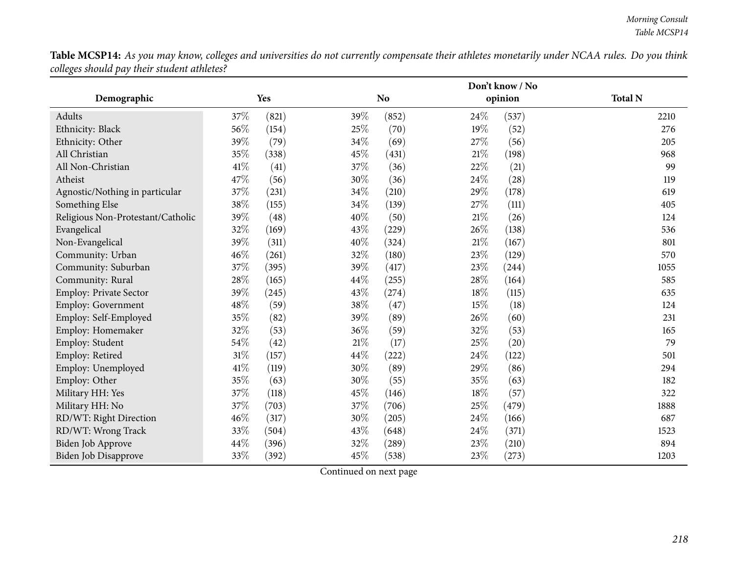Table MCSP14: As you may know, colleges and universities do not currently compensate their athletes monetarily under NCAA rules. Do you think *colleges should pay their student athletes?*

|                                   |        |       |        |           |        | Don't know / No |                |
|-----------------------------------|--------|-------|--------|-----------|--------|-----------------|----------------|
| Demographic                       |        | Yes   |        | <b>No</b> |        | opinion         | <b>Total N</b> |
| Adults                            | 37%    | (821) | 39%    | (852)     | 24\%   | (537)           | 2210           |
| Ethnicity: Black                  | 56%    | (154) | 25%    | (70)      | 19%    | (52)            | 276            |
| Ethnicity: Other                  | 39%    | (79)  | 34%    | (69)      | 27\%   | (56)            | 205            |
| All Christian                     | 35%    | (338) | 45%    | (431)     | $21\%$ | (198)           | 968            |
| All Non-Christian                 | 41%    | (41)  | 37%    | (36)      | 22%    | (21)            | 99             |
| Atheist                           | 47%    | (56)  | 30%    | (36)      | 24\%   | (28)            | 119            |
| Agnostic/Nothing in particular    | $37\%$ | (231) | 34%    | (210)     | 29%    | (178)           | 619            |
| Something Else                    | 38%    | (155) | 34%    | (139)     | 27%    | (111)           | 405            |
| Religious Non-Protestant/Catholic | 39%    | (48)  | 40%    | (50)      | 21%    | (26)            | 124            |
| Evangelical                       | 32%    | (169) | 43%    | (229)     | 26%    | (138)           | 536            |
| Non-Evangelical                   | 39%    | (311) | 40%    | (324)     | $21\%$ | (167)           | 801            |
| Community: Urban                  | $46\%$ | (261) | 32%    | (180)     | 23%    | (129)           | 570            |
| Community: Suburban               | $37\%$ | (395) | 39%    | (417)     | 23%    | (244)           | 1055           |
| Community: Rural                  | 28%    | (165) | 44%    | (255)     | 28\%   | (164)           | 585            |
| Employ: Private Sector            | 39%    | (245) | 43%    | (274)     | 18%    | (115)           | 635            |
| Employ: Government                | $48\%$ | (59)  | 38%    | (47)      | 15%    | (18)            | 124            |
| Employ: Self-Employed             | 35%    | (82)  | 39%    | (89)      | 26%    | (60)            | 231            |
| Employ: Homemaker                 | 32%    | (53)  | 36%    | (59)      | 32%    | (53)            | 165            |
| Employ: Student                   | 54%    | (42)  | $21\%$ | (17)      | 25%    | (20)            | 79             |
| Employ: Retired                   | 31%    | (157) | 44%    | (222)     | 24\%   | (122)           | 501            |
| Employ: Unemployed                | $41\%$ | (119) | 30%    | (89)      | 29%    | (86)            | 294            |
| Employ: Other                     | 35%    | (63)  | 30%    | (55)      | 35%    | (63)            | 182            |
| Military HH: Yes                  | 37%    | (118) | 45%    | (146)     | 18%    | (57)            | 322            |
| Military HH: No                   | 37%    | (703) | 37%    | (706)     | 25%    | (479)           | 1888           |
| RD/WT: Right Direction            | $46\%$ | (317) | 30%    | (205)     | 24\%   | (166)           | 687            |
| RD/WT: Wrong Track                | 33%    | (504) | 43%    | (648)     | 24\%   | (371)           | 1523           |
| Biden Job Approve                 | 44%    | (396) | 32%    | (289)     | 23%    | (210)           | 894            |
| Biden Job Disapprove              | $33\%$ | (392) | 45%    | (538)     | 23%    | (273)           | 1203           |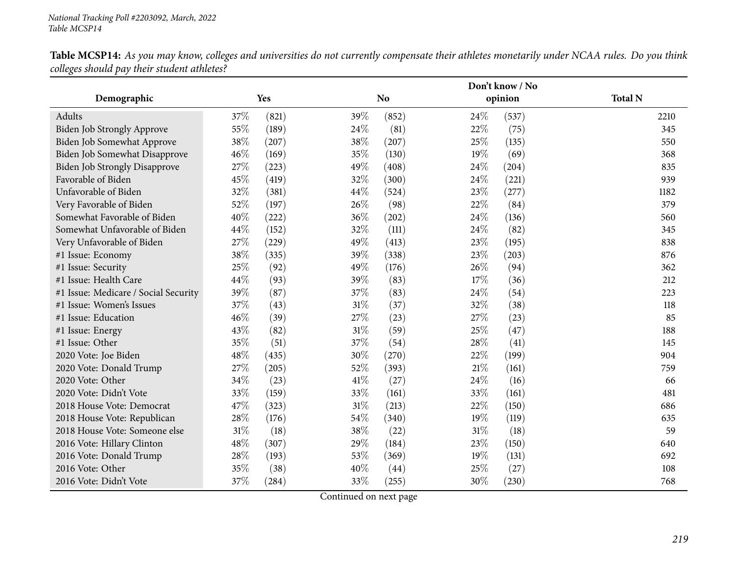Table MCSP14: As you may know, colleges and universities do not currently compensate their athletes monetarily under NCAA rules. Do you think *colleges should pay their student athletes?*

|                                      |     |       |        | Don't know / No |        |         |                |
|--------------------------------------|-----|-------|--------|-----------------|--------|---------|----------------|
| Demographic                          |     | Yes   |        | <b>No</b>       |        | opinion | <b>Total N</b> |
| Adults                               | 37% | (821) | 39%    | (852)           | 24\%   | (537)   | 2210           |
| <b>Biden Job Strongly Approve</b>    | 55% | (189) | 24\%   | (81)            | 22%    | (75)    | 345            |
| Biden Job Somewhat Approve           | 38% | (207) | 38%    | (207)           | 25%    | (135)   | 550            |
| Biden Job Somewhat Disapprove        | 46% | (169) | 35%    | (130)           | 19%    | (69)    | 368            |
| <b>Biden Job Strongly Disapprove</b> | 27% | (223) | 49%    | (408)           | 24\%   | (204)   | 835            |
| Favorable of Biden                   | 45% | (419) | 32%    | (300)           | 24\%   | (221)   | 939            |
| Unfavorable of Biden                 | 32% | (381) | 44%    | (524)           | 23%    | (277)   | 1182           |
| Very Favorable of Biden              | 52% | (197) | 26%    | (98)            | 22%    | (84)    | 379            |
| Somewhat Favorable of Biden          | 40% | (222) | 36%    | (202)           | 24\%   | (136)   | 560            |
| Somewhat Unfavorable of Biden        | 44% | (152) | 32%    | (111)           | 24%    | (82)    | 345            |
| Very Unfavorable of Biden            | 27% | (229) | 49%    | (413)           | 23%    | (195)   | 838            |
| #1 Issue: Economy                    | 38% | (335) | 39%    | (338)           | 23%    | (203)   | 876            |
| #1 Issue: Security                   | 25% | (92)  | 49%    | (176)           | 26%    | (94)    | 362            |
| #1 Issue: Health Care                | 44% | (93)  | 39%    | (83)            | 17%    | (36)    | 212            |
| #1 Issue: Medicare / Social Security | 39% | (87)  | 37%    | (83)            | 24%    | (54)    | 223            |
| #1 Issue: Women's Issues             | 37% | (43)  | $31\%$ | (37)            | 32%    | (38)    | 118            |
| #1 Issue: Education                  | 46% | (39)  | 27%    | (23)            | 27%    | (23)    | 85             |
| #1 Issue: Energy                     | 43% | (82)  | $31\%$ | (59)            | 25%    | (47)    | 188            |
| #1 Issue: Other                      | 35% | (51)  | 37%    | (54)            | 28\%   | (41)    | 145            |
| 2020 Vote: Joe Biden                 | 48% | (435) | 30%    | (270)           | 22%    | (199)   | 904            |
| 2020 Vote: Donald Trump              | 27% | (205) | 52%    | (393)           | $21\%$ | (161)   | 759            |
| 2020 Vote: Other                     | 34% | (23)  | 41\%   | (27)            | 24%    | (16)    | 66             |
| 2020 Vote: Didn't Vote               | 33% | (159) | 33%    | (161)           | 33%    | (161)   | 481            |
| 2018 House Vote: Democrat            | 47% | (323) | $31\%$ | (213)           | 22%    | (150)   | 686            |
| 2018 House Vote: Republican          | 28% | (176) | 54\%   | (340)           | 19%    | (119)   | 635            |
| 2018 House Vote: Someone else        | 31% | (18)  | 38%    | (22)            | 31%    | (18)    | 59             |
| 2016 Vote: Hillary Clinton           | 48% | (307) | 29%    | (184)           | 23%    | (150)   | 640            |
| 2016 Vote: Donald Trump              | 28% | (193) | 53%    | (369)           | 19%    | (131)   | 692            |
| 2016 Vote: Other                     | 35% | (38)  | 40%    | (44)            | 25%    | (27)    | 108            |
| 2016 Vote: Didn't Vote               | 37% | (284) | 33%    | (255)           | 30%    | (230)   | 768            |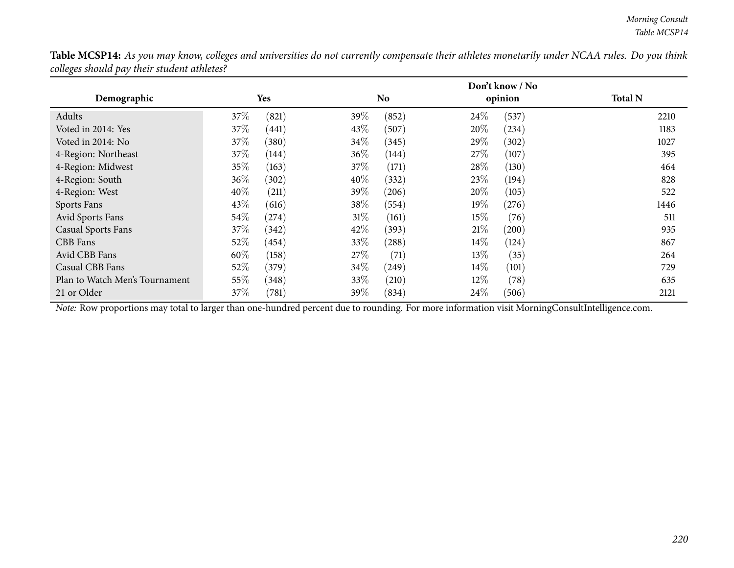| <b>Table MCSP14:</b> As you may know, colleges and universities do not currently compensate their athletes monetarily under NCAA rules. Do you think |  |
|------------------------------------------------------------------------------------------------------------------------------------------------------|--|
| colleges should pay their student athletes?                                                                                                          |  |

|                                |        |                     |         |       |        | Don't know / No     |                |
|--------------------------------|--------|---------------------|---------|-------|--------|---------------------|----------------|
| Demographic                    |        | Yes                 |         | No.   |        | opinion             | <b>Total N</b> |
| Adults                         | 37\%   | (821)               | 39%     | (852) | 24\%   | (537)               | 2210           |
| Voted in 2014: Yes             | 37\%   | (441)               | 43\%    | (507) | 20%    | (234)               | 1183           |
| Voted in 2014: No              | 37\%   | (380)               | 34\%    | (345) | 29%    | (302)               | 1027           |
| 4-Region: Northeast            | 37\%   | (144)               | $36\%$  | (144) | 27%    | (107)               | 395            |
| 4-Region: Midwest              | 35%    | (163)               | 37%     | (171) | 28\%   | (130)               | 464            |
| 4-Region: South                | $36\%$ | (302)               | 40%     | (332) | 23\%   | (194)               | 828            |
| 4-Region: West                 | 40%    | (211)               | 39 $\%$ | (206) | 20%    | (105)               | 522            |
| Sports Fans                    | 43\%   | (616)               | 38\%    | (554) | 19%    | (276)               | 1446           |
| Avid Sports Fans               | 54\%   | $^{(274)}$          | $31\%$  | (161) | 15%    | (76)                | 511            |
| <b>Casual Sports Fans</b>      | 37\%   | (342)               | 42\%    | (393) | 21%    | $\left( 200\right)$ | 935            |
| <b>CBB</b> Fans                | $52\%$ | (454)               | 33\%    | (288) | $14\%$ | (124)               | 867            |
| Avid CBB Fans                  | 60%    | (158)               | $27\%$  | (71)  | 13\%   | (35)                | 264            |
| Casual CBB Fans                | 52\%   | (379)               | $34\%$  | (249) | $14\%$ | (101)               | 729            |
| Plan to Watch Men's Tournament | 55%    | (348)               | 33\%    | (210) | 12%    | (78)                | 635            |
| 21 or Older                    | 37\%   | $\left( 781\right)$ | 39 $\%$ | (834) | 24\%   | (506)               | 2121           |

*Note:* Row proportions may total to larger than one-hundred percen<sup>t</sup> due to rounding. For more information visit [MorningConsultIntelligence.com](https://morningconsultintelligence.com).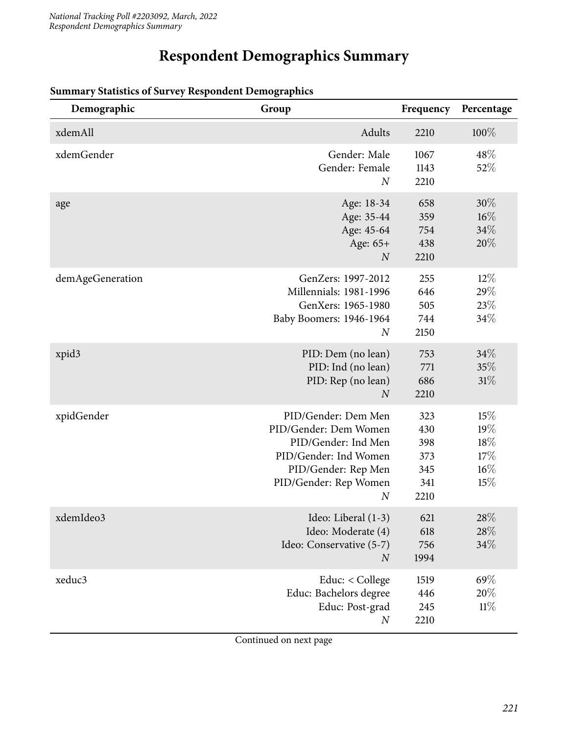# **Respondent Demographics Summary**

| Demographic      | Group                                                                                                                                                            | Frequency                                      | Percentage                                |
|------------------|------------------------------------------------------------------------------------------------------------------------------------------------------------------|------------------------------------------------|-------------------------------------------|
| xdemAll          | Adults                                                                                                                                                           | 2210                                           | 100%                                      |
| xdemGender       | Gender: Male<br>Gender: Female<br>$\boldsymbol{N}$                                                                                                               | 1067<br>1143<br>2210                           | 48\%<br>52%                               |
| age              | Age: 18-34<br>Age: 35-44<br>Age: 45-64<br>Age: 65+<br>$\boldsymbol{N}$                                                                                           | 658<br>359<br>754<br>438<br>2210               | 30%<br>$16\%$<br>34%<br>20%               |
| demAgeGeneration | GenZers: 1997-2012<br>Millennials: 1981-1996<br>GenXers: 1965-1980<br>Baby Boomers: 1946-1964<br>$\boldsymbol{N}$                                                | 255<br>646<br>505<br>744<br>2150               | $12\%$<br>29%<br>23%<br>34%               |
| xpid3            | PID: Dem (no lean)<br>PID: Ind (no lean)<br>PID: Rep (no lean)<br>$\overline{N}$                                                                                 | 753<br>771<br>686<br>2210                      | 34%<br>35%<br>31%                         |
| xpidGender       | PID/Gender: Dem Men<br>PID/Gender: Dem Women<br>PID/Gender: Ind Men<br>PID/Gender: Ind Women<br>PID/Gender: Rep Men<br>PID/Gender: Rep Women<br>$\boldsymbol{N}$ | 323<br>430<br>398<br>373<br>345<br>341<br>2210 | 15%<br>19%<br>18%<br>17%<br>$16\%$<br>15% |
| xdemIdeo3        | Ideo: Liberal (1-3)<br>Ideo: Moderate (4)<br>Ideo: Conservative (5-7)<br>$\boldsymbol{N}$                                                                        | 621<br>618<br>756<br>1994                      | 28\%<br>28\%<br>34%                       |
| xeduc3           | Educ: < College<br>Educ: Bachelors degree<br>Educ: Post-grad<br>$\boldsymbol{N}$                                                                                 | 1519<br>446<br>245<br>2210                     | 69%<br>20%<br>11%                         |

#### **Summary Statistics of Survey Respondent Demographics**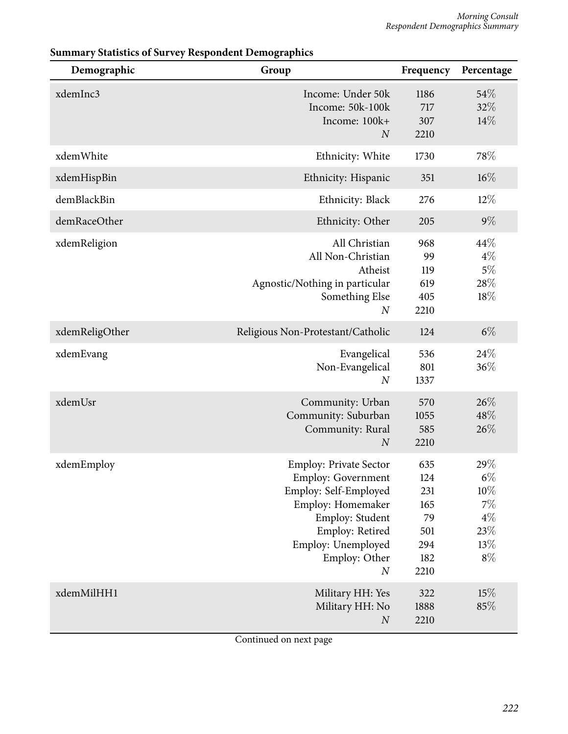| Demographic    | Group                                                                                                                                                                                                     | Frequency                                                   | Percentage                                                         |
|----------------|-----------------------------------------------------------------------------------------------------------------------------------------------------------------------------------------------------------|-------------------------------------------------------------|--------------------------------------------------------------------|
| xdemInc3       | Income: Under 50k<br>Income: 50k-100k<br>Income: 100k+<br>$\overline{N}$                                                                                                                                  | 1186<br>717<br>307<br>2210                                  | 54%<br>32%<br>14%                                                  |
| xdemWhite      | Ethnicity: White                                                                                                                                                                                          | 1730                                                        | 78%                                                                |
| xdemHispBin    | Ethnicity: Hispanic                                                                                                                                                                                       | 351                                                         | $16\%$                                                             |
| demBlackBin    | Ethnicity: Black                                                                                                                                                                                          | 276                                                         | $12\%$                                                             |
| demRaceOther   | Ethnicity: Other                                                                                                                                                                                          | 205                                                         | $9\%$                                                              |
| xdemReligion   | All Christian<br>All Non-Christian<br>Atheist<br>Agnostic/Nothing in particular<br>Something Else<br>$\boldsymbol{N}$                                                                                     | 968<br>99<br>119<br>619<br>405<br>2210                      | 44\%<br>$4\%$<br>$5\%$<br>28%<br>18%                               |
| xdemReligOther | Religious Non-Protestant/Catholic                                                                                                                                                                         | 124                                                         | $6\%$                                                              |
| xdemEvang      | Evangelical<br>Non-Evangelical<br>$\boldsymbol{N}$                                                                                                                                                        | 536<br>801<br>1337                                          | 24\%<br>36%                                                        |
| xdemUsr        | Community: Urban<br>Community: Suburban<br>Community: Rural<br>$\boldsymbol{N}$                                                                                                                           | 570<br>1055<br>585<br>2210                                  | 26\%<br>48%<br>26%                                                 |
| xdemEmploy     | <b>Employ: Private Sector</b><br><b>Employ: Government</b><br>Employ: Self-Employed<br>Employ: Homemaker<br>Employ: Student<br>Employ: Retired<br>Employ: Unemployed<br>Employ: Other<br>$\boldsymbol{N}$ | 635<br>124<br>231<br>165<br>79<br>501<br>294<br>182<br>2210 | 29%<br>$6\%$<br>$10\%$<br>$7\%$<br>$4\%$<br>$23\%$<br>13%<br>$8\%$ |
| xdemMilHH1     | Military HH: Yes<br>Military HH: No<br>$\boldsymbol{N}$                                                                                                                                                   | 322<br>1888<br>2210                                         | 15%<br>85%                                                         |

# **Summary Statistics of Survey Respondent Demographics**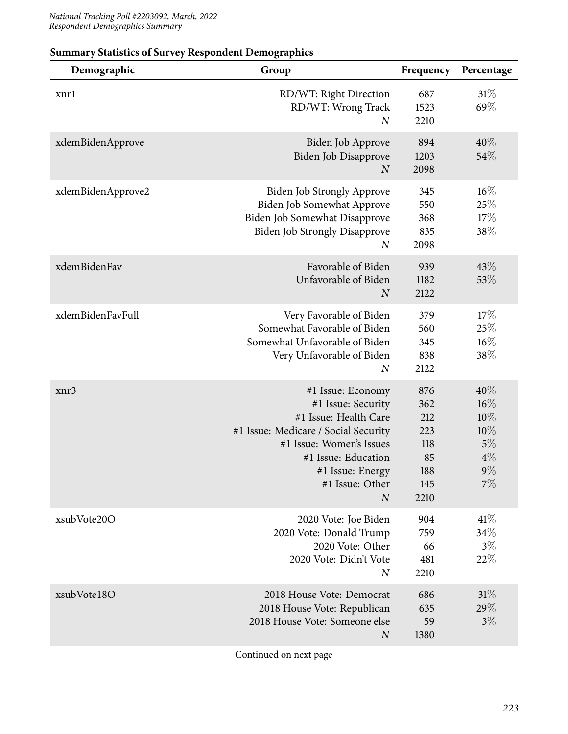| Demographic       | Group                                                                                                                                                                                                                | Frequency                                                   | Percentage                                                |
|-------------------|----------------------------------------------------------------------------------------------------------------------------------------------------------------------------------------------------------------------|-------------------------------------------------------------|-----------------------------------------------------------|
| xnrl              | RD/WT: Right Direction<br>RD/WT: Wrong Track<br>$\boldsymbol{N}$                                                                                                                                                     | 687<br>1523<br>2210                                         | 31%<br>69%                                                |
| xdemBidenApprove  | Biden Job Approve<br>Biden Job Disapprove<br>$\overline{N}$                                                                                                                                                          | 894<br>1203<br>2098                                         | $40\%$<br>54\%                                            |
| xdemBidenApprove2 | <b>Biden Job Strongly Approve</b><br>Biden Job Somewhat Approve<br>Biden Job Somewhat Disapprove<br><b>Biden Job Strongly Disapprove</b><br>$\boldsymbol{N}$                                                         | 345<br>550<br>368<br>835<br>2098                            | 16%<br>25%<br>17%<br>38\%                                 |
| xdemBidenFav      | Favorable of Biden<br>Unfavorable of Biden<br>$\overline{N}$                                                                                                                                                         | 939<br>1182<br>2122                                         | 43\%<br>53%                                               |
| xdemBidenFavFull  | Very Favorable of Biden<br>Somewhat Favorable of Biden<br>Somewhat Unfavorable of Biden<br>Very Unfavorable of Biden<br>$\boldsymbol{N}$                                                                             | 379<br>560<br>345<br>838<br>2122                            | 17%<br>25%<br>$16\%$<br>38%                               |
| xnr3              | #1 Issue: Economy<br>#1 Issue: Security<br>#1 Issue: Health Care<br>#1 Issue: Medicare / Social Security<br>#1 Issue: Women's Issues<br>#1 Issue: Education<br>#1 Issue: Energy<br>#1 Issue: Other<br>$\overline{N}$ | 876<br>362<br>212<br>223<br>118<br>85<br>188<br>145<br>2210 | 40%<br>16%<br>$10\%$<br>10%<br>5%<br>$4\%$<br>$9\%$<br>7% |
| xsubVote20O       | 2020 Vote: Joe Biden<br>2020 Vote: Donald Trump<br>2020 Vote: Other<br>2020 Vote: Didn't Vote<br>$\overline{N}$                                                                                                      | 904<br>759<br>66<br>481<br>2210                             | 41%<br>34%<br>$3\%$<br>22%                                |
| xsubVote18O       | 2018 House Vote: Democrat<br>2018 House Vote: Republican<br>2018 House Vote: Someone else<br>$\boldsymbol{N}$                                                                                                        | 686<br>635<br>59<br>1380                                    | 31%<br>$29\%$<br>$3\%$                                    |

## **Summary Statistics of Survey Respondent Demographics**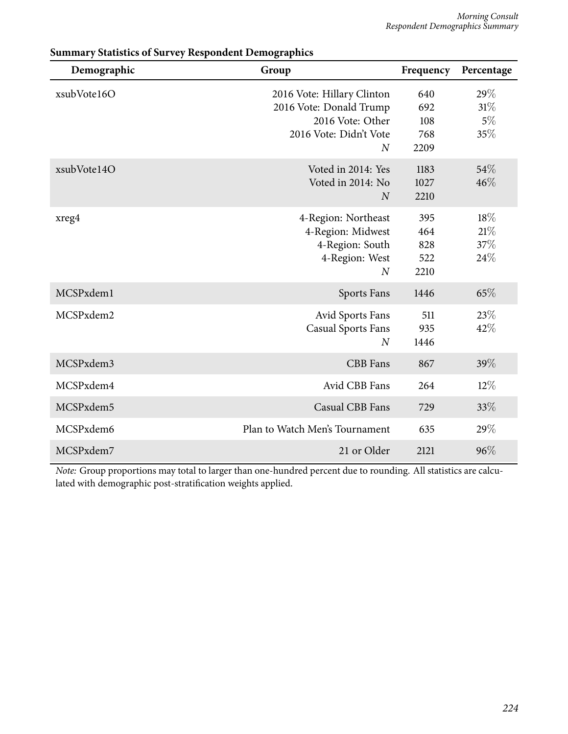| Demographic | Group                                                                                                                 | Frequency                        | Percentage                 |
|-------------|-----------------------------------------------------------------------------------------------------------------------|----------------------------------|----------------------------|
| xsubVote16O | 2016 Vote: Hillary Clinton<br>2016 Vote: Donald Trump<br>2016 Vote: Other<br>2016 Vote: Didn't Vote<br>$\overline{N}$ | 640<br>692<br>108<br>768<br>2209 | 29%<br>31%<br>$5\%$<br>35% |
| xsubVote14O | Voted in 2014: Yes<br>Voted in 2014: No<br>$\overline{N}$                                                             | 1183<br>1027<br>2210             | 54\%<br>46%                |
| xreg4       | 4-Region: Northeast<br>4-Region: Midwest<br>4-Region: South<br>4-Region: West<br>$\boldsymbol{N}$                     | 395<br>464<br>828<br>522<br>2210 | 18%<br>21%<br>37%<br>24%   |
| MCSPxdem1   | Sports Fans                                                                                                           | 1446                             | 65%                        |
| MCSPxdem2   | Avid Sports Fans<br><b>Casual Sports Fans</b><br>$\overline{N}$                                                       | 511<br>935<br>1446               | 23%<br>42%                 |
| MCSPxdem3   | <b>CBB</b> Fans                                                                                                       | 867                              | 39%                        |
| MCSPxdem4   | Avid CBB Fans                                                                                                         | 264                              | $12\%$                     |
| MCSPxdem5   | Casual CBB Fans                                                                                                       | 729                              | 33%                        |
| MCSPxdem6   | Plan to Watch Men's Tournament                                                                                        | 635                              | 29%                        |
| MCSPxdem7   | 21 or Older                                                                                                           | 2121                             | 96%                        |

## **Summary Statistics of Survey Respondent Demographics**

*Note:* Group proportions may total to larger than one-hundred percent due to rounding. All statistics are calculated with demographic post-stratification weights applied.